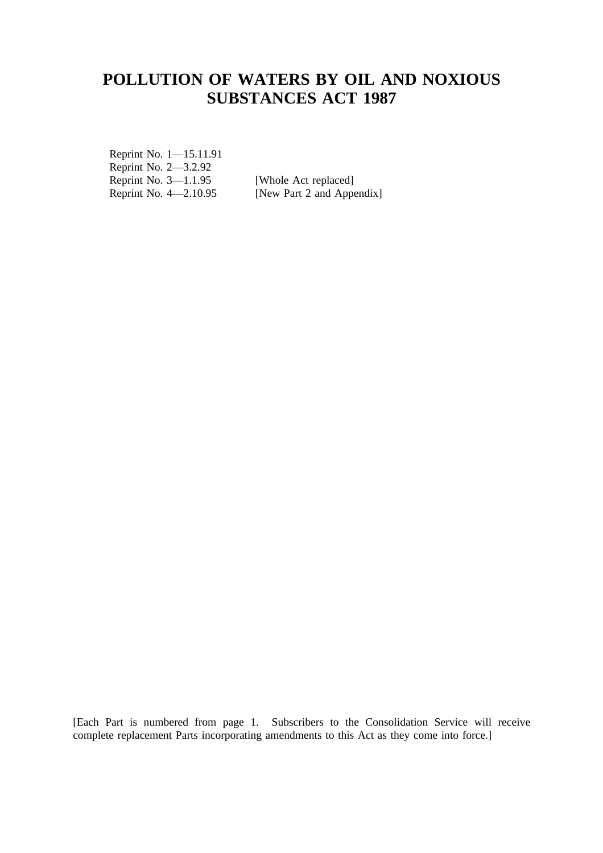# **POLLUTION OF WATERS BY OIL AND NOXIOUS SUBSTANCES ACT 1987**

Reprint No. 1—15.11.91 Reprint No. 2—3.2.92 Reprint No. 3–1.1.95 [Whole Act replaced]

Reprint No. 4—2.10.95 [New Part 2 and Appendix]

[Each Part is numbered from page 1. Subscribers to the Consolidation Service will receive complete replacement Parts incorporating amendments to this Act as they come into force.]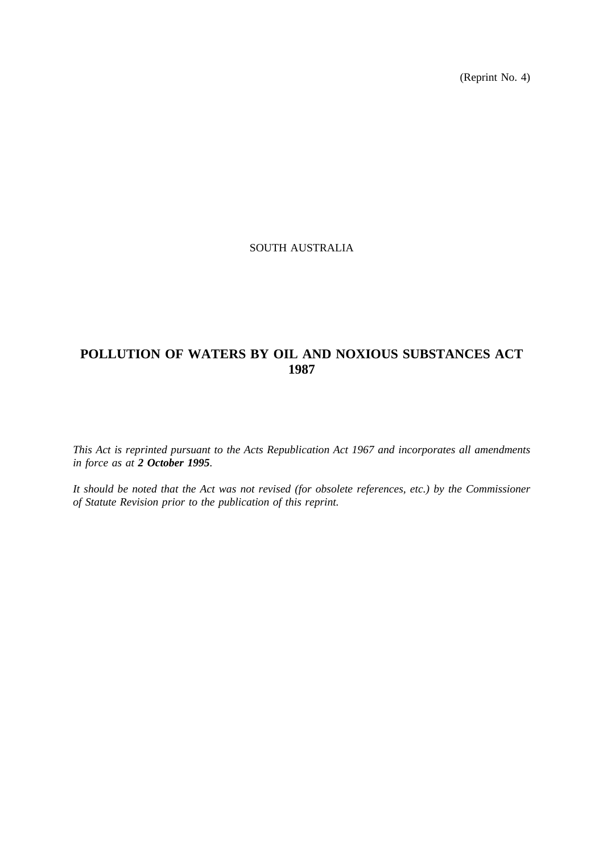(Reprint No. 4)

# SOUTH AUSTRALIA

# **POLLUTION OF WATERS BY OIL AND NOXIOUS SUBSTANCES ACT 1987**

*This Act is reprinted pursuant to the Acts Republication Act 1967 and incorporates all amendments in force as at 2 October 1995.*

*It should be noted that the Act was not revised (for obsolete references, etc.) by the Commissioner of Statute Revision prior to the publication of this reprint.*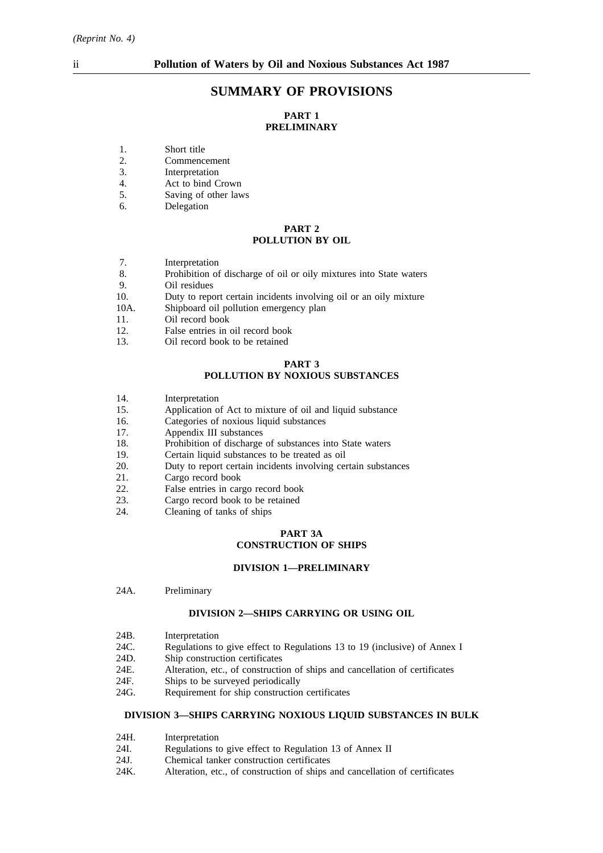# **SUMMARY OF PROVISIONS**

# **PART 1 PRELIMINARY**

- 1. Short title<br>2. Commence
- 2. Commencement<br>3. Interpretation
- **Interpretation**
- 4. Act to bind Crown
- 5. Saving of other laws
- 6. Delegation

#### **PART 2 POLLUTION BY OIL**

- 7. Interpretation
- 8. Prohibition of discharge of oil or oily mixtures into State waters
- 9. Oil residues
- 10. Duty to report certain incidents involving oil or an oily mixture
- 10A. Shipboard oil pollution emergency plan
- 11. Oil record book
- 12. False entries in oil record book<br>13 Oil record book to be retained
- Oil record book to be retained

## **PART 3 POLLUTION BY NOXIOUS SUBSTANCES**

- 14. Interpretation
- 15. Application of Act to mixture of oil and liquid substance
- 16. Categories of noxious liquid substances
- 17. Appendix III substances
- 18. Prohibition of discharge of substances into State waters
- 19. Certain liquid substances to be treated as oil
- 20. Duty to report certain incidents involving certain substances
- 21. Cargo record book
- 22. False entries in cargo record book
- 23. Cargo record book to be retained
- 24. Cleaning of tanks of ships

#### **PART 3A CONSTRUCTION OF SHIPS**

#### **DIVISION 1—PRELIMINARY**

24A. Preliminary

#### **DIVISION 2—SHIPS CARRYING OR USING OIL**

- 24B. Interpretation<br>24C. Regulations to
- 24C. Regulations to give effect to Regulations 13 to 19 (inclusive) of Annex I<br>24D. Ship construction certificates
- 24D. Ship construction certificates<br>24E. Alteration, etc., of construction
- Alteration, etc., of construction of ships and cancellation of certificates
- 24F. Ships to be surveyed periodically
- 24G. Requirement for ship construction certificates

## **DIVISION 3—SHIPS CARRYING NOXIOUS LIQUID SUBSTANCES IN BULK**

- 24H. Interpretation<br>24I. Regulations to
- 24I. Regulations to give effect to Regulation 13 of Annex II<br>24J. Chemical tanker construction certificates
- 24J. Chemical tanker construction certificates<br>24K. Alteration. etc.. of construction of ships a
- Alteration, etc., of construction of ships and cancellation of certificates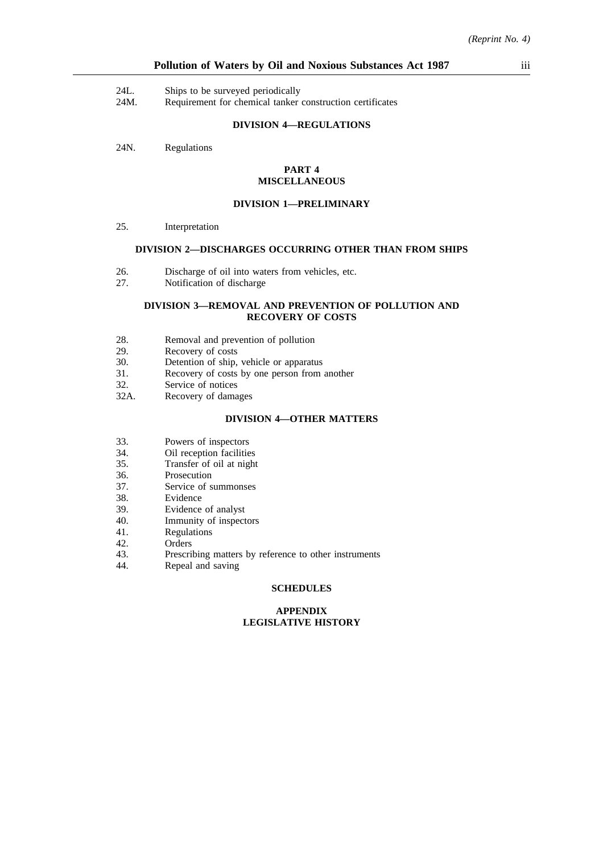- 24L. Ships to be surveyed periodically
- 24M. Requirement for chemical tanker construction certificates

#### **DIVISION 4—REGULATIONS**

24N. Regulations

#### **PART 4 MISCELLANEOUS**

## **DIVISION 1—PRELIMINARY**

25. Interpretation

# **DIVISION 2—DISCHARGES OCCURRING OTHER THAN FROM SHIPS**

- 26. Discharge of oil into waters from vehicles, etc.<br>27. Notification of discharge
- Notification of discharge

## **DIVISION 3—REMOVAL AND PREVENTION OF POLLUTION AND RECOVERY OF COSTS**

- 28. Removal and prevention of pollution<br>29. Recovery of costs
- 29. Recovery of costs<br>30. Detention of ship.
- 30. Detention of ship, vehicle or apparatus<br>31 Recovery of costs by one person from
- 31. Recovery of costs by one person from another 32 Service of notices
- 32. Service of notices<br>32A. Recovery of dama
- Recovery of damages

# **DIVISION 4—OTHER MATTERS**

- 33. Powers of inspectors<br>34. Oil recention facilities
- 34. Oil reception facilities<br>35. Transfer of oil at night
- 35. Transfer of oil at night
- 36. Prosecution<br>37. Service of s
- Service of summonses
- 38. Evidence
- 39. Evidence of analyst
- 40. Immunity of inspectors
- 41. Regulations
- 42. Orders
- 43. Prescribing matters by reference to other instruments
- 44. Repeal and saving

#### **SCHEDULES**

#### **APPENDIX LEGISLATIVE HISTORY**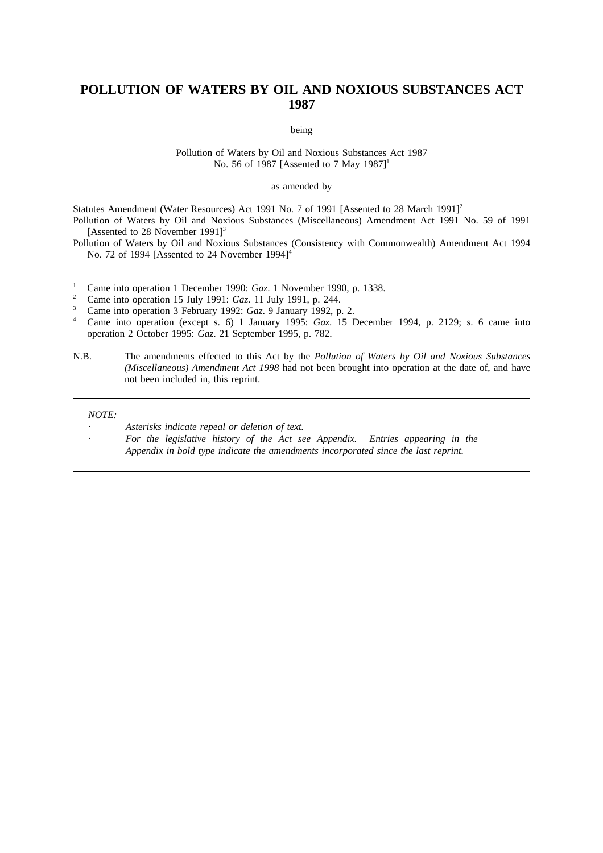# **POLLUTION OF WATERS BY OIL AND NOXIOUS SUBSTANCES ACT 1987**

being

Pollution of Waters by Oil and Noxious Substances Act 1987 No. 56 of 1987 [Assented to 7 May 1987]<sup>1</sup>

#### as amended by

Statutes Amendment (Water Resources) Act 1991 No. 7 of 1991 [Assented to 28 March 1991]<sup>2</sup> Pollution of Waters by Oil and Noxious Substances (Miscellaneous) Amendment Act 1991 No. 59 of 1991 [Assented to 28 November 1991]<sup>3</sup>

Pollution of Waters by Oil and Noxious Substances (Consistency with Commonwealth) Amendment Act 1994 No. 72 of 1994 [Assented to 24 November 1994]<sup>4</sup>

- <sup>1</sup> Came into operation 1 December 1990: *Gaz*. 1 November 1990, p. 1338.
- <sup>2</sup> Came into operation 15 July 1991: *Gaz*. 11 July 1991, p. 244.
- <sup>3</sup> Came into operation 3 February 1992: *Gaz*. 9 January 1992, p. 2.
- <sup>4</sup> Came into operation (except s. 6) 1 January 1995: *Gaz*. 15 December 1994, p. 2129; s. 6 came into operation 2 October 1995: *Gaz*. 21 September 1995, p. 782.
- N.B. The amendments effected to this Act by the *Pollution of Waters by Oil and Noxious Substances (Miscellaneous) Amendment Act 1998* had not been brought into operation at the date of, and have not been included in, this reprint.

*NOTE:*

*Asterisks indicate repeal or deletion of text. For the legislative history of the Act see Appendix. Entries appearing in the Appendix in bold type indicate the amendments incorporated since the last reprint.*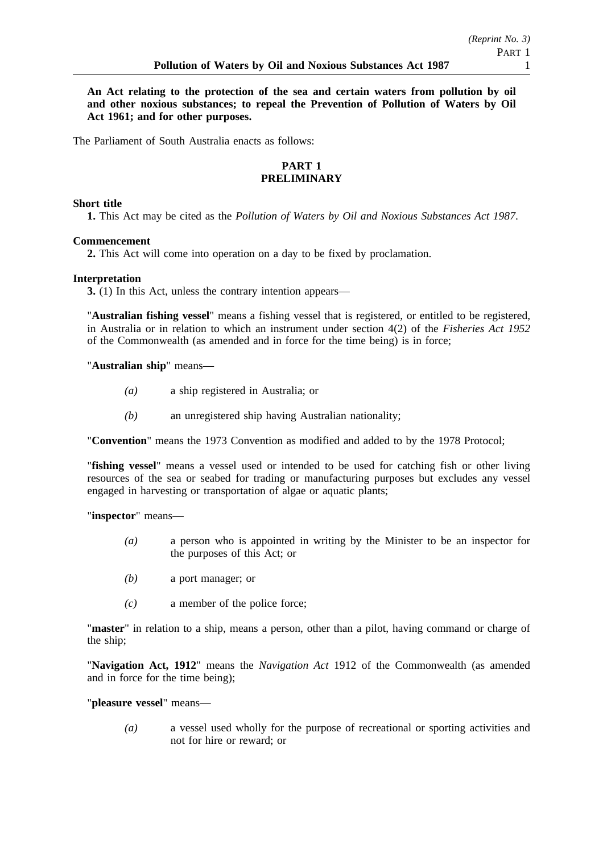**An Act relating to the protection of the sea and certain waters from pollution by oil and other noxious substances; to repeal the Prevention of Pollution of Waters by Oil Act 1961; and for other purposes.**

The Parliament of South Australia enacts as follows:

# **PART 1 PRELIMINARY**

# **Short title**

**1.** This Act may be cited as the *Pollution of Waters by Oil and Noxious Substances Act 1987*.

## **Commencement**

**2.** This Act will come into operation on a day to be fixed by proclamation.

# **Interpretation**

**3.** (1) In this Act, unless the contrary intention appears—

"**Australian fishing vessel**" means a fishing vessel that is registered, or entitled to be registered, in Australia or in relation to which an instrument under section 4(2) of the *Fisheries Act 1952* of the Commonwealth (as amended and in force for the time being) is in force;

"**Australian ship**" means—

- *(a)* a ship registered in Australia; or
- *(b)* an unregistered ship having Australian nationality;

"**Convention**" means the 1973 Convention as modified and added to by the 1978 Protocol;

"**fishing vessel**" means a vessel used or intended to be used for catching fish or other living resources of the sea or seabed for trading or manufacturing purposes but excludes any vessel engaged in harvesting or transportation of algae or aquatic plants;

"**inspector**" means—

- *(a)* a person who is appointed in writing by the Minister to be an inspector for the purposes of this Act; or
- *(b)* a port manager; or
- *(c)* a member of the police force;

"**master**" in relation to a ship, means a person, other than a pilot, having command or charge of the ship;

"**Navigation Act, 1912**" means the *Navigation Act* 1912 of the Commonwealth (as amended and in force for the time being);

"**pleasure vessel**" means—

*(a)* a vessel used wholly for the purpose of recreational or sporting activities and not for hire or reward; or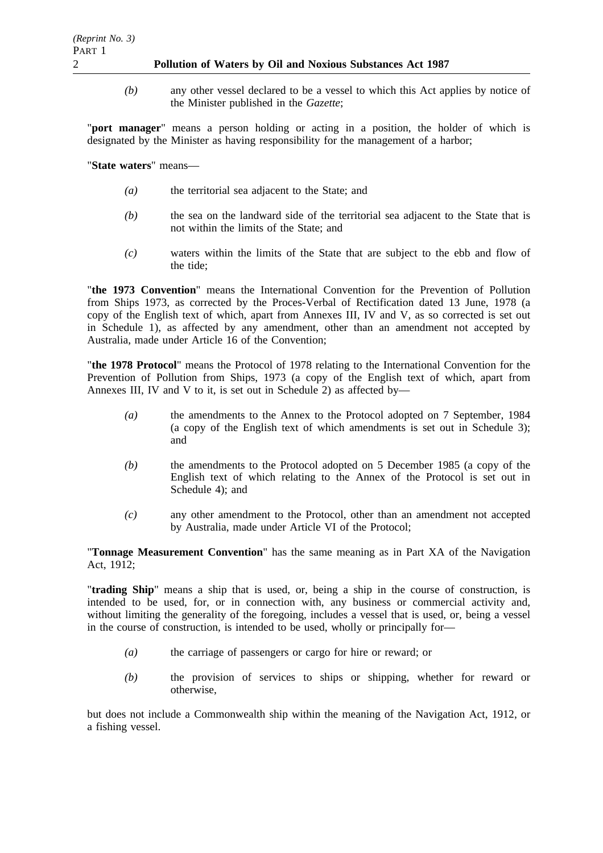*(b)* any other vessel declared to be a vessel to which this Act applies by notice of the Minister published in the *Gazette*;

"**port manager**" means a person holding or acting in a position, the holder of which is designated by the Minister as having responsibility for the management of a harbor;

"**State waters**" means—

- *(a)* the territorial sea adjacent to the State; and
- *(b)* the sea on the landward side of the territorial sea adjacent to the State that is not within the limits of the State; and
- *(c)* waters within the limits of the State that are subject to the ebb and flow of the tide;

"**the 1973 Convention**" means the International Convention for the Prevention of Pollution from Ships 1973, as corrected by the Proces-Verbal of Rectification dated 13 June, 1978 (a copy of the English text of which, apart from Annexes III, IV and V, as so corrected is set out in Schedule 1), as affected by any amendment, other than an amendment not accepted by Australia, made under Article 16 of the Convention;

"**the 1978 Protocol**" means the Protocol of 1978 relating to the International Convention for the Prevention of Pollution from Ships, 1973 (a copy of the English text of which, apart from Annexes III, IV and V to it, is set out in Schedule 2) as affected by—

- *(a)* the amendments to the Annex to the Protocol adopted on 7 September, 1984 (a copy of the English text of which amendments is set out in Schedule 3); and
- *(b)* the amendments to the Protocol adopted on 5 December 1985 (a copy of the English text of which relating to the Annex of the Protocol is set out in Schedule 4); and
- *(c)* any other amendment to the Protocol, other than an amendment not accepted by Australia, made under Article VI of the Protocol;

"**Tonnage Measurement Convention**" has the same meaning as in Part XA of the Navigation Act, 1912;

"**trading Ship**" means a ship that is used, or, being a ship in the course of construction, is intended to be used, for, or in connection with, any business or commercial activity and, without limiting the generality of the foregoing, includes a vessel that is used, or, being a vessel in the course of construction, is intended to be used, wholly or principally for—

- *(a)* the carriage of passengers or cargo for hire or reward; or
- *(b)* the provision of services to ships or shipping, whether for reward or otherwise,

but does not include a Commonwealth ship within the meaning of the Navigation Act, 1912, or a fishing vessel.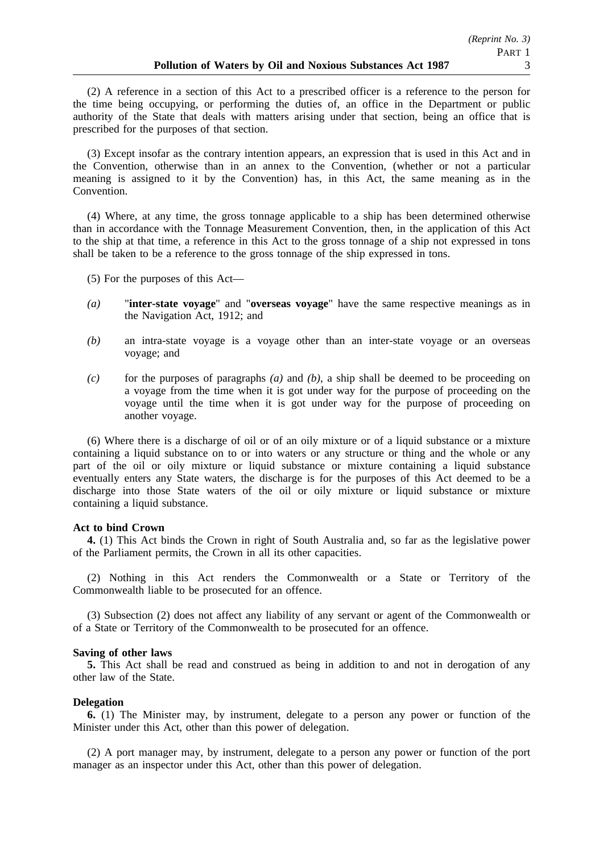(2) A reference in a section of this Act to a prescribed officer is a reference to the person for the time being occupying, or performing the duties of, an office in the Department or public authority of the State that deals with matters arising under that section, being an office that is prescribed for the purposes of that section.

(3) Except insofar as the contrary intention appears, an expression that is used in this Act and in the Convention, otherwise than in an annex to the Convention, (whether or not a particular meaning is assigned to it by the Convention) has, in this Act, the same meaning as in the Convention.

(4) Where, at any time, the gross tonnage applicable to a ship has been determined otherwise than in accordance with the Tonnage Measurement Convention, then, in the application of this Act to the ship at that time, a reference in this Act to the gross tonnage of a ship not expressed in tons shall be taken to be a reference to the gross tonnage of the ship expressed in tons.

- (5) For the purposes of this Act—
- *(a)* "**inter-state voyage**" and "**overseas voyage**" have the same respective meanings as in the Navigation Act, 1912; and
- *(b)* an intra-state voyage is a voyage other than an inter-state voyage or an overseas voyage; and
- *(c)* for the purposes of paragraphs *(a)* and *(b)*, a ship shall be deemed to be proceeding on a voyage from the time when it is got under way for the purpose of proceeding on the voyage until the time when it is got under way for the purpose of proceeding on another voyage.

(6) Where there is a discharge of oil or of an oily mixture or of a liquid substance or a mixture containing a liquid substance on to or into waters or any structure or thing and the whole or any part of the oil or oily mixture or liquid substance or mixture containing a liquid substance eventually enters any State waters, the discharge is for the purposes of this Act deemed to be a discharge into those State waters of the oil or oily mixture or liquid substance or mixture containing a liquid substance.

# **Act to bind Crown**

**4.** (1) This Act binds the Crown in right of South Australia and, so far as the legislative power of the Parliament permits, the Crown in all its other capacities.

(2) Nothing in this Act renders the Commonwealth or a State or Territory of the Commonwealth liable to be prosecuted for an offence.

(3) Subsection (2) does not affect any liability of any servant or agent of the Commonwealth or of a State or Territory of the Commonwealth to be prosecuted for an offence.

## **Saving of other laws**

**5.** This Act shall be read and construed as being in addition to and not in derogation of any other law of the State.

# **Delegation**

**6.** (1) The Minister may, by instrument, delegate to a person any power or function of the Minister under this Act, other than this power of delegation.

(2) A port manager may, by instrument, delegate to a person any power or function of the port manager as an inspector under this Act, other than this power of delegation.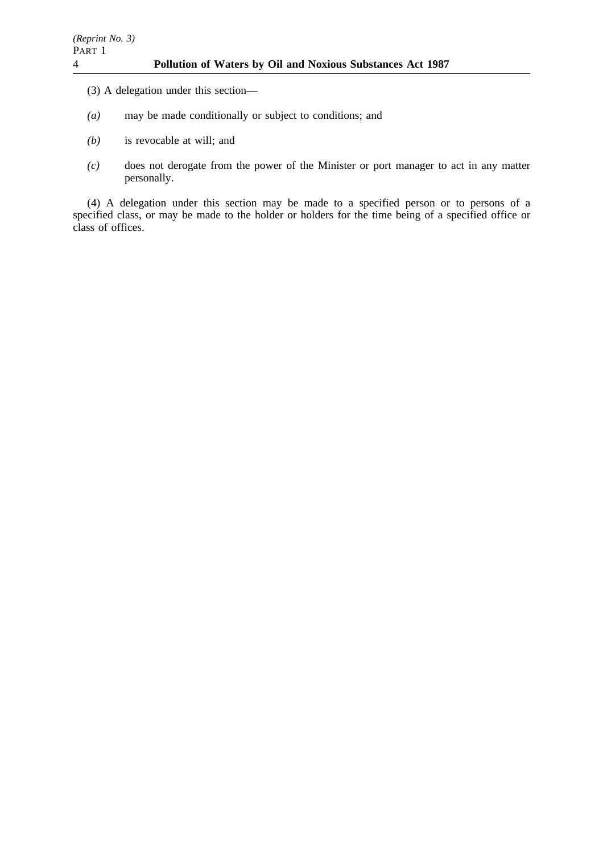- (3) A delegation under this section—
- *(a)* may be made conditionally or subject to conditions; and
- *(b)* is revocable at will; and
- *(c)* does not derogate from the power of the Minister or port manager to act in any matter personally.

(4) A delegation under this section may be made to a specified person or to persons of a specified class, or may be made to the holder or holders for the time being of a specified office or class of offices.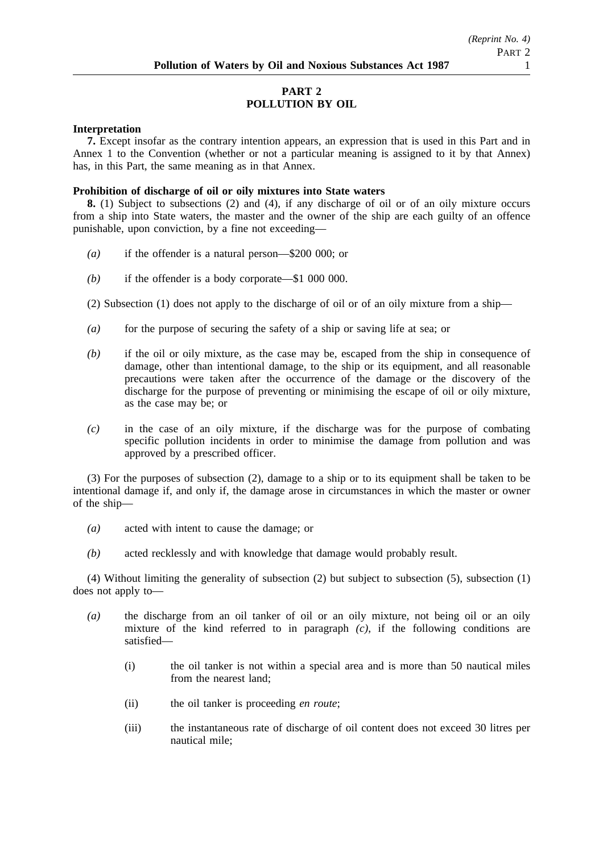# **PART 2 POLLUTION BY OIL**

# **Interpretation**

**7.** Except insofar as the contrary intention appears, an expression that is used in this Part and in Annex 1 to the Convention (whether or not a particular meaning is assigned to it by that Annex) has, in this Part, the same meaning as in that Annex.

# **Prohibition of discharge of oil or oily mixtures into State waters**

**8.** (1) Subject to subsections (2) and (4), if any discharge of oil or of an oily mixture occurs from a ship into State waters, the master and the owner of the ship are each guilty of an offence punishable, upon conviction, by a fine not exceeding—

- *(a)* if the offender is a natural person—\$200 000; or
- *(b)* if the offender is a body corporate—\$1 000 000.

(2) Subsection (1) does not apply to the discharge of oil or of an oily mixture from a ship—

- *(a)* for the purpose of securing the safety of a ship or saving life at sea; or
- *(b)* if the oil or oily mixture, as the case may be, escaped from the ship in consequence of damage, other than intentional damage, to the ship or its equipment, and all reasonable precautions were taken after the occurrence of the damage or the discovery of the discharge for the purpose of preventing or minimising the escape of oil or oily mixture, as the case may be; or
- *(c)* in the case of an oily mixture, if the discharge was for the purpose of combating specific pollution incidents in order to minimise the damage from pollution and was approved by a prescribed officer.

(3) For the purposes of subsection (2), damage to a ship or to its equipment shall be taken to be intentional damage if, and only if, the damage arose in circumstances in which the master or owner of the ship—

- *(a)* acted with intent to cause the damage; or
- *(b)* acted recklessly and with knowledge that damage would probably result.

(4) Without limiting the generality of subsection (2) but subject to subsection (5), subsection (1) does not apply to—

- *(a)* the discharge from an oil tanker of oil or an oily mixture, not being oil or an oily mixture of the kind referred to in paragraph *(c)*, if the following conditions are satisfied—
	- (i) the oil tanker is not within a special area and is more than 50 nautical miles from the nearest land;
	- (ii) the oil tanker is proceeding *en route*;
	- (iii) the instantaneous rate of discharge of oil content does not exceed 30 litres per nautical mile;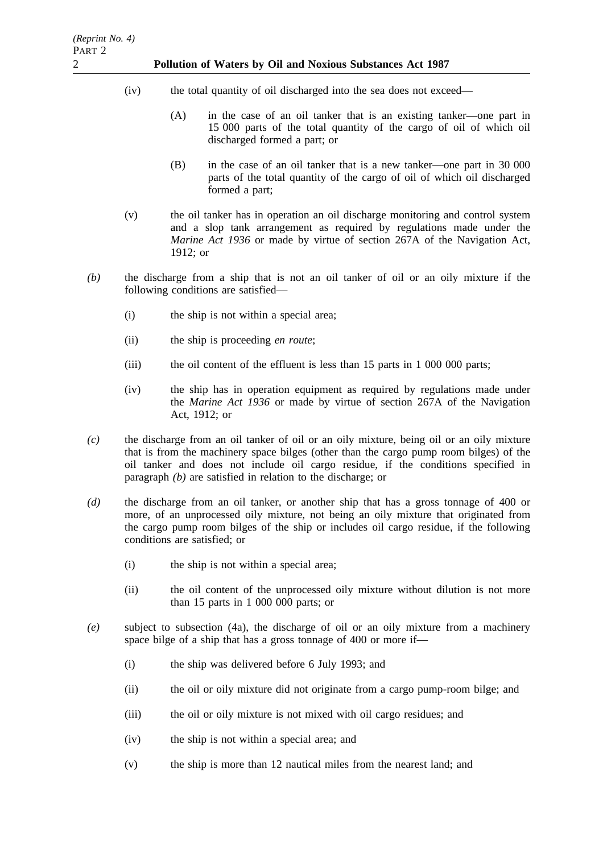- (iv) the total quantity of oil discharged into the sea does not exceed—
	- (A) in the case of an oil tanker that is an existing tanker—one part in 15 000 parts of the total quantity of the cargo of oil of which oil discharged formed a part; or
	- (B) in the case of an oil tanker that is a new tanker—one part in 30 000 parts of the total quantity of the cargo of oil of which oil discharged formed a part;
- (v) the oil tanker has in operation an oil discharge monitoring and control system and a slop tank arrangement as required by regulations made under the *Marine Act 1936* or made by virtue of section 267A of the Navigation Act, 1912; or
- *(b)* the discharge from a ship that is not an oil tanker of oil or an oily mixture if the following conditions are satisfied—
	- (i) the ship is not within a special area;
	- (ii) the ship is proceeding *en route*;
	- (iii) the oil content of the effluent is less than 15 parts in 1 000 000 parts;
	- (iv) the ship has in operation equipment as required by regulations made under the *Marine Act 1936* or made by virtue of section 267A of the Navigation Act, 1912; or
- *(c)* the discharge from an oil tanker of oil or an oily mixture, being oil or an oily mixture that is from the machinery space bilges (other than the cargo pump room bilges) of the oil tanker and does not include oil cargo residue, if the conditions specified in paragraph *(b)* are satisfied in relation to the discharge; or
- *(d)* the discharge from an oil tanker, or another ship that has a gross tonnage of 400 or more, of an unprocessed oily mixture, not being an oily mixture that originated from the cargo pump room bilges of the ship or includes oil cargo residue, if the following conditions are satisfied; or
	- (i) the ship is not within a special area;
	- (ii) the oil content of the unprocessed oily mixture without dilution is not more than 15 parts in 1 000 000 parts; or
- *(e)* subject to subsection (4a), the discharge of oil or an oily mixture from a machinery space bilge of a ship that has a gross tonnage of 400 or more if—
	- (i) the ship was delivered before 6 July 1993; and
	- (ii) the oil or oily mixture did not originate from a cargo pump-room bilge; and
	- (iii) the oil or oily mixture is not mixed with oil cargo residues; and
	- (iv) the ship is not within a special area; and
	- (v) the ship is more than 12 nautical miles from the nearest land; and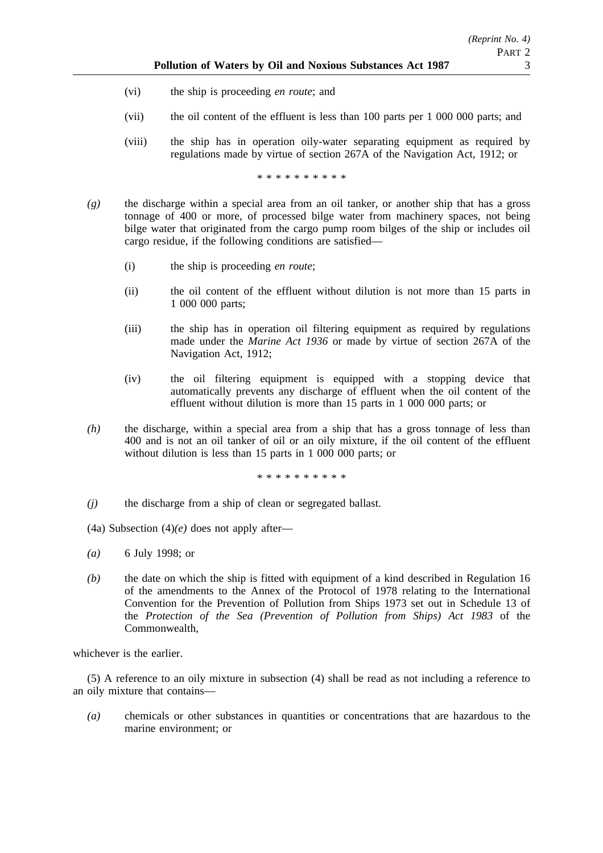- (vi) the ship is proceeding *en route*; and
- (vii) the oil content of the effluent is less than 100 parts per 1 000 000 parts; and
- (viii) the ship has in operation oily-water separating equipment as required by regulations made by virtue of section 267A of the Navigation Act, 1912; or

\*\*\*\*\*\*\*\*\*\*

- *(g)* the discharge within a special area from an oil tanker, or another ship that has a gross tonnage of 400 or more, of processed bilge water from machinery spaces, not being bilge water that originated from the cargo pump room bilges of the ship or includes oil cargo residue, if the following conditions are satisfied—
	- (i) the ship is proceeding *en route*;
	- (ii) the oil content of the effluent without dilution is not more than 15 parts in 1 000 000 parts;
	- (iii) the ship has in operation oil filtering equipment as required by regulations made under the *Marine Act 1936* or made by virtue of section 267A of the Navigation Act, 1912;
	- (iv) the oil filtering equipment is equipped with a stopping device that automatically prevents any discharge of effluent when the oil content of the effluent without dilution is more than 15 parts in 1 000 000 parts; or
- *(h)* the discharge, within a special area from a ship that has a gross tonnage of less than 400 and is not an oil tanker of oil or an oily mixture, if the oil content of the effluent without dilution is less than 15 parts in 1 000 000 parts; or

\*\*\*\*\*\*\*\*\*\*

*(j)* the discharge from a ship of clean or segregated ballast.

(4a) Subsection (4)*(e)* does not apply after—

*(a)* 6 July 1998; or

*(b)* the date on which the ship is fitted with equipment of a kind described in Regulation 16 of the amendments to the Annex of the Protocol of 1978 relating to the International Convention for the Prevention of Pollution from Ships 1973 set out in Schedule 13 of the *Protection of the Sea (Prevention of Pollution from Ships) Act 1983* of the Commonwealth,

whichever is the earlier.

(5) A reference to an oily mixture in subsection (4) shall be read as not including a reference to an oily mixture that contains—

*(a)* chemicals or other substances in quantities or concentrations that are hazardous to the marine environment; or

PART<sub>2</sub>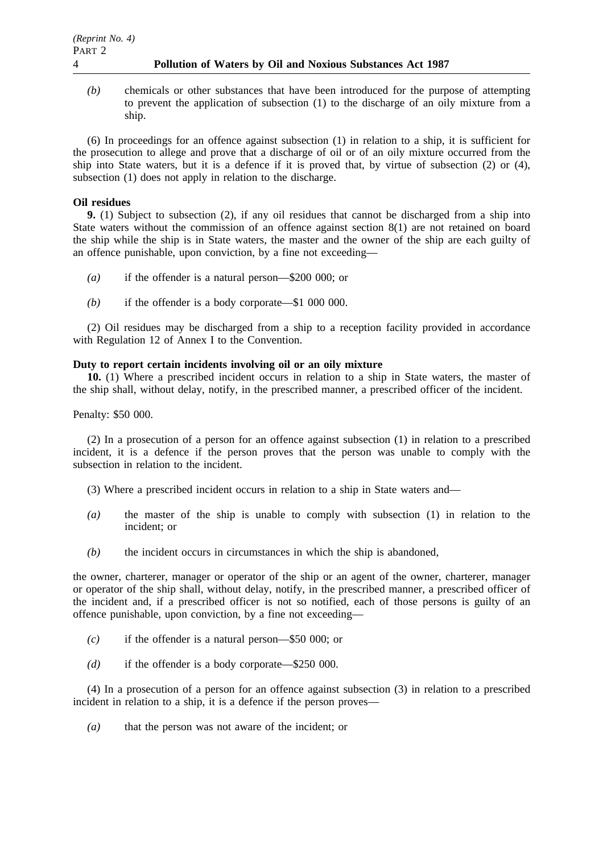*(b)* chemicals or other substances that have been introduced for the purpose of attempting to prevent the application of subsection (1) to the discharge of an oily mixture from a ship.

(6) In proceedings for an offence against subsection (1) in relation to a ship, it is sufficient for the prosecution to allege and prove that a discharge of oil or of an oily mixture occurred from the ship into State waters, but it is a defence if it is proved that, by virtue of subsection (2) or (4), subsection (1) does not apply in relation to the discharge.

## **Oil residues**

**9.** (1) Subject to subsection (2), if any oil residues that cannot be discharged from a ship into State waters without the commission of an offence against section 8(1) are not retained on board the ship while the ship is in State waters, the master and the owner of the ship are each guilty of an offence punishable, upon conviction, by a fine not exceeding—

- *(a)* if the offender is a natural person—\$200 000; or
- *(b)* if the offender is a body corporate—\$1 000 000.

(2) Oil residues may be discharged from a ship to a reception facility provided in accordance with Regulation 12 of Annex I to the Convention.

# **Duty to report certain incidents involving oil or an oily mixture**

**10.** (1) Where a prescribed incident occurs in relation to a ship in State waters, the master of the ship shall, without delay, notify, in the prescribed manner, a prescribed officer of the incident.

# Penalty: \$50 000.

(2) In a prosecution of a person for an offence against subsection (1) in relation to a prescribed incident, it is a defence if the person proves that the person was unable to comply with the subsection in relation to the incident.

- (3) Where a prescribed incident occurs in relation to a ship in State waters and—
- *(a)* the master of the ship is unable to comply with subsection (1) in relation to the incident; or
- *(b)* the incident occurs in circumstances in which the ship is abandoned,

the owner, charterer, manager or operator of the ship or an agent of the owner, charterer, manager or operator of the ship shall, without delay, notify, in the prescribed manner, a prescribed officer of the incident and, if a prescribed officer is not so notified, each of those persons is guilty of an offence punishable, upon conviction, by a fine not exceeding—

- *(c)* if the offender is a natural person—\$50 000; or
- *(d)* if the offender is a body corporate—\$250 000.

(4) In a prosecution of a person for an offence against subsection (3) in relation to a prescribed incident in relation to a ship, it is a defence if the person proves—

*(a)* that the person was not aware of the incident; or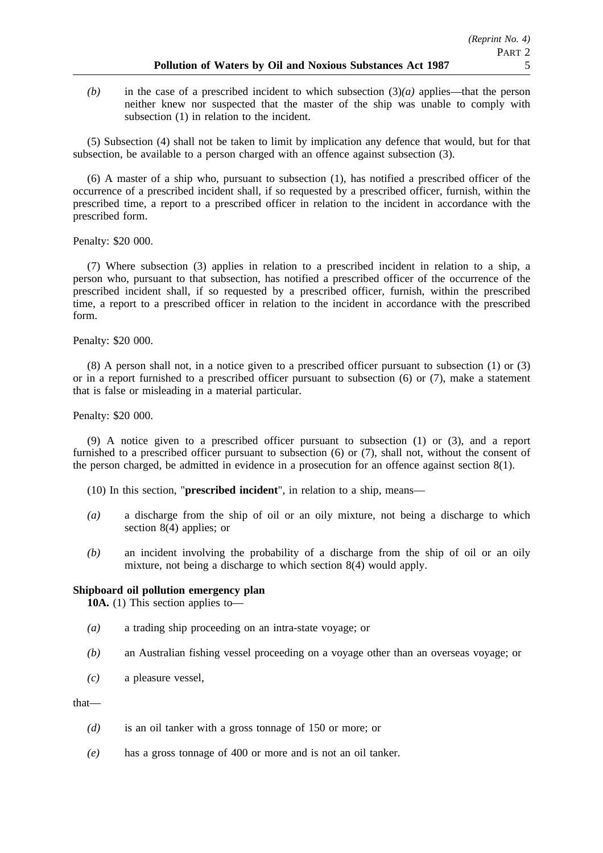*(b)* in the case of a prescribed incident to which subsection (3)*(a)* applies—that the person neither knew nor suspected that the master of the ship was unable to comply with subsection  $(1)$  in relation to the incident.

(5) Subsection (4) shall not be taken to limit by implication any defence that would, but for that subsection, be available to a person charged with an offence against subsection (3).

(6) A master of a ship who, pursuant to subsection (1), has notified a prescribed officer of the occurrence of a prescribed incident shall, if so requested by a prescribed officer, furnish, within the prescribed time, a report to a prescribed officer in relation to the incident in accordance with the prescribed form.

Penalty: \$20 000.

(7) Where subsection (3) applies in relation to a prescribed incident in relation to a ship, a person who, pursuant to that subsection, has notified a prescribed officer of the occurrence of the prescribed incident shall, if so requested by a prescribed officer, furnish, within the prescribed time, a report to a prescribed officer in relation to the incident in accordance with the prescribed form.

Penalty: \$20 000.

(8) A person shall not, in a notice given to a prescribed officer pursuant to subsection (1) or (3) or in a report furnished to a prescribed officer pursuant to subsection (6) or (7), make a statement that is false or misleading in a material particular.

Penalty: \$20 000.

(9) A notice given to a prescribed officer pursuant to subsection (1) or (3), and a report furnished to a prescribed officer pursuant to subsection (6) or (7), shall not, without the consent of the person charged, be admitted in evidence in a prosecution for an offence against section 8(1).

- (10) In this section, "**prescribed incident**", in relation to a ship, means—
- *(a)* a discharge from the ship of oil or an oily mixture, not being a discharge to which section 8(4) applies; or
- *(b)* an incident involving the probability of a discharge from the ship of oil or an oily mixture, not being a discharge to which section 8(4) would apply.

# **Shipboard oil pollution emergency plan**

**10A.** (1) This section applies to—

- *(a)* a trading ship proceeding on an intra-state voyage; or
- *(b)* an Australian fishing vessel proceeding on a voyage other than an overseas voyage; or
- *(c)* a pleasure vessel,

that—

- *(d)* is an oil tanker with a gross tonnage of 150 or more; or
- *(e)* has a gross tonnage of 400 or more and is not an oil tanker.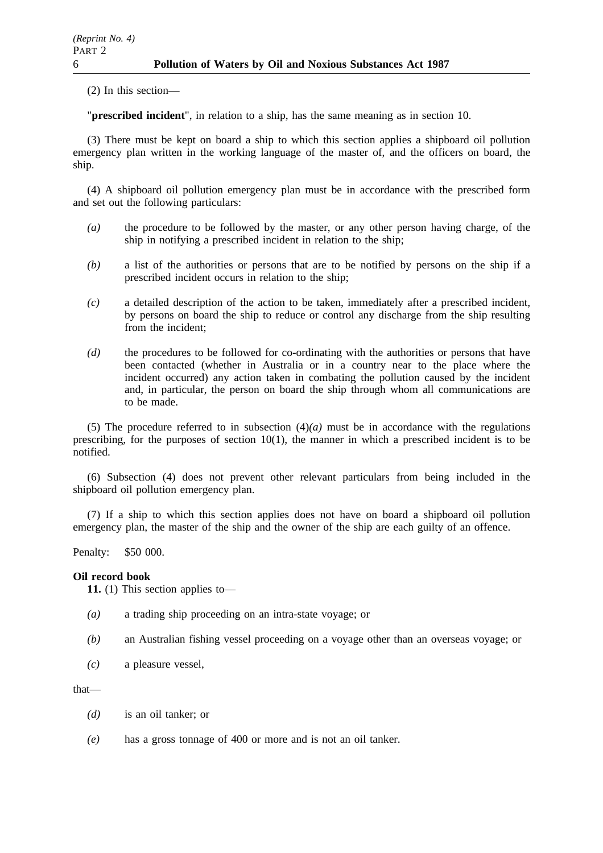(2) In this section—

"**prescribed incident**", in relation to a ship, has the same meaning as in section 10.

(3) There must be kept on board a ship to which this section applies a shipboard oil pollution emergency plan written in the working language of the master of, and the officers on board, the ship.

(4) A shipboard oil pollution emergency plan must be in accordance with the prescribed form and set out the following particulars:

- *(a)* the procedure to be followed by the master, or any other person having charge, of the ship in notifying a prescribed incident in relation to the ship;
- *(b)* a list of the authorities or persons that are to be notified by persons on the ship if a prescribed incident occurs in relation to the ship;
- *(c)* a detailed description of the action to be taken, immediately after a prescribed incident, by persons on board the ship to reduce or control any discharge from the ship resulting from the incident;
- *(d)* the procedures to be followed for co-ordinating with the authorities or persons that have been contacted (whether in Australia or in a country near to the place where the incident occurred) any action taken in combating the pollution caused by the incident and, in particular, the person on board the ship through whom all communications are to be made.

(5) The procedure referred to in subsection  $(4)(a)$  must be in accordance with the regulations prescribing, for the purposes of section  $10(1)$ , the manner in which a prescribed incident is to be notified.

(6) Subsection (4) does not prevent other relevant particulars from being included in the shipboard oil pollution emergency plan.

(7) If a ship to which this section applies does not have on board a shipboard oil pollution emergency plan, the master of the ship and the owner of the ship are each guilty of an offence.

Penalty: \$50 000.

# **Oil record book**

**11.** (1) This section applies to—

- *(a)* a trading ship proceeding on an intra-state voyage; or
- *(b)* an Australian fishing vessel proceeding on a voyage other than an overseas voyage; or
- *(c)* a pleasure vessel,

that—

- *(d)* is an oil tanker; or
- *(e)* has a gross tonnage of 400 or more and is not an oil tanker.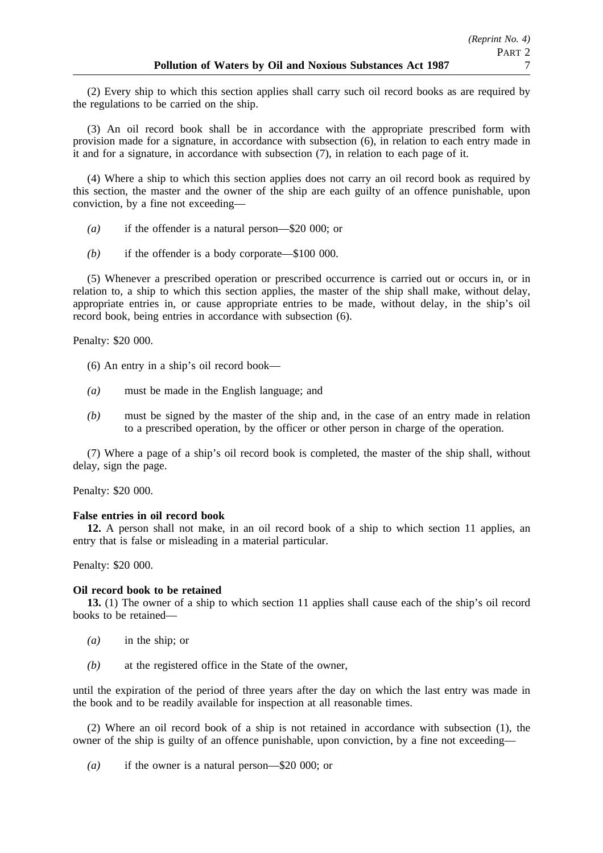(2) Every ship to which this section applies shall carry such oil record books as are required by the regulations to be carried on the ship.

(3) An oil record book shall be in accordance with the appropriate prescribed form with provision made for a signature, in accordance with subsection (6), in relation to each entry made in it and for a signature, in accordance with subsection (7), in relation to each page of it.

(4) Where a ship to which this section applies does not carry an oil record book as required by this section, the master and the owner of the ship are each guilty of an offence punishable, upon conviction, by a fine not exceeding—

- *(a)* if the offender is a natural person—\$20 000; or
- *(b)* if the offender is a body corporate—\$100 000.

(5) Whenever a prescribed operation or prescribed occurrence is carried out or occurs in, or in relation to, a ship to which this section applies, the master of the ship shall make, without delay, appropriate entries in, or cause appropriate entries to be made, without delay, in the ship's oil record book, being entries in accordance with subsection (6).

Penalty: \$20 000.

- (6) An entry in a ship's oil record book—
- *(a)* must be made in the English language; and
- *(b)* must be signed by the master of the ship and, in the case of an entry made in relation to a prescribed operation, by the officer or other person in charge of the operation.

(7) Where a page of a ship's oil record book is completed, the master of the ship shall, without delay, sign the page.

Penalty: \$20 000.

# **False entries in oil record book**

**12.** A person shall not make, in an oil record book of a ship to which section 11 applies, an entry that is false or misleading in a material particular.

Penalty: \$20 000.

# **Oil record book to be retained**

**13.** (1) The owner of a ship to which section 11 applies shall cause each of the ship's oil record books to be retained—

- *(a)* in the ship; or
- *(b)* at the registered office in the State of the owner,

until the expiration of the period of three years after the day on which the last entry was made in the book and to be readily available for inspection at all reasonable times.

(2) Where an oil record book of a ship is not retained in accordance with subsection (1), the owner of the ship is guilty of an offence punishable, upon conviction, by a fine not exceeding—

*(a)* if the owner is a natural person—\$20 000; or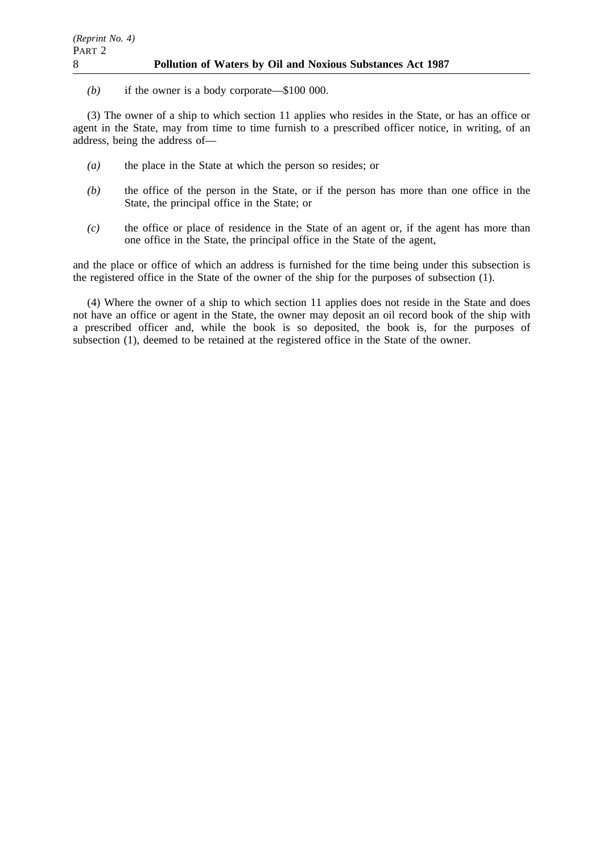*(b)* if the owner is a body corporate—\$100 000.

(3) The owner of a ship to which section 11 applies who resides in the State, or has an office or agent in the State, may from time to time furnish to a prescribed officer notice, in writing, of an address, being the address of—

- *(a)* the place in the State at which the person so resides; or
- *(b)* the office of the person in the State, or if the person has more than one office in the State, the principal office in the State; or
- *(c)* the office or place of residence in the State of an agent or, if the agent has more than one office in the State, the principal office in the State of the agent,

and the place or office of which an address is furnished for the time being under this subsection is the registered office in the State of the owner of the ship for the purposes of subsection (1).

(4) Where the owner of a ship to which section 11 applies does not reside in the State and does not have an office or agent in the State, the owner may deposit an oil record book of the ship with a prescribed officer and, while the book is so deposited, the book is, for the purposes of subsection (1), deemed to be retained at the registered office in the State of the owner.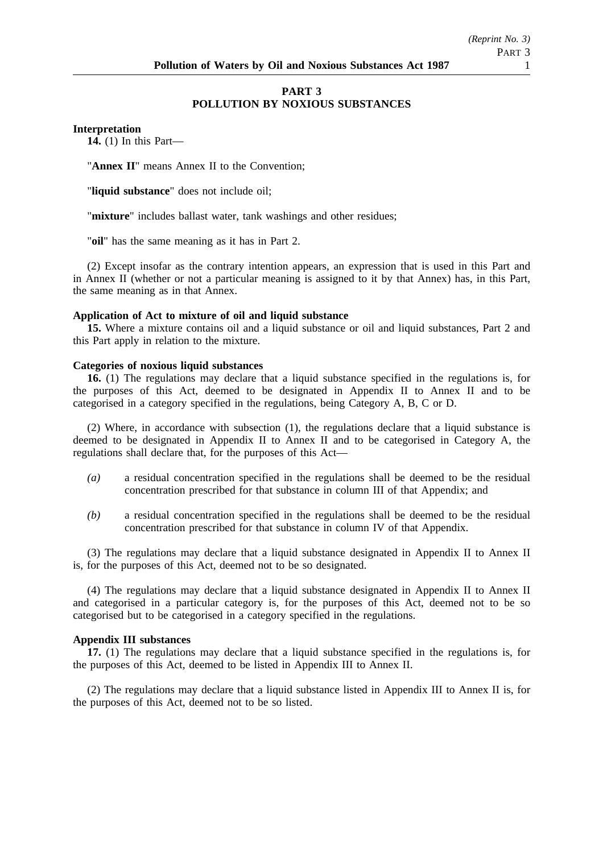# **PART 3 POLLUTION BY NOXIOUS SUBSTANCES**

#### **Interpretation**

**14.** (1) In this Part—

"**Annex II**" means Annex II to the Convention;

"**liquid substance**" does not include oil;

"**mixture**" includes ballast water, tank washings and other residues;

"**oil**" has the same meaning as it has in Part 2.

(2) Except insofar as the contrary intention appears, an expression that is used in this Part and in Annex II (whether or not a particular meaning is assigned to it by that Annex) has, in this Part, the same meaning as in that Annex.

## **Application of Act to mixture of oil and liquid substance**

**15.** Where a mixture contains oil and a liquid substance or oil and liquid substances, Part 2 and this Part apply in relation to the mixture.

#### **Categories of noxious liquid substances**

**16.** (1) The regulations may declare that a liquid substance specified in the regulations is, for the purposes of this Act, deemed to be designated in Appendix II to Annex II and to be categorised in a category specified in the regulations, being Category A, B, C or D.

(2) Where, in accordance with subsection (1), the regulations declare that a liquid substance is deemed to be designated in Appendix II to Annex II and to be categorised in Category A, the regulations shall declare that, for the purposes of this Act—

- *(a)* a residual concentration specified in the regulations shall be deemed to be the residual concentration prescribed for that substance in column III of that Appendix; and
- *(b)* a residual concentration specified in the regulations shall be deemed to be the residual concentration prescribed for that substance in column IV of that Appendix.

(3) The regulations may declare that a liquid substance designated in Appendix II to Annex II is, for the purposes of this Act, deemed not to be so designated.

(4) The regulations may declare that a liquid substance designated in Appendix II to Annex II and categorised in a particular category is, for the purposes of this Act, deemed not to be so categorised but to be categorised in a category specified in the regulations.

## **Appendix III substances**

**17.** (1) The regulations may declare that a liquid substance specified in the regulations is, for the purposes of this Act, deemed to be listed in Appendix III to Annex II.

(2) The regulations may declare that a liquid substance listed in Appendix III to Annex II is, for the purposes of this Act, deemed not to be so listed.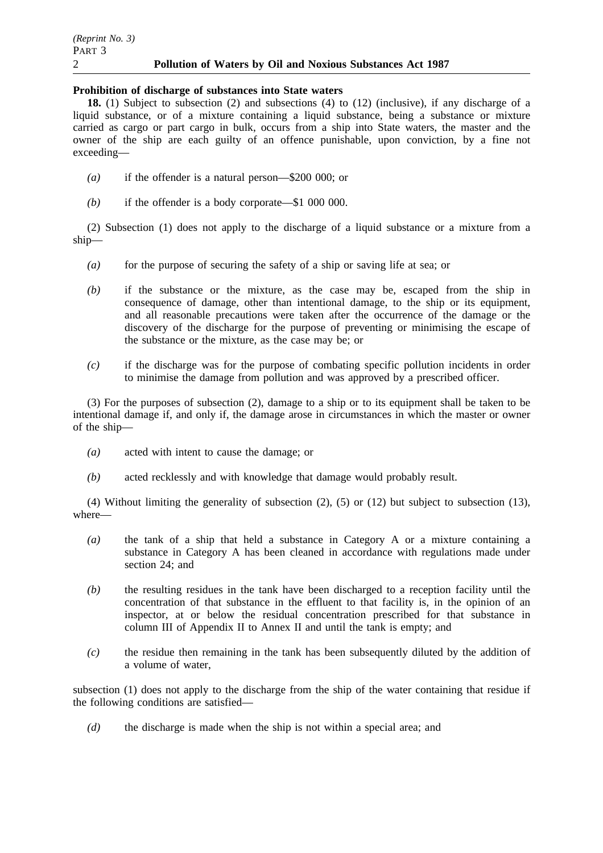# **Prohibition of discharge of substances into State waters**

**18.** (1) Subject to subsection (2) and subsections (4) to (12) (inclusive), if any discharge of a liquid substance, or of a mixture containing a liquid substance, being a substance or mixture carried as cargo or part cargo in bulk, occurs from a ship into State waters, the master and the owner of the ship are each guilty of an offence punishable, upon conviction, by a fine not exceeding—

- *(a)* if the offender is a natural person—\$200 000; or
- *(b)* if the offender is a body corporate—\$1 000 000.

(2) Subsection (1) does not apply to the discharge of a liquid substance or a mixture from a ship—

- *(a)* for the purpose of securing the safety of a ship or saving life at sea; or
- *(b)* if the substance or the mixture, as the case may be, escaped from the ship in consequence of damage, other than intentional damage, to the ship or its equipment, and all reasonable precautions were taken after the occurrence of the damage or the discovery of the discharge for the purpose of preventing or minimising the escape of the substance or the mixture, as the case may be; or
- *(c)* if the discharge was for the purpose of combating specific pollution incidents in order to minimise the damage from pollution and was approved by a prescribed officer.

(3) For the purposes of subsection (2), damage to a ship or to its equipment shall be taken to be intentional damage if, and only if, the damage arose in circumstances in which the master or owner of the ship—

- *(a)* acted with intent to cause the damage; or
- *(b)* acted recklessly and with knowledge that damage would probably result.

(4) Without limiting the generality of subsection (2), (5) or (12) but subject to subsection (13), where—

- *(a)* the tank of a ship that held a substance in Category A or a mixture containing a substance in Category A has been cleaned in accordance with regulations made under section 24; and
- *(b)* the resulting residues in the tank have been discharged to a reception facility until the concentration of that substance in the effluent to that facility is, in the opinion of an inspector, at or below the residual concentration prescribed for that substance in column III of Appendix II to Annex II and until the tank is empty; and
- *(c)* the residue then remaining in the tank has been subsequently diluted by the addition of a volume of water,

subsection (1) does not apply to the discharge from the ship of the water containing that residue if the following conditions are satisfied—

*(d)* the discharge is made when the ship is not within a special area; and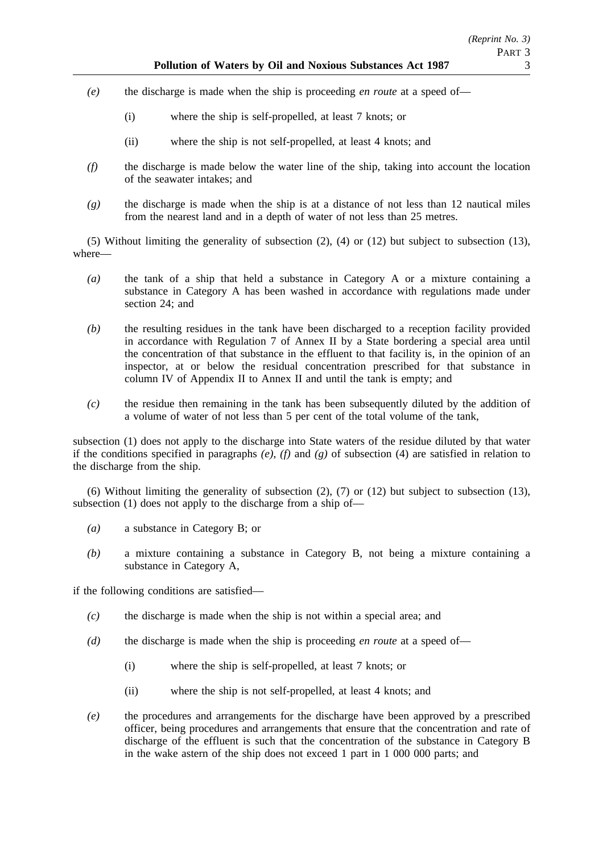- *(e)* the discharge is made when the ship is proceeding *en route* at a speed of—
	- (i) where the ship is self-propelled, at least 7 knots; or
	- (ii) where the ship is not self-propelled, at least 4 knots; and
- *(f)* the discharge is made below the water line of the ship, taking into account the location of the seawater intakes; and
- *(g)* the discharge is made when the ship is at a distance of not less than 12 nautical miles from the nearest land and in a depth of water of not less than 25 metres.

(5) Without limiting the generality of subsection (2), (4) or (12) but subject to subsection (13), where—

- *(a)* the tank of a ship that held a substance in Category A or a mixture containing a substance in Category A has been washed in accordance with regulations made under section 24; and
- *(b)* the resulting residues in the tank have been discharged to a reception facility provided in accordance with Regulation 7 of Annex II by a State bordering a special area until the concentration of that substance in the effluent to that facility is, in the opinion of an inspector, at or below the residual concentration prescribed for that substance in column IV of Appendix II to Annex II and until the tank is empty; and
- *(c)* the residue then remaining in the tank has been subsequently diluted by the addition of a volume of water of not less than 5 per cent of the total volume of the tank,

subsection (1) does not apply to the discharge into State waters of the residue diluted by that water if the conditions specified in paragraphs *(e)*, *(f)* and *(g)* of subsection (4) are satisfied in relation to the discharge from the ship.

(6) Without limiting the generality of subsection (2), (7) or (12) but subject to subsection (13), subsection (1) does not apply to the discharge from a ship of—

- *(a)* a substance in Category B; or
- *(b)* a mixture containing a substance in Category B, not being a mixture containing a substance in Category A,

if the following conditions are satisfied—

- *(c)* the discharge is made when the ship is not within a special area; and
- *(d)* the discharge is made when the ship is proceeding *en route* at a speed of—
	- (i) where the ship is self-propelled, at least 7 knots; or
	- (ii) where the ship is not self-propelled, at least 4 knots; and
- *(e)* the procedures and arrangements for the discharge have been approved by a prescribed officer, being procedures and arrangements that ensure that the concentration and rate of discharge of the effluent is such that the concentration of the substance in Category B in the wake astern of the ship does not exceed 1 part in 1 000 000 parts; and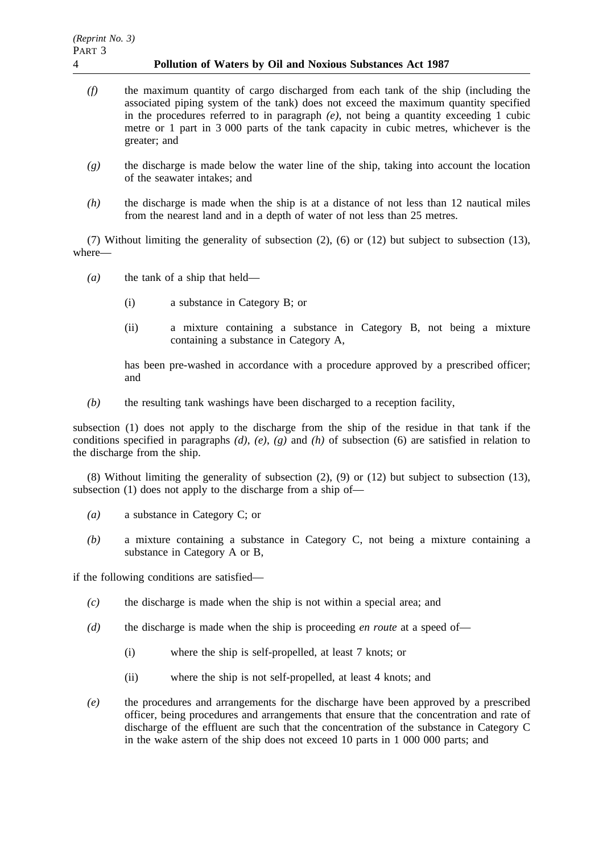- *(f)* the maximum quantity of cargo discharged from each tank of the ship (including the associated piping system of the tank) does not exceed the maximum quantity specified in the procedures referred to in paragraph  $(e)$ , not being a quantity exceeding 1 cubic metre or 1 part in 3 000 parts of the tank capacity in cubic metres, whichever is the greater; and
- *(g)* the discharge is made below the water line of the ship, taking into account the location of the seawater intakes; and
- *(h)* the discharge is made when the ship is at a distance of not less than 12 nautical miles from the nearest land and in a depth of water of not less than 25 metres.

(7) Without limiting the generality of subsection (2), (6) or (12) but subject to subsection (13), where—

- *(a)* the tank of a ship that held—
	- (i) a substance in Category B; or
	- (ii) a mixture containing a substance in Category B, not being a mixture containing a substance in Category A,

has been pre-washed in accordance with a procedure approved by a prescribed officer; and

*(b)* the resulting tank washings have been discharged to a reception facility,

subsection (1) does not apply to the discharge from the ship of the residue in that tank if the conditions specified in paragraphs *(d)*, *(e)*, *(g)* and *(h)* of subsection (6) are satisfied in relation to the discharge from the ship.

(8) Without limiting the generality of subsection (2), (9) or (12) but subject to subsection (13), subsection (1) does not apply to the discharge from a ship of—

- *(a)* a substance in Category C; or
- *(b)* a mixture containing a substance in Category C, not being a mixture containing a substance in Category A or B,

if the following conditions are satisfied—

- *(c)* the discharge is made when the ship is not within a special area; and
- *(d)* the discharge is made when the ship is proceeding *en route* at a speed of—
	- (i) where the ship is self-propelled, at least 7 knots; or
	- (ii) where the ship is not self-propelled, at least 4 knots; and
- *(e)* the procedures and arrangements for the discharge have been approved by a prescribed officer, being procedures and arrangements that ensure that the concentration and rate of discharge of the effluent are such that the concentration of the substance in Category C in the wake astern of the ship does not exceed 10 parts in 1 000 000 parts; and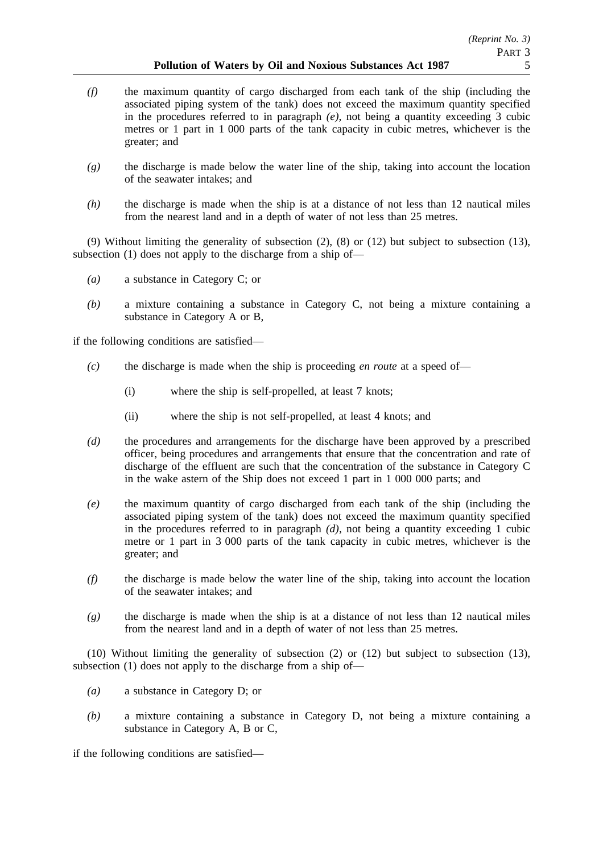- *(f)* the maximum quantity of cargo discharged from each tank of the ship (including the associated piping system of the tank) does not exceed the maximum quantity specified in the procedures referred to in paragraph  $(e)$ , not being a quantity exceeding 3 cubic metres or 1 part in 1 000 parts of the tank capacity in cubic metres, whichever is the greater; and
- *(g)* the discharge is made below the water line of the ship, taking into account the location of the seawater intakes; and
- *(h)* the discharge is made when the ship is at a distance of not less than 12 nautical miles from the nearest land and in a depth of water of not less than 25 metres.

(9) Without limiting the generality of subsection  $(2)$ ,  $(8)$  or  $(12)$  but subject to subsection  $(13)$ , subsection (1) does not apply to the discharge from a ship of—

- *(a)* a substance in Category C; or
- *(b)* a mixture containing a substance in Category C, not being a mixture containing a substance in Category A or B,

if the following conditions are satisfied—

- *(c)* the discharge is made when the ship is proceeding *en route* at a speed of—
	- (i) where the ship is self-propelled, at least 7 knots;
	- (ii) where the ship is not self-propelled, at least 4 knots; and
- *(d)* the procedures and arrangements for the discharge have been approved by a prescribed officer, being procedures and arrangements that ensure that the concentration and rate of discharge of the effluent are such that the concentration of the substance in Category C in the wake astern of the Ship does not exceed 1 part in 1 000 000 parts; and
- *(e)* the maximum quantity of cargo discharged from each tank of the ship (including the associated piping system of the tank) does not exceed the maximum quantity specified in the procedures referred to in paragraph  $(d)$ , not being a quantity exceeding 1 cubic metre or 1 part in 3 000 parts of the tank capacity in cubic metres, whichever is the greater; and
- *(f)* the discharge is made below the water line of the ship, taking into account the location of the seawater intakes; and
- *(g)* the discharge is made when the ship is at a distance of not less than 12 nautical miles from the nearest land and in a depth of water of not less than 25 metres.

(10) Without limiting the generality of subsection (2) or (12) but subject to subsection (13), subsection (1) does not apply to the discharge from a ship of—

- *(a)* a substance in Category D; or
- *(b)* a mixture containing a substance in Category D, not being a mixture containing a substance in Category A, B or C,

if the following conditions are satisfied—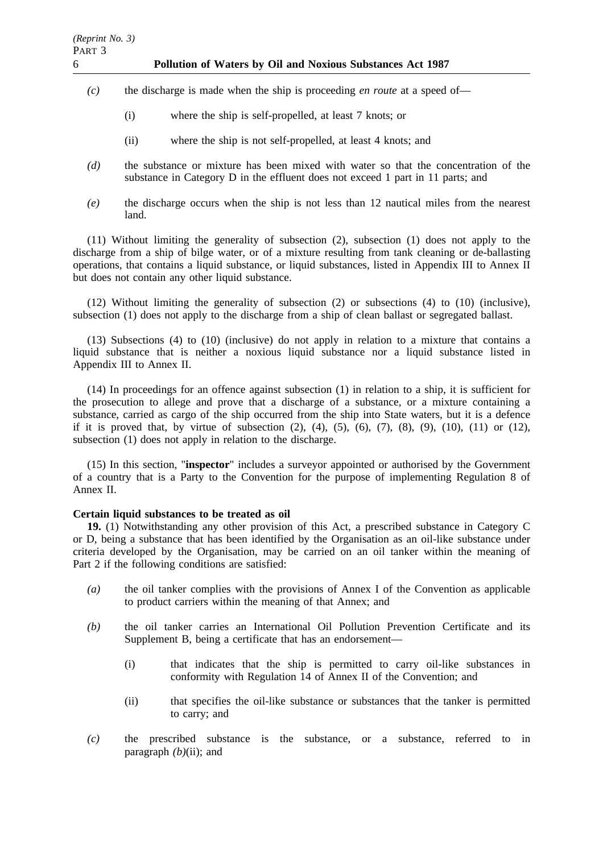- *(c)* the discharge is made when the ship is proceeding *en route* at a speed of—
	- (i) where the ship is self-propelled, at least 7 knots; or
	- (ii) where the ship is not self-propelled, at least 4 knots; and
- *(d)* the substance or mixture has been mixed with water so that the concentration of the substance in Category D in the effluent does not exceed 1 part in 11 parts; and
- *(e)* the discharge occurs when the ship is not less than 12 nautical miles from the nearest land.

(11) Without limiting the generality of subsection (2), subsection (1) does not apply to the discharge from a ship of bilge water, or of a mixture resulting from tank cleaning or de-ballasting operations, that contains a liquid substance, or liquid substances, listed in Appendix III to Annex II but does not contain any other liquid substance.

(12) Without limiting the generality of subsection (2) or subsections (4) to (10) (inclusive), subsection (1) does not apply to the discharge from a ship of clean ballast or segregated ballast.

(13) Subsections (4) to (10) (inclusive) do not apply in relation to a mixture that contains a liquid substance that is neither a noxious liquid substance nor a liquid substance listed in Appendix III to Annex II.

(14) In proceedings for an offence against subsection (1) in relation to a ship, it is sufficient for the prosecution to allege and prove that a discharge of a substance, or a mixture containing a substance, carried as cargo of the ship occurred from the ship into State waters, but it is a defence if it is proved that, by virtue of subsection  $(2)$ ,  $(4)$ ,  $(5)$ ,  $(6)$ ,  $(7)$ ,  $(8)$ ,  $(9)$ ,  $(10)$ ,  $(11)$  or  $(12)$ , subsection (1) does not apply in relation to the discharge.

(15) In this section, "**inspector**" includes a surveyor appointed or authorised by the Government of a country that is a Party to the Convention for the purpose of implementing Regulation 8 of Annex II.

# **Certain liquid substances to be treated as oil**

**19.** (1) Notwithstanding any other provision of this Act, a prescribed substance in Category C or D, being a substance that has been identified by the Organisation as an oil-like substance under criteria developed by the Organisation, may be carried on an oil tanker within the meaning of Part 2 if the following conditions are satisfied:

- *(a)* the oil tanker complies with the provisions of Annex I of the Convention as applicable to product carriers within the meaning of that Annex; and
- *(b)* the oil tanker carries an International Oil Pollution Prevention Certificate and its Supplement B, being a certificate that has an endorsement—
	- (i) that indicates that the ship is permitted to carry oil-like substances in conformity with Regulation 14 of Annex II of the Convention; and
	- (ii) that specifies the oil-like substance or substances that the tanker is permitted to carry; and
- *(c)* the prescribed substance is the substance, or a substance, referred to in paragraph *(b)*(ii); and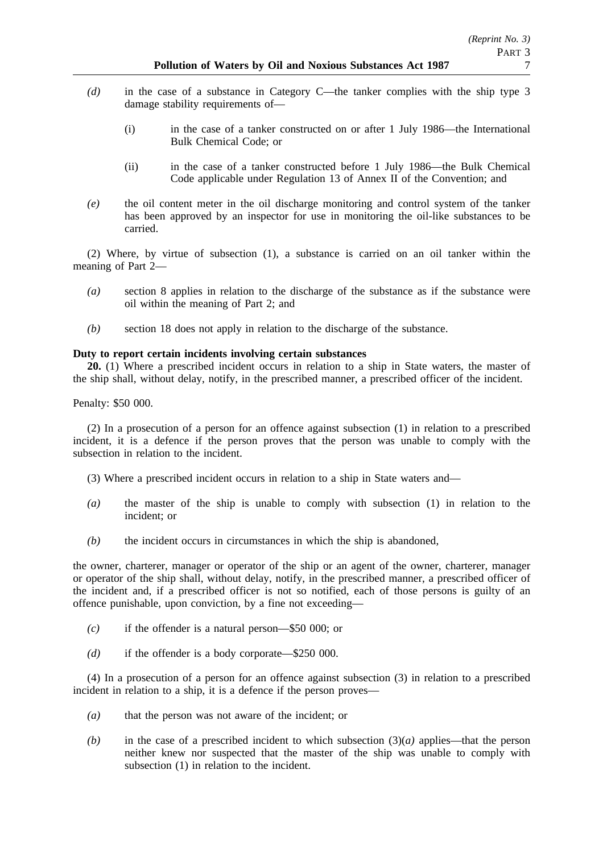- *(d)* in the case of a substance in Category C—the tanker complies with the ship type 3 damage stability requirements of—
	- (i) in the case of a tanker constructed on or after 1 July 1986—the International Bulk Chemical Code; or
	- (ii) in the case of a tanker constructed before 1 July 1986—the Bulk Chemical Code applicable under Regulation 13 of Annex II of the Convention; and
- *(e)* the oil content meter in the oil discharge monitoring and control system of the tanker has been approved by an inspector for use in monitoring the oil-like substances to be carried.

(2) Where, by virtue of subsection (1), a substance is carried on an oil tanker within the meaning of Part 2—

- *(a)* section 8 applies in relation to the discharge of the substance as if the substance were oil within the meaning of Part 2; and
- *(b)* section 18 does not apply in relation to the discharge of the substance.

#### **Duty to report certain incidents involving certain substances**

**20.** (1) Where a prescribed incident occurs in relation to a ship in State waters, the master of the ship shall, without delay, notify, in the prescribed manner, a prescribed officer of the incident.

Penalty: \$50 000.

(2) In a prosecution of a person for an offence against subsection (1) in relation to a prescribed incident, it is a defence if the person proves that the person was unable to comply with the subsection in relation to the incident.

- (3) Where a prescribed incident occurs in relation to a ship in State waters and—
- *(a)* the master of the ship is unable to comply with subsection (1) in relation to the incident; or
- *(b)* the incident occurs in circumstances in which the ship is abandoned,

the owner, charterer, manager or operator of the ship or an agent of the owner, charterer, manager or operator of the ship shall, without delay, notify, in the prescribed manner, a prescribed officer of the incident and, if a prescribed officer is not so notified, each of those persons is guilty of an offence punishable, upon conviction, by a fine not exceeding—

- *(c)* if the offender is a natural person—\$50 000; or
- *(d)* if the offender is a body corporate—\$250 000.

(4) In a prosecution of a person for an offence against subsection (3) in relation to a prescribed incident in relation to a ship, it is a defence if the person proves—

- *(a)* that the person was not aware of the incident; or
- *(b)* in the case of a prescribed incident to which subsection (3)(*a)* applies—that the person neither knew nor suspected that the master of the ship was unable to comply with subsection  $(1)$  in relation to the incident.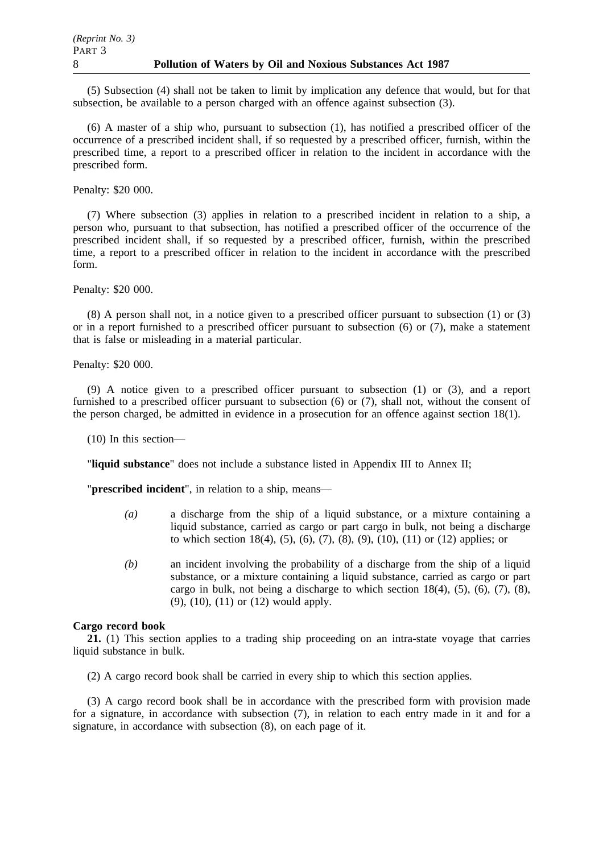(5) Subsection (4) shall not be taken to limit by implication any defence that would, but for that subsection, be available to a person charged with an offence against subsection (3).

(6) A master of a ship who, pursuant to subsection (1), has notified a prescribed officer of the occurrence of a prescribed incident shall, if so requested by a prescribed officer, furnish, within the prescribed time, a report to a prescribed officer in relation to the incident in accordance with the prescribed form.

Penalty: \$20 000.

(7) Where subsection (3) applies in relation to a prescribed incident in relation to a ship, a person who, pursuant to that subsection, has notified a prescribed officer of the occurrence of the prescribed incident shall, if so requested by a prescribed officer, furnish, within the prescribed time, a report to a prescribed officer in relation to the incident in accordance with the prescribed form.

Penalty: \$20 000.

(8) A person shall not, in a notice given to a prescribed officer pursuant to subsection (1) or (3) or in a report furnished to a prescribed officer pursuant to subsection (6) or (7), make a statement that is false or misleading in a material particular.

Penalty: \$20 000.

(9) A notice given to a prescribed officer pursuant to subsection (1) or (3), and a report furnished to a prescribed officer pursuant to subsection (6) or (7), shall not, without the consent of the person charged, be admitted in evidence in a prosecution for an offence against section 18(1).

(10) In this section—

"**liquid substance**" does not include a substance listed in Appendix III to Annex II;

"**prescribed incident**", in relation to a ship, means—

- *(a)* a discharge from the ship of a liquid substance, or a mixture containing a liquid substance, carried as cargo or part cargo in bulk, not being a discharge to which section 18(4), (5), (6), (7), (8), (9), (10), (11) or (12) applies; or
- *(b)* an incident involving the probability of a discharge from the ship of a liquid substance, or a mixture containing a liquid substance, carried as cargo or part cargo in bulk, not being a discharge to which section  $18(4)$ ,  $(5)$ ,  $(6)$ ,  $(7)$ ,  $(8)$ , (9), (10), (11) or (12) would apply.

## **Cargo record book**

**21.** (1) This section applies to a trading ship proceeding on an intra-state voyage that carries liquid substance in bulk.

(2) A cargo record book shall be carried in every ship to which this section applies.

(3) A cargo record book shall be in accordance with the prescribed form with provision made for a signature, in accordance with subsection (7), in relation to each entry made in it and for a signature, in accordance with subsection (8), on each page of it.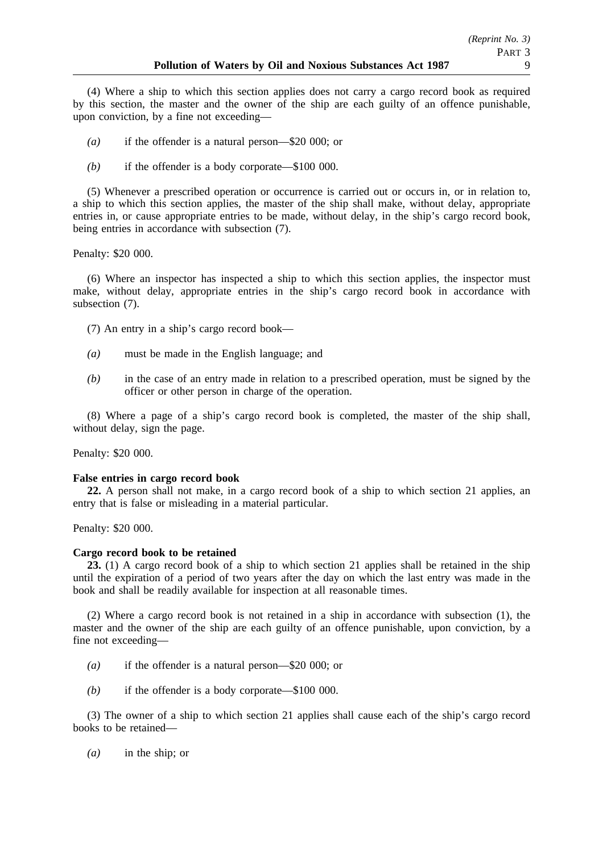(4) Where a ship to which this section applies does not carry a cargo record book as required by this section, the master and the owner of the ship are each guilty of an offence punishable, upon conviction, by a fine not exceeding—

- *(a)* if the offender is a natural person—\$20 000; or
- *(b)* if the offender is a body corporate—\$100 000.

(5) Whenever a prescribed operation or occurrence is carried out or occurs in, or in relation to, a ship to which this section applies, the master of the ship shall make, without delay, appropriate entries in, or cause appropriate entries to be made, without delay, in the ship's cargo record book, being entries in accordance with subsection (7).

Penalty: \$20 000.

(6) Where an inspector has inspected a ship to which this section applies, the inspector must make, without delay, appropriate entries in the ship's cargo record book in accordance with subsection (7).

- (7) An entry in a ship's cargo record book—
- *(a)* must be made in the English language; and
- *(b)* in the case of an entry made in relation to a prescribed operation, must be signed by the officer or other person in charge of the operation.

(8) Where a page of a ship's cargo record book is completed, the master of the ship shall, without delay, sign the page.

Penalty: \$20 000.

## **False entries in cargo record book**

**22.** A person shall not make, in a cargo record book of a ship to which section 21 applies, an entry that is false or misleading in a material particular.

Penalty: \$20 000.

## **Cargo record book to be retained**

**23.** (1) A cargo record book of a ship to which section 21 applies shall be retained in the ship until the expiration of a period of two years after the day on which the last entry was made in the book and shall be readily available for inspection at all reasonable times.

(2) Where a cargo record book is not retained in a ship in accordance with subsection (1), the master and the owner of the ship are each guilty of an offence punishable, upon conviction, by a fine not exceeding—

- *(a)* if the offender is a natural person—\$20 000; or
- *(b)* if the offender is a body corporate—\$100 000.

(3) The owner of a ship to which section 21 applies shall cause each of the ship's cargo record books to be retained—

*(a)* in the ship; or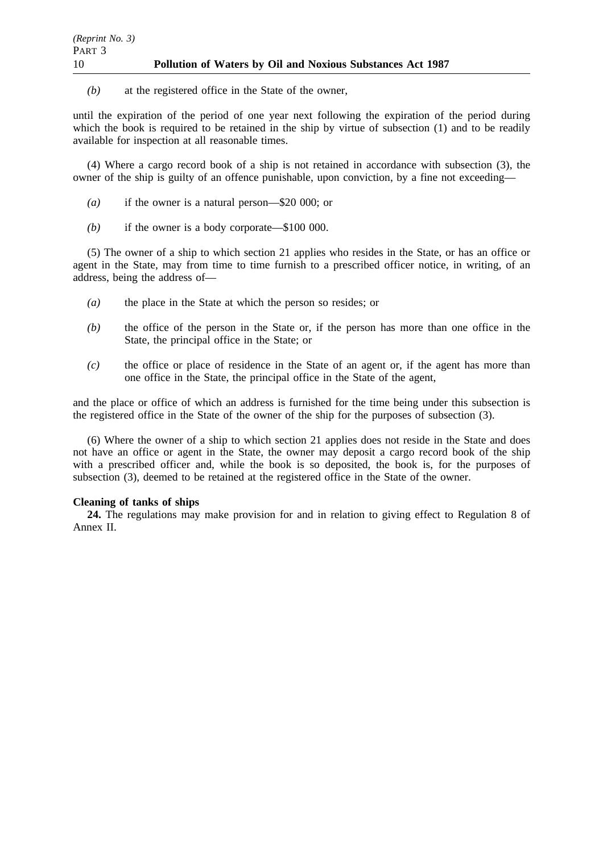*(b)* at the registered office in the State of the owner,

until the expiration of the period of one year next following the expiration of the period during which the book is required to be retained in the ship by virtue of subsection (1) and to be readily available for inspection at all reasonable times.

(4) Where a cargo record book of a ship is not retained in accordance with subsection (3), the owner of the ship is guilty of an offence punishable, upon conviction, by a fine not exceeding—

- *(a)* if the owner is a natural person—\$20 000; or
- *(b)* if the owner is a body corporate—\$100 000.

(5) The owner of a ship to which section 21 applies who resides in the State, or has an office or agent in the State, may from time to time furnish to a prescribed officer notice, in writing, of an address, being the address of—

- *(a)* the place in the State at which the person so resides; or
- *(b)* the office of the person in the State or, if the person has more than one office in the State, the principal office in the State; or
- *(c)* the office or place of residence in the State of an agent or, if the agent has more than one office in the State, the principal office in the State of the agent,

and the place or office of which an address is furnished for the time being under this subsection is the registered office in the State of the owner of the ship for the purposes of subsection (3).

(6) Where the owner of a ship to which section 21 applies does not reside in the State and does not have an office or agent in the State, the owner may deposit a cargo record book of the ship with a prescribed officer and, while the book is so deposited, the book is, for the purposes of subsection (3), deemed to be retained at the registered office in the State of the owner.

## **Cleaning of tanks of ships**

**24.** The regulations may make provision for and in relation to giving effect to Regulation 8 of Annex II.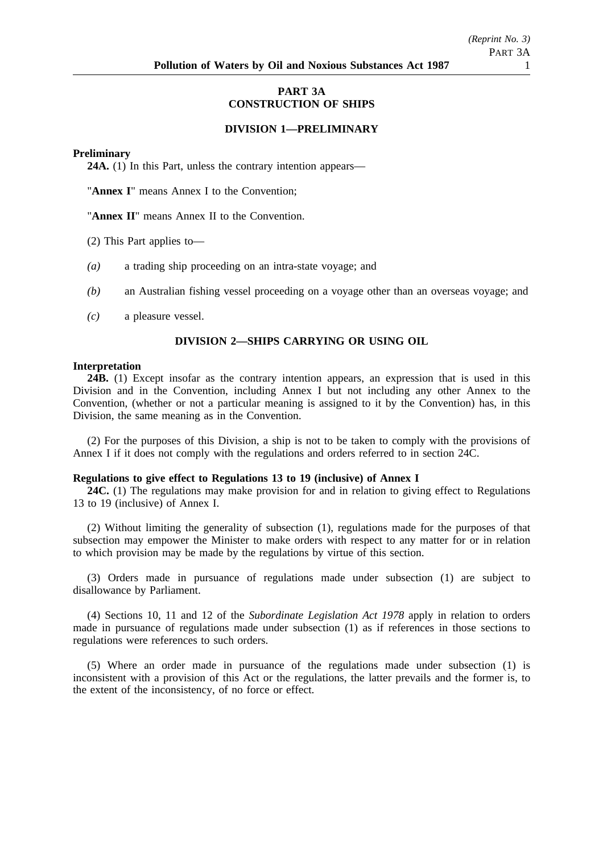# **PART 3A CONSTRUCTION OF SHIPS**

# **DIVISION 1—PRELIMINARY**

#### **Preliminary**

**24A.** (1) In this Part, unless the contrary intention appears—

"**Annex I**" means Annex I to the Convention;

"**Annex II**" means Annex II to the Convention.

(2) This Part applies to—

- *(a)* a trading ship proceeding on an intra-state voyage; and
- *(b)* an Australian fishing vessel proceeding on a voyage other than an overseas voyage; and
- *(c)* a pleasure vessel.

# **DIVISION 2—SHIPS CARRYING OR USING OIL**

#### **Interpretation**

**24B.** (1) Except insofar as the contrary intention appears, an expression that is used in this Division and in the Convention, including Annex I but not including any other Annex to the Convention, (whether or not a particular meaning is assigned to it by the Convention) has, in this Division, the same meaning as in the Convention.

(2) For the purposes of this Division, a ship is not to be taken to comply with the provisions of Annex I if it does not comply with the regulations and orders referred to in section 24C.

#### **Regulations to give effect to Regulations 13 to 19 (inclusive) of Annex I**

**24C.** (1) The regulations may make provision for and in relation to giving effect to Regulations 13 to 19 (inclusive) of Annex I.

(2) Without limiting the generality of subsection (1), regulations made for the purposes of that subsection may empower the Minister to make orders with respect to any matter for or in relation to which provision may be made by the regulations by virtue of this section.

(3) Orders made in pursuance of regulations made under subsection (1) are subject to disallowance by Parliament.

(4) Sections 10, 11 and 12 of the *Subordinate Legislation Act 1978* apply in relation to orders made in pursuance of regulations made under subsection (1) as if references in those sections to regulations were references to such orders.

(5) Where an order made in pursuance of the regulations made under subsection (1) is inconsistent with a provision of this Act or the regulations, the latter prevails and the former is, to the extent of the inconsistency, of no force or effect.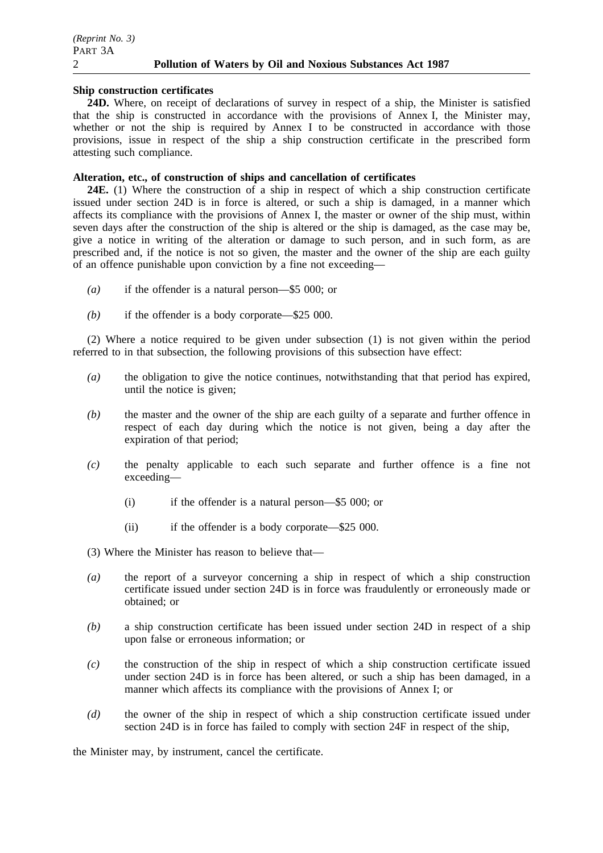## **Ship construction certificates**

**24D.** Where, on receipt of declarations of survey in respect of a ship, the Minister is satisfied that the ship is constructed in accordance with the provisions of Annex I, the Minister may, whether or not the ship is required by Annex I to be constructed in accordance with those provisions, issue in respect of the ship a ship construction certificate in the prescribed form attesting such compliance.

# **Alteration, etc., of construction of ships and cancellation of certificates**

**24E.** (1) Where the construction of a ship in respect of which a ship construction certificate issued under section 24D is in force is altered, or such a ship is damaged, in a manner which affects its compliance with the provisions of Annex I, the master or owner of the ship must, within seven days after the construction of the ship is altered or the ship is damaged, as the case may be, give a notice in writing of the alteration or damage to such person, and in such form, as are prescribed and, if the notice is not so given, the master and the owner of the ship are each guilty of an offence punishable upon conviction by a fine not exceeding—

- *(a)* if the offender is a natural person—\$5 000; or
- *(b)* if the offender is a body corporate—\$25 000.

(2) Where a notice required to be given under subsection (1) is not given within the period referred to in that subsection, the following provisions of this subsection have effect:

- *(a)* the obligation to give the notice continues, notwithstanding that that period has expired, until the notice is given;
- *(b)* the master and the owner of the ship are each guilty of a separate and further offence in respect of each day during which the notice is not given, being a day after the expiration of that period;
- *(c)* the penalty applicable to each such separate and further offence is a fine not exceeding—
	- (i) if the offender is a natural person—\$5 000; or
	- (ii) if the offender is a body corporate—\$25 000.
- (3) Where the Minister has reason to believe that—
- *(a)* the report of a surveyor concerning a ship in respect of which a ship construction certificate issued under section 24D is in force was fraudulently or erroneously made or obtained; or
- *(b)* a ship construction certificate has been issued under section 24D in respect of a ship upon false or erroneous information; or
- *(c)* the construction of the ship in respect of which a ship construction certificate issued under section 24D is in force has been altered, or such a ship has been damaged, in a manner which affects its compliance with the provisions of Annex I; or
- *(d)* the owner of the ship in respect of which a ship construction certificate issued under section 24D is in force has failed to comply with section 24F in respect of the ship,

the Minister may, by instrument, cancel the certificate.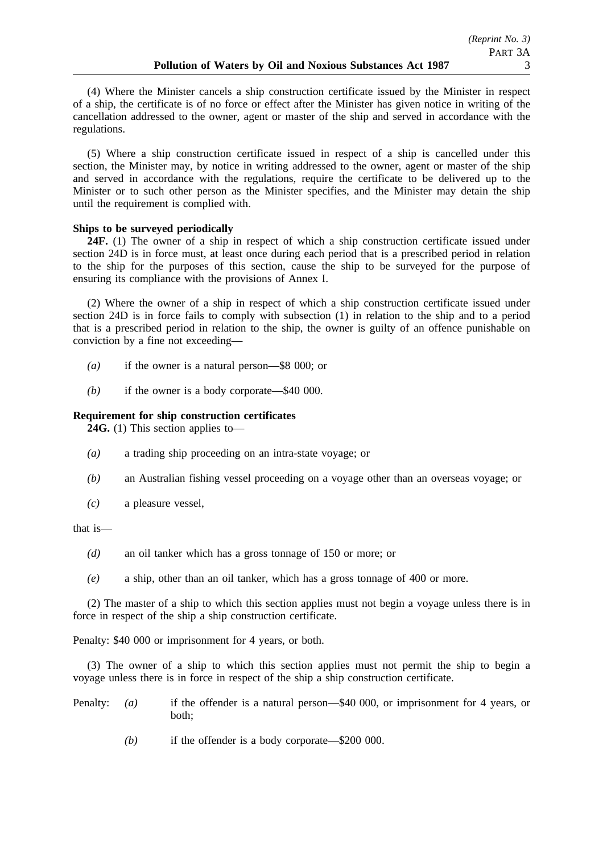(4) Where the Minister cancels a ship construction certificate issued by the Minister in respect of a ship, the certificate is of no force or effect after the Minister has given notice in writing of the cancellation addressed to the owner, agent or master of the ship and served in accordance with the regulations.

(5) Where a ship construction certificate issued in respect of a ship is cancelled under this section, the Minister may, by notice in writing addressed to the owner, agent or master of the ship and served in accordance with the regulations, require the certificate to be delivered up to the Minister or to such other person as the Minister specifies, and the Minister may detain the ship until the requirement is complied with.

# **Ships to be surveyed periodically**

**24F.** (1) The owner of a ship in respect of which a ship construction certificate issued under section 24D is in force must, at least once during each period that is a prescribed period in relation to the ship for the purposes of this section, cause the ship to be surveyed for the purpose of ensuring its compliance with the provisions of Annex I.

(2) Where the owner of a ship in respect of which a ship construction certificate issued under section 24D is in force fails to comply with subsection (1) in relation to the ship and to a period that is a prescribed period in relation to the ship, the owner is guilty of an offence punishable on conviction by a fine not exceeding—

- *(a)* if the owner is a natural person—\$8 000; or
- *(b)* if the owner is a body corporate—\$40 000.

# **Requirement for ship construction certificates**

**24G.** (1) This section applies to—

- *(a)* a trading ship proceeding on an intra-state voyage; or
- *(b)* an Australian fishing vessel proceeding on a voyage other than an overseas voyage; or
- *(c)* a pleasure vessel,

## that is—

- *(d)* an oil tanker which has a gross tonnage of 150 or more; or
- *(e)* a ship, other than an oil tanker, which has a gross tonnage of 400 or more.

(2) The master of a ship to which this section applies must not begin a voyage unless there is in force in respect of the ship a ship construction certificate.

Penalty: \$40 000 or imprisonment for 4 years, or both.

(3) The owner of a ship to which this section applies must not permit the ship to begin a voyage unless there is in force in respect of the ship a ship construction certificate.

- Penalty: *(a)* if the offender is a natural person—\$40 000, or imprisonment for 4 years, or both;
	- *(b)* if the offender is a body corporate—\$200 000.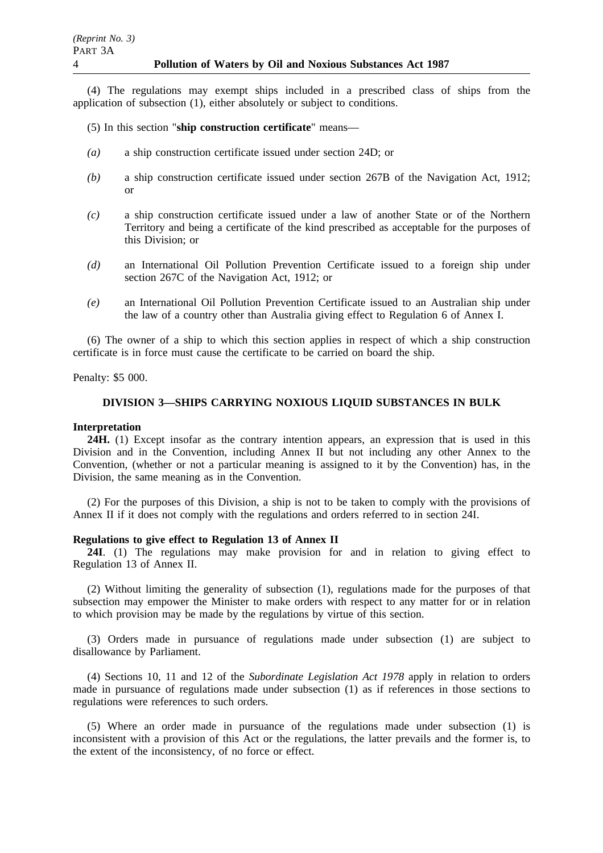(4) The regulations may exempt ships included in a prescribed class of ships from the application of subsection (1), either absolutely or subject to conditions.

## (5) In this section "**ship construction certificate**" means—

- *(a)* a ship construction certificate issued under section 24D; or
- *(b)* a ship construction certificate issued under section 267B of the Navigation Act, 1912; or
- *(c)* a ship construction certificate issued under a law of another State or of the Northern Territory and being a certificate of the kind prescribed as acceptable for the purposes of this Division; or
- *(d)* an International Oil Pollution Prevention Certificate issued to a foreign ship under section 267C of the Navigation Act, 1912; or
- *(e)* an International Oil Pollution Prevention Certificate issued to an Australian ship under the law of a country other than Australia giving effect to Regulation 6 of Annex I.

(6) The owner of a ship to which this section applies in respect of which a ship construction certificate is in force must cause the certificate to be carried on board the ship.

Penalty: \$5 000.

# **DIVISION 3—SHIPS CARRYING NOXIOUS LIQUID SUBSTANCES IN BULK**

#### **Interpretation**

**24H.** (1) Except insofar as the contrary intention appears, an expression that is used in this Division and in the Convention, including Annex II but not including any other Annex to the Convention, (whether or not a particular meaning is assigned to it by the Convention) has, in the Division, the same meaning as in the Convention.

(2) For the purposes of this Division, a ship is not to be taken to comply with the provisions of Annex II if it does not comply with the regulations and orders referred to in section 24I.

#### **Regulations to give effect to Regulation 13 of Annex II**

**24I**. (1) The regulations may make provision for and in relation to giving effect to Regulation 13 of Annex II.

(2) Without limiting the generality of subsection (1), regulations made for the purposes of that subsection may empower the Minister to make orders with respect to any matter for or in relation to which provision may be made by the regulations by virtue of this section.

(3) Orders made in pursuance of regulations made under subsection (1) are subject to disallowance by Parliament.

(4) Sections 10, 11 and 12 of the *Subordinate Legislation Act 1978* apply in relation to orders made in pursuance of regulations made under subsection (1) as if references in those sections to regulations were references to such orders.

(5) Where an order made in pursuance of the regulations made under subsection (1) is inconsistent with a provision of this Act or the regulations, the latter prevails and the former is, to the extent of the inconsistency, of no force or effect.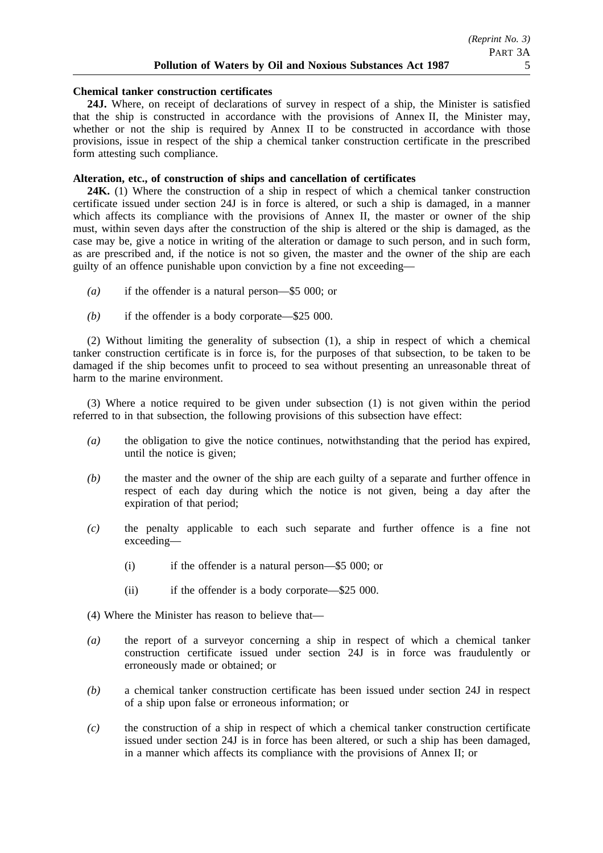## **Chemical tanker construction certificates**

**24J.** Where, on receipt of declarations of survey in respect of a ship, the Minister is satisfied that the ship is constructed in accordance with the provisions of Annex II, the Minister may, whether or not the ship is required by Annex II to be constructed in accordance with those provisions, issue in respect of the ship a chemical tanker construction certificate in the prescribed form attesting such compliance.

# **Alteration, etc., of construction of ships and cancellation of certificates**

**24K.** (1) Where the construction of a ship in respect of which a chemical tanker construction certificate issued under section 24J is in force is altered, or such a ship is damaged, in a manner which affects its compliance with the provisions of Annex II, the master or owner of the ship must, within seven days after the construction of the ship is altered or the ship is damaged, as the case may be, give a notice in writing of the alteration or damage to such person, and in such form, as are prescribed and, if the notice is not so given, the master and the owner of the ship are each guilty of an offence punishable upon conviction by a fine not exceeding—

- *(a)* if the offender is a natural person—\$5 000; or
- *(b)* if the offender is a body corporate—\$25 000.

(2) Without limiting the generality of subsection (1), a ship in respect of which a chemical tanker construction certificate is in force is, for the purposes of that subsection, to be taken to be damaged if the ship becomes unfit to proceed to sea without presenting an unreasonable threat of harm to the marine environment.

(3) Where a notice required to be given under subsection (1) is not given within the period referred to in that subsection, the following provisions of this subsection have effect:

- *(a)* the obligation to give the notice continues, notwithstanding that the period has expired, until the notice is given;
- *(b)* the master and the owner of the ship are each guilty of a separate and further offence in respect of each day during which the notice is not given, being a day after the expiration of that period;
- *(c)* the penalty applicable to each such separate and further offence is a fine not exceeding—
	- (i) if the offender is a natural person—\$5 000; or
	- (ii) if the offender is a body corporate—\$25 000.
- (4) Where the Minister has reason to believe that—
- *(a)* the report of a surveyor concerning a ship in respect of which a chemical tanker construction certificate issued under section 24J is in force was fraudulently or erroneously made or obtained; or
- *(b)* a chemical tanker construction certificate has been issued under section 24J in respect of a ship upon false or erroneous information; or
- *(c)* the construction of a ship in respect of which a chemical tanker construction certificate issued under section 24J is in force has been altered, or such a ship has been damaged, in a manner which affects its compliance with the provisions of Annex II; or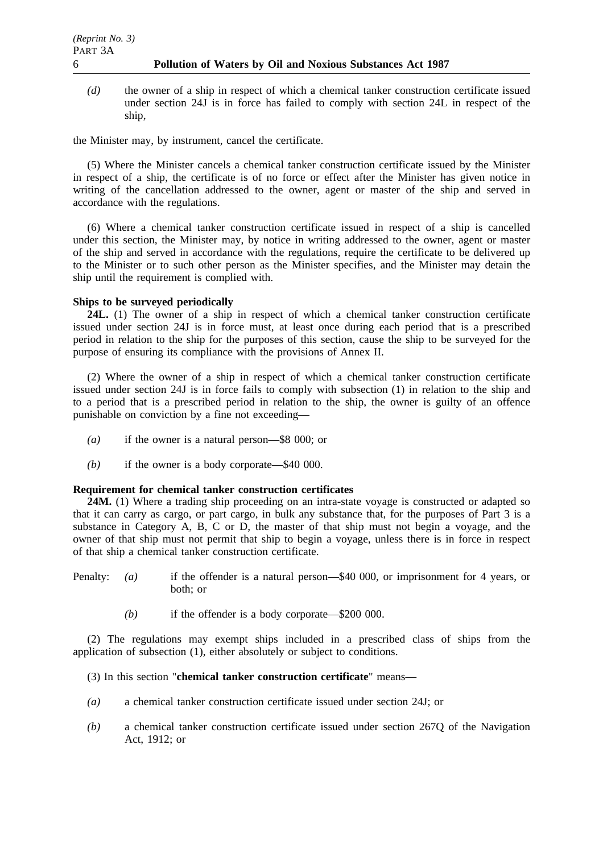*(d)* the owner of a ship in respect of which a chemical tanker construction certificate issued under section 24J is in force has failed to comply with section 24L in respect of the ship,

the Minister may, by instrument, cancel the certificate.

(5) Where the Minister cancels a chemical tanker construction certificate issued by the Minister in respect of a ship, the certificate is of no force or effect after the Minister has given notice in writing of the cancellation addressed to the owner, agent or master of the ship and served in accordance with the regulations.

(6) Where a chemical tanker construction certificate issued in respect of a ship is cancelled under this section, the Minister may, by notice in writing addressed to the owner, agent or master of the ship and served in accordance with the regulations, require the certificate to be delivered up to the Minister or to such other person as the Minister specifies, and the Minister may detain the ship until the requirement is complied with.

# **Ships to be surveyed periodically**

**24L.** (1) The owner of a ship in respect of which a chemical tanker construction certificate issued under section 24J is in force must, at least once during each period that is a prescribed period in relation to the ship for the purposes of this section, cause the ship to be surveyed for the purpose of ensuring its compliance with the provisions of Annex II.

(2) Where the owner of a ship in respect of which a chemical tanker construction certificate issued under section 24J is in force fails to comply with subsection (1) in relation to the ship and to a period that is a prescribed period in relation to the ship, the owner is guilty of an offence punishable on conviction by a fine not exceeding—

- *(a)* if the owner is a natural person—\$8 000; or
- *(b)* if the owner is a body corporate—\$40 000.

## **Requirement for chemical tanker construction certificates**

**24M.** (1) Where a trading ship proceeding on an intra-state voyage is constructed or adapted so that it can carry as cargo, or part cargo, in bulk any substance that, for the purposes of Part 3 is a substance in Category A, B, C or D, the master of that ship must not begin a voyage, and the owner of that ship must not permit that ship to begin a voyage, unless there is in force in respect of that ship a chemical tanker construction certificate.

- Penalty: *(a)* if the offender is a natural person—\$40 000, or imprisonment for 4 years, or both; or
	- *(b)* if the offender is a body corporate—\$200 000.

(2) The regulations may exempt ships included in a prescribed class of ships from the application of subsection (1), either absolutely or subject to conditions.

(3) In this section "**chemical tanker construction certificate**" means—

- *(a)* a chemical tanker construction certificate issued under section 24J; or
- *(b)* a chemical tanker construction certificate issued under section 267Q of the Navigation Act, 1912; or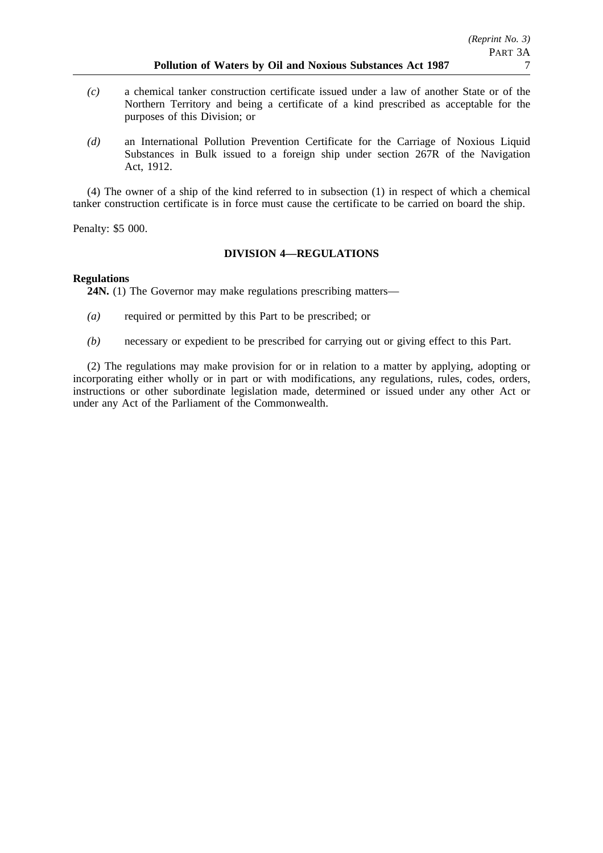- *(c)* a chemical tanker construction certificate issued under a law of another State or of the Northern Territory and being a certificate of a kind prescribed as acceptable for the purposes of this Division; or
- *(d)* an International Pollution Prevention Certificate for the Carriage of Noxious Liquid Substances in Bulk issued to a foreign ship under section 267R of the Navigation Act, 1912.

(4) The owner of a ship of the kind referred to in subsection (1) in respect of which a chemical tanker construction certificate is in force must cause the certificate to be carried on board the ship.

Penalty: \$5 000.

# **DIVISION 4—REGULATIONS**

# **Regulations**

**24N.** (1) The Governor may make regulations prescribing matters—

- *(a)* required or permitted by this Part to be prescribed; or
- *(b)* necessary or expedient to be prescribed for carrying out or giving effect to this Part.

(2) The regulations may make provision for or in relation to a matter by applying, adopting or incorporating either wholly or in part or with modifications, any regulations, rules, codes, orders, instructions or other subordinate legislation made, determined or issued under any other Act or under any Act of the Parliament of the Commonwealth.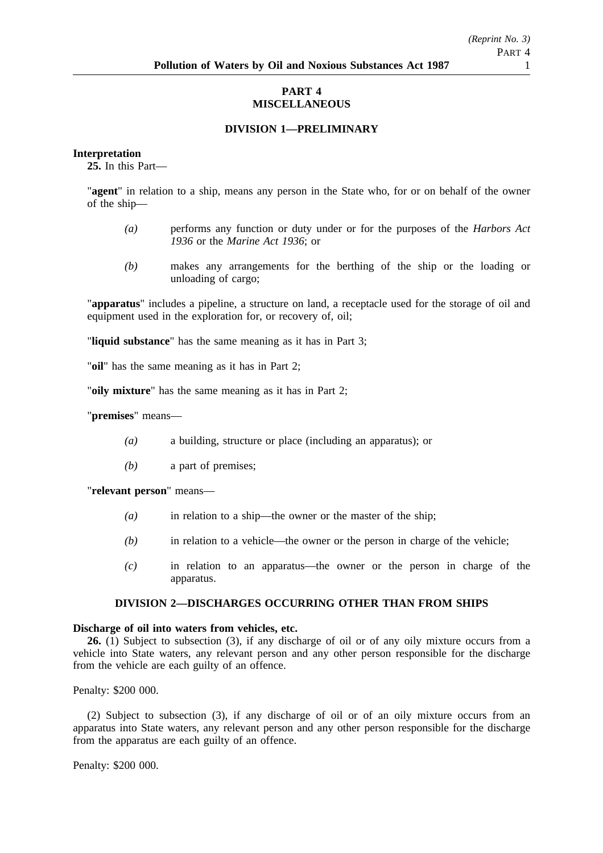# **PART 4 MISCELLANEOUS**

# **DIVISION 1—PRELIMINARY**

## **Interpretation**

**25.** In this Part—

"**agent**" in relation to a ship, means any person in the State who, for or on behalf of the owner of the ship—

- *(a)* performs any function or duty under or for the purposes of the *Harbors Act 1936* or the *Marine Act 1936*; or
- *(b)* makes any arrangements for the berthing of the ship or the loading or unloading of cargo;

"**apparatus**" includes a pipeline, a structure on land, a receptacle used for the storage of oil and equipment used in the exploration for, or recovery of, oil;

"**liquid substance**" has the same meaning as it has in Part 3;

"**oil**" has the same meaning as it has in Part 2;

"**oily mixture**" has the same meaning as it has in Part 2;

"**premises**" means—

- *(a)* a building, structure or place (including an apparatus); or
- *(b)* a part of premises;

"**relevant person**" means—

- *(a)* in relation to a ship—the owner or the master of the ship;
- *(b)* in relation to a vehicle—the owner or the person in charge of the vehicle;
- *(c)* in relation to an apparatus—the owner or the person in charge of the apparatus.

# **DIVISION 2—DISCHARGES OCCURRING OTHER THAN FROM SHIPS**

#### **Discharge of oil into waters from vehicles, etc.**

**26.** (1) Subject to subsection (3), if any discharge of oil or of any oily mixture occurs from a vehicle into State waters, any relevant person and any other person responsible for the discharge from the vehicle are each guilty of an offence.

Penalty: \$200 000.

(2) Subject to subsection (3), if any discharge of oil or of an oily mixture occurs from an apparatus into State waters, any relevant person and any other person responsible for the discharge from the apparatus are each guilty of an offence.

Penalty: \$200 000.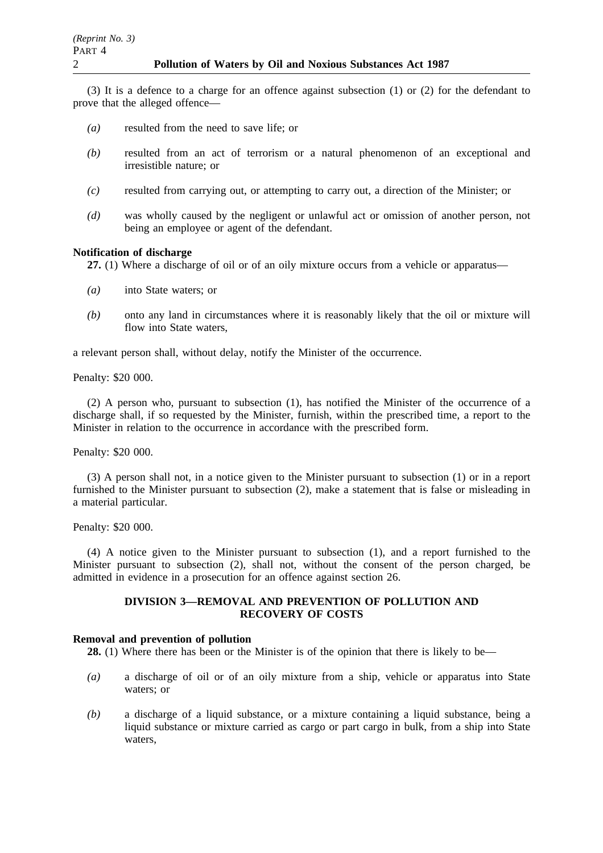(3) It is a defence to a charge for an offence against subsection (1) or (2) for the defendant to prove that the alleged offence—

- *(a)* resulted from the need to save life; or
- *(b)* resulted from an act of terrorism or a natural phenomenon of an exceptional and irresistible nature; or
- *(c)* resulted from carrying out, or attempting to carry out, a direction of the Minister; or
- *(d)* was wholly caused by the negligent or unlawful act or omission of another person, not being an employee or agent of the defendant.

# **Notification of discharge**

**27.** (1) Where a discharge of oil or of an oily mixture occurs from a vehicle or apparatus—

- *(a)* into State waters; or
- *(b)* onto any land in circumstances where it is reasonably likely that the oil or mixture will flow into State waters.

a relevant person shall, without delay, notify the Minister of the occurrence.

Penalty: \$20 000.

(2) A person who, pursuant to subsection (1), has notified the Minister of the occurrence of a discharge shall, if so requested by the Minister, furnish, within the prescribed time, a report to the Minister in relation to the occurrence in accordance with the prescribed form.

# Penalty: \$20 000.

(3) A person shall not, in a notice given to the Minister pursuant to subsection (1) or in a report furnished to the Minister pursuant to subsection (2), make a statement that is false or misleading in a material particular.

# Penalty: \$20 000.

(4) A notice given to the Minister pursuant to subsection (1), and a report furnished to the Minister pursuant to subsection (2), shall not, without the consent of the person charged, be admitted in evidence in a prosecution for an offence against section 26.

# **DIVISION 3—REMOVAL AND PREVENTION OF POLLUTION AND RECOVERY OF COSTS**

# **Removal and prevention of pollution**

**28.** (1) Where there has been or the Minister is of the opinion that there is likely to be—

- *(a)* a discharge of oil or of an oily mixture from a ship, vehicle or apparatus into State waters; or
- *(b)* a discharge of a liquid substance, or a mixture containing a liquid substance, being a liquid substance or mixture carried as cargo or part cargo in bulk, from a ship into State waters,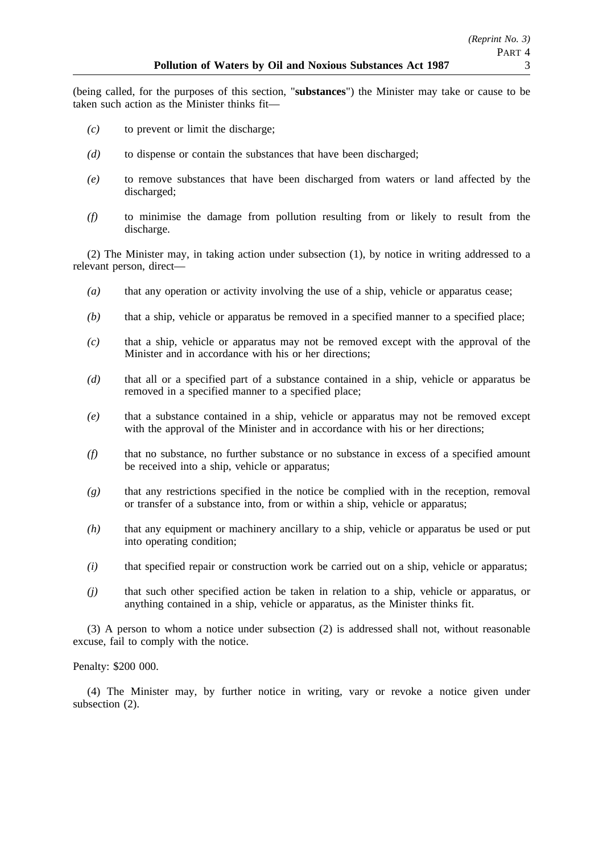(being called, for the purposes of this section, "**substances**") the Minister may take or cause to be taken such action as the Minister thinks fit—

- *(c)* to prevent or limit the discharge;
- *(d)* to dispense or contain the substances that have been discharged;
- *(e)* to remove substances that have been discharged from waters or land affected by the discharged;
- *(f)* to minimise the damage from pollution resulting from or likely to result from the discharge.

(2) The Minister may, in taking action under subsection (1), by notice in writing addressed to a relevant person, direct—

- *(a)* that any operation or activity involving the use of a ship, vehicle or apparatus cease;
- *(b)* that a ship, vehicle or apparatus be removed in a specified manner to a specified place;
- *(c)* that a ship, vehicle or apparatus may not be removed except with the approval of the Minister and in accordance with his or her directions;
- *(d)* that all or a specified part of a substance contained in a ship, vehicle or apparatus be removed in a specified manner to a specified place;
- *(e)* that a substance contained in a ship, vehicle or apparatus may not be removed except with the approval of the Minister and in accordance with his or her directions;
- *(f)* that no substance, no further substance or no substance in excess of a specified amount be received into a ship, vehicle or apparatus;
- *(g)* that any restrictions specified in the notice be complied with in the reception, removal or transfer of a substance into, from or within a ship, vehicle or apparatus;
- *(h)* that any equipment or machinery ancillary to a ship, vehicle or apparatus be used or put into operating condition;
- *(i)* that specified repair or construction work be carried out on a ship, vehicle or apparatus;
- *(j)* that such other specified action be taken in relation to a ship, vehicle or apparatus, or anything contained in a ship, vehicle or apparatus, as the Minister thinks fit.

(3) A person to whom a notice under subsection (2) is addressed shall not, without reasonable excuse, fail to comply with the notice.

## Penalty: \$200 000.

(4) The Minister may, by further notice in writing, vary or revoke a notice given under subsection (2).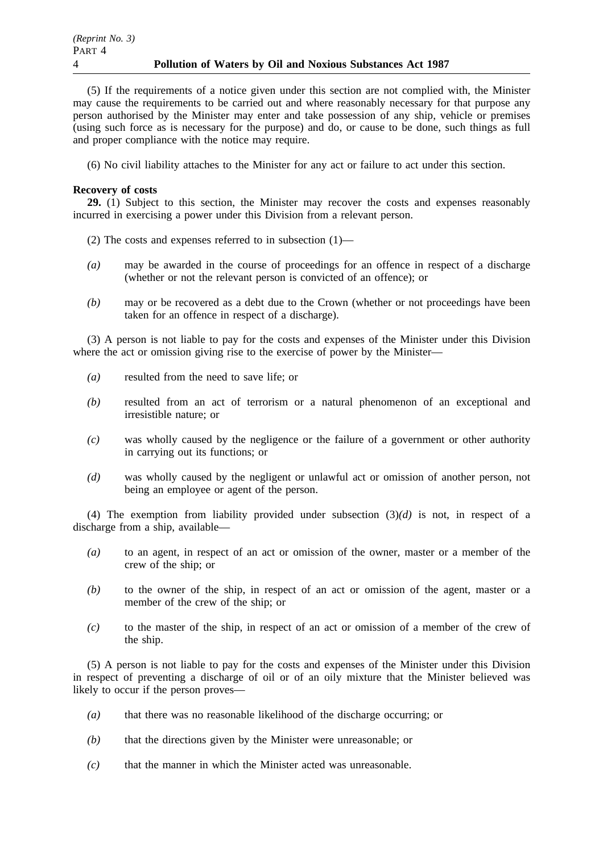(5) If the requirements of a notice given under this section are not complied with, the Minister may cause the requirements to be carried out and where reasonably necessary for that purpose any person authorised by the Minister may enter and take possession of any ship, vehicle or premises (using such force as is necessary for the purpose) and do, or cause to be done, such things as full and proper compliance with the notice may require.

(6) No civil liability attaches to the Minister for any act or failure to act under this section.

# **Recovery of costs**

**29.** (1) Subject to this section, the Minister may recover the costs and expenses reasonably incurred in exercising a power under this Division from a relevant person.

- (2) The costs and expenses referred to in subsection (1)—
- *(a)* may be awarded in the course of proceedings for an offence in respect of a discharge (whether or not the relevant person is convicted of an offence); or
- *(b)* may or be recovered as a debt due to the Crown (whether or not proceedings have been taken for an offence in respect of a discharge).

(3) A person is not liable to pay for the costs and expenses of the Minister under this Division where the act or omission giving rise to the exercise of power by the Minister—

- *(a)* resulted from the need to save life; or
- *(b)* resulted from an act of terrorism or a natural phenomenon of an exceptional and irresistible nature; or
- *(c)* was wholly caused by the negligence or the failure of a government or other authority in carrying out its functions; or
- *(d)* was wholly caused by the negligent or unlawful act or omission of another person, not being an employee or agent of the person.

(4) The exemption from liability provided under subsection (3)*(d)* is not, in respect of a discharge from a ship, available—

- *(a)* to an agent, in respect of an act or omission of the owner, master or a member of the crew of the ship; or
- *(b)* to the owner of the ship, in respect of an act or omission of the agent, master or a member of the crew of the ship; or
- *(c)* to the master of the ship, in respect of an act or omission of a member of the crew of the ship.

(5) A person is not liable to pay for the costs and expenses of the Minister under this Division in respect of preventing a discharge of oil or of an oily mixture that the Minister believed was likely to occur if the person proves—

- *(a)* that there was no reasonable likelihood of the discharge occurring; or
- *(b)* that the directions given by the Minister were unreasonable; or
- *(c)* that the manner in which the Minister acted was unreasonable.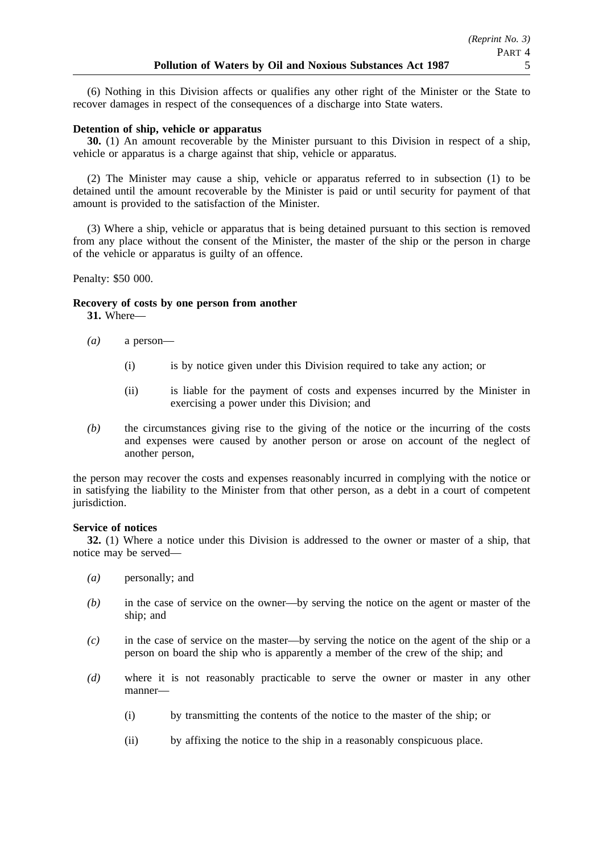(6) Nothing in this Division affects or qualifies any other right of the Minister or the State to recover damages in respect of the consequences of a discharge into State waters.

# **Detention of ship, vehicle or apparatus**

**30.** (1) An amount recoverable by the Minister pursuant to this Division in respect of a ship, vehicle or apparatus is a charge against that ship, vehicle or apparatus.

(2) The Minister may cause a ship, vehicle or apparatus referred to in subsection (1) to be detained until the amount recoverable by the Minister is paid or until security for payment of that amount is provided to the satisfaction of the Minister.

(3) Where a ship, vehicle or apparatus that is being detained pursuant to this section is removed from any place without the consent of the Minister, the master of the ship or the person in charge of the vehicle or apparatus is guilty of an offence.

Penalty: \$50 000.

**Recovery of costs by one person from another 31.** Where—

- *(a)* a person—
	- (i) is by notice given under this Division required to take any action; or
	- (ii) is liable for the payment of costs and expenses incurred by the Minister in exercising a power under this Division; and
- *(b)* the circumstances giving rise to the giving of the notice or the incurring of the costs and expenses were caused by another person or arose on account of the neglect of another person,

the person may recover the costs and expenses reasonably incurred in complying with the notice or in satisfying the liability to the Minister from that other person, as a debt in a court of competent jurisdiction.

# **Service of notices**

**32.** (1) Where a notice under this Division is addressed to the owner or master of a ship, that notice may be served—

- *(a)* personally; and
- *(b)* in the case of service on the owner—by serving the notice on the agent or master of the ship; and
- *(c)* in the case of service on the master—by serving the notice on the agent of the ship or a person on board the ship who is apparently a member of the crew of the ship; and
- *(d)* where it is not reasonably practicable to serve the owner or master in any other manner—
	- (i) by transmitting the contents of the notice to the master of the ship; or
	- (ii) by affixing the notice to the ship in a reasonably conspicuous place.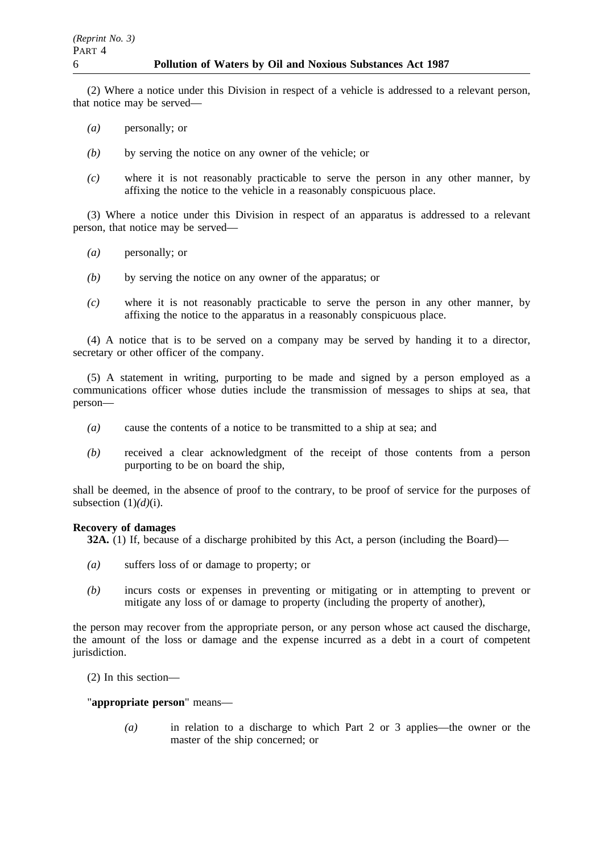(2) Where a notice under this Division in respect of a vehicle is addressed to a relevant person, that notice may be served—

- *(a)* personally; or
- *(b)* by serving the notice on any owner of the vehicle; or
- *(c)* where it is not reasonably practicable to serve the person in any other manner, by affixing the notice to the vehicle in a reasonably conspicuous place.

(3) Where a notice under this Division in respect of an apparatus is addressed to a relevant person, that notice may be served—

- *(a)* personally; or
- *(b)* by serving the notice on any owner of the apparatus; or
- *(c)* where it is not reasonably practicable to serve the person in any other manner, by affixing the notice to the apparatus in a reasonably conspicuous place.

(4) A notice that is to be served on a company may be served by handing it to a director, secretary or other officer of the company.

(5) A statement in writing, purporting to be made and signed by a person employed as a communications officer whose duties include the transmission of messages to ships at sea, that person—

- *(a)* cause the contents of a notice to be transmitted to a ship at sea; and
- *(b)* received a clear acknowledgment of the receipt of those contents from a person purporting to be on board the ship,

shall be deemed, in the absence of proof to the contrary, to be proof of service for the purposes of subsection  $(1)(d)(i)$ .

# **Recovery of damages**

**32A.** (1) If, because of a discharge prohibited by this Act, a person (including the Board)—

- *(a)* suffers loss of or damage to property; or
- *(b)* incurs costs or expenses in preventing or mitigating or in attempting to prevent or mitigate any loss of or damage to property (including the property of another),

the person may recover from the appropriate person, or any person whose act caused the discharge, the amount of the loss or damage and the expense incurred as a debt in a court of competent jurisdiction.

(2) In this section—

"**appropriate person**" means—

*(a)* in relation to a discharge to which Part 2 or 3 applies—the owner or the master of the ship concerned; or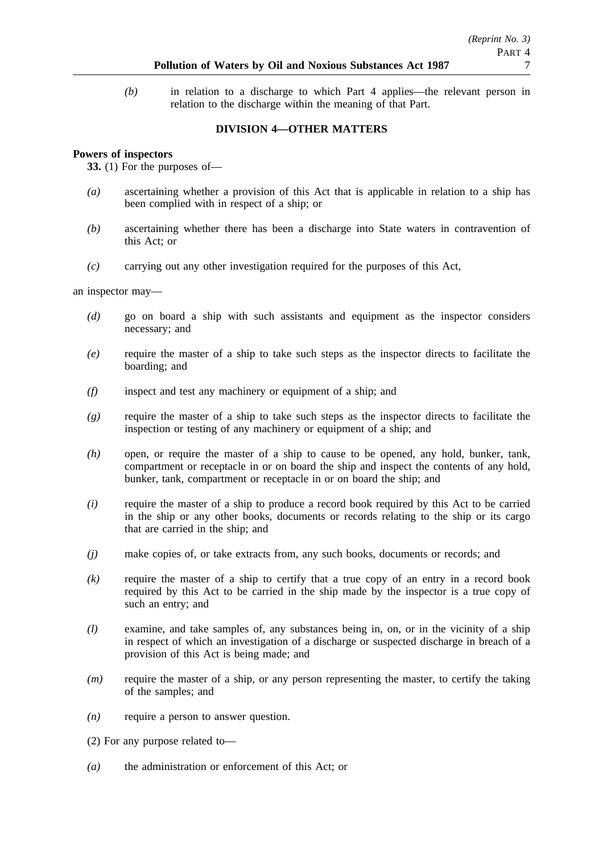*(b)* in relation to a discharge to which Part 4 applies—the relevant person in relation to the discharge within the meaning of that Part.

# **DIVISION 4—OTHER MATTERS**

# **Powers of inspectors**

**33.** (1) For the purposes of—

- *(a)* ascertaining whether a provision of this Act that is applicable in relation to a ship has been complied with in respect of a ship; or
- *(b)* ascertaining whether there has been a discharge into State waters in contravention of this Act; or
- *(c)* carrying out any other investigation required for the purposes of this Act,

an inspector may—

- *(d)* go on board a ship with such assistants and equipment as the inspector considers necessary; and
- *(e)* require the master of a ship to take such steps as the inspector directs to facilitate the boarding; and
- *(f)* inspect and test any machinery or equipment of a ship; and
- *(g)* require the master of a ship to take such steps as the inspector directs to facilitate the inspection or testing of any machinery or equipment of a ship; and
- *(h)* open, or require the master of a ship to cause to be opened, any hold, bunker, tank, compartment or receptacle in or on board the ship and inspect the contents of any hold, bunker, tank, compartment or receptacle in or on board the ship; and
- *(i)* require the master of a ship to produce a record book required by this Act to be carried in the ship or any other books, documents or records relating to the ship or its cargo that are carried in the ship; and
- *(j)* make copies of, or take extracts from, any such books, documents or records; and
- *(k)* require the master of a ship to certify that a true copy of an entry in a record book required by this Act to be carried in the ship made by the inspector is a true copy of such an entry; and
- *(l)* examine, and take samples of, any substances being in, on, or in the vicinity of a ship in respect of which an investigation of a discharge or suspected discharge in breach of a provision of this Act is being made; and
- *(m)* require the master of a ship, or any person representing the master, to certify the taking of the samples; and
- *(n)* require a person to answer question.
- (2) For any purpose related to—
- *(a)* the administration or enforcement of this Act; or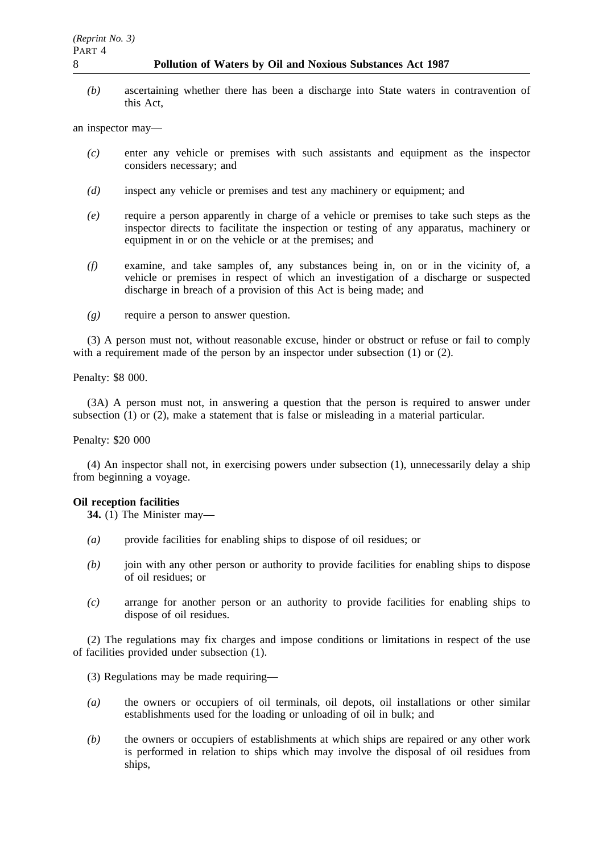*(b)* ascertaining whether there has been a discharge into State waters in contravention of this Act,

an inspector may—

- *(c)* enter any vehicle or premises with such assistants and equipment as the inspector considers necessary; and
- *(d)* inspect any vehicle or premises and test any machinery or equipment; and
- *(e)* require a person apparently in charge of a vehicle or premises to take such steps as the inspector directs to facilitate the inspection or testing of any apparatus, machinery or equipment in or on the vehicle or at the premises; and
- *(f)* examine, and take samples of, any substances being in, on or in the vicinity of, a vehicle or premises in respect of which an investigation of a discharge or suspected discharge in breach of a provision of this Act is being made; and
- *(g)* require a person to answer question.

(3) A person must not, without reasonable excuse, hinder or obstruct or refuse or fail to comply with a requirement made of the person by an inspector under subsection (1) or (2).

Penalty: \$8 000.

(3A) A person must not, in answering a question that the person is required to answer under subsection (1) or (2), make a statement that is false or misleading in a material particular.

Penalty: \$20 000

(4) An inspector shall not, in exercising powers under subsection (1), unnecessarily delay a ship from beginning a voyage.

# **Oil reception facilities**

**34.** (1) The Minister may—

- *(a)* provide facilities for enabling ships to dispose of oil residues; or
- *(b)* join with any other person or authority to provide facilities for enabling ships to dispose of oil residues; or
- *(c)* arrange for another person or an authority to provide facilities for enabling ships to dispose of oil residues.

(2) The regulations may fix charges and impose conditions or limitations in respect of the use of facilities provided under subsection (1).

(3) Regulations may be made requiring—

- *(a)* the owners or occupiers of oil terminals, oil depots, oil installations or other similar establishments used for the loading or unloading of oil in bulk; and
- *(b)* the owners or occupiers of establishments at which ships are repaired or any other work is performed in relation to ships which may involve the disposal of oil residues from ships,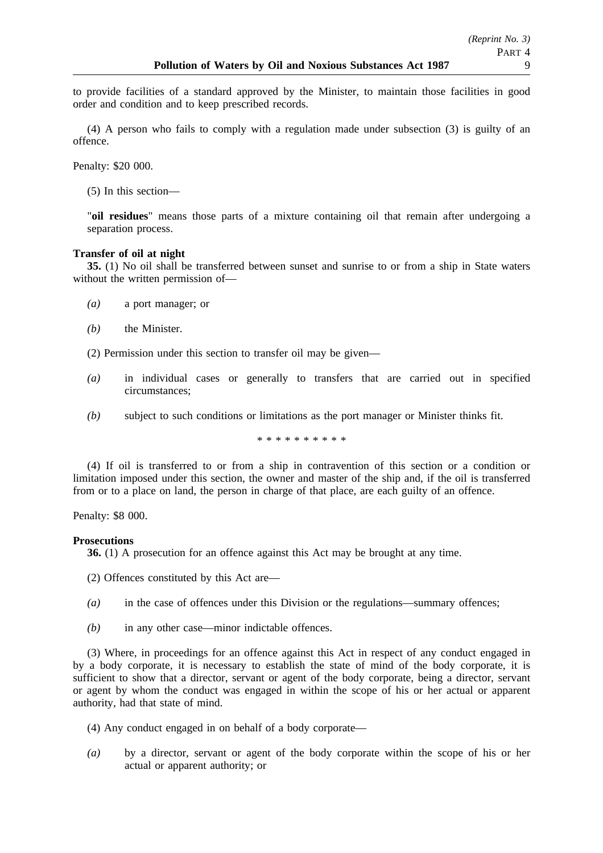to provide facilities of a standard approved by the Minister, to maintain those facilities in good order and condition and to keep prescribed records.

(4) A person who fails to comply with a regulation made under subsection (3) is guilty of an offence.

Penalty: \$20 000.

(5) In this section—

"**oil residues**" means those parts of a mixture containing oil that remain after undergoing a separation process.

# **Transfer of oil at night**

**35.** (1) No oil shall be transferred between sunset and sunrise to or from a ship in State waters without the written permission of—

- *(a)* a port manager; or
- *(b)* the Minister.

(2) Permission under this section to transfer oil may be given—

- *(a)* in individual cases or generally to transfers that are carried out in specified circumstances;
- *(b)* subject to such conditions or limitations as the port manager or Minister thinks fit.

\*\*\*\*\*\*\*\*\*\*

(4) If oil is transferred to or from a ship in contravention of this section or a condition or limitation imposed under this section, the owner and master of the ship and, if the oil is transferred from or to a place on land, the person in charge of that place, are each guilty of an offence.

Penalty: \$8 000.

# **Prosecutions**

**36.** (1) A prosecution for an offence against this Act may be brought at any time.

(2) Offences constituted by this Act are—

- *(a)* in the case of offences under this Division or the regulations—summary offences;
- *(b)* in any other case—minor indictable offences.

(3) Where, in proceedings for an offence against this Act in respect of any conduct engaged in by a body corporate, it is necessary to establish the state of mind of the body corporate, it is sufficient to show that a director, servant or agent of the body corporate, being a director, servant or agent by whom the conduct was engaged in within the scope of his or her actual or apparent authority, had that state of mind.

- (4) Any conduct engaged in on behalf of a body corporate—
- *(a)* by a director, servant or agent of the body corporate within the scope of his or her actual or apparent authority; or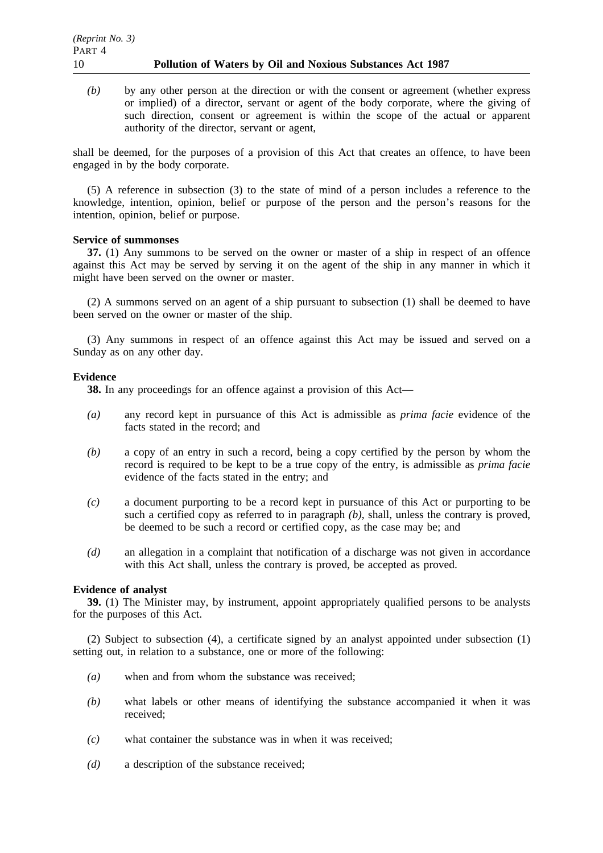*(b)* by any other person at the direction or with the consent or agreement (whether express or implied) of a director, servant or agent of the body corporate, where the giving of such direction, consent or agreement is within the scope of the actual or apparent authority of the director, servant or agent,

shall be deemed, for the purposes of a provision of this Act that creates an offence, to have been engaged in by the body corporate.

(5) A reference in subsection (3) to the state of mind of a person includes a reference to the knowledge, intention, opinion, belief or purpose of the person and the person's reasons for the intention, opinion, belief or purpose.

# **Service of summonses**

**37.** (1) Any summons to be served on the owner or master of a ship in respect of an offence against this Act may be served by serving it on the agent of the ship in any manner in which it might have been served on the owner or master.

(2) A summons served on an agent of a ship pursuant to subsection (1) shall be deemed to have been served on the owner or master of the ship.

(3) Any summons in respect of an offence against this Act may be issued and served on a Sunday as on any other day.

# **Evidence**

**38.** In any proceedings for an offence against a provision of this Act—

- *(a)* any record kept in pursuance of this Act is admissible as *prima facie* evidence of the facts stated in the record; and
- *(b)* a copy of an entry in such a record, being a copy certified by the person by whom the record is required to be kept to be a true copy of the entry, is admissible as *prima facie* evidence of the facts stated in the entry; and
- *(c)* a document purporting to be a record kept in pursuance of this Act or purporting to be such a certified copy as referred to in paragraph *(b)*, shall, unless the contrary is proved, be deemed to be such a record or certified copy, as the case may be; and
- *(d)* an allegation in a complaint that notification of a discharge was not given in accordance with this Act shall, unless the contrary is proved, be accepted as proved.

# **Evidence of analyst**

**39.** (1) The Minister may, by instrument, appoint appropriately qualified persons to be analysts for the purposes of this Act.

(2) Subject to subsection (4), a certificate signed by an analyst appointed under subsection (1) setting out, in relation to a substance, one or more of the following:

- *(a)* when and from whom the substance was received;
- *(b)* what labels or other means of identifying the substance accompanied it when it was received;
- *(c)* what container the substance was in when it was received;
- *(d)* a description of the substance received;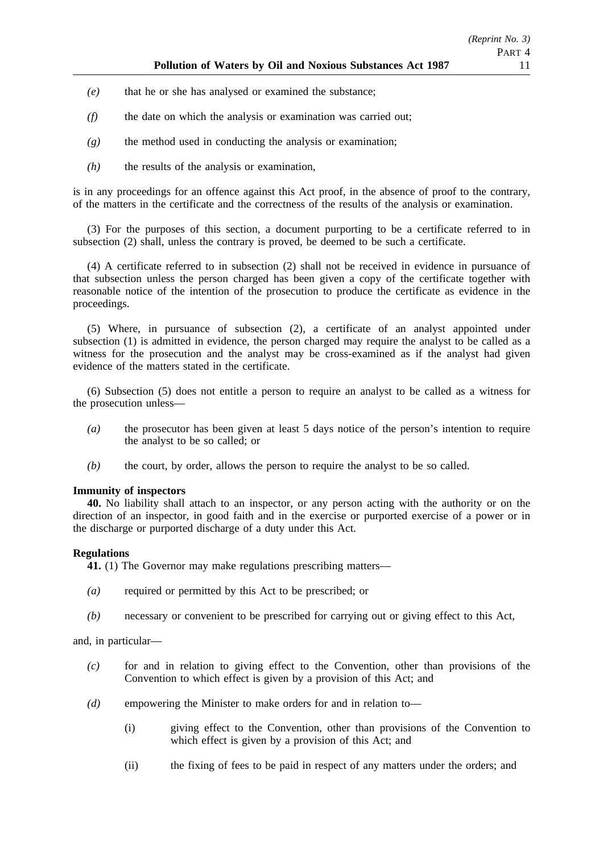- *(e)* that he or she has analysed or examined the substance;
- *(f)* the date on which the analysis or examination was carried out;
- *(g)* the method used in conducting the analysis or examination;
- *(h)* the results of the analysis or examination,

is in any proceedings for an offence against this Act proof, in the absence of proof to the contrary, of the matters in the certificate and the correctness of the results of the analysis or examination.

(3) For the purposes of this section, a document purporting to be a certificate referred to in subsection (2) shall, unless the contrary is proved, be deemed to be such a certificate.

(4) A certificate referred to in subsection (2) shall not be received in evidence in pursuance of that subsection unless the person charged has been given a copy of the certificate together with reasonable notice of the intention of the prosecution to produce the certificate as evidence in the proceedings.

(5) Where, in pursuance of subsection (2), a certificate of an analyst appointed under subsection (1) is admitted in evidence, the person charged may require the analyst to be called as a witness for the prosecution and the analyst may be cross-examined as if the analyst had given evidence of the matters stated in the certificate.

(6) Subsection (5) does not entitle a person to require an analyst to be called as a witness for the prosecution unless—

- *(a)* the prosecutor has been given at least 5 days notice of the person's intention to require the analyst to be so called; or
- *(b)* the court, by order, allows the person to require the analyst to be so called.

# **Immunity of inspectors**

**40.** No liability shall attach to an inspector, or any person acting with the authority or on the direction of an inspector, in good faith and in the exercise or purported exercise of a power or in the discharge or purported discharge of a duty under this Act.

# **Regulations**

**41.** (1) The Governor may make regulations prescribing matters—

- *(a)* required or permitted by this Act to be prescribed; or
- *(b)* necessary or convenient to be prescribed for carrying out or giving effect to this Act,

and, in particular—

- *(c)* for and in relation to giving effect to the Convention, other than provisions of the Convention to which effect is given by a provision of this Act; and
- *(d)* empowering the Minister to make orders for and in relation to—
	- (i) giving effect to the Convention, other than provisions of the Convention to which effect is given by a provision of this Act; and
	- (ii) the fixing of fees to be paid in respect of any matters under the orders; and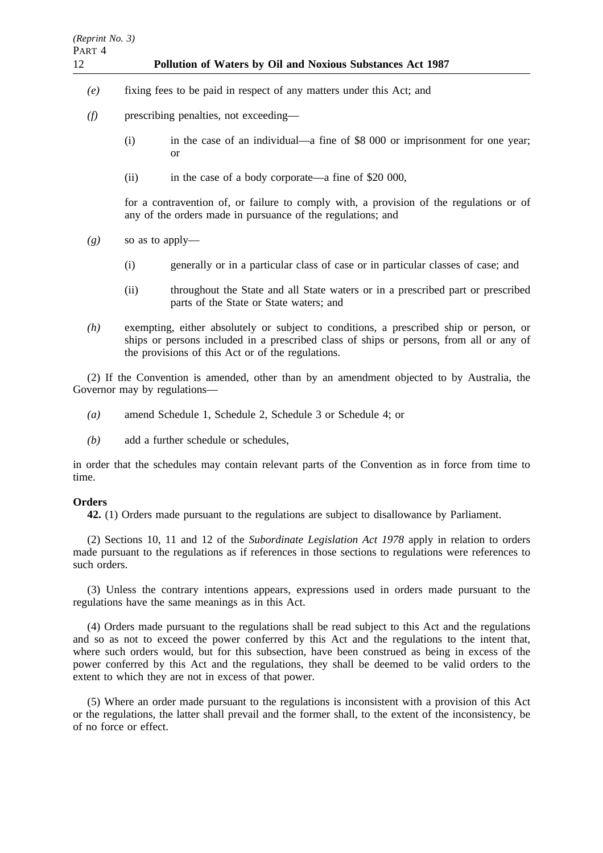- *(e)* fixing fees to be paid in respect of any matters under this Act; and
- *(f)* prescribing penalties, not exceeding—
	- (i) in the case of an individual—a fine of \$8 000 or imprisonment for one year; or
	- (ii) in the case of a body corporate—a fine of \$20 000,

for a contravention of, or failure to comply with, a provision of the regulations or of any of the orders made in pursuance of the regulations; and

- $(g)$  so as to apply—
	- (i) generally or in a particular class of case or in particular classes of case; and
	- (ii) throughout the State and all State waters or in a prescribed part or prescribed parts of the State or State waters; and
- *(h)* exempting, either absolutely or subject to conditions, a prescribed ship or person, or ships or persons included in a prescribed class of ships or persons, from all or any of the provisions of this Act or of the regulations.

(2) If the Convention is amended, other than by an amendment objected to by Australia, the Governor may by regulations—

- *(a)* amend Schedule 1, Schedule 2, Schedule 3 or Schedule 4; or
- *(b)* add a further schedule or schedules,

in order that the schedules may contain relevant parts of the Convention as in force from time to time.

# **Orders**

**42.** (1) Orders made pursuant to the regulations are subject to disallowance by Parliament.

(2) Sections 10, 11 and 12 of the *Subordinate Legislation Act 1978* apply in relation to orders made pursuant to the regulations as if references in those sections to regulations were references to such orders.

(3) Unless the contrary intentions appears, expressions used in orders made pursuant to the regulations have the same meanings as in this Act.

(4) Orders made pursuant to the regulations shall be read subject to this Act and the regulations and so as not to exceed the power conferred by this Act and the regulations to the intent that, where such orders would, but for this subsection, have been construed as being in excess of the power conferred by this Act and the regulations, they shall be deemed to be valid orders to the extent to which they are not in excess of that power.

(5) Where an order made pursuant to the regulations is inconsistent with a provision of this Act or the regulations, the latter shall prevail and the former shall, to the extent of the inconsistency, be of no force or effect.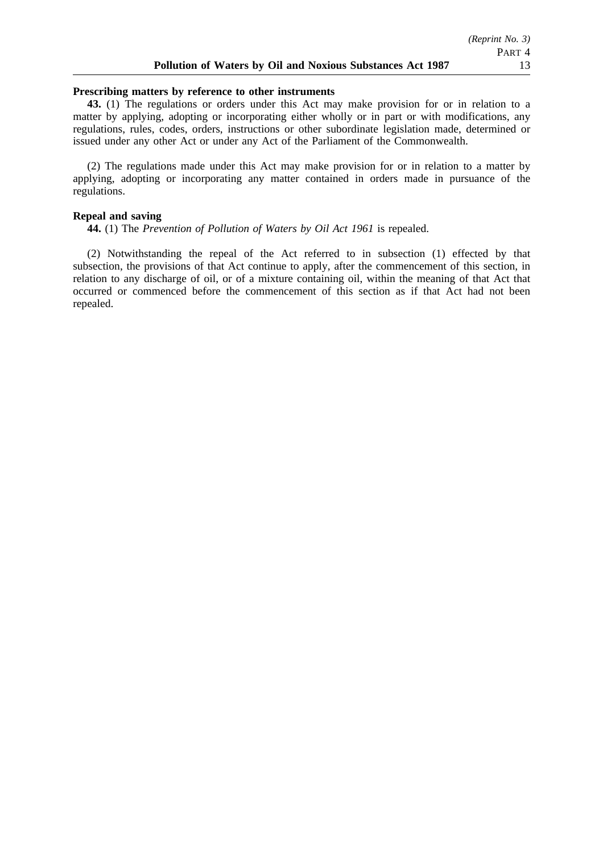# **Prescribing matters by reference to other instruments**

**43.** (1) The regulations or orders under this Act may make provision for or in relation to a matter by applying, adopting or incorporating either wholly or in part or with modifications, any regulations, rules, codes, orders, instructions or other subordinate legislation made, determined or issued under any other Act or under any Act of the Parliament of the Commonwealth.

(2) The regulations made under this Act may make provision for or in relation to a matter by applying, adopting or incorporating any matter contained in orders made in pursuance of the regulations.

# **Repeal and saving**

**44.** (1) The *Prevention of Pollution of Waters by Oil Act 1961* is repealed.

(2) Notwithstanding the repeal of the Act referred to in subsection (1) effected by that subsection, the provisions of that Act continue to apply, after the commencement of this section, in relation to any discharge of oil, or of a mixture containing oil, within the meaning of that Act that occurred or commenced before the commencement of this section as if that Act had not been repealed.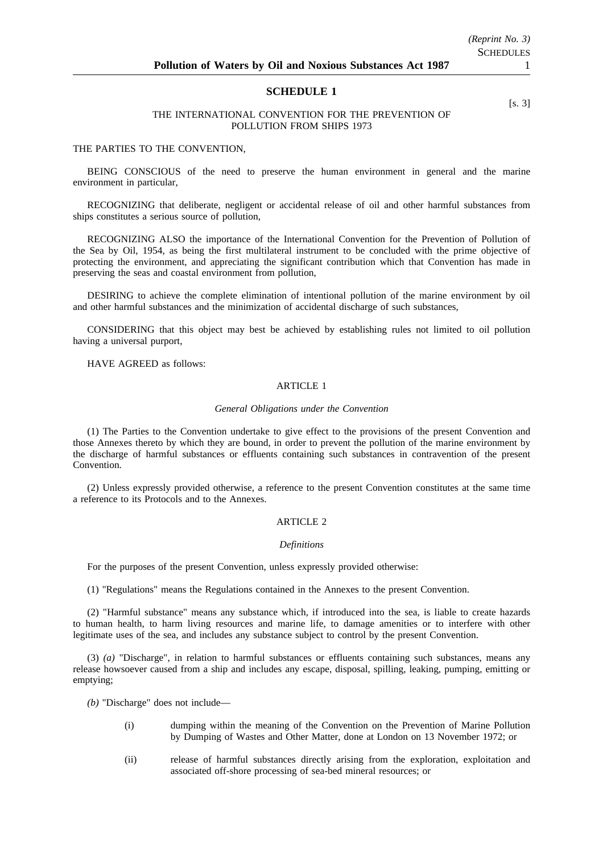# **SCHEDULE 1**

## THE INTERNATIONAL CONVENTION FOR THE PREVENTION OF POLLUTION FROM SHIPS 1973

[s. 3]

## THE PARTIES TO THE CONVENTION,

BEING CONSCIOUS of the need to preserve the human environment in general and the marine environment in particular,

RECOGNIZING that deliberate, negligent or accidental release of oil and other harmful substances from ships constitutes a serious source of pollution,

RECOGNIZING ALSO the importance of the International Convention for the Prevention of Pollution of the Sea by Oil, 1954, as being the first multilateral instrument to be concluded with the prime objective of protecting the environment, and appreciating the significant contribution which that Convention has made in preserving the seas and coastal environment from pollution,

DESIRING to achieve the complete elimination of intentional pollution of the marine environment by oil and other harmful substances and the minimization of accidental discharge of such substances,

CONSIDERING that this object may best be achieved by establishing rules not limited to oil pollution having a universal purport,

HAVE AGREED as follows:

### ARTICLE 1

#### *General Obligations under the Convention*

(1) The Parties to the Convention undertake to give effect to the provisions of the present Convention and those Annexes thereto by which they are bound, in order to prevent the pollution of the marine environment by the discharge of harmful substances or effluents containing such substances in contravention of the present Convention.

(2) Unless expressly provided otherwise, a reference to the present Convention constitutes at the same time a reference to its Protocols and to the Annexes.

# ARTICLE 2

#### *Definitions*

For the purposes of the present Convention, unless expressly provided otherwise:

(1) "Regulations" means the Regulations contained in the Annexes to the present Convention.

(2) "Harmful substance" means any substance which, if introduced into the sea, is liable to create hazards to human health, to harm living resources and marine life, to damage amenities or to interfere with other legitimate uses of the sea, and includes any substance subject to control by the present Convention.

(3) *(a)* "Discharge", in relation to harmful substances or effluents containing such substances, means any release howsoever caused from a ship and includes any escape, disposal, spilling, leaking, pumping, emitting or emptying;

*(b)* "Discharge" does not include—

- (i) dumping within the meaning of the Convention on the Prevention of Marine Pollution by Dumping of Wastes and Other Matter, done at London on 13 November 1972; or
- (ii) release of harmful substances directly arising from the exploration, exploitation and associated off-shore processing of sea-bed mineral resources; or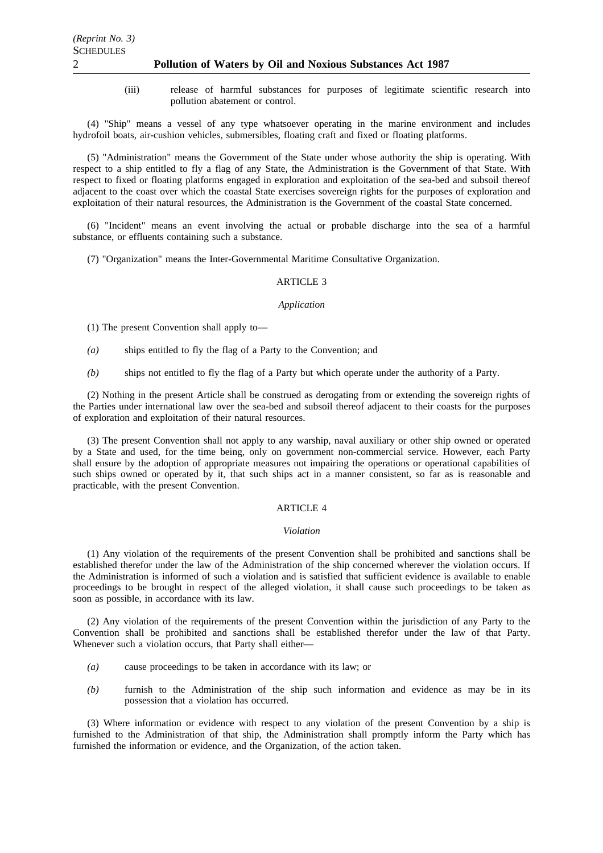(iii) release of harmful substances for purposes of legitimate scientific research into pollution abatement or control.

(4) "Ship" means a vessel of any type whatsoever operating in the marine environment and includes hydrofoil boats, air-cushion vehicles, submersibles, floating craft and fixed or floating platforms.

(5) "Administration" means the Government of the State under whose authority the ship is operating. With respect to a ship entitled to fly a flag of any State, the Administration is the Government of that State. With respect to fixed or floating platforms engaged in exploration and exploitation of the sea-bed and subsoil thereof adjacent to the coast over which the coastal State exercises sovereign rights for the purposes of exploration and exploitation of their natural resources, the Administration is the Government of the coastal State concerned.

(6) "Incident" means an event involving the actual or probable discharge into the sea of a harmful substance, or effluents containing such a substance.

(7) "Organization" means the Inter-Governmental Maritime Consultative Organization.

## ARTICLE 3

#### *Application*

(1) The present Convention shall apply to—

- *(a)* ships entitled to fly the flag of a Party to the Convention; and
- *(b)* ships not entitled to fly the flag of a Party but which operate under the authority of a Party.

(2) Nothing in the present Article shall be construed as derogating from or extending the sovereign rights of the Parties under international law over the sea-bed and subsoil thereof adjacent to their coasts for the purposes of exploration and exploitation of their natural resources.

(3) The present Convention shall not apply to any warship, naval auxiliary or other ship owned or operated by a State and used, for the time being, only on government non-commercial service. However, each Party shall ensure by the adoption of appropriate measures not impairing the operations or operational capabilities of such ships owned or operated by it, that such ships act in a manner consistent, so far as is reasonable and practicable, with the present Convention.

### ARTICLE 4

#### *Violation*

(1) Any violation of the requirements of the present Convention shall be prohibited and sanctions shall be established therefor under the law of the Administration of the ship concerned wherever the violation occurs. If the Administration is informed of such a violation and is satisfied that sufficient evidence is available to enable proceedings to be brought in respect of the alleged violation, it shall cause such proceedings to be taken as soon as possible, in accordance with its law.

(2) Any violation of the requirements of the present Convention within the jurisdiction of any Party to the Convention shall be prohibited and sanctions shall be established therefor under the law of that Party. Whenever such a violation occurs, that Party shall either-

- *(a)* cause proceedings to be taken in accordance with its law; or
- *(b)* furnish to the Administration of the ship such information and evidence as may be in its possession that a violation has occurred.

(3) Where information or evidence with respect to any violation of the present Convention by a ship is furnished to the Administration of that ship, the Administration shall promptly inform the Party which has furnished the information or evidence, and the Organization, of the action taken.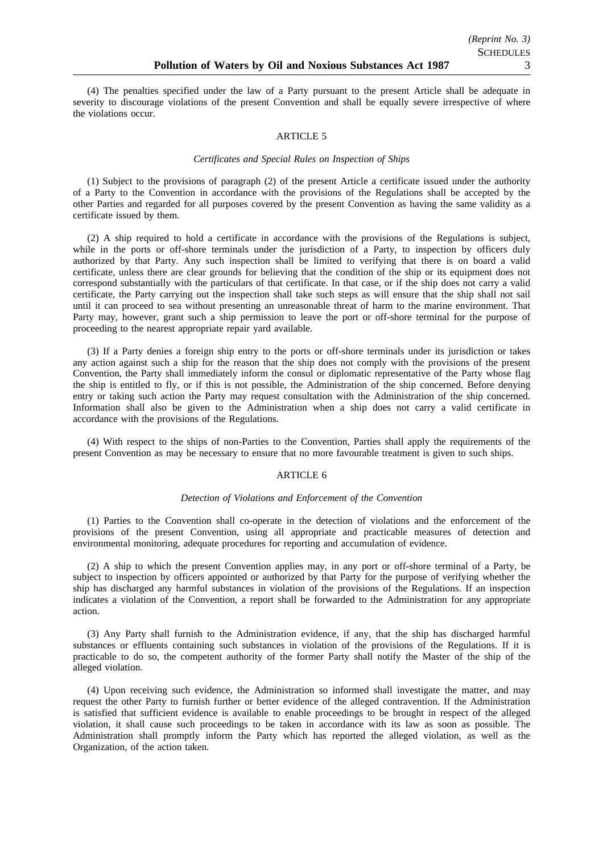(4) The penalties specified under the law of a Party pursuant to the present Article shall be adequate in severity to discourage violations of the present Convention and shall be equally severe irrespective of where the violations occur.

### ARTICLE 5

### *Certificates and Special Rules on Inspection of Ships*

(1) Subject to the provisions of paragraph (2) of the present Article a certificate issued under the authority of a Party to the Convention in accordance with the provisions of the Regulations shall be accepted by the other Parties and regarded for all purposes covered by the present Convention as having the same validity as a certificate issued by them.

(2) A ship required to hold a certificate in accordance with the provisions of the Regulations is subject, while in the ports or off-shore terminals under the jurisdiction of a Party, to inspection by officers duly authorized by that Party. Any such inspection shall be limited to verifying that there is on board a valid certificate, unless there are clear grounds for believing that the condition of the ship or its equipment does not correspond substantially with the particulars of that certificate. In that case, or if the ship does not carry a valid certificate, the Party carrying out the inspection shall take such steps as will ensure that the ship shall not sail until it can proceed to sea without presenting an unreasonable threat of harm to the marine environment. That Party may, however, grant such a ship permission to leave the port or off-shore terminal for the purpose of proceeding to the nearest appropriate repair yard available.

(3) If a Party denies a foreign ship entry to the ports or off-shore terminals under its jurisdiction or takes any action against such a ship for the reason that the ship does not comply with the provisions of the present Convention, the Party shall immediately inform the consul or diplomatic representative of the Party whose flag the ship is entitled to fly, or if this is not possible, the Administration of the ship concerned. Before denying entry or taking such action the Party may request consultation with the Administration of the ship concerned. Information shall also be given to the Administration when a ship does not carry a valid certificate in accordance with the provisions of the Regulations.

(4) With respect to the ships of non-Parties to the Convention, Parties shall apply the requirements of the present Convention as may be necessary to ensure that no more favourable treatment is given to such ships.

# ARTICLE 6

### *Detection of Violations and Enforcement of the Convention*

(1) Parties to the Convention shall co-operate in the detection of violations and the enforcement of the provisions of the present Convention, using all appropriate and practicable measures of detection and environmental monitoring, adequate procedures for reporting and accumulation of evidence.

(2) A ship to which the present Convention applies may, in any port or off-shore terminal of a Party, be subject to inspection by officers appointed or authorized by that Party for the purpose of verifying whether the ship has discharged any harmful substances in violation of the provisions of the Regulations. If an inspection indicates a violation of the Convention, a report shall be forwarded to the Administration for any appropriate action.

(3) Any Party shall furnish to the Administration evidence, if any, that the ship has discharged harmful substances or effluents containing such substances in violation of the provisions of the Regulations. If it is practicable to do so, the competent authority of the former Party shall notify the Master of the ship of the alleged violation.

(4) Upon receiving such evidence, the Administration so informed shall investigate the matter, and may request the other Party to furnish further or better evidence of the alleged contravention. If the Administration is satisfied that sufficient evidence is available to enable proceedings to be brought in respect of the alleged violation, it shall cause such proceedings to be taken in accordance with its law as soon as possible. The Administration shall promptly inform the Party which has reported the alleged violation, as well as the Organization, of the action taken.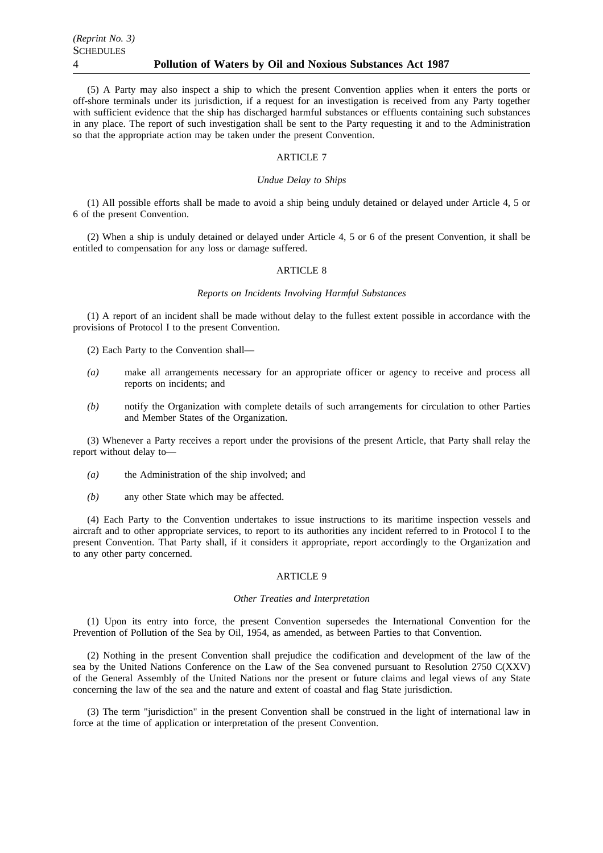(5) A Party may also inspect a ship to which the present Convention applies when it enters the ports or off-shore terminals under its jurisdiction, if a request for an investigation is received from any Party together with sufficient evidence that the ship has discharged harmful substances or effluents containing such substances in any place. The report of such investigation shall be sent to the Party requesting it and to the Administration so that the appropriate action may be taken under the present Convention.

### ARTICLE 7

### *Undue Delay to Ships*

(1) All possible efforts shall be made to avoid a ship being unduly detained or delayed under Article 4, 5 or 6 of the present Convention.

(2) When a ship is unduly detained or delayed under Article 4, 5 or 6 of the present Convention, it shall be entitled to compensation for any loss or damage suffered.

## ARTICLE 8

### *Reports on Incidents Involving Harmful Substances*

(1) A report of an incident shall be made without delay to the fullest extent possible in accordance with the provisions of Protocol I to the present Convention.

(2) Each Party to the Convention shall—

- *(a)* make all arrangements necessary for an appropriate officer or agency to receive and process all reports on incidents; and
- *(b)* notify the Organization with complete details of such arrangements for circulation to other Parties and Member States of the Organization.

(3) Whenever a Party receives a report under the provisions of the present Article, that Party shall relay the report without delay to—

- *(a)* the Administration of the ship involved; and
- *(b)* any other State which may be affected.

(4) Each Party to the Convention undertakes to issue instructions to its maritime inspection vessels and aircraft and to other appropriate services, to report to its authorities any incident referred to in Protocol I to the present Convention. That Party shall, if it considers it appropriate, report accordingly to the Organization and to any other party concerned.

## ARTICLE 9

#### *Other Treaties and Interpretation*

(1) Upon its entry into force, the present Convention supersedes the International Convention for the Prevention of Pollution of the Sea by Oil, 1954, as amended, as between Parties to that Convention.

(2) Nothing in the present Convention shall prejudice the codification and development of the law of the sea by the United Nations Conference on the Law of the Sea convened pursuant to Resolution 2750 C(XXV) of the General Assembly of the United Nations nor the present or future claims and legal views of any State concerning the law of the sea and the nature and extent of coastal and flag State jurisdiction.

(3) The term "jurisdiction" in the present Convention shall be construed in the light of international law in force at the time of application or interpretation of the present Convention.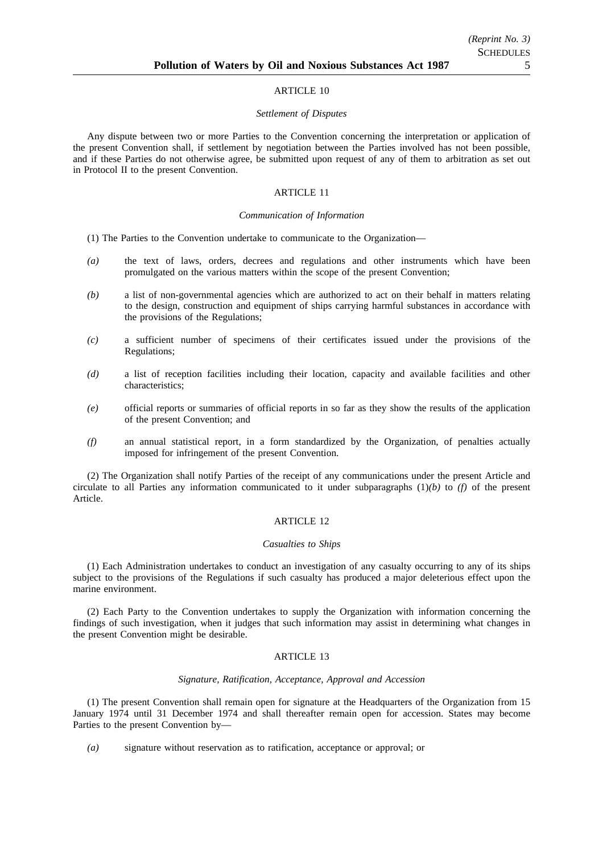## ARTICLE 10

#### *Settlement of Disputes*

Any dispute between two or more Parties to the Convention concerning the interpretation or application of the present Convention shall, if settlement by negotiation between the Parties involved has not been possible, and if these Parties do not otherwise agree, be submitted upon request of any of them to arbitration as set out in Protocol II to the present Convention.

## ARTICLE 11

### *Communication of Information*

(1) The Parties to the Convention undertake to communicate to the Organization—

- *(a)* the text of laws, orders, decrees and regulations and other instruments which have been promulgated on the various matters within the scope of the present Convention;
- *(b)* a list of non-governmental agencies which are authorized to act on their behalf in matters relating to the design, construction and equipment of ships carrying harmful substances in accordance with the provisions of the Regulations;
- *(c)* a sufficient number of specimens of their certificates issued under the provisions of the Regulations;
- *(d)* a list of reception facilities including their location, capacity and available facilities and other characteristics;
- *(e)* official reports or summaries of official reports in so far as they show the results of the application of the present Convention; and
- *(f)* an annual statistical report, in a form standardized by the Organization, of penalties actually imposed for infringement of the present Convention.

(2) The Organization shall notify Parties of the receipt of any communications under the present Article and circulate to all Parties any information communicated to it under subparagraphs  $(1)(b)$  to  $(f)$  of the present Article.

## ARTICLE 12

#### *Casualties to Ships*

(1) Each Administration undertakes to conduct an investigation of any casualty occurring to any of its ships subject to the provisions of the Regulations if such casualty has produced a major deleterious effect upon the marine environment.

(2) Each Party to the Convention undertakes to supply the Organization with information concerning the findings of such investigation, when it judges that such information may assist in determining what changes in the present Convention might be desirable.

## ARTICLE 13

### *Signature, Ratification, Acceptance, Approval and Accession*

(1) The present Convention shall remain open for signature at the Headquarters of the Organization from 15 January 1974 until 31 December 1974 and shall thereafter remain open for accession. States may become Parties to the present Convention by—

*(a)* signature without reservation as to ratification, acceptance or approval; or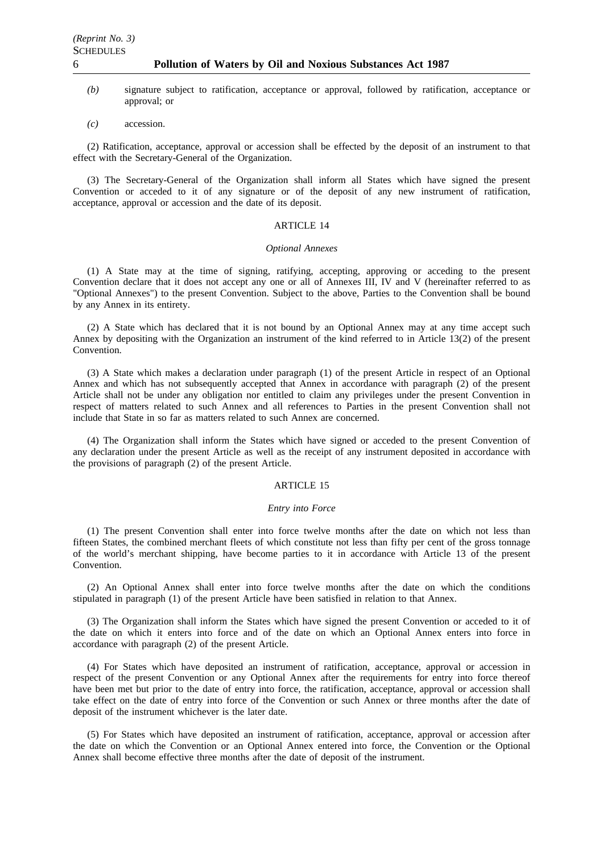- *(b)* signature subject to ratification, acceptance or approval, followed by ratification, acceptance or approval; or
- *(c)* accession.

(2) Ratification, acceptance, approval or accession shall be effected by the deposit of an instrument to that effect with the Secretary-General of the Organization.

(3) The Secretary-General of the Organization shall inform all States which have signed the present Convention or acceded to it of any signature or of the deposit of any new instrument of ratification, acceptance, approval or accession and the date of its deposit.

### ARTICLE 14

## *Optional Annexes*

(1) A State may at the time of signing, ratifying, accepting, approving or acceding to the present Convention declare that it does not accept any one or all of Annexes III, IV and V (hereinafter referred to as "Optional Annexes") to the present Convention. Subject to the above, Parties to the Convention shall be bound by any Annex in its entirety.

(2) A State which has declared that it is not bound by an Optional Annex may at any time accept such Annex by depositing with the Organization an instrument of the kind referred to in Article 13(2) of the present Convention.

(3) A State which makes a declaration under paragraph (1) of the present Article in respect of an Optional Annex and which has not subsequently accepted that Annex in accordance with paragraph (2) of the present Article shall not be under any obligation nor entitled to claim any privileges under the present Convention in respect of matters related to such Annex and all references to Parties in the present Convention shall not include that State in so far as matters related to such Annex are concerned.

(4) The Organization shall inform the States which have signed or acceded to the present Convention of any declaration under the present Article as well as the receipt of any instrument deposited in accordance with the provisions of paragraph (2) of the present Article.

### ARTICLE 15

#### *Entry into Force*

(1) The present Convention shall enter into force twelve months after the date on which not less than fifteen States, the combined merchant fleets of which constitute not less than fifty per cent of the gross tonnage of the world's merchant shipping, have become parties to it in accordance with Article 13 of the present Convention.

(2) An Optional Annex shall enter into force twelve months after the date on which the conditions stipulated in paragraph (1) of the present Article have been satisfied in relation to that Annex.

(3) The Organization shall inform the States which have signed the present Convention or acceded to it of the date on which it enters into force and of the date on which an Optional Annex enters into force in accordance with paragraph (2) of the present Article.

(4) For States which have deposited an instrument of ratification, acceptance, approval or accession in respect of the present Convention or any Optional Annex after the requirements for entry into force thereof have been met but prior to the date of entry into force, the ratification, acceptance, approval or accession shall take effect on the date of entry into force of the Convention or such Annex or three months after the date of deposit of the instrument whichever is the later date.

(5) For States which have deposited an instrument of ratification, acceptance, approval or accession after the date on which the Convention or an Optional Annex entered into force, the Convention or the Optional Annex shall become effective three months after the date of deposit of the instrument.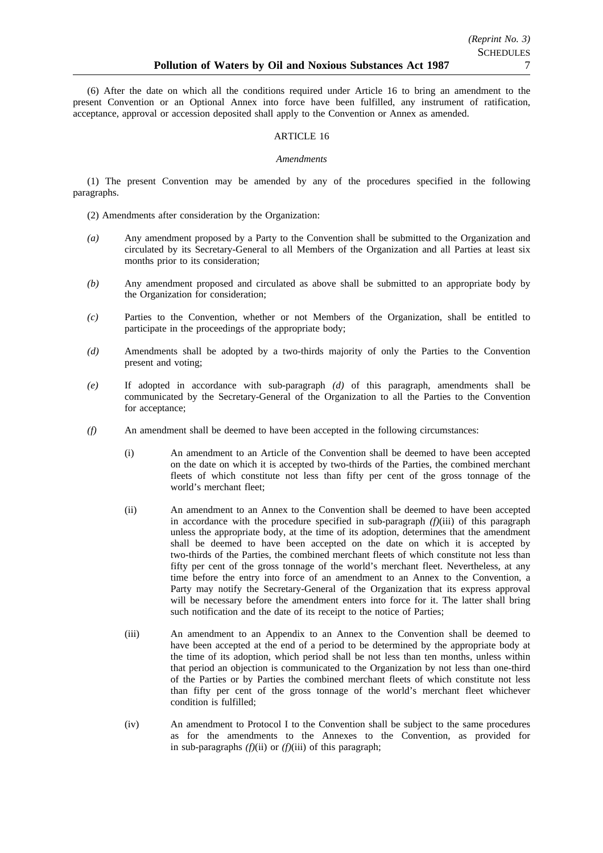(6) After the date on which all the conditions required under Article 16 to bring an amendment to the present Convention or an Optional Annex into force have been fulfilled, any instrument of ratification, acceptance, approval or accession deposited shall apply to the Convention or Annex as amended.

## ARTICLE 16

### *Amendments*

(1) The present Convention may be amended by any of the procedures specified in the following paragraphs.

(2) Amendments after consideration by the Organization:

- *(a)* Any amendment proposed by a Party to the Convention shall be submitted to the Organization and circulated by its Secretary-General to all Members of the Organization and all Parties at least six months prior to its consideration;
- *(b)* Any amendment proposed and circulated as above shall be submitted to an appropriate body by the Organization for consideration;
- *(c)* Parties to the Convention, whether or not Members of the Organization, shall be entitled to participate in the proceedings of the appropriate body;
- *(d)* Amendments shall be adopted by a two-thirds majority of only the Parties to the Convention present and voting;
- *(e)* If adopted in accordance with sub-paragraph *(d)* of this paragraph, amendments shall be communicated by the Secretary-General of the Organization to all the Parties to the Convention for acceptance;
- *(f)* An amendment shall be deemed to have been accepted in the following circumstances:
	- (i) An amendment to an Article of the Convention shall be deemed to have been accepted on the date on which it is accepted by two-thirds of the Parties, the combined merchant fleets of which constitute not less than fifty per cent of the gross tonnage of the world's merchant fleet;
	- (ii) An amendment to an Annex to the Convention shall be deemed to have been accepted in accordance with the procedure specified in sub-paragraph *(f)*(iii) of this paragraph unless the appropriate body, at the time of its adoption, determines that the amendment shall be deemed to have been accepted on the date on which it is accepted by two-thirds of the Parties, the combined merchant fleets of which constitute not less than fifty per cent of the gross tonnage of the world's merchant fleet. Nevertheless, at any time before the entry into force of an amendment to an Annex to the Convention, a Party may notify the Secretary-General of the Organization that its express approval will be necessary before the amendment enters into force for it. The latter shall bring such notification and the date of its receipt to the notice of Parties;
	- (iii) An amendment to an Appendix to an Annex to the Convention shall be deemed to have been accepted at the end of a period to be determined by the appropriate body at the time of its adoption, which period shall be not less than ten months, unless within that period an objection is communicated to the Organization by not less than one-third of the Parties or by Parties the combined merchant fleets of which constitute not less than fifty per cent of the gross tonnage of the world's merchant fleet whichever condition is fulfilled;
	- (iv) An amendment to Protocol I to the Convention shall be subject to the same procedures as for the amendments to the Annexes to the Convention, as provided for in sub-paragraphs *(f)*(ii) or *(f)*(iii) of this paragraph;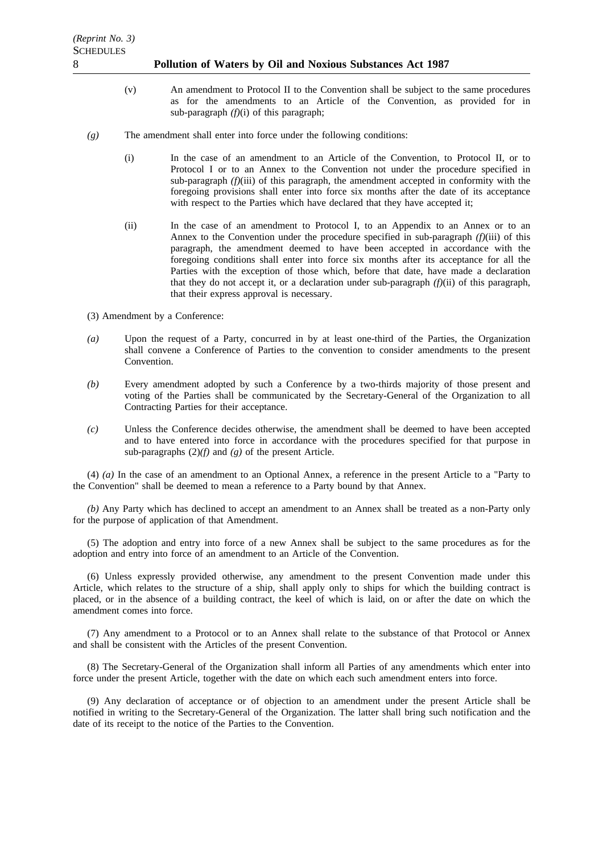- (v) An amendment to Protocol II to the Convention shall be subject to the same procedures as for the amendments to an Article of the Convention, as provided for in sub-paragraph *(f)*(i) of this paragraph;
- *(g)* The amendment shall enter into force under the following conditions:
	- (i) In the case of an amendment to an Article of the Convention, to Protocol II, or to Protocol I or to an Annex to the Convention not under the procedure specified in sub-paragraph  $(f)(iii)$  of this paragraph, the amendment accepted in conformity with the foregoing provisions shall enter into force six months after the date of its acceptance with respect to the Parties which have declared that they have accepted it;
	- (ii) In the case of an amendment to Protocol I, to an Appendix to an Annex or to an Annex to the Convention under the procedure specified in sub-paragraph *(f)*(iii) of this paragraph, the amendment deemed to have been accepted in accordance with the foregoing conditions shall enter into force six months after its acceptance for all the Parties with the exception of those which, before that date, have made a declaration that they do not accept it, or a declaration under sub-paragraph *(f)*(ii) of this paragraph, that their express approval is necessary.
- (3) Amendment by a Conference:
- *(a)* Upon the request of a Party, concurred in by at least one-third of the Parties, the Organization shall convene a Conference of Parties to the convention to consider amendments to the present Convention.
- *(b)* Every amendment adopted by such a Conference by a two-thirds majority of those present and voting of the Parties shall be communicated by the Secretary-General of the Organization to all Contracting Parties for their acceptance.
- *(c)* Unless the Conference decides otherwise, the amendment shall be deemed to have been accepted and to have entered into force in accordance with the procedures specified for that purpose in sub-paragraphs (2)*(f)* and *(g)* of the present Article.

(4) *(a)* In the case of an amendment to an Optional Annex, a reference in the present Article to a "Party to the Convention" shall be deemed to mean a reference to a Party bound by that Annex.

*(b)* Any Party which has declined to accept an amendment to an Annex shall be treated as a non-Party only for the purpose of application of that Amendment.

(5) The adoption and entry into force of a new Annex shall be subject to the same procedures as for the adoption and entry into force of an amendment to an Article of the Convention.

(6) Unless expressly provided otherwise, any amendment to the present Convention made under this Article, which relates to the structure of a ship, shall apply only to ships for which the building contract is placed, or in the absence of a building contract, the keel of which is laid, on or after the date on which the amendment comes into force.

(7) Any amendment to a Protocol or to an Annex shall relate to the substance of that Protocol or Annex and shall be consistent with the Articles of the present Convention.

(8) The Secretary-General of the Organization shall inform all Parties of any amendments which enter into force under the present Article, together with the date on which each such amendment enters into force.

(9) Any declaration of acceptance or of objection to an amendment under the present Article shall be notified in writing to the Secretary-General of the Organization. The latter shall bring such notification and the date of its receipt to the notice of the Parties to the Convention.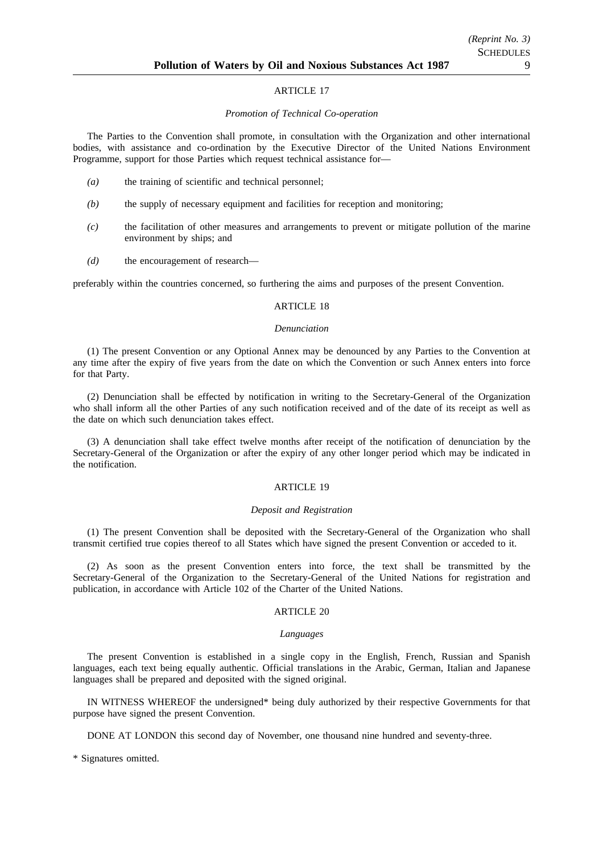## ARTICLE 17

### *Promotion of Technical Co-operation*

The Parties to the Convention shall promote, in consultation with the Organization and other international bodies, with assistance and co-ordination by the Executive Director of the United Nations Environment Programme, support for those Parties which request technical assistance for—

- *(a)* the training of scientific and technical personnel;
- *(b)* the supply of necessary equipment and facilities for reception and monitoring;
- *(c)* the facilitation of other measures and arrangements to prevent or mitigate pollution of the marine environment by ships; and
- *(d)* the encouragement of research—

preferably within the countries concerned, so furthering the aims and purposes of the present Convention.

# ARTICLE 18

#### *Denunciation*

(1) The present Convention or any Optional Annex may be denounced by any Parties to the Convention at any time after the expiry of five years from the date on which the Convention or such Annex enters into force for that Party.

(2) Denunciation shall be effected by notification in writing to the Secretary-General of the Organization who shall inform all the other Parties of any such notification received and of the date of its receipt as well as the date on which such denunciation takes effect.

(3) A denunciation shall take effect twelve months after receipt of the notification of denunciation by the Secretary-General of the Organization or after the expiry of any other longer period which may be indicated in the notification.

# ARTICLE 19

#### *Deposit and Registration*

(1) The present Convention shall be deposited with the Secretary-General of the Organization who shall transmit certified true copies thereof to all States which have signed the present Convention or acceded to it.

(2) As soon as the present Convention enters into force, the text shall be transmitted by the Secretary-General of the Organization to the Secretary-General of the United Nations for registration and publication, in accordance with Article 102 of the Charter of the United Nations.

### ARTICLE 20

#### *Languages*

The present Convention is established in a single copy in the English, French, Russian and Spanish languages, each text being equally authentic. Official translations in the Arabic, German, Italian and Japanese languages shall be prepared and deposited with the signed original.

IN WITNESS WHEREOF the undersigned\* being duly authorized by their respective Governments for that purpose have signed the present Convention.

DONE AT LONDON this second day of November, one thousand nine hundred and seventy-three.

\* Signatures omitted.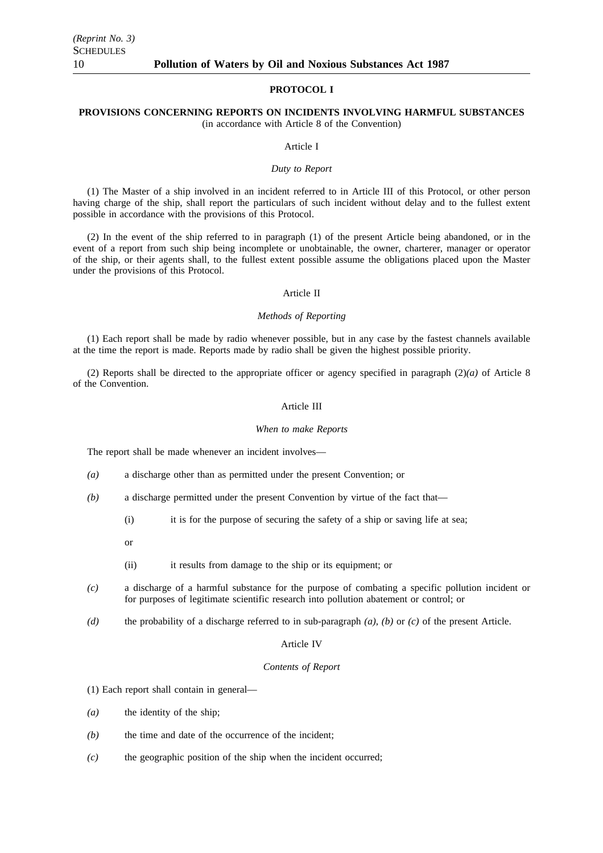#### **PROTOCOL I**

## **PROVISIONS CONCERNING REPORTS ON INCIDENTS INVOLVING HARMFUL SUBSTANCES** (in accordance with Article 8 of the Convention)

#### Article I

#### *Duty to Report*

(1) The Master of a ship involved in an incident referred to in Article III of this Protocol, or other person having charge of the ship, shall report the particulars of such incident without delay and to the fullest extent possible in accordance with the provisions of this Protocol.

(2) In the event of the ship referred to in paragraph (1) of the present Article being abandoned, or in the event of a report from such ship being incomplete or unobtainable, the owner, charterer, manager or operator of the ship, or their agents shall, to the fullest extent possible assume the obligations placed upon the Master under the provisions of this Protocol.

## Article II

## *Methods of Reporting*

(1) Each report shall be made by radio whenever possible, but in any case by the fastest channels available at the time the report is made. Reports made by radio shall be given the highest possible priority.

(2) Reports shall be directed to the appropriate officer or agency specified in paragraph  $(2)(a)$  of Article 8 of the Convention.

### Article III

#### *When to make Reports*

The report shall be made whenever an incident involves—

- *(a)* a discharge other than as permitted under the present Convention; or
- *(b)* a discharge permitted under the present Convention by virtue of the fact that—
	- (i) it is for the purpose of securing the safety of a ship or saving life at sea;
	- or
	- (ii) it results from damage to the ship or its equipment; or
- *(c)* a discharge of a harmful substance for the purpose of combating a specific pollution incident or for purposes of legitimate scientific research into pollution abatement or control; or
- *(d)* the probability of a discharge referred to in sub-paragraph *(a)*, *(b)* or *(c)* of the present Article.

#### Article IV

#### *Contents of Report*

- (1) Each report shall contain in general—
- *(a)* the identity of the ship;
- *(b)* the time and date of the occurrence of the incident;
- *(c)* the geographic position of the ship when the incident occurred;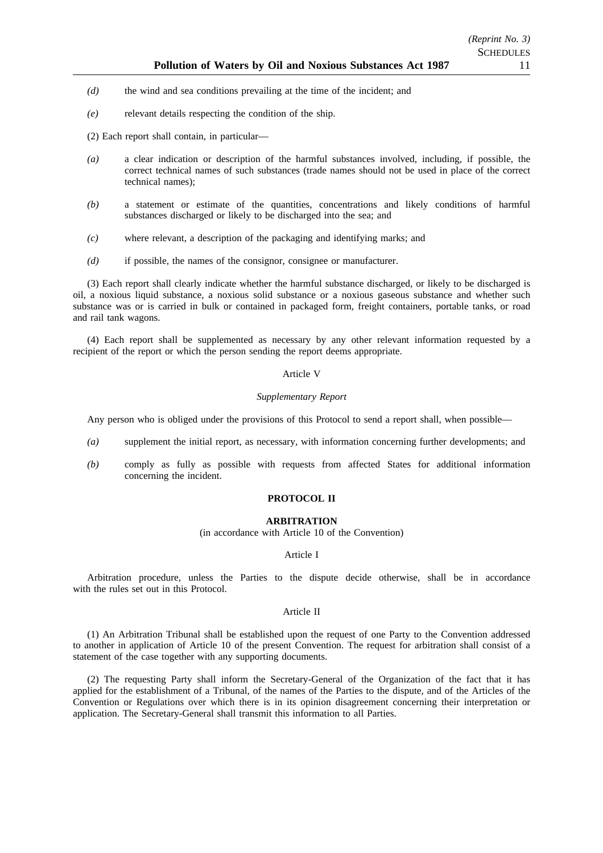- *(d)* the wind and sea conditions prevailing at the time of the incident; and
- *(e)* relevant details respecting the condition of the ship.
- (2) Each report shall contain, in particular—
- *(a)* a clear indication or description of the harmful substances involved, including, if possible, the correct technical names of such substances (trade names should not be used in place of the correct technical names);
- *(b)* a statement or estimate of the quantities, concentrations and likely conditions of harmful substances discharged or likely to be discharged into the sea; and
- *(c)* where relevant, a description of the packaging and identifying marks; and
- *(d)* if possible, the names of the consignor, consignee or manufacturer.

(3) Each report shall clearly indicate whether the harmful substance discharged, or likely to be discharged is oil, a noxious liquid substance, a noxious solid substance or a noxious gaseous substance and whether such substance was or is carried in bulk or contained in packaged form, freight containers, portable tanks, or road and rail tank wagons.

(4) Each report shall be supplemented as necessary by any other relevant information requested by a recipient of the report or which the person sending the report deems appropriate.

## Article V

### *Supplementary Report*

Any person who is obliged under the provisions of this Protocol to send a report shall, when possible—

- *(a)* supplement the initial report, as necessary, with information concerning further developments; and
- *(b)* comply as fully as possible with requests from affected States for additional information concerning the incident.

## **PROTOCOL II**

### **ARBITRATION**

(in accordance with Article 10 of the Convention)

#### Article I

Arbitration procedure, unless the Parties to the dispute decide otherwise, shall be in accordance with the rules set out in this Protocol.

#### Article II

(1) An Arbitration Tribunal shall be established upon the request of one Party to the Convention addressed to another in application of Article 10 of the present Convention. The request for arbitration shall consist of a statement of the case together with any supporting documents.

(2) The requesting Party shall inform the Secretary-General of the Organization of the fact that it has applied for the establishment of a Tribunal, of the names of the Parties to the dispute, and of the Articles of the Convention or Regulations over which there is in its opinion disagreement concerning their interpretation or application. The Secretary-General shall transmit this information to all Parties.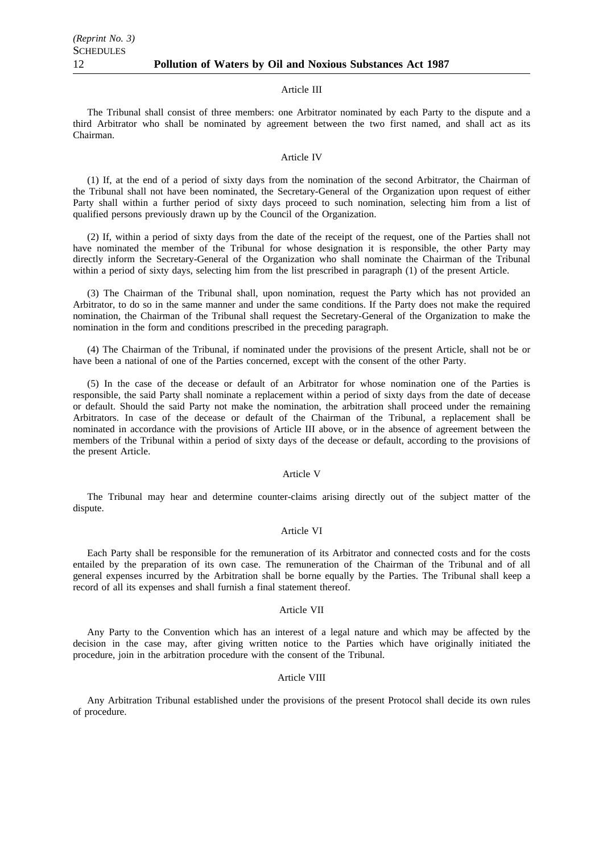#### Article III

The Tribunal shall consist of three members: one Arbitrator nominated by each Party to the dispute and a third Arbitrator who shall be nominated by agreement between the two first named, and shall act as its Chairman.

#### Article IV

(1) If, at the end of a period of sixty days from the nomination of the second Arbitrator, the Chairman of the Tribunal shall not have been nominated, the Secretary-General of the Organization upon request of either Party shall within a further period of sixty days proceed to such nomination, selecting him from a list of qualified persons previously drawn up by the Council of the Organization.

(2) If, within a period of sixty days from the date of the receipt of the request, one of the Parties shall not have nominated the member of the Tribunal for whose designation it is responsible, the other Party may directly inform the Secretary-General of the Organization who shall nominate the Chairman of the Tribunal within a period of sixty days, selecting him from the list prescribed in paragraph (1) of the present Article.

(3) The Chairman of the Tribunal shall, upon nomination, request the Party which has not provided an Arbitrator, to do so in the same manner and under the same conditions. If the Party does not make the required nomination, the Chairman of the Tribunal shall request the Secretary-General of the Organization to make the nomination in the form and conditions prescribed in the preceding paragraph.

(4) The Chairman of the Tribunal, if nominated under the provisions of the present Article, shall not be or have been a national of one of the Parties concerned, except with the consent of the other Party.

(5) In the case of the decease or default of an Arbitrator for whose nomination one of the Parties is responsible, the said Party shall nominate a replacement within a period of sixty days from the date of decease or default. Should the said Party not make the nomination, the arbitration shall proceed under the remaining Arbitrators. In case of the decease or default of the Chairman of the Tribunal, a replacement shall be nominated in accordance with the provisions of Article III above, or in the absence of agreement between the members of the Tribunal within a period of sixty days of the decease or default, according to the provisions of the present Article.

### Article V

The Tribunal may hear and determine counter-claims arising directly out of the subject matter of the dispute.

# Article VI

Each Party shall be responsible for the remuneration of its Arbitrator and connected costs and for the costs entailed by the preparation of its own case. The remuneration of the Chairman of the Tribunal and of all general expenses incurred by the Arbitration shall be borne equally by the Parties. The Tribunal shall keep a record of all its expenses and shall furnish a final statement thereof.

### Article VII

Any Party to the Convention which has an interest of a legal nature and which may be affected by the decision in the case may, after giving written notice to the Parties which have originally initiated the procedure, join in the arbitration procedure with the consent of the Tribunal.

## Article VIII

Any Arbitration Tribunal established under the provisions of the present Protocol shall decide its own rules of procedure.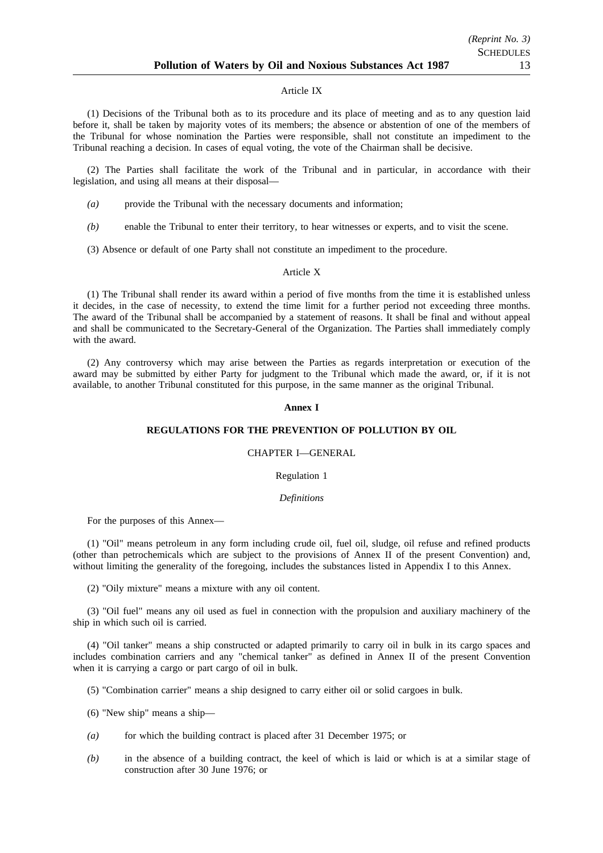## Article IX

(1) Decisions of the Tribunal both as to its procedure and its place of meeting and as to any question laid before it, shall be taken by majority votes of its members; the absence or abstention of one of the members of the Tribunal for whose nomination the Parties were responsible, shall not constitute an impediment to the Tribunal reaching a decision. In cases of equal voting, the vote of the Chairman shall be decisive.

(2) The Parties shall facilitate the work of the Tribunal and in particular, in accordance with their legislation, and using all means at their disposal—

- *(a)* provide the Tribunal with the necessary documents and information;
- *(b)* enable the Tribunal to enter their territory, to hear witnesses or experts, and to visit the scene.
- (3) Absence or default of one Party shall not constitute an impediment to the procedure.

## Article X

(1) The Tribunal shall render its award within a period of five months from the time it is established unless it decides, in the case of necessity, to extend the time limit for a further period not exceeding three months. The award of the Tribunal shall be accompanied by a statement of reasons. It shall be final and without appeal and shall be communicated to the Secretary-General of the Organization. The Parties shall immediately comply with the award.

(2) Any controversy which may arise between the Parties as regards interpretation or execution of the award may be submitted by either Party for judgment to the Tribunal which made the award, or, if it is not available, to another Tribunal constituted for this purpose, in the same manner as the original Tribunal.

# **Annex I**

## **REGULATIONS FOR THE PREVENTION OF POLLUTION BY OIL**

## CHAPTER I—GENERAL

#### Regulation 1

### *Definitions*

For the purposes of this Annex—

(1) "Oil" means petroleum in any form including crude oil, fuel oil, sludge, oil refuse and refined products (other than petrochemicals which are subject to the provisions of Annex II of the present Convention) and, without limiting the generality of the foregoing, includes the substances listed in Appendix I to this Annex.

(2) "Oily mixture" means a mixture with any oil content.

(3) "Oil fuel" means any oil used as fuel in connection with the propulsion and auxiliary machinery of the ship in which such oil is carried.

(4) "Oil tanker" means a ship constructed or adapted primarily to carry oil in bulk in its cargo spaces and includes combination carriers and any "chemical tanker" as defined in Annex II of the present Convention when it is carrying a cargo or part cargo of oil in bulk.

(5) "Combination carrier" means a ship designed to carry either oil or solid cargoes in bulk.

- (6) "New ship" means a ship—
- *(a)* for which the building contract is placed after 31 December 1975; or
- *(b)* in the absence of a building contract, the keel of which is laid or which is at a similar stage of construction after 30 June 1976; or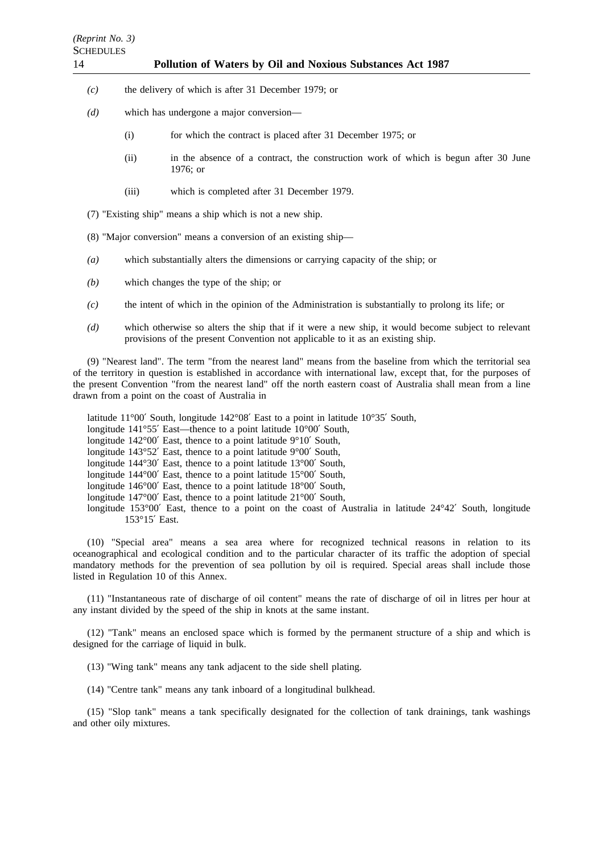- *(c)* the delivery of which is after 31 December 1979; or
- *(d)* which has undergone a major conversion—
	- (i) for which the contract is placed after 31 December 1975; or
	- (ii) in the absence of a contract, the construction work of which is begun after 30 June 1976; or
	- (iii) which is completed after 31 December 1979.
- (7) "Existing ship" means a ship which is not a new ship.
- (8) "Major conversion" means a conversion of an existing ship—
- *(a)* which substantially alters the dimensions or carrying capacity of the ship; or
- *(b)* which changes the type of the ship; or
- *(c)* the intent of which in the opinion of the Administration is substantially to prolong its life; or
- *(d)* which otherwise so alters the ship that if it were a new ship, it would become subject to relevant provisions of the present Convention not applicable to it as an existing ship.

(9) "Nearest land". The term "from the nearest land" means from the baseline from which the territorial sea of the territory in question is established in accordance with international law, except that, for the purposes of the present Convention "from the nearest land" off the north eastern coast of Australia shall mean from a line drawn from a point on the coast of Australia in

- latitude 11°00′ South, longitude 142°08′ East to a point in latitude 10°35′ South,
- longitude 141°55′ East—thence to a point latitude 10°00′ South,
- longitude 142°00′ East, thence to a point latitude 9°10′ South,
- longitude 143°52′ East, thence to a point latitude 9°00′ South,
- longitude 144°30′ East, thence to a point latitude 13°00′ South,
- longitude 144°00′ East, thence to a point latitude 15°00′ South,
- longitude 146°00′ East, thence to a point latitude 18°00′ South,
- longitude 147°00′ East, thence to a point latitude 21°00′ South,
- longitude 153°00′ East, thence to a point on the coast of Australia in latitude 24°42′ South, longitude 153°15′ East.

(10) "Special area" means a sea area where for recognized technical reasons in relation to its oceanographical and ecological condition and to the particular character of its traffic the adoption of special mandatory methods for the prevention of sea pollution by oil is required. Special areas shall include those listed in Regulation 10 of this Annex.

(11) "Instantaneous rate of discharge of oil content" means the rate of discharge of oil in litres per hour at any instant divided by the speed of the ship in knots at the same instant.

(12) "Tank" means an enclosed space which is formed by the permanent structure of a ship and which is designed for the carriage of liquid in bulk.

- (13) "Wing tank" means any tank adjacent to the side shell plating.
- (14) "Centre tank" means any tank inboard of a longitudinal bulkhead.

(15) "Slop tank" means a tank specifically designated for the collection of tank drainings, tank washings and other oily mixtures.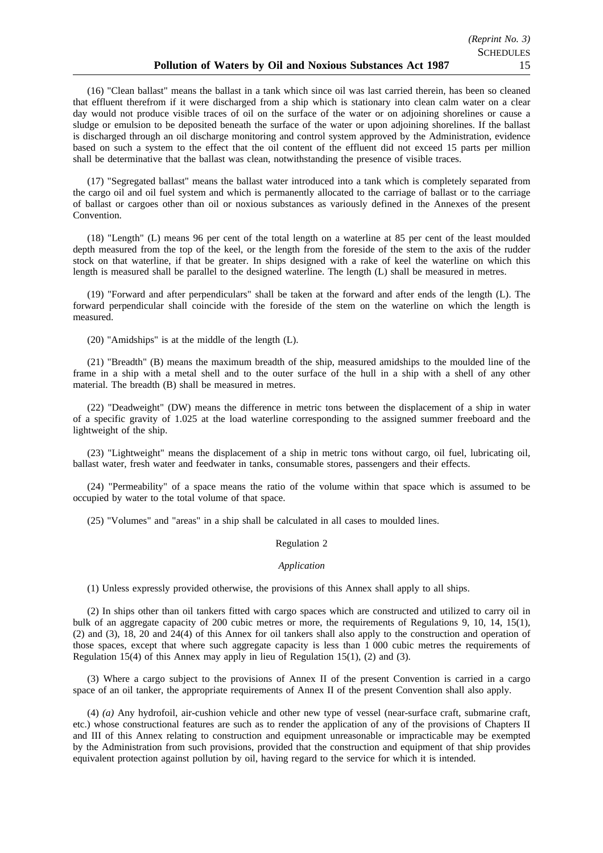(16) "Clean ballast" means the ballast in a tank which since oil was last carried therein, has been so cleaned that effluent therefrom if it were discharged from a ship which is stationary into clean calm water on a clear day would not produce visible traces of oil on the surface of the water or on adjoining shorelines or cause a sludge or emulsion to be deposited beneath the surface of the water or upon adjoining shorelines. If the ballast is discharged through an oil discharge monitoring and control system approved by the Administration, evidence based on such a system to the effect that the oil content of the effluent did not exceed 15 parts per million shall be determinative that the ballast was clean, notwithstanding the presence of visible traces.

(17) "Segregated ballast" means the ballast water introduced into a tank which is completely separated from the cargo oil and oil fuel system and which is permanently allocated to the carriage of ballast or to the carriage of ballast or cargoes other than oil or noxious substances as variously defined in the Annexes of the present Convention.

(18) "Length" (L) means 96 per cent of the total length on a waterline at 85 per cent of the least moulded depth measured from the top of the keel, or the length from the foreside of the stem to the axis of the rudder stock on that waterline, if that be greater. In ships designed with a rake of keel the waterline on which this length is measured shall be parallel to the designed waterline. The length (L) shall be measured in metres.

(19) "Forward and after perpendiculars" shall be taken at the forward and after ends of the length (L). The forward perpendicular shall coincide with the foreside of the stem on the waterline on which the length is measured.

(20) "Amidships" is at the middle of the length (L).

(21) "Breadth" (B) means the maximum breadth of the ship, measured amidships to the moulded line of the frame in a ship with a metal shell and to the outer surface of the hull in a ship with a shell of any other material. The breadth (B) shall be measured in metres.

(22) "Deadweight" (DW) means the difference in metric tons between the displacement of a ship in water of a specific gravity of 1.025 at the load waterline corresponding to the assigned summer freeboard and the lightweight of the ship.

(23) "Lightweight" means the displacement of a ship in metric tons without cargo, oil fuel, lubricating oil, ballast water, fresh water and feedwater in tanks, consumable stores, passengers and their effects.

(24) "Permeability" of a space means the ratio of the volume within that space which is assumed to be occupied by water to the total volume of that space.

(25) "Volumes" and "areas" in a ship shall be calculated in all cases to moulded lines.

## Regulation 2

### *Application*

(1) Unless expressly provided otherwise, the provisions of this Annex shall apply to all ships.

(2) In ships other than oil tankers fitted with cargo spaces which are constructed and utilized to carry oil in bulk of an aggregate capacity of 200 cubic metres or more, the requirements of Regulations 9, 10, 14, 15(1), (2) and (3), 18, 20 and 24(4) of this Annex for oil tankers shall also apply to the construction and operation of those spaces, except that where such aggregate capacity is less than 1 000 cubic metres the requirements of Regulation 15(4) of this Annex may apply in lieu of Regulation 15(1), (2) and (3).

(3) Where a cargo subject to the provisions of Annex II of the present Convention is carried in a cargo space of an oil tanker, the appropriate requirements of Annex II of the present Convention shall also apply.

(4) *(a)* Any hydrofoil, air-cushion vehicle and other new type of vessel (near-surface craft, submarine craft, etc.) whose constructional features are such as to render the application of any of the provisions of Chapters II and III of this Annex relating to construction and equipment unreasonable or impracticable may be exempted by the Administration from such provisions, provided that the construction and equipment of that ship provides equivalent protection against pollution by oil, having regard to the service for which it is intended.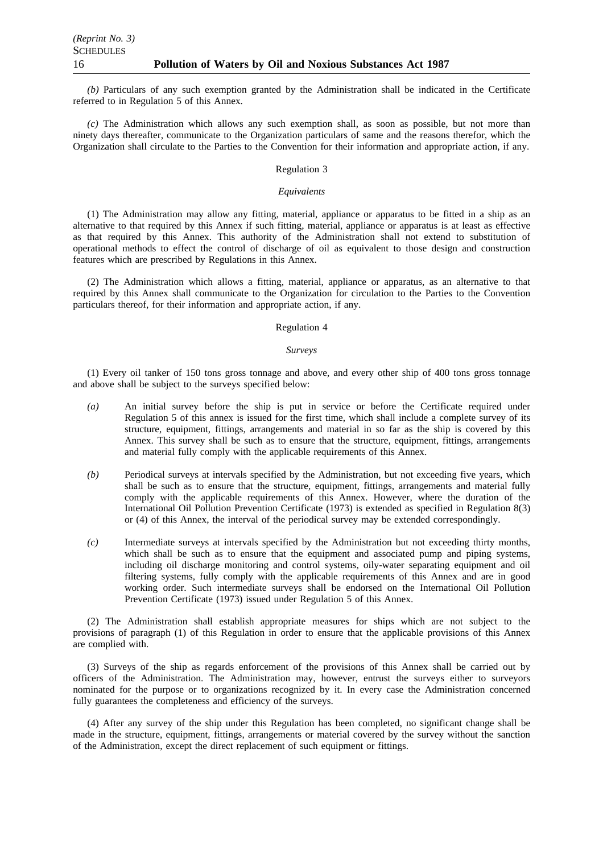*(b)* Particulars of any such exemption granted by the Administration shall be indicated in the Certificate referred to in Regulation 5 of this Annex.

*(c)* The Administration which allows any such exemption shall, as soon as possible, but not more than ninety days thereafter, communicate to the Organization particulars of same and the reasons therefor, which the Organization shall circulate to the Parties to the Convention for their information and appropriate action, if any.

### Regulation 3

### *Equivalents*

(1) The Administration may allow any fitting, material, appliance or apparatus to be fitted in a ship as an alternative to that required by this Annex if such fitting, material, appliance or apparatus is at least as effective as that required by this Annex. This authority of the Administration shall not extend to substitution of operational methods to effect the control of discharge of oil as equivalent to those design and construction features which are prescribed by Regulations in this Annex.

(2) The Administration which allows a fitting, material, appliance or apparatus, as an alternative to that required by this Annex shall communicate to the Organization for circulation to the Parties to the Convention particulars thereof, for their information and appropriate action, if any.

# Regulation 4

# *Surveys*

(1) Every oil tanker of 150 tons gross tonnage and above, and every other ship of 400 tons gross tonnage and above shall be subject to the surveys specified below:

- *(a)* An initial survey before the ship is put in service or before the Certificate required under Regulation 5 of this annex is issued for the first time, which shall include a complete survey of its structure, equipment, fittings, arrangements and material in so far as the ship is covered by this Annex. This survey shall be such as to ensure that the structure, equipment, fittings, arrangements and material fully comply with the applicable requirements of this Annex.
- *(b)* Periodical surveys at intervals specified by the Administration, but not exceeding five years, which shall be such as to ensure that the structure, equipment, fittings, arrangements and material fully comply with the applicable requirements of this Annex. However, where the duration of the International Oil Pollution Prevention Certificate (1973) is extended as specified in Regulation 8(3) or (4) of this Annex, the interval of the periodical survey may be extended correspondingly.
- *(c)* Intermediate surveys at intervals specified by the Administration but not exceeding thirty months, which shall be such as to ensure that the equipment and associated pump and piping systems, including oil discharge monitoring and control systems, oily-water separating equipment and oil filtering systems, fully comply with the applicable requirements of this Annex and are in good working order. Such intermediate surveys shall be endorsed on the International Oil Pollution Prevention Certificate (1973) issued under Regulation 5 of this Annex.

(2) The Administration shall establish appropriate measures for ships which are not subject to the provisions of paragraph (1) of this Regulation in order to ensure that the applicable provisions of this Annex are complied with.

(3) Surveys of the ship as regards enforcement of the provisions of this Annex shall be carried out by officers of the Administration. The Administration may, however, entrust the surveys either to surveyors nominated for the purpose or to organizations recognized by it. In every case the Administration concerned fully guarantees the completeness and efficiency of the surveys.

(4) After any survey of the ship under this Regulation has been completed, no significant change shall be made in the structure, equipment, fittings, arrangements or material covered by the survey without the sanction of the Administration, except the direct replacement of such equipment or fittings.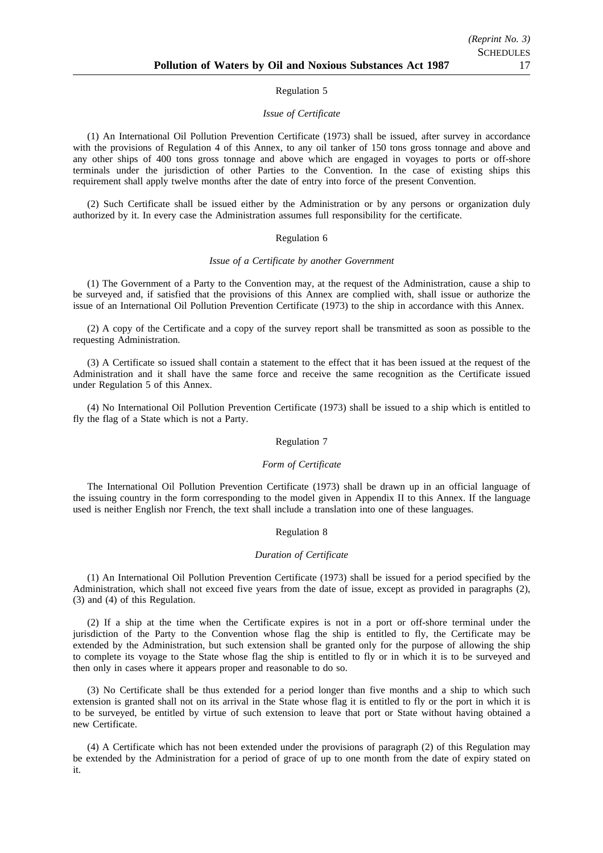## Regulation 5

### *Issue of Certificate*

(1) An International Oil Pollution Prevention Certificate (1973) shall be issued, after survey in accordance with the provisions of Regulation 4 of this Annex, to any oil tanker of 150 tons gross tonnage and above and any other ships of 400 tons gross tonnage and above which are engaged in voyages to ports or off-shore terminals under the jurisdiction of other Parties to the Convention. In the case of existing ships this requirement shall apply twelve months after the date of entry into force of the present Convention.

(2) Such Certificate shall be issued either by the Administration or by any persons or organization duly authorized by it. In every case the Administration assumes full responsibility for the certificate.

### Regulation 6

#### *Issue of a Certificate by another Government*

(1) The Government of a Party to the Convention may, at the request of the Administration, cause a ship to be surveyed and, if satisfied that the provisions of this Annex are complied with, shall issue or authorize the issue of an International Oil Pollution Prevention Certificate (1973) to the ship in accordance with this Annex.

(2) A copy of the Certificate and a copy of the survey report shall be transmitted as soon as possible to the requesting Administration.

(3) A Certificate so issued shall contain a statement to the effect that it has been issued at the request of the Administration and it shall have the same force and receive the same recognition as the Certificate issued under Regulation 5 of this Annex.

(4) No International Oil Pollution Prevention Certificate (1973) shall be issued to a ship which is entitled to fly the flag of a State which is not a Party.

## Regulation 7

## *Form of Certificate*

The International Oil Pollution Prevention Certificate (1973) shall be drawn up in an official language of the issuing country in the form corresponding to the model given in Appendix II to this Annex. If the language used is neither English nor French, the text shall include a translation into one of these languages.

## Regulation 8

## *Duration of Certificate*

(1) An International Oil Pollution Prevention Certificate (1973) shall be issued for a period specified by the Administration, which shall not exceed five years from the date of issue, except as provided in paragraphs (2), (3) and (4) of this Regulation.

(2) If a ship at the time when the Certificate expires is not in a port or off-shore terminal under the jurisdiction of the Party to the Convention whose flag the ship is entitled to fly, the Certificate may be extended by the Administration, but such extension shall be granted only for the purpose of allowing the ship to complete its voyage to the State whose flag the ship is entitled to fly or in which it is to be surveyed and then only in cases where it appears proper and reasonable to do so.

(3) No Certificate shall be thus extended for a period longer than five months and a ship to which such extension is granted shall not on its arrival in the State whose flag it is entitled to fly or the port in which it is to be surveyed, be entitled by virtue of such extension to leave that port or State without having obtained a new Certificate.

(4) A Certificate which has not been extended under the provisions of paragraph (2) of this Regulation may be extended by the Administration for a period of grace of up to one month from the date of expiry stated on it.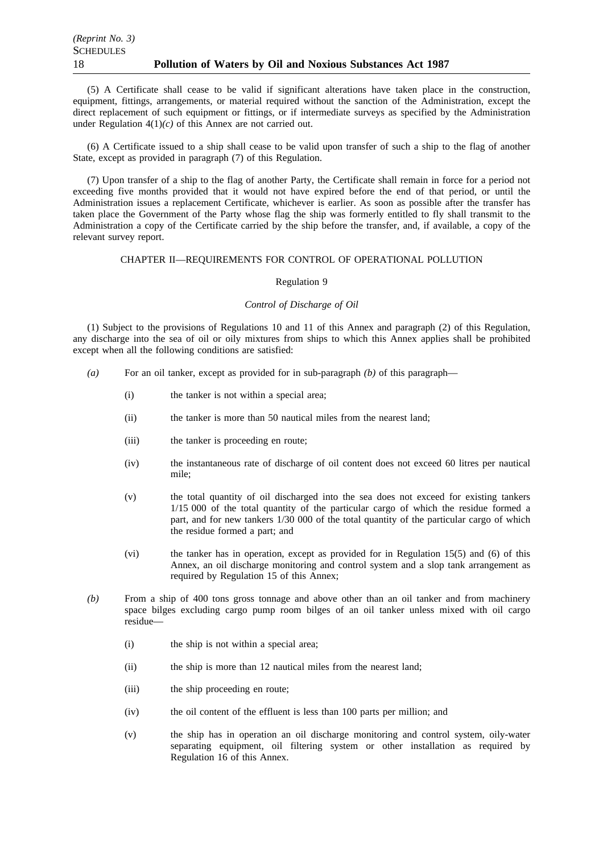(5) A Certificate shall cease to be valid if significant alterations have taken place in the construction, equipment, fittings, arrangements, or material required without the sanction of the Administration, except the direct replacement of such equipment or fittings, or if intermediate surveys as specified by the Administration under Regulation  $4(1)(c)$  of this Annex are not carried out.

(6) A Certificate issued to a ship shall cease to be valid upon transfer of such a ship to the flag of another State, except as provided in paragraph (7) of this Regulation.

(7) Upon transfer of a ship to the flag of another Party, the Certificate shall remain in force for a period not exceeding five months provided that it would not have expired before the end of that period, or until the Administration issues a replacement Certificate, whichever is earlier. As soon as possible after the transfer has taken place the Government of the Party whose flag the ship was formerly entitled to fly shall transmit to the Administration a copy of the Certificate carried by the ship before the transfer, and, if available, a copy of the relevant survey report.

# CHAPTER II—REQUIREMENTS FOR CONTROL OF OPERATIONAL POLLUTION

## Regulation 9

# *Control of Discharge of Oil*

(1) Subject to the provisions of Regulations 10 and 11 of this Annex and paragraph (2) of this Regulation, any discharge into the sea of oil or oily mixtures from ships to which this Annex applies shall be prohibited except when all the following conditions are satisfied:

- *(a)* For an oil tanker, except as provided for in sub-paragraph *(b)* of this paragraph—
	- (i) the tanker is not within a special area;
	- (ii) the tanker is more than 50 nautical miles from the nearest land;
	- (iii) the tanker is proceeding en route;
	- (iv) the instantaneous rate of discharge of oil content does not exceed 60 litres per nautical mile;
	- (v) the total quantity of oil discharged into the sea does not exceed for existing tankers 1/15 000 of the total quantity of the particular cargo of which the residue formed a part, and for new tankers 1/30 000 of the total quantity of the particular cargo of which the residue formed a part; and
	- (vi) the tanker has in operation, except as provided for in Regulation 15(5) and (6) of this Annex, an oil discharge monitoring and control system and a slop tank arrangement as required by Regulation 15 of this Annex;
- *(b)* From a ship of 400 tons gross tonnage and above other than an oil tanker and from machinery space bilges excluding cargo pump room bilges of an oil tanker unless mixed with oil cargo residue—
	- (i) the ship is not within a special area;
	- (ii) the ship is more than 12 nautical miles from the nearest land;
	- (iii) the ship proceeding en route;
	- (iv) the oil content of the effluent is less than 100 parts per million; and
	- (v) the ship has in operation an oil discharge monitoring and control system, oily-water separating equipment, oil filtering system or other installation as required by Regulation 16 of this Annex.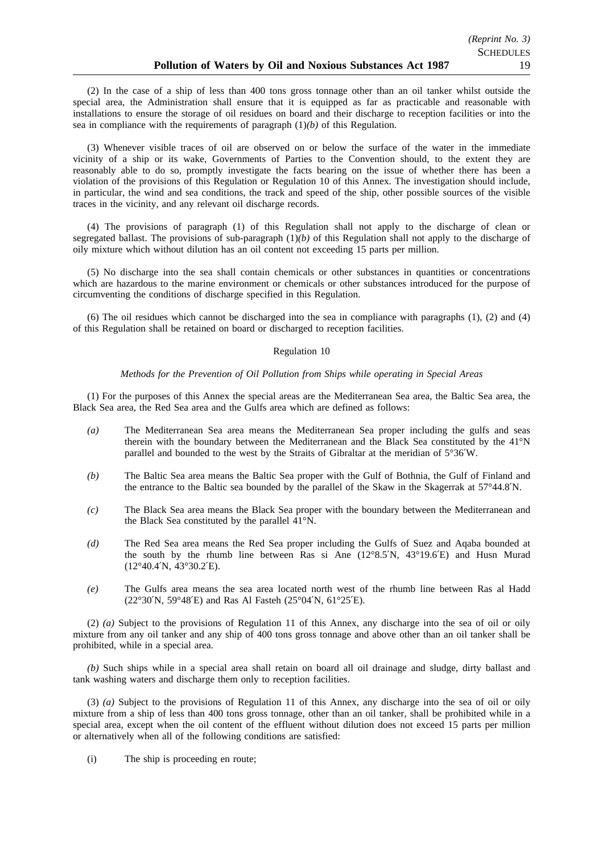(2) In the case of a ship of less than 400 tons gross tonnage other than an oil tanker whilst outside the special area, the Administration shall ensure that it is equipped as far as practicable and reasonable with installations to ensure the storage of oil residues on board and their discharge to reception facilities or into the sea in compliance with the requirements of paragraph (1)*(b)* of this Regulation.

(3) Whenever visible traces of oil are observed on or below the surface of the water in the immediate vicinity of a ship or its wake, Governments of Parties to the Convention should, to the extent they are reasonably able to do so, promptly investigate the facts bearing on the issue of whether there has been a violation of the provisions of this Regulation or Regulation 10 of this Annex. The investigation should include, in particular, the wind and sea conditions, the track and speed of the ship, other possible sources of the visible traces in the vicinity, and any relevant oil discharge records.

(4) The provisions of paragraph (1) of this Regulation shall not apply to the discharge of clean or segregated ballast. The provisions of sub-paragraph  $(1)(b)$  of this Regulation shall not apply to the discharge of oily mixture which without dilution has an oil content not exceeding 15 parts per million.

(5) No discharge into the sea shall contain chemicals or other substances in quantities or concentrations which are hazardous to the marine environment or chemicals or other substances introduced for the purpose of circumventing the conditions of discharge specified in this Regulation.

(6) The oil residues which cannot be discharged into the sea in compliance with paragraphs (1), (2) and (4) of this Regulation shall be retained on board or discharged to reception facilities.

# Regulation 10

## *Methods for the Prevention of Oil Pollution from Ships while operating in Special Areas*

(1) For the purposes of this Annex the special areas are the Mediterranean Sea area, the Baltic Sea area, the Black Sea area, the Red Sea area and the Gulfs area which are defined as follows:

- *(a)* The Mediterranean Sea area means the Mediterranean Sea proper including the gulfs and seas therein with the boundary between the Mediterranean and the Black Sea constituted by the 41°N parallel and bounded to the west by the Straits of Gibraltar at the meridian of 5°36′W.
- *(b)* The Baltic Sea area means the Baltic Sea proper with the Gulf of Bothnia, the Gulf of Finland and the entrance to the Baltic sea bounded by the parallel of the Skaw in the Skagerrak at 57°44.8′N.
- *(c)* The Black Sea area means the Black Sea proper with the boundary between the Mediterranean and the Black Sea constituted by the parallel  $41^{\circ}$ N.
- *(d)* The Red Sea area means the Red Sea proper including the Gulfs of Suez and Aqaba bounded at the south by the rhumb line between Ras si Ane (12°8.5′N, 43°19.6′E) and Husn Murad (12°40.4′N, 43°30.2′E).
- *(e)* The Gulfs area means the sea area located north west of the rhumb line between Ras al Hadd (22°30′N, 59°48′E) and Ras Al Fasteh (25°04′N, 61°25′E).

(2) *(a)* Subject to the provisions of Regulation 11 of this Annex, any discharge into the sea of oil or oily mixture from any oil tanker and any ship of 400 tons gross tonnage and above other than an oil tanker shall be prohibited, while in a special area.

*(b)* Such ships while in a special area shall retain on board all oil drainage and sludge, dirty ballast and tank washing waters and discharge them only to reception facilities.

(3) *(a)* Subject to the provisions of Regulation 11 of this Annex, any discharge into the sea of oil or oily mixture from a ship of less than 400 tons gross tonnage, other than an oil tanker, shall be prohibited while in a special area, except when the oil content of the effluent without dilution does not exceed 15 parts per million or alternatively when all of the following conditions are satisfied:

(i) The ship is proceeding en route;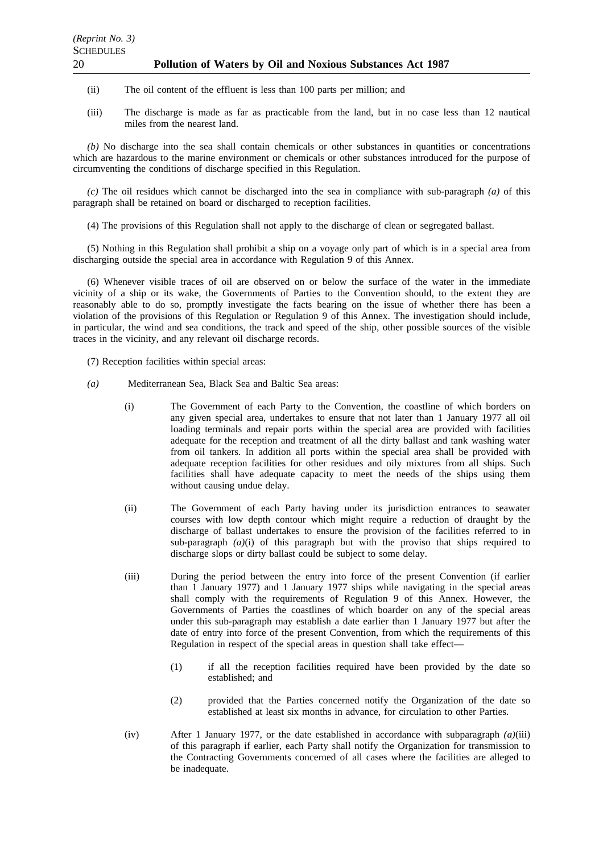- (ii) The oil content of the effluent is less than 100 parts per million; and
- (iii) The discharge is made as far as practicable from the land, but in no case less than 12 nautical miles from the nearest land.

*(b)* No discharge into the sea shall contain chemicals or other substances in quantities or concentrations which are hazardous to the marine environment or chemicals or other substances introduced for the purpose of circumventing the conditions of discharge specified in this Regulation.

*(c)* The oil residues which cannot be discharged into the sea in compliance with sub-paragraph *(a)* of this paragraph shall be retained on board or discharged to reception facilities.

(4) The provisions of this Regulation shall not apply to the discharge of clean or segregated ballast.

(5) Nothing in this Regulation shall prohibit a ship on a voyage only part of which is in a special area from discharging outside the special area in accordance with Regulation 9 of this Annex.

(6) Whenever visible traces of oil are observed on or below the surface of the water in the immediate vicinity of a ship or its wake, the Governments of Parties to the Convention should, to the extent they are reasonably able to do so, promptly investigate the facts bearing on the issue of whether there has been a violation of the provisions of this Regulation or Regulation 9 of this Annex. The investigation should include, in particular, the wind and sea conditions, the track and speed of the ship, other possible sources of the visible traces in the vicinity, and any relevant oil discharge records.

- (7) Reception facilities within special areas:
- *(a)* Mediterranean Sea, Black Sea and Baltic Sea areas:
	- (i) The Government of each Party to the Convention, the coastline of which borders on any given special area, undertakes to ensure that not later than 1 January 1977 all oil loading terminals and repair ports within the special area are provided with facilities adequate for the reception and treatment of all the dirty ballast and tank washing water from oil tankers. In addition all ports within the special area shall be provided with adequate reception facilities for other residues and oily mixtures from all ships. Such facilities shall have adequate capacity to meet the needs of the ships using them without causing undue delay.
	- (ii) The Government of each Party having under its jurisdiction entrances to seawater courses with low depth contour which might require a reduction of draught by the discharge of ballast undertakes to ensure the provision of the facilities referred to in sub-paragraph  $(a)(i)$  of this paragraph but with the proviso that ships required to discharge slops or dirty ballast could be subject to some delay.
	- (iii) During the period between the entry into force of the present Convention (if earlier than 1 January 1977) and 1 January 1977 ships while navigating in the special areas shall comply with the requirements of Regulation 9 of this Annex. However, the Governments of Parties the coastlines of which boarder on any of the special areas under this sub-paragraph may establish a date earlier than 1 January 1977 but after the date of entry into force of the present Convention, from which the requirements of this Regulation in respect of the special areas in question shall take effect—
		- (1) if all the reception facilities required have been provided by the date so established; and
		- (2) provided that the Parties concerned notify the Organization of the date so established at least six months in advance, for circulation to other Parties.
	- (iv) After 1 January 1977, or the date established in accordance with subparagraph *(a)*(iii) of this paragraph if earlier, each Party shall notify the Organization for transmission to the Contracting Governments concerned of all cases where the facilities are alleged to be inadequate.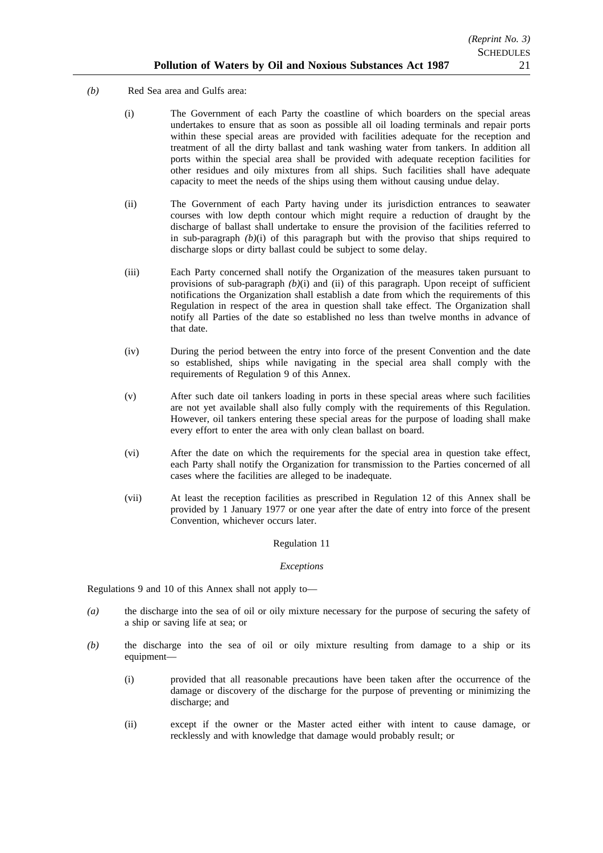- *(b)* Red Sea area and Gulfs area:
	- (i) The Government of each Party the coastline of which boarders on the special areas undertakes to ensure that as soon as possible all oil loading terminals and repair ports within these special areas are provided with facilities adequate for the reception and treatment of all the dirty ballast and tank washing water from tankers. In addition all ports within the special area shall be provided with adequate reception facilities for other residues and oily mixtures from all ships. Such facilities shall have adequate capacity to meet the needs of the ships using them without causing undue delay.
	- (ii) The Government of each Party having under its jurisdiction entrances to seawater courses with low depth contour which might require a reduction of draught by the discharge of ballast shall undertake to ensure the provision of the facilities referred to in sub-paragraph *(b)*(i) of this paragraph but with the proviso that ships required to discharge slops or dirty ballast could be subject to some delay.
	- (iii) Each Party concerned shall notify the Organization of the measures taken pursuant to provisions of sub-paragraph  $(b)(i)$  and  $(ii)$  of this paragraph. Upon receipt of sufficient notifications the Organization shall establish a date from which the requirements of this Regulation in respect of the area in question shall take effect. The Organization shall notify all Parties of the date so established no less than twelve months in advance of that date.
	- (iv) During the period between the entry into force of the present Convention and the date so established, ships while navigating in the special area shall comply with the requirements of Regulation 9 of this Annex.
	- (v) After such date oil tankers loading in ports in these special areas where such facilities are not yet available shall also fully comply with the requirements of this Regulation. However, oil tankers entering these special areas for the purpose of loading shall make every effort to enter the area with only clean ballast on board.
	- (vi) After the date on which the requirements for the special area in question take effect, each Party shall notify the Organization for transmission to the Parties concerned of all cases where the facilities are alleged to be inadequate.
	- (vii) At least the reception facilities as prescribed in Regulation 12 of this Annex shall be provided by 1 January 1977 or one year after the date of entry into force of the present Convention, whichever occurs later.

## Regulation 11

## *Exceptions*

Regulations 9 and 10 of this Annex shall not apply to—

- *(a)* the discharge into the sea of oil or oily mixture necessary for the purpose of securing the safety of a ship or saving life at sea; or
- *(b)* the discharge into the sea of oil or oily mixture resulting from damage to a ship or its equipment—
	- (i) provided that all reasonable precautions have been taken after the occurrence of the damage or discovery of the discharge for the purpose of preventing or minimizing the discharge; and
	- (ii) except if the owner or the Master acted either with intent to cause damage, or recklessly and with knowledge that damage would probably result; or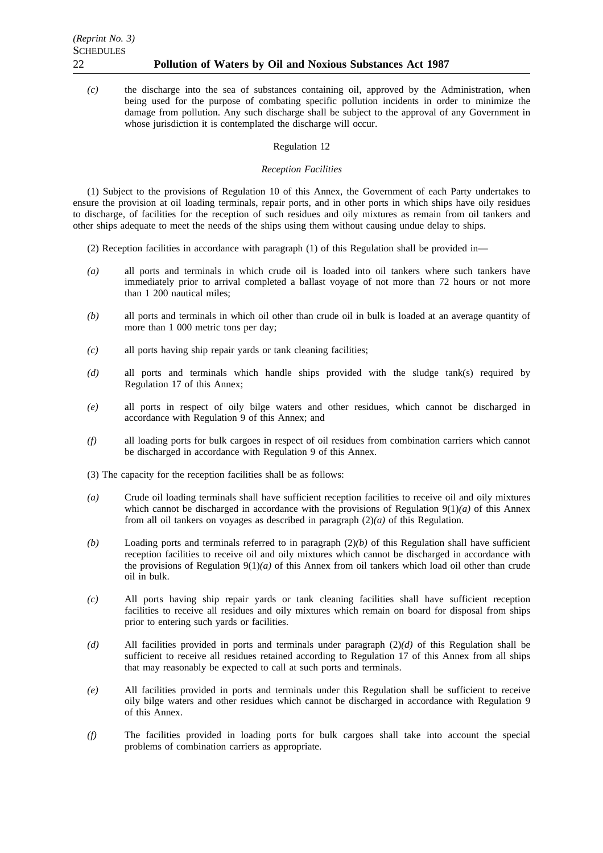*(c)* the discharge into the sea of substances containing oil, approved by the Administration, when being used for the purpose of combating specific pollution incidents in order to minimize the damage from pollution. Any such discharge shall be subject to the approval of any Government in whose jurisdiction it is contemplated the discharge will occur.

# Regulation 12

## *Reception Facilities*

(1) Subject to the provisions of Regulation 10 of this Annex, the Government of each Party undertakes to ensure the provision at oil loading terminals, repair ports, and in other ports in which ships have oily residues to discharge, of facilities for the reception of such residues and oily mixtures as remain from oil tankers and other ships adequate to meet the needs of the ships using them without causing undue delay to ships.

- (2) Reception facilities in accordance with paragraph (1) of this Regulation shall be provided in—
- *(a)* all ports and terminals in which crude oil is loaded into oil tankers where such tankers have immediately prior to arrival completed a ballast voyage of not more than 72 hours or not more than 1 200 nautical miles;
- *(b)* all ports and terminals in which oil other than crude oil in bulk is loaded at an average quantity of more than 1 000 metric tons per day;
- *(c)* all ports having ship repair yards or tank cleaning facilities;
- *(d)* all ports and terminals which handle ships provided with the sludge tank(s) required by Regulation 17 of this Annex;
- *(e)* all ports in respect of oily bilge waters and other residues, which cannot be discharged in accordance with Regulation 9 of this Annex; and
- *(f)* all loading ports for bulk cargoes in respect of oil residues from combination carriers which cannot be discharged in accordance with Regulation 9 of this Annex.
- (3) The capacity for the reception facilities shall be as follows:
- *(a)* Crude oil loading terminals shall have sufficient reception facilities to receive oil and oily mixtures which cannot be discharged in accordance with the provisions of Regulation 9(1)*(a)* of this Annex from all oil tankers on voyages as described in paragraph (2)*(a)* of this Regulation.
- *(b)* Loading ports and terminals referred to in paragraph (2)*(b)* of this Regulation shall have sufficient reception facilities to receive oil and oily mixtures which cannot be discharged in accordance with the provisions of Regulation  $9(1)(a)$  of this Annex from oil tankers which load oil other than crude oil in bulk.
- *(c)* All ports having ship repair yards or tank cleaning facilities shall have sufficient reception facilities to receive all residues and oily mixtures which remain on board for disposal from ships prior to entering such yards or facilities.
- *(d)* All facilities provided in ports and terminals under paragraph (2)*(d)* of this Regulation shall be sufficient to receive all residues retained according to Regulation 17 of this Annex from all ships that may reasonably be expected to call at such ports and terminals.
- *(e)* All facilities provided in ports and terminals under this Regulation shall be sufficient to receive oily bilge waters and other residues which cannot be discharged in accordance with Regulation 9 of this Annex.
- *(f)* The facilities provided in loading ports for bulk cargoes shall take into account the special problems of combination carriers as appropriate.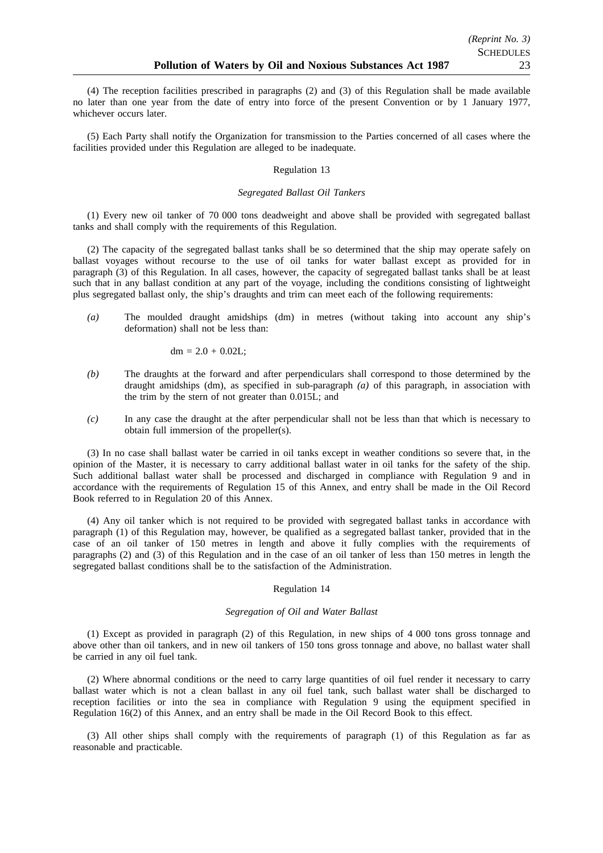(4) The reception facilities prescribed in paragraphs (2) and (3) of this Regulation shall be made available no later than one year from the date of entry into force of the present Convention or by 1 January 1977, whichever occurs later.

(5) Each Party shall notify the Organization for transmission to the Parties concerned of all cases where the facilities provided under this Regulation are alleged to be inadequate.

### Regulation 13

## *Segregated Ballast Oil Tankers*

(1) Every new oil tanker of 70 000 tons deadweight and above shall be provided with segregated ballast tanks and shall comply with the requirements of this Regulation.

(2) The capacity of the segregated ballast tanks shall be so determined that the ship may operate safely on ballast voyages without recourse to the use of oil tanks for water ballast except as provided for in paragraph (3) of this Regulation. In all cases, however, the capacity of segregated ballast tanks shall be at least such that in any ballast condition at any part of the voyage, including the conditions consisting of lightweight plus segregated ballast only, the ship's draughts and trim can meet each of the following requirements:

*(a)* The moulded draught amidships (dm) in metres (without taking into account any ship's deformation) shall not be less than:

$$
dm = 2.0 + 0.02L;
$$

- *(b)* The draughts at the forward and after perpendiculars shall correspond to those determined by the draught amidships (dm), as specified in sub-paragraph *(a)* of this paragraph, in association with the trim by the stern of not greater than 0.015L; and
- *(c)* In any case the draught at the after perpendicular shall not be less than that which is necessary to obtain full immersion of the propeller(s).

(3) In no case shall ballast water be carried in oil tanks except in weather conditions so severe that, in the opinion of the Master, it is necessary to carry additional ballast water in oil tanks for the safety of the ship. Such additional ballast water shall be processed and discharged in compliance with Regulation 9 and in accordance with the requirements of Regulation 15 of this Annex, and entry shall be made in the Oil Record Book referred to in Regulation 20 of this Annex.

(4) Any oil tanker which is not required to be provided with segregated ballast tanks in accordance with paragraph (1) of this Regulation may, however, be qualified as a segregated ballast tanker, provided that in the case of an oil tanker of 150 metres in length and above it fully complies with the requirements of paragraphs (2) and (3) of this Regulation and in the case of an oil tanker of less than 150 metres in length the segregated ballast conditions shall be to the satisfaction of the Administration.

## Regulation 14

#### *Segregation of Oil and Water Ballast*

(1) Except as provided in paragraph (2) of this Regulation, in new ships of 4 000 tons gross tonnage and above other than oil tankers, and in new oil tankers of 150 tons gross tonnage and above, no ballast water shall be carried in any oil fuel tank.

(2) Where abnormal conditions or the need to carry large quantities of oil fuel render it necessary to carry ballast water which is not a clean ballast in any oil fuel tank, such ballast water shall be discharged to reception facilities or into the sea in compliance with Regulation 9 using the equipment specified in Regulation 16(2) of this Annex, and an entry shall be made in the Oil Record Book to this effect.

(3) All other ships shall comply with the requirements of paragraph (1) of this Regulation as far as reasonable and practicable.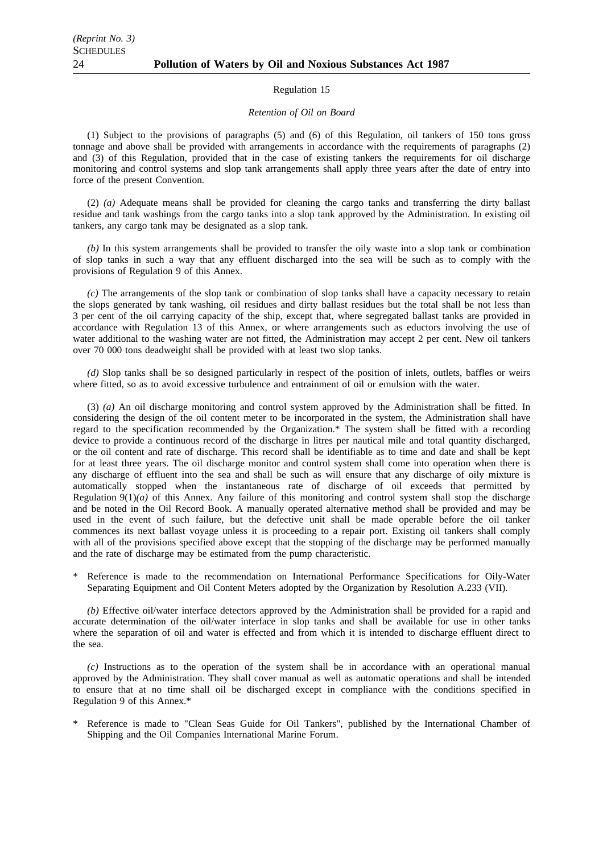### Regulation 15

#### *Retention of Oil on Board*

(1) Subject to the provisions of paragraphs (5) and (6) of this Regulation, oil tankers of 150 tons gross tonnage and above shall be provided with arrangements in accordance with the requirements of paragraphs (2) and (3) of this Regulation, provided that in the case of existing tankers the requirements for oil discharge monitoring and control systems and slop tank arrangements shall apply three years after the date of entry into force of the present Convention.

(2) *(a)* Adequate means shall be provided for cleaning the cargo tanks and transferring the dirty ballast residue and tank washings from the cargo tanks into a slop tank approved by the Administration. In existing oil tankers, any cargo tank may be designated as a slop tank.

*(b)* In this system arrangements shall be provided to transfer the oily waste into a slop tank or combination of slop tanks in such a way that any effluent discharged into the sea will be such as to comply with the provisions of Regulation 9 of this Annex.

*(c)* The arrangements of the slop tank or combination of slop tanks shall have a capacity necessary to retain the slops generated by tank washing, oil residues and dirty ballast residues but the total shall be not less than 3 per cent of the oil carrying capacity of the ship, except that, where segregated ballast tanks are provided in accordance with Regulation 13 of this Annex, or where arrangements such as eductors involving the use of water additional to the washing water are not fitted, the Administration may accept 2 per cent. New oil tankers over 70 000 tons deadweight shall be provided with at least two slop tanks.

*(d)* Slop tanks shall be so designed particularly in respect of the position of inlets, outlets, baffles or weirs where fitted, so as to avoid excessive turbulence and entrainment of oil or emulsion with the water.

(3) *(a)* An oil discharge monitoring and control system approved by the Administration shall be fitted. In considering the design of the oil content meter to be incorporated in the system, the Administration shall have regard to the specification recommended by the Organization.\* The system shall be fitted with a recording device to provide a continuous record of the discharge in litres per nautical mile and total quantity discharged, or the oil content and rate of discharge. This record shall be identifiable as to time and date and shall be kept for at least three years. The oil discharge monitor and control system shall come into operation when there is any discharge of effluent into the sea and shall be such as will ensure that any discharge of oily mixture is automatically stopped when the instantaneous rate of discharge of oil exceeds that permitted by Regulation  $9(1)(a)$  of this Annex. Any failure of this monitoring and control system shall stop the discharge and be noted in the Oil Record Book. A manually operated alternative method shall be provided and may be used in the event of such failure, but the defective unit shall be made operable before the oil tanker commences its next ballast voyage unless it is proceeding to a repair port. Existing oil tankers shall comply with all of the provisions specified above except that the stopping of the discharge may be performed manually and the rate of discharge may be estimated from the pump characteristic.

Reference is made to the recommendation on International Performance Specifications for Oily-Water Separating Equipment and Oil Content Meters adopted by the Organization by Resolution A.233 (VII).

*(b)* Effective oil/water interface detectors approved by the Administration shall be provided for a rapid and accurate determination of the oil/water interface in slop tanks and shall be available for use in other tanks where the separation of oil and water is effected and from which it is intended to discharge effluent direct to the sea.

*(c)* Instructions as to the operation of the system shall be in accordance with an operational manual approved by the Administration. They shall cover manual as well as automatic operations and shall be intended to ensure that at no time shall oil be discharged except in compliance with the conditions specified in Regulation 9 of this Annex.\*

Reference is made to "Clean Seas Guide for Oil Tankers", published by the International Chamber of Shipping and the Oil Companies International Marine Forum.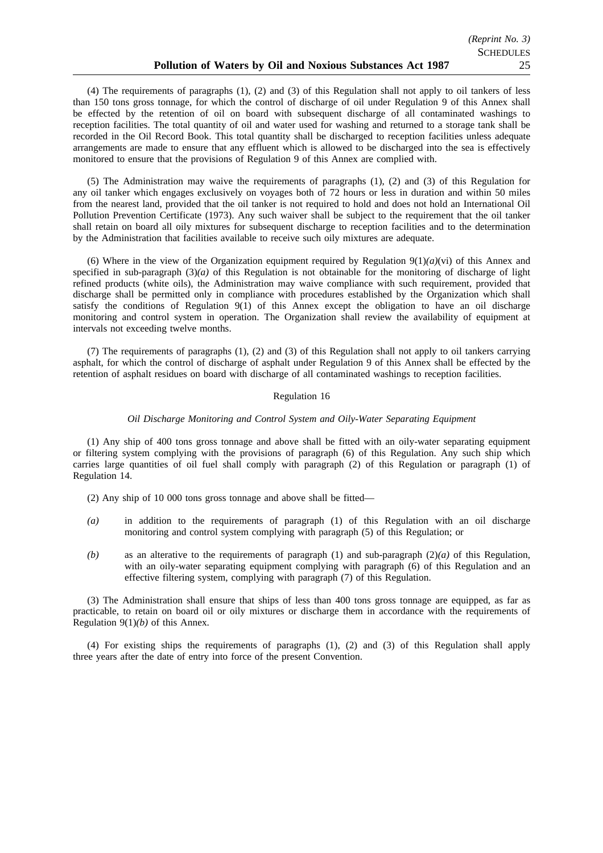(4) The requirements of paragraphs (1), (2) and (3) of this Regulation shall not apply to oil tankers of less than 150 tons gross tonnage, for which the control of discharge of oil under Regulation 9 of this Annex shall be effected by the retention of oil on board with subsequent discharge of all contaminated washings to reception facilities. The total quantity of oil and water used for washing and returned to a storage tank shall be recorded in the Oil Record Book. This total quantity shall be discharged to reception facilities unless adequate arrangements are made to ensure that any effluent which is allowed to be discharged into the sea is effectively monitored to ensure that the provisions of Regulation 9 of this Annex are complied with.

(5) The Administration may waive the requirements of paragraphs (1), (2) and (3) of this Regulation for any oil tanker which engages exclusively on voyages both of 72 hours or less in duration and within 50 miles from the nearest land, provided that the oil tanker is not required to hold and does not hold an International Oil Pollution Prevention Certificate (1973). Any such waiver shall be subject to the requirement that the oil tanker shall retain on board all oily mixtures for subsequent discharge to reception facilities and to the determination by the Administration that facilities available to receive such oily mixtures are adequate.

(6) Where in the view of the Organization equipment required by Regulation  $9(1)(a)(vi)$  of this Annex and specified in sub-paragraph  $(3)(a)$  of this Regulation is not obtainable for the monitoring of discharge of light refined products (white oils), the Administration may waive compliance with such requirement, provided that discharge shall be permitted only in compliance with procedures established by the Organization which shall satisfy the conditions of Regulation 9(1) of this Annex except the obligation to have an oil discharge monitoring and control system in operation. The Organization shall review the availability of equipment at intervals not exceeding twelve months.

(7) The requirements of paragraphs (1), (2) and (3) of this Regulation shall not apply to oil tankers carrying asphalt, for which the control of discharge of asphalt under Regulation 9 of this Annex shall be effected by the retention of asphalt residues on board with discharge of all contaminated washings to reception facilities.

## Regulation 16

# *Oil Discharge Monitoring and Control System and Oily-Water Separating Equipment*

(1) Any ship of 400 tons gross tonnage and above shall be fitted with an oily-water separating equipment or filtering system complying with the provisions of paragraph (6) of this Regulation. Any such ship which carries large quantities of oil fuel shall comply with paragraph (2) of this Regulation or paragraph (1) of Regulation 14.

- (2) Any ship of 10 000 tons gross tonnage and above shall be fitted—
- *(a)* in addition to the requirements of paragraph (1) of this Regulation with an oil discharge monitoring and control system complying with paragraph (5) of this Regulation; or
- *(b)* as an alterative to the requirements of paragraph (1) and sub-paragraph  $(2)(a)$  of this Regulation, with an oily-water separating equipment complying with paragraph (6) of this Regulation and an effective filtering system, complying with paragraph (7) of this Regulation.

(3) The Administration shall ensure that ships of less than 400 tons gross tonnage are equipped, as far as practicable, to retain on board oil or oily mixtures or discharge them in accordance with the requirements of Regulation 9(1)*(b)* of this Annex.

(4) For existing ships the requirements of paragraphs (1), (2) and (3) of this Regulation shall apply three years after the date of entry into force of the present Convention.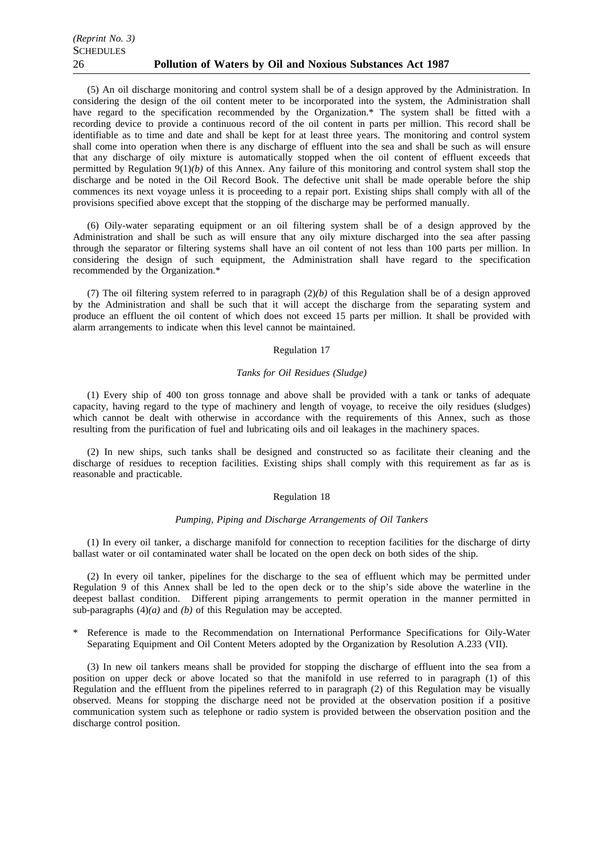(5) An oil discharge monitoring and control system shall be of a design approved by the Administration. In considering the design of the oil content meter to be incorporated into the system, the Administration shall have regard to the specification recommended by the Organization.\* The system shall be fitted with a recording device to provide a continuous record of the oil content in parts per million. This record shall be identifiable as to time and date and shall be kept for at least three years. The monitoring and control system shall come into operation when there is any discharge of effluent into the sea and shall be such as will ensure that any discharge of oily mixture is automatically stopped when the oil content of effluent exceeds that permitted by Regulation 9(1)*(b)* of this Annex. Any failure of this monitoring and control system shall stop the discharge and be noted in the Oil Record Book. The defective unit shall be made operable before the ship commences its next voyage unless it is proceeding to a repair port. Existing ships shall comply with all of the provisions specified above except that the stopping of the discharge may be performed manually.

(6) Oily-water separating equipment or an oil filtering system shall be of a design approved by the Administration and shall be such as will ensure that any oily mixture discharged into the sea after passing through the separator or filtering systems shall have an oil content of not less than 100 parts per million. In considering the design of such equipment, the Administration shall have regard to the specification recommended by the Organization.\*

(7) The oil filtering system referred to in paragraph  $(2)(b)$  of this Regulation shall be of a design approved by the Administration and shall be such that it will accept the discharge from the separating system and produce an effluent the oil content of which does not exceed 15 parts per million. It shall be provided with alarm arrangements to indicate when this level cannot be maintained.

# Regulation 17

# *Tanks for Oil Residues (Sludge)*

(1) Every ship of 400 ton gross tonnage and above shall be provided with a tank or tanks of adequate capacity, having regard to the type of machinery and length of voyage, to receive the oily residues (sludges) which cannot be dealt with otherwise in accordance with the requirements of this Annex, such as those resulting from the purification of fuel and lubricating oils and oil leakages in the machinery spaces.

(2) In new ships, such tanks shall be designed and constructed so as facilitate their cleaning and the discharge of residues to reception facilities. Existing ships shall comply with this requirement as far as is reasonable and practicable.

## Regulation 18

## *Pumping, Piping and Discharge Arrangements of Oil Tankers*

(1) In every oil tanker, a discharge manifold for connection to reception facilities for the discharge of dirty ballast water or oil contaminated water shall be located on the open deck on both sides of the ship.

(2) In every oil tanker, pipelines for the discharge to the sea of effluent which may be permitted under Regulation 9 of this Annex shall be led to the open deck or to the ship's side above the waterline in the deepest ballast condition. Different piping arrangements to permit operation in the manner permitted in sub-paragraphs (4)*(a)* and *(b)* of this Regulation may be accepted.

Reference is made to the Recommendation on International Performance Specifications for Oily-Water Separating Equipment and Oil Content Meters adopted by the Organization by Resolution A.233 (VII).

(3) In new oil tankers means shall be provided for stopping the discharge of effluent into the sea from a position on upper deck or above located so that the manifold in use referred to in paragraph (1) of this Regulation and the effluent from the pipelines referred to in paragraph (2) of this Regulation may be visually observed. Means for stopping the discharge need not be provided at the observation position if a positive communication system such as telephone or radio system is provided between the observation position and the discharge control position.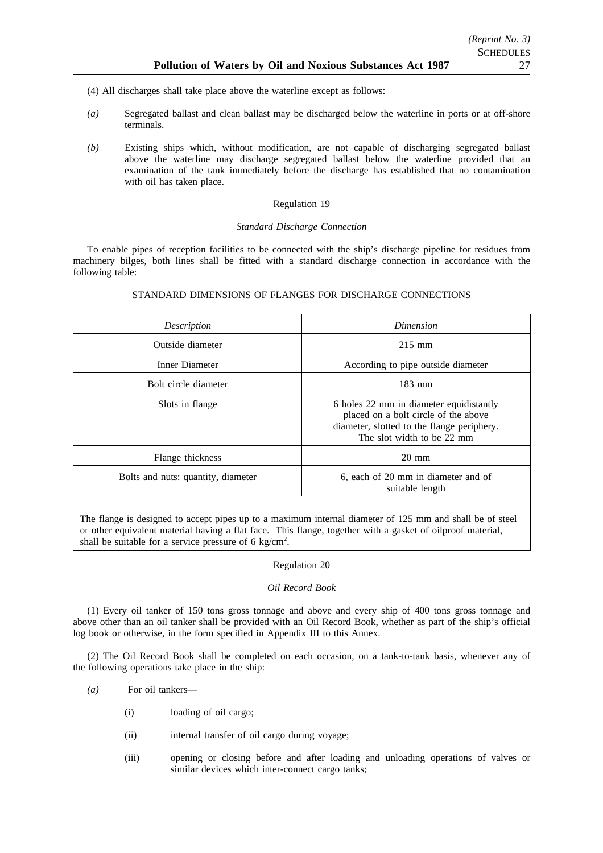- (4) All discharges shall take place above the waterline except as follows:
- *(a)* Segregated ballast and clean ballast may be discharged below the waterline in ports or at off-shore terminals.
- *(b)* Existing ships which, without modification, are not capable of discharging segregated ballast above the waterline may discharge segregated ballast below the waterline provided that an examination of the tank immediately before the discharge has established that no contamination with oil has taken place.

# Regulation 19

## *Standard Discharge Connection*

To enable pipes of reception facilities to be connected with the ship's discharge pipeline for residues from machinery bilges, both lines shall be fitted with a standard discharge connection in accordance with the following table:

# STANDARD DIMENSIONS OF FLANGES FOR DISCHARGE CONNECTIONS

| Description                        | Dimension                                                                                                                                                   |  |
|------------------------------------|-------------------------------------------------------------------------------------------------------------------------------------------------------------|--|
| Outside diameter                   | $215 \text{ mm}$                                                                                                                                            |  |
| Inner Diameter                     | According to pipe outside diameter                                                                                                                          |  |
| Bolt circle diameter               | $183 \text{ mm}$                                                                                                                                            |  |
| Slots in flange                    | 6 holes 22 mm in diameter equidistantly<br>placed on a bolt circle of the above<br>diameter, slotted to the flange periphery.<br>The slot width to be 22 mm |  |
| Flange thickness                   | $20 \text{ mm}$                                                                                                                                             |  |
| Bolts and nuts: quantity, diameter | 6, each of 20 mm in diameter and of<br>suitable length                                                                                                      |  |
|                                    |                                                                                                                                                             |  |

The flange is designed to accept pipes up to a maximum internal diameter of 125 mm and shall be of steel or other equivalent material having a flat face. This flange, together with a gasket of oilproof material, shall be suitable for a service pressure of 6 kg/cm<sup>2</sup>.

# Regulation 20

## *Oil Record Book*

(1) Every oil tanker of 150 tons gross tonnage and above and every ship of 400 tons gross tonnage and above other than an oil tanker shall be provided with an Oil Record Book, whether as part of the ship's official log book or otherwise, in the form specified in Appendix III to this Annex.

(2) The Oil Record Book shall be completed on each occasion, on a tank-to-tank basis, whenever any of the following operations take place in the ship:

- *(a)* For oil tankers—
	- (i) loading of oil cargo;
	- (ii) internal transfer of oil cargo during voyage;
	- (iii) opening or closing before and after loading and unloading operations of valves or similar devices which inter-connect cargo tanks;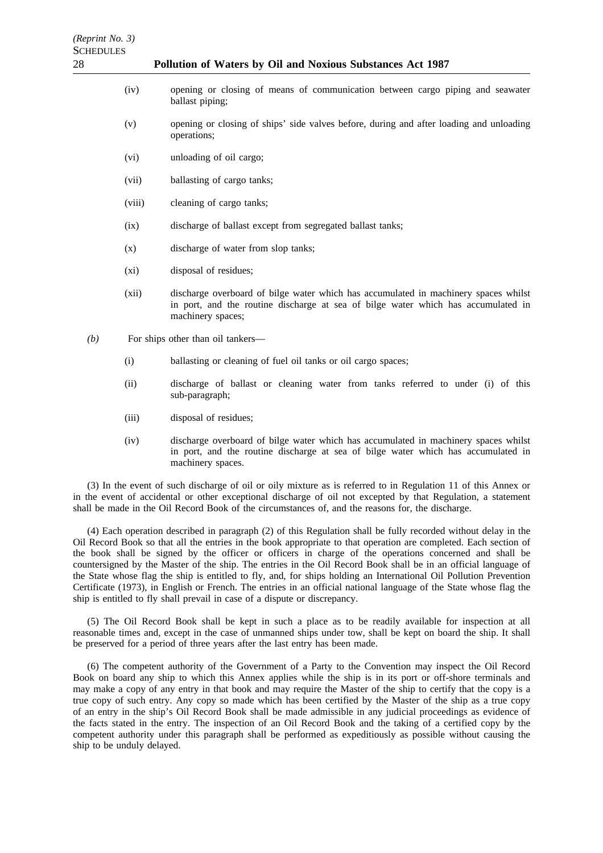- (iv) opening or closing of means of communication between cargo piping and seawater ballast piping;
- (v) opening or closing of ships' side valves before, during and after loading and unloading operations;
- (vi) unloading of oil cargo;
- (vii) ballasting of cargo tanks;
- (viii) cleaning of cargo tanks;
- (ix) discharge of ballast except from segregated ballast tanks;
- (x) discharge of water from slop tanks;
- (xi) disposal of residues;
- (xii) discharge overboard of bilge water which has accumulated in machinery spaces whilst in port, and the routine discharge at sea of bilge water which has accumulated in machinery spaces;
- *(b)* For ships other than oil tankers—
	- (i) ballasting or cleaning of fuel oil tanks or oil cargo spaces;
	- (ii) discharge of ballast or cleaning water from tanks referred to under (i) of this sub-paragraph;
	- (iii) disposal of residues;
	- (iv) discharge overboard of bilge water which has accumulated in machinery spaces whilst in port, and the routine discharge at sea of bilge water which has accumulated in machinery spaces.

(3) In the event of such discharge of oil or oily mixture as is referred to in Regulation 11 of this Annex or in the event of accidental or other exceptional discharge of oil not excepted by that Regulation, a statement shall be made in the Oil Record Book of the circumstances of, and the reasons for, the discharge.

(4) Each operation described in paragraph (2) of this Regulation shall be fully recorded without delay in the Oil Record Book so that all the entries in the book appropriate to that operation are completed. Each section of the book shall be signed by the officer or officers in charge of the operations concerned and shall be countersigned by the Master of the ship. The entries in the Oil Record Book shall be in an official language of the State whose flag the ship is entitled to fly, and, for ships holding an International Oil Pollution Prevention Certificate (1973), in English or French. The entries in an official national language of the State whose flag the ship is entitled to fly shall prevail in case of a dispute or discrepancy.

(5) The Oil Record Book shall be kept in such a place as to be readily available for inspection at all reasonable times and, except in the case of unmanned ships under tow, shall be kept on board the ship. It shall be preserved for a period of three years after the last entry has been made.

(6) The competent authority of the Government of a Party to the Convention may inspect the Oil Record Book on board any ship to which this Annex applies while the ship is in its port or off-shore terminals and may make a copy of any entry in that book and may require the Master of the ship to certify that the copy is a true copy of such entry. Any copy so made which has been certified by the Master of the ship as a true copy of an entry in the ship's Oil Record Book shall be made admissible in any judicial proceedings as evidence of the facts stated in the entry. The inspection of an Oil Record Book and the taking of a certified copy by the competent authority under this paragraph shall be performed as expeditiously as possible without causing the ship to be unduly delayed.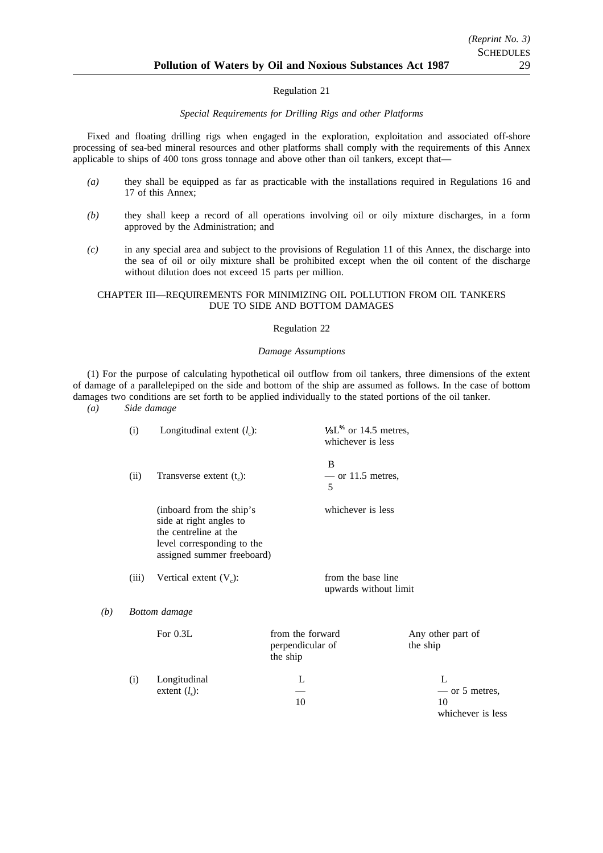whichever is less

# Regulation 21

## *Special Requirements for Drilling Rigs and other Platforms*

Fixed and floating drilling rigs when engaged in the exploration, exploitation and associated off-shore processing of sea-bed mineral resources and other platforms shall comply with the requirements of this Annex applicable to ships of 400 tons gross tonnage and above other than oil tankers, except that—

- *(a)* they shall be equipped as far as practicable with the installations required in Regulations 16 and 17 of this Annex;
- *(b)* they shall keep a record of all operations involving oil or oily mixture discharges, in a form approved by the Administration; and
- *(c)* in any special area and subject to the provisions of Regulation 11 of this Annex, the discharge into the sea of oil or oily mixture shall be prohibited except when the oil content of the discharge without dilution does not exceed 15 parts per million.

# CHAPTER III—REQUIREMENTS FOR MINIMIZING OIL POLLUTION FROM OIL TANKERS DUE TO SIDE AND BOTTOM DAMAGES

## Regulation 22

### *Damage Assumptions*

(1) For the purpose of calculating hypothetical oil outflow from oil tankers, three dimensions of the extent of damage of a parallelepiped on the side and bottom of the ship are assumed as follows. In the case of bottom damages two conditions are set forth to be applied individually to the stated portions of the oil tanker.

| $\left(a\right)$ |  | Side damage |
|------------------|--|-------------|
|------------------|--|-------------|

 $(b)$ 

| (i)   | Longitudinal extent $(l_c)$ :                                                                                                            | $\frac{1}{3}$ or 14.5 metres,<br>whichever is less |                                        |
|-------|------------------------------------------------------------------------------------------------------------------------------------------|----------------------------------------------------|----------------------------------------|
| (ii)  | Transverse extent $(t_c)$ :                                                                                                              | <sub>B</sub><br>— or 11.5 metres,<br>5             |                                        |
|       | (inboard from the ship's<br>side at right angles to<br>the centreline at the<br>level corresponding to the<br>assigned summer freeboard) | whichever is less                                  |                                        |
| (iii) | Vertical extent $(V_c)$ :                                                                                                                | from the base line<br>upwards without limit        |                                        |
|       | Bottom damage                                                                                                                            |                                                    |                                        |
|       | For $0.3L$                                                                                                                               | from the forward<br>perpendicular of<br>the ship   | Any other part of<br>the ship          |
| (i)   | Longitudinal<br>extent $(l_s)$ :                                                                                                         | L<br>10                                            | $\mathbf{I}$ .<br>— or 5 metres,<br>10 |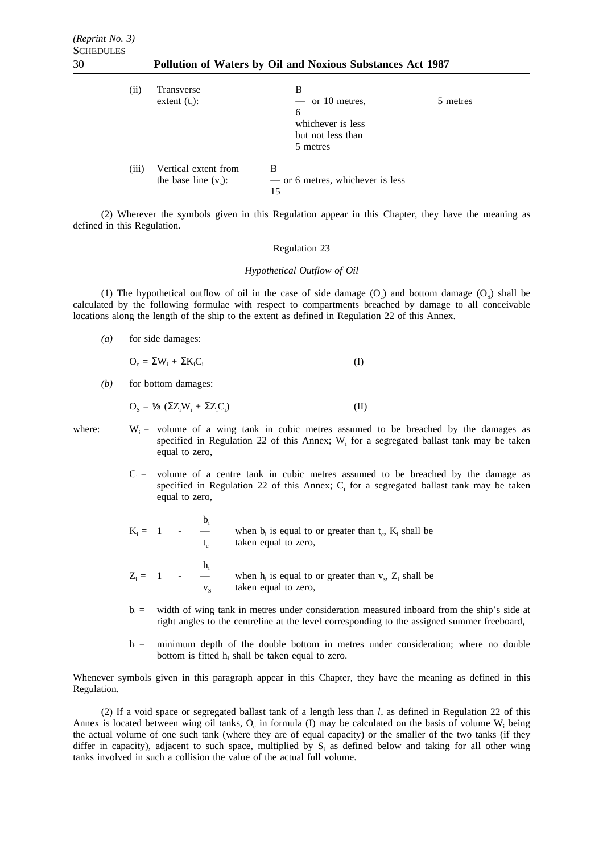| (11)  | Transverse              | В                                |          |
|-------|-------------------------|----------------------------------|----------|
|       | extent $(t_s)$ :        | $-$ or 10 metres.                | 5 metres |
|       |                         | 6                                |          |
|       |                         | whichever is less                |          |
|       |                         | but not less than                |          |
|       |                         | 5 metres                         |          |
| (iii) | Vertical extent from    | B                                |          |
|       | the base line $(v_s)$ : | — or 6 metres, whichever is less |          |
|       |                         | 15                               |          |

(2) Wherever the symbols given in this Regulation appear in this Chapter, they have the meaning as defined in this Regulation.

## Regulation 23

# *Hypothetical Outflow of Oil*

(1) The hypothetical outflow of oil in the case of side damage  $(O<sub>c</sub>)$  and bottom damage  $(O<sub>c</sub>)$  shall be calculated by the following formulae with respect to compartments breached by damage to all conceivable locations along the length of the ship to the extent as defined in Regulation 22 of this Annex.

*(a)* for side damages:

$$
O_c = \Sigma W_i + \Sigma K_i C_i \tag{I}
$$

*(b)* for bottom damages:

$$
O_{S} = V_{3} \left( \Sigma Z_{i} W_{i} + \Sigma Z_{i} C_{i} \right)
$$
 (II)

 $\mathbf{r}$ 

- where:  $W_i$  = volume of a wing tank in cubic metres assumed to be breached by the damages as specified in Regulation 22 of this Annex;  $W_i$  for a segregated ballast tank may be taken equal to zero,
	- $C_i$  = volume of a centre tank in cubic metres assumed to be breached by the damage as specified in Regulation 22 of this Annex;  $C_i$  for a segregated ballast tank may be taken equal to zero,

$$
K_i = 1
$$
 -  $\frac{b_i}{t_c}$  when  $b_i$  is equal to or greater than  $t_c$ ,  $K_i$  shall be taken equal to zero,

- $Z_i = \begin{array}{cccc} & & & h_i \\ 1 & & & \\ \end{array}$ when  $h_i$  is equal to or greater than  $v_s$ ,  $Z_i$  shall be taken equal to zero,
- $b_i$  = width of wing tank in metres under consideration measured inboard from the ship's side at right angles to the centreline at the level corresponding to the assigned summer freeboard,
- $h_i =$  minimum depth of the double bottom in metres under consideration; where no double bottom is fitted  $h_i$  shall be taken equal to zero.

Whenever symbols given in this paragraph appear in this Chapter, they have the meaning as defined in this Regulation.

(2) If a void space or segregated ballast tank of a length less than  $l_c$  as defined in Regulation 22 of this Annex is located between wing oil tanks,  $O<sub>c</sub>$  in formula (I) may be calculated on the basis of volume  $W<sub>i</sub>$  being the actual volume of one such tank (where they are of equal capacity) or the smaller of the two tanks (if they differ in capacity), adjacent to such space, multiplied by  $S_i$  as defined below and taking for all other wing tanks involved in such a collision the value of the actual full volume.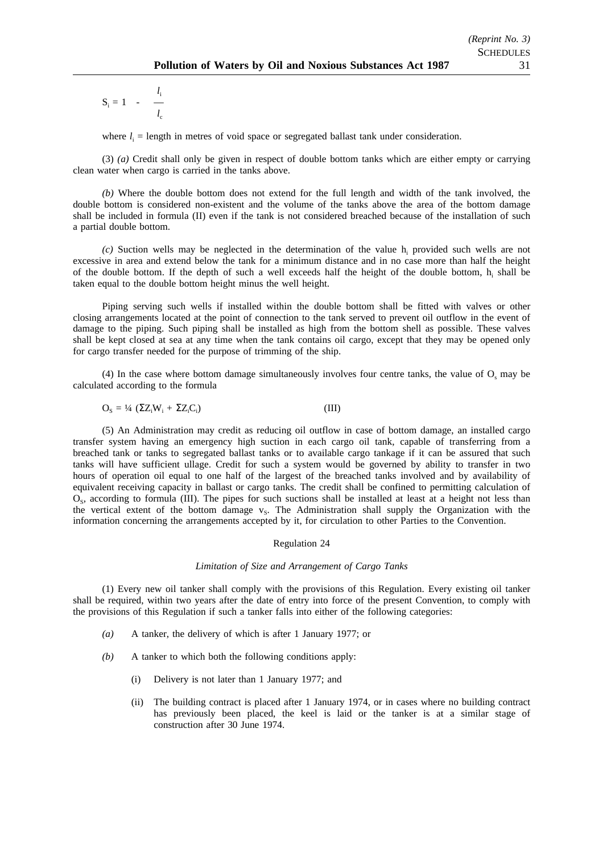$$
S_i = 1 - \frac{l_i}{l_c}
$$

where  $l_i$  = length in metres of void space or segregated ballast tank under consideration.

(3) *(a)* Credit shall only be given in respect of double bottom tanks which are either empty or carrying clean water when cargo is carried in the tanks above.

*(b)* Where the double bottom does not extend for the full length and width of the tank involved, the double bottom is considered non-existent and the volume of the tanks above the area of the bottom damage shall be included in formula (II) even if the tank is not considered breached because of the installation of such a partial double bottom.

*(c)* Suction wells may be neglected in the determination of the value hi provided such wells are not excessive in area and extend below the tank for a minimum distance and in no case more than half the height of the double bottom. If the depth of such a well exceeds half the height of the double bottom, hi shall be taken equal to the double bottom height minus the well height.

Piping serving such wells if installed within the double bottom shall be fitted with valves or other closing arrangements located at the point of connection to the tank served to prevent oil outflow in the event of damage to the piping. Such piping shall be installed as high from the bottom shell as possible. These valves shall be kept closed at sea at any time when the tank contains oil cargo, except that they may be opened only for cargo transfer needed for the purpose of trimming of the ship.

(4) In the case where bottom damage simultaneously involves four centre tanks, the value of  $O_s$  may be calculated according to the formula

$$
O_{S} = \frac{1}{4} \left( \Sigma Z_{i} W_{i} + \Sigma Z_{i} C_{i} \right) \tag{III}
$$

(5) An Administration may credit as reducing oil outflow in case of bottom damage, an installed cargo transfer system having an emergency high suction in each cargo oil tank, capable of transferring from a breached tank or tanks to segregated ballast tanks or to available cargo tankage if it can be assured that such tanks will have sufficient ullage. Credit for such a system would be governed by ability to transfer in two hours of operation oil equal to one half of the largest of the breached tanks involved and by availability of equivalent receiving capacity in ballast or cargo tanks. The credit shall be confined to permitting calculation of  $O_s$ , according to formula (III). The pipes for such suctions shall be installed at least at a height not less than the vertical extent of the bottom damage v<sub>s</sub>. The Administration shall supply the Organization with the information concerning the arrangements accepted by it, for circulation to other Parties to the Convention.

## Regulation 24

## *Limitation of Size and Arrangement of Cargo Tanks*

(1) Every new oil tanker shall comply with the provisions of this Regulation. Every existing oil tanker shall be required, within two years after the date of entry into force of the present Convention, to comply with the provisions of this Regulation if such a tanker falls into either of the following categories:

- *(a)* A tanker, the delivery of which is after 1 January 1977; or
- *(b)* A tanker to which both the following conditions apply:
	- (i) Delivery is not later than 1 January 1977; and
	- (ii) The building contract is placed after 1 January 1974, or in cases where no building contract has previously been placed, the keel is laid or the tanker is at a similar stage of construction after 30 June 1974.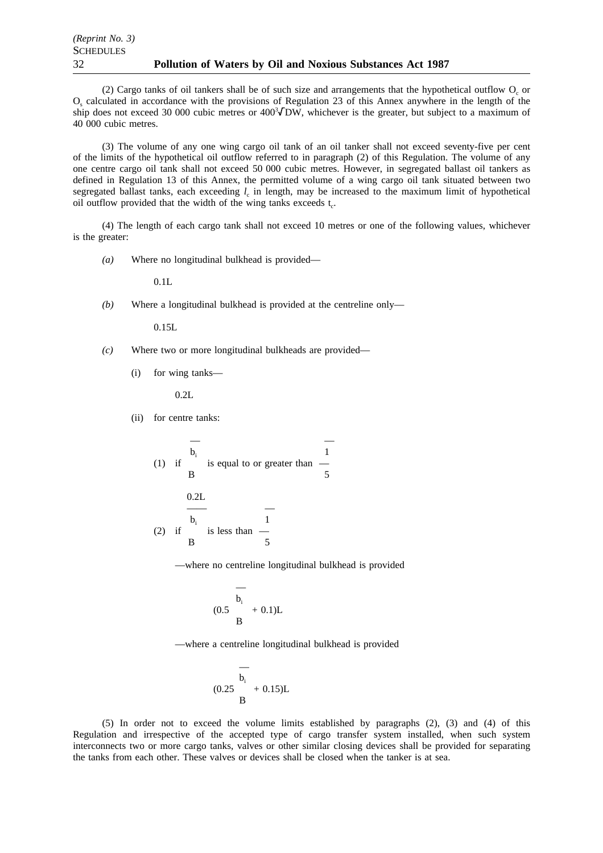(2) Cargo tanks of oil tankers shall be of such size and arrangements that the hypothetical outflow  $O_c$  or Os calculated in accordance with the provisions of Regulation 23 of this Annex anywhere in the length of the ship does not exceed 30 000 cubic metres or  $400\sqrt[3]{DW}$ , whichever is the greater, but subject to a maximum of 40 000 cubic metres.

(3) The volume of any one wing cargo oil tank of an oil tanker shall not exceed seventy-five per cent of the limits of the hypothetical oil outflow referred to in paragraph (2) of this Regulation. The volume of any one centre cargo oil tank shall not exceed 50 000 cubic metres. However, in segregated ballast oil tankers as defined in Regulation 13 of this Annex, the permitted volume of a wing cargo oil tank situated between two segregated ballast tanks, each exceeding  $l_c$  in length, may be increased to the maximum limit of hypothetical oil outflow provided that the width of the wing tanks exceeds  $t<sub>c</sub>$ .

(4) The length of each cargo tank shall not exceed 10 metres or one of the following values, whichever is the greater:

*(a)* Where no longitudinal bulkhead is provided—

0.1L

*(b)* Where a longitudinal bulkhead is provided at the centreline only—

0.15L

- *(c)* Where two or more longitudinal bulkheads are provided—
	- (i) for wing tanks—

0.2L

(ii) for centre tanks:

(1) if 
$$
\frac{b_i}{b_i}
$$
 is equal to or greater than  $\frac{1}{5}$   
\n0.2L  
\n $\frac{b_i}{b_i}$  is less than  $\frac{1}{5}$   
\n(2) if  $\frac{b_i}{b_i}$  is less than  $\frac{1}{5}$ 

—where no centreline longitudinal bulkhead is provided

$$
\begin{array}{c}\n\overline{b_i} \\
(0.5 \quad B + 0.1)L\n\end{array}
$$

—where a centreline longitudinal bulkhead is provided

$$
\begin{array}{c}\n\hline\n\\(0.25\end{array}\n\begin{array}{c}\n\overline{b_i}\\
+ 0.15)L\n\end{array}
$$

(5) In order not to exceed the volume limits established by paragraphs (2), (3) and (4) of this Regulation and irrespective of the accepted type of cargo transfer system installed, when such system interconnects two or more cargo tanks, valves or other similar closing devices shall be provided for separating the tanks from each other. These valves or devices shall be closed when the tanker is at sea.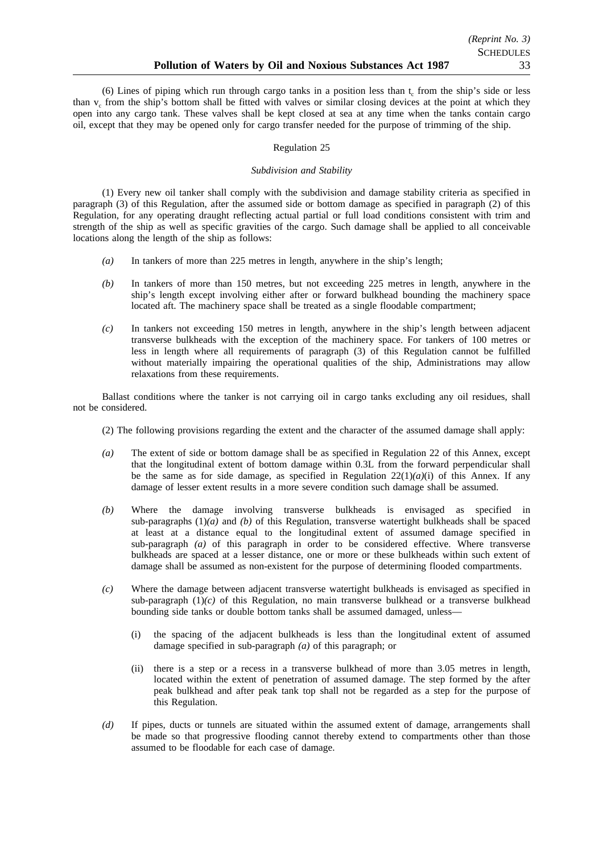(6) Lines of piping which run through cargo tanks in a position less than t<sub>r</sub> from the ship's side or less than  $v<sub>s</sub>$  from the ship's bottom shall be fitted with valves or similar closing devices at the point at which they open into any cargo tank. These valves shall be kept closed at sea at any time when the tanks contain cargo oil, except that they may be opened only for cargo transfer needed for the purpose of trimming of the ship.

# Regulation 25

# *Subdivision and Stability*

(1) Every new oil tanker shall comply with the subdivision and damage stability criteria as specified in paragraph (3) of this Regulation, after the assumed side or bottom damage as specified in paragraph (2) of this Regulation, for any operating draught reflecting actual partial or full load conditions consistent with trim and strength of the ship as well as specific gravities of the cargo. Such damage shall be applied to all conceivable locations along the length of the ship as follows:

- *(a)* In tankers of more than 225 metres in length, anywhere in the ship's length;
- *(b)* In tankers of more than 150 metres, but not exceeding 225 metres in length, anywhere in the ship's length except involving either after or forward bulkhead bounding the machinery space located aft. The machinery space shall be treated as a single floodable compartment;
- *(c)* In tankers not exceeding 150 metres in length, anywhere in the ship's length between adjacent transverse bulkheads with the exception of the machinery space. For tankers of 100 metres or less in length where all requirements of paragraph (3) of this Regulation cannot be fulfilled without materially impairing the operational qualities of the ship, Administrations may allow relaxations from these requirements.

Ballast conditions where the tanker is not carrying oil in cargo tanks excluding any oil residues, shall not be considered.

- (2) The following provisions regarding the extent and the character of the assumed damage shall apply:
- *(a)* The extent of side or bottom damage shall be as specified in Regulation 22 of this Annex, except that the longitudinal extent of bottom damage within 0.3L from the forward perpendicular shall be the same as for side damage, as specified in Regulation  $22(1)(a)(i)$  of this Annex. If any damage of lesser extent results in a more severe condition such damage shall be assumed.
- *(b)* Where the damage involving transverse bulkheads is envisaged as specified in sub-paragraphs (1)*(a)* and *(b)* of this Regulation, transverse watertight bulkheads shall be spaced at least at a distance equal to the longitudinal extent of assumed damage specified in sub-paragraph *(a)* of this paragraph in order to be considered effective. Where transverse bulkheads are spaced at a lesser distance, one or more or these bulkheads within such extent of damage shall be assumed as non-existent for the purpose of determining flooded compartments.
- *(c)* Where the damage between adjacent transverse watertight bulkheads is envisaged as specified in sub-paragraph  $(1)(c)$  of this Regulation, no main transverse bulkhead or a transverse bulkhead bounding side tanks or double bottom tanks shall be assumed damaged, unless—
	- (i) the spacing of the adjacent bulkheads is less than the longitudinal extent of assumed damage specified in sub-paragraph *(a)* of this paragraph; or
	- (ii) there is a step or a recess in a transverse bulkhead of more than 3.05 metres in length, located within the extent of penetration of assumed damage. The step formed by the after peak bulkhead and after peak tank top shall not be regarded as a step for the purpose of this Regulation.
- *(d)* If pipes, ducts or tunnels are situated within the assumed extent of damage, arrangements shall be made so that progressive flooding cannot thereby extend to compartments other than those assumed to be floodable for each case of damage.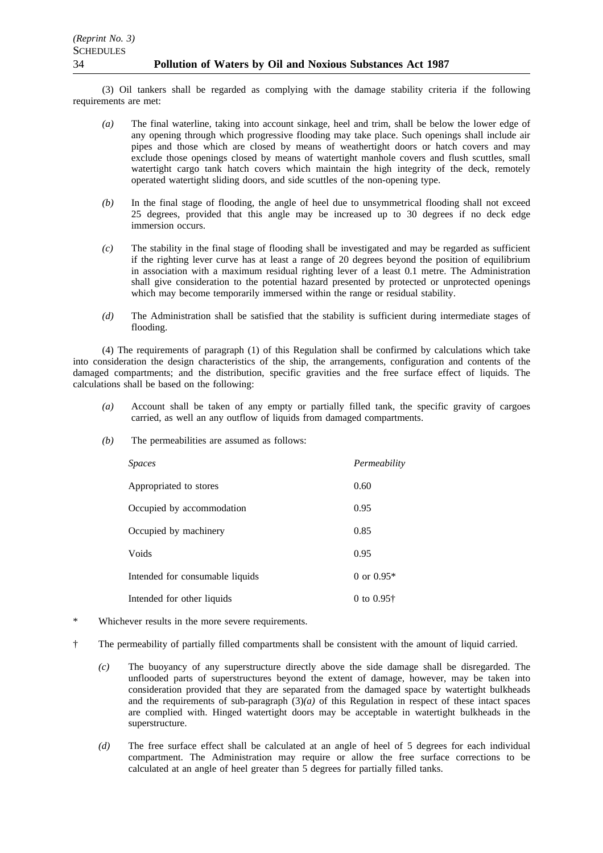(3) Oil tankers shall be regarded as complying with the damage stability criteria if the following requirements are met:

- *(a)* The final waterline, taking into account sinkage, heel and trim, shall be below the lower edge of any opening through which progressive flooding may take place. Such openings shall include air pipes and those which are closed by means of weathertight doors or hatch covers and may exclude those openings closed by means of watertight manhole covers and flush scuttles, small watertight cargo tank hatch covers which maintain the high integrity of the deck, remotely operated watertight sliding doors, and side scuttles of the non-opening type.
- *(b)* In the final stage of flooding, the angle of heel due to unsymmetrical flooding shall not exceed 25 degrees, provided that this angle may be increased up to 30 degrees if no deck edge immersion occurs.
- *(c)* The stability in the final stage of flooding shall be investigated and may be regarded as sufficient if the righting lever curve has at least a range of 20 degrees beyond the position of equilibrium in association with a maximum residual righting lever of a least 0.1 metre. The Administration shall give consideration to the potential hazard presented by protected or unprotected openings which may become temporarily immersed within the range or residual stability.
- *(d)* The Administration shall be satisfied that the stability is sufficient during intermediate stages of flooding.

(4) The requirements of paragraph (1) of this Regulation shall be confirmed by calculations which take into consideration the design characteristics of the ship, the arrangements, configuration and contents of the damaged compartments; and the distribution, specific gravities and the free surface effect of liquids. The calculations shall be based on the following:

- *(a)* Account shall be taken of any empty or partially filled tank, the specific gravity of cargoes carried, as well an any outflow of liquids from damaged compartments.
	- *Spaces Permeability* Appropriated to stores 0.60 Occupied by accommodation 0.95 Occupied by machinery 0.85 Voids 0.95 Intended for consumable liquids 0 or  $0.95*$ Intended for other liquids 0 to 0.95<sup>†</sup>
- *(b)* The permeabilities are assumed as follows:

- \* Whichever results in the more severe requirements.
- † The permeability of partially filled compartments shall be consistent with the amount of liquid carried.
	- *(c)* The buoyancy of any superstructure directly above the side damage shall be disregarded. The unflooded parts of superstructures beyond the extent of damage, however, may be taken into consideration provided that they are separated from the damaged space by watertight bulkheads and the requirements of sub-paragraph  $(3)(a)$  of this Regulation in respect of these intact spaces are complied with. Hinged watertight doors may be acceptable in watertight bulkheads in the superstructure.
	- *(d)* The free surface effect shall be calculated at an angle of heel of 5 degrees for each individual compartment. The Administration may require or allow the free surface corrections to be calculated at an angle of heel greater than 5 degrees for partially filled tanks.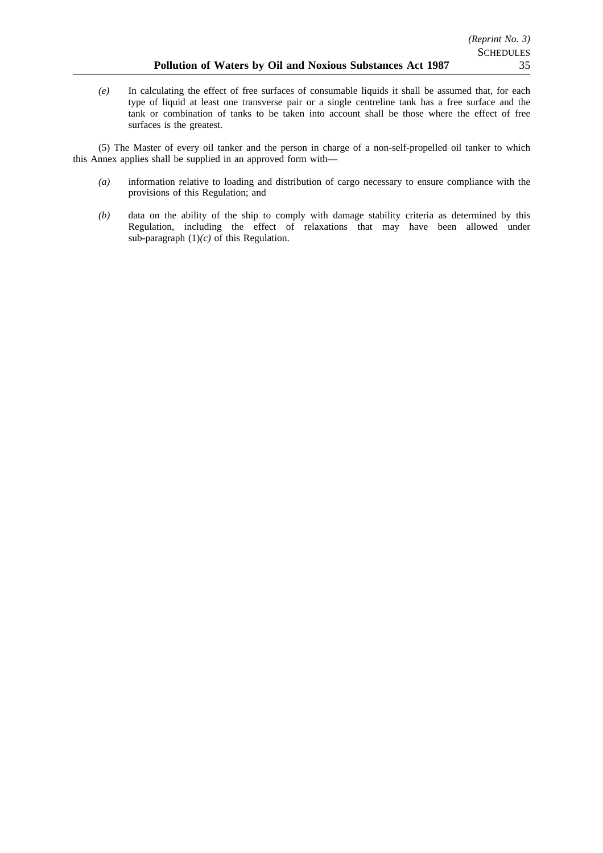*(e)* In calculating the effect of free surfaces of consumable liquids it shall be assumed that, for each type of liquid at least one transverse pair or a single centreline tank has a free surface and the tank or combination of tanks to be taken into account shall be those where the effect of free surfaces is the greatest.

(5) The Master of every oil tanker and the person in charge of a non-self-propelled oil tanker to which this Annex applies shall be supplied in an approved form with—

- *(a)* information relative to loading and distribution of cargo necessary to ensure compliance with the provisions of this Regulation; and
- *(b)* data on the ability of the ship to comply with damage stability criteria as determined by this Regulation, including the effect of relaxations that may have been allowed under sub-paragraph (1)*(c)* of this Regulation.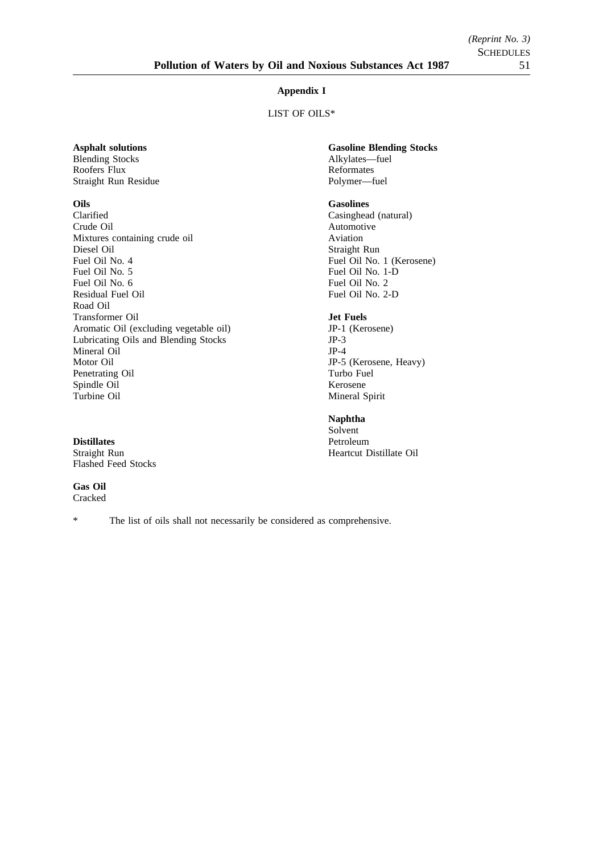# **Appendix I**

# LIST OF OILS\*

Blending Stocks Alkylates—fuel Roofers Flux Reformates Straight Run Residue Polymer—fuel

Clarified Casinghead (natural) Crude Oil Automotive Mixtures containing crude oil Aviation Diesel Oil Straight Run Fuel Oil No. 4<br>
Fuel Oil No. 4<br>
Fuel Oil No. Fuel Oil No. 4<br>Fuel Oil No. 5<br>Fuel Oil No. 1 (Kerosene)<br>Fuel Oil No. 1 -D Fuel Oil No. 5<br>
Fuel Oil No. 6<br>
Fuel Oil No. 2<br>
Fuel Oil No. 2 Residual Fuel Oil Road Oil Transformer Oil<br>Aromatic Oil (excluding vegetable oil)<br>JP-1 (Kerosene) Aromatic Oil (excluding vegetable oil) JP-1<br>Lubricating Oils and Blending Stocks JP-3 Lubricating Oils and Blending Stocks JP-3<br>Mineral Oil JP-4 Mineral Oil<br>Motor Oil Penetrating Oil Turbo Fuel Turbo Fuel Turbo Fuel Spindle Oil Turbo Fuel Serosene Spindle Oil<br>Turbine Oil

Flashed Feed Stocks

## **Gas Oil Cracked**

\* The list of oils shall not necessarily be considered as comprehensive.

# **Asphalt solutions Gasoline Blending Stocks**

# **Oils Gasolines**

Fuel Oil No. 2<br>Fuel Oil No. 2-D

JP-5 (Kerosene, Heavy)<br>Turbo Fuel Mineral Spirit

# **Naphtha**

Solvent **Distillates** Petroleum<br> **Petroleum**<br> **Petroleum**<br> **Petroleum**<br> **Petroleum** Heartcut Distillate Oil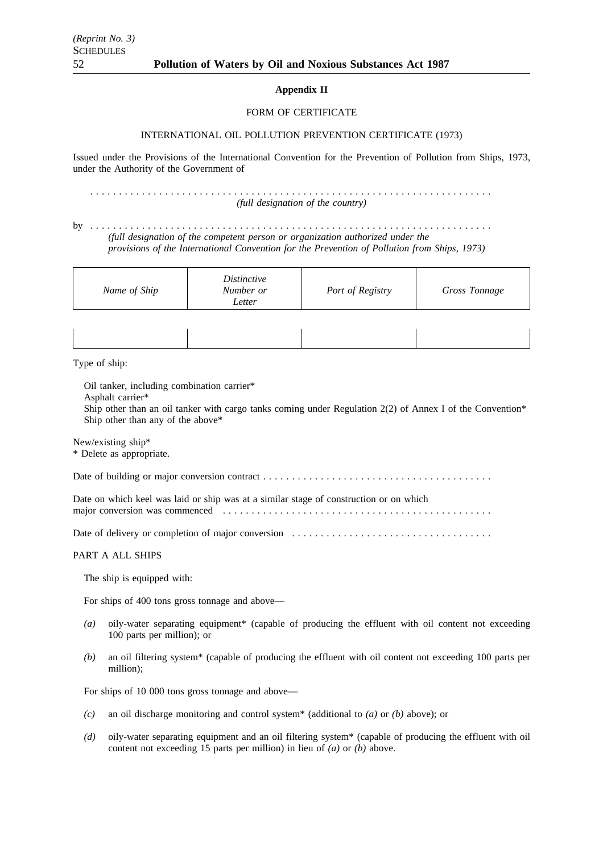## **Appendix II**

## FORM OF CERTIFICATE

# INTERNATIONAL OIL POLLUTION PREVENTION CERTIFICATE (1973)

Issued under the Provisions of the International Convention for the Prevention of Pollution from Ships, 1973, under the Authority of the Government of

...................................................................... *(full designation of the country)*

by . . . . . . . . . . . . . . . . . . . . . . . . . . . . . . . . . . . . . . . . . . . . . . . . . . . . . . . . . . . . . . . . . . . . . . *(full designation of the competent person or organization authorized under the provisions of the International Convention for the Prevention of Pollution from Ships, 1973)*

| Name of Ship | <i>Distinctive</i><br>Number or<br>Letter | Port of Registry | Gross Tonnage |
|--------------|-------------------------------------------|------------------|---------------|
|              |                                           |                  |               |

Type of ship:

Oil tanker, including combination carrier\*

Asphalt carrier\*

Ship other than an oil tanker with cargo tanks coming under Regulation  $2(2)$  of Annex I of the Convention\* Ship other than any of the above\*

New/existing ship\*

\* Delete as appropriate.

Date on which keel was laid or ship was at a similar stage of construction or on which

major conversion was commenced ...............................................

Date of delivery or completion of major conversion ...................................

# PART A ALL SHIPS

The ship is equipped with:

For ships of 400 tons gross tonnage and above—

- *(a)* oily-water separating equipment\* (capable of producing the effluent with oil content not exceeding 100 parts per million); or
- *(b)* an oil filtering system\* (capable of producing the effluent with oil content not exceeding 100 parts per million);

For ships of 10 000 tons gross tonnage and above—

- *(c)* an oil discharge monitoring and control system\* (additional to *(a)* or *(b)* above); or
- *(d)* oily-water separating equipment and an oil filtering system\* (capable of producing the effluent with oil content not exceeding 15 parts per million) in lieu of *(a)* or *(b)* above.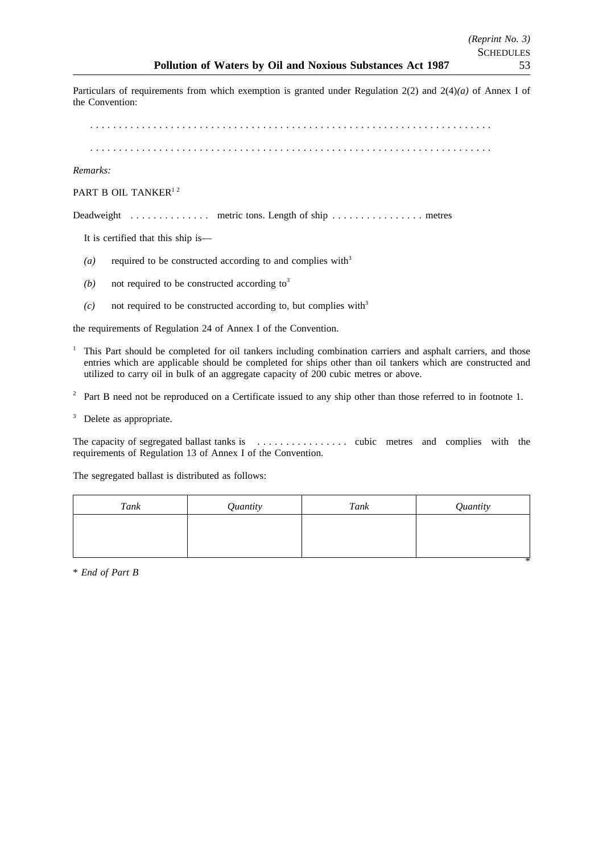\*

Particulars of requirements from which exemption is granted under Regulation 2(2) and 2(4)*(a)* of Annex I of the Convention:

......................................................................

......................................................................

*Remarks:*

PART B OIL TANKER<sup>12</sup>

Deadweight .............. metric tons. Length of ship ................ metres

It is certified that this ship is—

- $(a)$  required to be constructed according to and complies with<sup>3</sup>
- *(b)* not required to be constructed according to<sup>3</sup>
- $(c)$  not required to be constructed according to, but complies with<sup>3</sup>

the requirements of Regulation 24 of Annex I of the Convention.

- <sup>1</sup> This Part should be completed for oil tankers including combination carriers and asphalt carriers, and those entries which are applicable should be completed for ships other than oil tankers which are constructed and utilized to carry oil in bulk of an aggregate capacity of 200 cubic metres or above.
- <sup>2</sup> Part B need not be reproduced on a Certificate issued to any ship other than those referred to in footnote 1.
- <sup>3</sup> Delete as appropriate.

The capacity of segregated ballast tanks is ................ cubic metres and complies with the requirements of Regulation 13 of Annex I of the Convention.

The segregated ballast is distributed as follows:

| Tank | Quantity | Tank | Quantity |
|------|----------|------|----------|
|      |          |      |          |
|      |          |      |          |
|      |          |      |          |

\* *End of Part B*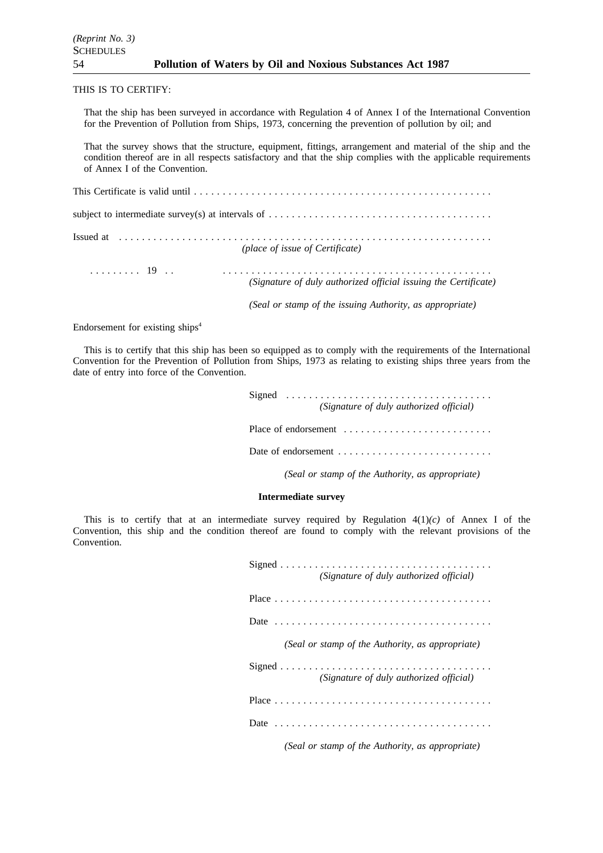THIS IS TO CERTIFY:

That the ship has been surveyed in accordance with Regulation 4 of Annex I of the International Convention for the Prevention of Pollution from Ships, 1973, concerning the prevention of pollution by oil; and

That the survey shows that the structure, equipment, fittings, arrangement and material of the ship and the condition thereof are in all respects satisfactory and that the ship complies with the applicable requirements of Annex I of the Convention.

This Certificate is valid until .................................................... subject to intermediate survey(s) at intervals of ....................................... Issued at ................................................................. *(place of issue of Certificate)* . . . . . . . . . 19 . . . . . . . . . . . . . . . . . . . . . . . . . . . . . . . . . . . . . . . . . . . . . . . . . *(Signature of duly authorized official issuing the Certificate)*

*(Seal or stamp of the issuing Authority, as appropriate)*

Endorsement for existing ships $4$ 

This is to certify that this ship has been so equipped as to comply with the requirements of the International Convention for the Prevention of Pollution from Ships, 1973 as relating to existing ships three years from the date of entry into force of the Convention.

> Signed .................................... *(Signature of duly authorized official)* Place of endorsement .......................... Date of endorsement ........................... *(Seal or stamp of the Authority, as appropriate)*

### **Intermediate survey**

This is to certify that at an intermediate survey required by Regulation  $4(1)(c)$  of Annex I of the Convention, this ship and the condition thereof are found to comply with the relevant provisions of the Convention.

| (Signature of duly authorized official)          |
|--------------------------------------------------|
|                                                  |
|                                                  |
| (Seal or stamp of the Authority, as appropriate) |
| (Signature of duly authorized official)          |
|                                                  |
|                                                  |
| (Seal or stamp of the Authority, as appropriate) |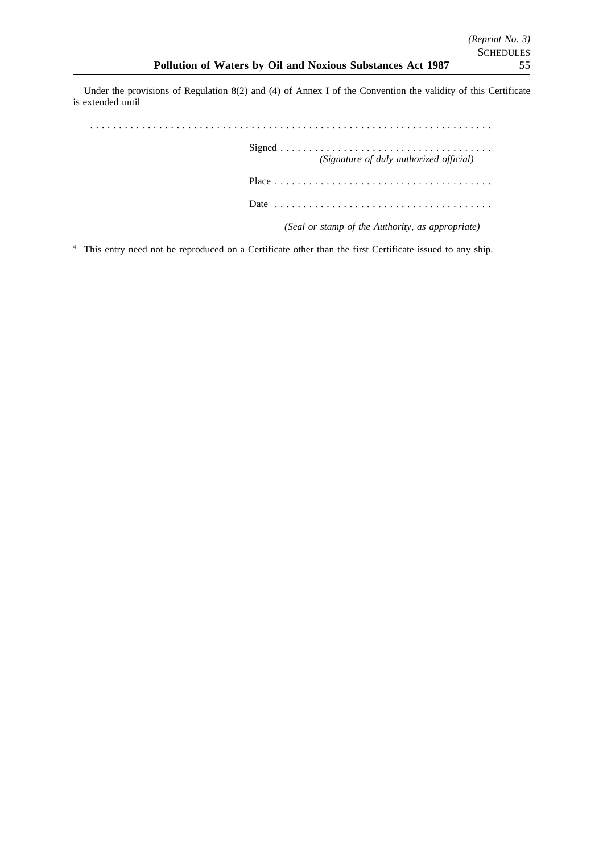Under the provisions of Regulation 8(2) and (4) of Annex I of the Convention the validity of this Certificate is extended until

......................................................................

| (Signature of duly authorized official)          |
|--------------------------------------------------|
|                                                  |
|                                                  |
| (Seal or stamp of the Authority, as appropriate) |

<sup>4</sup> This entry need not be reproduced on a Certificate other than the first Certificate issued to any ship.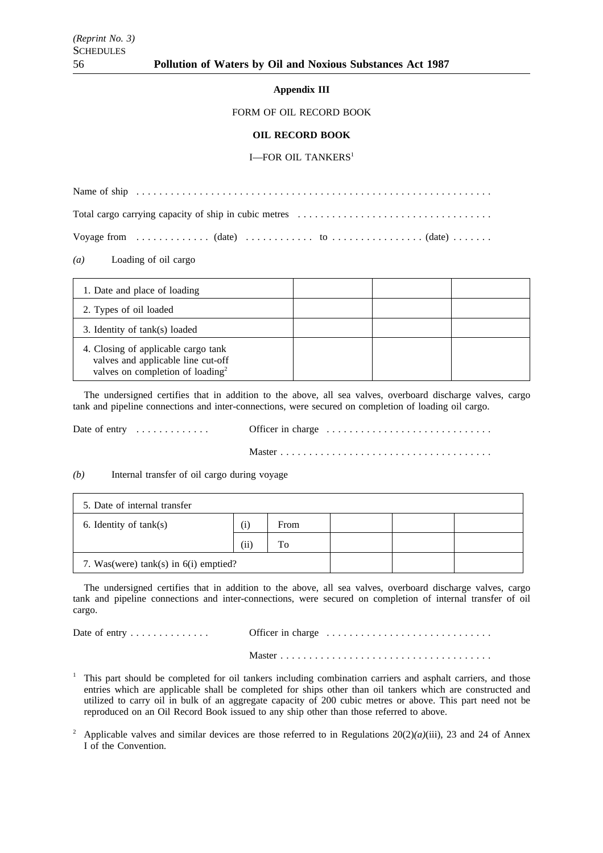# **Appendix III**

## FORM OF OIL RECORD BOOK

## **OIL RECORD BOOK**

## I-FOR OIL TANKERS<sup>1</sup>

Voyage from  $\dots\dots\dots\dots$  (date)  $\dots\dots\dots\dots\dots$  to  $\dots\dots\dots\dots\dots\dots$  (date)  $\dots\dots\dots$ 

*(a)* Loading of oil cargo

| 1. Date and place of loading                                                                                              |  |  |
|---------------------------------------------------------------------------------------------------------------------------|--|--|
| 2. Types of oil loaded                                                                                                    |  |  |
| 3. Identity of tank(s) loaded                                                                                             |  |  |
| 4. Closing of applicable cargo tank<br>valves and applicable line cut-off<br>valves on completion of loading <sup>2</sup> |  |  |

The undersigned certifies that in addition to the above, all sea valves, overboard discharge valves, cargo tank and pipeline connections and inter-connections, were secured on completion of loading oil cargo.

Date of entry ............. Officer in charge .............................

Master .....................................

## *(b)* Internal transfer of oil cargo during voyage

| 5. Date of internal transfer               |      |      |  |  |  |
|--------------------------------------------|------|------|--|--|--|
| 6. Identity of $tank(s)$                   | (i)  | From |  |  |  |
|                                            | (ii) | To   |  |  |  |
| 7. Was (were) $tank(s)$ in $6(i)$ emptied? |      |      |  |  |  |

The undersigned certifies that in addition to the above, all sea valves, overboard discharge valves, cargo tank and pipeline connections and inter-connections, were secured on completion of internal transfer of oil cargo.

Date of entry .............. Officer in charge .............................

Master .....................................

- <sup>1</sup> This part should be completed for oil tankers including combination carriers and asphalt carriers, and those entries which are applicable shall be completed for ships other than oil tankers which are constructed and utilized to carry oil in bulk of an aggregate capacity of 200 cubic metres or above. This part need not be reproduced on an Oil Record Book issued to any ship other than those referred to above.
- <sup>2</sup> Applicable valves and similar devices are those referred to in Regulations 20(2)*(a)*(iii), 23 and 24 of Annex I of the Convention.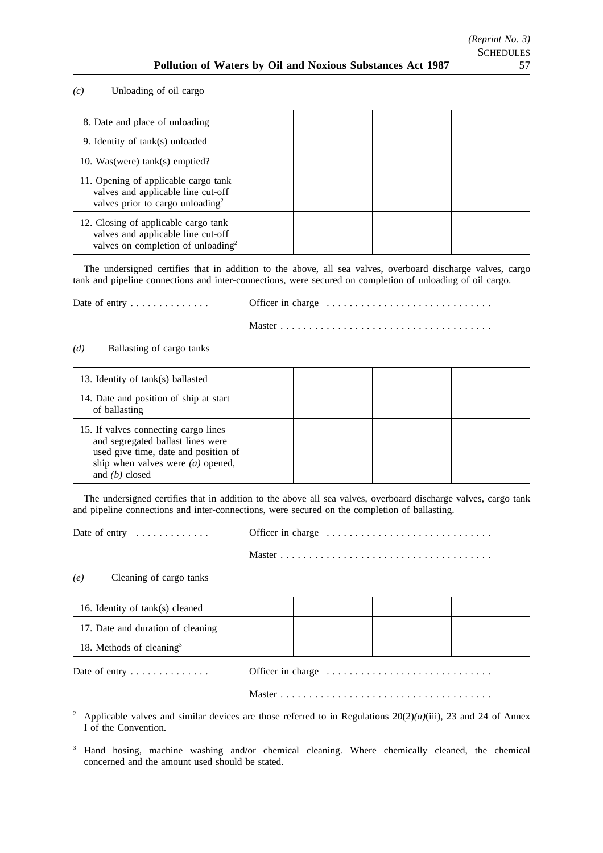*(c)* Unloading of oil cargo

| 8. Date and place of unloading                                                                                               |  |  |
|------------------------------------------------------------------------------------------------------------------------------|--|--|
| 9. Identity of tank(s) unloaded                                                                                              |  |  |
| 10. Was (were) $tank(s)$ emptied?                                                                                            |  |  |
| 11. Opening of applicable cargo tank<br>valves and applicable line cut-off<br>valves prior to cargo unloading <sup>2</sup>   |  |  |
| 12. Closing of applicable cargo tank<br>valves and applicable line cut-off<br>valves on completion of unloading <sup>2</sup> |  |  |

The undersigned certifies that in addition to the above, all sea valves, overboard discharge valves, cargo tank and pipeline connections and inter-connections, were secured on completion of unloading of oil cargo.

Date of entry .............. Officer in charge .............................

Master .....................................

# *(d)* Ballasting of cargo tanks

| 13. Identity of tank(s) ballasted                                                                                                                                            |  |  |
|------------------------------------------------------------------------------------------------------------------------------------------------------------------------------|--|--|
| 14. Date and position of ship at start<br>of ballasting                                                                                                                      |  |  |
| 15. If valves connecting cargo lines<br>and segregated ballast lines were<br>used give time, date and position of<br>ship when valves were $(a)$ opened,<br>and $(b)$ closed |  |  |

The undersigned certifies that in addition to the above all sea valves, overboard discharge valves, cargo tank and pipeline connections and inter-connections, were secured on the completion of ballasting.

Date of entry ............. Officer in charge .............................

Master .....................................

# *(e)* Cleaning of cargo tanks

| 16. Identity of $tank(s)$ cleaned    |  |  |
|--------------------------------------|--|--|
| 17. Date and duration of cleaning    |  |  |
| 18. Methods of cleaning <sup>3</sup> |  |  |
|                                      |  |  |

Date of entry .............. Officer in charge .............................

Master .....................................

<sup>2</sup> Applicable valves and similar devices are those referred to in Regulations  $20(2)(a)(iii)$ , 23 and 24 of Annex I of the Convention.

<sup>3</sup> Hand hosing, machine washing and/or chemical cleaning. Where chemically cleaned, the chemical concerned and the amount used should be stated.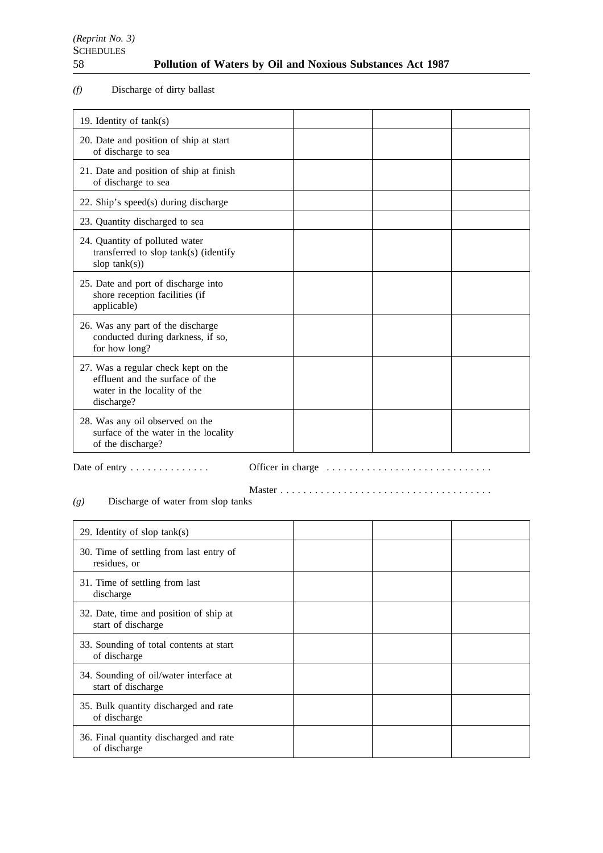# *(f)* Discharge of dirty ballast

| 19. Identity of $tank(s)$                                                                                            |  |
|----------------------------------------------------------------------------------------------------------------------|--|
| 20. Date and position of ship at start<br>of discharge to sea                                                        |  |
| 21. Date and position of ship at finish<br>of discharge to sea                                                       |  |
| 22. Ship's speed(s) during discharge                                                                                 |  |
| 23. Quantity discharged to sea                                                                                       |  |
| 24. Quantity of polluted water<br>transferred to slop tank(s) (identify<br>slop $tank(s)$                            |  |
| 25. Date and port of discharge into<br>shore reception facilities (if<br>applicable)                                 |  |
| 26. Was any part of the discharge<br>conducted during darkness, if so,<br>for how long?                              |  |
| 27. Was a regular check kept on the<br>effluent and the surface of the<br>water in the locality of the<br>discharge? |  |
| 28. Was any oil observed on the<br>surface of the water in the locality<br>of the discharge?                         |  |

Date of entry .............. Officer in charge .............................

Master ..................................... *(g)* Discharge of water from slop tanks

| 29. Identity of slop $tank(s)$                               |  |  |
|--------------------------------------------------------------|--|--|
| 30. Time of settling from last entry of<br>residues, or      |  |  |
| 31. Time of settling from last<br>discharge                  |  |  |
| 32. Date, time and position of ship at<br>start of discharge |  |  |
| 33. Sounding of total contents at start<br>of discharge      |  |  |
| 34. Sounding of oil/water interface at<br>start of discharge |  |  |
| 35. Bulk quantity discharged and rate<br>of discharge        |  |  |
| 36. Final quantity discharged and rate<br>of discharge       |  |  |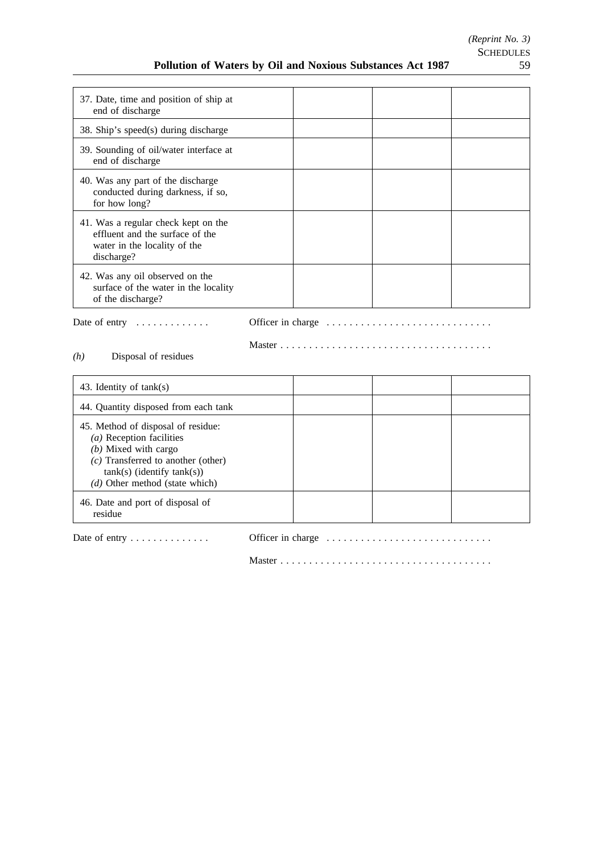# **Pollution of Waters by Oil and Noxious Substances Act 1987** 59

| 37. Date, time and position of ship at<br>end of discharge                                                           |  |
|----------------------------------------------------------------------------------------------------------------------|--|
| 38. Ship's speed(s) during discharge                                                                                 |  |
| 39. Sounding of oil/water interface at<br>end of discharge                                                           |  |
| 40. Was any part of the discharge<br>conducted during darkness, if so,<br>for how long?                              |  |
| 41. Was a regular check kept on the<br>effluent and the surface of the<br>water in the locality of the<br>discharge? |  |
| 42. Was any oil observed on the<br>surface of the water in the locality<br>of the discharge?                         |  |

Date of entry ............. Officer in charge .............................

Master .....................................

# *(h)* Disposal of residues

| 43. Identity of $tank(s)$                                                                                                                                                                               |  |  |
|---------------------------------------------------------------------------------------------------------------------------------------------------------------------------------------------------------|--|--|
| 44. Quantity disposed from each tank                                                                                                                                                                    |  |  |
| 45. Method of disposal of residue:<br>$(a)$ Reception facilities<br>$(b)$ Mixed with cargo<br>$(c)$ Transferred to another (other)<br>$tank(s)$ (identify $tank(s)$ )<br>(d) Other method (state which) |  |  |
| 46. Date and port of disposal of<br>residue                                                                                                                                                             |  |  |

Date of entry .............. Officer in charge .............................

Master .....................................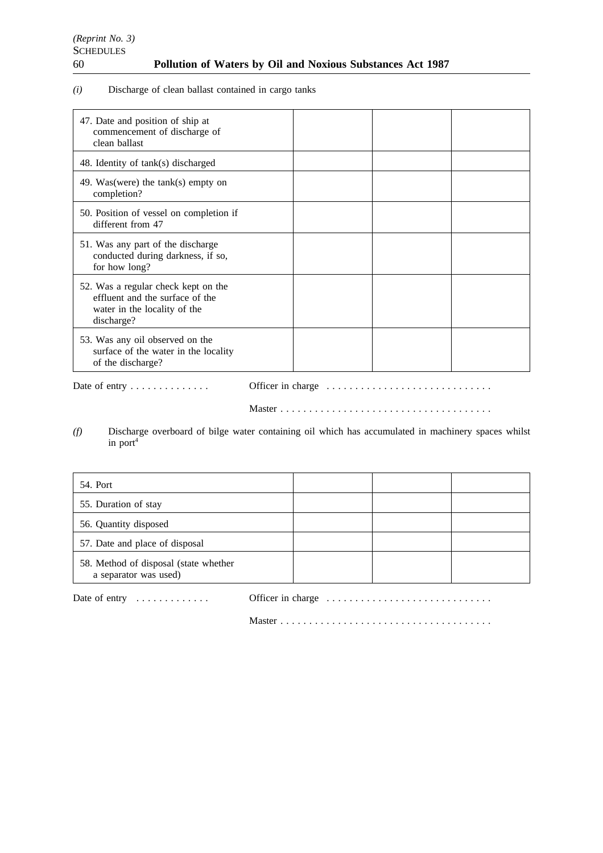# *(i)* Discharge of clean ballast contained in cargo tanks

| 47. Date and position of ship at<br>commencement of discharge of<br>clean ballast                                    |  |  |
|----------------------------------------------------------------------------------------------------------------------|--|--|
| 48. Identity of tank(s) discharged                                                                                   |  |  |
| 49. Was (were) the $tank(s)$ empty on<br>completion?                                                                 |  |  |
| 50. Position of vessel on completion if<br>different from 47                                                         |  |  |
| 51. Was any part of the discharge<br>conducted during darkness, if so,<br>for how long?                              |  |  |
| 52. Was a regular check kept on the<br>effluent and the surface of the<br>water in the locality of the<br>discharge? |  |  |
| 53. Was any oil observed on the<br>surface of the water in the locality<br>of the discharge?                         |  |  |

Date of entry .............. Officer in charge .............................

Master .....................................

*(f)* Discharge overboard of bilge water containing oil which has accumulated in machinery spaces whilst in port $4$ 

| 54. Port                                                       |  |  |
|----------------------------------------------------------------|--|--|
| 55. Duration of stay                                           |  |  |
| 56. Quantity disposed                                          |  |  |
| 57. Date and place of disposal                                 |  |  |
| 58. Method of disposal (state whether<br>a separator was used) |  |  |

Date of entry ............. Officer in charge .............................

Master .....................................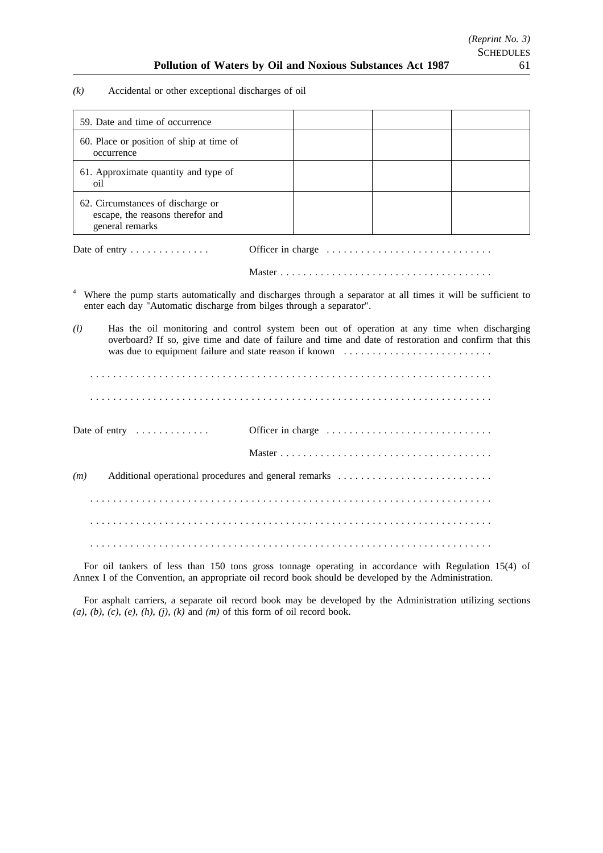# *(k)* Accidental or other exceptional discharges of oil

| 59. Date and time of occurrence                                                                                                                                                                                                                                         |                   |  |
|-------------------------------------------------------------------------------------------------------------------------------------------------------------------------------------------------------------------------------------------------------------------------|-------------------|--|
| 60. Place or position of ship at time of<br>occurrence                                                                                                                                                                                                                  |                   |  |
| 61. Approximate quantity and type of<br>oil                                                                                                                                                                                                                             |                   |  |
| 62. Circumstances of discharge or<br>escape, the reasons therefor and<br>general remarks                                                                                                                                                                                |                   |  |
| Date of entry                                                                                                                                                                                                                                                           | Officer in charge |  |
|                                                                                                                                                                                                                                                                         |                   |  |
| Where the pump starts automatically and discharges through a separator at all times it will be sufficient to<br>enter each day "Automatic discharge from bilges through a separator".                                                                                   |                   |  |
| Has the oil monitoring and control system been out of operation at any time when discharging<br>(l)<br>overboard? If so, give time and date of failure and time and date of restoration and confirm that this<br>was due to equipment failure and state reason if known |                   |  |
|                                                                                                                                                                                                                                                                         |                   |  |
|                                                                                                                                                                                                                                                                         |                   |  |
| Date of entry $\dots \dots \dots$                                                                                                                                                                                                                                       | Officer in charge |  |
|                                                                                                                                                                                                                                                                         |                   |  |
| Additional operational procedures and general remarks<br>(m)                                                                                                                                                                                                            |                   |  |
|                                                                                                                                                                                                                                                                         |                   |  |
|                                                                                                                                                                                                                                                                         |                   |  |
|                                                                                                                                                                                                                                                                         |                   |  |

For oil tankers of less than 150 tons gross tonnage operating in accordance with Regulation 15(4) of Annex I of the Convention, an appropriate oil record book should be developed by the Administration.

For asphalt carriers, a separate oil record book may be developed by the Administration utilizing sections *(a)*, *(b)*, *(c)*, *(e)*, *(h)*, *(j)*, *(k)* and *(m)* of this form of oil record book.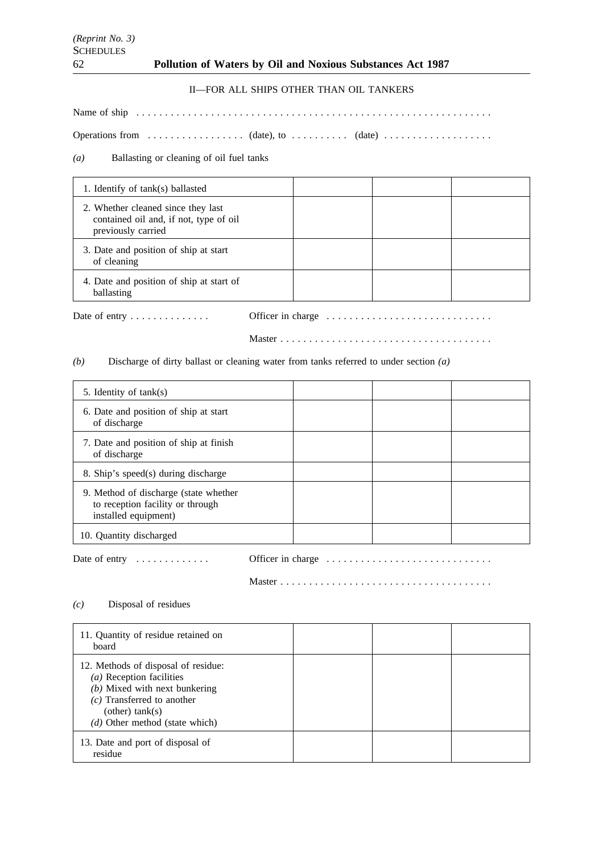# II—FOR ALL SHIPS OTHER THAN OIL TANKERS

Name of ship ..............................................................

Operations from ................. (date), to .......... (date) ...................

# *(a)* Ballasting or cleaning of oil fuel tanks

| 1. Identify of tank(s) ballasted                                                                   |  |  |
|----------------------------------------------------------------------------------------------------|--|--|
| 2. Whether cleaned since they last<br>contained oil and, if not, type of oil<br>previously carried |  |  |
| 3. Date and position of ship at start<br>of cleaning                                               |  |  |
| 4. Date and position of ship at start of<br>ballasting                                             |  |  |

Date of entry .............. Officer in charge .............................

Master .....................................

# *(b)* Discharge of dirty ballast or cleaning water from tanks referred to under section *(a)*

| 5. Identity of tank(s)                                                                            |  |  |
|---------------------------------------------------------------------------------------------------|--|--|
| 6. Date and position of ship at start<br>of discharge                                             |  |  |
| 7. Date and position of ship at finish<br>of discharge                                            |  |  |
| 8. Ship's speed(s) during discharge                                                               |  |  |
| 9. Method of discharge (state whether<br>to reception facility or through<br>installed equipment) |  |  |
| 10. Quantity discharged                                                                           |  |  |

Date of entry ............. Officer in charge .............................

Master .....................................

# *(c)* Disposal of residues

| 11. Quantity of residue retained on<br>board                                                                                                                                                  |  |  |
|-----------------------------------------------------------------------------------------------------------------------------------------------------------------------------------------------|--|--|
| 12. Methods of disposal of residue:<br>$(a)$ Reception facilities<br>$(b)$ Mixed with next bunkering<br>$(c)$ Transferred to another<br>(other) $tank(s)$<br>$(d)$ Other method (state which) |  |  |
| 13. Date and port of disposal of<br>residue                                                                                                                                                   |  |  |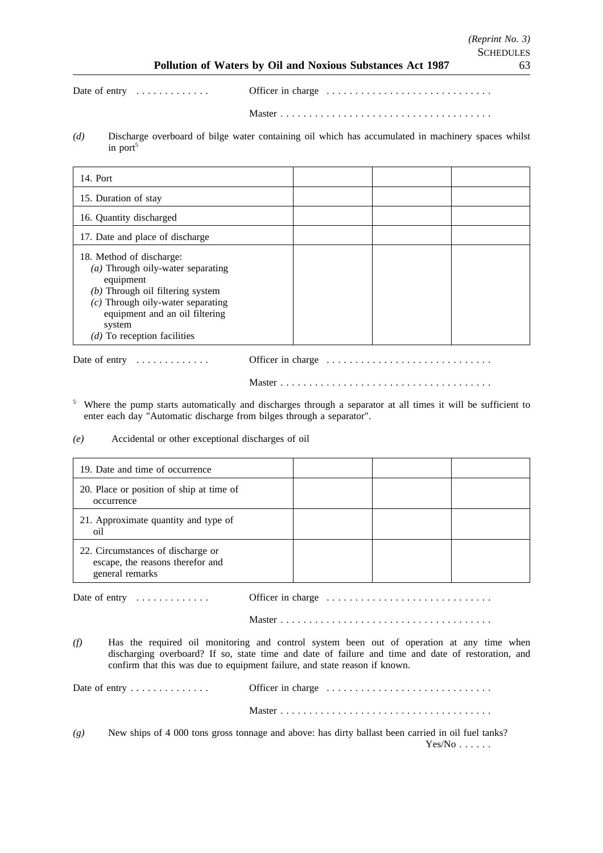Date of entry ............. Officer in charge .............................

Master .....................................

*(d)* Discharge overboard of bilge water containing oil which has accumulated in machinery spaces whilst in port $5$ 

| 14. Port                                                                                                                                                                                                                               |  |  |
|----------------------------------------------------------------------------------------------------------------------------------------------------------------------------------------------------------------------------------------|--|--|
| 15. Duration of stay                                                                                                                                                                                                                   |  |  |
| 16. Quantity discharged                                                                                                                                                                                                                |  |  |
| 17. Date and place of discharge                                                                                                                                                                                                        |  |  |
| 18. Method of discharge:<br>$(a)$ Through oily-water separating<br>equipment<br>$(b)$ Through oil filtering system<br>$(c)$ Through oily-water separating<br>equipment and an oil filtering<br>system<br>$(d)$ To reception facilities |  |  |

Date of entry ............. Officer in charge .............................

Master .....................................

<sup>5</sup> Where the pump starts automatically and discharges through a separator at all times it will be sufficient to enter each day "Automatic discharge from bilges through a separator".

# *(e)* Accidental or other exceptional discharges of oil

| 19. Date and time of occurrence                                                          |  |  |
|------------------------------------------------------------------------------------------|--|--|
| 20. Place or position of ship at time of<br>occurrence                                   |  |  |
| 21. Approximate quantity and type of<br>0il                                              |  |  |
| 22. Circumstances of discharge or<br>escape, the reasons therefor and<br>general remarks |  |  |

Date of entry ............. Officer in charge .............................

Master .....................................

*(f)* Has the required oil monitoring and control system been out of operation at any time when discharging overboard? If so, state time and date of failure and time and date of restoration, and confirm that this was due to equipment failure, and state reason if known.

*(g)* New ships of 4 000 tons gross tonnage and above: has dirty ballast been carried in oil fuel tanks? Yes/No ......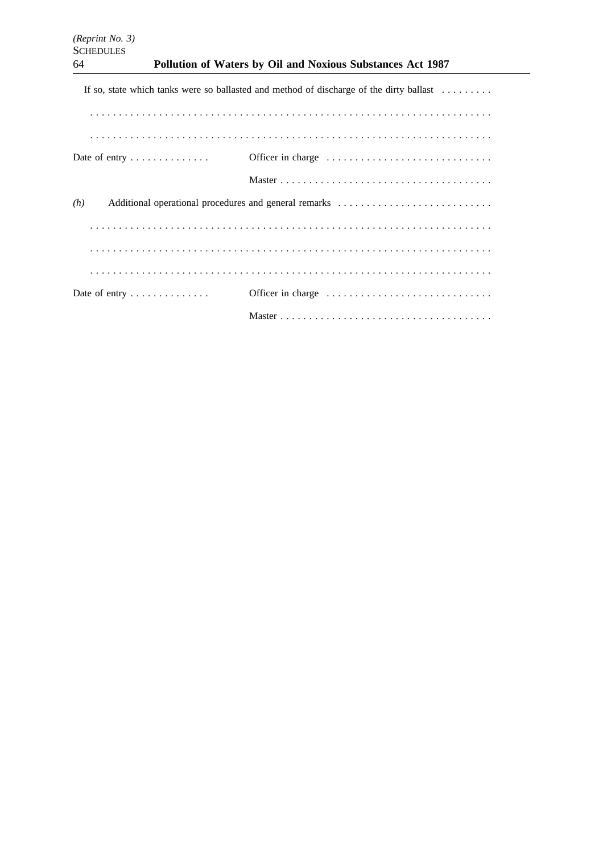| (Reprint No. 3)  |                                                            |
|------------------|------------------------------------------------------------|
| <b>SCHEDULES</b> |                                                            |
| 64               | Pollution of Waters by Oil and Noxious Substances Act 1987 |

| If so, state which tanks were so ballasted and method of discharge of the dirty ballast $\dots \dots$ |                                                       |
|-------------------------------------------------------------------------------------------------------|-------------------------------------------------------|
|                                                                                                       |                                                       |
|                                                                                                       |                                                       |
| Date of entry $\dots \dots \dots$                                                                     |                                                       |
|                                                                                                       |                                                       |
| (h)                                                                                                   | Additional operational procedures and general remarks |
|                                                                                                       |                                                       |
|                                                                                                       |                                                       |
|                                                                                                       |                                                       |
| Date of entry $\dots \dots \dots \dots$                                                               | Officer in charge                                     |
|                                                                                                       |                                                       |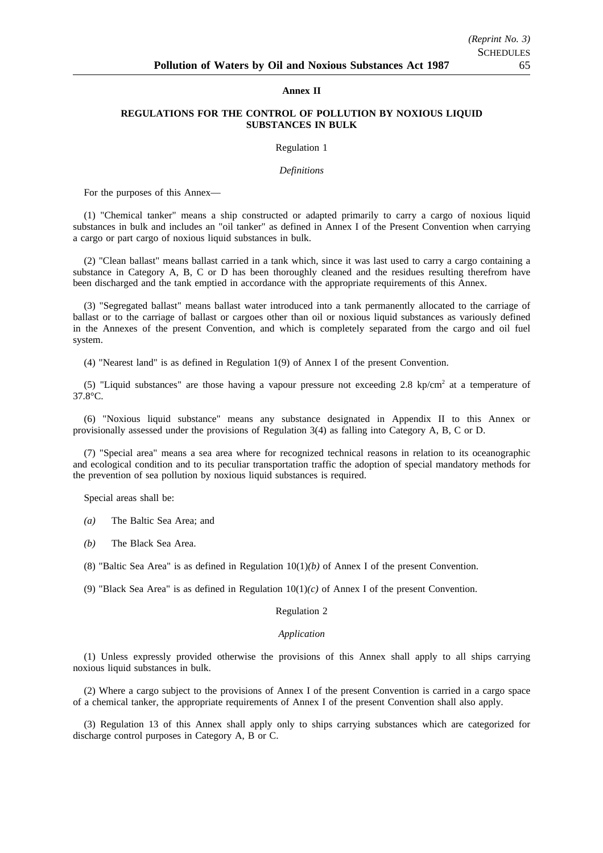## **Annex II**

## **REGULATIONS FOR THE CONTROL OF POLLUTION BY NOXIOUS LIQUID SUBSTANCES IN BULK**

## Regulation 1

#### *Definitions*

For the purposes of this Annex—

(1) "Chemical tanker" means a ship constructed or adapted primarily to carry a cargo of noxious liquid substances in bulk and includes an "oil tanker" as defined in Annex I of the Present Convention when carrying a cargo or part cargo of noxious liquid substances in bulk.

(2) "Clean ballast" means ballast carried in a tank which, since it was last used to carry a cargo containing a substance in Category A, B, C or D has been thoroughly cleaned and the residues resulting therefrom have been discharged and the tank emptied in accordance with the appropriate requirements of this Annex.

(3) "Segregated ballast" means ballast water introduced into a tank permanently allocated to the carriage of ballast or to the carriage of ballast or cargoes other than oil or noxious liquid substances as variously defined in the Annexes of the present Convention, and which is completely separated from the cargo and oil fuel system.

(4) "Nearest land" is as defined in Regulation 1(9) of Annex I of the present Convention.

(5) "Liquid substances" are those having a vapour pressure not exceeding 2.8 kp/cm2 at a temperature of 37.8°C.

(6) "Noxious liquid substance" means any substance designated in Appendix II to this Annex or provisionally assessed under the provisions of Regulation 3(4) as falling into Category A, B, C or D.

(7) "Special area" means a sea area where for recognized technical reasons in relation to its oceanographic and ecological condition and to its peculiar transportation traffic the adoption of special mandatory methods for the prevention of sea pollution by noxious liquid substances is required.

Special areas shall be:

- *(a)* The Baltic Sea Area; and
- *(b)* The Black Sea Area.

(8) "Baltic Sea Area" is as defined in Regulation  $10(1)(b)$  of Annex I of the present Convention.

(9) "Black Sea Area" is as defined in Regulation  $10(1)(c)$  of Annex I of the present Convention.

## Regulation 2

#### *Application*

(1) Unless expressly provided otherwise the provisions of this Annex shall apply to all ships carrying noxious liquid substances in bulk.

(2) Where a cargo subject to the provisions of Annex I of the present Convention is carried in a cargo space of a chemical tanker, the appropriate requirements of Annex I of the present Convention shall also apply.

(3) Regulation 13 of this Annex shall apply only to ships carrying substances which are categorized for discharge control purposes in Category A, B or C.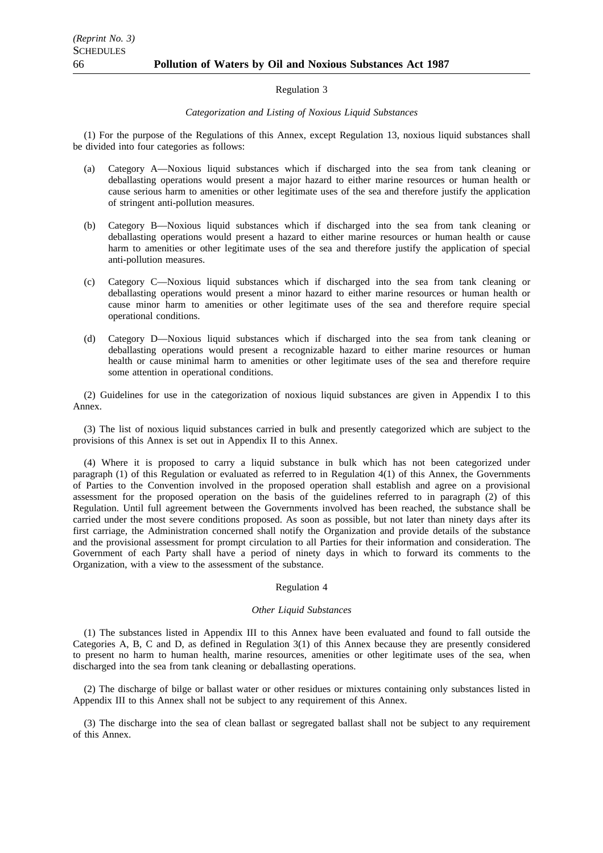## Regulation 3

## *Categorization and Listing of Noxious Liquid Substances*

(1) For the purpose of the Regulations of this Annex, except Regulation 13, noxious liquid substances shall be divided into four categories as follows:

- (a) Category A—Noxious liquid substances which if discharged into the sea from tank cleaning or deballasting operations would present a major hazard to either marine resources or human health or cause serious harm to amenities or other legitimate uses of the sea and therefore justify the application of stringent anti-pollution measures.
- (b) Category B—Noxious liquid substances which if discharged into the sea from tank cleaning or deballasting operations would present a hazard to either marine resources or human health or cause harm to amenities or other legitimate uses of the sea and therefore justify the application of special anti-pollution measures.
- (c) Category C—Noxious liquid substances which if discharged into the sea from tank cleaning or deballasting operations would present a minor hazard to either marine resources or human health or cause minor harm to amenities or other legitimate uses of the sea and therefore require special operational conditions.
- (d) Category D—Noxious liquid substances which if discharged into the sea from tank cleaning or deballasting operations would present a recognizable hazard to either marine resources or human health or cause minimal harm to amenities or other legitimate uses of the sea and therefore require some attention in operational conditions.

(2) Guidelines for use in the categorization of noxious liquid substances are given in Appendix I to this Annex.

(3) The list of noxious liquid substances carried in bulk and presently categorized which are subject to the provisions of this Annex is set out in Appendix II to this Annex.

(4) Where it is proposed to carry a liquid substance in bulk which has not been categorized under paragraph (1) of this Regulation or evaluated as referred to in Regulation 4(1) of this Annex, the Governments of Parties to the Convention involved in the proposed operation shall establish and agree on a provisional assessment for the proposed operation on the basis of the guidelines referred to in paragraph (2) of this Regulation. Until full agreement between the Governments involved has been reached, the substance shall be carried under the most severe conditions proposed. As soon as possible, but not later than ninety days after its first carriage, the Administration concerned shall notify the Organization and provide details of the substance and the provisional assessment for prompt circulation to all Parties for their information and consideration. The Government of each Party shall have a period of ninety days in which to forward its comments to the Organization, with a view to the assessment of the substance.

## Regulation 4

## *Other Liquid Substances*

(1) The substances listed in Appendix III to this Annex have been evaluated and found to fall outside the Categories A, B, C and D, as defined in Regulation 3(1) of this Annex because they are presently considered to present no harm to human health, marine resources, amenities or other legitimate uses of the sea, when discharged into the sea from tank cleaning or deballasting operations.

(2) The discharge of bilge or ballast water or other residues or mixtures containing only substances listed in Appendix III to this Annex shall not be subject to any requirement of this Annex.

(3) The discharge into the sea of clean ballast or segregated ballast shall not be subject to any requirement of this Annex.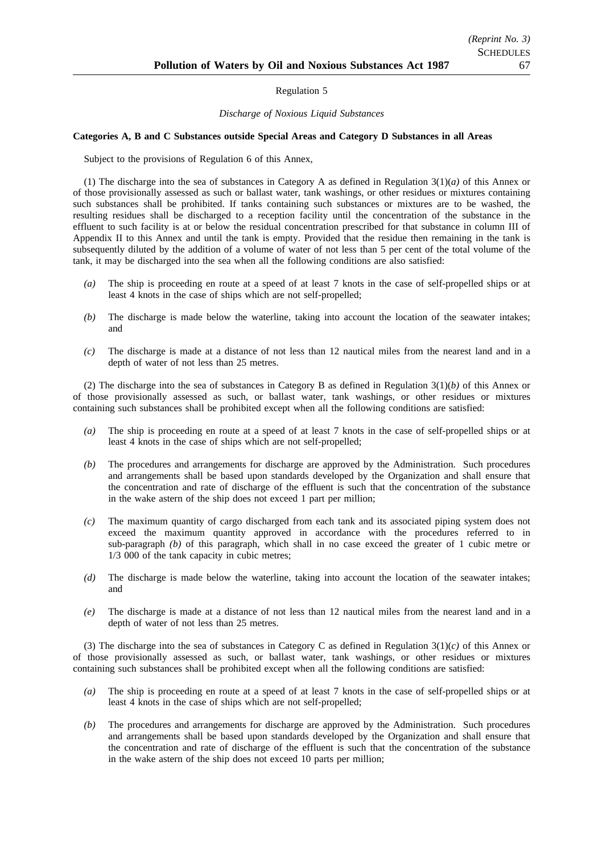# Regulation 5

## *Discharge of Noxious Liquid Substances*

## **Categories A, B and C Substances outside Special Areas and Category D Substances in all Areas**

Subject to the provisions of Regulation 6 of this Annex,

(1) The discharge into the sea of substances in Category A as defined in Regulation 3(1)(*a)* of this Annex or of those provisionally assessed as such or ballast water, tank washings, or other residues or mixtures containing such substances shall be prohibited. If tanks containing such substances or mixtures are to be washed, the resulting residues shall be discharged to a reception facility until the concentration of the substance in the effluent to such facility is at or below the residual concentration prescribed for that substance in column III of Appendix II to this Annex and until the tank is empty. Provided that the residue then remaining in the tank is subsequently diluted by the addition of a volume of water of not less than 5 per cent of the total volume of the tank, it may be discharged into the sea when all the following conditions are also satisfied:

- *(a)* The ship is proceeding en route at a speed of at least 7 knots in the case of self-propelled ships or at least 4 knots in the case of ships which are not self-propelled;
- *(b)* The discharge is made below the waterline, taking into account the location of the seawater intakes; and
- *(c)* The discharge is made at a distance of not less than 12 nautical miles from the nearest land and in a depth of water of not less than 25 metres.

(2) The discharge into the sea of substances in Category B as defined in Regulation 3(1)(*b)* of this Annex or of those provisionally assessed as such, or ballast water, tank washings, or other residues or mixtures containing such substances shall be prohibited except when all the following conditions are satisfied:

- *(a)* The ship is proceeding en route at a speed of at least 7 knots in the case of self-propelled ships or at least 4 knots in the case of ships which are not self-propelled;
- *(b)* The procedures and arrangements for discharge are approved by the Administration. Such procedures and arrangements shall be based upon standards developed by the Organization and shall ensure that the concentration and rate of discharge of the effluent is such that the concentration of the substance in the wake astern of the ship does not exceed 1 part per million;
- *(c)* The maximum quantity of cargo discharged from each tank and its associated piping system does not exceed the maximum quantity approved in accordance with the procedures referred to in sub-paragraph *(b)* of this paragraph, which shall in no case exceed the greater of 1 cubic metre or 1/3 000 of the tank capacity in cubic metres;
- *(d)* The discharge is made below the waterline, taking into account the location of the seawater intakes; and
- *(e)* The discharge is made at a distance of not less than 12 nautical miles from the nearest land and in a depth of water of not less than 25 metres.

(3) The discharge into the sea of substances in Category C as defined in Regulation 3(1)(*c)* of this Annex or of those provisionally assessed as such, or ballast water, tank washings, or other residues or mixtures containing such substances shall be prohibited except when all the following conditions are satisfied:

- *(a)* The ship is proceeding en route at a speed of at least 7 knots in the case of self-propelled ships or at least 4 knots in the case of ships which are not self-propelled;
- *(b)* The procedures and arrangements for discharge are approved by the Administration. Such procedures and arrangements shall be based upon standards developed by the Organization and shall ensure that the concentration and rate of discharge of the effluent is such that the concentration of the substance in the wake astern of the ship does not exceed 10 parts per million;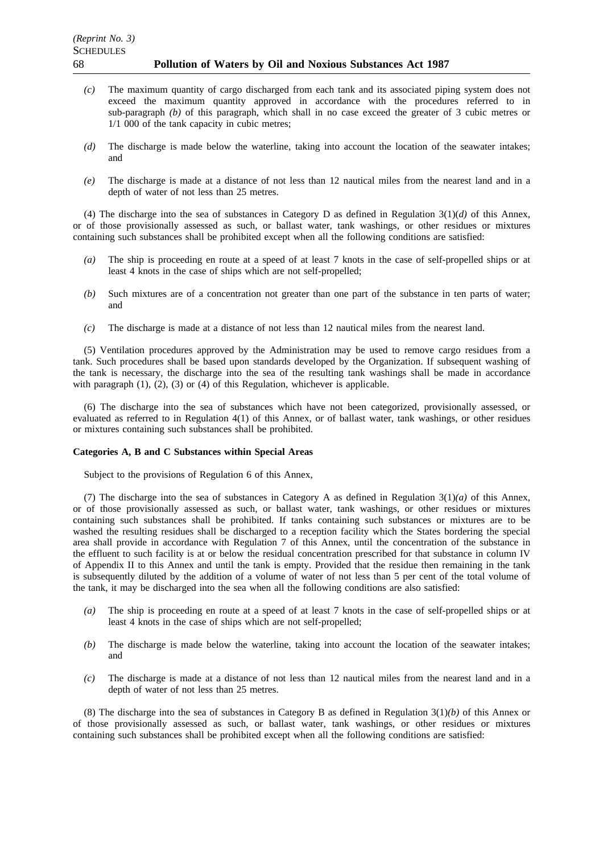- *(c)* The maximum quantity of cargo discharged from each tank and its associated piping system does not exceed the maximum quantity approved in accordance with the procedures referred to in sub-paragraph *(b)* of this paragraph, which shall in no case exceed the greater of 3 cubic metres or 1/1 000 of the tank capacity in cubic metres;
- *(d)* The discharge is made below the waterline, taking into account the location of the seawater intakes; and
- *(e)* The discharge is made at a distance of not less than 12 nautical miles from the nearest land and in a depth of water of not less than 25 metres.

(4) The discharge into the sea of substances in Category D as defined in Regulation 3(1)(*d)* of this Annex, or of those provisionally assessed as such, or ballast water, tank washings, or other residues or mixtures containing such substances shall be prohibited except when all the following conditions are satisfied:

- *(a)* The ship is proceeding en route at a speed of at least 7 knots in the case of self-propelled ships or at least 4 knots in the case of ships which are not self-propelled;
- *(b)* Such mixtures are of a concentration not greater than one part of the substance in ten parts of water; and
- *(c)* The discharge is made at a distance of not less than 12 nautical miles from the nearest land.

(5) Ventilation procedures approved by the Administration may be used to remove cargo residues from a tank. Such procedures shall be based upon standards developed by the Organization. If subsequent washing of the tank is necessary, the discharge into the sea of the resulting tank washings shall be made in accordance with paragraph  $(1)$ ,  $(2)$ ,  $(3)$  or  $(4)$  of this Regulation, whichever is applicable.

(6) The discharge into the sea of substances which have not been categorized, provisionally assessed, or evaluated as referred to in Regulation 4(1) of this Annex, or of ballast water, tank washings, or other residues or mixtures containing such substances shall be prohibited.

## **Categories A, B and C Substances within Special Areas**

Subject to the provisions of Regulation 6 of this Annex.

(7) The discharge into the sea of substances in Category A as defined in Regulation 3(1)*(a)* of this Annex, or of those provisionally assessed as such, or ballast water, tank washings, or other residues or mixtures containing such substances shall be prohibited. If tanks containing such substances or mixtures are to be washed the resulting residues shall be discharged to a reception facility which the States bordering the special area shall provide in accordance with Regulation 7 of this Annex, until the concentration of the substance in the effluent to such facility is at or below the residual concentration prescribed for that substance in column IV of Appendix II to this Annex and until the tank is empty. Provided that the residue then remaining in the tank is subsequently diluted by the addition of a volume of water of not less than 5 per cent of the total volume of the tank, it may be discharged into the sea when all the following conditions are also satisfied:

- *(a)* The ship is proceeding en route at a speed of at least 7 knots in the case of self-propelled ships or at least 4 knots in the case of ships which are not self-propelled;
- *(b)* The discharge is made below the waterline, taking into account the location of the seawater intakes; and
- *(c)* The discharge is made at a distance of not less than 12 nautical miles from the nearest land and in a depth of water of not less than 25 metres.

(8) The discharge into the sea of substances in Category B as defined in Regulation 3(1)*(b)* of this Annex or of those provisionally assessed as such, or ballast water, tank washings, or other residues or mixtures containing such substances shall be prohibited except when all the following conditions are satisfied: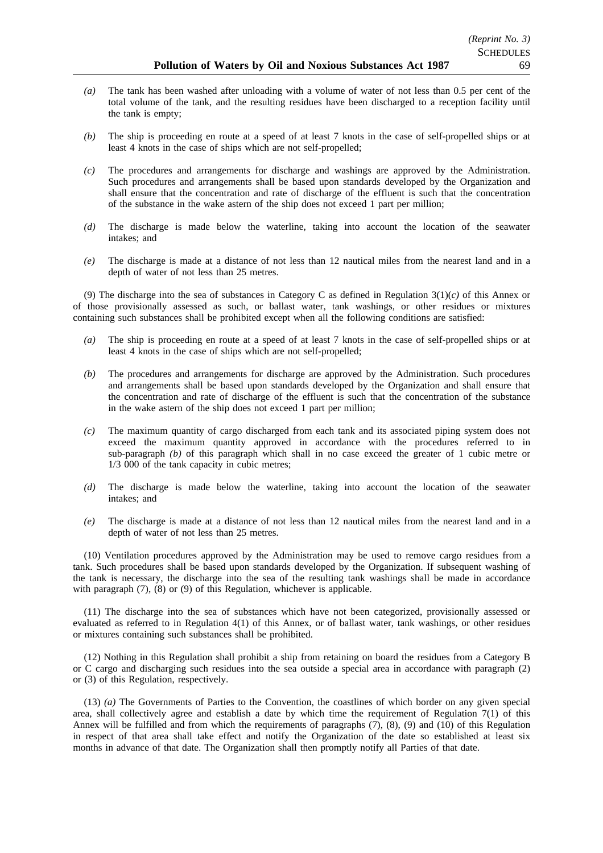- *(a)* The tank has been washed after unloading with a volume of water of not less than 0.5 per cent of the total volume of the tank, and the resulting residues have been discharged to a reception facility until the tank is empty;
- *(b)* The ship is proceeding en route at a speed of at least 7 knots in the case of self-propelled ships or at least 4 knots in the case of ships which are not self-propelled;
- *(c)* The procedures and arrangements for discharge and washings are approved by the Administration. Such procedures and arrangements shall be based upon standards developed by the Organization and shall ensure that the concentration and rate of discharge of the effluent is such that the concentration of the substance in the wake astern of the ship does not exceed 1 part per million;
- *(d)* The discharge is made below the waterline, taking into account the location of the seawater intakes; and
- *(e)* The discharge is made at a distance of not less than 12 nautical miles from the nearest land and in a depth of water of not less than 25 metres.

(9) The discharge into the sea of substances in Category C as defined in Regulation 3(1)(*c)* of this Annex or of those provisionally assessed as such, or ballast water, tank washings, or other residues or mixtures containing such substances shall be prohibited except when all the following conditions are satisfied:

- *(a)* The ship is proceeding en route at a speed of at least 7 knots in the case of self-propelled ships or at least 4 knots in the case of ships which are not self-propelled;
- *(b)* The procedures and arrangements for discharge are approved by the Administration. Such procedures and arrangements shall be based upon standards developed by the Organization and shall ensure that the concentration and rate of discharge of the effluent is such that the concentration of the substance in the wake astern of the ship does not exceed 1 part per million;
- *(c)* The maximum quantity of cargo discharged from each tank and its associated piping system does not exceed the maximum quantity approved in accordance with the procedures referred to in sub-paragraph *(b)* of this paragraph which shall in no case exceed the greater of 1 cubic metre or 1/3 000 of the tank capacity in cubic metres;
- *(d)* The discharge is made below the waterline, taking into account the location of the seawater intakes; and
- *(e)* The discharge is made at a distance of not less than 12 nautical miles from the nearest land and in a depth of water of not less than 25 metres.

(10) Ventilation procedures approved by the Administration may be used to remove cargo residues from a tank. Such procedures shall be based upon standards developed by the Organization. If subsequent washing of the tank is necessary, the discharge into the sea of the resulting tank washings shall be made in accordance with paragraph (7), (8) or (9) of this Regulation, whichever is applicable.

(11) The discharge into the sea of substances which have not been categorized, provisionally assessed or evaluated as referred to in Regulation 4(1) of this Annex, or of ballast water, tank washings, or other residues or mixtures containing such substances shall be prohibited.

(12) Nothing in this Regulation shall prohibit a ship from retaining on board the residues from a Category B or C cargo and discharging such residues into the sea outside a special area in accordance with paragraph (2) or (3) of this Regulation, respectively.

(13) *(a)* The Governments of Parties to the Convention, the coastlines of which border on any given special area, shall collectively agree and establish a date by which time the requirement of Regulation 7(1) of this Annex will be fulfilled and from which the requirements of paragraphs (7), (8), (9) and (10) of this Regulation in respect of that area shall take effect and notify the Organization of the date so established at least six months in advance of that date. The Organization shall then promptly notify all Parties of that date.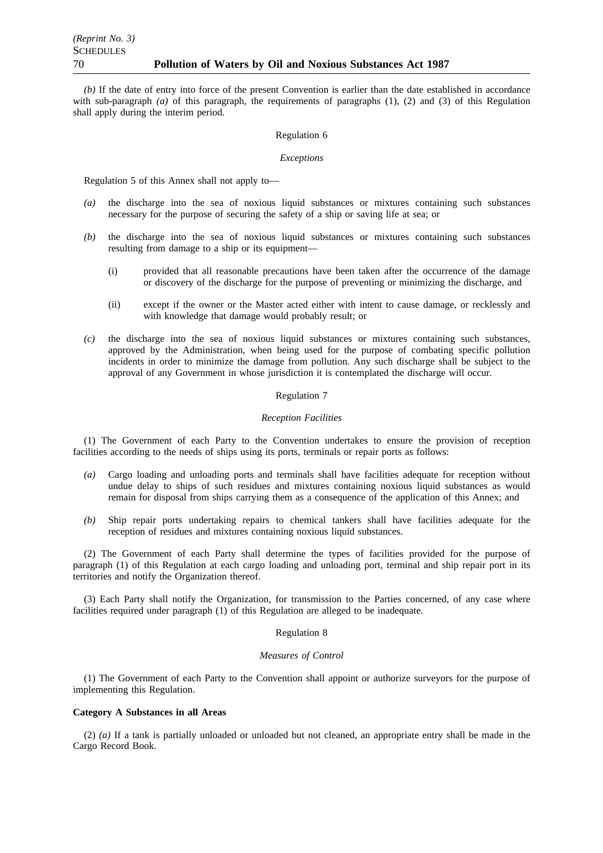*(b)* If the date of entry into force of the present Convention is earlier than the date established in accordance with sub-paragraph *(a)* of this paragraph, the requirements of paragraphs (1), (2) and (3) of this Regulation shall apply during the interim period.

## Regulation 6

#### *Exceptions*

Regulation 5 of this Annex shall not apply to—

- *(a)* the discharge into the sea of noxious liquid substances or mixtures containing such substances necessary for the purpose of securing the safety of a ship or saving life at sea; or
- *(b)* the discharge into the sea of noxious liquid substances or mixtures containing such substances resulting from damage to a ship or its equipment—
	- (i) provided that all reasonable precautions have been taken after the occurrence of the damage or discovery of the discharge for the purpose of preventing or minimizing the discharge, and
	- (ii) except if the owner or the Master acted either with intent to cause damage, or recklessly and with knowledge that damage would probably result; or
- *(c)* the discharge into the sea of noxious liquid substances or mixtures containing such substances, approved by the Administration, when being used for the purpose of combating specific pollution incidents in order to minimize the damage from pollution. Any such discharge shall be subject to the approval of any Government in whose jurisdiction it is contemplated the discharge will occur.

# Regulation 7

# *Reception Facilities*

(1) The Government of each Party to the Convention undertakes to ensure the provision of reception facilities according to the needs of ships using its ports, terminals or repair ports as follows:

- *(a)* Cargo loading and unloading ports and terminals shall have facilities adequate for reception without undue delay to ships of such residues and mixtures containing noxious liquid substances as would remain for disposal from ships carrying them as a consequence of the application of this Annex; and
- *(b)* Ship repair ports undertaking repairs to chemical tankers shall have facilities adequate for the reception of residues and mixtures containing noxious liquid substances.

(2) The Government of each Party shall determine the types of facilities provided for the purpose of paragraph (1) of this Regulation at each cargo loading and unloading port, terminal and ship repair port in its territories and notify the Organization thereof.

(3) Each Party shall notify the Organization, for transmission to the Parties concerned, of any case where facilities required under paragraph (1) of this Regulation are alleged to be inadequate.

## Regulation 8

### *Measures of Control*

(1) The Government of each Party to the Convention shall appoint or authorize surveyors for the purpose of implementing this Regulation.

### **Category A Substances in all Areas**

(2) *(a)* If a tank is partially unloaded or unloaded but not cleaned, an appropriate entry shall be made in the Cargo Record Book.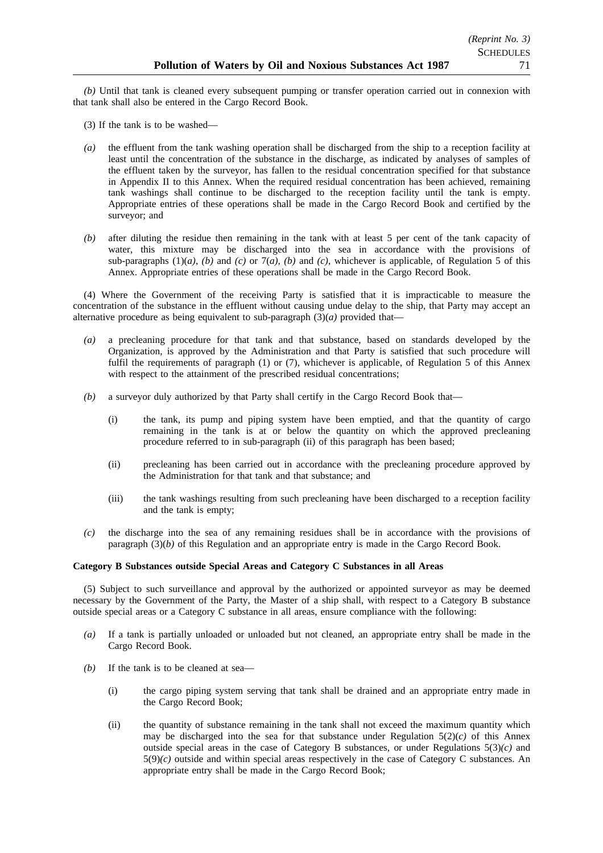*(b)* Until that tank is cleaned every subsequent pumping or transfer operation carried out in connexion with that tank shall also be entered in the Cargo Record Book.

- (3) If the tank is to be washed—
- *(a)* the effluent from the tank washing operation shall be discharged from the ship to a reception facility at least until the concentration of the substance in the discharge, as indicated by analyses of samples of the effluent taken by the surveyor, has fallen to the residual concentration specified for that substance in Appendix II to this Annex. When the required residual concentration has been achieved, remaining tank washings shall continue to be discharged to the reception facility until the tank is empty. Appropriate entries of these operations shall be made in the Cargo Record Book and certified by the surveyor; and
- *(b)* after diluting the residue then remaining in the tank with at least 5 per cent of the tank capacity of water, this mixture may be discharged into the sea in accordance with the provisions of sub-paragraphs  $(1)(a)$ ,  $(b)$  and  $(c)$  or  $7(a)$ ,  $(b)$  and  $(c)$ , whichever is applicable, of Regulation 5 of this Annex. Appropriate entries of these operations shall be made in the Cargo Record Book.

(4) Where the Government of the receiving Party is satisfied that it is impracticable to measure the concentration of the substance in the effluent without causing undue delay to the ship, that Party may accept an alternative procedure as being equivalent to sub-paragraph  $(3)(a)$  provided that—

- *(a)* a precleaning procedure for that tank and that substance, based on standards developed by the Organization, is approved by the Administration and that Party is satisfied that such procedure will fulfil the requirements of paragraph (1) or (7), whichever is applicable, of Regulation 5 of this Annex with respect to the attainment of the prescribed residual concentrations;
- *(b)* a surveyor duly authorized by that Party shall certify in the Cargo Record Book that—
	- (i) the tank, its pump and piping system have been emptied, and that the quantity of cargo remaining in the tank is at or below the quantity on which the approved precleaning procedure referred to in sub-paragraph (ii) of this paragraph has been based;
	- (ii) precleaning has been carried out in accordance with the precleaning procedure approved by the Administration for that tank and that substance; and
	- (iii) the tank washings resulting from such precleaning have been discharged to a reception facility and the tank is empty;
- *(c)* the discharge into the sea of any remaining residues shall be in accordance with the provisions of paragraph (3)(*b)* of this Regulation and an appropriate entry is made in the Cargo Record Book.

## **Category B Substances outside Special Areas and Category C Substances in all Areas**

(5) Subject to such surveillance and approval by the authorized or appointed surveyor as may be deemed necessary by the Government of the Party, the Master of a ship shall, with respect to a Category B substance outside special areas or a Category C substance in all areas, ensure compliance with the following:

- *(a)* If a tank is partially unloaded or unloaded but not cleaned, an appropriate entry shall be made in the Cargo Record Book.
- *(b)* If the tank is to be cleaned at sea—
	- (i) the cargo piping system serving that tank shall be drained and an appropriate entry made in the Cargo Record Book;
	- (ii) the quantity of substance remaining in the tank shall not exceed the maximum quantity which may be discharged into the sea for that substance under Regulation  $5(2)(c)$  of this Annex outside special areas in the case of Category B substances, or under Regulations  $5(3)(c)$  and  $5(9)(c)$  outside and within special areas respectively in the case of Category C substances. An appropriate entry shall be made in the Cargo Record Book;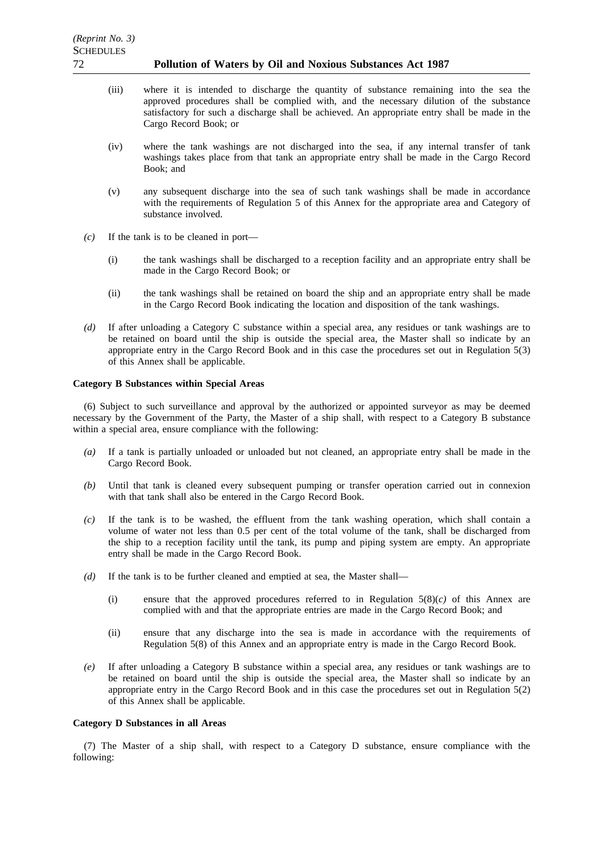- (iii) where it is intended to discharge the quantity of substance remaining into the sea the approved procedures shall be complied with, and the necessary dilution of the substance satisfactory for such a discharge shall be achieved. An appropriate entry shall be made in the Cargo Record Book; or
- (iv) where the tank washings are not discharged into the sea, if any internal transfer of tank washings takes place from that tank an appropriate entry shall be made in the Cargo Record Book; and
- (v) any subsequent discharge into the sea of such tank washings shall be made in accordance with the requirements of Regulation 5 of this Annex for the appropriate area and Category of substance involved.
- *(c)* If the tank is to be cleaned in port—
	- (i) the tank washings shall be discharged to a reception facility and an appropriate entry shall be made in the Cargo Record Book; or
	- (ii) the tank washings shall be retained on board the ship and an appropriate entry shall be made in the Cargo Record Book indicating the location and disposition of the tank washings.
- *(d)* If after unloading a Category C substance within a special area, any residues or tank washings are to be retained on board until the ship is outside the special area, the Master shall so indicate by an appropriate entry in the Cargo Record Book and in this case the procedures set out in Regulation 5(3) of this Annex shall be applicable.

# **Category B Substances within Special Areas**

(6) Subject to such surveillance and approval by the authorized or appointed surveyor as may be deemed necessary by the Government of the Party, the Master of a ship shall, with respect to a Category B substance within a special area, ensure compliance with the following:

- *(a)* If a tank is partially unloaded or unloaded but not cleaned, an appropriate entry shall be made in the Cargo Record Book.
- *(b)* Until that tank is cleaned every subsequent pumping or transfer operation carried out in connexion with that tank shall also be entered in the Cargo Record Book.
- *(c)* If the tank is to be washed, the effluent from the tank washing operation, which shall contain a volume of water not less than 0.5 per cent of the total volume of the tank, shall be discharged from the ship to a reception facility until the tank, its pump and piping system are empty. An appropriate entry shall be made in the Cargo Record Book.
- *(d)* If the tank is to be further cleaned and emptied at sea, the Master shall—
	- (i) ensure that the approved procedures referred to in Regulation 5(8)(*c)* of this Annex are complied with and that the appropriate entries are made in the Cargo Record Book; and
	- (ii) ensure that any discharge into the sea is made in accordance with the requirements of Regulation 5(8) of this Annex and an appropriate entry is made in the Cargo Record Book.
- *(e)* If after unloading a Category B substance within a special area, any residues or tank washings are to be retained on board until the ship is outside the special area, the Master shall so indicate by an appropriate entry in the Cargo Record Book and in this case the procedures set out in Regulation 5(2) of this Annex shall be applicable.

## **Category D Substances in all Areas**

(7) The Master of a ship shall, with respect to a Category D substance, ensure compliance with the following: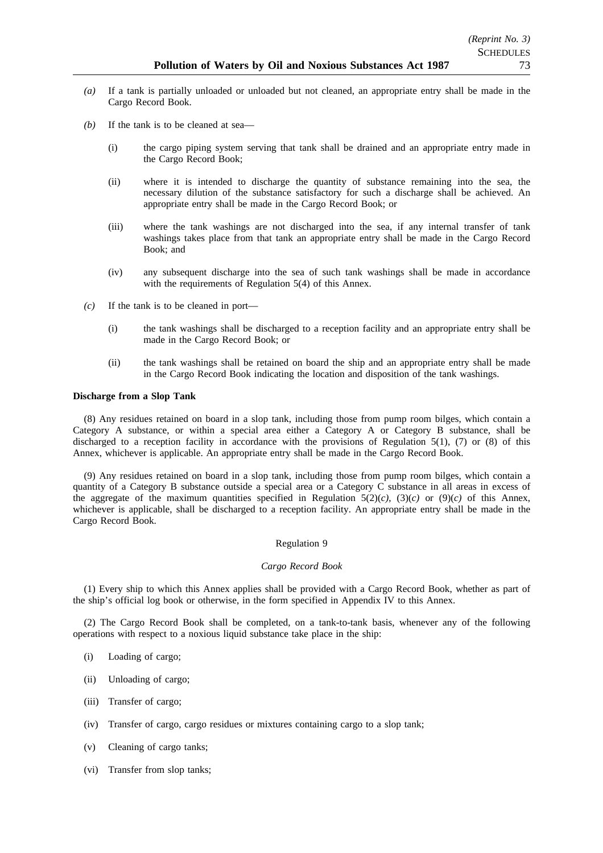- *(a)* If a tank is partially unloaded or unloaded but not cleaned, an appropriate entry shall be made in the Cargo Record Book.
- *(b)* If the tank is to be cleaned at sea—
	- (i) the cargo piping system serving that tank shall be drained and an appropriate entry made in the Cargo Record Book;
	- (ii) where it is intended to discharge the quantity of substance remaining into the sea, the necessary dilution of the substance satisfactory for such a discharge shall be achieved. An appropriate entry shall be made in the Cargo Record Book; or
	- (iii) where the tank washings are not discharged into the sea, if any internal transfer of tank washings takes place from that tank an appropriate entry shall be made in the Cargo Record Book; and
	- (iv) any subsequent discharge into the sea of such tank washings shall be made in accordance with the requirements of Regulation 5(4) of this Annex.
- *(c)* If the tank is to be cleaned in port—
	- (i) the tank washings shall be discharged to a reception facility and an appropriate entry shall be made in the Cargo Record Book; or
	- (ii) the tank washings shall be retained on board the ship and an appropriate entry shall be made in the Cargo Record Book indicating the location and disposition of the tank washings.

## **Discharge from a Slop Tank**

(8) Any residues retained on board in a slop tank, including those from pump room bilges, which contain a Category A substance, or within a special area either a Category A or Category B substance, shall be discharged to a reception facility in accordance with the provisions of Regulation 5(1), (7) or (8) of this Annex, whichever is applicable. An appropriate entry shall be made in the Cargo Record Book.

(9) Any residues retained on board in a slop tank, including those from pump room bilges, which contain a quantity of a Category B substance outside a special area or a Category C substance in all areas in excess of the aggregate of the maximum quantities specified in Regulation  $5(2)(c)$ ,  $(3)(c)$  or  $(9)(c)$  of this Annex, whichever is applicable, shall be discharged to a reception facility. An appropriate entry shall be made in the Cargo Record Book.

# Regulation 9

## *Cargo Record Book*

(1) Every ship to which this Annex applies shall be provided with a Cargo Record Book, whether as part of the ship's official log book or otherwise, in the form specified in Appendix IV to this Annex.

(2) The Cargo Record Book shall be completed, on a tank-to-tank basis, whenever any of the following operations with respect to a noxious liquid substance take place in the ship:

- (i) Loading of cargo;
- (ii) Unloading of cargo;
- (iii) Transfer of cargo;
- (iv) Transfer of cargo, cargo residues or mixtures containing cargo to a slop tank;
- (v) Cleaning of cargo tanks;
- (vi) Transfer from slop tanks;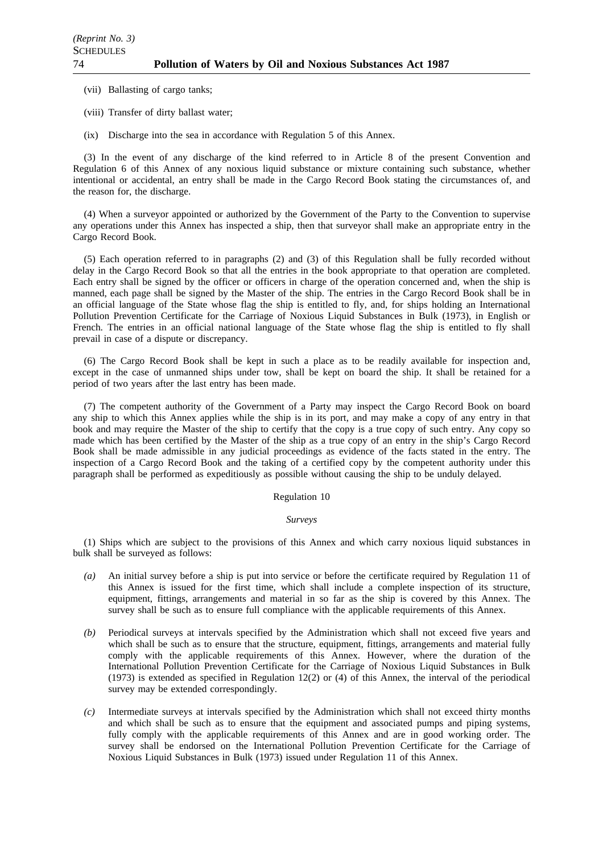- (vii) Ballasting of cargo tanks;
- (viii) Transfer of dirty ballast water;
- (ix) Discharge into the sea in accordance with Regulation 5 of this Annex.

(3) In the event of any discharge of the kind referred to in Article 8 of the present Convention and Regulation 6 of this Annex of any noxious liquid substance or mixture containing such substance, whether intentional or accidental, an entry shall be made in the Cargo Record Book stating the circumstances of, and the reason for, the discharge.

(4) When a surveyor appointed or authorized by the Government of the Party to the Convention to supervise any operations under this Annex has inspected a ship, then that surveyor shall make an appropriate entry in the Cargo Record Book.

(5) Each operation referred to in paragraphs (2) and (3) of this Regulation shall be fully recorded without delay in the Cargo Record Book so that all the entries in the book appropriate to that operation are completed. Each entry shall be signed by the officer or officers in charge of the operation concerned and, when the ship is manned, each page shall be signed by the Master of the ship. The entries in the Cargo Record Book shall be in an official language of the State whose flag the ship is entitled to fly, and, for ships holding an International Pollution Prevention Certificate for the Carriage of Noxious Liquid Substances in Bulk (1973), in English or French. The entries in an official national language of the State whose flag the ship is entitled to fly shall prevail in case of a dispute or discrepancy.

(6) The Cargo Record Book shall be kept in such a place as to be readily available for inspection and, except in the case of unmanned ships under tow, shall be kept on board the ship. It shall be retained for a period of two years after the last entry has been made.

(7) The competent authority of the Government of a Party may inspect the Cargo Record Book on board any ship to which this Annex applies while the ship is in its port, and may make a copy of any entry in that book and may require the Master of the ship to certify that the copy is a true copy of such entry. Any copy so made which has been certified by the Master of the ship as a true copy of an entry in the ship's Cargo Record Book shall be made admissible in any judicial proceedings as evidence of the facts stated in the entry. The inspection of a Cargo Record Book and the taking of a certified copy by the competent authority under this paragraph shall be performed as expeditiously as possible without causing the ship to be unduly delayed.

## Regulation 10

# *Surveys*

(1) Ships which are subject to the provisions of this Annex and which carry noxious liquid substances in bulk shall be surveyed as follows:

- *(a)* An initial survey before a ship is put into service or before the certificate required by Regulation 11 of this Annex is issued for the first time, which shall include a complete inspection of its structure, equipment, fittings, arrangements and material in so far as the ship is covered by this Annex. The survey shall be such as to ensure full compliance with the applicable requirements of this Annex.
- *(b)* Periodical surveys at intervals specified by the Administration which shall not exceed five years and which shall be such as to ensure that the structure, equipment, fittings, arrangements and material fully comply with the applicable requirements of this Annex. However, where the duration of the International Pollution Prevention Certificate for the Carriage of Noxious Liquid Substances in Bulk (1973) is extended as specified in Regulation 12(2) or (4) of this Annex, the interval of the periodical survey may be extended correspondingly.
- *(c)* Intermediate surveys at intervals specified by the Administration which shall not exceed thirty months and which shall be such as to ensure that the equipment and associated pumps and piping systems, fully comply with the applicable requirements of this Annex and are in good working order. The survey shall be endorsed on the International Pollution Prevention Certificate for the Carriage of Noxious Liquid Substances in Bulk (1973) issued under Regulation 11 of this Annex.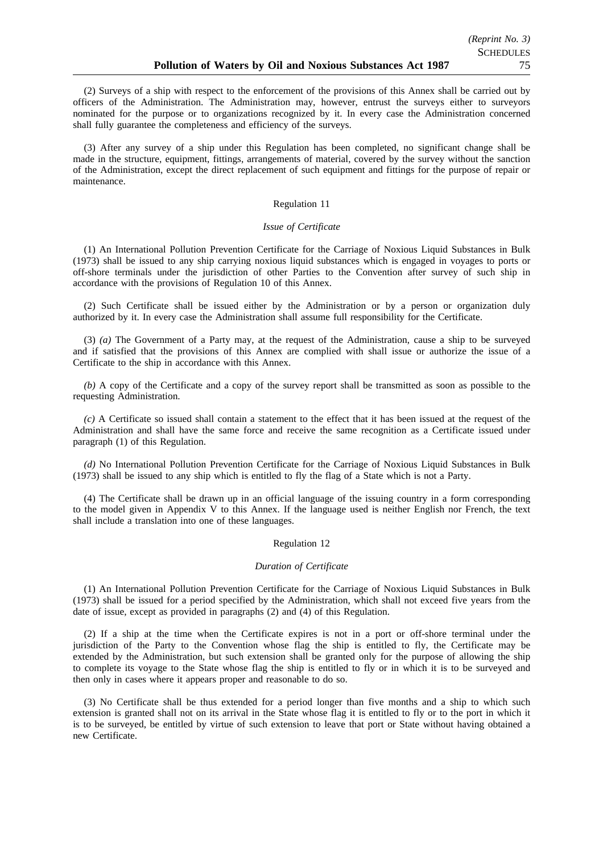(2) Surveys of a ship with respect to the enforcement of the provisions of this Annex shall be carried out by officers of the Administration. The Administration may, however, entrust the surveys either to surveyors nominated for the purpose or to organizations recognized by it. In every case the Administration concerned shall fully guarantee the completeness and efficiency of the surveys.

(3) After any survey of a ship under this Regulation has been completed, no significant change shall be made in the structure, equipment, fittings, arrangements of material, covered by the survey without the sanction of the Administration, except the direct replacement of such equipment and fittings for the purpose of repair or maintenance.

## Regulation 11

## *Issue of Certificate*

(1) An International Pollution Prevention Certificate for the Carriage of Noxious Liquid Substances in Bulk (1973) shall be issued to any ship carrying noxious liquid substances which is engaged in voyages to ports or off-shore terminals under the jurisdiction of other Parties to the Convention after survey of such ship in accordance with the provisions of Regulation 10 of this Annex.

(2) Such Certificate shall be issued either by the Administration or by a person or organization duly authorized by it. In every case the Administration shall assume full responsibility for the Certificate.

(3) *(a)* The Government of a Party may, at the request of the Administration, cause a ship to be surveyed and if satisfied that the provisions of this Annex are complied with shall issue or authorize the issue of a Certificate to the ship in accordance with this Annex.

*(b)* A copy of the Certificate and a copy of the survey report shall be transmitted as soon as possible to the requesting Administration.

*(c)* A Certificate so issued shall contain a statement to the effect that it has been issued at the request of the Administration and shall have the same force and receive the same recognition as a Certificate issued under paragraph (1) of this Regulation.

*(d)* No International Pollution Prevention Certificate for the Carriage of Noxious Liquid Substances in Bulk (1973) shall be issued to any ship which is entitled to fly the flag of a State which is not a Party.

(4) The Certificate shall be drawn up in an official language of the issuing country in a form corresponding to the model given in Appendix V to this Annex. If the language used is neither English nor French, the text shall include a translation into one of these languages.

## Regulation 12

## *Duration of Certificate*

(1) An International Pollution Prevention Certificate for the Carriage of Noxious Liquid Substances in Bulk (1973) shall be issued for a period specified by the Administration, which shall not exceed five years from the date of issue, except as provided in paragraphs (2) and (4) of this Regulation.

(2) If a ship at the time when the Certificate expires is not in a port or off-shore terminal under the jurisdiction of the Party to the Convention whose flag the ship is entitled to fly, the Certificate may be extended by the Administration, but such extension shall be granted only for the purpose of allowing the ship to complete its voyage to the State whose flag the ship is entitled to fly or in which it is to be surveyed and then only in cases where it appears proper and reasonable to do so.

(3) No Certificate shall be thus extended for a period longer than five months and a ship to which such extension is granted shall not on its arrival in the State whose flag it is entitled to fly or to the port in which it is to be surveyed, be entitled by virtue of such extension to leave that port or State without having obtained a new Certificate.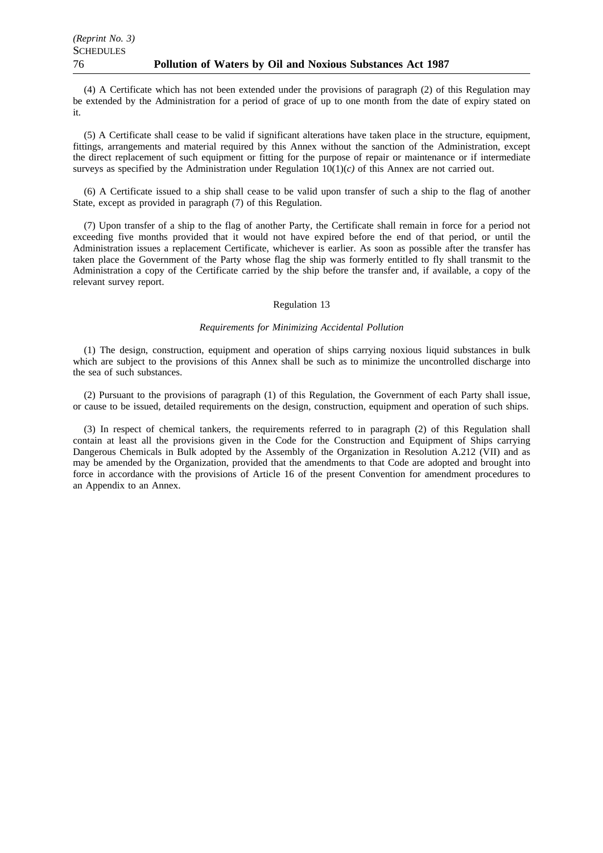(4) A Certificate which has not been extended under the provisions of paragraph (2) of this Regulation may be extended by the Administration for a period of grace of up to one month from the date of expiry stated on it.

(5) A Certificate shall cease to be valid if significant alterations have taken place in the structure, equipment, fittings, arrangements and material required by this Annex without the sanction of the Administration, except the direct replacement of such equipment or fitting for the purpose of repair or maintenance or if intermediate surveys as specified by the Administration under Regulation 10(1)(*c)* of this Annex are not carried out.

(6) A Certificate issued to a ship shall cease to be valid upon transfer of such a ship to the flag of another State, except as provided in paragraph (7) of this Regulation.

(7) Upon transfer of a ship to the flag of another Party, the Certificate shall remain in force for a period not exceeding five months provided that it would not have expired before the end of that period, or until the Administration issues a replacement Certificate, whichever is earlier. As soon as possible after the transfer has taken place the Government of the Party whose flag the ship was formerly entitled to fly shall transmit to the Administration a copy of the Certificate carried by the ship before the transfer and, if available, a copy of the relevant survey report.

# Regulation 13

# *Requirements for Minimizing Accidental Pollution*

(1) The design, construction, equipment and operation of ships carrying noxious liquid substances in bulk which are subject to the provisions of this Annex shall be such as to minimize the uncontrolled discharge into the sea of such substances.

(2) Pursuant to the provisions of paragraph (1) of this Regulation, the Government of each Party shall issue, or cause to be issued, detailed requirements on the design, construction, equipment and operation of such ships.

(3) In respect of chemical tankers, the requirements referred to in paragraph (2) of this Regulation shall contain at least all the provisions given in the Code for the Construction and Equipment of Ships carrying Dangerous Chemicals in Bulk adopted by the Assembly of the Organization in Resolution A.212 (VII) and as may be amended by the Organization, provided that the amendments to that Code are adopted and brought into force in accordance with the provisions of Article 16 of the present Convention for amendment procedures to an Appendix to an Annex.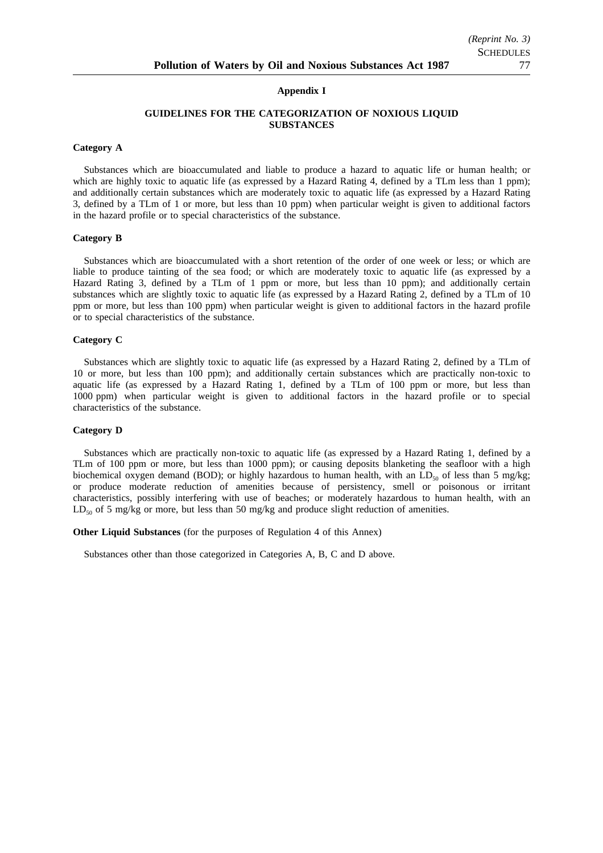# **Appendix I**

# **GUIDELINES FOR THE CATEGORIZATION OF NOXIOUS LIQUID SUBSTANCES**

#### **Category A**

Substances which are bioaccumulated and liable to produce a hazard to aquatic life or human health; or which are highly toxic to aquatic life (as expressed by a Hazard Rating 4, defined by a TLm less than 1 ppm); and additionally certain substances which are moderately toxic to aquatic life (as expressed by a Hazard Rating 3, defined by a TLm of 1 or more, but less than 10 ppm) when particular weight is given to additional factors in the hazard profile or to special characteristics of the substance.

#### **Category B**

Substances which are bioaccumulated with a short retention of the order of one week or less; or which are liable to produce tainting of the sea food; or which are moderately toxic to aquatic life (as expressed by a Hazard Rating 3, defined by a TLm of 1 ppm or more, but less than 10 ppm); and additionally certain substances which are slightly toxic to aquatic life (as expressed by a Hazard Rating 2, defined by a TLm of 10 ppm or more, but less than 100 ppm) when particular weight is given to additional factors in the hazard profile or to special characteristics of the substance.

#### **Category C**

Substances which are slightly toxic to aquatic life (as expressed by a Hazard Rating 2, defined by a TLm of 10 or more, but less than 100 ppm); and additionally certain substances which are practically non-toxic to aquatic life (as expressed by a Hazard Rating 1, defined by a TLm of 100 ppm or more, but less than 1000 ppm) when particular weight is given to additional factors in the hazard profile or to special characteristics of the substance.

# **Category D**

Substances which are practically non-toxic to aquatic life (as expressed by a Hazard Rating 1, defined by a TLm of 100 ppm or more, but less than 1000 ppm); or causing deposits blanketing the seafloor with a high biochemical oxygen demand (BOD); or highly hazardous to human health, with an  $LD_{50}$  of less than 5 mg/kg; or produce moderate reduction of amenities because of persistency, smell or poisonous or irritant characteristics, possibly interfering with use of beaches; or moderately hazardous to human health, with an  $LD_{50}$  of 5 mg/kg or more, but less than 50 mg/kg and produce slight reduction of amenities.

**Other Liquid Substances** (for the purposes of Regulation 4 of this Annex)

Substances other than those categorized in Categories A, B, C and D above.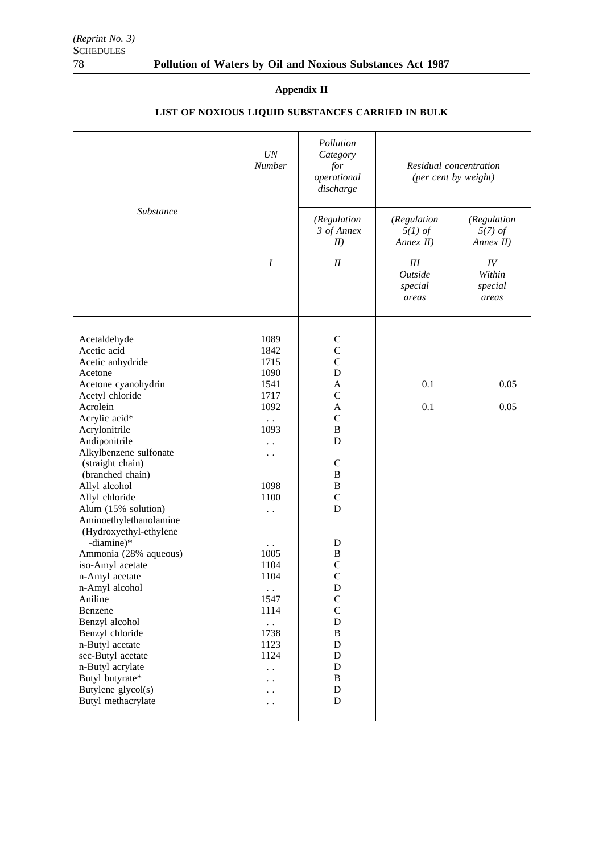# **Appendix II**

|                                                                                                                                                                                                                                                                                                                                                                                                                                                                                                                                                                                                                                          | UN<br>Number                                                                                                                                                                                                                                     | Pollution<br>Category<br>for<br>operational<br>discharge                                                                                                                                                                                                                                                                                                                                                             | Residual concentration<br>(per cent by weight) |                                       |
|------------------------------------------------------------------------------------------------------------------------------------------------------------------------------------------------------------------------------------------------------------------------------------------------------------------------------------------------------------------------------------------------------------------------------------------------------------------------------------------------------------------------------------------------------------------------------------------------------------------------------------------|--------------------------------------------------------------------------------------------------------------------------------------------------------------------------------------------------------------------------------------------------|----------------------------------------------------------------------------------------------------------------------------------------------------------------------------------------------------------------------------------------------------------------------------------------------------------------------------------------------------------------------------------------------------------------------|------------------------------------------------|---------------------------------------|
| <b>Substance</b>                                                                                                                                                                                                                                                                                                                                                                                                                                                                                                                                                                                                                         |                                                                                                                                                                                                                                                  | (Regulation<br>3 of Annex<br>II)                                                                                                                                                                                                                                                                                                                                                                                     | (Regulation<br>$5(1)$ of<br>Annex II)          | (Regulation<br>$5(7)$ of<br>Annex II) |
|                                                                                                                                                                                                                                                                                                                                                                                                                                                                                                                                                                                                                                          | $\boldsymbol{I}$                                                                                                                                                                                                                                 | I                                                                                                                                                                                                                                                                                                                                                                                                                    | Ш<br>Outside<br>special<br>areas               | IV<br>Within<br>special<br>areas      |
| Acetaldehyde<br>Acetic acid<br>Acetic anhydride<br>Acetone<br>Acetone cyanohydrin<br>Acetyl chloride<br>Acrolein<br>Acrylic acid*<br>Acrylonitrile<br>Andiponitrile<br>Alkylbenzene sulfonate<br>(straight chain)<br>(branched chain)<br>Allyl alcohol<br>Allyl chloride<br>Alum (15% solution)<br>Aminoethylethanolamine<br>(Hydroxyethyl-ethylene<br>-diamine)*<br>Ammonia (28% aqueous)<br>iso-Amyl acetate<br>n-Amyl acetate<br>n-Amyl alcohol<br>Aniline<br>Benzene<br>Benzyl alcohol<br>Benzyl chloride<br>n-Butyl acetate<br>sec-Butyl acetate<br>n-Butyl acrylate<br>Butyl butyrate*<br>Butylene glycol(s)<br>Butyl methacrylate | 1089<br>1842<br>1715<br>1090<br>1541<br>1717<br>1092<br>$\ddot{\phantom{1}}$ .<br>1093<br>. .<br>. .<br>1098<br>1100<br>. .<br>1005<br>1104<br>1104<br>$\ddotsc$<br>1547<br>1114<br>$\ddot{\phantom{0}}$ .<br>1738<br>1123<br>1124<br>. .<br>. . | $\mathsf C$<br>$\mathbf C$<br>$\mathsf{C}$<br>$\mathbf D$<br>A<br>$\mathsf{C}$<br>A<br>$\mathsf{C}$<br>$\, {\bf B}$<br>D<br>$\mathcal{C}$<br>$\, {\bf B}$<br>$\, {\bf B}$<br>$\mathsf{C}$<br>D<br>D<br>$\, {\bf B}$<br>$\mathbf C$<br>$\overline{C}$<br>${\rm D}$<br>$\mathbf C$<br>$\mathsf{C}$<br>${\rm D}$<br>$\, {\bf B}$<br>$\mathbf D$<br>$\mathbf D$<br>${\rm D}$<br>$\, {\bf B}$<br>${\rm D}$<br>$\mathbf D$ | 0.1<br>0.1                                     | 0.05<br>0.05                          |

# **LIST OF NOXIOUS LIQUID SUBSTANCES CARRIED IN BULK**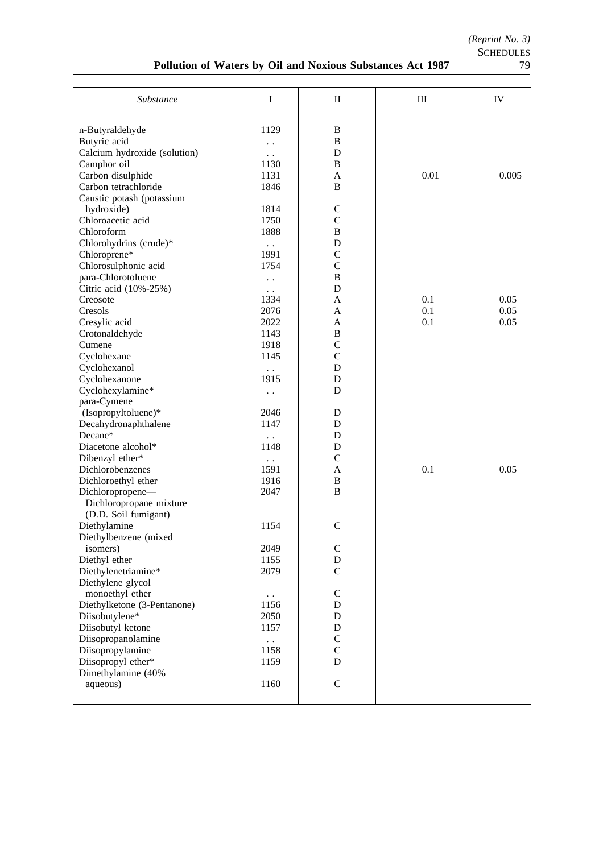*(Reprint No. 3)* **SCHEDULES** 

| Pollution of Waters by Oil and Noxious Substances Act 1987 | 79 |
|------------------------------------------------------------|----|
|------------------------------------------------------------|----|

| Substance                    | I                      | $\rm II$       | Ш    | IV    |
|------------------------------|------------------------|----------------|------|-------|
|                              |                        |                |      |       |
| n-Butyraldehyde              | 1129                   | B              |      |       |
| Butyric acid                 | $\ddotsc$              | B              |      |       |
| Calcium hydroxide (solution) | $\ddotsc$              | $\mathbf D$    |      |       |
| Camphor oil                  | 1130                   | B              |      |       |
| Carbon disulphide            | 1131                   | A              | 0.01 | 0.005 |
| Carbon tetrachloride         | 1846                   | B              |      |       |
| Caustic potash (potassium    |                        |                |      |       |
| hydroxide)                   | 1814                   | $\mathsf{C}$   |      |       |
| Chloroacetic acid            | 1750                   | $\mathsf{C}$   |      |       |
| Chloroform                   | 1888                   | $\, {\bf B}$   |      |       |
| Chlorohydrins (crude)*       | $\ddot{\phantom{a}}$ . | $\mathbf D$    |      |       |
| Chloroprene*                 | 1991                   | $\mathsf{C}$   |      |       |
| Chlorosulphonic acid         | 1754                   | $\overline{C}$ |      |       |
| para-Chlorotoluene           | $\ddot{\phantom{0}}$   | B              |      |       |
| Citric acid (10%-25%)        | $\ddot{\phantom{0}}$   | D              |      |       |
| Creosote                     | 1334                   | A              | 0.1  | 0.05  |
| Cresols                      | 2076                   | A              | 0.1  | 0.05  |
| Cresylic acid                | 2022                   | A              | 0.1  | 0.05  |
| Crotonaldehyde               | 1143                   | B              |      |       |
| Cumene                       | 1918                   | $\mathsf{C}$   |      |       |
| Cyclohexane                  | 1145                   | $\mathsf{C}$   |      |       |
| Cyclohexanol                 | $\ddot{\phantom{1}}$ . | D              |      |       |
| Cyclohexanone                | 1915                   | $\mathbf D$    |      |       |
| Cyclohexylamine*             | $\ddotsc$              | D              |      |       |
| para-Cymene                  |                        |                |      |       |
| (Isopropyltoluene)*          | 2046                   | D              |      |       |
| Decahydronaphthalene         | 1147                   | D              |      |       |
| Decane*                      | $\ddot{\phantom{0}}$   | D              |      |       |
| Diacetone alcohol*           | 1148                   | D              |      |       |
| Dibenzyl ether*              | $\ddot{\phantom{0}}$   | $\mathsf{C}$   |      |       |
| Dichlorobenzenes             | 1591                   | A              | 0.1  | 0.05  |
| Dichloroethyl ether          | 1916                   | B              |      |       |
| Dichloropropene-             | 2047                   | B              |      |       |
| Dichloropropane mixture      |                        |                |      |       |
| (D.D. Soil fumigant)         |                        |                |      |       |
| Diethylamine                 | 1154                   | $\mathcal{C}$  |      |       |
| Diethylbenzene (mixed        |                        |                |      |       |
| isomers)                     | 2049                   | $\mathsf C$    |      |       |
| Diethyl ether                | 1155                   | $\mathbf D$    |      |       |
| Diethylenetriamine*          | 2079                   | $\mathsf{C}$   |      |       |
| Diethylene glycol            |                        |                |      |       |
| monoethyl ether              | $\ddot{\phantom{0}}$   | $\mathsf C$    |      |       |
| Diethylketone (3-Pentanone)  | 1156                   | $\mathbf D$    |      |       |
| Diisobutylene*               | 2050                   | ${\bf D}$      |      |       |
| Diisobutyl ketone            | 1157                   | $\mathbf D$    |      |       |
| Diisopropanolamine           | $\ddot{\phantom{0}}$ . | $\mathbf C$    |      |       |
| Diisopropylamine             | 1158                   | $\mathsf{C}$   |      |       |
| Diisopropyl ether*           | 1159                   | $\mathbf D$    |      |       |
| Dimethylamine (40%           |                        |                |      |       |
| aqueous)                     | 1160                   | $\mathsf C$    |      |       |
|                              |                        |                |      |       |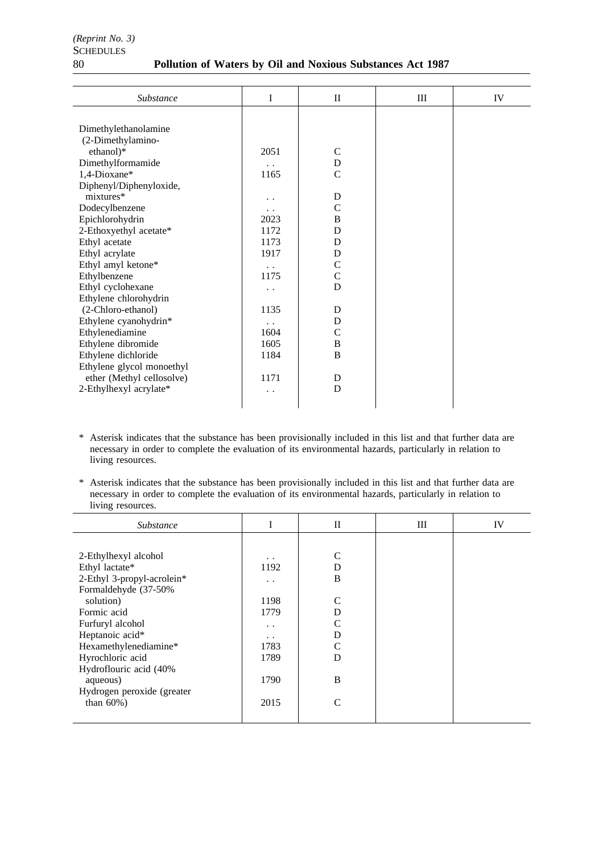# 80 **Pollution of Waters by Oil and Noxious Substances Act 1987**

| <b>Substance</b>          | I                    | $\mathop{\mathrm{II}}\nolimits$ | III | IV |
|---------------------------|----------------------|---------------------------------|-----|----|
|                           |                      |                                 |     |    |
| Dimethylethanolamine      |                      |                                 |     |    |
| (2-Dimethylamino-         |                      |                                 |     |    |
| ethanol)*                 | 2051                 | $\mathcal{C}$                   |     |    |
| Dimethylformamide         | $\ddot{\phantom{0}}$ | $\mathbf D$                     |     |    |
| 1,4-Dioxane*              | 1165                 | $\mathsf{C}$                    |     |    |
| Diphenyl/Diphenyloxide,   |                      |                                 |     |    |
| mixtures*                 | . .                  | D                               |     |    |
| Dodecylbenzene            | . .                  | $\mathcal{C}$                   |     |    |
| Epichlorohydrin           | 2023                 | B                               |     |    |
| 2-Ethoxyethyl acetate*    | 1172                 | D                               |     |    |
| Ethyl acetate             | 1173                 | D                               |     |    |
| Ethyl acrylate            | 1917                 | D                               |     |    |
| Ethyl amyl ketone*        | $\ddot{\phantom{0}}$ | $\mathsf{C}$                    |     |    |
| Ethylbenzene              | 1175                 | $\mathsf{C}$                    |     |    |
| Ethyl cyclohexane         | . .                  | D                               |     |    |
| Ethylene chlorohydrin     |                      |                                 |     |    |
| (2-Chloro-ethanol)        | 1135                 | D                               |     |    |
| Ethylene cyanohydrin*     | $\ddot{\phantom{0}}$ | D                               |     |    |
| Ethylenediamine           | 1604                 | $\mathcal{C}$                   |     |    |
| Ethylene dibromide        | 1605                 | B                               |     |    |
| Ethylene dichloride       | 1184                 | B                               |     |    |
| Ethylene glycol monoethyl |                      |                                 |     |    |
| ether (Methyl cellosolve) | 1171                 | D                               |     |    |
| 2-Ethylhexyl acrylate*    | . .                  | D                               |     |    |
|                           |                      |                                 |     |    |

\* Asterisk indicates that the substance has been provisionally included in this list and that further data are necessary in order to complete the evaluation of its environmental hazards, particularly in relation to living resources.

\* Asterisk indicates that the substance has been provisionally included in this list and that further data are necessary in order to complete the evaluation of its environmental hazards, particularly in relation to living resources.

| <i>Substance</i>           | I         | $\mathbf{I}$                | Ш | IV |
|----------------------------|-----------|-----------------------------|---|----|
|                            |           |                             |   |    |
| 2-Ethylhexyl alcohol       | $\ddotsc$ | $\mathcal{C}$               |   |    |
| Ethyl lactate*             | 1192      | D                           |   |    |
| 2-Ethyl 3-propyl-acrolein* | $\ddotsc$ | B                           |   |    |
| Formaldehyde (37-50%       |           |                             |   |    |
| solution)                  | 1198      | C                           |   |    |
| Formic acid                | 1779      | D                           |   |    |
| Furfuryl alcohol           | $\ddotsc$ | $\mathcal{C}$               |   |    |
| Heptanoic acid*            | $\ddotsc$ | D                           |   |    |
| Hexamethylenediamine*      | 1783      | $\mathcal{C}$               |   |    |
| Hyrochloric acid           | 1789      | D                           |   |    |
| Hydroflouric acid (40%     |           |                             |   |    |
| aqueous)                   | 1790      | B                           |   |    |
| Hydrogen peroxide (greater |           |                             |   |    |
| than $60\%$ )              | 2015      | $\mathcal{C}_{\mathcal{C}}$ |   |    |
|                            |           |                             |   |    |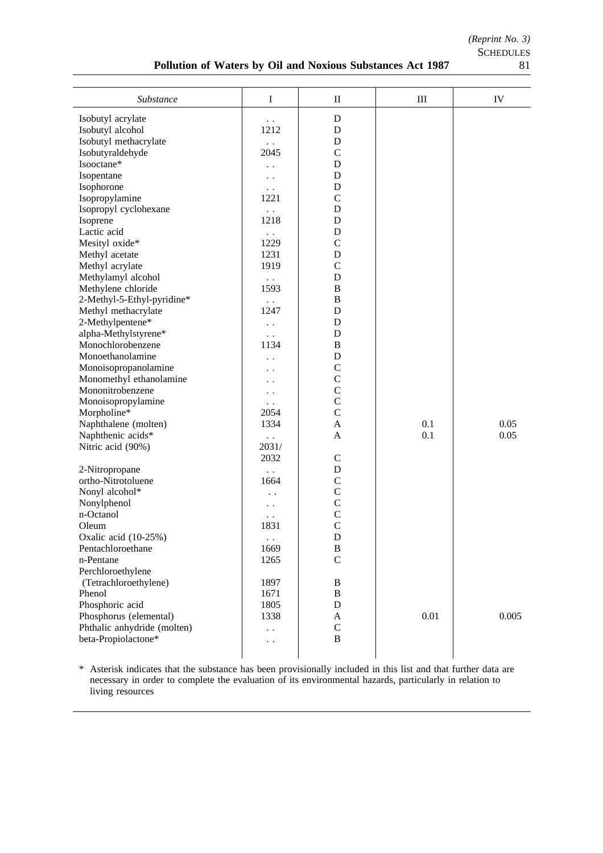*(Reprint No. 3)* **SCHEDULES** 

# Pollution of Waters by Oil and Noxious Substances Act 1987 81

| Substance                   | I                              | $\rm II$       | $\rm III$ | IV    |
|-----------------------------|--------------------------------|----------------|-----------|-------|
| Isobutyl acrylate           | $\ddot{\phantom{a}}$ .         | ${\bf D}$      |           |       |
| Isobutyl alcohol            | 1212                           | D              |           |       |
| Isobutyl methacrylate       | $\ddot{\phantom{1}}$ .         | ${\bf D}$      |           |       |
| Isobutyraldehyde            | 2045                           | $\mathcal{C}$  |           |       |
| Isooctane*                  |                                | ${\bf D}$      |           |       |
| Isopentane                  | . .                            | ${\bf D}$      |           |       |
| Isophorone                  | . .                            | ${\bf D}$      |           |       |
| Isopropylamine              | $\ddotsc$<br>1221              | $\mathcal{C}$  |           |       |
| Isopropyl cyclohexane       |                                | $\mathbf D$    |           |       |
| Isoprene                    | $\sim$ $\sim$<br>1218          | ${\bf D}$      |           |       |
| Lactic acid                 | $\ddot{\phantom{0}}$           | ${\bf D}$      |           |       |
| Mesityl oxide*              | 1229                           | $\mathcal{C}$  |           |       |
| Methyl acetate              | 1231                           | $\mathbf D$    |           |       |
| Methyl acrylate             | 1919                           | $\mathcal{C}$  |           |       |
| Methylamyl alcohol          |                                | ${\bf D}$      |           |       |
| Methylene chloride          | $\ddotsc$<br>1593              | $\, {\bf B}$   |           |       |
| 2-Methyl-5-Ethyl-pyridine*  |                                | B              |           |       |
| Methyl methacrylate         | $\ddot{\phantom{a}}$ .<br>1247 | D              |           |       |
| 2-Methylpentene*            |                                | ${\bf D}$      |           |       |
| alpha-Methylstyrene*        | $\ddotsc$                      | ${\bf D}$      |           |       |
| Monochlorobenzene           | $\ddot{\phantom{a}}$ .<br>1134 | $\, {\bf B}$   |           |       |
| Monoethanolamine            |                                | $\mathbf D$    |           |       |
| Monoisopropanolamine        | . .                            | $\mathsf{C}$   |           |       |
| Monomethyl ethanolamine     | . .                            | $\mathsf{C}$   |           |       |
| Mononitrobenzene            | . .                            | $\mathsf{C}$   |           |       |
| Monoisopropylamine          | . .                            | $\mathsf{C}$   |           |       |
| Morpholine*                 | $\ddot{\phantom{0}}$<br>2054   | $\mathbf C$    |           |       |
| Naphthalene (molten)        | 1334                           | A              | 0.1       | 0.05  |
| Naphthenic acids*           | $\ddot{\phantom{0}}$           | $\mathbf{A}$   | 0.1       | 0.05  |
| Nitric acid (90%)           | 2031/                          |                |           |       |
|                             | 2032                           | ${\bf C}$      |           |       |
| 2-Nitropropane              | $\ddotsc$                      | ${\bf D}$      |           |       |
| ortho-Nitrotoluene          | 1664                           | $\mathsf{C}$   |           |       |
| Nonyl alcohol*              | . .                            | $\mathsf{C}$   |           |       |
| Nonylphenol                 |                                | $\mathsf{C}$   |           |       |
| n-Octanol                   | $\ddot{\phantom{0}}$           | $\mathsf{C}$   |           |       |
| Oleum                       | $\ddot{\phantom{0}}$ .<br>1831 | $\overline{C}$ |           |       |
| Oxalic acid (10-25%)        |                                | $\mathbf D$    |           |       |
| Pentachloroethane           | $\ddot{\phantom{1}}$ .<br>1669 | $\, {\bf B}$   |           |       |
| n-Pentane                   | 1265                           | $\mathcal{C}$  |           |       |
| Perchloroethylene           |                                |                |           |       |
| (Tetrachloroethylene)       | 1897                           | $\, {\bf B}$   |           |       |
| Phenol                      | 1671                           | $\, {\bf B}$   |           |       |
| Phosphoric acid             | 1805                           | ${\bf D}$      |           |       |
| Phosphorus (elemental)      | 1338                           | A              | $0.01\,$  | 0.005 |
| Phthalic anhydride (molten) | $\ddot{\phantom{0}}$           | $\mathsf C$    |           |       |
| beta-Propiolactone*         | . .                            | $\, {\bf B}$   |           |       |
|                             |                                |                |           |       |

\* Asterisk indicates that the substance has been provisionally included in this list and that further data are necessary in order to complete the evaluation of its environmental hazards, particularly in relation to living resources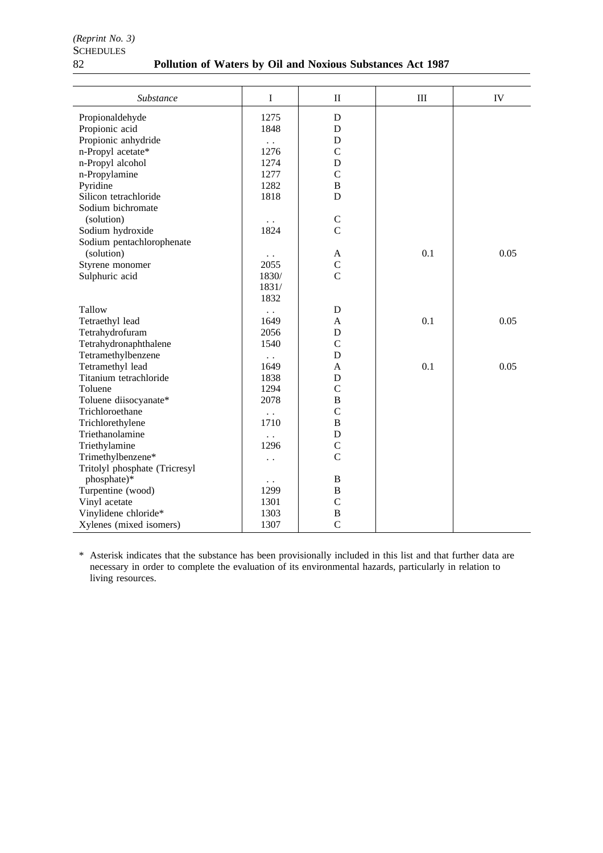# *(Reprint No. 3)* SCHEDULES<br>82

# 82 **Pollution of Waters by Oil and Noxious Substances Act 1987**

| Substance                     | $\bf I$                | $\rm II$       | $\rm III$ | IV   |
|-------------------------------|------------------------|----------------|-----------|------|
| Propionaldehyde               | 1275                   | D              |           |      |
| Propionic acid                | 1848                   | D              |           |      |
| Propionic anhydride           | $\ddot{\phantom{0}}$   | D              |           |      |
| n-Propyl acetate*             | 1276                   | $\mathcal{C}$  |           |      |
| n-Propyl alcohol              | 1274                   | D              |           |      |
| n-Propylamine                 | 1277                   | $\mathcal{C}$  |           |      |
| Pyridine                      | 1282                   | B              |           |      |
| Silicon tetrachloride         | 1818                   | $\mathbf D$    |           |      |
| Sodium bichromate             |                        |                |           |      |
| (solution)                    | $\ddot{\phantom{1}}$ . | $\mathsf C$    |           |      |
| Sodium hydroxide              | 1824                   | $\overline{C}$ |           |      |
| Sodium pentachlorophenate     |                        |                |           |      |
| (solution)                    | $\ddot{\phantom{0}}$   | A              | 0.1       | 0.05 |
| Styrene monomer               | 2055                   | ${\bf C}$      |           |      |
| Sulphuric acid                | 1830/                  | $\overline{C}$ |           |      |
|                               | 1831/                  |                |           |      |
|                               | 1832                   |                |           |      |
| Tallow                        | $\ddotsc$              | D              |           |      |
| Tetraethyl lead               | 1649                   | A              | 0.1       | 0.05 |
| Tetrahydrofuram               | 2056                   | D              |           |      |
| Tetrahydronaphthalene         | 1540                   | $\mathcal{C}$  |           |      |
| Tetramethylbenzene            | $\ddot{\phantom{0}}$ . | D              |           |      |
| Tetramethyl lead              | 1649                   | A              | 0.1       | 0.05 |
| Titanium tetrachloride        | 1838                   | $\mathbf D$    |           |      |
| Toluene                       | 1294                   | $\mathsf{C}$   |           |      |
| Toluene diisocyanate*         | 2078                   | B              |           |      |
| Trichloroethane               | $\ddot{\phantom{0}}$   | $\mathsf{C}$   |           |      |
| Trichlorethylene              | 1710                   | B              |           |      |
| Triethanolamine               | $\ddotsc$              | D              |           |      |
| Triethylamine                 | 1296                   | $\mathsf C$    |           |      |
| Trimethylbenzene*             | $\ddot{\phantom{0}}$   | $\overline{C}$ |           |      |
| Tritolyl phosphate (Tricresyl |                        |                |           |      |
| phosphate)*                   | $\ddotsc$              | B              |           |      |
| Turpentine (wood)             | 1299                   | $\, {\bf B}$   |           |      |
| Vinyl acetate                 | 1301                   | $\mathcal{C}$  |           |      |
| Vinylidene chloride*          | 1303                   | B              |           |      |
| Xylenes (mixed isomers)       | 1307                   | $\overline{C}$ |           |      |

\* Asterisk indicates that the substance has been provisionally included in this list and that further data are necessary in order to complete the evaluation of its environmental hazards, particularly in relation to living resources.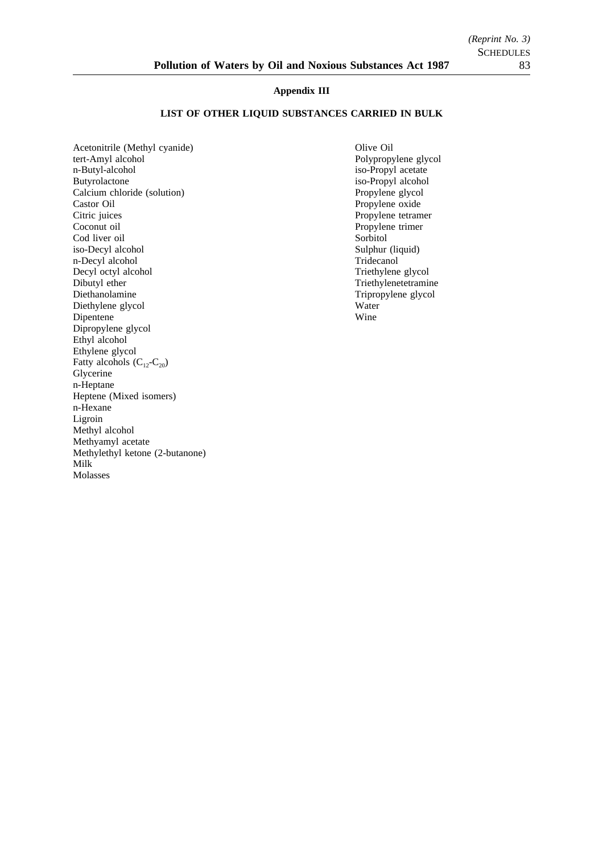# **Appendix III**

# **LIST OF OTHER LIQUID SUBSTANCES CARRIED IN BULK**

Acetonitrile (Methyl cyanide) Olive Oil tert-Amyl alcohol Polypropylene glycol n-Butyl-alcohol iso-Propyl acetate Butyrolactone iso-Propyl alcohol<br>Calcium chloride (solution) Propylene glycol<br>Propylene glycol Calcium chloride (solution) Castor Oil Propylene oxide Citric juices Propylene tetramer Coconut oil Propylene trimer Cod liver oil<br>
Sorbitol<br>
Sorbitol<br>
Sulphur (liquid)<br>
Sulphur (liquid) iso-Decyl alcohol Sulphur (liquid) Sulphur (liquid) Sulphur (liquid) Sulphur (liquid) Sulphur (liquid) Sulphur (liquid) Sulphur (liquid) Sulphur (liquid) Sulphur (liquid) Sulphur (liquid) Sulphur (liquid) Sulphur (liquid) n-Decyl alcohol Tridecanol Tridecanol Tridecanol Tridecanol Tridecanol Tridecanol Tridecanol Tridecanol Tridecanol Tridecanol Tridecanol Tridecanol Tridecanol Tridecanol Tridecanol Tridecanol Tridecanol Tridecanol Tridecan Decyl octyl alcohol<br>Dibutyl ether Dibutyl ether Triethylenetetramine<br>Diethanolamine Tripropylene glycol Diethylene glycol Water Dipentene Dipropylene glycol Ethyl alcohol Ethylene glycol Fatty alcohols  $(C_{12}-C_{20})$ Glycerine n-Heptane Heptene (Mixed isomers) n-Hexane Ligroin Methyl alcohol Methyamyl acetate Methylethyl ketone (2-butanone) Milk Molasses

Tripropylene glycol<br>Water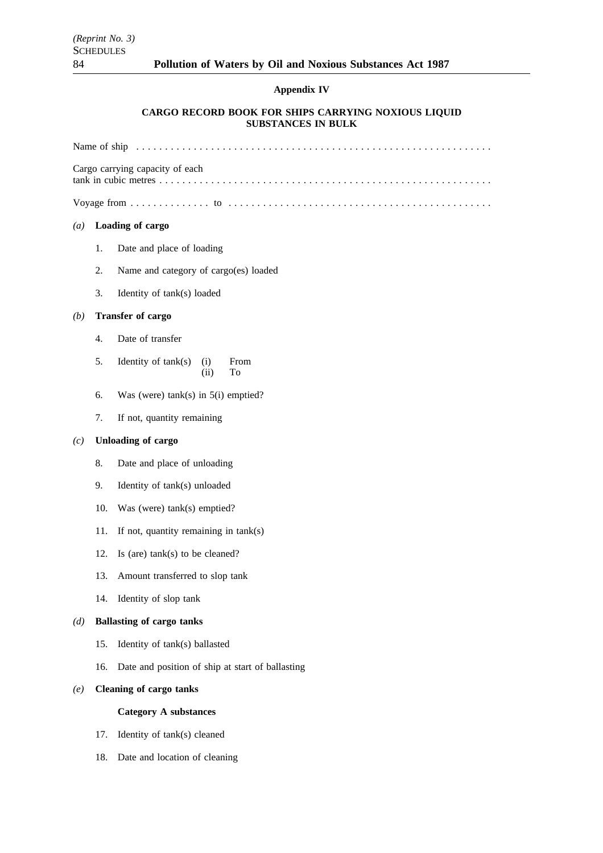# **Appendix IV**

# **CARGO RECORD BOOK FOR SHIPS CARRYING NOXIOUS LIQUID SUBSTANCES IN BULK**

|                  |                  | Cargo carrying capacity of each                    |
|------------------|------------------|----------------------------------------------------|
|                  |                  |                                                    |
| $\left(a\right)$ |                  | Loading of cargo                                   |
|                  | 1.               | Date and place of loading                          |
|                  | 2.               | Name and category of cargo(es) loaded              |
|                  | 3.               | Identity of tank(s) loaded                         |
| (b)              |                  | <b>Transfer of cargo</b>                           |
|                  | $\overline{4}$ . | Date of transfer                                   |
|                  | 5.               | Identity of $tank(s)$<br>(i)<br>From<br>(ii)<br>To |
|                  | 6.               | Was (were) $tank(s)$ in $5(i)$ emptied?            |
|                  | 7.               | If not, quantity remaining                         |
| (c)              |                  | <b>Unloading of cargo</b>                          |
|                  | 8.               | Date and place of unloading                        |
|                  | 9.               | Identity of tank(s) unloaded                       |
|                  | 10.              | Was (were) $tank(s)$ emptied?                      |
|                  | 11.              | If not, quantity remaining in $tank(s)$            |
|                  | 12.              | Is (are) $tank(s)$ to be cleaned?                  |
|                  | 13.              | Amount transferred to slop tank                    |
|                  | 14.              | Identity of slop tank                              |
| (d)              |                  | <b>Ballasting of cargo tanks</b>                   |
|                  | 15.              | Identity of tank(s) ballasted                      |
|                  | 16.              | Date and position of ship at start of ballasting   |
| (e)              |                  | <b>Cleaning of cargo tanks</b>                     |
|                  |                  | <b>Category A substances</b>                       |
|                  | 17.              | Identity of tank(s) cleaned                        |

18. Date and location of cleaning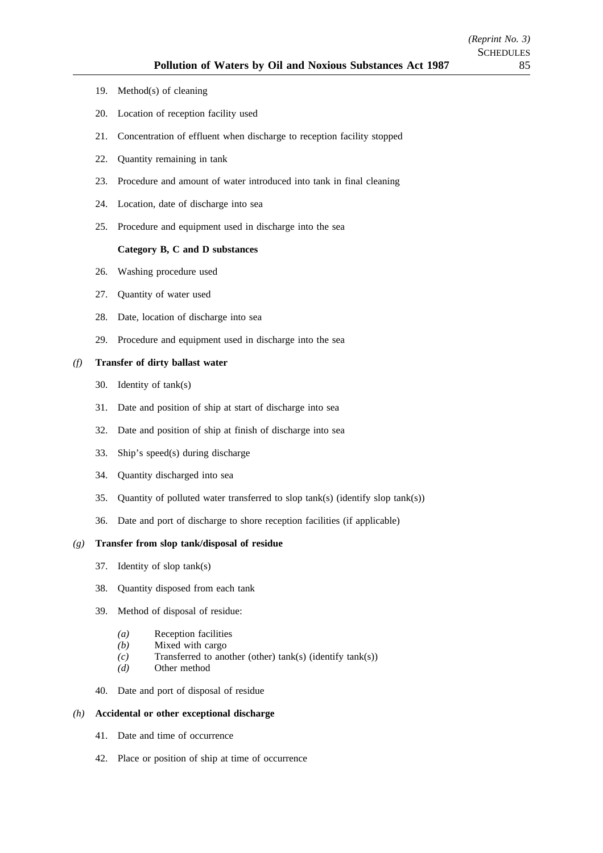- 19. Method(s) of cleaning
- 20. Location of reception facility used
- 21. Concentration of effluent when discharge to reception facility stopped
- 22. Quantity remaining in tank
- 23. Procedure and amount of water introduced into tank in final cleaning
- 24. Location, date of discharge into sea
- 25. Procedure and equipment used in discharge into the sea

# **Category B, C and D substances**

- 26. Washing procedure used
- 27. Quantity of water used
- 28. Date, location of discharge into sea
- 29. Procedure and equipment used in discharge into the sea

# *(f)* **Transfer of dirty ballast water**

- 30. Identity of tank(s)
- 31. Date and position of ship at start of discharge into sea
- 32. Date and position of ship at finish of discharge into sea
- 33. Ship's speed(s) during discharge
- 34. Quantity discharged into sea
- 35. Quantity of polluted water transferred to slop tank(s) (identify slop tank(s))
- 36. Date and port of discharge to shore reception facilities (if applicable)

# *(g)* **Transfer from slop tank/disposal of residue**

- 37. Identity of slop tank(s)
- 38. Quantity disposed from each tank
- 39. Method of disposal of residue:
	- *(a)* Reception facilities
	- *(b)* Mixed with cargo
	- *(c)* Transferred to another (other) tank(s) (identify tank(s))
	- *(d)* Other method
- 40. Date and port of disposal of residue

# *(h)* **Accidental or other exceptional discharge**

- 41. Date and time of occurrence
- 42. Place or position of ship at time of occurrence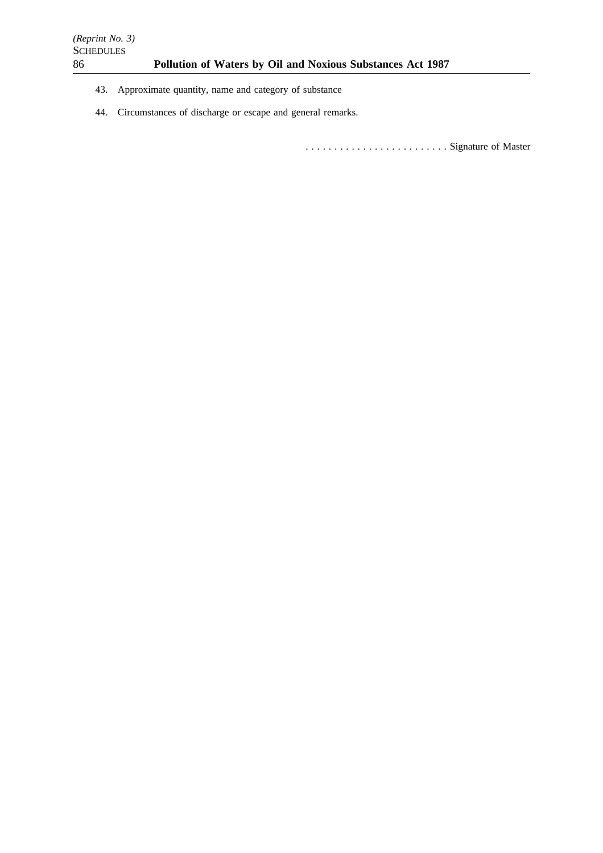- 43. Approximate quantity, name and category of substance
- 44. Circumstances of discharge or escape and general remarks.

......................... Signature of Master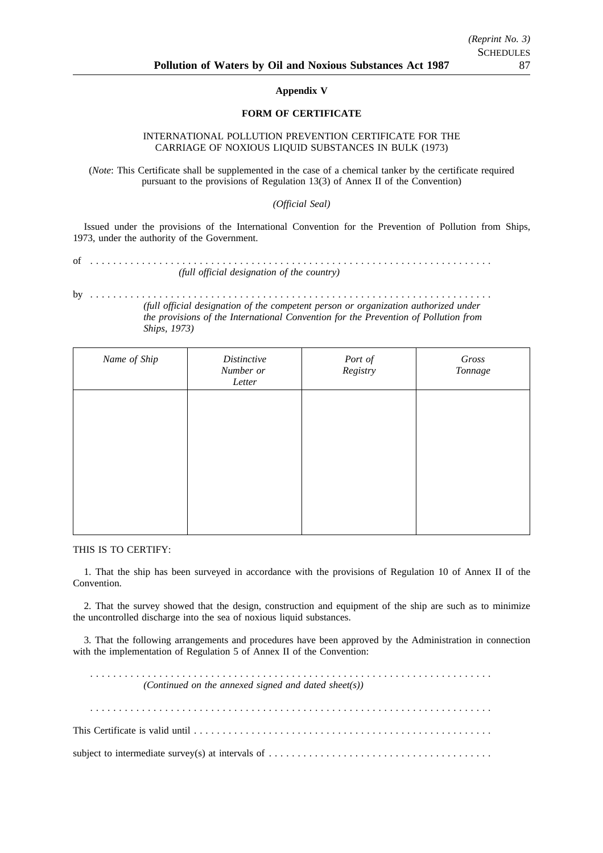# **Appendix V**

# **FORM OF CERTIFICATE**

# INTERNATIONAL POLLUTION PREVENTION CERTIFICATE FOR THE CARRIAGE OF NOXIOUS LIQUID SUBSTANCES IN BULK (1973)

(*Note*: This Certificate shall be supplemented in the case of a chemical tanker by the certificate required pursuant to the provisions of Regulation 13(3) of Annex II of the Convention)

# *(Official Seal)*

Issued under the provisions of the International Convention for the Prevention of Pollution from Ships, 1973, under the authority of the Government.

of . . . . . . . . . . . . . . . . . . . . . . . . . . . . . . . . . . . . . . . . . . . . . . . . . . . . . . . . . . . . . . . . . . . . . . *(full official designation of the country)*

by . . . . . . . . . . . . . . . . . . . . . . . . . . . . . . . . . . . . . . . . . . . . . . . . . . . . . . . . . . . . . . . . . . . . . . *(full official designation of the competent person or organization authorized under the provisions of the International Convention for the Prevention of Pollution from Ships, 1973)*

| Name of Ship | <b>Distinctive</b><br>Number or<br>Letter | Port of<br>Registry | Gross<br>Tonnage |
|--------------|-------------------------------------------|---------------------|------------------|
|              |                                           |                     |                  |
|              |                                           |                     |                  |
|              |                                           |                     |                  |
|              |                                           |                     |                  |

# THIS IS TO CERTIFY:

1. That the ship has been surveyed in accordance with the provisions of Regulation 10 of Annex II of the Convention.

2. That the survey showed that the design, construction and equipment of the ship are such as to minimize the uncontrolled discharge into the sea of noxious liquid substances.

3. That the following arrangements and procedures have been approved by the Administration in connection with the implementation of Regulation 5 of Annex II of the Convention:

...................................................................... *(Continued on the annexed signed and dated sheet(s))* This Certificate is valid until .................................................... subject to intermediate survey(s) at intervals of .......................................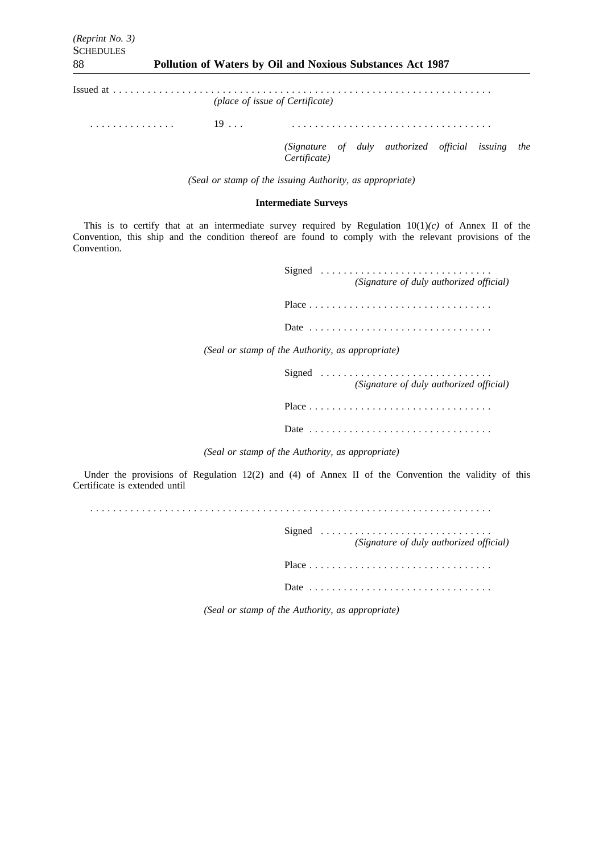| (place of issue of Certificate) |                                                                    |  |  |  |  |
|---------------------------------|--------------------------------------------------------------------|--|--|--|--|
| $19 \ldots$                     |                                                                    |  |  |  |  |
|                                 | (Signature of duly authorized official issuing the<br>Certificate) |  |  |  |  |

*(Seal or stamp of the issuing Authority, as appropriate)*

# **Intermediate Surveys**

This is to certify that at an intermediate survey required by Regulation  $10(1)(c)$  of Annex II of the Convention, this ship and the condition thereof are found to comply with the relevant provisions of the Convention.

| (Signature of duly authorized official)          |
|--------------------------------------------------|
|                                                  |
|                                                  |
| (Seal or stamp of the Authority, as appropriate) |
| (Signature of duly authorized official)          |
|                                                  |
|                                                  |

*(Seal or stamp of the Authority, as appropriate)*

Under the provisions of Regulation  $12(2)$  and  $(4)$  of Annex II of the Convention the validity of this Certificate is extended until

...................................................................... Signed  $\ldots \ldots \ldots \ldots \ldots \ldots \ldots$ *(Signature of duly authorized official)* Place ................................ Date ................................

*(Seal or stamp of the Authority, as appropriate)*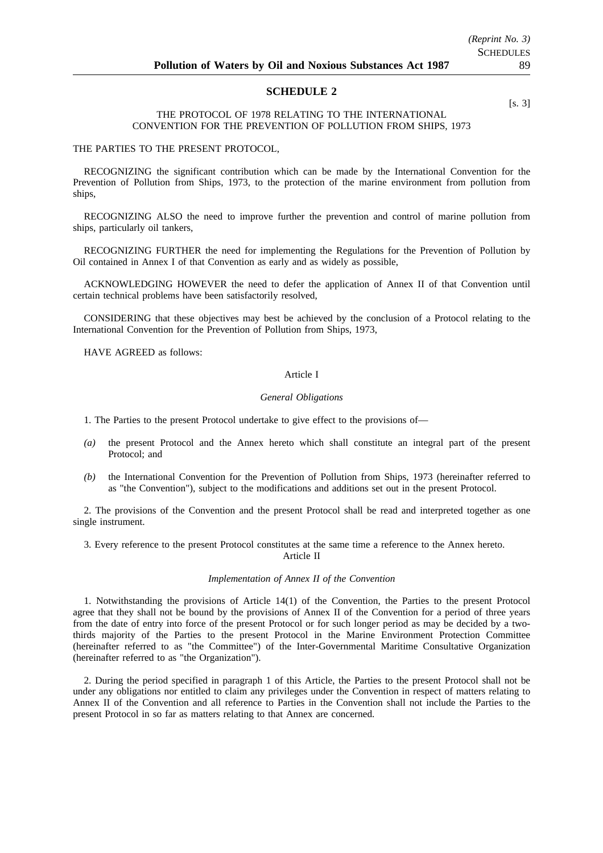# **SCHEDULE 2**

[s. 3]

### THE PROTOCOL OF 1978 RELATING TO THE INTERNATIONAL CONVENTION FOR THE PREVENTION OF POLLUTION FROM SHIPS, 1973

# THE PARTIES TO THE PRESENT PROTOCOL,

RECOGNIZING the significant contribution which can be made by the International Convention for the Prevention of Pollution from Ships, 1973, to the protection of the marine environment from pollution from ships,

RECOGNIZING ALSO the need to improve further the prevention and control of marine pollution from ships, particularly oil tankers,

RECOGNIZING FURTHER the need for implementing the Regulations for the Prevention of Pollution by Oil contained in Annex I of that Convention as early and as widely as possible,

ACKNOWLEDGING HOWEVER the need to defer the application of Annex II of that Convention until certain technical problems have been satisfactorily resolved,

CONSIDERING that these objectives may best be achieved by the conclusion of a Protocol relating to the International Convention for the Prevention of Pollution from Ships, 1973,

HAVE AGREED as follows:

### Article I

#### *General Obligations*

1. The Parties to the present Protocol undertake to give effect to the provisions of—

- *(a)* the present Protocol and the Annex hereto which shall constitute an integral part of the present Protocol; and
- *(b)* the International Convention for the Prevention of Pollution from Ships, 1973 (hereinafter referred to as "the Convention"), subject to the modifications and additions set out in the present Protocol.

2. The provisions of the Convention and the present Protocol shall be read and interpreted together as one single instrument.

3. Every reference to the present Protocol constitutes at the same time a reference to the Annex hereto.

Article II

#### *Implementation of Annex II of the Convention*

1. Notwithstanding the provisions of Article 14(1) of the Convention, the Parties to the present Protocol agree that they shall not be bound by the provisions of Annex II of the Convention for a period of three years from the date of entry into force of the present Protocol or for such longer period as may be decided by a twothirds majority of the Parties to the present Protocol in the Marine Environment Protection Committee (hereinafter referred to as "the Committee") of the Inter-Governmental Maritime Consultative Organization (hereinafter referred to as "the Organization").

2. During the period specified in paragraph 1 of this Article, the Parties to the present Protocol shall not be under any obligations nor entitled to claim any privileges under the Convention in respect of matters relating to Annex II of the Convention and all reference to Parties in the Convention shall not include the Parties to the present Protocol in so far as matters relating to that Annex are concerned.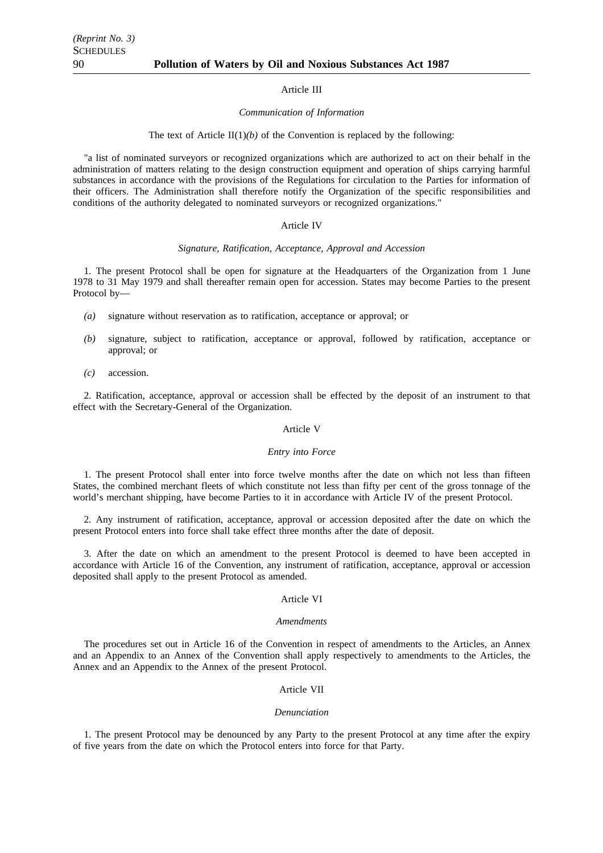#### Article III

#### *Communication of Information*

#### The text of Article  $II(1)(b)$  of the Convention is replaced by the following:

"a list of nominated surveyors or recognized organizations which are authorized to act on their behalf in the administration of matters relating to the design construction equipment and operation of ships carrying harmful substances in accordance with the provisions of the Regulations for circulation to the Parties for information of their officers. The Administration shall therefore notify the Organization of the specific responsibilities and conditions of the authority delegated to nominated surveyors or recognized organizations."

# Article IV

# *Signature, Ratification, Acceptance, Approval and Accession*

1. The present Protocol shall be open for signature at the Headquarters of the Organization from 1 June 1978 to 31 May 1979 and shall thereafter remain open for accession. States may become Parties to the present Protocol by—

- *(a)* signature without reservation as to ratification, acceptance or approval; or
- *(b)* signature, subject to ratification, acceptance or approval, followed by ratification, acceptance or approval; or
- *(c)* accession.

2. Ratification, acceptance, approval or accession shall be effected by the deposit of an instrument to that effect with the Secretary-General of the Organization.

# Article V

### *Entry into Force*

1. The present Protocol shall enter into force twelve months after the date on which not less than fifteen States, the combined merchant fleets of which constitute not less than fifty per cent of the gross tonnage of the world's merchant shipping, have become Parties to it in accordance with Article IV of the present Protocol.

2. Any instrument of ratification, acceptance, approval or accession deposited after the date on which the present Protocol enters into force shall take effect three months after the date of deposit.

3. After the date on which an amendment to the present Protocol is deemed to have been accepted in accordance with Article 16 of the Convention, any instrument of ratification, acceptance, approval or accession deposited shall apply to the present Protocol as amended.

#### Article VI

#### *Amendments*

The procedures set out in Article 16 of the Convention in respect of amendments to the Articles, an Annex and an Appendix to an Annex of the Convention shall apply respectively to amendments to the Articles, the Annex and an Appendix to the Annex of the present Protocol.

# Article VII

#### *Denunciation*

1. The present Protocol may be denounced by any Party to the present Protocol at any time after the expiry of five years from the date on which the Protocol enters into force for that Party.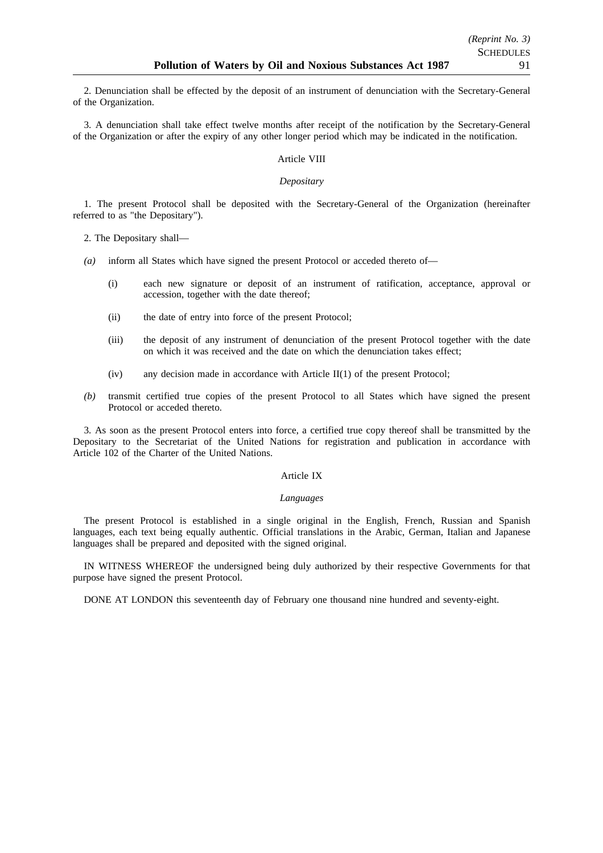2. Denunciation shall be effected by the deposit of an instrument of denunciation with the Secretary-General of the Organization.

3. A denunciation shall take effect twelve months after receipt of the notification by the Secretary-General of the Organization or after the expiry of any other longer period which may be indicated in the notification.

# Article VIII

# *Depositary*

1. The present Protocol shall be deposited with the Secretary-General of the Organization (hereinafter referred to as "the Depositary").

2. The Depositary shall—

- *(a)* inform all States which have signed the present Protocol or acceded thereto of—
	- (i) each new signature or deposit of an instrument of ratification, acceptance, approval or accession, together with the date thereof;
	- (ii) the date of entry into force of the present Protocol;
	- (iii) the deposit of any instrument of denunciation of the present Protocol together with the date on which it was received and the date on which the denunciation takes effect;
	- (iv) any decision made in accordance with Article II(1) of the present Protocol;
- *(b)* transmit certified true copies of the present Protocol to all States which have signed the present Protocol or acceded thereto.

3. As soon as the present Protocol enters into force, a certified true copy thereof shall be transmitted by the Depositary to the Secretariat of the United Nations for registration and publication in accordance with Article 102 of the Charter of the United Nations.

# Article IX

# *Languages*

The present Protocol is established in a single original in the English, French, Russian and Spanish languages, each text being equally authentic. Official translations in the Arabic, German, Italian and Japanese languages shall be prepared and deposited with the signed original.

IN WITNESS WHEREOF the undersigned being duly authorized by their respective Governments for that purpose have signed the present Protocol.

DONE AT LONDON this seventeenth day of February one thousand nine hundred and seventy-eight.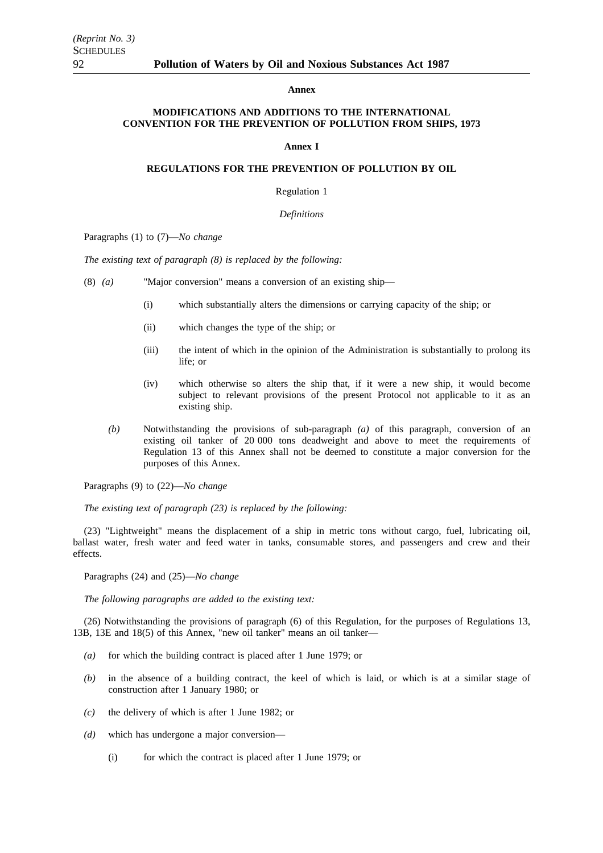#### **Annex**

# **MODIFICATIONS AND ADDITIONS TO THE INTERNATIONAL CONVENTION FOR THE PREVENTION OF POLLUTION FROM SHIPS, 1973**

#### **Annex I**

### **REGULATIONS FOR THE PREVENTION OF POLLUTION BY OIL**

Regulation 1

#### *Definitions*

Paragraphs (1) to (7)—*No change*

*The existing text of paragraph (8) is replaced by the following:*

- (8) *(a)* "Major conversion" means a conversion of an existing ship—
	- (i) which substantially alters the dimensions or carrying capacity of the ship; or
	- (ii) which changes the type of the ship; or
	- (iii) the intent of which in the opinion of the Administration is substantially to prolong its life; or
	- (iv) which otherwise so alters the ship that, if it were a new ship, it would become subject to relevant provisions of the present Protocol not applicable to it as an existing ship.
	- *(b)* Notwithstanding the provisions of sub-paragraph *(a)* of this paragraph, conversion of an existing oil tanker of 20 000 tons deadweight and above to meet the requirements of Regulation 13 of this Annex shall not be deemed to constitute a major conversion for the purposes of this Annex.

Paragraphs (9) to (22)—*No change*

*The existing text of paragraph (23) is replaced by the following:*

(23) "Lightweight" means the displacement of a ship in metric tons without cargo, fuel, lubricating oil, ballast water, fresh water and feed water in tanks, consumable stores, and passengers and crew and their effects.

Paragraphs (24) and (25)—*No change*

*The following paragraphs are added to the existing text:*

(26) Notwithstanding the provisions of paragraph (6) of this Regulation, for the purposes of Regulations 13, 13B, 13E and 18(5) of this Annex, "new oil tanker" means an oil tanker—

- *(a)* for which the building contract is placed after 1 June 1979; or
- *(b)* in the absence of a building contract, the keel of which is laid, or which is at a similar stage of construction after 1 January 1980; or
- *(c)* the delivery of which is after 1 June 1982; or
- *(d)* which has undergone a major conversion—
	- (i) for which the contract is placed after 1 June 1979; or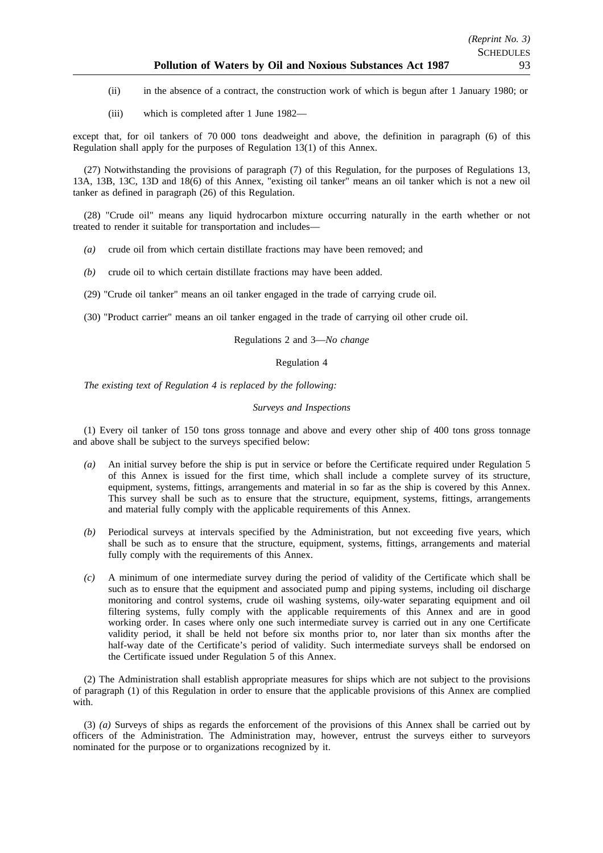- (ii) in the absence of a contract, the construction work of which is begun after 1 January 1980; or
- (iii) which is completed after 1 June 1982—

except that, for oil tankers of 70 000 tons deadweight and above, the definition in paragraph (6) of this Regulation shall apply for the purposes of Regulation 13(1) of this Annex.

(27) Notwithstanding the provisions of paragraph (7) of this Regulation, for the purposes of Regulations 13, 13A, 13B, 13C, 13D and 18(6) of this Annex, "existing oil tanker" means an oil tanker which is not a new oil tanker as defined in paragraph (26) of this Regulation.

(28) "Crude oil" means any liquid hydrocarbon mixture occurring naturally in the earth whether or not treated to render it suitable for transportation and includes—

- *(a)* crude oil from which certain distillate fractions may have been removed; and
- *(b)* crude oil to which certain distillate fractions may have been added.
- (29) "Crude oil tanker" means an oil tanker engaged in the trade of carrying crude oil.
- (30) "Product carrier" means an oil tanker engaged in the trade of carrying oil other crude oil.

# Regulations 2 and 3—*No change*

# Regulation 4

*The existing text of Regulation 4 is replaced by the following:*

# *Surveys and Inspections*

(1) Every oil tanker of 150 tons gross tonnage and above and every other ship of 400 tons gross tonnage and above shall be subject to the surveys specified below:

- *(a)* An initial survey before the ship is put in service or before the Certificate required under Regulation 5 of this Annex is issued for the first time, which shall include a complete survey of its structure, equipment, systems, fittings, arrangements and material in so far as the ship is covered by this Annex. This survey shall be such as to ensure that the structure, equipment, systems, fittings, arrangements and material fully comply with the applicable requirements of this Annex.
- *(b)* Periodical surveys at intervals specified by the Administration, but not exceeding five years, which shall be such as to ensure that the structure, equipment, systems, fittings, arrangements and material fully comply with the requirements of this Annex.
- *(c)* A minimum of one intermediate survey during the period of validity of the Certificate which shall be such as to ensure that the equipment and associated pump and piping systems, including oil discharge monitoring and control systems, crude oil washing systems, oily-water separating equipment and oil filtering systems, fully comply with the applicable requirements of this Annex and are in good working order. In cases where only one such intermediate survey is carried out in any one Certificate validity period, it shall be held not before six months prior to, nor later than six months after the half-way date of the Certificate's period of validity. Such intermediate surveys shall be endorsed on the Certificate issued under Regulation 5 of this Annex.

(2) The Administration shall establish appropriate measures for ships which are not subject to the provisions of paragraph (1) of this Regulation in order to ensure that the applicable provisions of this Annex are complied with.

(3) *(a)* Surveys of ships as regards the enforcement of the provisions of this Annex shall be carried out by officers of the Administration. The Administration may, however, entrust the surveys either to surveyors nominated for the purpose or to organizations recognized by it.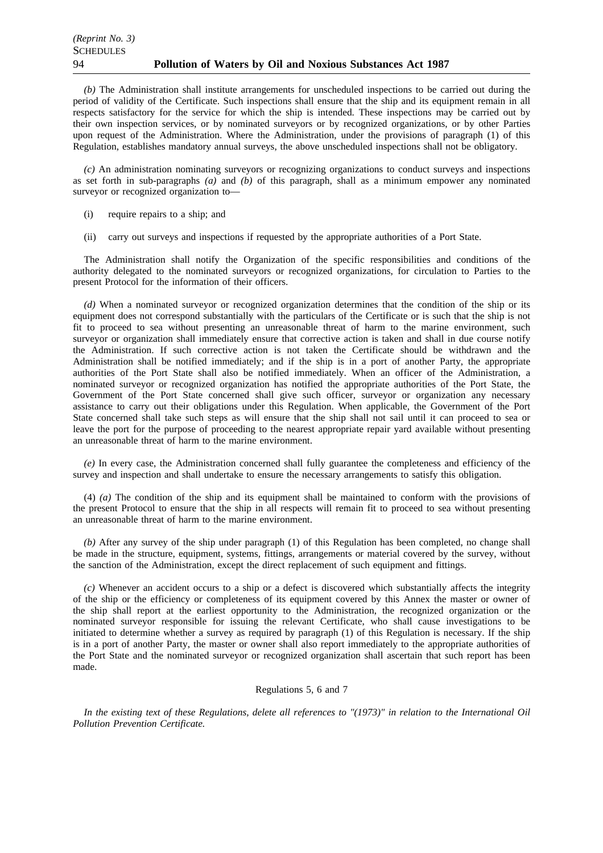*(b)* The Administration shall institute arrangements for unscheduled inspections to be carried out during the period of validity of the Certificate. Such inspections shall ensure that the ship and its equipment remain in all respects satisfactory for the service for which the ship is intended. These inspections may be carried out by their own inspection services, or by nominated surveyors or by recognized organizations, or by other Parties upon request of the Administration. Where the Administration, under the provisions of paragraph (1) of this Regulation, establishes mandatory annual surveys, the above unscheduled inspections shall not be obligatory.

*(c)* An administration nominating surveyors or recognizing organizations to conduct surveys and inspections as set forth in sub-paragraphs *(a)* and *(b)* of this paragraph, shall as a minimum empower any nominated surveyor or recognized organization to—

- (i) require repairs to a ship; and
- (ii) carry out surveys and inspections if requested by the appropriate authorities of a Port State.

The Administration shall notify the Organization of the specific responsibilities and conditions of the authority delegated to the nominated surveyors or recognized organizations, for circulation to Parties to the present Protocol for the information of their officers.

*(d)* When a nominated surveyor or recognized organization determines that the condition of the ship or its equipment does not correspond substantially with the particulars of the Certificate or is such that the ship is not fit to proceed to sea without presenting an unreasonable threat of harm to the marine environment, such surveyor or organization shall immediately ensure that corrective action is taken and shall in due course notify the Administration. If such corrective action is not taken the Certificate should be withdrawn and the Administration shall be notified immediately; and if the ship is in a port of another Party, the appropriate authorities of the Port State shall also be notified immediately. When an officer of the Administration, a nominated surveyor or recognized organization has notified the appropriate authorities of the Port State, the Government of the Port State concerned shall give such officer, surveyor or organization any necessary assistance to carry out their obligations under this Regulation. When applicable, the Government of the Port State concerned shall take such steps as will ensure that the ship shall not sail until it can proceed to sea or leave the port for the purpose of proceeding to the nearest appropriate repair yard available without presenting an unreasonable threat of harm to the marine environment.

*(e)* In every case, the Administration concerned shall fully guarantee the completeness and efficiency of the survey and inspection and shall undertake to ensure the necessary arrangements to satisfy this obligation.

(4) *(a)* The condition of the ship and its equipment shall be maintained to conform with the provisions of the present Protocol to ensure that the ship in all respects will remain fit to proceed to sea without presenting an unreasonable threat of harm to the marine environment.

*(b)* After any survey of the ship under paragraph (1) of this Regulation has been completed, no change shall be made in the structure, equipment, systems, fittings, arrangements or material covered by the survey, without the sanction of the Administration, except the direct replacement of such equipment and fittings.

*(c)* Whenever an accident occurs to a ship or a defect is discovered which substantially affects the integrity of the ship or the efficiency or completeness of its equipment covered by this Annex the master or owner of the ship shall report at the earliest opportunity to the Administration, the recognized organization or the nominated surveyor responsible for issuing the relevant Certificate, who shall cause investigations to be initiated to determine whether a survey as required by paragraph (1) of this Regulation is necessary. If the ship is in a port of another Party, the master or owner shall also report immediately to the appropriate authorities of the Port State and the nominated surveyor or recognized organization shall ascertain that such report has been made.

# Regulations 5, 6 and 7

*In the existing text of these Regulations, delete all references to "(1973)" in relation to the International Oil Pollution Prevention Certificate.*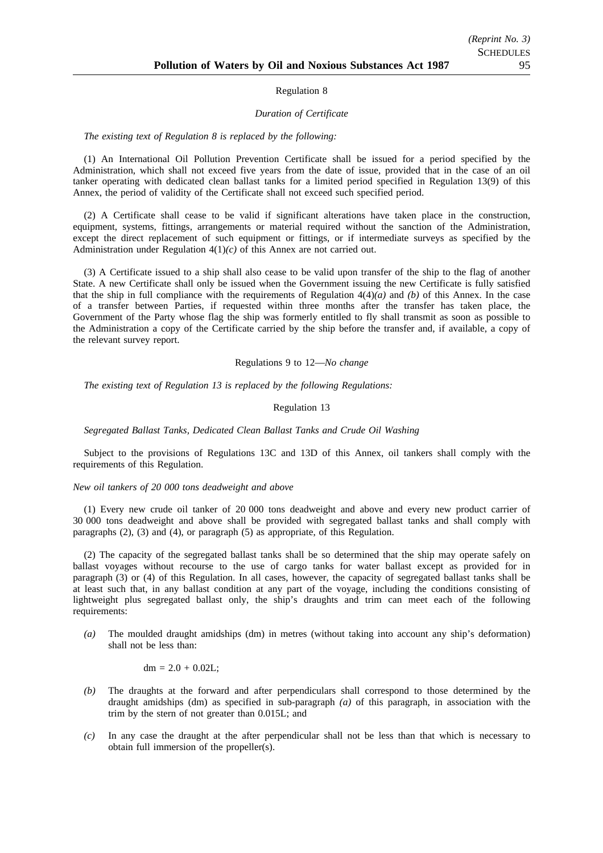# Regulation 8

#### *Duration of Certificate*

*The existing text of Regulation 8 is replaced by the following:*

(1) An International Oil Pollution Prevention Certificate shall be issued for a period specified by the Administration, which shall not exceed five years from the date of issue, provided that in the case of an oil tanker operating with dedicated clean ballast tanks for a limited period specified in Regulation 13(9) of this Annex, the period of validity of the Certificate shall not exceed such specified period.

(2) A Certificate shall cease to be valid if significant alterations have taken place in the construction, equipment, systems, fittings, arrangements or material required without the sanction of the Administration, except the direct replacement of such equipment or fittings, or if intermediate surveys as specified by the Administration under Regulation 4(1)*(c)* of this Annex are not carried out.

(3) A Certificate issued to a ship shall also cease to be valid upon transfer of the ship to the flag of another State. A new Certificate shall only be issued when the Government issuing the new Certificate is fully satisfied that the ship in full compliance with the requirements of Regulation  $4(4)(a)$  and *(b)* of this Annex. In the case of a transfer between Parties, if requested within three months after the transfer has taken place, the Government of the Party whose flag the ship was formerly entitled to fly shall transmit as soon as possible to the Administration a copy of the Certificate carried by the ship before the transfer and, if available, a copy of the relevant survey report.

#### Regulations 9 to 12—*No change*

*The existing text of Regulation 13 is replaced by the following Regulations:*

#### Regulation 13

*Segregated Ballast Tanks, Dedicated Clean Ballast Tanks and Crude Oil Washing*

Subject to the provisions of Regulations 13C and 13D of this Annex, oil tankers shall comply with the requirements of this Regulation.

# *New oil tankers of 20 000 tons deadweight and above*

(1) Every new crude oil tanker of 20 000 tons deadweight and above and every new product carrier of 30 000 tons deadweight and above shall be provided with segregated ballast tanks and shall comply with paragraphs (2), (3) and (4), or paragraph (5) as appropriate, of this Regulation.

(2) The capacity of the segregated ballast tanks shall be so determined that the ship may operate safely on ballast voyages without recourse to the use of cargo tanks for water ballast except as provided for in paragraph (3) or (4) of this Regulation. In all cases, however, the capacity of segregated ballast tanks shall be at least such that, in any ballast condition at any part of the voyage, including the conditions consisting of lightweight plus segregated ballast only, the ship's draughts and trim can meet each of the following requirements:

*(a)* The moulded draught amidships (dm) in metres (without taking into account any ship's deformation) shall not be less than:

 $dm = 2.0 + 0.02L$ ;

- *(b)* The draughts at the forward and after perpendiculars shall correspond to those determined by the draught amidships (dm) as specified in sub-paragraph *(a)* of this paragraph, in association with the trim by the stern of not greater than 0.015L; and
- *(c)* In any case the draught at the after perpendicular shall not be less than that which is necessary to obtain full immersion of the propeller(s).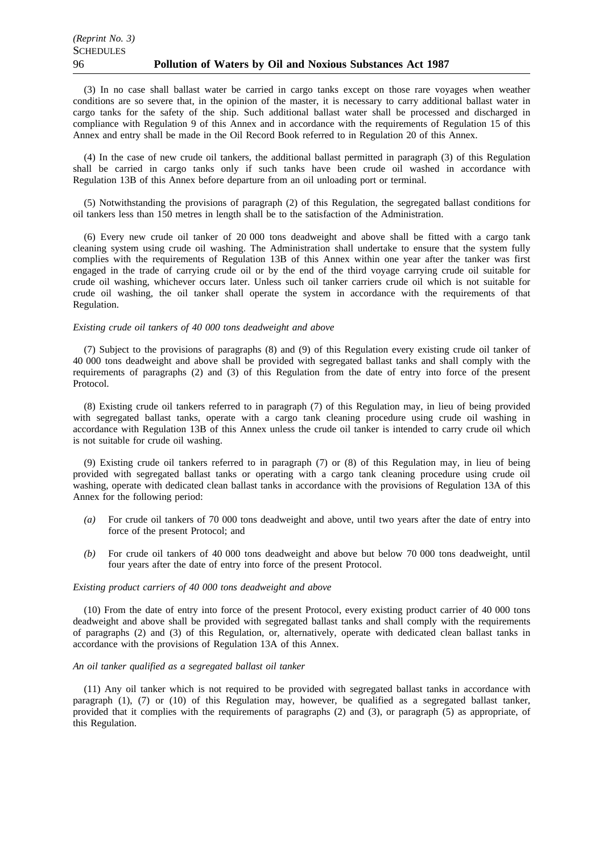(3) In no case shall ballast water be carried in cargo tanks except on those rare voyages when weather conditions are so severe that, in the opinion of the master, it is necessary to carry additional ballast water in cargo tanks for the safety of the ship. Such additional ballast water shall be processed and discharged in compliance with Regulation 9 of this Annex and in accordance with the requirements of Regulation 15 of this Annex and entry shall be made in the Oil Record Book referred to in Regulation 20 of this Annex.

(4) In the case of new crude oil tankers, the additional ballast permitted in paragraph (3) of this Regulation shall be carried in cargo tanks only if such tanks have been crude oil washed in accordance with Regulation 13B of this Annex before departure from an oil unloading port or terminal.

(5) Notwithstanding the provisions of paragraph (2) of this Regulation, the segregated ballast conditions for oil tankers less than 150 metres in length shall be to the satisfaction of the Administration.

(6) Every new crude oil tanker of 20 000 tons deadweight and above shall be fitted with a cargo tank cleaning system using crude oil washing. The Administration shall undertake to ensure that the system fully complies with the requirements of Regulation 13B of this Annex within one year after the tanker was first engaged in the trade of carrying crude oil or by the end of the third voyage carrying crude oil suitable for crude oil washing, whichever occurs later. Unless such oil tanker carriers crude oil which is not suitable for crude oil washing, the oil tanker shall operate the system in accordance with the requirements of that Regulation.

# *Existing crude oil tankers of 40 000 tons deadweight and above*

(7) Subject to the provisions of paragraphs (8) and (9) of this Regulation every existing crude oil tanker of 40 000 tons deadweight and above shall be provided with segregated ballast tanks and shall comply with the requirements of paragraphs (2) and (3) of this Regulation from the date of entry into force of the present Protocol.

(8) Existing crude oil tankers referred to in paragraph (7) of this Regulation may, in lieu of being provided with segregated ballast tanks, operate with a cargo tank cleaning procedure using crude oil washing in accordance with Regulation 13B of this Annex unless the crude oil tanker is intended to carry crude oil which is not suitable for crude oil washing.

(9) Existing crude oil tankers referred to in paragraph (7) or (8) of this Regulation may, in lieu of being provided with segregated ballast tanks or operating with a cargo tank cleaning procedure using crude oil washing, operate with dedicated clean ballast tanks in accordance with the provisions of Regulation 13A of this Annex for the following period:

- *(a)* For crude oil tankers of 70 000 tons deadweight and above, until two years after the date of entry into force of the present Protocol; and
- *(b)* For crude oil tankers of 40 000 tons deadweight and above but below 70 000 tons deadweight, until four years after the date of entry into force of the present Protocol.

# *Existing product carriers of 40 000 tons deadweight and above*

(10) From the date of entry into force of the present Protocol, every existing product carrier of 40 000 tons deadweight and above shall be provided with segregated ballast tanks and shall comply with the requirements of paragraphs (2) and (3) of this Regulation, or, alternatively, operate with dedicated clean ballast tanks in accordance with the provisions of Regulation 13A of this Annex.

#### *An oil tanker qualified as a segregated ballast oil tanker*

(11) Any oil tanker which is not required to be provided with segregated ballast tanks in accordance with paragraph (1), (7) or (10) of this Regulation may, however, be qualified as a segregated ballast tanker, provided that it complies with the requirements of paragraphs (2) and (3), or paragraph (5) as appropriate, of this Regulation.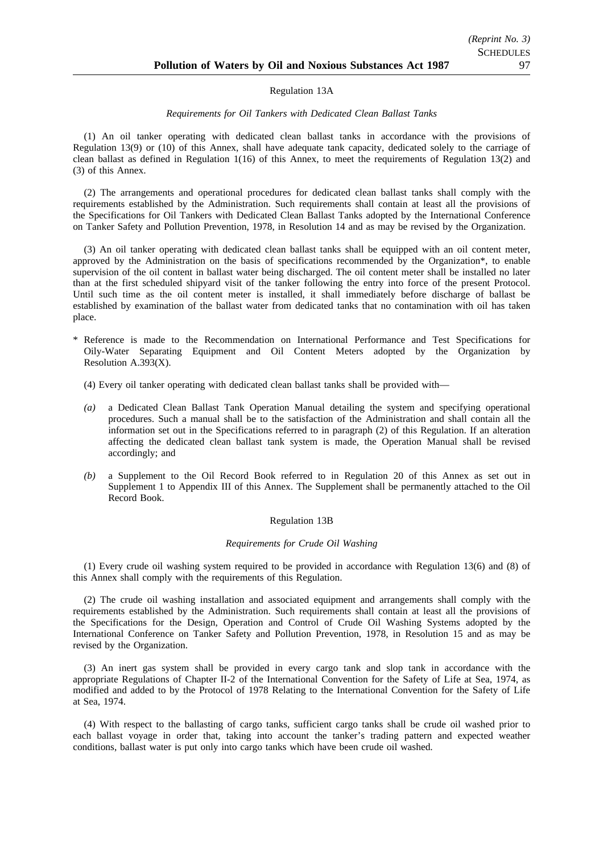# Regulation 13A

#### *Requirements for Oil Tankers with Dedicated Clean Ballast Tanks*

(1) An oil tanker operating with dedicated clean ballast tanks in accordance with the provisions of Regulation 13(9) or (10) of this Annex, shall have adequate tank capacity, dedicated solely to the carriage of clean ballast as defined in Regulation  $1(16)$  of this Annex, to meet the requirements of Regulation  $13(2)$  and (3) of this Annex.

(2) The arrangements and operational procedures for dedicated clean ballast tanks shall comply with the requirements established by the Administration. Such requirements shall contain at least all the provisions of the Specifications for Oil Tankers with Dedicated Clean Ballast Tanks adopted by the International Conference on Tanker Safety and Pollution Prevention, 1978, in Resolution 14 and as may be revised by the Organization.

(3) An oil tanker operating with dedicated clean ballast tanks shall be equipped with an oil content meter, approved by the Administration on the basis of specifications recommended by the Organization\*, to enable supervision of the oil content in ballast water being discharged. The oil content meter shall be installed no later than at the first scheduled shipyard visit of the tanker following the entry into force of the present Protocol. Until such time as the oil content meter is installed, it shall immediately before discharge of ballast be established by examination of the ballast water from dedicated tanks that no contamination with oil has taken place.

- \* Reference is made to the Recommendation on International Performance and Test Specifications for Oily-Water Separating Equipment and Oil Content Meters adopted by the Organization by Resolution A.393(X).
	- (4) Every oil tanker operating with dedicated clean ballast tanks shall be provided with—
	- *(a)* a Dedicated Clean Ballast Tank Operation Manual detailing the system and specifying operational procedures. Such a manual shall be to the satisfaction of the Administration and shall contain all the information set out in the Specifications referred to in paragraph (2) of this Regulation. If an alteration affecting the dedicated clean ballast tank system is made, the Operation Manual shall be revised accordingly; and
	- *(b)* a Supplement to the Oil Record Book referred to in Regulation 20 of this Annex as set out in Supplement 1 to Appendix III of this Annex. The Supplement shall be permanently attached to the Oil Record Book.

# Regulation 13B

#### *Requirements for Crude Oil Washing*

(1) Every crude oil washing system required to be provided in accordance with Regulation 13(6) and (8) of this Annex shall comply with the requirements of this Regulation.

(2) The crude oil washing installation and associated equipment and arrangements shall comply with the requirements established by the Administration. Such requirements shall contain at least all the provisions of the Specifications for the Design, Operation and Control of Crude Oil Washing Systems adopted by the International Conference on Tanker Safety and Pollution Prevention, 1978, in Resolution 15 and as may be revised by the Organization.

(3) An inert gas system shall be provided in every cargo tank and slop tank in accordance with the appropriate Regulations of Chapter II-2 of the International Convention for the Safety of Life at Sea, 1974, as modified and added to by the Protocol of 1978 Relating to the International Convention for the Safety of Life at Sea, 1974.

(4) With respect to the ballasting of cargo tanks, sufficient cargo tanks shall be crude oil washed prior to each ballast voyage in order that, taking into account the tanker's trading pattern and expected weather conditions, ballast water is put only into cargo tanks which have been crude oil washed.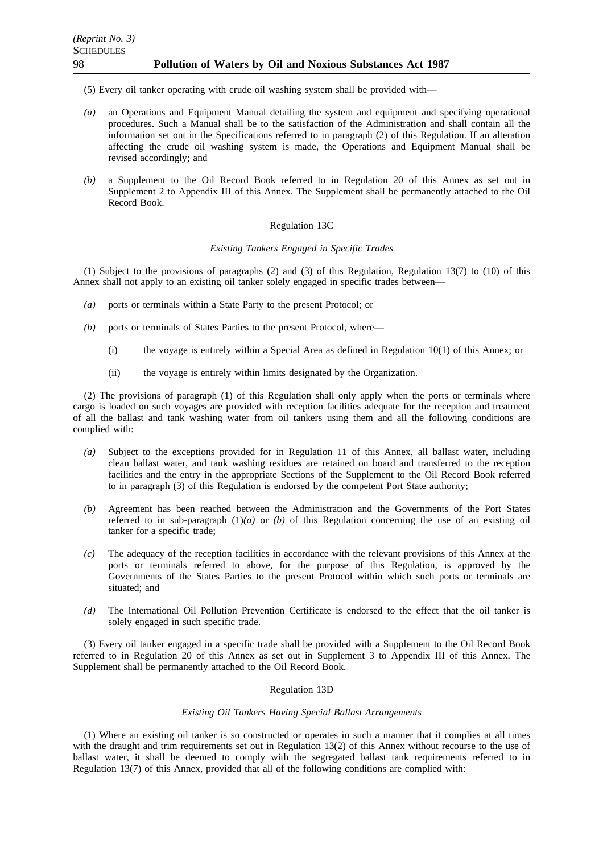(5) Every oil tanker operating with crude oil washing system shall be provided with—

- *(a)* an Operations and Equipment Manual detailing the system and equipment and specifying operational procedures. Such a Manual shall be to the satisfaction of the Administration and shall contain all the information set out in the Specifications referred to in paragraph (2) of this Regulation. If an alteration affecting the crude oil washing system is made, the Operations and Equipment Manual shall be revised accordingly; and
- *(b)* a Supplement to the Oil Record Book referred to in Regulation 20 of this Annex as set out in Supplement 2 to Appendix III of this Annex. The Supplement shall be permanently attached to the Oil Record Book.

# Regulation 13C

# *Existing Tankers Engaged in Specific Trades*

(1) Subject to the provisions of paragraphs (2) and (3) of this Regulation, Regulation 13(7) to (10) of this Annex shall not apply to an existing oil tanker solely engaged in specific trades between—

- *(a)* ports or terminals within a State Party to the present Protocol; or
- *(b)* ports or terminals of States Parties to the present Protocol, where—
	- $(i)$  the voyage is entirely within a Special Area as defined in Regulation 10(1) of this Annex; or
	- (ii) the voyage is entirely within limits designated by the Organization.

(2) The provisions of paragraph (1) of this Regulation shall only apply when the ports or terminals where cargo is loaded on such voyages are provided with reception facilities adequate for the reception and treatment of all the ballast and tank washing water from oil tankers using them and all the following conditions are complied with:

- *(a)* Subject to the exceptions provided for in Regulation 11 of this Annex, all ballast water, including clean ballast water, and tank washing residues are retained on board and transferred to the reception facilities and the entry in the appropriate Sections of the Supplement to the Oil Record Book referred to in paragraph (3) of this Regulation is endorsed by the competent Port State authority;
- *(b)* Agreement has been reached between the Administration and the Governments of the Port States referred to in sub-paragraph  $(1)(a)$  or *(b)* of this Regulation concerning the use of an existing oil tanker for a specific trade;
- *(c)* The adequacy of the reception facilities in accordance with the relevant provisions of this Annex at the ports or terminals referred to above, for the purpose of this Regulation, is approved by the Governments of the States Parties to the present Protocol within which such ports or terminals are situated; and
- *(d)* The International Oil Pollution Prevention Certificate is endorsed to the effect that the oil tanker is solely engaged in such specific trade.

(3) Every oil tanker engaged in a specific trade shall be provided with a Supplement to the Oil Record Book referred to in Regulation 20 of this Annex as set out in Supplement 3 to Appendix III of this Annex. The Supplement shall be permanently attached to the Oil Record Book.

# Regulation 13D

# *Existing Oil Tankers Having Special Ballast Arrangements*

(1) Where an existing oil tanker is so constructed or operates in such a manner that it complies at all times with the draught and trim requirements set out in Regulation 13(2) of this Annex without recourse to the use of ballast water, it shall be deemed to comply with the segregated ballast tank requirements referred to in Regulation 13(7) of this Annex, provided that all of the following conditions are complied with: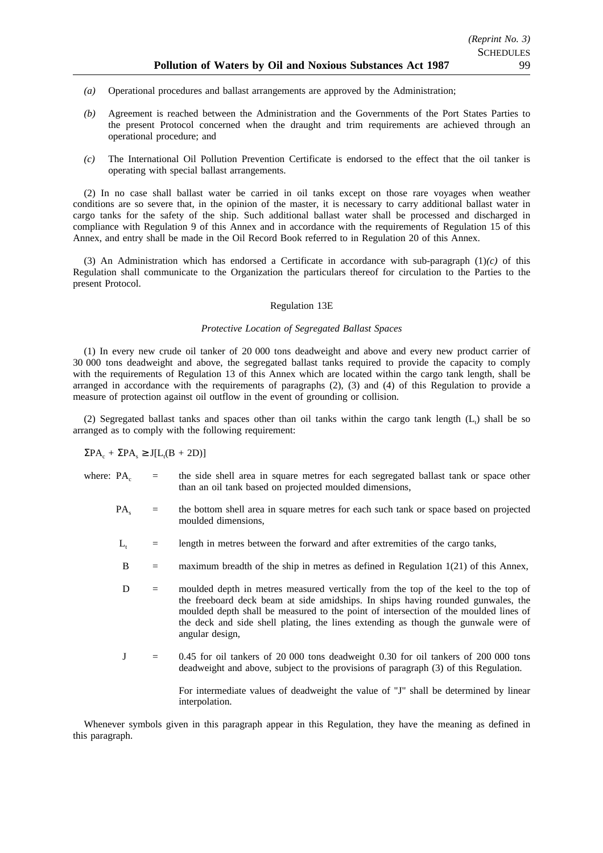- *(a)* Operational procedures and ballast arrangements are approved by the Administration;
- *(b)* Agreement is reached between the Administration and the Governments of the Port States Parties to the present Protocol concerned when the draught and trim requirements are achieved through an operational procedure; and
- *(c)* The International Oil Pollution Prevention Certificate is endorsed to the effect that the oil tanker is operating with special ballast arrangements.

(2) In no case shall ballast water be carried in oil tanks except on those rare voyages when weather conditions are so severe that, in the opinion of the master, it is necessary to carry additional ballast water in cargo tanks for the safety of the ship. Such additional ballast water shall be processed and discharged in compliance with Regulation 9 of this Annex and in accordance with the requirements of Regulation 15 of this Annex, and entry shall be made in the Oil Record Book referred to in Regulation 20 of this Annex.

(3) An Administration which has endorsed a Certificate in accordance with sub-paragraph (1)*(c)* of this Regulation shall communicate to the Organization the particulars thereof for circulation to the Parties to the present Protocol.

#### Regulation 13E

### *Protective Location of Segregated Ballast Spaces*

(1) In every new crude oil tanker of 20 000 tons deadweight and above and every new product carrier of 30 000 tons deadweight and above, the segregated ballast tanks required to provide the capacity to comply with the requirements of Regulation 13 of this Annex which are located within the cargo tank length, shall be arranged in accordance with the requirements of paragraphs (2), (3) and (4) of this Regulation to provide a measure of protection against oil outflow in the event of grounding or collision.

(2) Segregated ballast tanks and spaces other than oil tanks within the cargo tank length  $(L_t)$  shall be so arranged as to comply with the following requirement:

 $\Sigma PA_c + \Sigma PA_s \geq J[L_t(B + 2D)]$ 

- where:  $PA_c$  = the side shell area in square metres for each segregated ballast tank or space other than an oil tank based on projected moulded dimensions,
	- PAs = the bottom shell area in square metres for each such tank or space based on projected moulded dimensions,
	- $L_t$  = length in metres between the forward and after extremities of the cargo tanks,
	- $B =$  maximum breadth of the ship in metres as defined in Regulation 1(21) of this Annex,
	- D = moulded depth in metres measured vertically from the top of the keel to the top of the freeboard deck beam at side amidships. In ships having rounded gunwales, the moulded depth shall be measured to the point of intersection of the moulded lines of the deck and side shell plating, the lines extending as though the gunwale were of angular design,
	- $J = 0.45$  for oil tankers of 20 000 tons deadweight 0.30 for oil tankers of 200 000 tons deadweight and above, subject to the provisions of paragraph (3) of this Regulation.

For intermediate values of deadweight the value of "J" shall be determined by linear interpolation.

Whenever symbols given in this paragraph appear in this Regulation, they have the meaning as defined in this paragraph.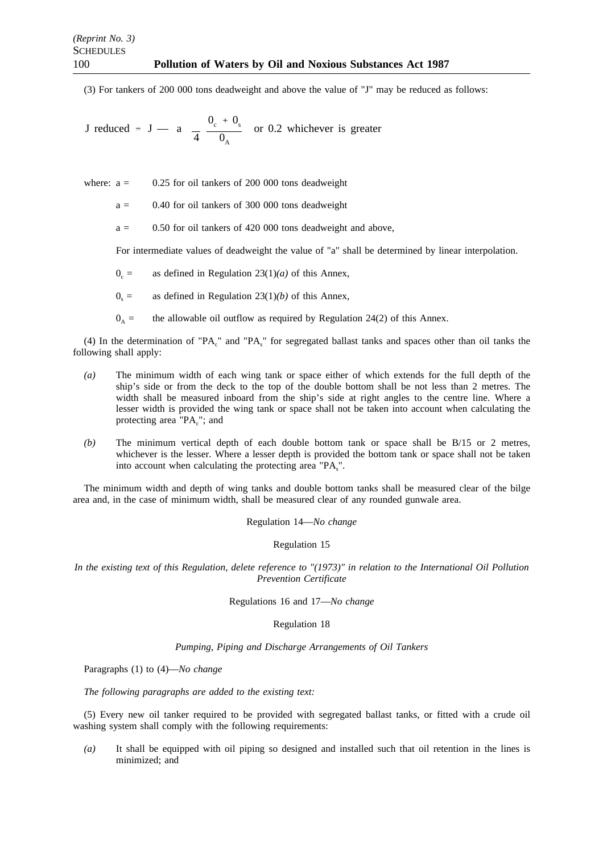(3) For tankers of 200 000 tons deadweight and above the value of "J" may be reduced as follows:

J reduced = 
$$
\left[J - \left(a + \frac{0_c + 0_s}{4}\right)\right]
$$
 or 0.2 whichever is greater

where:  $a = 0.25$  for oil tankers of 200 000 tons deadweight

 $a = 0.40$  for oil tankers of 300 000 tons deadweight

 $a = 0.50$  for oil tankers of 420 000 tons deadweight and above,

For intermediate values of deadweight the value of "a" shall be determined by linear interpolation.

- $0<sub>c</sub>$  = as defined in Regulation 23(1)(*a*) of this Annex,
- $0<sub>s</sub>$  = as defined in Regulation 23(1)*(b)* of this Annex,
- $0<sub>o</sub>$  = the allowable oil outflow as required by Regulation 24(2) of this Annex.

(4) In the determination of "PA<sub>c</sub>" and "PA<sub>s</sub>" for segregated ballast tanks and spaces other than oil tanks the following shall apply:

- *(a)* The minimum width of each wing tank or space either of which extends for the full depth of the ship's side or from the deck to the top of the double bottom shall be not less than 2 metres. The width shall be measured inboard from the ship's side at right angles to the centre line. Where a lesser width is provided the wing tank or space shall not be taken into account when calculating the protecting area  $"PA$ ; and
- *(b)* The minimum vertical depth of each double bottom tank or space shall be B/15 or 2 metres, whichever is the lesser. Where a lesser depth is provided the bottom tank or space shall not be taken into account when calculating the protecting area  $"PA$ ".

The minimum width and depth of wing tanks and double bottom tanks shall be measured clear of the bilge area and, in the case of minimum width, shall be measured clear of any rounded gunwale area.

Regulation 14—*No change*

Regulation 15

*In the existing text of this Regulation, delete reference to "(1973)" in relation to the International Oil Pollution Prevention Certificate*

Regulations 16 and 17—*No change*

### Regulation 18

*Pumping, Piping and Discharge Arrangements of Oil Tankers*

Paragraphs (1) to (4)—*No change*

*The following paragraphs are added to the existing text:*

(5) Every new oil tanker required to be provided with segregated ballast tanks, or fitted with a crude oil washing system shall comply with the following requirements:

*(a)* It shall be equipped with oil piping so designed and installed such that oil retention in the lines is minimized; and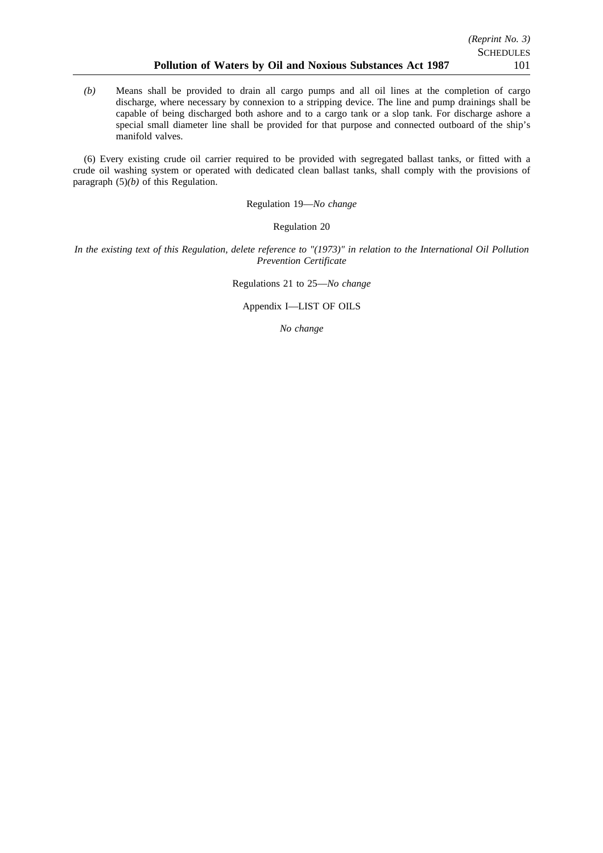*(b)* Means shall be provided to drain all cargo pumps and all oil lines at the completion of cargo discharge, where necessary by connexion to a stripping device. The line and pump drainings shall be capable of being discharged both ashore and to a cargo tank or a slop tank. For discharge ashore a special small diameter line shall be provided for that purpose and connected outboard of the ship's manifold valves.

(6) Every existing crude oil carrier required to be provided with segregated ballast tanks, or fitted with a crude oil washing system or operated with dedicated clean ballast tanks, shall comply with the provisions of paragraph (5)*(b)* of this Regulation.

Regulation 19—*No change*

Regulation 20

*In the existing text of this Regulation, delete reference to "(1973)" in relation to the International Oil Pollution Prevention Certificate*

Regulations 21 to 25—*No change*

Appendix I—LIST OF OILS

*No change*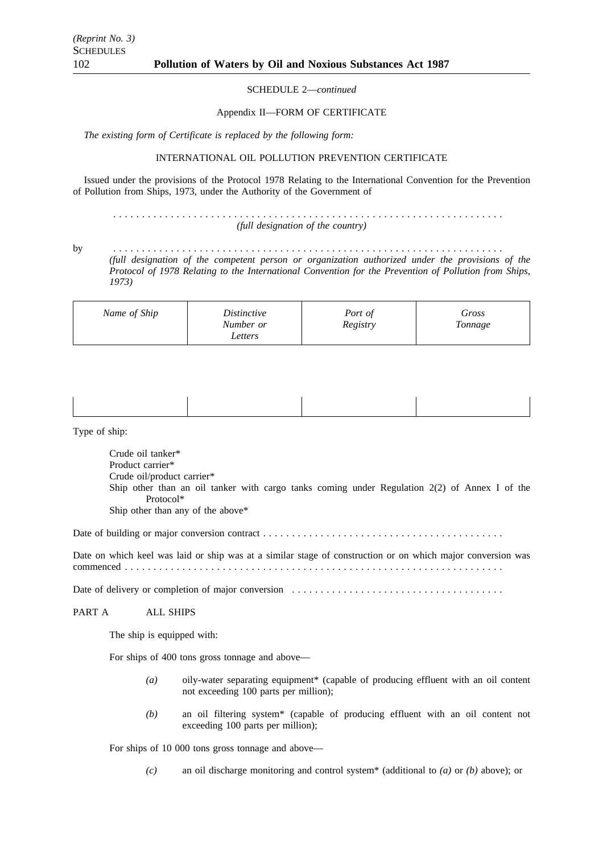# SCHEDULE 2—*continued*

#### Appendix II—FORM OF CERTIFICATE

*The existing form of Certificate is replaced by the following form:*

# INTERNATIONAL OIL POLLUTION PREVENTION CERTIFICATE

Issued under the provisions of the Protocol 1978 Relating to the International Convention for the Prevention of Pollution from Ships, 1973, under the Authority of the Government of

.................................................................... *(full designation of the country)*

by . . . . . . . . . . . . . . . . . . . . . . . . . . . . . . . . . . . . . . . . . . . . . . . . . . . . . . . . . . . . . . . . . . . . *(full designation of the competent person or organization authorized under the provisions of the Protocol of 1978 Relating to the International Convention for the Prevention of Pollution from Ships, 1973)*

| Name of Ship<br>Distinctive<br>Number or<br>Letters | Port of<br>Registry | Gross<br>Tonnage |
|-----------------------------------------------------|---------------------|------------------|
|-----------------------------------------------------|---------------------|------------------|

Type of ship:

Crude oil tanker\* Product carrier\* Crude oil/product carrier\* Ship other than an oil tanker with cargo tanks coming under Regulation 2(2) of Annex I of the Protocol\* Ship other than any of the above\*

Date of building or major conversion contract ..........................................

Date on which keel was laid or ship was at a similar stage of construction or on which major conversion was commenced ..................................................................

Date of delivery or completion of major conversion .....................................

# PART A ALL SHIPS

The ship is equipped with:

For ships of 400 tons gross tonnage and above—

- *(a)* oily-water separating equipment\* (capable of producing effluent with an oil content not exceeding 100 parts per million);
- *(b)* an oil filtering system\* (capable of producing effluent with an oil content not exceeding 100 parts per million);

For ships of 10 000 tons gross tonnage and above—

*(c)* an oil discharge monitoring and control system\* (additional to *(a)* or *(b)* above); or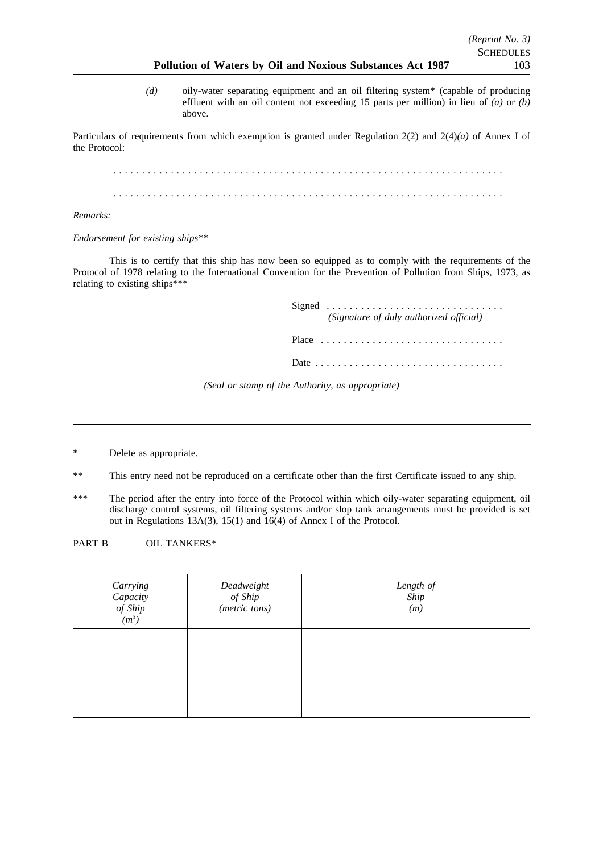*(d)* oily-water separating equipment and an oil filtering system\* (capable of producing effluent with an oil content not exceeding 15 parts per million) in lieu of *(a)* or *(b)* above.

Particulars of requirements from which exemption is granted under Regulation 2(2) and 2(4)*(a)* of Annex I of the Protocol:

.................................................................... ....................................................................

*Remarks:*

*Endorsement for existing ships\*\**

This is to certify that this ship has now been so equipped as to comply with the requirements of the Protocol of 1978 relating to the International Convention for the Prevention of Pollution from Ships, 1973, as relating to existing ships\*\*\*

| (Signature of duly authorized official)                                       |
|-------------------------------------------------------------------------------|
| Place $\ldots \ldots \ldots \ldots \ldots \ldots \ldots \ldots \ldots \ldots$ |
|                                                                               |

*(Seal or stamp of the Authority, as appropriate)*

Delete as appropriate.

- \*\* This entry need not be reproduced on a certificate other than the first Certificate issued to any ship.
- \*\*\* The period after the entry into force of the Protocol within which oily-water separating equipment, oil discharge control systems, oil filtering systems and/or slop tank arrangements must be provided is set out in Regulations 13A(3), 15(1) and 16(4) of Annex I of the Protocol.

PART B OIL TANKERS\*

| Carrying<br>Capacity<br>of Ship<br>$(m^3)$ | Deadweight<br>of Ship<br>(metric tons) | Length of<br>Ship<br>(m) |
|--------------------------------------------|----------------------------------------|--------------------------|
|                                            |                                        |                          |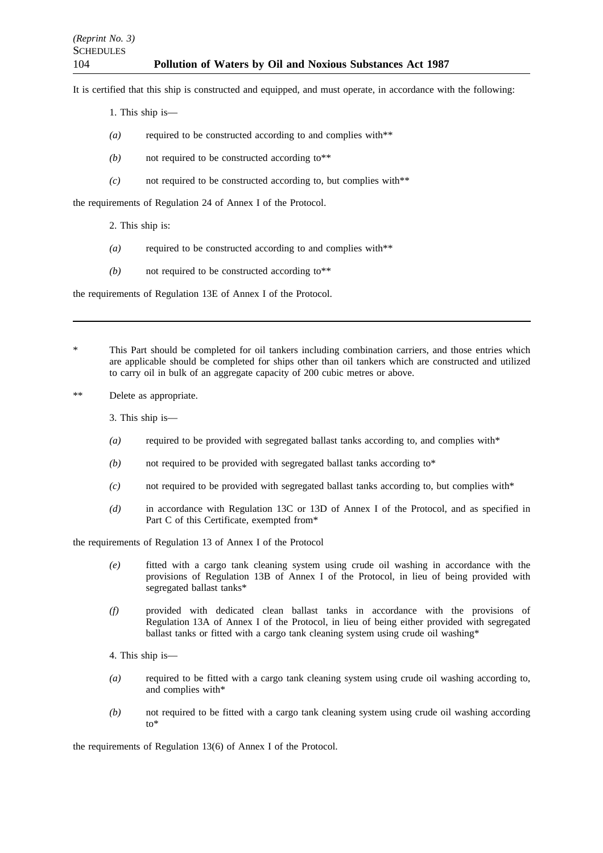It is certified that this ship is constructed and equipped, and must operate, in accordance with the following:

- 1. This ship is—
- *(a)* required to be constructed according to and complies with\*\*
- *(b)* not required to be constructed according to\*\*
- *(c)* not required to be constructed according to, but complies with\*\*

the requirements of Regulation 24 of Annex I of the Protocol.

2. This ship is:

- *(a)* required to be constructed according to and complies with\*\*
- *(b)* not required to be constructed according to\*\*

the requirements of Regulation 13E of Annex I of the Protocol.

- \* This Part should be completed for oil tankers including combination carriers, and those entries which are applicable should be completed for ships other than oil tankers which are constructed and utilized to carry oil in bulk of an aggregate capacity of 200 cubic metres or above.
- \*\* Delete as appropriate.
	- 3. This ship is—
	- (a) required to be provided with segregated ballast tanks according to, and complies with\*
	- *(b)* not required to be provided with segregated ballast tanks according to\*
	- *(c)* not required to be provided with segregated ballast tanks according to, but complies with\*
	- *(d)* in accordance with Regulation 13C or 13D of Annex I of the Protocol, and as specified in Part C of this Certificate, exempted from\*

the requirements of Regulation 13 of Annex I of the Protocol

- *(e)* fitted with a cargo tank cleaning system using crude oil washing in accordance with the provisions of Regulation 13B of Annex I of the Protocol, in lieu of being provided with segregated ballast tanks\*
- *(f)* provided with dedicated clean ballast tanks in accordance with the provisions of Regulation 13A of Annex I of the Protocol, in lieu of being either provided with segregated ballast tanks or fitted with a cargo tank cleaning system using crude oil washing\*

4. This ship is—

- *(a)* required to be fitted with a cargo tank cleaning system using crude oil washing according to, and complies with\*
- *(b)* not required to be fitted with a cargo tank cleaning system using crude oil washing according to\*

the requirements of Regulation 13(6) of Annex I of the Protocol.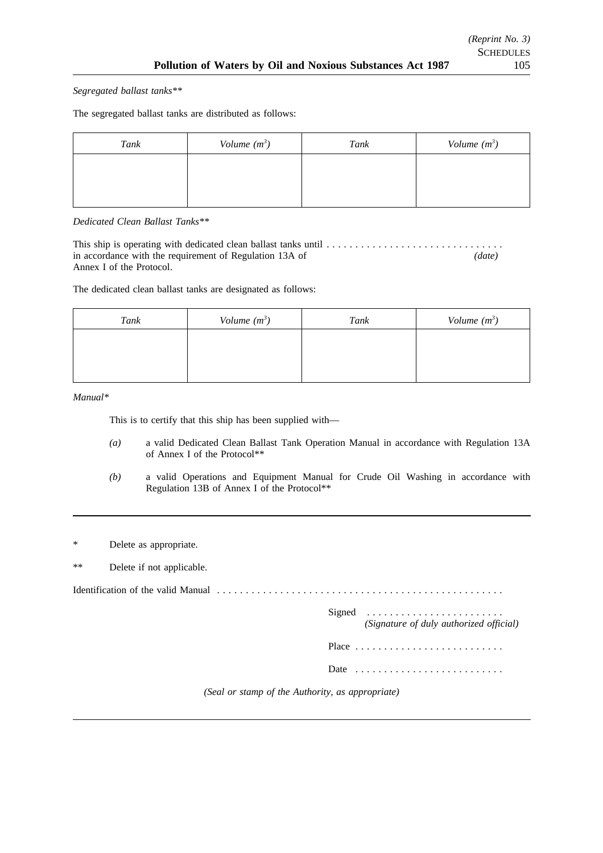*Segregated ballast tanks\*\**

The segregated ballast tanks are distributed as follows:

| Tank | Volume $(m^3)$ | Tank | Volume $(m^3)$ |
|------|----------------|------|----------------|
|      |                |      |                |
|      |                |      |                |
|      |                |      |                |

*Dedicated Clean Ballast Tanks\*\**

This ship is operating with dedicated clean ballast tanks until ................................... in accordance with the requirement of Regulation 13A of *(date)* Annex I of the Protocol.

The dedicated clean ballast tanks are designated as follows:

| Tank | Volume $(m^3)$ | Tank | Volume $(m^3)$ |
|------|----------------|------|----------------|
|      |                |      |                |
|      |                |      |                |
|      |                |      |                |

*Manual\**

This is to certify that this ship has been supplied with—

- *(a)* a valid Dedicated Clean Ballast Tank Operation Manual in accordance with Regulation 13A of Annex I of the Protocol\*\*
- *(b)* a valid Operations and Equipment Manual for Crude Oil Washing in accordance with Regulation 13B of Annex I of the Protocol\*\*

Delete as appropriate.

\*\* Delete if not applicable.

Identification of the valid Manual ..................................................

Signed ........................ *(Signature of duly authorized official)*

Place .............................

Date ............................

*(Seal or stamp of the Authority, as appropriate)*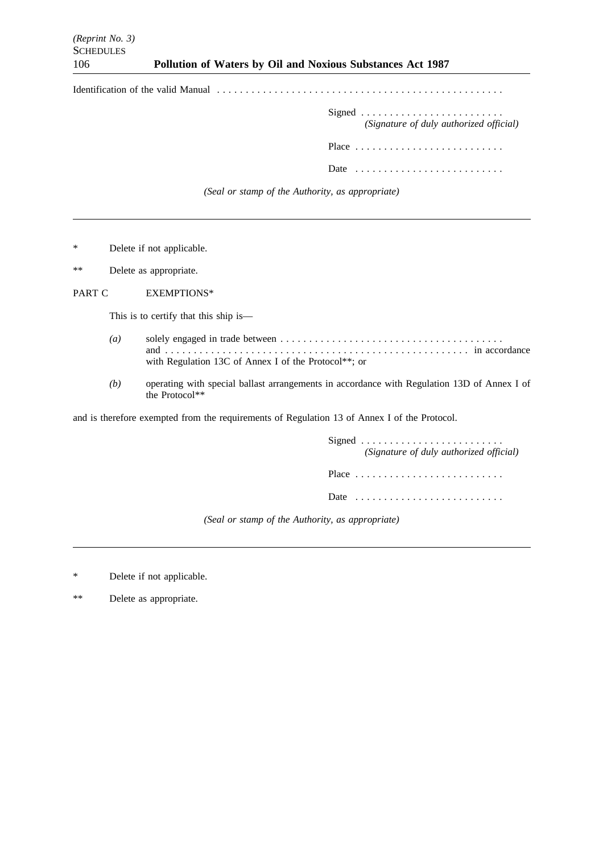| (Reprint No. $3$ ) |                                                            |
|--------------------|------------------------------------------------------------|
| <b>SCHEDULES</b>   |                                                            |
| 106                | Pollution of Waters by Oil and Noxious Substances Act 1987 |
|                    |                                                            |

Identification of the valid Manual ..................................................

|      |  |  |  |  |  |  |  |  |  |  |  |  |  | (Signature of duly authorized official) |  |
|------|--|--|--|--|--|--|--|--|--|--|--|--|--|-----------------------------------------|--|
|      |  |  |  |  |  |  |  |  |  |  |  |  |  |                                         |  |
| Date |  |  |  |  |  |  |  |  |  |  |  |  |  |                                         |  |

*(Seal or stamp of the Authority, as appropriate)*

Delete if not applicable.

\*\* Delete as appropriate.

# PART C EXEMPTIONS\*

This is to certify that this ship is—

- *(a)* solely engaged in trade between ....................................... and . . . . . . . . . . . . . . . . . . . . . . . . . . . . . . . . . . . . . . . . . . . . . . . . . . . . . in accordance with Regulation 13C of Annex I of the Protocol\*\*; or
- *(b)* operating with special ballast arrangements in accordance with Regulation 13D of Annex I of the Protocol\*\*

and is therefore exempted from the requirements of Regulation 13 of Annex I of the Protocol.

Signed .......................... *(Signature of duly authorized official)* Place .......................... Date ...........................

*(Seal or stamp of the Authority, as appropriate)*

Delete if not applicable.

\*\* Delete as appropriate.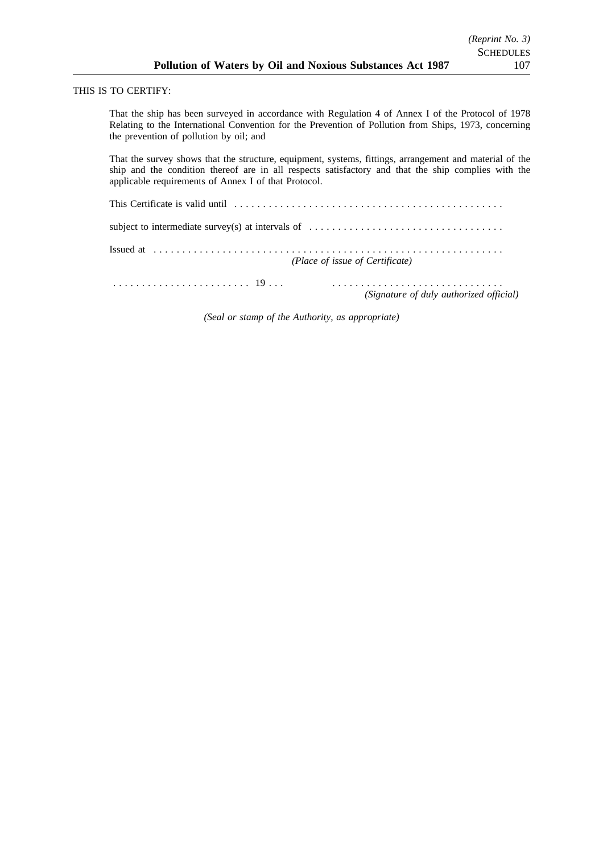# THIS IS TO CERTIFY:

That the ship has been surveyed in accordance with Regulation 4 of Annex I of the Protocol of 1978 Relating to the International Convention for the Prevention of Pollution from Ships, 1973, concerning the prevention of pollution by oil; and

That the survey shows that the structure, equipment, systems, fittings, arrangement and material of the ship and the condition thereof are in all respects satisfactory and that the ship complies with the applicable requirements of Annex I of that Protocol.

| subject to intermediate survey(s) at intervals of $\dots \dots \dots \dots \dots \dots \dots \dots \dots \dots \dots \dots$ |                                         |
|-----------------------------------------------------------------------------------------------------------------------------|-----------------------------------------|
|                                                                                                                             | (Place of issue of Certificate)         |
|                                                                                                                             | (Signature of duly authorized official) |

*(Seal or stamp of the Authority, as appropriate)*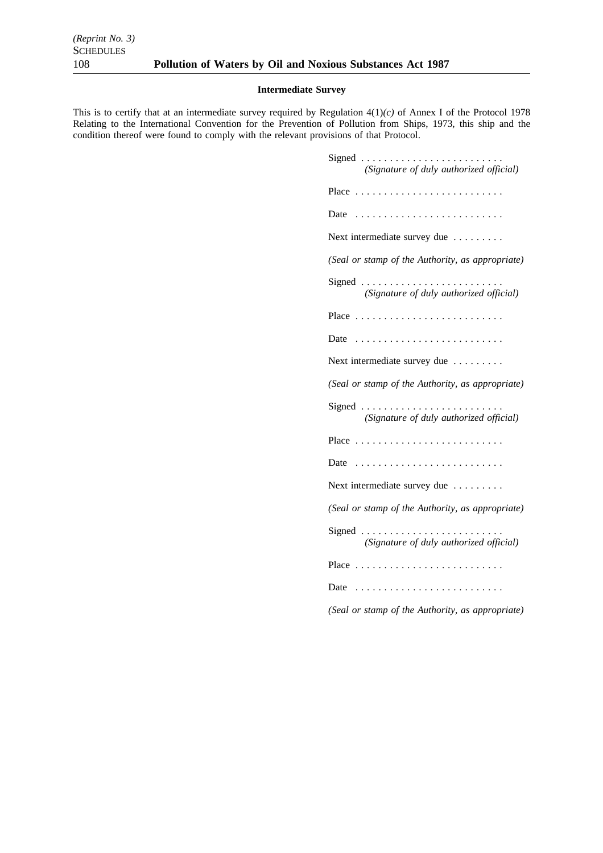# **Intermediate Survey**

This is to certify that at an intermediate survey required by Regulation 4(1)*(c)* of Annex I of the Protocol 1978 Relating to the International Convention for the Prevention of Pollution from Ships, 1973, this ship and the condition thereof were found to comply with the relevant provisions of that Protocol.

| (Signature of duly authorized official)                               |
|-----------------------------------------------------------------------|
|                                                                       |
| Date                                                                  |
| Next intermediate survey due                                          |
| (Seal or stamp of the Authority, as appropriate)                      |
| (Signature of duly authorized official)                               |
|                                                                       |
| Date $\ldots \ldots \ldots \ldots \ldots \ldots \ldots \ldots$        |
| Next intermediate survey due                                          |
| (Seal or stamp of the Authority, as appropriate)                      |
| (Signature of duly authorized official)                               |
| Place                                                                 |
| Date $\ldots \ldots \ldots \ldots \ldots \ldots \ldots \ldots \ldots$ |
| Next intermediate survey due                                          |
| (Seal or stamp of the Authority, as appropriate)                      |
| (Signature of duly authorized official)                               |
|                                                                       |
| Date                                                                  |
|                                                                       |

*(Seal or stamp of the Authority, as appropriate)*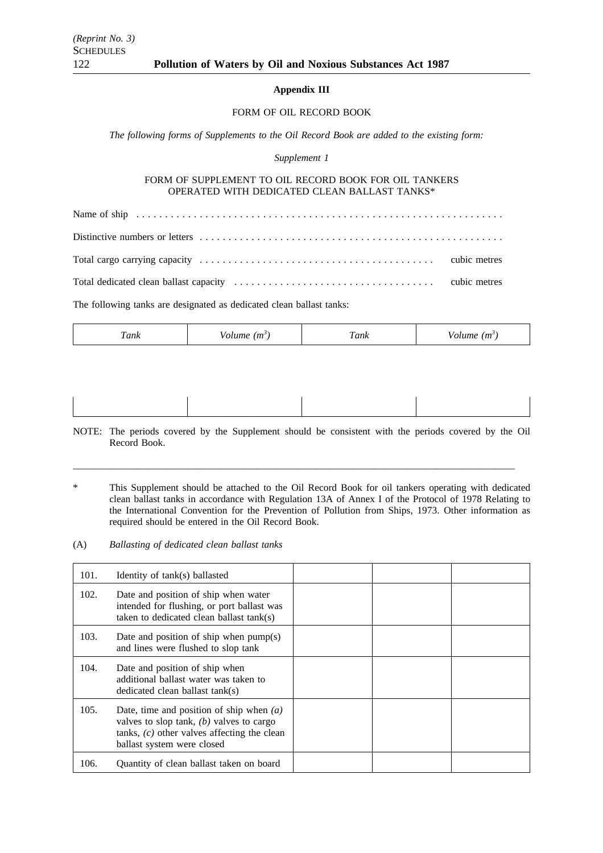# **Appendix III**

# FORM OF OIL RECORD BOOK

*The following forms of Supplements to the Oil Record Book are added to the existing form:*

*Supplement 1*

# FORM OF SUPPLEMENT TO OIL RECORD BOOK FOR OIL TANKERS OPERATED WITH DEDICATED CLEAN BALLAST TANKS\*

Name of ship ................................................................ Distinctive numbers or letters ..................................................... Total cargo carrying capacity ......................................... cubic metres Total dedicated clean ballast capacity ................................... cubic metres

The following tanks are designated as dedicated clean ballast tanks:

| $\sim$<br>$\overline{\phantom{a}}$<br>rank<br>Tank<br>(m <sup>3</sup> )<br>$m^{\circ}$<br>me<br>,,,,<br>$\cdots$<br>,,, |
|-------------------------------------------------------------------------------------------------------------------------|
|-------------------------------------------------------------------------------------------------------------------------|

NOTE: The periods covered by the Supplement should be consistent with the periods covered by the Oil Record Book.

\_\_\_\_\_\_\_\_\_\_\_\_\_\_\_\_\_\_\_\_\_\_\_\_\_\_\_\_\_\_\_\_\_\_\_\_\_\_\_\_\_\_\_\_\_\_\_\_\_\_\_\_\_\_\_\_\_\_\_\_\_\_\_\_\_\_\_\_\_\_\_\_\_\_\_\_\_\_\_\_\_\_\_\_\_\_\_\_\_

- \* This Supplement should be attached to the Oil Record Book for oil tankers operating with dedicated clean ballast tanks in accordance with Regulation 13A of Annex I of the Protocol of 1978 Relating to the International Convention for the Prevention of Pollution from Ships, 1973. Other information as required should be entered in the Oil Record Book.
- (A) *Ballasting of dedicated clean ballast tanks*

| 101. | Identity of tank(s) ballasted                                                                                                                                           |  |  |
|------|-------------------------------------------------------------------------------------------------------------------------------------------------------------------------|--|--|
| 102. | Date and position of ship when water<br>intended for flushing, or port ballast was<br>taken to dedicated clean ballast tank(s)                                          |  |  |
| 103. | Date and position of ship when $pump(s)$<br>and lines were flushed to slop tank                                                                                         |  |  |
| 104. | Date and position of ship when<br>additional ballast water was taken to<br>dedicated clean ballast $tank(s)$                                                            |  |  |
| 105. | Date, time and position of ship when $(a)$<br>valves to slop tank, $(b)$ valves to cargo<br>tanks, $(c)$ other valves affecting the clean<br>ballast system were closed |  |  |
| 106. | Quantity of clean ballast taken on board                                                                                                                                |  |  |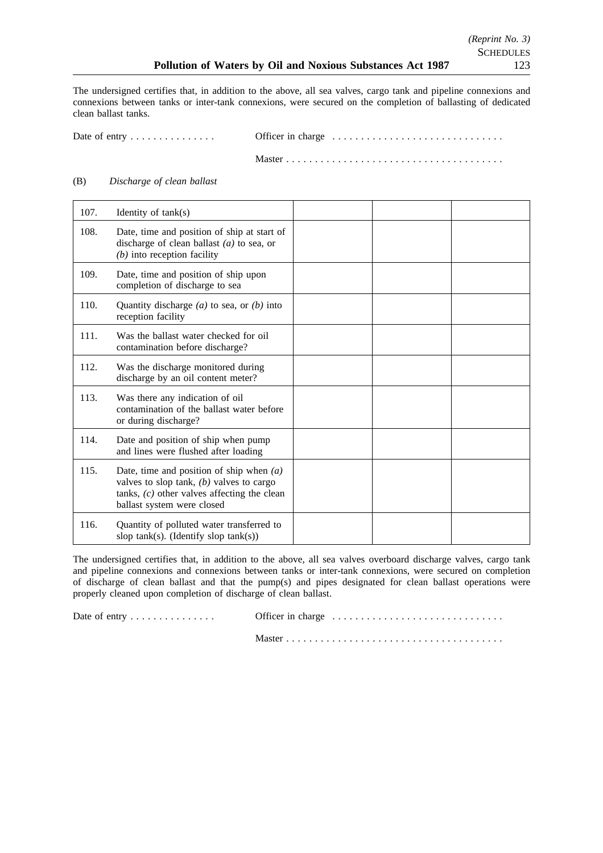The undersigned certifies that, in addition to the above, all sea valves, cargo tank and pipeline connexions and connexions between tanks or inter-tank connexions, were secured on the completion of ballasting of dedicated clean ballast tanks.

Date of entry ............... Officer in charge ..............................

Master ......................................

# (B) *Discharge of clean ballast*

| 107. | Identity of $tank(s)$                                                                                                                                                   |  |
|------|-------------------------------------------------------------------------------------------------------------------------------------------------------------------------|--|
| 108. | Date, time and position of ship at start of<br>discharge of clean ballast $(a)$ to sea, or<br>$(b)$ into reception facility                                             |  |
| 109. | Date, time and position of ship upon<br>completion of discharge to sea                                                                                                  |  |
| 110. | Quantity discharge $(a)$ to sea, or $(b)$ into<br>reception facility                                                                                                    |  |
| 111. | Was the ballast water checked for oil<br>contamination before discharge?                                                                                                |  |
| 112. | Was the discharge monitored during<br>discharge by an oil content meter?                                                                                                |  |
| 113. | Was there any indication of oil<br>contamination of the ballast water before<br>or during discharge?                                                                    |  |
| 114. | Date and position of ship when pump<br>and lines were flushed after loading                                                                                             |  |
| 115. | Date, time and position of ship when $(a)$<br>valves to slop tank, $(b)$ valves to cargo<br>tanks, $(c)$ other valves affecting the clean<br>ballast system were closed |  |
| 116. | Quantity of polluted water transferred to<br>slop tank(s). (Identify slop tank(s))                                                                                      |  |

The undersigned certifies that, in addition to the above, all sea valves overboard discharge valves, cargo tank and pipeline connexions and connexions between tanks or inter-tank connexions, were secured on completion of discharge of clean ballast and that the pump(s) and pipes designated for clean ballast operations were properly cleaned upon completion of discharge of clean ballast.

Date of entry ............... Officer in charge ..............................

Master ......................................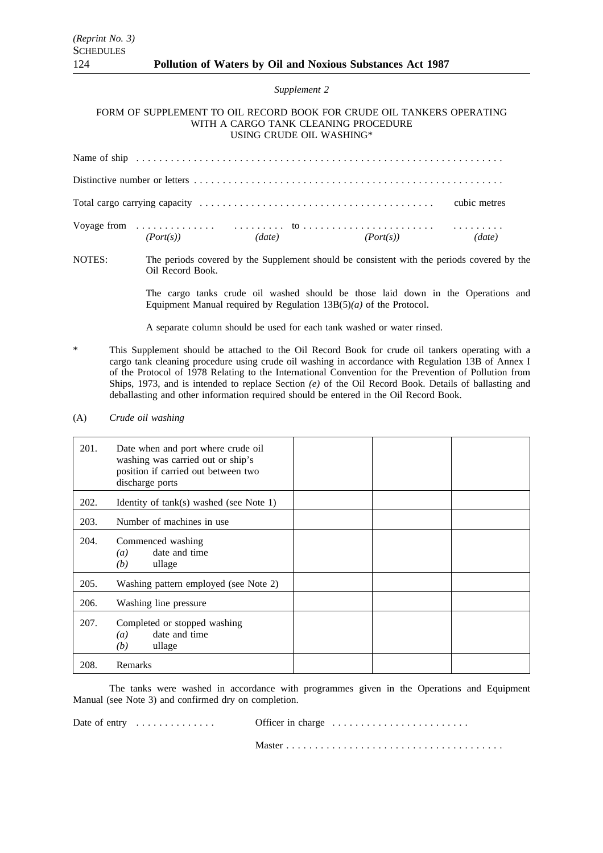#### *Supplement 2*

# FORM OF SUPPLEMENT TO OIL RECORD BOOK FOR CRUDE OIL TANKERS OPERATING WITH A CARGO TANK CLEANING PROCEDURE USING CRUDE OIL WASHING\*

|  |  |                                       | cubic metres |
|--|--|---------------------------------------|--------------|
|  |  | $(Port(s))$ (date) $(Port(s))$ (date) |              |

NOTES: The periods covered by the Supplement should be consistent with the periods covered by the Oil Record Book.

> The cargo tanks crude oil washed should be those laid down in the Operations and Equipment Manual required by Regulation 13B(5)*(a)* of the Protocol.

A separate column should be used for each tank washed or water rinsed.

- \* This Supplement should be attached to the Oil Record Book for crude oil tankers operating with a cargo tank cleaning procedure using crude oil washing in accordance with Regulation 13B of Annex I of the Protocol of 1978 Relating to the International Convention for the Prevention of Pollution from Ships, 1973, and is intended to replace Section *(e)* of the Oil Record Book. Details of ballasting and deballasting and other information required should be entered in the Oil Record Book.
- (A) *Crude oil washing* 201. Date when and port where crude oil washing was carried out or ship's position if carried out between two discharge ports 202. Identity of tank(s) washed (see Note 1) 203. Number of machines in use 204. Commenced washing *(a)* date and time *(b)* ullage 205. Washing pattern employed (see Note 2) 206. Washing line pressure 207. Completed or stopped washing *(a)* date and time *(b)* ullage 208. Remarks
- 

The tanks were washed in accordance with programmes given in the Operations and Equipment Manual (see Note 3) and confirmed dry on completion.

Date of entry .............. Officer in charge ........................

Master ......................................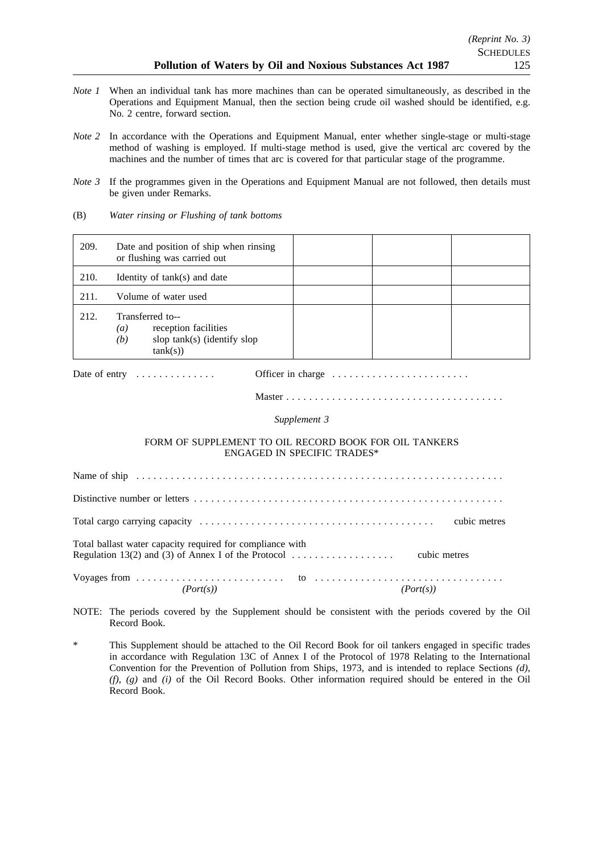- *Note 1* When an individual tank has more machines than can be operated simultaneously, as described in the Operations and Equipment Manual, then the section being crude oil washed should be identified, e.g. No. 2 centre, forward section.
- *Note 2* In accordance with the Operations and Equipment Manual, enter whether single-stage or multi-stage method of washing is employed. If multi-stage method is used, give the vertical arc covered by the machines and the number of times that arc is covered for that particular stage of the programme.
- *Note 3* If the programmes given in the Operations and Equipment Manual are not followed, then details must be given under Remarks.
- (B) *Water rinsing or Flushing of tank bottoms*

| 209. | Date and position of ship when rinsing<br>or flushing was carried out                                           |  |  |
|------|-----------------------------------------------------------------------------------------------------------------|--|--|
| 210. | Identity of tank(s) and date                                                                                    |  |  |
| 211. | Volume of water used                                                                                            |  |  |
| 212. | Transferred to--<br>reception facilities<br>$\left(a\right)$<br>slop $tank(s)$ (identify slop<br>(b)<br>tank(s) |  |  |

Date of entry .............. Officer in charge ........................

Master ......................................

## *Supplement 3*

# FORM OF SUPPLEMENT TO OIL RECORD BOOK FOR OIL TANKERS ENGAGED IN SPECIFIC TRADES\*

|                                                                                                                                                               | cubic metres |
|---------------------------------------------------------------------------------------------------------------------------------------------------------------|--------------|
| Total ballast water capacity required for compliance with<br>Regulation 13(2) and (3) of Annex I of the Protocol $\dots \dots \dots \dots \dots$ cubic metres |              |
| (Port(s))                                                                                                                                                     | (Port(s))    |

- NOTE: The periods covered by the Supplement should be consistent with the periods covered by the Oil Record Book.
- \* This Supplement should be attached to the Oil Record Book for oil tankers engaged in specific trades in accordance with Regulation 13C of Annex I of the Protocol of 1978 Relating to the International Convention for the Prevention of Pollution from Ships, 1973, and is intended to replace Sections *(d)*, *(f)*, *(g)* and *(i)* of the Oil Record Books. Other information required should be entered in the Oil Record Book.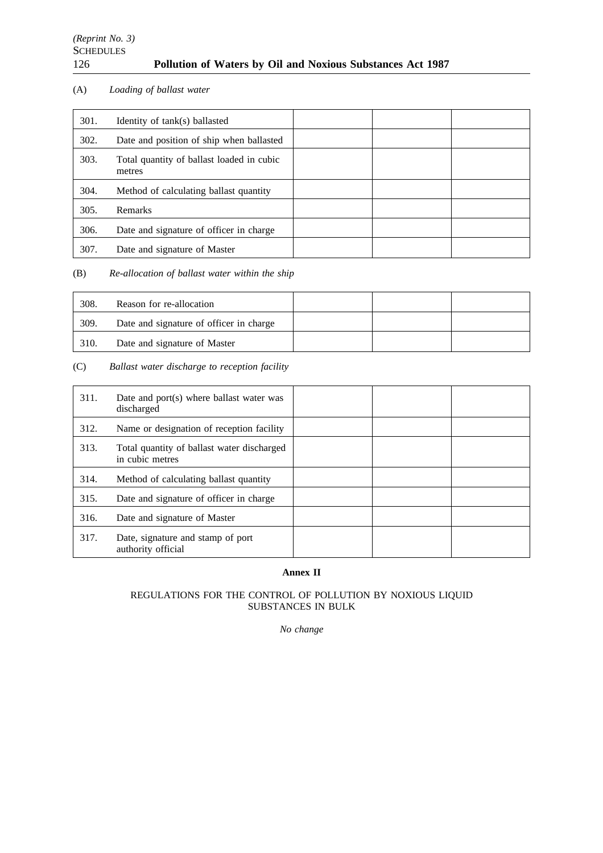# (A) *Loading of ballast water*

| 301. | Identity of tank(s) ballasted                       |  |  |
|------|-----------------------------------------------------|--|--|
| 302. | Date and position of ship when ballasted            |  |  |
| 303. | Total quantity of ballast loaded in cubic<br>metres |  |  |
| 304. | Method of calculating ballast quantity              |  |  |
| 305. | Remarks                                             |  |  |
| 306. | Date and signature of officer in charge             |  |  |
| 307. | Date and signature of Master                        |  |  |

(B) *Re-allocation of ballast water within the ship*

| 308<br>Reason for re-allocation |                                         |  |  |
|---------------------------------|-----------------------------------------|--|--|
| 309.                            | Date and signature of officer in charge |  |  |
| 310.                            | Date and signature of Master            |  |  |

# (C) *Ballast water discharge to reception facility*

| 311. | Date and port(s) where ballast water was<br>discharged        |  |  |
|------|---------------------------------------------------------------|--|--|
| 312. | Name or designation of reception facility                     |  |  |
| 313. | Total quantity of ballast water discharged<br>in cubic metres |  |  |
| 314. | Method of calculating ballast quantity                        |  |  |
| 315. | Date and signature of officer in charge                       |  |  |
| 316. | Date and signature of Master                                  |  |  |
| 317. | Date, signature and stamp of port<br>authority official       |  |  |

# **Annex II**

# REGULATIONS FOR THE CONTROL OF POLLUTION BY NOXIOUS LIQUID SUBSTANCES IN BULK

*No change*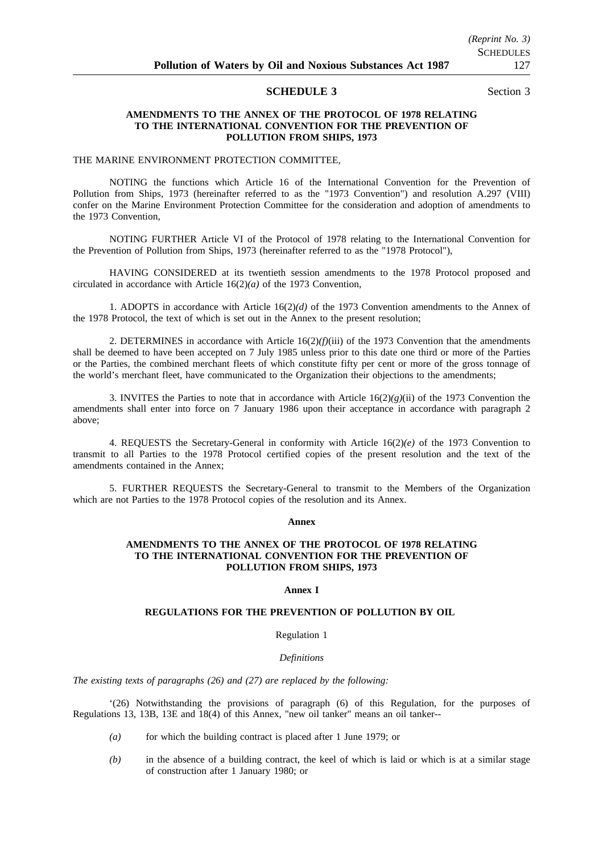#### **SCHEDULE 3** Section 3

# **AMENDMENTS TO THE ANNEX OF THE PROTOCOL OF 1978 RELATING TO THE INTERNATIONAL CONVENTION FOR THE PREVENTION OF POLLUTION FROM SHIPS, 1973**

#### THE MARINE ENVIRONMENT PROTECTION COMMITTEE,

NOTING the functions which Article 16 of the International Convention for the Prevention of Pollution from Ships, 1973 (hereinafter referred to as the "1973 Convention") and resolution A.297 (VIII) confer on the Marine Environment Protection Committee for the consideration and adoption of amendments to the 1973 Convention,

NOTING FURTHER Article VI of the Protocol of 1978 relating to the International Convention for the Prevention of Pollution from Ships, 1973 (hereinafter referred to as the "1978 Protocol"),

HAVING CONSIDERED at its twentieth session amendments to the 1978 Protocol proposed and circulated in accordance with Article 16(2)*(a)* of the 1973 Convention,

1. ADOPTS in accordance with Article 16(2)*(d)* of the 1973 Convention amendments to the Annex of the 1978 Protocol, the text of which is set out in the Annex to the present resolution;

2. DETERMINES in accordance with Article 16(2)*(f)*(iii) of the 1973 Convention that the amendments shall be deemed to have been accepted on 7 July 1985 unless prior to this date one third or more of the Parties or the Parties, the combined merchant fleets of which constitute fifty per cent or more of the gross tonnage of the world's merchant fleet, have communicated to the Organization their objections to the amendments;

3. INVITES the Parties to note that in accordance with Article 16(2)*(g)*(ii) of the 1973 Convention the amendments shall enter into force on 7 January 1986 upon their acceptance in accordance with paragraph 2 above;

4. REQUESTS the Secretary-General in conformity with Article 16(2)*(e)* of the 1973 Convention to transmit to all Parties to the 1978 Protocol certified copies of the present resolution and the text of the amendments contained in the Annex;

5. FURTHER REQUESTS the Secretary-General to transmit to the Members of the Organization which are not Parties to the 1978 Protocol copies of the resolution and its Annex.

#### **Annex**

## **AMENDMENTS TO THE ANNEX OF THE PROTOCOL OF 1978 RELATING TO THE INTERNATIONAL CONVENTION FOR THE PREVENTION OF POLLUTION FROM SHIPS, 1973**

#### **Annex I**

#### **REGULATIONS FOR THE PREVENTION OF POLLUTION BY OIL**

#### Regulation 1

#### *Definitions*

*The existing texts of paragraphs (26) and (27) are replaced by the following:*

'(26) Notwithstanding the provisions of paragraph (6) of this Regulation, for the purposes of Regulations 13, 13B, 13E and 18(4) of this Annex, "new oil tanker" means an oil tanker--

- *(a)* for which the building contract is placed after 1 June 1979; or
- *(b)* in the absence of a building contract, the keel of which is laid or which is at a similar stage of construction after 1 January 1980; or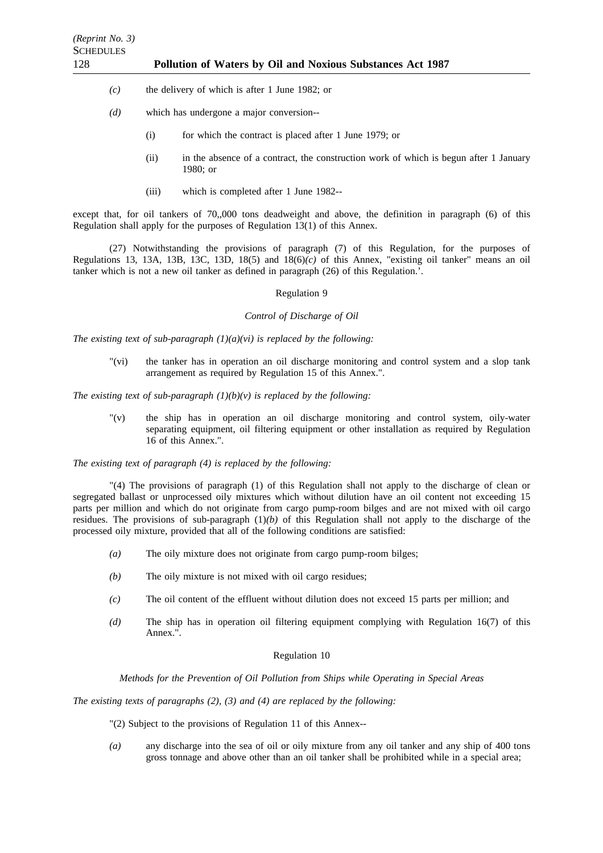- *(c)* the delivery of which is after 1 June 1982; or
- *(d)* which has undergone a major conversion--
	- (i) for which the contract is placed after 1 June 1979; or
	- (ii) in the absence of a contract, the construction work of which is begun after 1 January 1980; or
	- (iii) which is completed after 1 June 1982--

except that, for oil tankers of 70,,000 tons deadweight and above, the definition in paragraph (6) of this Regulation shall apply for the purposes of Regulation 13(1) of this Annex.

(27) Notwithstanding the provisions of paragraph (7) of this Regulation, for the purposes of Regulations 13, 13A, 13B, 13C, 13D, 18(5) and 18(6)*(c)* of this Annex, "existing oil tanker" means an oil tanker which is not a new oil tanker as defined in paragraph (26) of this Regulation.'.

## Regulation 9

## *Control of Discharge of Oil*

*The existing text of sub-paragraph (1)(a)(vi) is replaced by the following:*

"(vi) the tanker has in operation an oil discharge monitoring and control system and a slop tank arrangement as required by Regulation 15 of this Annex.".

*The existing text of sub-paragraph (1)(b)(v) is replaced by the following:*

"(v) the ship has in operation an oil discharge monitoring and control system, oily-water separating equipment, oil filtering equipment or other installation as required by Regulation 16 of this Annex.".

*The existing text of paragraph (4) is replaced by the following:*

"(4) The provisions of paragraph (1) of this Regulation shall not apply to the discharge of clean or segregated ballast or unprocessed oily mixtures which without dilution have an oil content not exceeding 15 parts per million and which do not originate from cargo pump-room bilges and are not mixed with oil cargo residues. The provisions of sub-paragraph  $(1)(b)$  of this Regulation shall not apply to the discharge of the processed oily mixture, provided that all of the following conditions are satisfied:

- *(a)* The oily mixture does not originate from cargo pump-room bilges;
- *(b)* The oily mixture is not mixed with oil cargo residues;
- *(c)* The oil content of the effluent without dilution does not exceed 15 parts per million; and
- *(d)* The ship has in operation oil filtering equipment complying with Regulation 16(7) of this Annex.".

#### Regulation 10

*Methods for the Prevention of Oil Pollution from Ships while Operating in Special Areas*

*The existing texts of paragraphs (2), (3) and (4) are replaced by the following:*

- "(2) Subject to the provisions of Regulation 11 of this Annex--
- *(a)* any discharge into the sea of oil or oily mixture from any oil tanker and any ship of 400 tons gross tonnage and above other than an oil tanker shall be prohibited while in a special area;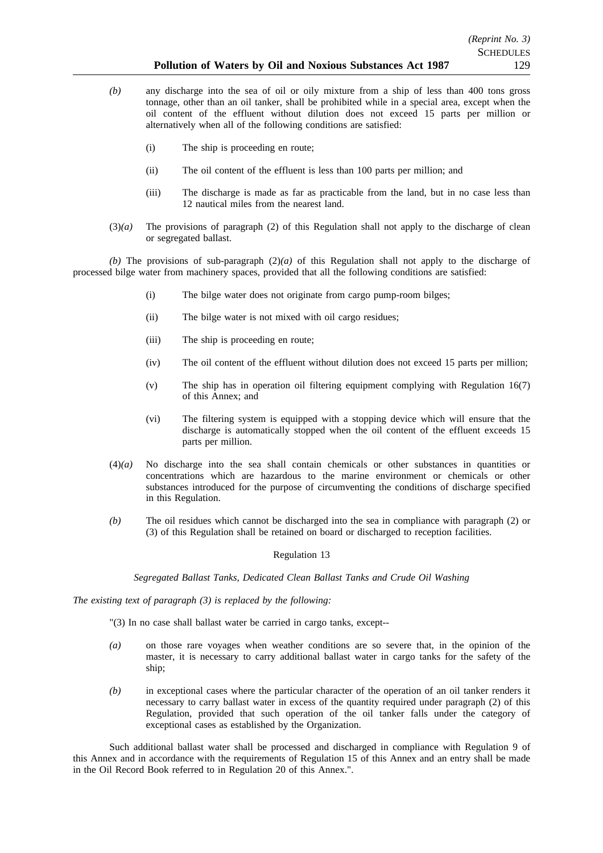- *(b)* any discharge into the sea of oil or oily mixture from a ship of less than 400 tons gross tonnage, other than an oil tanker, shall be prohibited while in a special area, except when the oil content of the effluent without dilution does not exceed 15 parts per million or alternatively when all of the following conditions are satisfied:
	- (i) The ship is proceeding en route;
	- (ii) The oil content of the effluent is less than 100 parts per million; and
	- (iii) The discharge is made as far as practicable from the land, but in no case less than 12 nautical miles from the nearest land.
- (3)*(a)* The provisions of paragraph (2) of this Regulation shall not apply to the discharge of clean or segregated ballast.

*(b)* The provisions of sub-paragraph (2)*(a)* of this Regulation shall not apply to the discharge of processed bilge water from machinery spaces, provided that all the following conditions are satisfied:

- (i) The bilge water does not originate from cargo pump-room bilges;
- (ii) The bilge water is not mixed with oil cargo residues;
- (iii) The ship is proceeding en route;
- (iv) The oil content of the effluent without dilution does not exceed 15 parts per million;
- (v) The ship has in operation oil filtering equipment complying with Regulation 16(7) of this Annex; and
- (vi) The filtering system is equipped with a stopping device which will ensure that the discharge is automatically stopped when the oil content of the effluent exceeds 15 parts per million.
- (4)*(a)* No discharge into the sea shall contain chemicals or other substances in quantities or concentrations which are hazardous to the marine environment or chemicals or other substances introduced for the purpose of circumventing the conditions of discharge specified in this Regulation.
- *(b)* The oil residues which cannot be discharged into the sea in compliance with paragraph (2) or (3) of this Regulation shall be retained on board or discharged to reception facilities.

#### Regulation 13

*Segregated Ballast Tanks, Dedicated Clean Ballast Tanks and Crude Oil Washing*

*The existing text of paragraph (3) is replaced by the following:*

- "(3) In no case shall ballast water be carried in cargo tanks, except--
- *(a)* on those rare voyages when weather conditions are so severe that, in the opinion of the master, it is necessary to carry additional ballast water in cargo tanks for the safety of the ship;
- *(b)* in exceptional cases where the particular character of the operation of an oil tanker renders it necessary to carry ballast water in excess of the quantity required under paragraph (2) of this Regulation, provided that such operation of the oil tanker falls under the category of exceptional cases as established by the Organization.

Such additional ballast water shall be processed and discharged in compliance with Regulation 9 of this Annex and in accordance with the requirements of Regulation 15 of this Annex and an entry shall be made in the Oil Record Book referred to in Regulation 20 of this Annex.".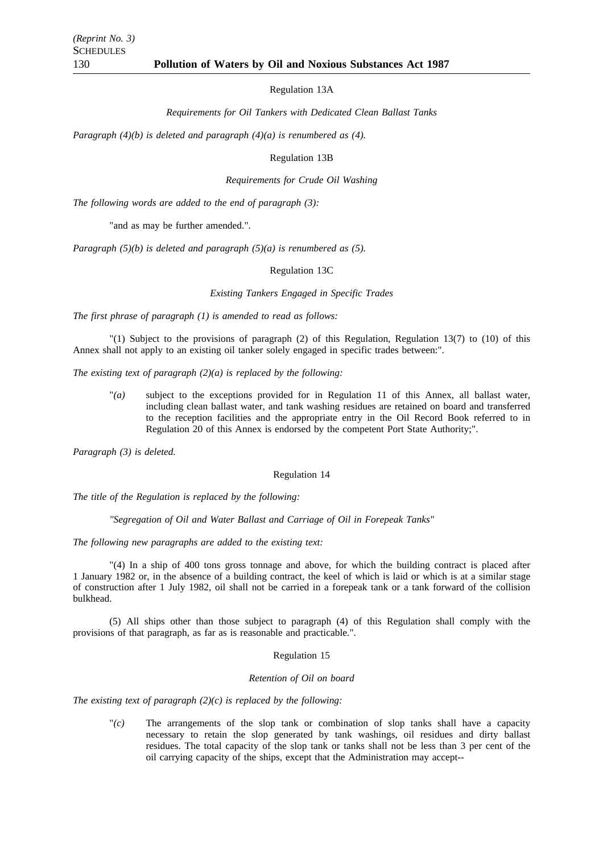# Regulation 13A

#### *Requirements for Oil Tankers with Dedicated Clean Ballast Tanks*

*Paragraph (4)(b) is deleted and paragraph (4)(a) is renumbered as (4).*

#### Regulation 13B

## *Requirements for Crude Oil Washing*

*The following words are added to the end of paragraph (3):*

"and as may be further amended.".

*Paragraph (5)(b) is deleted and paragraph (5)(a) is renumbered as (5).*

# Regulation 13C

#### *Existing Tankers Engaged in Specific Trades*

*The first phrase of paragraph (1) is amended to read as follows:*

"(1) Subject to the provisions of paragraph (2) of this Regulation, Regulation 13(7) to (10) of this Annex shall not apply to an existing oil tanker solely engaged in specific trades between:".

*The existing text of paragraph (2)(a) is replaced by the following:*

"*(a)* subject to the exceptions provided for in Regulation 11 of this Annex, all ballast water, including clean ballast water, and tank washing residues are retained on board and transferred to the reception facilities and the appropriate entry in the Oil Record Book referred to in Regulation 20 of this Annex is endorsed by the competent Port State Authority;".

*Paragraph (3) is deleted.*

#### Regulation 14

*The title of the Regulation is replaced by the following:*

*"Segregation of Oil and Water Ballast and Carriage of Oil in Forepeak Tanks"*

*The following new paragraphs are added to the existing text:*

"(4) In a ship of 400 tons gross tonnage and above, for which the building contract is placed after 1 January 1982 or, in the absence of a building contract, the keel of which is laid or which is at a similar stage of construction after 1 July 1982, oil shall not be carried in a forepeak tank or a tank forward of the collision bulkhead.

(5) All ships other than those subject to paragraph (4) of this Regulation shall comply with the provisions of that paragraph, as far as is reasonable and practicable.".

#### Regulation 15

#### *Retention of Oil on board*

*The existing text of paragraph (2)(c) is replaced by the following:*

"*(c)* The arrangements of the slop tank or combination of slop tanks shall have a capacity necessary to retain the slop generated by tank washings, oil residues and dirty ballast residues. The total capacity of the slop tank or tanks shall not be less than 3 per cent of the oil carrying capacity of the ships, except that the Administration may accept--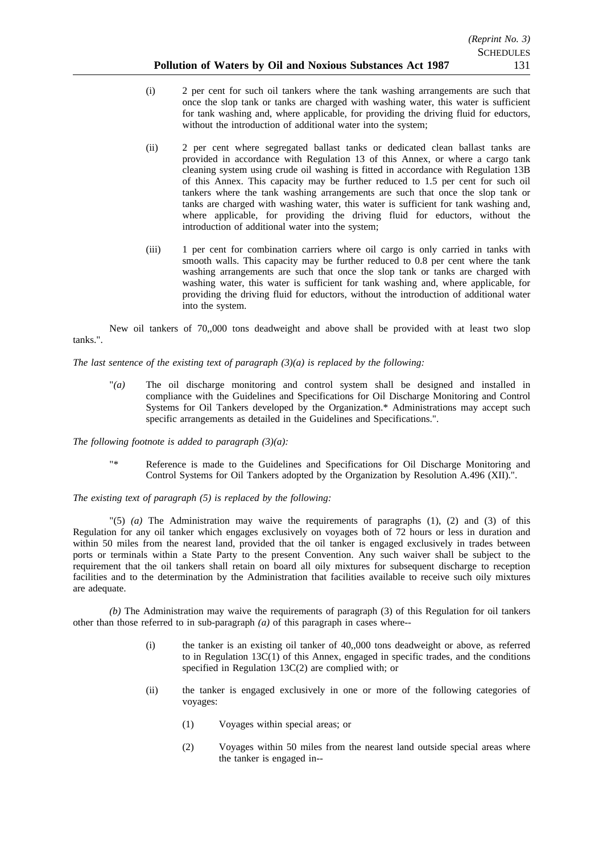- (i) 2 per cent for such oil tankers where the tank washing arrangements are such that once the slop tank or tanks are charged with washing water, this water is sufficient for tank washing and, where applicable, for providing the driving fluid for eductors, without the introduction of additional water into the system;
- (ii) 2 per cent where segregated ballast tanks or dedicated clean ballast tanks are provided in accordance with Regulation 13 of this Annex, or where a cargo tank cleaning system using crude oil washing is fitted in accordance with Regulation 13B of this Annex. This capacity may be further reduced to 1.5 per cent for such oil tankers where the tank washing arrangements are such that once the slop tank or tanks are charged with washing water, this water is sufficient for tank washing and, where applicable, for providing the driving fluid for eductors, without the introduction of additional water into the system;
- (iii) 1 per cent for combination carriers where oil cargo is only carried in tanks with smooth walls. This capacity may be further reduced to 0.8 per cent where the tank washing arrangements are such that once the slop tank or tanks are charged with washing water, this water is sufficient for tank washing and, where applicable, for providing the driving fluid for eductors, without the introduction of additional water into the system.

New oil tankers of 70,,000 tons deadweight and above shall be provided with at least two slop tanks.".

*The last sentence of the existing text of paragraph (3)(a) is replaced by the following:*

"*(a)* The oil discharge monitoring and control system shall be designed and installed in compliance with the Guidelines and Specifications for Oil Discharge Monitoring and Control Systems for Oil Tankers developed by the Organization.\* Administrations may accept such specific arrangements as detailed in the Guidelines and Specifications.".

*The following footnote is added to paragraph (3)(a):*

"\* Reference is made to the Guidelines and Specifications for Oil Discharge Monitoring and Control Systems for Oil Tankers adopted by the Organization by Resolution A.496 (XII).".

*The existing text of paragraph (5) is replaced by the following:*

"(5) *(a)* The Administration may waive the requirements of paragraphs (1), (2) and (3) of this Regulation for any oil tanker which engages exclusively on voyages both of 72 hours or less in duration and within 50 miles from the nearest land, provided that the oil tanker is engaged exclusively in trades between ports or terminals within a State Party to the present Convention. Any such waiver shall be subject to the requirement that the oil tankers shall retain on board all oily mixtures for subsequent discharge to reception facilities and to the determination by the Administration that facilities available to receive such oily mixtures are adequate.

*(b)* The Administration may waive the requirements of paragraph (3) of this Regulation for oil tankers other than those referred to in sub-paragraph *(a)* of this paragraph in cases where--

- (i) the tanker is an existing oil tanker of 40,,000 tons deadweight or above, as referred to in Regulation 13C(1) of this Annex, engaged in specific trades, and the conditions specified in Regulation 13C(2) are complied with; or
- (ii) the tanker is engaged exclusively in one or more of the following categories of voyages:
	- (1) Voyages within special areas; or
	- (2) Voyages within 50 miles from the nearest land outside special areas where the tanker is engaged in--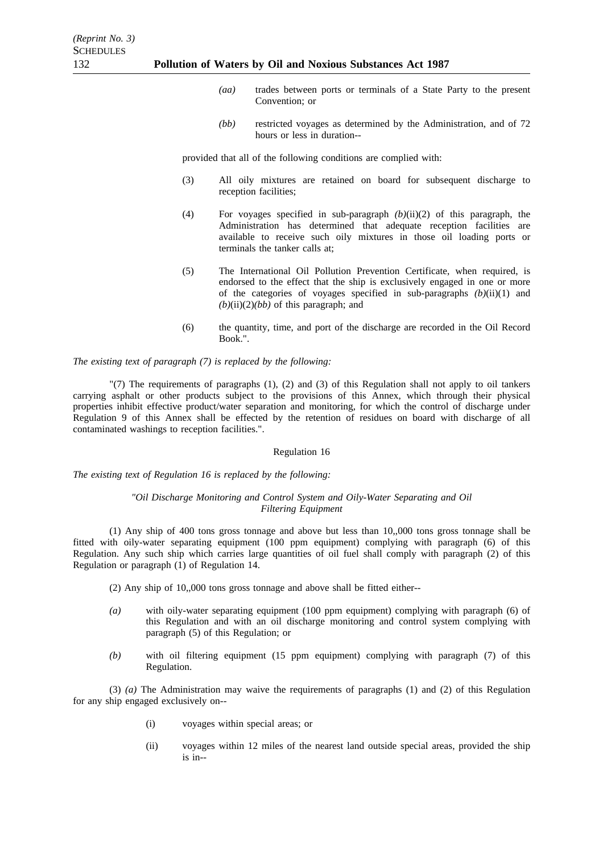- *(aa)* trades between ports or terminals of a State Party to the present Convention; or
- *(bb)* restricted voyages as determined by the Administration, and of 72 hours or less in duration--

provided that all of the following conditions are complied with:

- (3) All oily mixtures are retained on board for subsequent discharge to reception facilities;
- (4) For voyages specified in sub-paragraph *(b)*(ii)(2) of this paragraph, the Administration has determined that adequate reception facilities are available to receive such oily mixtures in those oil loading ports or terminals the tanker calls at;
- (5) The International Oil Pollution Prevention Certificate, when required, is endorsed to the effect that the ship is exclusively engaged in one or more of the categories of voyages specified in sub-paragraphs *(b)*(ii)(1) and *(b)*(ii)(2)*(bb)* of this paragraph; and
- (6) the quantity, time, and port of the discharge are recorded in the Oil Record Book.".

*The existing text of paragraph (7) is replaced by the following:*

"(7) The requirements of paragraphs (1), (2) and (3) of this Regulation shall not apply to oil tankers carrying asphalt or other products subject to the provisions of this Annex, which through their physical properties inhibit effective product/water separation and monitoring, for which the control of discharge under Regulation 9 of this Annex shall be effected by the retention of residues on board with discharge of all contaminated washings to reception facilities.".

#### Regulation 16

*The existing text of Regulation 16 is replaced by the following:*

#### *"Oil Discharge Monitoring and Control System and Oily-Water Separating and Oil Filtering Equipment*

(1) Any ship of 400 tons gross tonnage and above but less than 10,,000 tons gross tonnage shall be fitted with oily-water separating equipment (100 ppm equipment) complying with paragraph (6) of this Regulation. Any such ship which carries large quantities of oil fuel shall comply with paragraph (2) of this Regulation or paragraph (1) of Regulation 14.

(2) Any ship of 10,,000 tons gross tonnage and above shall be fitted either--

- *(a)* with oily-water separating equipment (100 ppm equipment) complying with paragraph (6) of this Regulation and with an oil discharge monitoring and control system complying with paragraph (5) of this Regulation; or
- *(b)* with oil filtering equipment (15 ppm equipment) complying with paragraph (7) of this Regulation.

(3) *(a)* The Administration may waive the requirements of paragraphs (1) and (2) of this Regulation for any ship engaged exclusively on--

- (i) voyages within special areas; or
- (ii) voyages within 12 miles of the nearest land outside special areas, provided the ship is in--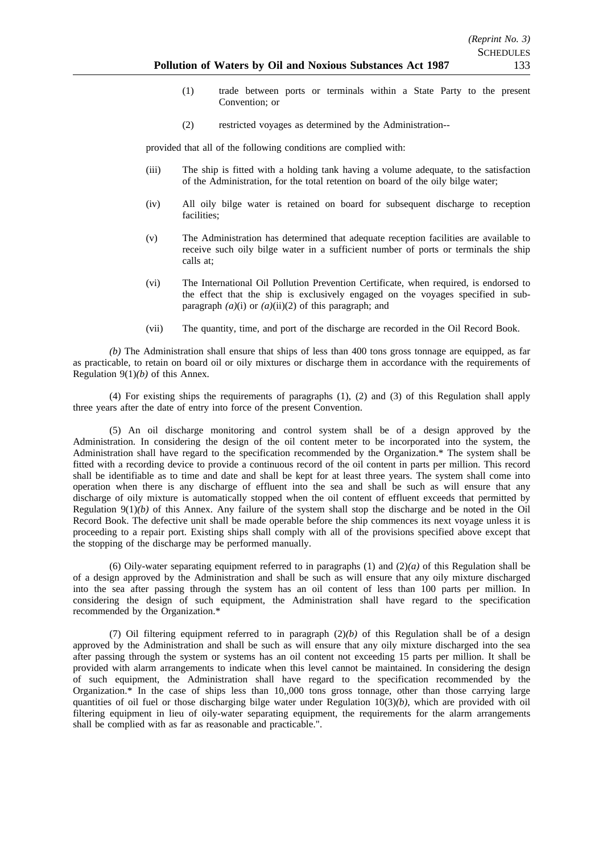- (1) trade between ports or terminals within a State Party to the present Convention; or
- (2) restricted voyages as determined by the Administration--

provided that all of the following conditions are complied with:

- (iii) The ship is fitted with a holding tank having a volume adequate, to the satisfaction of the Administration, for the total retention on board of the oily bilge water;
- (iv) All oily bilge water is retained on board for subsequent discharge to reception facilities;
- (v) The Administration has determined that adequate reception facilities are available to receive such oily bilge water in a sufficient number of ports or terminals the ship calls at;
- (vi) The International Oil Pollution Prevention Certificate, when required, is endorsed to the effect that the ship is exclusively engaged on the voyages specified in subparagraph  $(a)(i)$  or  $(a)(ii)(2)$  of this paragraph; and
- (vii) The quantity, time, and port of the discharge are recorded in the Oil Record Book.

*(b)* The Administration shall ensure that ships of less than 400 tons gross tonnage are equipped, as far as practicable, to retain on board oil or oily mixtures or discharge them in accordance with the requirements of Regulation 9(1)*(b)* of this Annex.

(4) For existing ships the requirements of paragraphs (1), (2) and (3) of this Regulation shall apply three years after the date of entry into force of the present Convention.

(5) An oil discharge monitoring and control system shall be of a design approved by the Administration. In considering the design of the oil content meter to be incorporated into the system, the Administration shall have regard to the specification recommended by the Organization.\* The system shall be fitted with a recording device to provide a continuous record of the oil content in parts per million. This record shall be identifiable as to time and date and shall be kept for at least three years. The system shall come into operation when there is any discharge of effluent into the sea and shall be such as will ensure that any discharge of oily mixture is automatically stopped when the oil content of effluent exceeds that permitted by Regulation 9(1)*(b)* of this Annex. Any failure of the system shall stop the discharge and be noted in the Oil Record Book. The defective unit shall be made operable before the ship commences its next voyage unless it is proceeding to a repair port. Existing ships shall comply with all of the provisions specified above except that the stopping of the discharge may be performed manually.

(6) Oily-water separating equipment referred to in paragraphs (1) and (2)*(a)* of this Regulation shall be of a design approved by the Administration and shall be such as will ensure that any oily mixture discharged into the sea after passing through the system has an oil content of less than 100 parts per million. In considering the design of such equipment, the Administration shall have regard to the specification recommended by the Organization.\*

(7) Oil filtering equipment referred to in paragraph  $(2)(b)$  of this Regulation shall be of a design approved by the Administration and shall be such as will ensure that any oily mixture discharged into the sea after passing through the system or systems has an oil content not exceeding 15 parts per million. It shall be provided with alarm arrangements to indicate when this level cannot be maintained. In considering the design of such equipment, the Administration shall have regard to the specification recommended by the Organization.\* In the case of ships less than 10,,000 tons gross tonnage, other than those carrying large quantities of oil fuel or those discharging bilge water under Regulation  $10(3)(b)$ , which are provided with oil filtering equipment in lieu of oily-water separating equipment, the requirements for the alarm arrangements shall be complied with as far as reasonable and practicable.".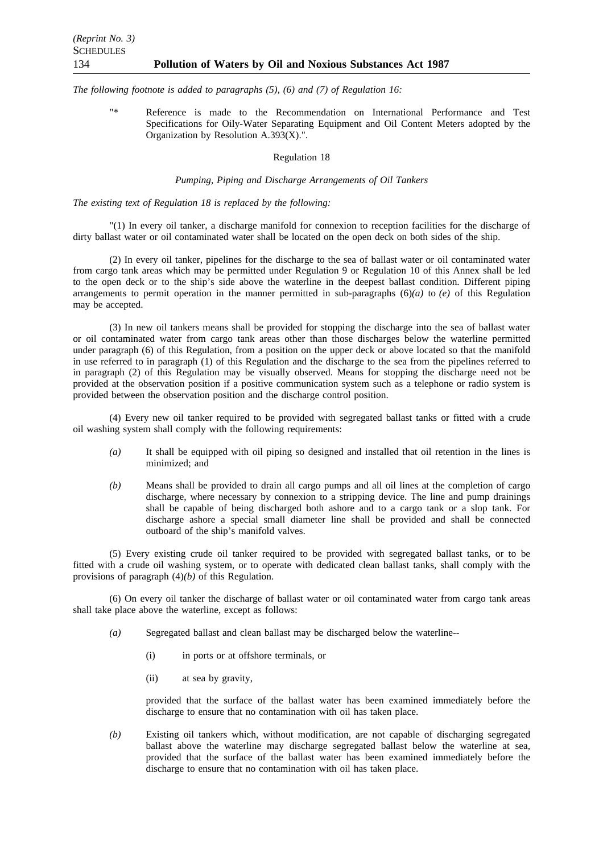*The following footnote is added to paragraphs (5), (6) and (7) of Regulation 16:*

"\* Reference is made to the Recommendation on International Performance and Test Specifications for Oily-Water Separating Equipment and Oil Content Meters adopted by the Organization by Resolution A.393 $(X)$ .".

#### Regulation 18

#### *Pumping, Piping and Discharge Arrangements of Oil Tankers*

#### *The existing text of Regulation 18 is replaced by the following:*

"(1) In every oil tanker, a discharge manifold for connexion to reception facilities for the discharge of dirty ballast water or oil contaminated water shall be located on the open deck on both sides of the ship.

(2) In every oil tanker, pipelines for the discharge to the sea of ballast water or oil contaminated water from cargo tank areas which may be permitted under Regulation 9 or Regulation 10 of this Annex shall be led to the open deck or to the ship's side above the waterline in the deepest ballast condition. Different piping arrangements to permit operation in the manner permitted in sub-paragraphs (6)*(a)* to *(e)* of this Regulation may be accepted.

(3) In new oil tankers means shall be provided for stopping the discharge into the sea of ballast water or oil contaminated water from cargo tank areas other than those discharges below the waterline permitted under paragraph (6) of this Regulation, from a position on the upper deck or above located so that the manifold in use referred to in paragraph (1) of this Regulation and the discharge to the sea from the pipelines referred to in paragraph (2) of this Regulation may be visually observed. Means for stopping the discharge need not be provided at the observation position if a positive communication system such as a telephone or radio system is provided between the observation position and the discharge control position.

(4) Every new oil tanker required to be provided with segregated ballast tanks or fitted with a crude oil washing system shall comply with the following requirements:

- *(a)* It shall be equipped with oil piping so designed and installed that oil retention in the lines is minimized; and
- *(b)* Means shall be provided to drain all cargo pumps and all oil lines at the completion of cargo discharge, where necessary by connexion to a stripping device. The line and pump drainings shall be capable of being discharged both ashore and to a cargo tank or a slop tank. For discharge ashore a special small diameter line shall be provided and shall be connected outboard of the ship's manifold valves.

(5) Every existing crude oil tanker required to be provided with segregated ballast tanks, or to be fitted with a crude oil washing system, or to operate with dedicated clean ballast tanks, shall comply with the provisions of paragraph (4)*(b)* of this Regulation.

(6) On every oil tanker the discharge of ballast water or oil contaminated water from cargo tank areas shall take place above the waterline, except as follows:

- *(a)* Segregated ballast and clean ballast may be discharged below the waterline--
	- (i) in ports or at offshore terminals, or
	- (ii) at sea by gravity,

provided that the surface of the ballast water has been examined immediately before the discharge to ensure that no contamination with oil has taken place.

*(b)* Existing oil tankers which, without modification, are not capable of discharging segregated ballast above the waterline may discharge segregated ballast below the waterline at sea, provided that the surface of the ballast water has been examined immediately before the discharge to ensure that no contamination with oil has taken place.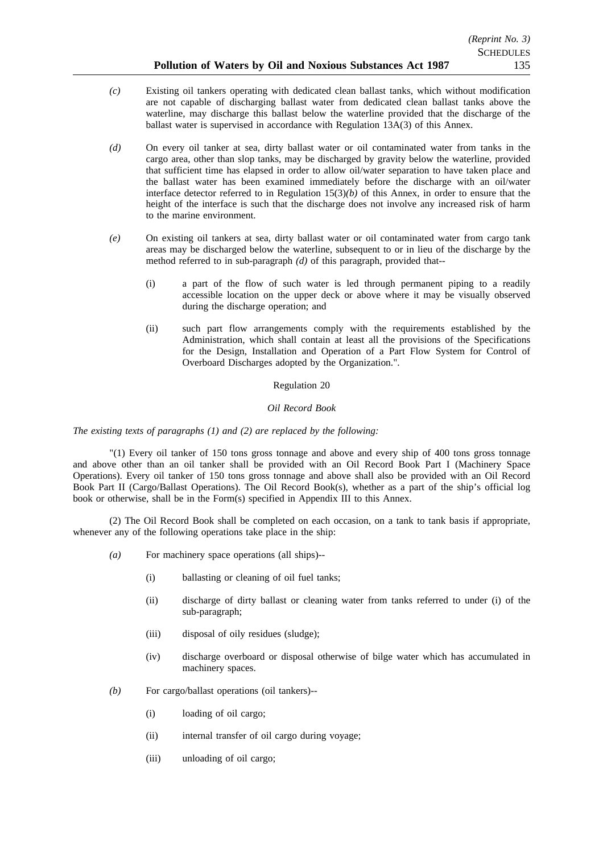- *(c)* Existing oil tankers operating with dedicated clean ballast tanks, which without modification are not capable of discharging ballast water from dedicated clean ballast tanks above the waterline, may discharge this ballast below the waterline provided that the discharge of the ballast water is supervised in accordance with Regulation 13A(3) of this Annex.
- *(d)* On every oil tanker at sea, dirty ballast water or oil contaminated water from tanks in the cargo area, other than slop tanks, may be discharged by gravity below the waterline, provided that sufficient time has elapsed in order to allow oil/water separation to have taken place and the ballast water has been examined immediately before the discharge with an oil/water interface detector referred to in Regulation  $15(3)(b)$  of this Annex, in order to ensure that the height of the interface is such that the discharge does not involve any increased risk of harm to the marine environment.
- *(e)* On existing oil tankers at sea, dirty ballast water or oil contaminated water from cargo tank areas may be discharged below the waterline, subsequent to or in lieu of the discharge by the method referred to in sub-paragraph *(d)* of this paragraph, provided that--
	- (i) a part of the flow of such water is led through permanent piping to a readily accessible location on the upper deck or above where it may be visually observed during the discharge operation; and
	- (ii) such part flow arrangements comply with the requirements established by the Administration, which shall contain at least all the provisions of the Specifications for the Design, Installation and Operation of a Part Flow System for Control of Overboard Discharges adopted by the Organization.".

# Regulation 20

# *Oil Record Book*

# *The existing texts of paragraphs (1) and (2) are replaced by the following:*

"(1) Every oil tanker of 150 tons gross tonnage and above and every ship of 400 tons gross tonnage and above other than an oil tanker shall be provided with an Oil Record Book Part I (Machinery Space Operations). Every oil tanker of 150 tons gross tonnage and above shall also be provided with an Oil Record Book Part II (Cargo/Ballast Operations). The Oil Record Book(s), whether as a part of the ship's official log book or otherwise, shall be in the Form(s) specified in Appendix III to this Annex.

(2) The Oil Record Book shall be completed on each occasion, on a tank to tank basis if appropriate, whenever any of the following operations take place in the ship:

- *(a)* For machinery space operations (all ships)--
	- (i) ballasting or cleaning of oil fuel tanks;
	- (ii) discharge of dirty ballast or cleaning water from tanks referred to under (i) of the sub-paragraph;
	- (iii) disposal of oily residues (sludge);
	- (iv) discharge overboard or disposal otherwise of bilge water which has accumulated in machinery spaces.
- *(b)* For cargo/ballast operations (oil tankers)--
	- (i) loading of oil cargo;
	- (ii) internal transfer of oil cargo during voyage;
	- (iii) unloading of oil cargo;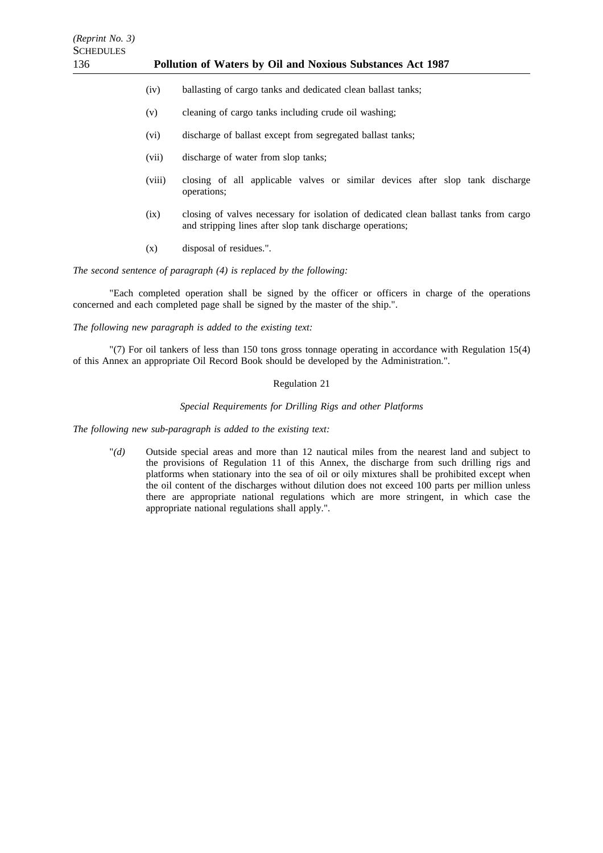- (iv) ballasting of cargo tanks and dedicated clean ballast tanks;
- (v) cleaning of cargo tanks including crude oil washing;
- (vi) discharge of ballast except from segregated ballast tanks;
- (vii) discharge of water from slop tanks;
- (viii) closing of all applicable valves or similar devices after slop tank discharge operations;
- (ix) closing of valves necessary for isolation of dedicated clean ballast tanks from cargo and stripping lines after slop tank discharge operations;
- (x) disposal of residues.".

*The second sentence of paragraph (4) is replaced by the following:*

"Each completed operation shall be signed by the officer or officers in charge of the operations concerned and each completed page shall be signed by the master of the ship.".

# *The following new paragraph is added to the existing text:*

"(7) For oil tankers of less than 150 tons gross tonnage operating in accordance with Regulation 15(4) of this Annex an appropriate Oil Record Book should be developed by the Administration.".

# Regulation 21

# *Special Requirements for Drilling Rigs and other Platforms*

*The following new sub-paragraph is added to the existing text:*

"*(d)* Outside special areas and more than 12 nautical miles from the nearest land and subject to the provisions of Regulation 11 of this Annex, the discharge from such drilling rigs and platforms when stationary into the sea of oil or oily mixtures shall be prohibited except when the oil content of the discharges without dilution does not exceed 100 parts per million unless there are appropriate national regulations which are more stringent, in which case the appropriate national regulations shall apply.".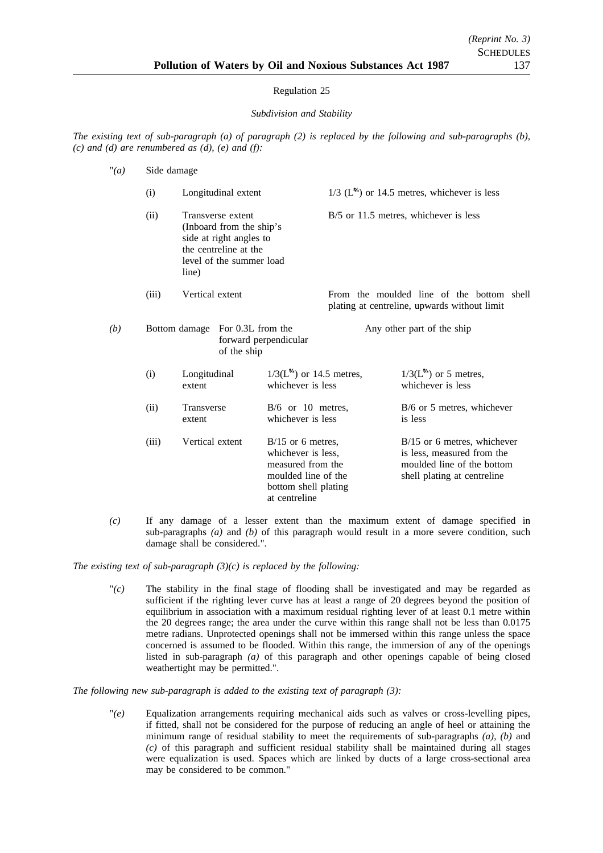# Regulation 25

#### *Subdivision and Stability*

*The existing text of sub-paragraph (a) of paragraph (2) is replaced by the following and sub-paragraphs (b), (c) and (d) are renumbered as (d), (e) and (f):*

- (i) Longitudinal extent  $1/3$  ( $L^{\frac{2}{3}}$ ) or 14.5 metres, whichever is less (ii) Transverse extent B/5 or 11.5 metres, whichever is less (Inboard from the ship's side at right angles to the centreline at the level of the summer load line) (iii) Vertical extent From the moulded line of the bottom shell plating at centreline, upwards without limit *(b)* Bottom damage For 0.3L from the Any other part of the ship forward perpendicular of the ship (i) Longitudinal  $1/3(L^{2k})$  or 14.5 metres,  $1/3(L^{2k})$  or 5 metres, extent whichever is less whichever is less whichever is less (ii) Transverse  $B/6$  or 10 metres,  $B/6$  or 5 metres, whichever extent whichever is less is less whichever is less (iii) Vertical extent B/15 or 6 metres, B/15 or 6 metres, whichever whichever is less, is less, measured from the measured from the moulded line of the bottom moulded line of the shell plating at centreline bottom shell plating at centreline
- *(c)* If any damage of a lesser extent than the maximum extent of damage specified in sub-paragraphs  $(a)$  and  $(b)$  of this paragraph would result in a more severe condition, such damage shall be considered.".

*The existing text of sub-paragraph (3)(c) is replaced by the following:*

"*(a)* Side damage

"*(c)* The stability in the final stage of flooding shall be investigated and may be regarded as sufficient if the righting lever curve has at least a range of 20 degrees beyond the position of equilibrium in association with a maximum residual righting lever of at least 0.1 metre within the 20 degrees range; the area under the curve within this range shall not be less than 0.0175 metre radians. Unprotected openings shall not be immersed within this range unless the space concerned is assumed to be flooded. Within this range, the immersion of any of the openings listed in sub-paragraph *(a)* of this paragraph and other openings capable of being closed weathertight may be permitted.".

*The following new sub-paragraph is added to the existing text of paragraph (3):*

"*(e)* Equalization arrangements requiring mechanical aids such as valves or cross-levelling pipes, if fitted, shall not be considered for the purpose of reducing an angle of heel or attaining the minimum range of residual stability to meet the requirements of sub-paragraphs *(a)*, *(b)* and *(c)* of this paragraph and sufficient residual stability shall be maintained during all stages were equalization is used. Spaces which are linked by ducts of a large cross-sectional area may be considered to be common."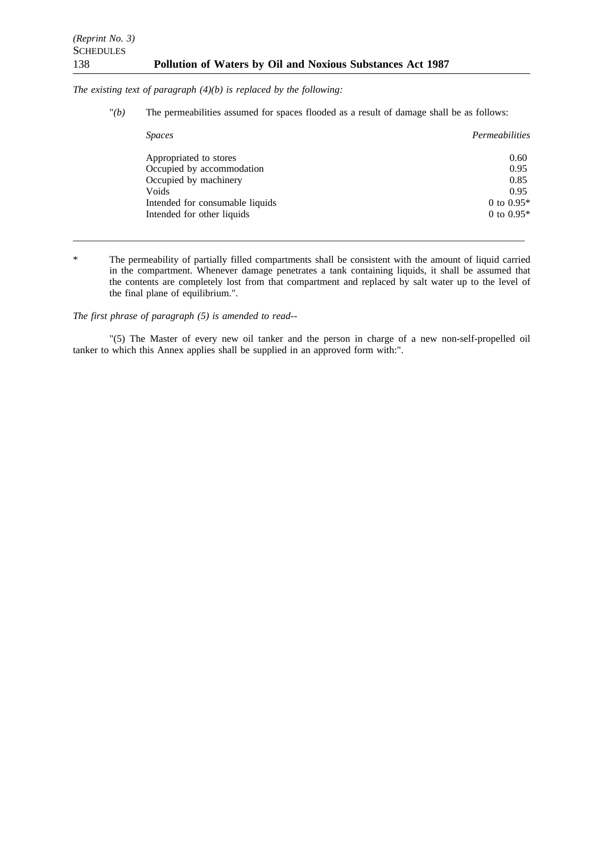*The existing text of paragraph (4)(b) is replaced by the following:*

"*(b)* The permeabilities assumed for spaces flooded as a result of damage shall be as follows:

| <i>Permeabilities</i> |
|-----------------------|
| 0.60                  |
| 0.95                  |
| 0.85                  |
| 0.95                  |
| 0 to $0.95*$          |
| 0 to $0.95*$          |
|                       |

\* The permeability of partially filled compartments shall be consistent with the amount of liquid carried in the compartment. Whenever damage penetrates a tank containing liquids, it shall be assumed that the contents are completely lost from that compartment and replaced by salt water up to the level of the final plane of equilibrium.".

\_\_\_\_\_\_\_\_\_\_\_\_\_\_\_\_\_\_\_\_\_\_\_\_\_\_\_\_\_\_\_\_\_\_\_\_\_\_\_\_\_\_\_\_\_\_\_\_\_\_\_\_\_\_\_\_\_\_\_\_\_\_\_\_\_\_\_\_\_\_\_\_\_\_\_\_\_\_\_\_\_\_\_\_\_\_\_\_\_\_\_

*The first phrase of paragraph (5) is amended to read--*

"(5) The Master of every new oil tanker and the person in charge of a new non-self-propelled oil tanker to which this Annex applies shall be supplied in an approved form with:".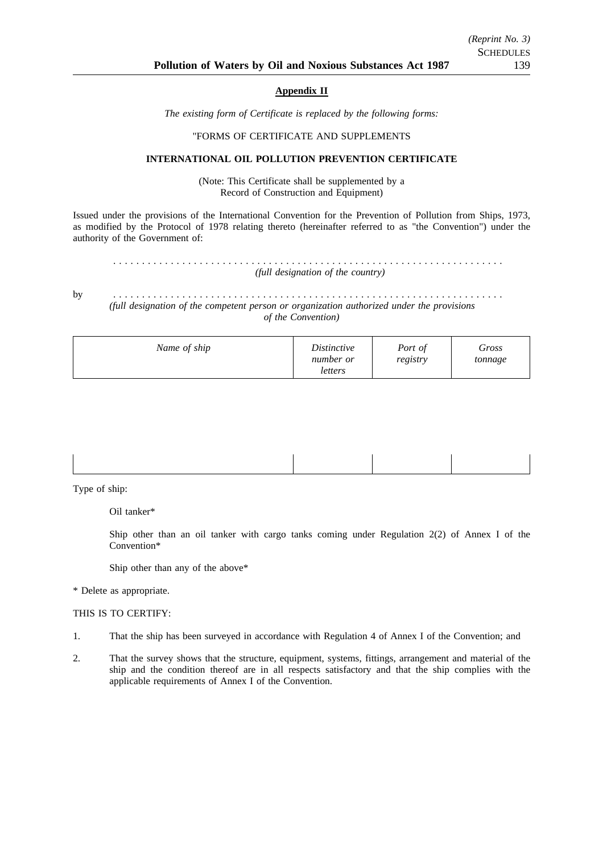*(Reprint No. 3)*

# **Appendix II**

*The existing form of Certificate is replaced by the following forms:*

#### "FORMS OF CERTIFICATE AND SUPPLEMENTS

#### **INTERNATIONAL OIL POLLUTION PREVENTION CERTIFICATE**

(Note: This Certificate shall be supplemented by a Record of Construction and Equipment)

Issued under the provisions of the International Convention for the Prevention of Pollution from Ships, 1973, as modified by the Protocol of 1978 relating thereto (hereinafter referred to as "the Convention") under the authority of the Government of:

.................................................................... *(full designation of the country)*

by . . . . . . . . . . . . . . . . . . . . . . . . . . . . . . . . . . . . . . . . . . . . . . . . . . . . . . . . . . . . . . . . . . . . *(full designation of the competent person or organization authorized under the provisions of the Convention)*

| Name of ship | <i>Distinctive</i><br>number or<br>letters | Port of<br>registry | Gross<br>tonnage |
|--------------|--------------------------------------------|---------------------|------------------|
|--------------|--------------------------------------------|---------------------|------------------|

Type of ship:

Oil tanker\*

Ship other than an oil tanker with cargo tanks coming under Regulation 2(2) of Annex I of the Convention\*

Ship other than any of the above\*

\* Delete as appropriate.

#### THIS IS TO CERTIFY:

- 1. That the ship has been surveyed in accordance with Regulation 4 of Annex I of the Convention; and
- 2. That the survey shows that the structure, equipment, systems, fittings, arrangement and material of the ship and the condition thereof are in all respects satisfactory and that the ship complies with the applicable requirements of Annex I of the Convention.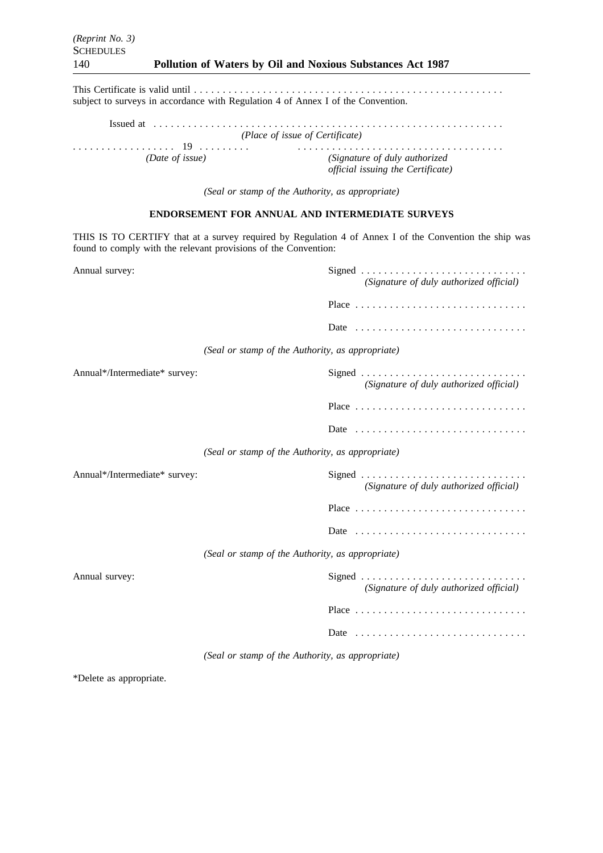| (Reprint No. 3)  |                                                            |
|------------------|------------------------------------------------------------|
| <b>SCHEDULES</b> |                                                            |
| 140              | Pollution of Waters by Oil and Noxious Substances Act 1987 |

This Certificate is valid until ...................................................... subject to surveys in accordance with Regulation 4 of Annex I of the Convention.

|                 | (Place of issue of Certificate)           |
|-----------------|-------------------------------------------|
|                 |                                           |
| (Date of issue) | (Signature of duly authorized)            |
|                 | <i>official issuing the Certificate</i> ) |

*(Seal or stamp of the Authority, as appropriate)*

#### **ENDORSEMENT FOR ANNUAL AND INTERMEDIATE SURVEYS**

THIS IS TO CERTIFY that at a survey required by Regulation 4 of Annex I of the Convention the ship was found to comply with the relevant provisions of the Convention:

| Date $\ldots \ldots \ldots \ldots \ldots \ldots \ldots \ldots \ldots$        |
|------------------------------------------------------------------------------|
|                                                                              |
|                                                                              |
| (Seal or stamp of the Authority, as appropriate)                             |
| (Signature of duly authorized official)                                      |
|                                                                              |
| Date $\ldots \ldots \ldots \ldots \ldots \ldots \ldots \ldots \ldots$        |
| (Seal or stamp of the Authority, as appropriate)                             |
| (Signature of duly authorized official)                                      |
|                                                                              |
| Date $\ldots \ldots \ldots \ldots \ldots \ldots \ldots \ldots \ldots \ldots$ |
| (Seal or stamp of the Authority, as appropriate)                             |
| (Signature of duly authorized official)                                      |
|                                                                              |
|                                                                              |
| (Seal or stamp of the Authority, as appropriate)                             |
|                                                                              |

\*Delete as appropriate.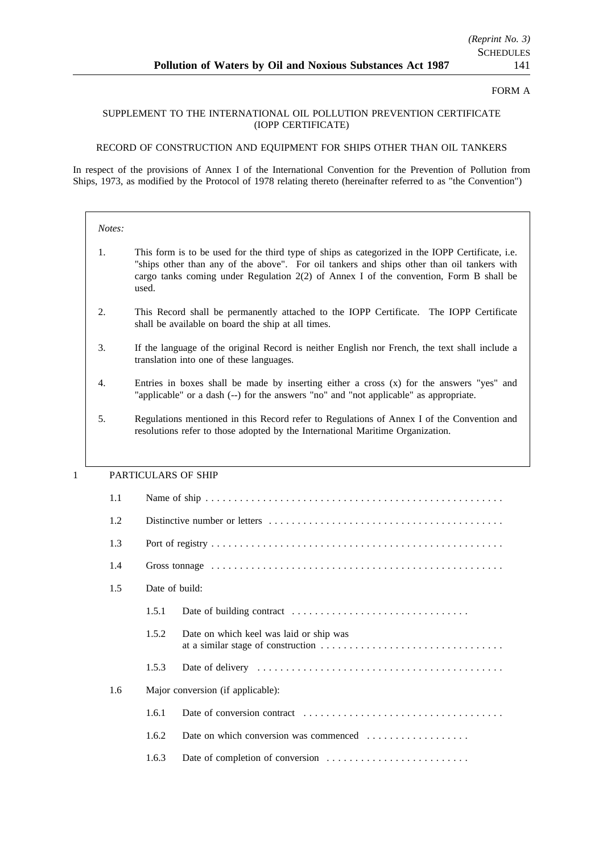# FORM A

# SUPPLEMENT TO THE INTERNATIONAL OIL POLLUTION PREVENTION CERTIFICATE (IOPP CERTIFICATE)

# RECORD OF CONSTRUCTION AND EQUIPMENT FOR SHIPS OTHER THAN OIL TANKERS

In respect of the provisions of Annex I of the International Convention for the Prevention of Pollution from Ships, 1973, as modified by the Protocol of 1978 relating thereto (hereinafter referred to as "the Convention")

|                                          | Notes:                                                                                                                                                                             |                                                                                                                                                                                                                                                                                                   |                                                                                                                                            |  |  |
|------------------------------------------|------------------------------------------------------------------------------------------------------------------------------------------------------------------------------------|---------------------------------------------------------------------------------------------------------------------------------------------------------------------------------------------------------------------------------------------------------------------------------------------------|--------------------------------------------------------------------------------------------------------------------------------------------|--|--|
|                                          | 1.                                                                                                                                                                                 | This form is to be used for the third type of ships as categorized in the IOPP Certificate, i.e.<br>"ships other than any of the above". For oil tankers and ships other than oil tankers with<br>cargo tanks coming under Regulation 2(2) of Annex I of the convention, Form B shall be<br>used. |                                                                                                                                            |  |  |
|                                          | 2.                                                                                                                                                                                 | This Record shall be permanently attached to the IOPP Certificate. The IOPP Certificate<br>shall be available on board the ship at all times.                                                                                                                                                     |                                                                                                                                            |  |  |
|                                          | 3.                                                                                                                                                                                 |                                                                                                                                                                                                                                                                                                   | If the language of the original Record is neither English nor French, the text shall include a<br>translation into one of these languages. |  |  |
|                                          | 4.                                                                                                                                                                                 | Entries in boxes shall be made by inserting either a cross (x) for the answers "yes" and<br>"applicable" or a dash (--) for the answers "no" and "not applicable" as appropriate.                                                                                                                 |                                                                                                                                            |  |  |
|                                          | 5.<br>Regulations mentioned in this Record refer to Regulations of Annex I of the Convention and<br>resolutions refer to those adopted by the International Maritime Organization. |                                                                                                                                                                                                                                                                                                   |                                                                                                                                            |  |  |
| 1                                        |                                                                                                                                                                                    |                                                                                                                                                                                                                                                                                                   | PARTICULARS OF SHIP                                                                                                                        |  |  |
|                                          | 1.1                                                                                                                                                                                |                                                                                                                                                                                                                                                                                                   |                                                                                                                                            |  |  |
|                                          |                                                                                                                                                                                    |                                                                                                                                                                                                                                                                                                   |                                                                                                                                            |  |  |
|                                          | 1.2                                                                                                                                                                                |                                                                                                                                                                                                                                                                                                   |                                                                                                                                            |  |  |
|                                          | 1.3                                                                                                                                                                                |                                                                                                                                                                                                                                                                                                   |                                                                                                                                            |  |  |
|                                          | 1.4                                                                                                                                                                                |                                                                                                                                                                                                                                                                                                   |                                                                                                                                            |  |  |
|                                          | 1.5                                                                                                                                                                                |                                                                                                                                                                                                                                                                                                   | Date of build:                                                                                                                             |  |  |
|                                          |                                                                                                                                                                                    | 1.5.1                                                                                                                                                                                                                                                                                             |                                                                                                                                            |  |  |
|                                          |                                                                                                                                                                                    | 1.5.2                                                                                                                                                                                                                                                                                             | Date on which keel was laid or ship was                                                                                                    |  |  |
|                                          |                                                                                                                                                                                    | 1.5.3                                                                                                                                                                                                                                                                                             | Date of delivery                                                                                                                           |  |  |
| 1.6<br>Major conversion (if applicable): |                                                                                                                                                                                    |                                                                                                                                                                                                                                                                                                   |                                                                                                                                            |  |  |
|                                          |                                                                                                                                                                                    | 1.6.1                                                                                                                                                                                                                                                                                             |                                                                                                                                            |  |  |
|                                          |                                                                                                                                                                                    | 1.6.2                                                                                                                                                                                                                                                                                             | Date on which conversion was commenced                                                                                                     |  |  |
|                                          |                                                                                                                                                                                    | 1.6.3                                                                                                                                                                                                                                                                                             |                                                                                                                                            |  |  |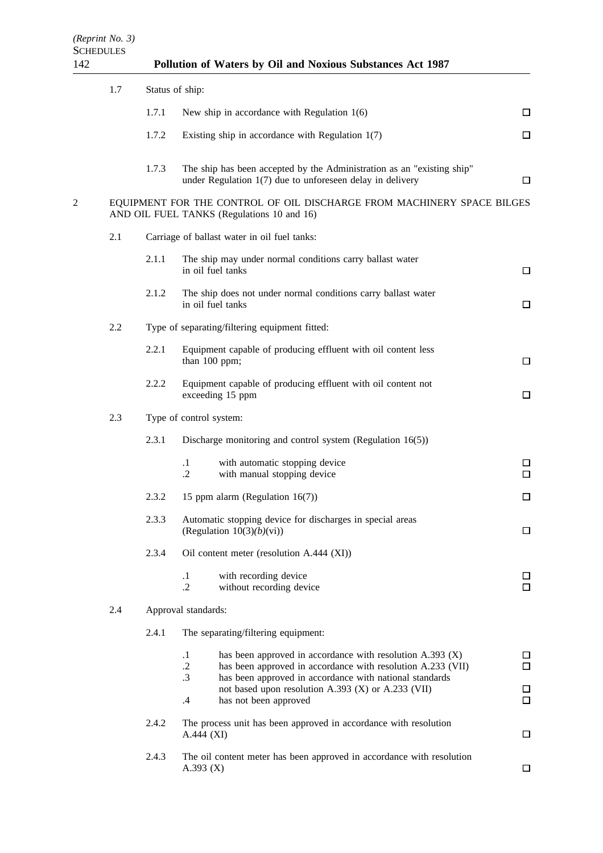|                | 1.7 | Status of ship:         |                                                                                                                                                                                                                         |                  |  |  |  |  |
|----------------|-----|-------------------------|-------------------------------------------------------------------------------------------------------------------------------------------------------------------------------------------------------------------------|------------------|--|--|--|--|
|                |     | 1.7.1                   | New ship in accordance with Regulation $1(6)$                                                                                                                                                                           | $\Box$           |  |  |  |  |
|                |     | 1.7.2                   | Existing ship in accordance with Regulation $1(7)$                                                                                                                                                                      | □                |  |  |  |  |
|                |     | 1.7.3                   | The ship has been accepted by the Administration as an "existing ship"<br>under Regulation $1(7)$ due to unforeseen delay in delivery                                                                                   | □                |  |  |  |  |
| $\overline{c}$ |     |                         | EQUIPMENT FOR THE CONTROL OF OIL DISCHARGE FROM MACHINERY SPACE BILGES<br>AND OIL FUEL TANKS (Regulations 10 and 16)                                                                                                    |                  |  |  |  |  |
|                | 2.1 |                         | Carriage of ballast water in oil fuel tanks:                                                                                                                                                                            |                  |  |  |  |  |
|                |     | 2.1.1                   | The ship may under normal conditions carry ballast water<br>in oil fuel tanks                                                                                                                                           | $\Box$           |  |  |  |  |
|                |     | 2.1.2                   | The ship does not under normal conditions carry ballast water<br>in oil fuel tanks                                                                                                                                      | $\Box$           |  |  |  |  |
|                | 2.2 |                         | Type of separating/filtering equipment fitted:                                                                                                                                                                          |                  |  |  |  |  |
|                |     | 2.2.1                   | Equipment capable of producing effluent with oil content less<br>than 100 ppm;                                                                                                                                          | $\Box$           |  |  |  |  |
|                |     | 2.2.2                   | Equipment capable of producing effluent with oil content not<br>exceeding 15 ppm                                                                                                                                        | $\Box$           |  |  |  |  |
|                | 2.3 | Type of control system: |                                                                                                                                                                                                                         |                  |  |  |  |  |
|                |     | 2.3.1                   | Discharge monitoring and control system (Regulation $16(5)$ )                                                                                                                                                           |                  |  |  |  |  |
|                |     |                         | with automatic stopping device<br>$\cdot$<br>$\cdot$ .2<br>with manual stopping device                                                                                                                                  | $\Box$<br>$\Box$ |  |  |  |  |
|                |     | 2.3.2                   | 15 ppm alarm (Regulation $16(7)$ )                                                                                                                                                                                      | $\Box$           |  |  |  |  |
|                |     | 2.3.3                   | Automatic stopping device for discharges in special areas<br>(Regulation $10(3)(b)(vi)$ )                                                                                                                               | $\Box$           |  |  |  |  |
|                |     | 2.3.4                   | Oil content meter (resolution A.444 (XI))                                                                                                                                                                               |                  |  |  |  |  |
|                |     |                         | with recording device<br>$\cdot$<br>$\cdot$ .2<br>without recording device                                                                                                                                              | □<br>$\Box$      |  |  |  |  |
|                | 2.4 |                         | Approval standards:                                                                                                                                                                                                     |                  |  |  |  |  |
|                |     | 2.4.1                   | The separating/filtering equipment:                                                                                                                                                                                     |                  |  |  |  |  |
|                |     |                         | has been approved in accordance with resolution $A.393(X)$<br>$\cdot$<br>$\cdot$<br>has been approved in accordance with resolution A.233 (VII)<br>$\cdot$ 3<br>has been approved in accordance with national standards | ⊔<br>$\Box$      |  |  |  |  |
|                |     |                         | not based upon resolution A.393 (X) or A.233 (VII)<br>$\mathcal{A}$<br>has not been approved                                                                                                                            | □<br>$\Box$      |  |  |  |  |
|                |     | 2.4.2                   | The process unit has been approved in accordance with resolution<br>A.444 (XI)                                                                                                                                          | □                |  |  |  |  |
|                |     | 2.4.3                   | The oil content meter has been approved in accordance with resolution<br>A.393 $(X)$                                                                                                                                    | $\Box$           |  |  |  |  |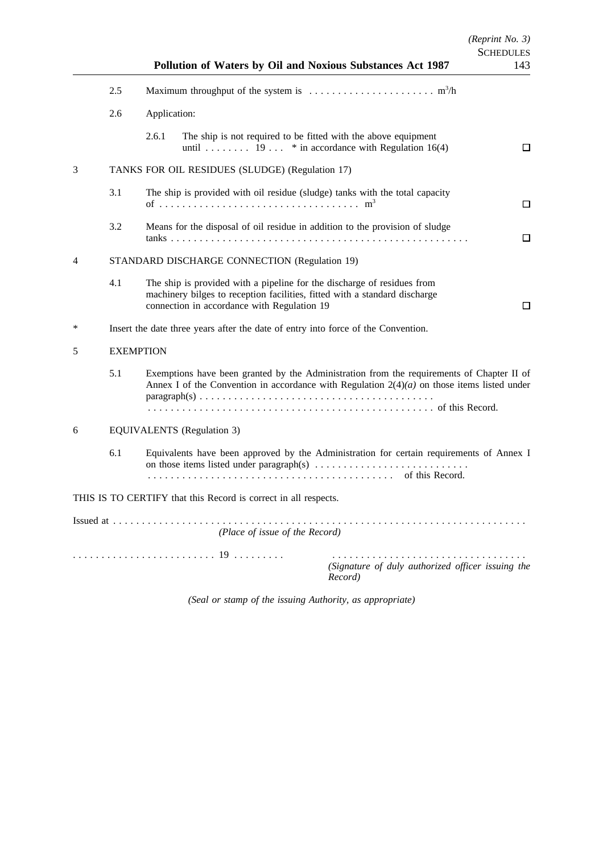|                                                    |     |                                                                                                                                                                                                      |                                                   | (Reprint No. 3)<br><b>SCHEDULES</b> |  |
|----------------------------------------------------|-----|------------------------------------------------------------------------------------------------------------------------------------------------------------------------------------------------------|---------------------------------------------------|-------------------------------------|--|
|                                                    |     | Pollution of Waters by Oil and Noxious Substances Act 1987                                                                                                                                           |                                                   | 143                                 |  |
|                                                    | 2.5 | Maximum throughput of the system is $\dots \dots \dots \dots \dots \dots \dots \dots \dots$ m <sup>3</sup> /h                                                                                        |                                                   |                                     |  |
|                                                    | 2.6 | Application:                                                                                                                                                                                         |                                                   |                                     |  |
|                                                    |     | 2.6.1<br>The ship is not required to be fitted with the above equipment<br>until 19 * in accordance with Regulation 16(4)                                                                            |                                                   | $\Box$                              |  |
| 3                                                  |     | TANKS FOR OIL RESIDUES (SLUDGE) (Regulation 17)                                                                                                                                                      |                                                   |                                     |  |
|                                                    | 3.1 | The ship is provided with oil residue (sludge) tanks with the total capacity                                                                                                                         |                                                   | $\Box$                              |  |
|                                                    | 3.2 | Means for the disposal of oil residue in addition to the provision of sludge                                                                                                                         |                                                   | □                                   |  |
| STANDARD DISCHARGE CONNECTION (Regulation 19)<br>4 |     |                                                                                                                                                                                                      |                                                   |                                     |  |
|                                                    | 4.1 | The ship is provided with a pipeline for the discharge of residues from<br>machinery bilges to reception facilities, fitted with a standard discharge<br>connection in accordance with Regulation 19 |                                                   | □                                   |  |
| ∗                                                  |     | Insert the date three years after the date of entry into force of the Convention.                                                                                                                    |                                                   |                                     |  |
| 5                                                  |     | <b>EXEMPTION</b>                                                                                                                                                                                     |                                                   |                                     |  |
|                                                    | 5.1 | Exemptions have been granted by the Administration from the requirements of Chapter II of<br>Annex I of the Convention in accordance with Regulation $2(4)(a)$ on those items listed under           |                                                   |                                     |  |
| 6                                                  |     | EQUIVALENTS (Regulation 3)                                                                                                                                                                           |                                                   |                                     |  |
|                                                    | 6.1 | Equivalents have been approved by the Administration for certain requirements of Annex I                                                                                                             |                                                   |                                     |  |
|                                                    |     |                                                                                                                                                                                                      |                                                   |                                     |  |
|                                                    |     | THIS IS TO CERTIFY that this Record is correct in all respects.                                                                                                                                      |                                                   |                                     |  |
|                                                    |     | (Place of issue of the Record)                                                                                                                                                                       |                                                   |                                     |  |
|                                                    |     | Record)                                                                                                                                                                                              | (Signature of duly authorized officer issuing the |                                     |  |

*(Seal or stamp of the issuing Authority, as appropriate)*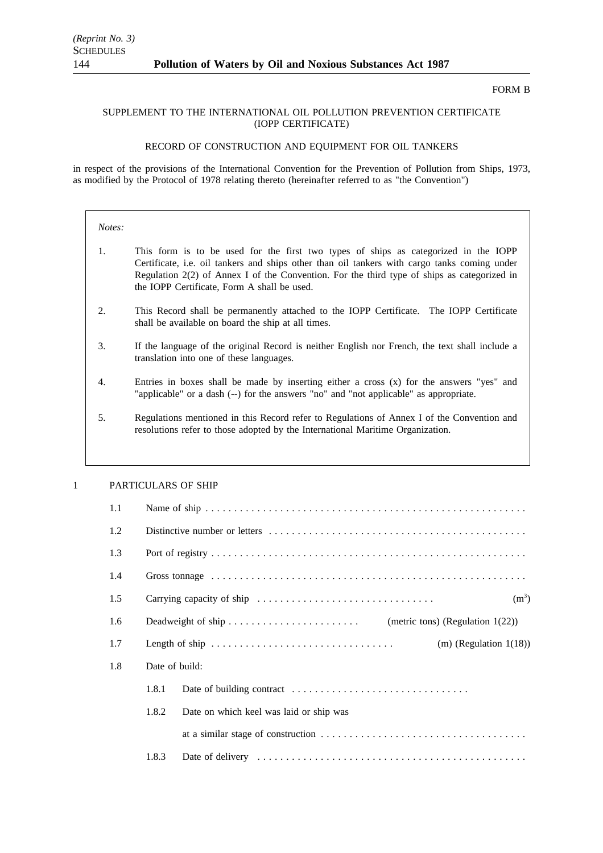#### FORM B

# SUPPLEMENT TO THE INTERNATIONAL OIL POLLUTION PREVENTION CERTIFICATE (IOPP CERTIFICATE)

# RECORD OF CONSTRUCTION AND EQUIPMENT FOR OIL TANKERS

in respect of the provisions of the International Convention for the Prevention of Pollution from Ships, 1973, as modified by the Protocol of 1978 relating thereto (hereinafter referred to as "the Convention")

| Notes: |                                                                                                                                                                                                                                                                                                                                     |
|--------|-------------------------------------------------------------------------------------------------------------------------------------------------------------------------------------------------------------------------------------------------------------------------------------------------------------------------------------|
| 1.     | This form is to be used for the first two types of ships as categorized in the IOPP<br>Certificate, i.e. oil tankers and ships other than oil tankers with cargo tanks coming under<br>Regulation $2(2)$ of Annex I of the Convention. For the third type of ships as categorized in<br>the IOPP Certificate, Form A shall be used. |
| 2.     | This Record shall be permanently attached to the IOPP Certificate. The IOPP Certificate<br>shall be available on board the ship at all times.                                                                                                                                                                                       |
| 3.     | If the language of the original Record is neither English nor French, the text shall include a<br>translation into one of these languages.                                                                                                                                                                                          |
| 4.     | Entries in boxes shall be made by inserting either a cross $(x)$ for the answers "yes" and<br>"applicable" or a dash (--) for the answers "no" and "not applicable" as appropriate.                                                                                                                                                 |
| 5.     | Regulations mentioned in this Record refer to Regulations of Annex I of the Convention and<br>resolutions refer to those adopted by the International Maritime Organization.                                                                                                                                                        |
|        |                                                                                                                                                                                                                                                                                                                                     |

# 1 PARTICULARS OF SHIP

| 1.1 |                                                                                                       |                                                                                                                       |  |  |  |  |
|-----|-------------------------------------------------------------------------------------------------------|-----------------------------------------------------------------------------------------------------------------------|--|--|--|--|
| 1.2 |                                                                                                       |                                                                                                                       |  |  |  |  |
| 1.3 |                                                                                                       |                                                                                                                       |  |  |  |  |
| 1.4 |                                                                                                       |                                                                                                                       |  |  |  |  |
| 1.5 | (m <sup>3</sup> )                                                                                     |                                                                                                                       |  |  |  |  |
| 1.6 | Deadweight of ship $\dots \dots \dots \dots \dots \dots \dots$<br>(metric tons) (Regulation $1(22)$ ) |                                                                                                                       |  |  |  |  |
| 1.7 |                                                                                                       | Length of ship $\ldots \ldots \ldots \ldots \ldots \ldots \ldots \ldots \ldots \ldots$<br>$(m)$ (Regulation $1(18)$ ) |  |  |  |  |
| 1.8 | Date of build:                                                                                        |                                                                                                                       |  |  |  |  |
|     | 1.8.1                                                                                                 |                                                                                                                       |  |  |  |  |
|     | 1.8.2                                                                                                 | Date on which keel was laid or ship was                                                                               |  |  |  |  |
|     |                                                                                                       |                                                                                                                       |  |  |  |  |
|     | 1.8.3                                                                                                 |                                                                                                                       |  |  |  |  |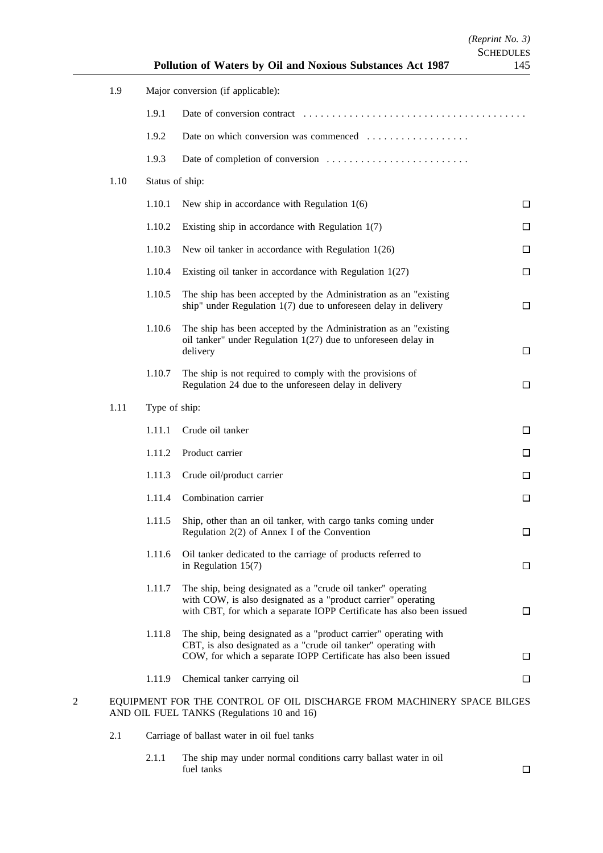|   | 1.9  |                 | Major conversion (if applicable):                                                                                                                                                                     |        |
|---|------|-----------------|-------------------------------------------------------------------------------------------------------------------------------------------------------------------------------------------------------|--------|
|   |      | 1.9.1           |                                                                                                                                                                                                       |        |
|   |      | 1.9.2           | Date on which conversion was commenced                                                                                                                                                                |        |
|   |      | 1.9.3           |                                                                                                                                                                                                       |        |
|   | 1.10 | Status of ship: |                                                                                                                                                                                                       |        |
|   |      | 1.10.1          | New ship in accordance with Regulation $1(6)$                                                                                                                                                         | $\Box$ |
|   |      | 1.10.2          | Existing ship in accordance with Regulation $1(7)$                                                                                                                                                    | □      |
|   |      | 1.10.3          | New oil tanker in accordance with Regulation $1(26)$                                                                                                                                                  | □      |
|   |      | 1.10.4          | Existing oil tanker in accordance with Regulation $1(27)$                                                                                                                                             | □      |
|   |      | 1.10.5          | The ship has been accepted by the Administration as an "existing"<br>ship" under Regulation $1(7)$ due to unforeseen delay in delivery                                                                | □      |
|   |      | 1.10.6          | The ship has been accepted by the Administration as an "existing<br>oil tanker" under Regulation $1(27)$ due to unforeseen delay in<br>delivery                                                       | □      |
|   |      | 1.10.7          | The ship is not required to comply with the provisions of<br>Regulation 24 due to the unforeseen delay in delivery                                                                                    | □      |
|   | 1.11 | Type of ship:   |                                                                                                                                                                                                       |        |
|   |      | 1.11.1          | Crude oil tanker                                                                                                                                                                                      | □      |
|   |      | 1.11.2          | Product carrier                                                                                                                                                                                       | $\Box$ |
|   |      | 1.11.3          | Crude oil/product carrier                                                                                                                                                                             | $\Box$ |
|   |      | 1.11.4          | Combination carrier                                                                                                                                                                                   | $\Box$ |
|   |      | 1.11.5          | Ship, other than an oil tanker, with cargo tanks coming under<br>Regulation $2(2)$ of Annex I of the Convention                                                                                       | $\Box$ |
|   |      | 1.11.6          | Oil tanker dedicated to the carriage of products referred to<br>in Regulation $15(7)$                                                                                                                 | $\Box$ |
|   |      | 1.11.7          | The ship, being designated as a "crude oil tanker" operating<br>with COW, is also designated as a "product carrier" operating<br>with CBT, for which a separate IOPP Certificate has also been issued | $\Box$ |
|   |      | 1.11.8          | The ship, being designated as a "product carrier" operating with<br>CBT, is also designated as a "crude oil tanker" operating with<br>COW, for which a separate IOPP Certificate has also been issued | $\Box$ |
|   |      | 1.11.9          | Chemical tanker carrying oil                                                                                                                                                                          | □      |
| 2 |      |                 | EQUIPMENT FOR THE CONTROL OF OIL DISCHARGE FROM MACHINERY SPACE BILGES<br>AND OIL FUEL TANKS (Regulations 10 and 16)                                                                                  |        |
|   | 2.1  |                 | Carriage of ballast water in oil fuel tanks                                                                                                                                                           |        |

2.1.1 The ship may under normal conditions carry ballast water in oil fuel tanks

 $\Box$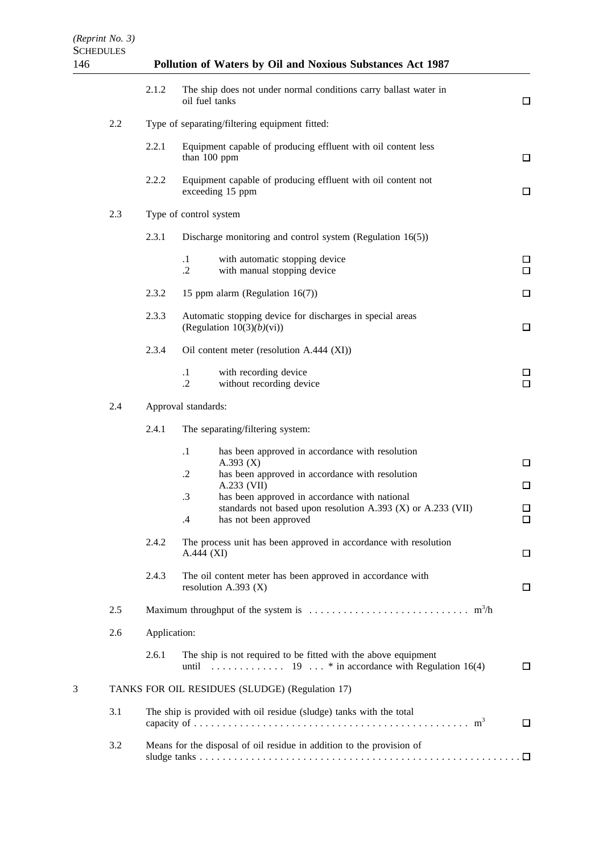|   |     | 2.1.2        | The ship does not under normal conditions carry ballast water in<br>oil fuel tanks                                                                             | □                |  |  |  |  |
|---|-----|--------------|----------------------------------------------------------------------------------------------------------------------------------------------------------------|------------------|--|--|--|--|
|   | 2.2 |              | Type of separating/filtering equipment fitted:                                                                                                                 |                  |  |  |  |  |
|   |     | 2.2.1        | Equipment capable of producing effluent with oil content less<br>than 100 ppm                                                                                  | □                |  |  |  |  |
|   |     | 2.2.2        | Equipment capable of producing effluent with oil content not<br>exceeding 15 ppm                                                                               | □                |  |  |  |  |
|   | 2.3 |              | Type of control system                                                                                                                                         |                  |  |  |  |  |
|   |     | 2.3.1        | Discharge monitoring and control system (Regulation $16(5)$ )                                                                                                  |                  |  |  |  |  |
|   |     |              | $\cdot$<br>with automatic stopping device<br>$\cdot$ .2<br>with manual stopping device                                                                         | □<br>$\Box$      |  |  |  |  |
|   |     | 2.3.2        | 15 ppm alarm (Regulation $16(7)$ )                                                                                                                             | $\Box$           |  |  |  |  |
|   |     | 2.3.3        | Automatic stopping device for discharges in special areas<br>(Regulation $10(3)(b)(vi)$ )                                                                      | $\Box$           |  |  |  |  |
|   |     | 2.3.4        | Oil content meter (resolution A.444 (XI))                                                                                                                      |                  |  |  |  |  |
|   |     |              | with recording device<br>$\cdot$<br>$\cdot$ .2<br>without recording device                                                                                     | $\Box$<br>$\Box$ |  |  |  |  |
|   | 2.4 |              | Approval standards:                                                                                                                                            |                  |  |  |  |  |
|   |     | 2.4.1        | The separating/filtering system:                                                                                                                               |                  |  |  |  |  |
|   |     |              | has been approved in accordance with resolution<br>$\cdot$<br>A.393 $(X)$                                                                                      | $\Box$           |  |  |  |  |
|   |     |              | $\cdot$<br>has been approved in accordance with resolution<br>A.233 (VII)                                                                                      | □                |  |  |  |  |
|   |     |              | $\cdot$ 3<br>has been approved in accordance with national<br>standards not based upon resolution A.393 (X) or A.233 (VII)<br>$\cdot$<br>has not been approved | □<br>$\Box$      |  |  |  |  |
|   |     | 2.4.2        | The process unit has been approved in accordance with resolution<br>A.444 (XI)                                                                                 | □                |  |  |  |  |
|   |     | 2.4.3        | The oil content meter has been approved in accordance with<br>resolution A.393 $(X)$                                                                           | □                |  |  |  |  |
|   | 2.5 |              | Maximum throughput of the system is $\dots \dots \dots \dots \dots \dots \dots \dots \dots \dots \dots \dots \dots$ <sup>3</sup> /h                            |                  |  |  |  |  |
|   | 2.6 | Application: |                                                                                                                                                                |                  |  |  |  |  |
|   |     | 2.6.1        | The ship is not required to be fitted with the above equipment<br>until $\dots \dots \dots \dots$ 19 $\dots$ * in accordance with Regulation 16(4)             | $\Box$           |  |  |  |  |
| 3 |     |              | TANKS FOR OIL RESIDUES (SLUDGE) (Regulation 17)                                                                                                                |                  |  |  |  |  |
|   | 3.1 |              | The ship is provided with oil residue (sludge) tanks with the total                                                                                            | □                |  |  |  |  |
|   | 3.2 |              | Means for the disposal of oil residue in addition to the provision of                                                                                          |                  |  |  |  |  |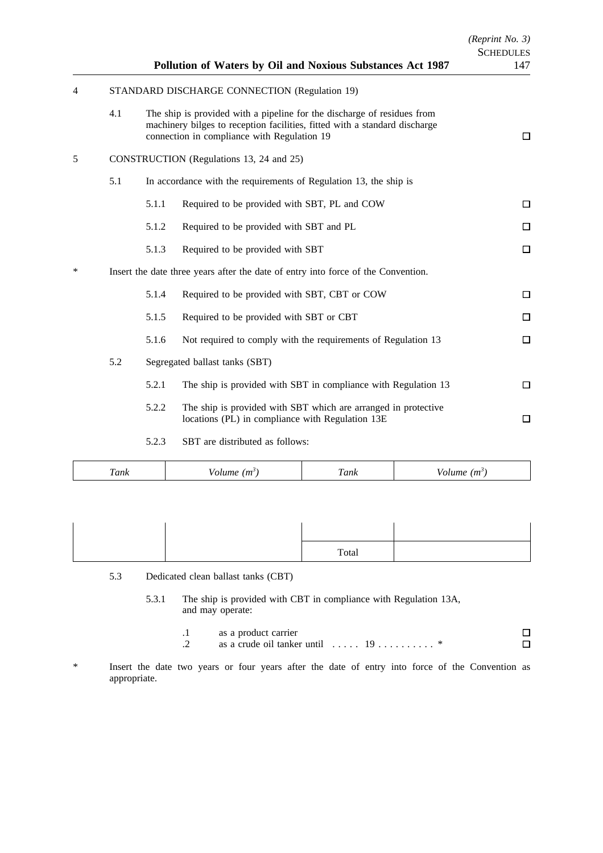|        |                                                                                   |       | Pollution of Waters by Oil and Noxious Substances Act 1987                                                                                                                                           | (Reprint No. 3)<br><b>SCHEDULES</b><br>147 |
|--------|-----------------------------------------------------------------------------------|-------|------------------------------------------------------------------------------------------------------------------------------------------------------------------------------------------------------|--------------------------------------------|
| 4      |                                                                                   |       | STANDARD DISCHARGE CONNECTION (Regulation 19)                                                                                                                                                        |                                            |
|        | 4.1                                                                               |       | The ship is provided with a pipeline for the discharge of residues from<br>machinery bilges to reception facilities, fitted with a standard discharge<br>connection in compliance with Regulation 19 | □                                          |
| 5      |                                                                                   |       | CONSTRUCTION (Regulations 13, 24 and 25)                                                                                                                                                             |                                            |
|        | 5.1                                                                               |       | In accordance with the requirements of Regulation 13, the ship is                                                                                                                                    |                                            |
|        |                                                                                   | 5.1.1 | Required to be provided with SBT, PL and COW                                                                                                                                                         | $\Box$                                     |
|        |                                                                                   | 5.1.2 | Required to be provided with SBT and PL                                                                                                                                                              | $\Box$                                     |
|        |                                                                                   | 5.1.3 | Required to be provided with SBT                                                                                                                                                                     | $\Box$                                     |
| $\ast$ | Insert the date three years after the date of entry into force of the Convention. |       |                                                                                                                                                                                                      |                                            |
|        |                                                                                   | 5.1.4 | Required to be provided with SBT, CBT or COW                                                                                                                                                         | □                                          |
|        |                                                                                   | 5.1.5 | Required to be provided with SBT or CBT                                                                                                                                                              | $\Box$                                     |
|        |                                                                                   | 5.1.6 | Not required to comply with the requirements of Regulation 13                                                                                                                                        | $\Box$                                     |
|        | 5.2                                                                               |       | Segregated ballast tanks (SBT)                                                                                                                                                                       |                                            |
|        |                                                                                   | 5.2.1 | The ship is provided with SBT in compliance with Regulation 13                                                                                                                                       | $\Box$                                     |
|        |                                                                                   | 5.2.2 | The ship is provided with SBT which are arranged in protective<br>locations (PL) in compliance with Regulation 13E                                                                                   | □                                          |

5.2.3 SBT are distributed as follows:

| $\sim$<br>-<br>Tank<br>Tank<br>(m <sup>2</sup> )<br>(m <sup>2</sup> )<br>olume<br>'olume |  |  |  |  |
|------------------------------------------------------------------------------------------|--|--|--|--|
|------------------------------------------------------------------------------------------|--|--|--|--|

| Total |  |
|-------|--|

5.3 Dedicated clean ballast tanks (CBT)

5.3.1 The ship is provided with CBT in compliance with Regulation 13A, and may operate:

| as a product carrier                    |  |  |
|-----------------------------------------|--|--|
| as a crude oil tanker until $\ldots$ 19 |  |  |

\* Insert the date two years or four years after the date of entry into force of the Convention as appropriate.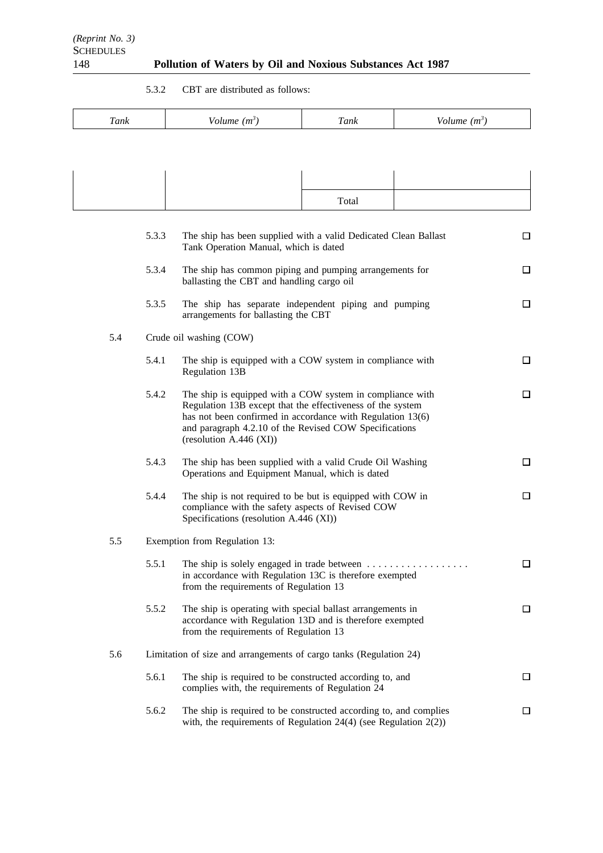5.3.2 CBT are distributed as follows:

| ~<br>Tank<br>(m <sup>2</sup> )<br>Tank<br>(m <sup>2</sup> )<br>1333.<br>Aume<br>оните |
|---------------------------------------------------------------------------------------|
|---------------------------------------------------------------------------------------|

|     |       |                                                                                                                                                                                                                                                                            | Total |        |
|-----|-------|----------------------------------------------------------------------------------------------------------------------------------------------------------------------------------------------------------------------------------------------------------------------------|-------|--------|
|     | 5.3.3 | The ship has been supplied with a valid Dedicated Clean Ballast<br>Tank Operation Manual, which is dated                                                                                                                                                                   |       | □      |
|     | 5.3.4 | The ship has common piping and pumping arrangements for<br>ballasting the CBT and handling cargo oil                                                                                                                                                                       |       | $\Box$ |
|     | 5.3.5 | The ship has separate independent piping and pumping<br>arrangements for ballasting the CBT                                                                                                                                                                                |       | □      |
| 5.4 |       | Crude oil washing (COW)                                                                                                                                                                                                                                                    |       |        |
|     | 5.4.1 | The ship is equipped with a COW system in compliance with<br>Regulation 13B                                                                                                                                                                                                |       | □      |
|     | 5.4.2 | The ship is equipped with a COW system in compliance with<br>Regulation 13B except that the effectiveness of the system<br>has not been confirmed in accordance with Regulation 13(6)<br>and paragraph 4.2.10 of the Revised COW Specifications<br>(resolution A.446 (XI)) |       | $\Box$ |
|     | 5.4.3 | The ship has been supplied with a valid Crude Oil Washing<br>Operations and Equipment Manual, which is dated                                                                                                                                                               |       | $\Box$ |
|     | 5.4.4 | The ship is not required to be but is equipped with COW in<br>compliance with the safety aspects of Revised COW<br>Specifications (resolution A.446 (XI))                                                                                                                  |       | $\Box$ |
| 5.5 |       | Exemption from Regulation 13:                                                                                                                                                                                                                                              |       |        |
|     | 5.5.1 | in accordance with Regulation 13C is therefore exempted<br>from the requirements of Regulation 13                                                                                                                                                                          |       | □      |
|     | 5.5.2 | The ship is operating with special ballast arrangements in<br>accordance with Regulation 13D and is therefore exempted<br>from the requirements of Regulation 13                                                                                                           |       | $\Box$ |
| 5.6 |       | Limitation of size and arrangements of cargo tanks (Regulation 24)                                                                                                                                                                                                         |       |        |
|     | 5.6.1 | The ship is required to be constructed according to, and<br>complies with, the requirements of Regulation 24                                                                                                                                                               |       | □      |
|     | 5.6.2 | The ship is required to be constructed according to, and complies<br>with, the requirements of Regulation $24(4)$ (see Regulation $2(2)$ )                                                                                                                                 |       | $\Box$ |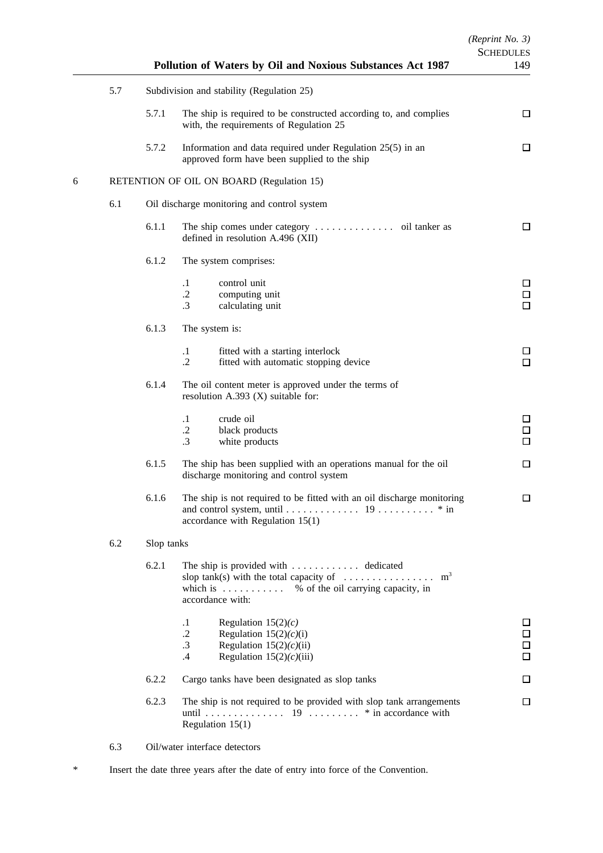|   |     |                                                                                                                       | Pollution of Waters by Oil and Noxious Substances Act 1987                                                                                                                                                                                  | $(\text{Neprint}$ ivo. $\sigma$<br><b>SCHEDULES</b><br>149 |  |  |
|---|-----|-----------------------------------------------------------------------------------------------------------------------|---------------------------------------------------------------------------------------------------------------------------------------------------------------------------------------------------------------------------------------------|------------------------------------------------------------|--|--|
|   | 5.7 | Subdivision and stability (Regulation 25)                                                                             |                                                                                                                                                                                                                                             |                                                            |  |  |
|   |     | 5.7.1<br>The ship is required to be constructed according to, and complies<br>with, the requirements of Regulation 25 |                                                                                                                                                                                                                                             | □                                                          |  |  |
|   |     | 5.7.2                                                                                                                 | Information and data required under Regulation 25(5) in an<br>approved form have been supplied to the ship                                                                                                                                  | □                                                          |  |  |
| 6 |     | RETENTION OF OIL ON BOARD (Regulation 15)                                                                             |                                                                                                                                                                                                                                             |                                                            |  |  |
|   | 6.1 | Oil discharge monitoring and control system                                                                           |                                                                                                                                                                                                                                             |                                                            |  |  |
|   |     | 6.1.1                                                                                                                 | □                                                                                                                                                                                                                                           |                                                            |  |  |
|   |     | 6.1.2                                                                                                                 |                                                                                                                                                                                                                                             |                                                            |  |  |
|   |     |                                                                                                                       | control unit<br>$\cdot$<br>$\cdot$ .2<br>computing unit<br>$\cdot$ 3<br>calculating unit                                                                                                                                                    | $\Box$<br>□<br>$\Box$                                      |  |  |
|   |     | 6.1.3                                                                                                                 |                                                                                                                                                                                                                                             |                                                            |  |  |
|   |     |                                                                                                                       | fitted with a starting interlock<br>$\cdot$<br>$\cdot$ .2<br>fitted with automatic stopping device                                                                                                                                          | □<br>$\Box$                                                |  |  |
|   |     | 6.1.4                                                                                                                 |                                                                                                                                                                                                                                             |                                                            |  |  |
|   |     |                                                                                                                       | $\cdot$ 1<br>crude oil<br>black products<br>$\cdot$<br>$\cdot$ 3<br>white products                                                                                                                                                          | □<br>□<br>$\Box$                                           |  |  |
|   |     | 6.1.5                                                                                                                 | □                                                                                                                                                                                                                                           |                                                            |  |  |
|   |     | 6.1.6                                                                                                                 | The ship is not required to be fitted with an oil discharge monitoring<br>and control system, until $\dots \dots \dots \dots$ 19 $\dots \dots \dots$ * in<br>accordance with Regulation $15(1)$                                             | $\Box$                                                     |  |  |
|   | 6.2 | Slop tanks                                                                                                            |                                                                                                                                                                                                                                             |                                                            |  |  |
|   |     | 6.2.1                                                                                                                 | The ship is provided with $\dots \dots \dots$ dedicated<br>slop tank(s) with the total capacity of $\dots \dots \dots \dots \dots$<br>m <sup>3</sup><br>which is $\dots \dots \dots$ % of the oil carrying capacity, in<br>accordance with: |                                                            |  |  |
|   |     |                                                                                                                       | $\cdot$<br>Regulation $15(2)(c)$<br>$\cdot$ .2<br>Regulation $15(2)(c)(i)$<br>Regulation $15(2)(c)(ii)$<br>$\cdot$ 3<br>Regulation $15(2)(c)(iii)$<br>$\cdot$                                                                               | □<br>П<br>□<br>□                                           |  |  |
|   |     | 6.2.2                                                                                                                 | Cargo tanks have been designated as slop tanks                                                                                                                                                                                              | □                                                          |  |  |
|   |     | 6.2.3                                                                                                                 | The ship is not required to be provided with slop tank arrangements<br>until $\dots \dots \dots \dots \dots$ 19 $\dots \dots \dots$ * in accordance with<br>Regulation $15(1)$                                                              | □                                                          |  |  |
|   | 6.3 |                                                                                                                       | Oil/water interface detectors                                                                                                                                                                                                               |                                                            |  |  |

\* Insert the date three years after the date of entry into force of the Convention.

*(Reprint No. 3)*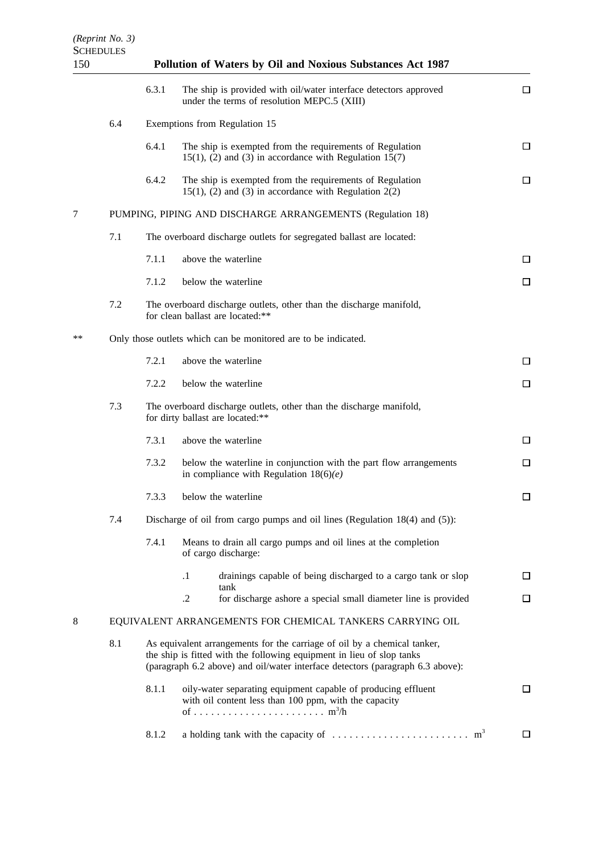|    |                                                            | 6.3.1                                                                                                                                                                                                                               | The ship is provided with oil/water interface detectors approved<br>under the terms of resolution MEPC.5 (XIII)        | □      |  |  |
|----|------------------------------------------------------------|-------------------------------------------------------------------------------------------------------------------------------------------------------------------------------------------------------------------------------------|------------------------------------------------------------------------------------------------------------------------|--------|--|--|
|    | 6.4                                                        |                                                                                                                                                                                                                                     |                                                                                                                        |        |  |  |
|    |                                                            | Exemptions from Regulation 15                                                                                                                                                                                                       |                                                                                                                        |        |  |  |
|    |                                                            | 6.4.1                                                                                                                                                                                                                               | The ship is exempted from the requirements of Regulation<br>$15(1)$ , (2) and (3) in accordance with Regulation 15(7)  | ◻      |  |  |
|    |                                                            | 6.4.2                                                                                                                                                                                                                               | The ship is exempted from the requirements of Regulation<br>$15(1)$ , (2) and (3) in accordance with Regulation 2(2)   | □      |  |  |
| 7  | PUMPING, PIPING AND DISCHARGE ARRANGEMENTS (Regulation 18) |                                                                                                                                                                                                                                     |                                                                                                                        |        |  |  |
|    | 7.1                                                        |                                                                                                                                                                                                                                     | The overboard discharge outlets for segregated ballast are located:                                                    |        |  |  |
|    |                                                            | 7.1.1                                                                                                                                                                                                                               | above the waterline                                                                                                    | □      |  |  |
|    |                                                            | 7.1.2                                                                                                                                                                                                                               | below the waterline                                                                                                    | $\Box$ |  |  |
|    | 7.2                                                        |                                                                                                                                                                                                                                     | The overboard discharge outlets, other than the discharge manifold,<br>for clean ballast are located:**                |        |  |  |
| ** |                                                            |                                                                                                                                                                                                                                     | Only those outlets which can be monitored are to be indicated.                                                         |        |  |  |
|    |                                                            | 7.2.1                                                                                                                                                                                                                               | above the waterline                                                                                                    | □      |  |  |
|    |                                                            | 7.2.2                                                                                                                                                                                                                               | below the waterline                                                                                                    | $\Box$ |  |  |
|    | 7.3                                                        | The overboard discharge outlets, other than the discharge manifold,<br>for dirty ballast are located:**                                                                                                                             |                                                                                                                        |        |  |  |
|    |                                                            | 7.3.1                                                                                                                                                                                                                               | above the waterline                                                                                                    | $\Box$ |  |  |
|    |                                                            | 7.3.2                                                                                                                                                                                                                               | below the waterline in conjunction with the part flow arrangements<br>in compliance with Regulation $18(6)(e)$         | □      |  |  |
|    |                                                            | 7.3.3                                                                                                                                                                                                                               | below the waterline                                                                                                    | □      |  |  |
|    | 7.4                                                        | Discharge of oil from cargo pumps and oil lines (Regulation $18(4)$ and $(5)$ ):                                                                                                                                                    |                                                                                                                        |        |  |  |
|    |                                                            | 7.4.1                                                                                                                                                                                                                               | Means to drain all cargo pumps and oil lines at the completion<br>of cargo discharge:                                  |        |  |  |
|    |                                                            |                                                                                                                                                                                                                                     | drainings capable of being discharged to a cargo tank or slop<br>$\cdot$<br>tank                                       | □      |  |  |
|    |                                                            |                                                                                                                                                                                                                                     | $\cdot$ .2<br>for discharge ashore a special small diameter line is provided                                           | □      |  |  |
| 8  | EQUIVALENT ARRANGEMENTS FOR CHEMICAL TANKERS CARRYING OIL  |                                                                                                                                                                                                                                     |                                                                                                                        |        |  |  |
|    | 8.1                                                        | As equivalent arrangements for the carriage of oil by a chemical tanker,<br>the ship is fitted with the following equipment in lieu of slop tanks<br>(paragraph 6.2 above) and oil/water interface detectors (paragraph 6.3 above): |                                                                                                                        |        |  |  |
|    |                                                            | 8.1.1                                                                                                                                                                                                                               | oily-water separating equipment capable of producing effluent<br>with oil content less than 100 ppm, with the capacity | $\Box$ |  |  |
|    |                                                            | 8.1.2                                                                                                                                                                                                                               | a holding tank with the capacity of $\dots \dots \dots \dots \dots \dots \dots \dots \dots$                            | $\Box$ |  |  |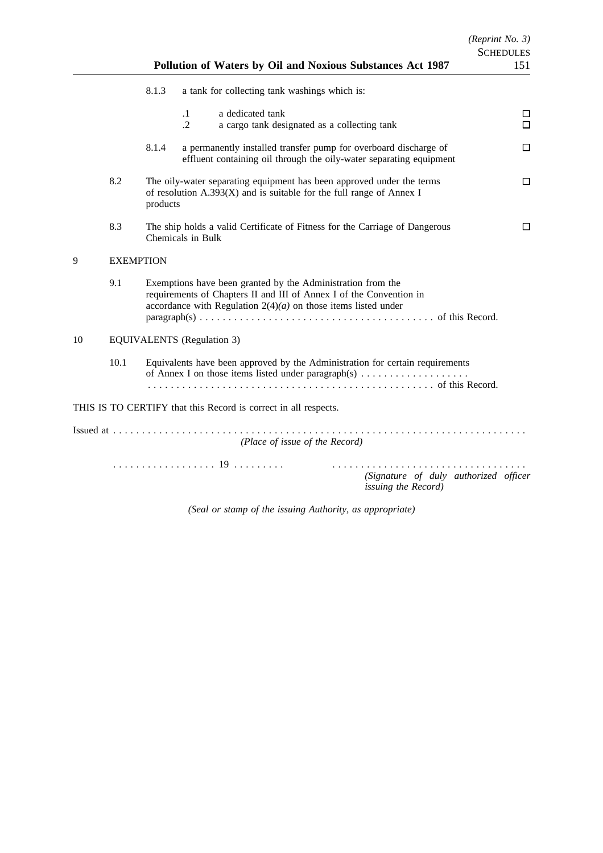|    |                                   |                  |                                                                                                                                                                                                        | Pollution of Waters by Oil and Noxious Substances Act 1987                                                                                                           | <b>SCHEDULES</b><br>151 |  |  |
|----|-----------------------------------|------------------|--------------------------------------------------------------------------------------------------------------------------------------------------------------------------------------------------------|----------------------------------------------------------------------------------------------------------------------------------------------------------------------|-------------------------|--|--|
|    |                                   | 8.1.3            | a tank for collecting tank washings which is:                                                                                                                                                          |                                                                                                                                                                      |                         |  |  |
|    |                                   |                  | a dedicated tank<br>$\cdot$ 1<br>a cargo tank designated as a collecting tank<br>$\cdot$                                                                                                               |                                                                                                                                                                      | □<br>$\Box$             |  |  |
|    |                                   | 8.1.4            |                                                                                                                                                                                                        | a permanently installed transfer pump for overboard discharge of<br>effluent containing oil through the oily-water separating equipment                              | □                       |  |  |
|    | 8.2                               | products         | The oily-water separating equipment has been approved under the terms<br>of resolution $A.393(X)$ and is suitable for the full range of Annex I                                                        |                                                                                                                                                                      |                         |  |  |
|    | 8.3                               |                  | Chemicals in Bulk                                                                                                                                                                                      | The ship holds a valid Certificate of Fitness for the Carriage of Dangerous                                                                                          | □                       |  |  |
| 9  |                                   | <b>EXEMPTION</b> |                                                                                                                                                                                                        |                                                                                                                                                                      |                         |  |  |
|    | 9.1                               |                  | Exemptions have been granted by the Administration from the<br>requirements of Chapters II and III of Annex I of the Convention in<br>accordance with Regulation $2(4)(a)$ on those items listed under |                                                                                                                                                                      |                         |  |  |
| 10 | <b>EQUIVALENTS</b> (Regulation 3) |                  |                                                                                                                                                                                                        |                                                                                                                                                                      |                         |  |  |
|    | 10.1                              |                  |                                                                                                                                                                                                        | Equivalents have been approved by the Administration for certain requirements<br>of Annex I on those items listed under paragraph(s) $\dots \dots \dots \dots \dots$ |                         |  |  |
|    |                                   |                  | THIS IS TO CERTIFY that this Record is correct in all respects.                                                                                                                                        |                                                                                                                                                                      |                         |  |  |
|    |                                   |                  | (Place of issue of the Record)                                                                                                                                                                         |                                                                                                                                                                      |                         |  |  |
|    |                                   |                  |                                                                                                                                                                                                        | (Signature of duly authorized officer<br>issuing the Record)                                                                                                         |                         |  |  |

*(Reprint No. 3)*

*(Seal or stamp of the issuing Authority, as appropriate)*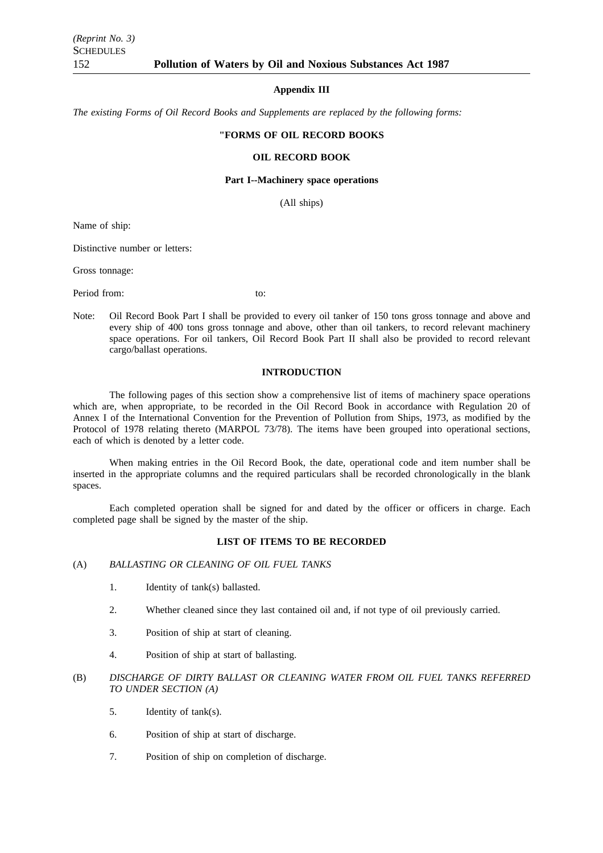#### **Appendix III**

*The existing Forms of Oil Record Books and Supplements are replaced by the following forms:*

# **"FORMS OF OIL RECORD BOOKS**

#### **OIL RECORD BOOK**

#### **Part I--Machinery space operations**

(All ships)

Name of ship:

Distinctive number or letters:

Gross tonnage:

Period from: to: to:

Note: Oil Record Book Part I shall be provided to every oil tanker of 150 tons gross tonnage and above and every ship of 400 tons gross tonnage and above, other than oil tankers, to record relevant machinery space operations. For oil tankers, Oil Record Book Part II shall also be provided to record relevant cargo/ballast operations.

#### **INTRODUCTION**

The following pages of this section show a comprehensive list of items of machinery space operations which are, when appropriate, to be recorded in the Oil Record Book in accordance with Regulation 20 of Annex I of the International Convention for the Prevention of Pollution from Ships, 1973, as modified by the Protocol of 1978 relating thereto (MARPOL 73/78). The items have been grouped into operational sections, each of which is denoted by a letter code.

When making entries in the Oil Record Book, the date, operational code and item number shall be inserted in the appropriate columns and the required particulars shall be recorded chronologically in the blank spaces.

Each completed operation shall be signed for and dated by the officer or officers in charge. Each completed page shall be signed by the master of the ship.

#### **LIST OF ITEMS TO BE RECORDED**

- (A) *BALLASTING OR CLEANING OF OIL FUEL TANKS*
	- 1. Identity of tank(s) ballasted.
	- 2. Whether cleaned since they last contained oil and, if not type of oil previously carried.
	- 3. Position of ship at start of cleaning.
	- 4. Position of ship at start of ballasting.

# (B) *DISCHARGE OF DIRTY BALLAST OR CLEANING WATER FROM OIL FUEL TANKS REFERRED TO UNDER SECTION (A)*

- 5. Identity of tank(s).
- 6. Position of ship at start of discharge.
- 7. Position of ship on completion of discharge.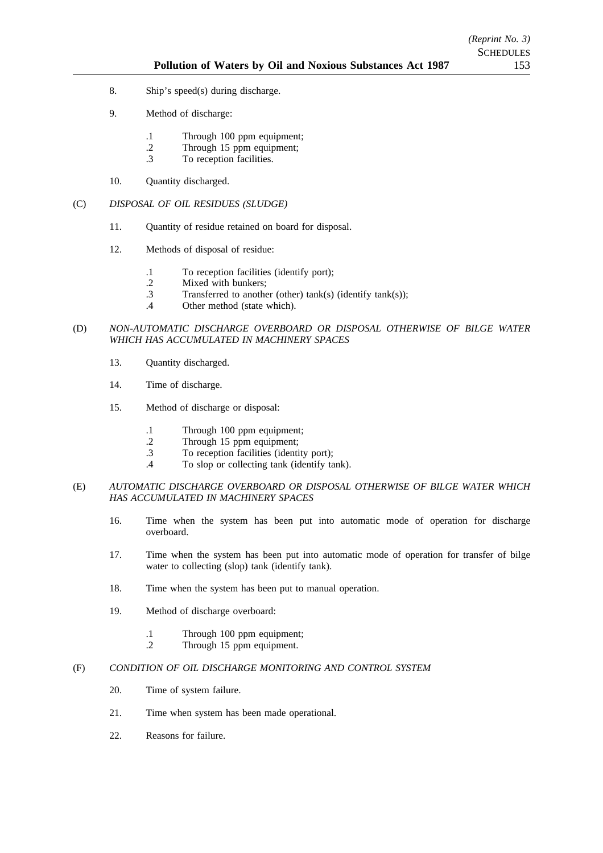- 8. Ship's speed(s) during discharge.
- 9. Method of discharge:
	- .1 Through 100 ppm equipment;
	- .2 Through 15 ppm equipment;<br>.3 To reception facilities.
	- To reception facilities.
- 10. Quantity discharged.
- (C) *DISPOSAL OF OIL RESIDUES (SLUDGE)*
	- 11. Quantity of residue retained on board for disposal.
	- 12. Methods of disposal of residue:
		- .1 To reception facilities (identify port);<br>2 Mixed with bunkers:
		- .2 Mixed with bunkers;<br>.3 Transferred to anothe
		- .3 Transferred to another (other) tank(s) (identify tank(s));<br>.4 Other method (state which).
		- Other method (state which).

# (D) *NON-AUTOMATIC DISCHARGE OVERBOARD OR DISPOSAL OTHERWISE OF BILGE WATER WHICH HAS ACCUMULATED IN MACHINERY SPACES*

- 13. Quantity discharged.
- 14. Time of discharge.
- 15. Method of discharge or disposal:
	- .1 Through 100 ppm equipment;
	- .2 Through 15 ppm equipment;
	- .3 To reception facilities (identity port);<br>4 To slop or collecting tank (identify ta
	- To slop or collecting tank (identify tank).

## (E) *AUTOMATIC DISCHARGE OVERBOARD OR DISPOSAL OTHERWISE OF BILGE WATER WHICH HAS ACCUMULATED IN MACHINERY SPACES*

- 16. Time when the system has been put into automatic mode of operation for discharge overboard.
- 17. Time when the system has been put into automatic mode of operation for transfer of bilge water to collecting (slop) tank (identify tank).
- 18. Time when the system has been put to manual operation.
- 19. Method of discharge overboard:
	- .1 Through 100 ppm equipment;
	- .2 Through 15 ppm equipment.

# (F) *CONDITION OF OIL DISCHARGE MONITORING AND CONTROL SYSTEM*

- 20. Time of system failure.
- 21. Time when system has been made operational.
- 22. Reasons for failure.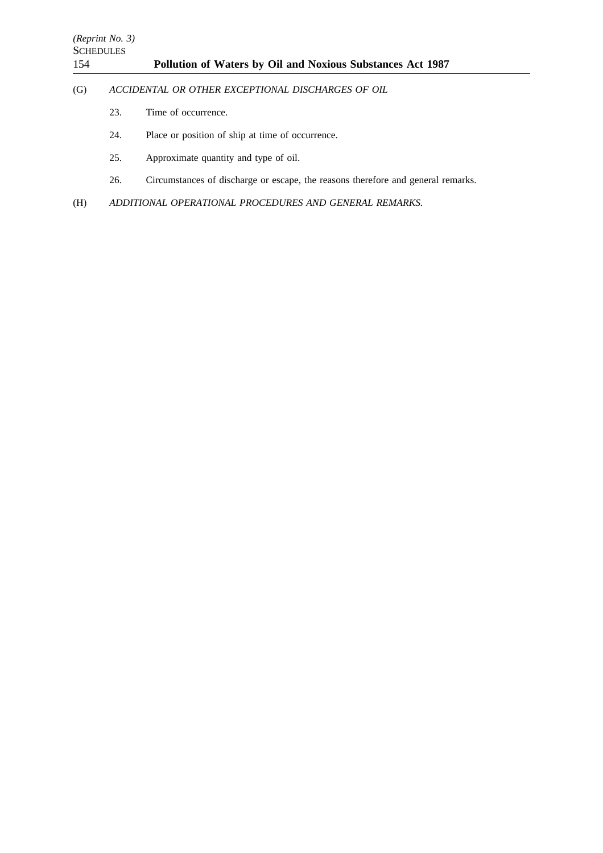# (G) *ACCIDENTAL OR OTHER EXCEPTIONAL DISCHARGES OF OIL*

- 23. Time of occurrence.
- 24. Place or position of ship at time of occurrence.
- 25. Approximate quantity and type of oil.
- 26. Circumstances of discharge or escape, the reasons therefore and general remarks.
- (H) *ADDITIONAL OPERATIONAL PROCEDURES AND GENERAL REMARKS.*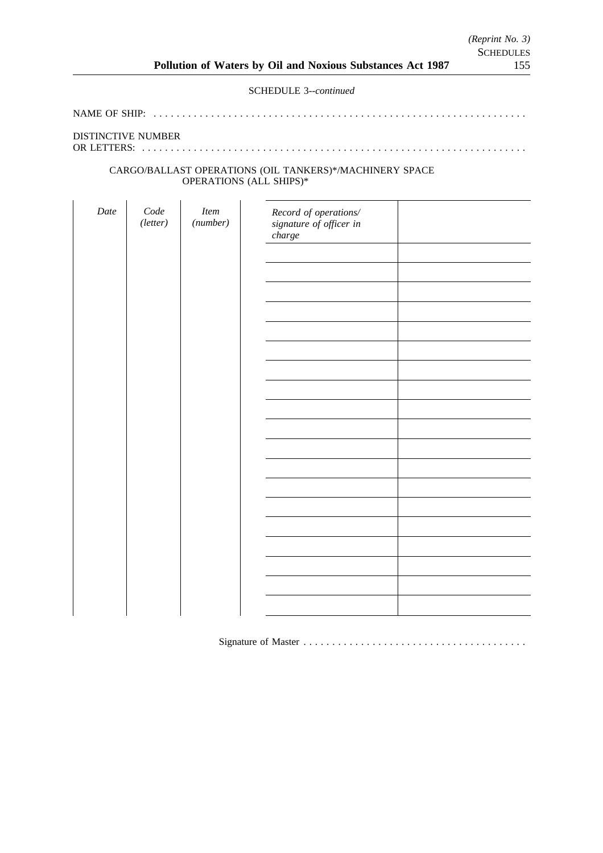# SCHEDULE 3--*continued*

# NAME OF SHIP: .................................................................

# DISTINCTIVE NUMBER OR LETTERS: ...................................................................

# CARGO/BALLAST OPERATIONS (OIL TANKERS)\*/MACHINERY SPACE OPERATIONS (ALL SHIPS)\*

| Date | Code<br>(lefter) | $Item$<br>(number) | $\emph{Record}$ of operations/<br>signature of officer in<br>$charge$ |  |
|------|------------------|--------------------|-----------------------------------------------------------------------|--|
|      |                  |                    |                                                                       |  |
|      |                  |                    |                                                                       |  |
|      |                  |                    |                                                                       |  |
|      |                  |                    |                                                                       |  |
|      |                  |                    |                                                                       |  |
|      |                  |                    |                                                                       |  |
|      |                  |                    |                                                                       |  |
|      |                  |                    |                                                                       |  |
|      |                  |                    |                                                                       |  |
|      |                  |                    |                                                                       |  |
|      |                  |                    |                                                                       |  |
|      |                  |                    |                                                                       |  |
|      |                  |                    |                                                                       |  |
|      |                  |                    |                                                                       |  |
|      |                  |                    |                                                                       |  |
|      |                  |                    |                                                                       |  |
|      |                  |                    |                                                                       |  |
|      |                  |                    |                                                                       |  |
|      |                  |                    |                                                                       |  |
|      |                  |                    |                                                                       |  |

Signature of Master .......................................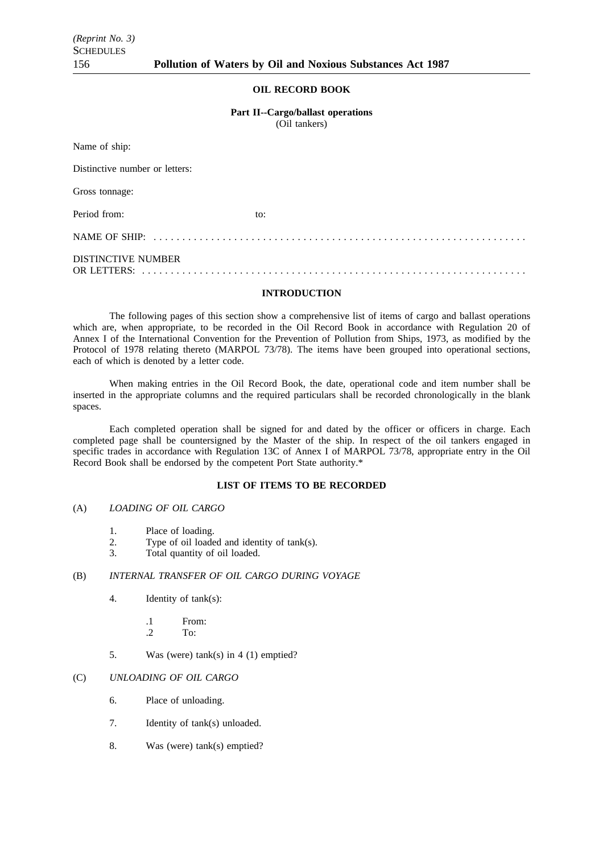#### **OIL RECORD BOOK**

# **Part II--Cargo/ballast operations** (Oil tankers)

Name of ship: Distinctive number or letters: Gross tonnage: Period from: to: to: NAME OF SHIP: ................................................................. DISTINCTIVE NUMBER OR LETTERS: ...................................................................

# **INTRODUCTION**

The following pages of this section show a comprehensive list of items of cargo and ballast operations which are, when appropriate, to be recorded in the Oil Record Book in accordance with Regulation 20 of Annex I of the International Convention for the Prevention of Pollution from Ships, 1973, as modified by the Protocol of 1978 relating thereto (MARPOL 73/78). The items have been grouped into operational sections, each of which is denoted by a letter code.

When making entries in the Oil Record Book, the date, operational code and item number shall be inserted in the appropriate columns and the required particulars shall be recorded chronologically in the blank spaces.

Each completed operation shall be signed for and dated by the officer or officers in charge. Each completed page shall be countersigned by the Master of the ship. In respect of the oil tankers engaged in specific trades in accordance with Regulation 13C of Annex I of MARPOL 73/78, appropriate entry in the Oil Record Book shall be endorsed by the competent Port State authority.\*

# **LIST OF ITEMS TO BE RECORDED**

#### (A) *LOADING OF OIL CARGO*

- 1. Place of loading.<br>2. Type of oil loade
- Type of oil loaded and identity of tank(s).
- 3. Total quantity of oil loaded.

#### (B) *INTERNAL TRANSFER OF OIL CARGO DURING VOYAGE*

- 4. Identity of tank(s):
	- $\frac{.1}{.2}$  From:
	- To:
- 5. Was (were) tank(s) in 4 (1) emptied?

# (C) *UNLOADING OF OIL CARGO*

- 6. Place of unloading.
- 7. Identity of tank(s) unloaded.
- 8. Was (were) tank(s) emptied?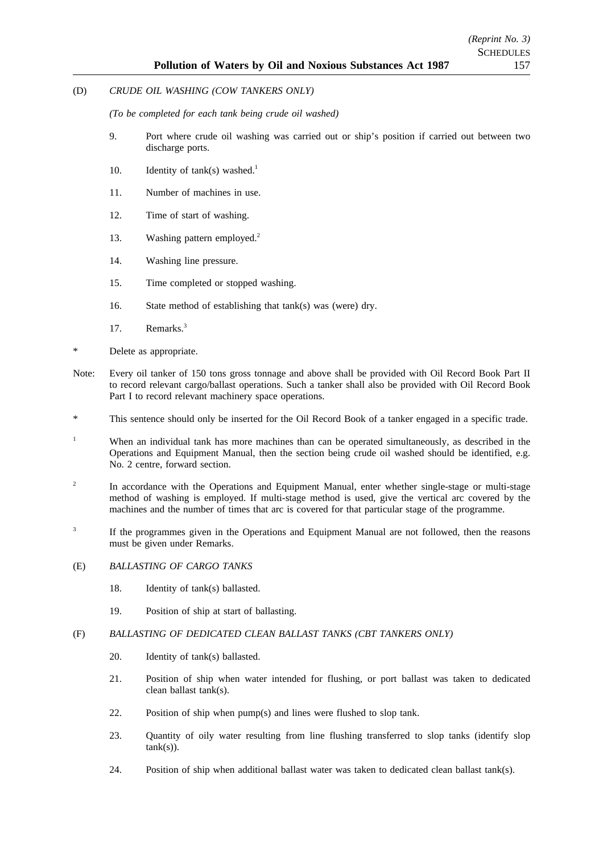#### (D) *CRUDE OIL WASHING (COW TANKERS ONLY)*

*(To be completed for each tank being crude oil washed)*

- 9. Port where crude oil washing was carried out or ship's position if carried out between two discharge ports.
- 10. Identity of  $tank(s)$  washed.<sup>1</sup>
- 11. Number of machines in use.
- 12. Time of start of washing.
- 13. Washing pattern employed.<sup>2</sup>
- 14. Washing line pressure.
- 15. Time completed or stopped washing.
- 16. State method of establishing that tank(s) was (were) dry.
- 17. Remarks.<sup>3</sup>
- \* Delete as appropriate.
- Note: Every oil tanker of 150 tons gross tonnage and above shall be provided with Oil Record Book Part II to record relevant cargo/ballast operations. Such a tanker shall also be provided with Oil Record Book Part I to record relevant machinery space operations.
- \* This sentence should only be inserted for the Oil Record Book of a tanker engaged in a specific trade.
- <sup>1</sup> When an individual tank has more machines than can be operated simultaneously, as described in the Operations and Equipment Manual, then the section being crude oil washed should be identified, e.g. No. 2 centre, forward section.
- <sup>2</sup> In accordance with the Operations and Equipment Manual, enter whether single-stage or multi-stage method of washing is employed. If multi-stage method is used, give the vertical arc covered by the machines and the number of times that arc is covered for that particular stage of the programme.
- <sup>3</sup> If the programmes given in the Operations and Equipment Manual are not followed, then the reasons must be given under Remarks.
- (E) *BALLASTING OF CARGO TANKS*
	- 18. Identity of tank(s) ballasted.
	- 19. Position of ship at start of ballasting.
- (F) *BALLASTING OF DEDICATED CLEAN BALLAST TANKS (CBT TANKERS ONLY)*
	- 20. Identity of tank(s) ballasted.
	- 21. Position of ship when water intended for flushing, or port ballast was taken to dedicated clean ballast tank(s).
	- 22. Position of ship when pump(s) and lines were flushed to slop tank.
	- 23. Quantity of oily water resulting from line flushing transferred to slop tanks (identify slop  $tank(s)$ ).
	- 24. Position of ship when additional ballast water was taken to dedicated clean ballast tank(s).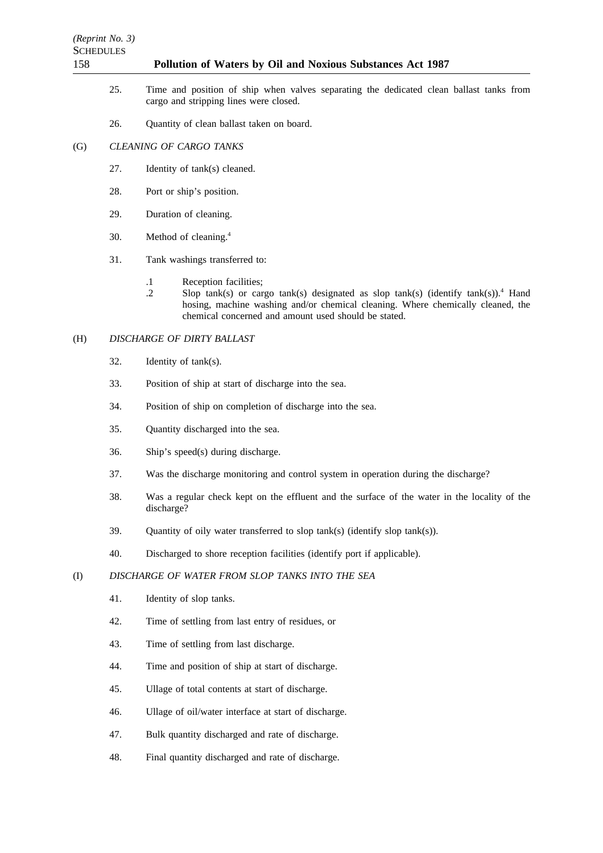- 25. Time and position of ship when valves separating the dedicated clean ballast tanks from cargo and stripping lines were closed.
- 26. Quantity of clean ballast taken on board.

# (G) *CLEANING OF CARGO TANKS*

- 27. Identity of tank(s) cleaned.
- 28. Port or ship's position.
- 29. Duration of cleaning.
- 30. Method of cleaning.4
- 31. Tank washings transferred to:
	- .1 Reception facilities;
	- .2 Slop tank(s) or cargo tank(s) designated as slop tank(s) (identify tank(s)).<sup>4</sup> Hand hosing, machine washing and/or chemical cleaning. Where chemically cleaned, the chemical concerned and amount used should be stated.

# (H) *DISCHARGE OF DIRTY BALLAST*

- 32. Identity of tank(s).
- 33. Position of ship at start of discharge into the sea.
- 34. Position of ship on completion of discharge into the sea.
- 35. Quantity discharged into the sea.
- 36. Ship's speed(s) during discharge.
- 37. Was the discharge monitoring and control system in operation during the discharge?
- 38. Was a regular check kept on the effluent and the surface of the water in the locality of the discharge?
- 39. Quantity of oily water transferred to slop tank(s) (identify slop tank(s)).
- 40. Discharged to shore reception facilities (identify port if applicable).

# (I) *DISCHARGE OF WATER FROM SLOP TANKS INTO THE SEA*

- 41. Identity of slop tanks.
- 42. Time of settling from last entry of residues, or
- 43. Time of settling from last discharge.
- 44. Time and position of ship at start of discharge.
- 45. Ullage of total contents at start of discharge.
- 46. Ullage of oil/water interface at start of discharge.
- 47. Bulk quantity discharged and rate of discharge.
- 48. Final quantity discharged and rate of discharge.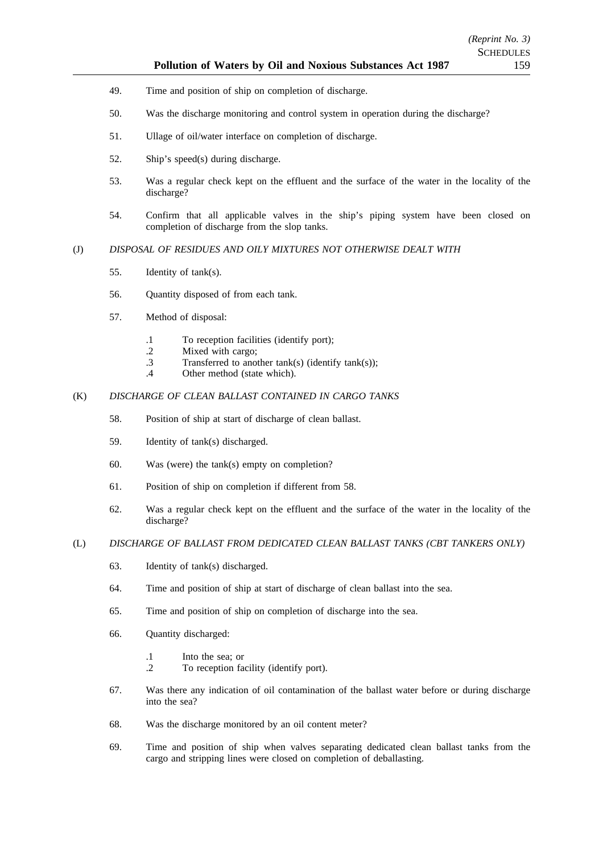- 49. Time and position of ship on completion of discharge.
- 50. Was the discharge monitoring and control system in operation during the discharge?
- 51. Ullage of oil/water interface on completion of discharge.
- 52. Ship's speed(s) during discharge.
- 53. Was a regular check kept on the effluent and the surface of the water in the locality of the discharge?
- 54. Confirm that all applicable valves in the ship's piping system have been closed on completion of discharge from the slop tanks.

#### (J) *DISPOSAL OF RESIDUES AND OILY MIXTURES NOT OTHERWISE DEALT WITH*

- 55. Identity of tank(s).
- 56. Quantity disposed of from each tank.
- 57. Method of disposal:
	- .1 To reception facilities (identify port);
	- .2 Mixed with cargo;<br>3 Transferred to anot
	- .3 Transferred to another tank(s) (identify tank(s));<br>4 Other method (state which).
	- Other method (state which).

# (K) *DISCHARGE OF CLEAN BALLAST CONTAINED IN CARGO TANKS*

- 58. Position of ship at start of discharge of clean ballast.
- 59. Identity of tank(s) discharged.
- 60. Was (were) the tank(s) empty on completion?
- 61. Position of ship on completion if different from 58.
- 62. Was a regular check kept on the effluent and the surface of the water in the locality of the discharge?
- (L) *DISCHARGE OF BALLAST FROM DEDICATED CLEAN BALLAST TANKS (CBT TANKERS ONLY)*
	- 63. Identity of tank(s) discharged.
	- 64. Time and position of ship at start of discharge of clean ballast into the sea.
	- 65. Time and position of ship on completion of discharge into the sea.
	- 66. Quantity discharged:
		- .1 Into the sea; or
		- .2 To reception facility (identify port).
	- 67. Was there any indication of oil contamination of the ballast water before or during discharge into the sea?
	- 68. Was the discharge monitored by an oil content meter?
	- 69. Time and position of ship when valves separating dedicated clean ballast tanks from the cargo and stripping lines were closed on completion of deballasting.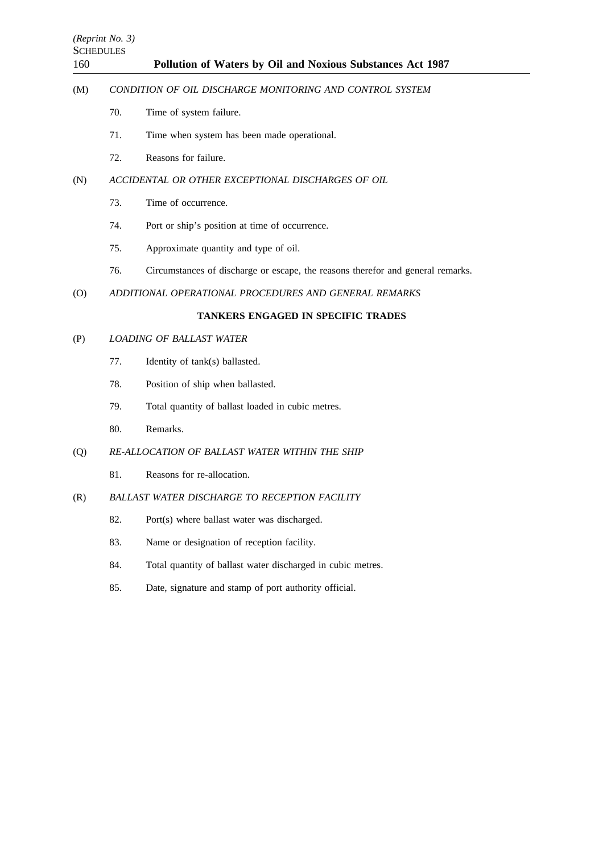# (M) *CONDITION OF OIL DISCHARGE MONITORING AND CONTROL SYSTEM*

- 70. Time of system failure.
- 71. Time when system has been made operational.
- 72. Reasons for failure.

# (N) *ACCIDENTAL OR OTHER EXCEPTIONAL DISCHARGES OF OIL*

- 73. Time of occurrence.
- 74. Port or ship's position at time of occurrence.
- 75. Approximate quantity and type of oil.
- 76. Circumstances of discharge or escape, the reasons therefor and general remarks.
- (O) *ADDITIONAL OPERATIONAL PROCEDURES AND GENERAL REMARKS*

# **TANKERS ENGAGED IN SPECIFIC TRADES**

- (P) *LOADING OF BALLAST WATER*
	- 77. Identity of tank(s) ballasted.
	- 78. Position of ship when ballasted.
	- 79. Total quantity of ballast loaded in cubic metres.
	- 80. Remarks.
- (Q) *RE-ALLOCATION OF BALLAST WATER WITHIN THE SHIP*
	- 81. Reasons for re-allocation.
- (R) *BALLAST WATER DISCHARGE TO RECEPTION FACILITY*
	- 82. Port(s) where ballast water was discharged.
	- 83. Name or designation of reception facility.
	- 84. Total quantity of ballast water discharged in cubic metres.
	- 85. Date, signature and stamp of port authority official.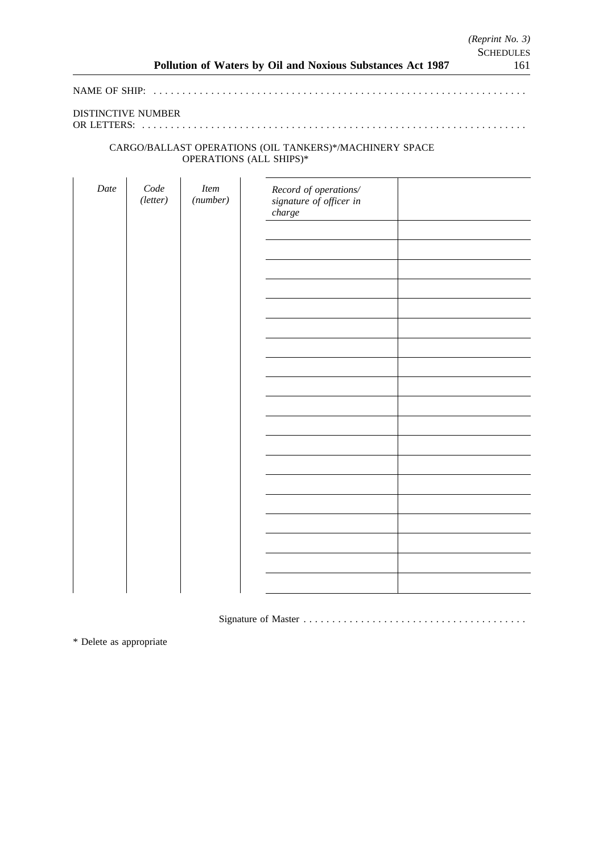#### NAME OF SHIP: .................................................................

# DISTINCTIVE NUMBER OR LETTERS: ...................................................................

#### CARGO/BALLAST OPERATIONS (OIL TANKERS)\*/MACHINERY SPACE OPERATIONS (ALL SHIPS)\*

| Date | $Code$<br>(lefter) | $Item$<br>(number) | Record of operations/<br>signature of officer in<br>$charge$ |  |
|------|--------------------|--------------------|--------------------------------------------------------------|--|
|      |                    |                    |                                                              |  |
|      |                    |                    |                                                              |  |
|      |                    |                    |                                                              |  |
|      |                    |                    |                                                              |  |
|      |                    |                    |                                                              |  |
|      |                    |                    |                                                              |  |
|      |                    |                    |                                                              |  |
|      |                    |                    |                                                              |  |
|      |                    |                    |                                                              |  |
|      |                    |                    |                                                              |  |
|      |                    |                    |                                                              |  |
|      |                    |                    |                                                              |  |
|      |                    |                    |                                                              |  |
|      |                    |                    |                                                              |  |
|      |                    |                    |                                                              |  |
|      |                    |                    |                                                              |  |
|      |                    |                    |                                                              |  |
|      |                    |                    |                                                              |  |
|      |                    |                    |                                                              |  |

Signature of Master .......................................

\* Delete as appropriate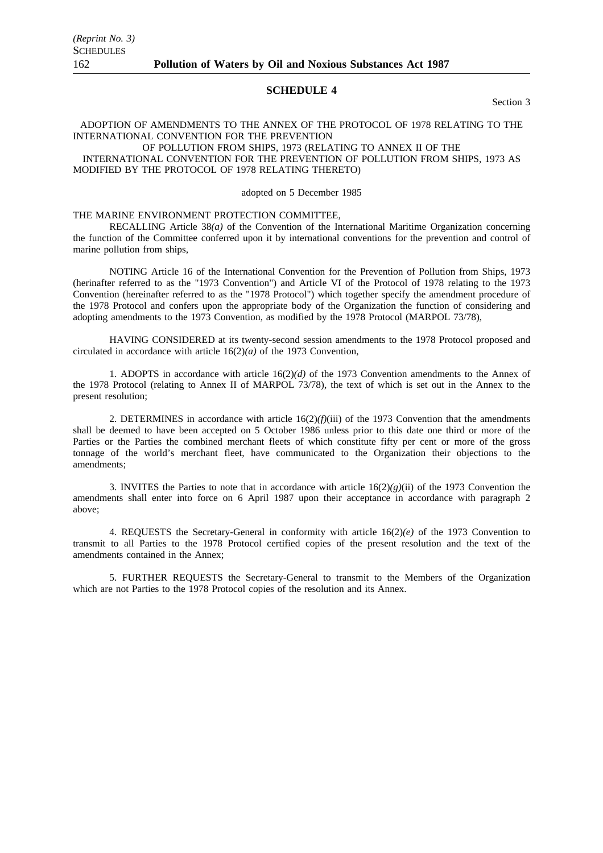#### **SCHEDULE 4**

Section 3

# ADOPTION OF AMENDMENTS TO THE ANNEX OF THE PROTOCOL OF 1978 RELATING TO THE INTERNATIONAL CONVENTION FOR THE PREVENTION

#### OF POLLUTION FROM SHIPS, 1973 (RELATING TO ANNEX II OF THE INTERNATIONAL CONVENTION FOR THE PREVENTION OF POLLUTION FROM SHIPS, 1973 AS MODIFIED BY THE PROTOCOL OF 1978 RELATING THERETO)

#### adopted on 5 December 1985

#### THE MARINE ENVIRONMENT PROTECTION COMMITTEE,

RECALLING Article 38*(a)* of the Convention of the International Maritime Organization concerning the function of the Committee conferred upon it by international conventions for the prevention and control of marine pollution from ships,

NOTING Article 16 of the International Convention for the Prevention of Pollution from Ships, 1973 (herinafter referred to as the "1973 Convention") and Article VI of the Protocol of 1978 relating to the 1973 Convention (hereinafter referred to as the "1978 Protocol") which together specify the amendment procedure of the 1978 Protocol and confers upon the appropriate body of the Organization the function of considering and adopting amendments to the 1973 Convention, as modified by the 1978 Protocol (MARPOL 73/78),

HAVING CONSIDERED at its twenty-second session amendments to the 1978 Protocol proposed and circulated in accordance with article 16(2)*(a)* of the 1973 Convention,

1. ADOPTS in accordance with article 16(2)*(d)* of the 1973 Convention amendments to the Annex of the 1978 Protocol (relating to Annex II of MARPOL 73/78), the text of which is set out in the Annex to the present resolution;

2. DETERMINES in accordance with article  $16(2)/(iii)$  of the 1973 Convention that the amendments shall be deemed to have been accepted on 5 October 1986 unless prior to this date one third or more of the Parties or the Parties the combined merchant fleets of which constitute fifty per cent or more of the gross tonnage of the world's merchant fleet, have communicated to the Organization their objections to the amendments;

3. INVITES the Parties to note that in accordance with article  $16(2)(g)(ii)$  of the 1973 Convention the amendments shall enter into force on 6 April 1987 upon their acceptance in accordance with paragraph 2 above;

4. REQUESTS the Secretary-General in conformity with article 16(2)*(e)* of the 1973 Convention to transmit to all Parties to the 1978 Protocol certified copies of the present resolution and the text of the amendments contained in the Annex;

5. FURTHER REQUESTS the Secretary-General to transmit to the Members of the Organization which are not Parties to the 1978 Protocol copies of the resolution and its Annex.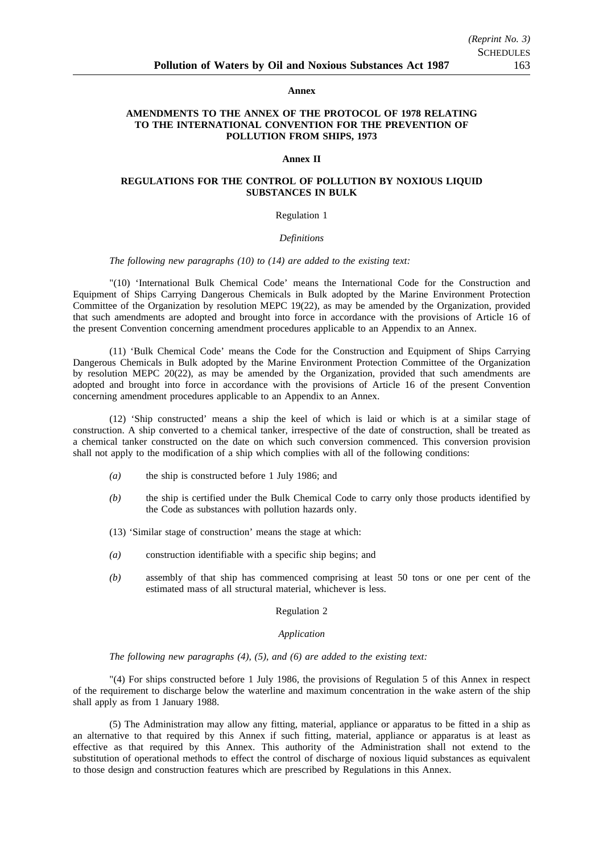#### **Annex**

### **AMENDMENTS TO THE ANNEX OF THE PROTOCOL OF 1978 RELATING TO THE INTERNATIONAL CONVENTION FOR THE PREVENTION OF POLLUTION FROM SHIPS, 1973**

#### **Annex II**

#### **REGULATIONS FOR THE CONTROL OF POLLUTION BY NOXIOUS LIQUID SUBSTANCES IN BULK**

#### Regulation 1

# *Definitions*

#### *The following new paragraphs (10) to (14) are added to the existing text:*

"(10) 'International Bulk Chemical Code' means the International Code for the Construction and Equipment of Ships Carrying Dangerous Chemicals in Bulk adopted by the Marine Environment Protection Committee of the Organization by resolution MEPC 19(22), as may be amended by the Organization, provided that such amendments are adopted and brought into force in accordance with the provisions of Article 16 of the present Convention concerning amendment procedures applicable to an Appendix to an Annex.

(11) 'Bulk Chemical Code' means the Code for the Construction and Equipment of Ships Carrying Dangerous Chemicals in Bulk adopted by the Marine Environment Protection Committee of the Organization by resolution MEPC 20(22), as may be amended by the Organization, provided that such amendments are adopted and brought into force in accordance with the provisions of Article 16 of the present Convention concerning amendment procedures applicable to an Appendix to an Annex.

(12) 'Ship constructed' means a ship the keel of which is laid or which is at a similar stage of construction. A ship converted to a chemical tanker, irrespective of the date of construction, shall be treated as a chemical tanker constructed on the date on which such conversion commenced. This conversion provision shall not apply to the modification of a ship which complies with all of the following conditions:

- *(a)* the ship is constructed before 1 July 1986; and
- *(b)* the ship is certified under the Bulk Chemical Code to carry only those products identified by the Code as substances with pollution hazards only.
- (13) 'Similar stage of construction' means the stage at which:
- *(a)* construction identifiable with a specific ship begins; and
- *(b)* assembly of that ship has commenced comprising at least 50 tons or one per cent of the estimated mass of all structural material, whichever is less.

#### Regulation 2

#### *Application*

#### *The following new paragraphs (4), (5), and (6) are added to the existing text:*

"(4) For ships constructed before 1 July 1986, the provisions of Regulation 5 of this Annex in respect of the requirement to discharge below the waterline and maximum concentration in the wake astern of the ship shall apply as from 1 January 1988.

(5) The Administration may allow any fitting, material, appliance or apparatus to be fitted in a ship as an alternative to that required by this Annex if such fitting, material, appliance or apparatus is at least as effective as that required by this Annex. This authority of the Administration shall not extend to the substitution of operational methods to effect the control of discharge of noxious liquid substances as equivalent to those design and construction features which are prescribed by Regulations in this Annex.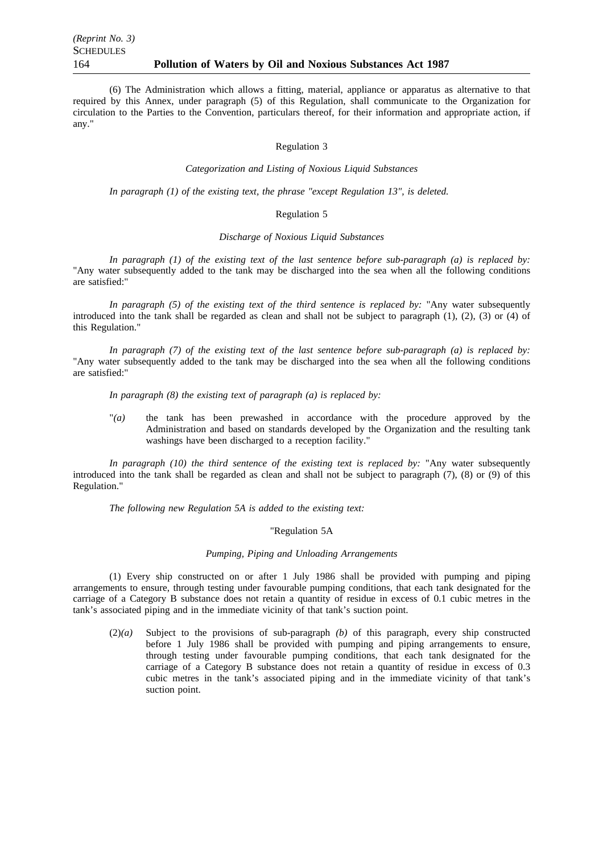(6) The Administration which allows a fitting, material, appliance or apparatus as alternative to that required by this Annex, under paragraph (5) of this Regulation, shall communicate to the Organization for circulation to the Parties to the Convention, particulars thereof, for their information and appropriate action, if any."

#### Regulation 3

*Categorization and Listing of Noxious Liquid Substances*

*In paragraph (1) of the existing text, the phrase "except Regulation 13", is deleted.*

#### Regulation 5

#### *Discharge of Noxious Liquid Substances*

*In paragraph (1) of the existing text of the last sentence before sub-paragraph (a) is replaced by:* "Any water subsequently added to the tank may be discharged into the sea when all the following conditions are satisfied:"

*In paragraph (5) of the existing text of the third sentence is replaced by:* "Any water subsequently introduced into the tank shall be regarded as clean and shall not be subject to paragraph (1), (2), (3) or (4) of this Regulation."

*In paragraph (7) of the existing text of the last sentence before sub-paragraph (a) is replaced by:* "Any water subsequently added to the tank may be discharged into the sea when all the following conditions are satisfied:"

*In paragraph (8) the existing text of paragraph (a) is replaced by:*

"*(a)* the tank has been prewashed in accordance with the procedure approved by the Administration and based on standards developed by the Organization and the resulting tank washings have been discharged to a reception facility."

*In paragraph (10) the third sentence of the existing text is replaced by:* "Any water subsequently introduced into the tank shall be regarded as clean and shall not be subject to paragraph (7), (8) or (9) of this Regulation."

*The following new Regulation 5A is added to the existing text:*

### "Regulation 5A

#### *Pumping, Piping and Unloading Arrangements*

(1) Every ship constructed on or after 1 July 1986 shall be provided with pumping and piping arrangements to ensure, through testing under favourable pumping conditions, that each tank designated for the carriage of a Category B substance does not retain a quantity of residue in excess of 0.1 cubic metres in the tank's associated piping and in the immediate vicinity of that tank's suction point.

(2)*(a)* Subject to the provisions of sub-paragraph *(b)* of this paragraph, every ship constructed before 1 July 1986 shall be provided with pumping and piping arrangements to ensure, through testing under favourable pumping conditions, that each tank designated for the carriage of a Category B substance does not retain a quantity of residue in excess of 0.3 cubic metres in the tank's associated piping and in the immediate vicinity of that tank's suction point.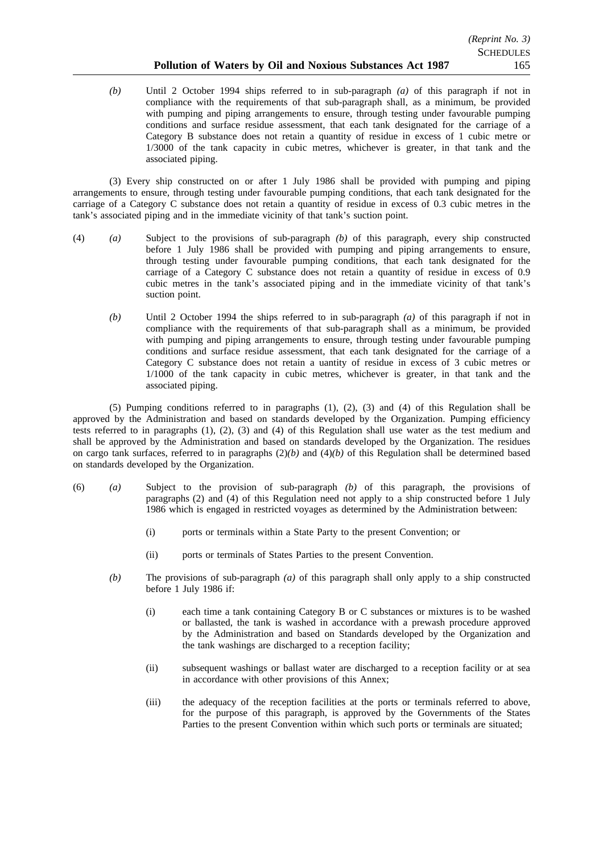*(b)* Until 2 October 1994 ships referred to in sub-paragraph *(a)* of this paragraph if not in compliance with the requirements of that sub-paragraph shall, as a minimum, be provided with pumping and piping arrangements to ensure, through testing under favourable pumping conditions and surface residue assessment, that each tank designated for the carriage of a Category B substance does not retain a quantity of residue in excess of 1 cubic metre or 1/3000 of the tank capacity in cubic metres, whichever is greater, in that tank and the associated piping.

(3) Every ship constructed on or after 1 July 1986 shall be provided with pumping and piping arrangements to ensure, through testing under favourable pumping conditions, that each tank designated for the carriage of a Category C substance does not retain a quantity of residue in excess of 0.3 cubic metres in the tank's associated piping and in the immediate vicinity of that tank's suction point.

- (4) *(a)* Subject to the provisions of sub-paragraph *(b)* of this paragraph, every ship constructed before 1 July 1986 shall be provided with pumping and piping arrangements to ensure, through testing under favourable pumping conditions, that each tank designated for the carriage of a Category C substance does not retain a quantity of residue in excess of 0.9 cubic metres in the tank's associated piping and in the immediate vicinity of that tank's suction point.
	- *(b)* Until 2 October 1994 the ships referred to in sub-paragraph *(a)* of this paragraph if not in compliance with the requirements of that sub-paragraph shall as a minimum, be provided with pumping and piping arrangements to ensure, through testing under favourable pumping conditions and surface residue assessment, that each tank designated for the carriage of a Category C substance does not retain a uantity of residue in excess of 3 cubic metres or 1/1000 of the tank capacity in cubic metres, whichever is greater, in that tank and the associated piping.

(5) Pumping conditions referred to in paragraphs (1), (2), (3) and (4) of this Regulation shall be approved by the Administration and based on standards developed by the Organization. Pumping efficiency tests referred to in paragraphs (1), (2), (3) and (4) of this Regulation shall use water as the test medium and shall be approved by the Administration and based on standards developed by the Organization. The residues on cargo tank surfaces, referred to in paragraphs (2)*(b)* and (4)*(b)* of this Regulation shall be determined based on standards developed by the Organization.

- (6) *(a)* Subject to the provision of sub-paragraph *(b)* of this paragraph, the provisions of paragraphs (2) and (4) of this Regulation need not apply to a ship constructed before 1 July 1986 which is engaged in restricted voyages as determined by the Administration between:
	- (i) ports or terminals within a State Party to the present Convention; or
	- (ii) ports or terminals of States Parties to the present Convention.
	- *(b)* The provisions of sub-paragraph *(a)* of this paragraph shall only apply to a ship constructed before 1 July 1986 if:
		- (i) each time a tank containing Category B or C substances or mixtures is to be washed or ballasted, the tank is washed in accordance with a prewash procedure approved by the Administration and based on Standards developed by the Organization and the tank washings are discharged to a reception facility;
		- (ii) subsequent washings or ballast water are discharged to a reception facility or at sea in accordance with other provisions of this Annex;
		- (iii) the adequacy of the reception facilities at the ports or terminals referred to above, for the purpose of this paragraph, is approved by the Governments of the States Parties to the present Convention within which such ports or terminals are situated;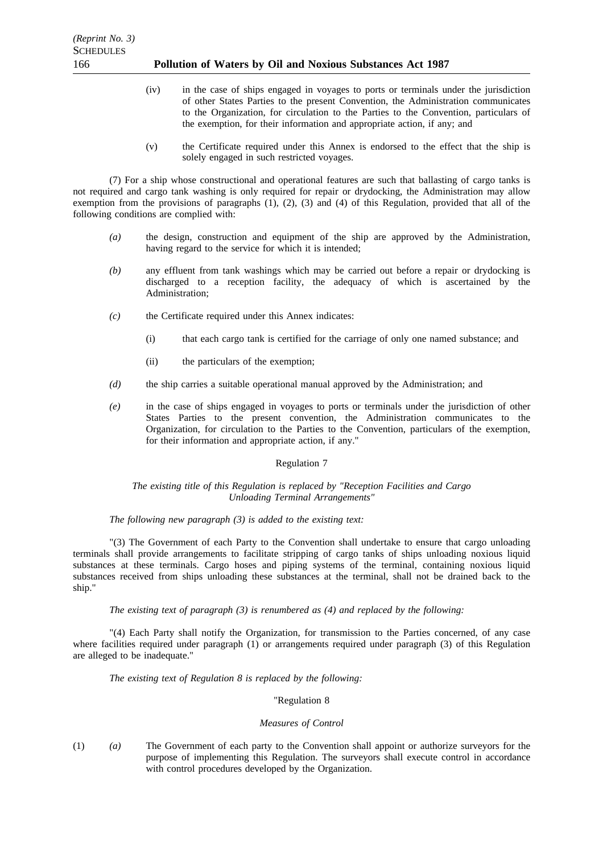- (iv) in the case of ships engaged in voyages to ports or terminals under the jurisdiction of other States Parties to the present Convention, the Administration communicates to the Organization, for circulation to the Parties to the Convention, particulars of the exemption, for their information and appropriate action, if any; and
- (v) the Certificate required under this Annex is endorsed to the effect that the ship is solely engaged in such restricted voyages.

(7) For a ship whose constructional and operational features are such that ballasting of cargo tanks is not required and cargo tank washing is only required for repair or drydocking, the Administration may allow exemption from the provisions of paragraphs (1), (2), (3) and (4) of this Regulation, provided that all of the following conditions are complied with:

- *(a)* the design, construction and equipment of the ship are approved by the Administration, having regard to the service for which it is intended;
- *(b)* any effluent from tank washings which may be carried out before a repair or drydocking is discharged to a reception facility, the adequacy of which is ascertained by the Administration;
- *(c)* the Certificate required under this Annex indicates:
	- (i) that each cargo tank is certified for the carriage of only one named substance; and
	- (ii) the particulars of the exemption;
- *(d)* the ship carries a suitable operational manual approved by the Administration; and
- *(e)* in the case of ships engaged in voyages to ports or terminals under the jurisdiction of other States Parties to the present convention, the Administration communicates to the Organization, for circulation to the Parties to the Convention, particulars of the exemption, for their information and appropriate action, if any."

#### Regulation 7

## *The existing title of this Regulation is replaced by "Reception Facilities and Cargo Unloading Terminal Arrangements"*

## *The following new paragraph (3) is added to the existing text:*

"(3) The Government of each Party to the Convention shall undertake to ensure that cargo unloading terminals shall provide arrangements to facilitate stripping of cargo tanks of ships unloading noxious liquid substances at these terminals. Cargo hoses and piping systems of the terminal, containing noxious liquid substances received from ships unloading these substances at the terminal, shall not be drained back to the ship."

#### *The existing text of paragraph (3) is renumbered as (4) and replaced by the following:*

"(4) Each Party shall notify the Organization, for transmission to the Parties concerned, of any case where facilities required under paragraph (1) or arrangements required under paragraph (3) of this Regulation are alleged to be inadequate."

*The existing text of Regulation 8 is replaced by the following:*

# "Regulation 8

### *Measures of Control*

(1) *(a)* The Government of each party to the Convention shall appoint or authorize surveyors for the purpose of implementing this Regulation. The surveyors shall execute control in accordance with control procedures developed by the Organization.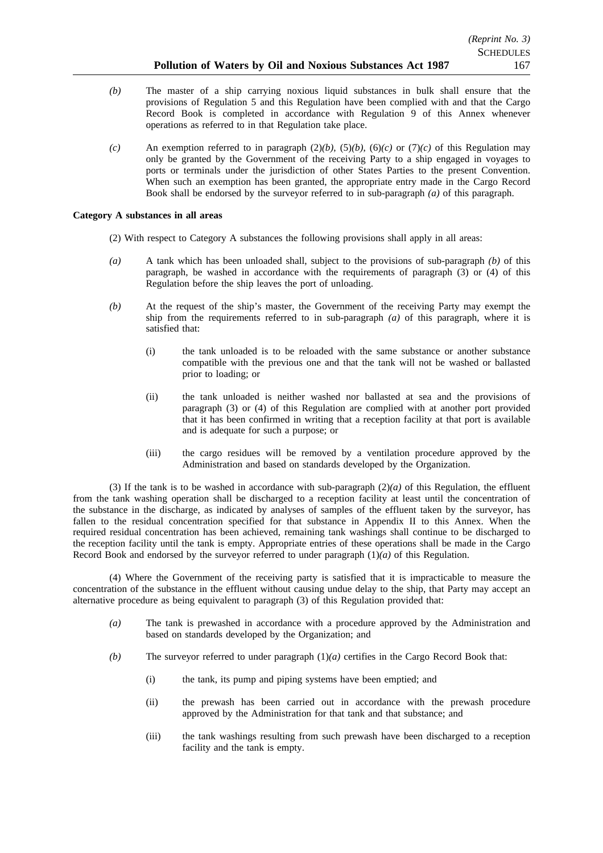- *(b)* The master of a ship carrying noxious liquid substances in bulk shall ensure that the provisions of Regulation 5 and this Regulation have been complied with and that the Cargo Record Book is completed in accordance with Regulation 9 of this Annex whenever operations as referred to in that Regulation take place.
- $(c)$  An exemption referred to in paragraph  $(2)(b)$ ,  $(5)(b)$ ,  $(6)(c)$  or  $(7)(c)$  of this Regulation may only be granted by the Government of the receiving Party to a ship engaged in voyages to ports or terminals under the jurisdiction of other States Parties to the present Convention. When such an exemption has been granted, the appropriate entry made in the Cargo Record Book shall be endorsed by the surveyor referred to in sub-paragraph *(a)* of this paragraph.

## **Category A substances in all areas**

- (2) With respect to Category A substances the following provisions shall apply in all areas:
- *(a)* A tank which has been unloaded shall, subject to the provisions of sub-paragraph *(b)* of this paragraph, be washed in accordance with the requirements of paragraph (3) or (4) of this Regulation before the ship leaves the port of unloading.
- *(b)* At the request of the ship's master, the Government of the receiving Party may exempt the ship from the requirements referred to in sub-paragraph  $(a)$  of this paragraph, where it is satisfied that:
	- (i) the tank unloaded is to be reloaded with the same substance or another substance compatible with the previous one and that the tank will not be washed or ballasted prior to loading; or
	- (ii) the tank unloaded is neither washed nor ballasted at sea and the provisions of paragraph (3) or (4) of this Regulation are complied with at another port provided that it has been confirmed in writing that a reception facility at that port is available and is adequate for such a purpose; or
	- (iii) the cargo residues will be removed by a ventilation procedure approved by the Administration and based on standards developed by the Organization.

(3) If the tank is to be washed in accordance with sub-paragraph  $(2)(a)$  of this Regulation, the effluent from the tank washing operation shall be discharged to a reception facility at least until the concentration of the substance in the discharge, as indicated by analyses of samples of the effluent taken by the surveyor, has fallen to the residual concentration specified for that substance in Appendix II to this Annex. When the required residual concentration has been achieved, remaining tank washings shall continue to be discharged to the reception facility until the tank is empty. Appropriate entries of these operations shall be made in the Cargo Record Book and endorsed by the surveyor referred to under paragraph  $(1)(a)$  of this Regulation.

(4) Where the Government of the receiving party is satisfied that it is impracticable to measure the concentration of the substance in the effluent without causing undue delay to the ship, that Party may accept an alternative procedure as being equivalent to paragraph (3) of this Regulation provided that:

- *(a)* The tank is prewashed in accordance with a procedure approved by the Administration and based on standards developed by the Organization; and
- *(b)* The surveyor referred to under paragraph  $(1)(a)$  certifies in the Cargo Record Book that:
	- (i) the tank, its pump and piping systems have been emptied; and
	- (ii) the prewash has been carried out in accordance with the prewash procedure approved by the Administration for that tank and that substance; and
	- (iii) the tank washings resulting from such prewash have been discharged to a reception facility and the tank is empty.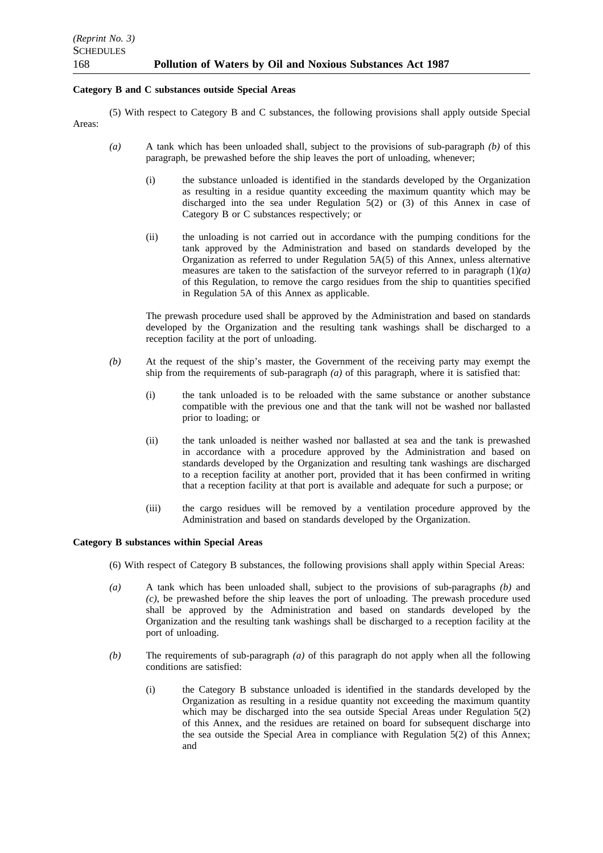#### **Category B and C substances outside Special Areas**

(5) With respect to Category B and C substances, the following provisions shall apply outside Special Areas:

- *(a)* A tank which has been unloaded shall, subject to the provisions of sub-paragraph *(b)* of this paragraph, be prewashed before the ship leaves the port of unloading, whenever;
	- (i) the substance unloaded is identified in the standards developed by the Organization as resulting in a residue quantity exceeding the maximum quantity which may be discharged into the sea under Regulation 5(2) or (3) of this Annex in case of Category B or C substances respectively; or
	- (ii) the unloading is not carried out in accordance with the pumping conditions for the tank approved by the Administration and based on standards developed by the Organization as referred to under Regulation 5A(5) of this Annex, unless alternative measures are taken to the satisfaction of the surveyor referred to in paragraph (1)*(a)* of this Regulation, to remove the cargo residues from the ship to quantities specified in Regulation 5A of this Annex as applicable.

The prewash procedure used shall be approved by the Administration and based on standards developed by the Organization and the resulting tank washings shall be discharged to a reception facility at the port of unloading.

- *(b)* At the request of the ship's master, the Government of the receiving party may exempt the ship from the requirements of sub-paragraph *(a)* of this paragraph, where it is satisfied that:
	- (i) the tank unloaded is to be reloaded with the same substance or another substance compatible with the previous one and that the tank will not be washed nor ballasted prior to loading; or
	- (ii) the tank unloaded is neither washed nor ballasted at sea and the tank is prewashed in accordance with a procedure approved by the Administration and based on standards developed by the Organization and resulting tank washings are discharged to a reception facility at another port, provided that it has been confirmed in writing that a reception facility at that port is available and adequate for such a purpose; or
	- (iii) the cargo residues will be removed by a ventilation procedure approved by the Administration and based on standards developed by the Organization.

#### **Category B substances within Special Areas**

- (6) With respect of Category B substances, the following provisions shall apply within Special Areas:
- *(a)* A tank which has been unloaded shall, subject to the provisions of sub-paragraphs *(b)* and *(c)*, be prewashed before the ship leaves the port of unloading. The prewash procedure used shall be approved by the Administration and based on standards developed by the Organization and the resulting tank washings shall be discharged to a reception facility at the port of unloading.
- *(b)* The requirements of sub-paragraph *(a)* of this paragraph do not apply when all the following conditions are satisfied:
	- (i) the Category B substance unloaded is identified in the standards developed by the Organization as resulting in a residue quantity not exceeding the maximum quantity which may be discharged into the sea outside Special Areas under Regulation 5(2) of this Annex, and the residues are retained on board for subsequent discharge into the sea outside the Special Area in compliance with Regulation 5(2) of this Annex; and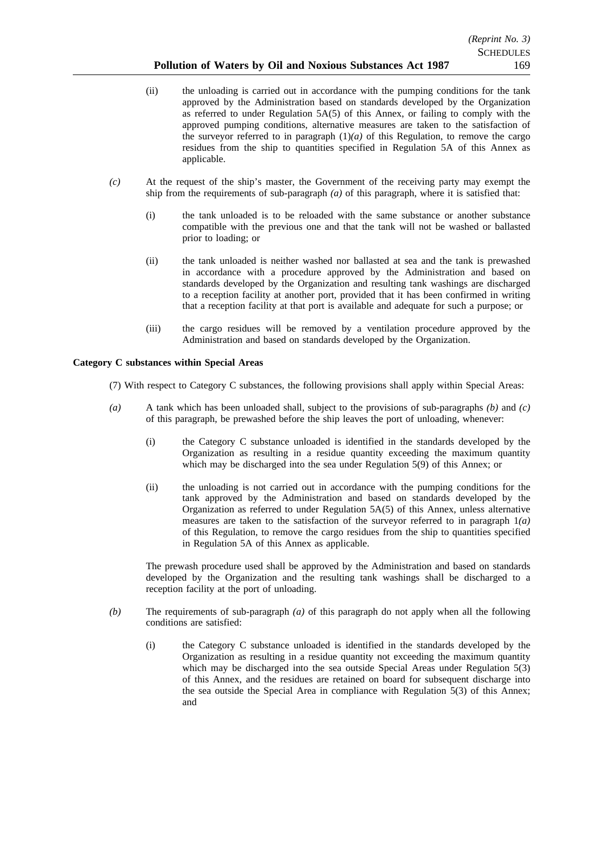- (ii) the unloading is carried out in accordance with the pumping conditions for the tank approved by the Administration based on standards developed by the Organization as referred to under Regulation 5A(5) of this Annex, or failing to comply with the approved pumping conditions, alternative measures are taken to the satisfaction of the surveyor referred to in paragraph  $(1)(a)$  of this Regulation, to remove the cargo residues from the ship to quantities specified in Regulation 5A of this Annex as applicable.
- *(c)* At the request of the ship's master, the Government of the receiving party may exempt the ship from the requirements of sub-paragraph *(a)* of this paragraph, where it is satisfied that:
	- (i) the tank unloaded is to be reloaded with the same substance or another substance compatible with the previous one and that the tank will not be washed or ballasted prior to loading; or
	- (ii) the tank unloaded is neither washed nor ballasted at sea and the tank is prewashed in accordance with a procedure approved by the Administration and based on standards developed by the Organization and resulting tank washings are discharged to a reception facility at another port, provided that it has been confirmed in writing that a reception facility at that port is available and adequate for such a purpose; or
	- (iii) the cargo residues will be removed by a ventilation procedure approved by the Administration and based on standards developed by the Organization.

# **Category C substances within Special Areas**

- (7) With respect to Category C substances, the following provisions shall apply within Special Areas:
- *(a)* A tank which has been unloaded shall, subject to the provisions of sub-paragraphs *(b)* and *(c)* of this paragraph, be prewashed before the ship leaves the port of unloading, whenever:
	- (i) the Category C substance unloaded is identified in the standards developed by the Organization as resulting in a residue quantity exceeding the maximum quantity which may be discharged into the sea under Regulation 5(9) of this Annex; or
	- (ii) the unloading is not carried out in accordance with the pumping conditions for the tank approved by the Administration and based on standards developed by the Organization as referred to under Regulation 5A(5) of this Annex, unless alternative measures are taken to the satisfaction of the surveyor referred to in paragraph 1*(a)* of this Regulation, to remove the cargo residues from the ship to quantities specified in Regulation 5A of this Annex as applicable.

The prewash procedure used shall be approved by the Administration and based on standards developed by the Organization and the resulting tank washings shall be discharged to a reception facility at the port of unloading.

- *(b)* The requirements of sub-paragraph *(a)* of this paragraph do not apply when all the following conditions are satisfied:
	- (i) the Category C substance unloaded is identified in the standards developed by the Organization as resulting in a residue quantity not exceeding the maximum quantity which may be discharged into the sea outside Special Areas under Regulation 5(3) of this Annex, and the residues are retained on board for subsequent discharge into the sea outside the Special Area in compliance with Regulation 5(3) of this Annex; and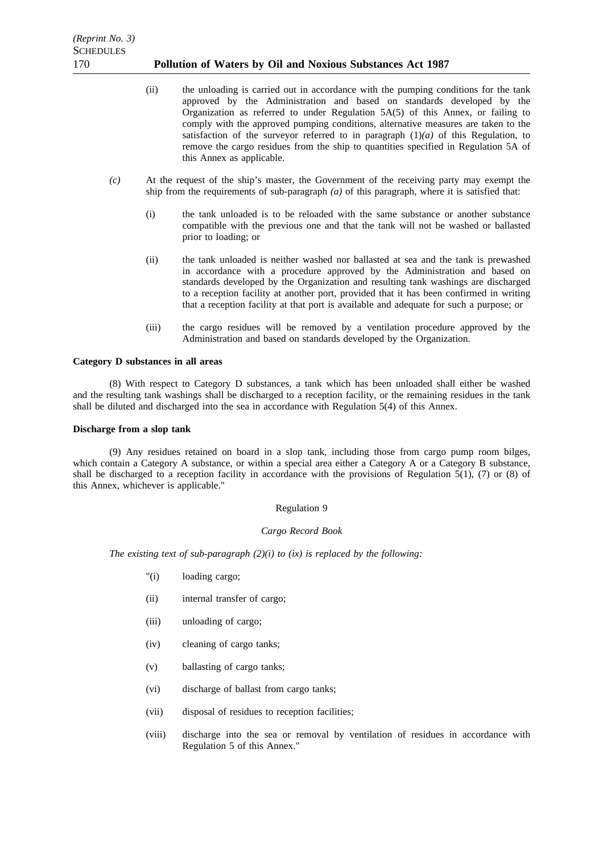- (ii) the unloading is carried out in accordance with the pumping conditions for the tank approved by the Administration and based on standards developed by the Organization as referred to under Regulation 5A(5) of this Annex, or failing to comply with the approved pumping conditions, alternative measures are taken to the satisfaction of the surveyor referred to in paragraph  $(1)(a)$  of this Regulation, to remove the cargo residues from the ship to quantities specified in Regulation 5A of this Annex as applicable.
- *(c)* At the request of the ship's master, the Government of the receiving party may exempt the ship from the requirements of sub-paragraph *(a)* of this paragraph, where it is satisfied that:
	- (i) the tank unloaded is to be reloaded with the same substance or another substance compatible with the previous one and that the tank will not be washed or ballasted prior to loading; or
	- (ii) the tank unloaded is neither washed nor ballasted at sea and the tank is prewashed in accordance with a procedure approved by the Administration and based on standards developed by the Organization and resulting tank washings are discharged to a reception facility at another port, provided that it has been confirmed in writing that a reception facility at that port is available and adequate for such a purpose; or
	- (iii) the cargo residues will be removed by a ventilation procedure approved by the Administration and based on standards developed by the Organization.

#### **Category D substances in all areas**

(8) With respect to Category D substances, a tank which has been unloaded shall either be washed and the resulting tank washings shall be discharged to a reception facility, or the remaining residues in the tank shall be diluted and discharged into the sea in accordance with Regulation 5(4) of this Annex.

#### **Discharge from a slop tank**

(9) Any residues retained on board in a slop tank, including those from cargo pump room bilges, which contain a Category A substance, or within a special area either a Category A or a Category B substance, shall be discharged to a reception facility in accordance with the provisions of Regulation 5(1), (7) or (8) of this Annex, whichever is applicable."

#### Regulation 9

#### *Cargo Record Book*

*The existing text of sub-paragraph (2)(i) to (ix) is replaced by the following:*

- "(i) loading cargo;
- (ii) internal transfer of cargo;
- (iii) unloading of cargo;
- (iv) cleaning of cargo tanks;
- (v) ballasting of cargo tanks;
- (vi) discharge of ballast from cargo tanks;
- (vii) disposal of residues to reception facilities;
- (viii) discharge into the sea or removal by ventilation of residues in accordance with Regulation 5 of this Annex."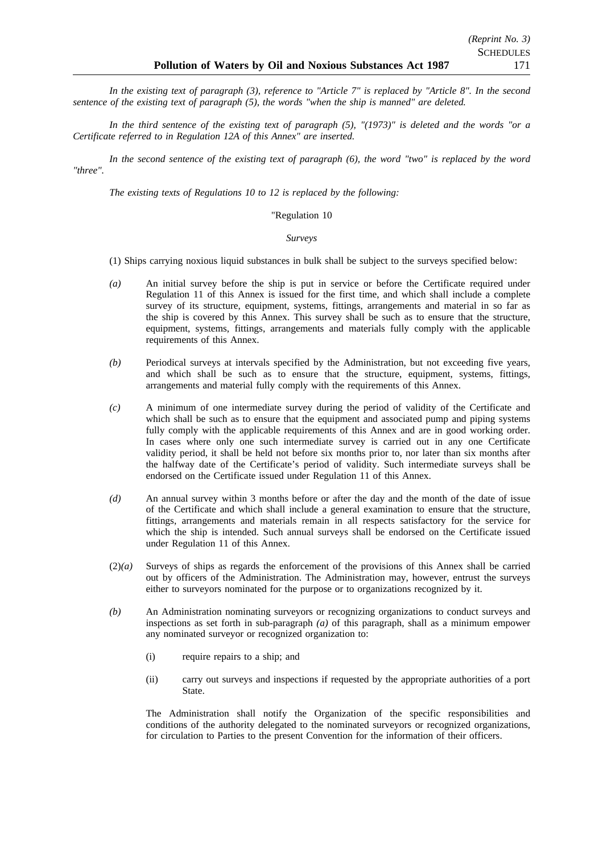*In the existing text of paragraph (3), reference to "Article 7" is replaced by "Article 8". In the second sentence of the existing text of paragraph (5), the words "when the ship is manned" are deleted.*

*In the third sentence of the existing text of paragraph (5), "(1973)" is deleted and the words "or a Certificate referred to in Regulation 12A of this Annex" are inserted.*

*In the second sentence of the existing text of paragraph (6), the word "two" is replaced by the word "three".*

*The existing texts of Regulations 10 to 12 is replaced by the following:*

#### "Regulation 10

#### *Surveys*

(1) Ships carrying noxious liquid substances in bulk shall be subject to the surveys specified below:

- *(a)* An initial survey before the ship is put in service or before the Certificate required under Regulation 11 of this Annex is issued for the first time, and which shall include a complete survey of its structure, equipment, systems, fittings, arrangements and material in so far as the ship is covered by this Annex. This survey shall be such as to ensure that the structure, equipment, systems, fittings, arrangements and materials fully comply with the applicable requirements of this Annex.
- *(b)* Periodical surveys at intervals specified by the Administration, but not exceeding five years, and which shall be such as to ensure that the structure, equipment, systems, fittings, arrangements and material fully comply with the requirements of this Annex.
- *(c)* A minimum of one intermediate survey during the period of validity of the Certificate and which shall be such as to ensure that the equipment and associated pump and piping systems fully comply with the applicable requirements of this Annex and are in good working order. In cases where only one such intermediate survey is carried out in any one Certificate validity period, it shall be held not before six months prior to, nor later than six months after the halfway date of the Certificate's period of validity. Such intermediate surveys shall be endorsed on the Certificate issued under Regulation 11 of this Annex.
- *(d)* An annual survey within 3 months before or after the day and the month of the date of issue of the Certificate and which shall include a general examination to ensure that the structure, fittings, arrangements and materials remain in all respects satisfactory for the service for which the ship is intended. Such annual surveys shall be endorsed on the Certificate issued under Regulation 11 of this Annex.
- (2)*(a)* Surveys of ships as regards the enforcement of the provisions of this Annex shall be carried out by officers of the Administration. The Administration may, however, entrust the surveys either to surveyors nominated for the purpose or to organizations recognized by it.
- *(b)* An Administration nominating surveyors or recognizing organizations to conduct surveys and inspections as set forth in sub-paragraph *(a)* of this paragraph, shall as a minimum empower any nominated surveyor or recognized organization to:
	- (i) require repairs to a ship; and
	- (ii) carry out surveys and inspections if requested by the appropriate authorities of a port State.

The Administration shall notify the Organization of the specific responsibilities and conditions of the authority delegated to the nominated surveyors or recognized organizations, for circulation to Parties to the present Convention for the information of their officers.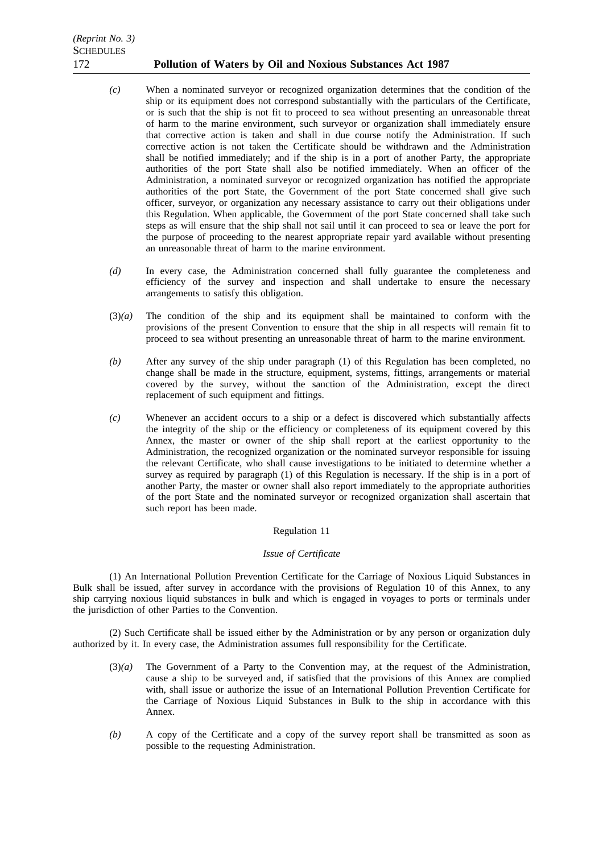- *(c)* When a nominated surveyor or recognized organization determines that the condition of the ship or its equipment does not correspond substantially with the particulars of the Certificate, or is such that the ship is not fit to proceed to sea without presenting an unreasonable threat of harm to the marine environment, such surveyor or organization shall immediately ensure that corrective action is taken and shall in due course notify the Administration. If such corrective action is not taken the Certificate should be withdrawn and the Administration shall be notified immediately; and if the ship is in a port of another Party, the appropriate authorities of the port State shall also be notified immediately. When an officer of the Administration, a nominated surveyor or recognized organization has notified the appropriate authorities of the port State, the Government of the port State concerned shall give such officer, surveyor, or organization any necessary assistance to carry out their obligations under this Regulation. When applicable, the Government of the port State concerned shall take such steps as will ensure that the ship shall not sail until it can proceed to sea or leave the port for the purpose of proceeding to the nearest appropriate repair yard available without presenting an unreasonable threat of harm to the marine environment.
- *(d)* In every case, the Administration concerned shall fully guarantee the completeness and efficiency of the survey and inspection and shall undertake to ensure the necessary arrangements to satisfy this obligation.
- (3)*(a)* The condition of the ship and its equipment shall be maintained to conform with the provisions of the present Convention to ensure that the ship in all respects will remain fit to proceed to sea without presenting an unreasonable threat of harm to the marine environment.
- *(b)* After any survey of the ship under paragraph (1) of this Regulation has been completed, no change shall be made in the structure, equipment, systems, fittings, arrangements or material covered by the survey, without the sanction of the Administration, except the direct replacement of such equipment and fittings.
- *(c)* Whenever an accident occurs to a ship or a defect is discovered which substantially affects the integrity of the ship or the efficiency or completeness of its equipment covered by this Annex, the master or owner of the ship shall report at the earliest opportunity to the Administration, the recognized organization or the nominated surveyor responsible for issuing the relevant Certificate, who shall cause investigations to be initiated to determine whether a survey as required by paragraph (1) of this Regulation is necessary. If the ship is in a port of another Party, the master or owner shall also report immediately to the appropriate authorities of the port State and the nominated surveyor or recognized organization shall ascertain that such report has been made.

#### Regulation 11

#### *Issue of Certificate*

(1) An International Pollution Prevention Certificate for the Carriage of Noxious Liquid Substances in Bulk shall be issued, after survey in accordance with the provisions of Regulation 10 of this Annex, to any ship carrying noxious liquid substances in bulk and which is engaged in voyages to ports or terminals under the jurisdiction of other Parties to the Convention.

(2) Such Certificate shall be issued either by the Administration or by any person or organization duly authorized by it. In every case, the Administration assumes full responsibility for the Certificate.

- (3)*(a)* The Government of a Party to the Convention may, at the request of the Administration, cause a ship to be surveyed and, if satisfied that the provisions of this Annex are complied with, shall issue or authorize the issue of an International Pollution Prevention Certificate for the Carriage of Noxious Liquid Substances in Bulk to the ship in accordance with this Annex.
- *(b)* A copy of the Certificate and a copy of the survey report shall be transmitted as soon as possible to the requesting Administration.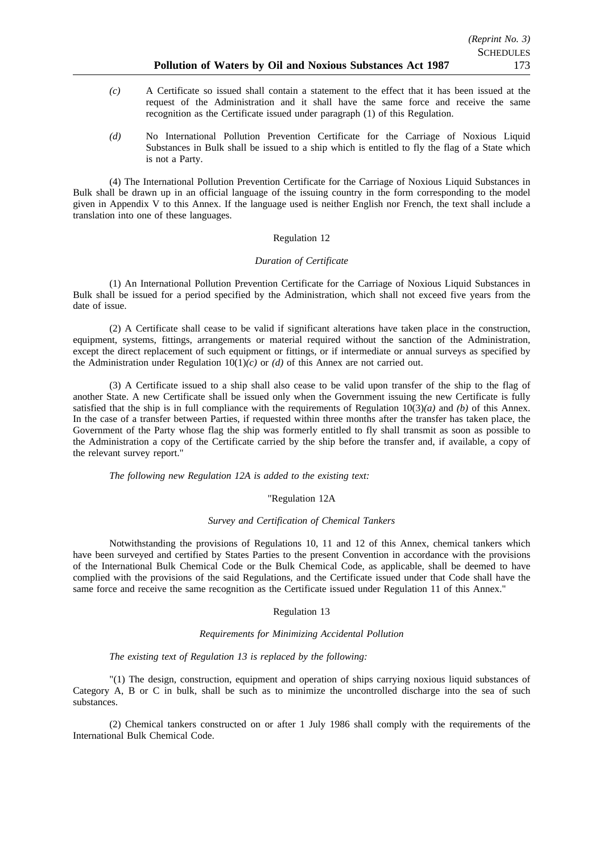- *(c)* A Certificate so issued shall contain a statement to the effect that it has been issued at the request of the Administration and it shall have the same force and receive the same recognition as the Certificate issued under paragraph (1) of this Regulation.
- *(d)* No International Pollution Prevention Certificate for the Carriage of Noxious Liquid Substances in Bulk shall be issued to a ship which is entitled to fly the flag of a State which is not a Party.

(4) The International Pollution Prevention Certificate for the Carriage of Noxious Liquid Substances in Bulk shall be drawn up in an official language of the issuing country in the form corresponding to the model given in Appendix V to this Annex. If the language used is neither English nor French, the text shall include a translation into one of these languages.

## Regulation 12

#### *Duration of Certificate*

(1) An International Pollution Prevention Certificate for the Carriage of Noxious Liquid Substances in Bulk shall be issued for a period specified by the Administration, which shall not exceed five years from the date of issue.

(2) A Certificate shall cease to be valid if significant alterations have taken place in the construction, equipment, systems, fittings, arrangements or material required without the sanction of the Administration, except the direct replacement of such equipment or fittings, or if intermediate or annual surveys as specified by the Administration under Regulation  $10(1)(c)$  or  $(d)$  of this Annex are not carried out.

(3) A Certificate issued to a ship shall also cease to be valid upon transfer of the ship to the flag of another State. A new Certificate shall be issued only when the Government issuing the new Certificate is fully satisfied that the ship is in full compliance with the requirements of Regulation  $10(3)(a)$  and *(b)* of this Annex. In the case of a transfer between Parties, if requested within three months after the transfer has taken place, the Government of the Party whose flag the ship was formerly entitled to fly shall transmit as soon as possible to the Administration a copy of the Certificate carried by the ship before the transfer and, if available, a copy of the relevant survey report."

*The following new Regulation 12A is added to the existing text:*

## "Regulation 12A

# *Survey and Certification of Chemical Tankers*

Notwithstanding the provisions of Regulations 10, 11 and 12 of this Annex, chemical tankers which have been surveyed and certified by States Parties to the present Convention in accordance with the provisions of the International Bulk Chemical Code or the Bulk Chemical Code, as applicable, shall be deemed to have complied with the provisions of the said Regulations, and the Certificate issued under that Code shall have the same force and receive the same recognition as the Certificate issued under Regulation 11 of this Annex."

#### Regulation 13

#### *Requirements for Minimizing Accidental Pollution*

#### *The existing text of Regulation 13 is replaced by the following:*

"(1) The design, construction, equipment and operation of ships carrying noxious liquid substances of Category A, B or C in bulk, shall be such as to minimize the uncontrolled discharge into the sea of such substances.

(2) Chemical tankers constructed on or after 1 July 1986 shall comply with the requirements of the International Bulk Chemical Code.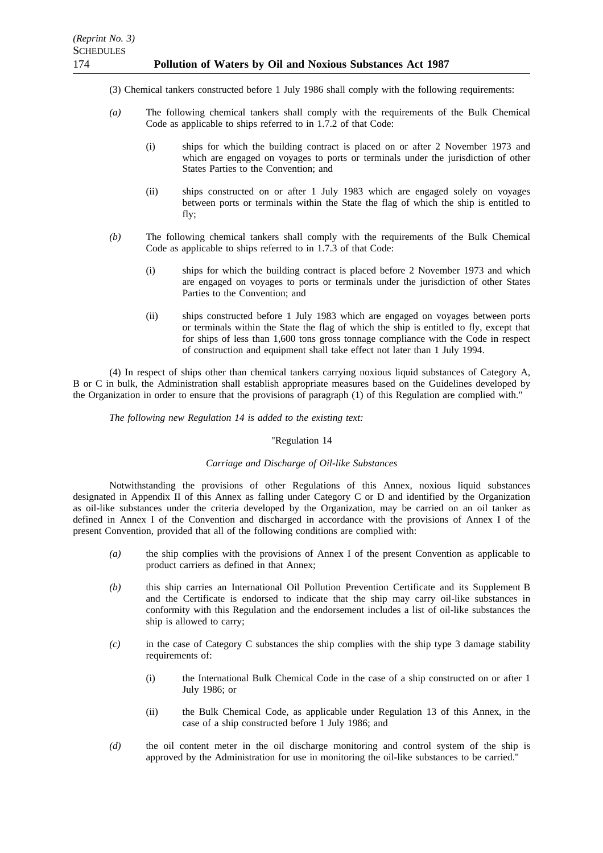- (3) Chemical tankers constructed before 1 July 1986 shall comply with the following requirements:
- *(a)* The following chemical tankers shall comply with the requirements of the Bulk Chemical Code as applicable to ships referred to in 1.7.2 of that Code:
	- (i) ships for which the building contract is placed on or after 2 November 1973 and which are engaged on voyages to ports or terminals under the jurisdiction of other States Parties to the Convention; and
	- (ii) ships constructed on or after 1 July 1983 which are engaged solely on voyages between ports or terminals within the State the flag of which the ship is entitled to fly;
- *(b)* The following chemical tankers shall comply with the requirements of the Bulk Chemical Code as applicable to ships referred to in 1.7.3 of that Code:
	- (i) ships for which the building contract is placed before 2 November 1973 and which are engaged on voyages to ports or terminals under the jurisdiction of other States Parties to the Convention; and
	- (ii) ships constructed before 1 July 1983 which are engaged on voyages between ports or terminals within the State the flag of which the ship is entitled to fly, except that for ships of less than 1,600 tons gross tonnage compliance with the Code in respect of construction and equipment shall take effect not later than 1 July 1994.

(4) In respect of ships other than chemical tankers carrying noxious liquid substances of Category A, B or C in bulk, the Administration shall establish appropriate measures based on the Guidelines developed by the Organization in order to ensure that the provisions of paragraph (1) of this Regulation are complied with."

*The following new Regulation 14 is added to the existing text:*

#### "Regulation 14

## *Carriage and Discharge of Oil-like Substances*

Notwithstanding the provisions of other Regulations of this Annex, noxious liquid substances designated in Appendix II of this Annex as falling under Category C or D and identified by the Organization as oil-like substances under the criteria developed by the Organization, may be carried on an oil tanker as defined in Annex I of the Convention and discharged in accordance with the provisions of Annex I of the present Convention, provided that all of the following conditions are complied with:

- *(a)* the ship complies with the provisions of Annex I of the present Convention as applicable to product carriers as defined in that Annex;
- *(b)* this ship carries an International Oil Pollution Prevention Certificate and its Supplement B and the Certificate is endorsed to indicate that the ship may carry oil-like substances in conformity with this Regulation and the endorsement includes a list of oil-like substances the ship is allowed to carry;
- *(c)* in the case of Category C substances the ship complies with the ship type 3 damage stability requirements of:
	- (i) the International Bulk Chemical Code in the case of a ship constructed on or after 1 July 1986; or
	- (ii) the Bulk Chemical Code, as applicable under Regulation 13 of this Annex, in the case of a ship constructed before 1 July 1986; and
- *(d)* the oil content meter in the oil discharge monitoring and control system of the ship is approved by the Administration for use in monitoring the oil-like substances to be carried."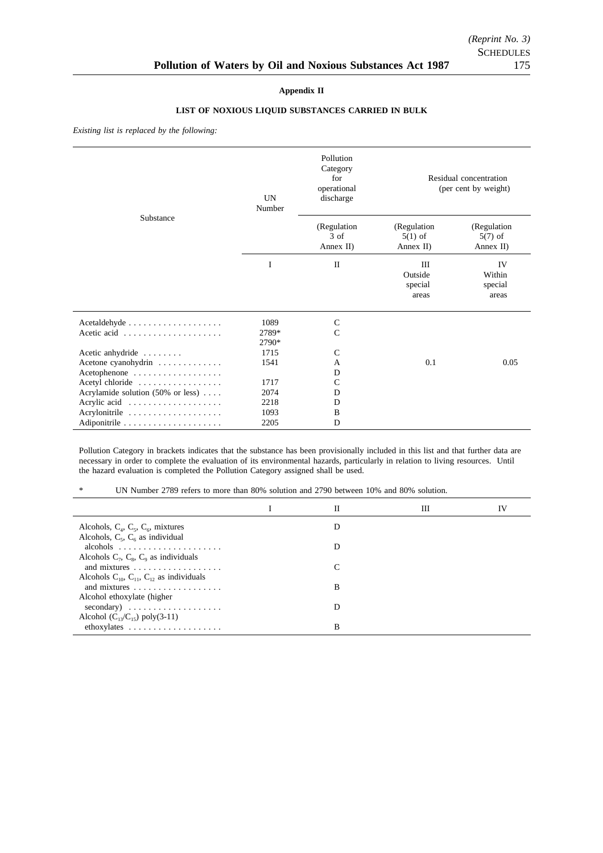# **LIST OF NOXIOUS LIQUID SUBSTANCES CARRIED IN BULK**

*Existing list is replaced by the following:*

|                                                            | <b>UN</b><br>Number    | Pollution<br>Category<br>for<br>operational<br>discharge |                                           | Residual concentration<br>(per cent by weight) |
|------------------------------------------------------------|------------------------|----------------------------------------------------------|-------------------------------------------|------------------------------------------------|
| Substance                                                  |                        | (Regulation<br>$3 \text{ of}$<br>Annex $II$ )            | (Regulation)<br>$5(1)$ of<br>Annex $II$ ) | (Regulation)<br>$5(7)$ of<br>Annex $II$ )      |
|                                                            | Ι                      | $_{\rm II}$                                              | III<br>Outside<br>special<br>areas        | IV<br>Within<br>special<br>areas               |
|                                                            | 1089<br>2789*<br>2790* | $\mathsf{C}$<br>$\mathsf{C}$                             |                                           |                                                |
| Acetic anhydride                                           | 1715                   | $\mathcal{C}$                                            |                                           |                                                |
| Acetone cyanohydrin                                        | 1541                   | A                                                        | 0.1                                       | 0.05                                           |
| Acetophenone                                               |                        | D                                                        |                                           |                                                |
| Acetyl chloride                                            | 1717                   | $\mathsf{C}$                                             |                                           |                                                |
| Acrylamide solution $(50\% \text{ or } \text{less}) \dots$ | 2074                   | D                                                        |                                           |                                                |
|                                                            | 2218                   | D                                                        |                                           |                                                |
| Acrylonitrile                                              | 1093                   | B                                                        |                                           |                                                |
|                                                            | 2205                   | D                                                        |                                           |                                                |

Pollution Category in brackets indicates that the substance has been provisionally included in this list and that further data are necessary in order to complete the evaluation of its environmental hazards, particularly in relation to living resources. Until the hazard evaluation is completed the Pollution Category assigned shall be used.

|                                                                                          | П | Ш | IV |
|------------------------------------------------------------------------------------------|---|---|----|
| Alcohols, $C_4$ , $C_5$ , $C_6$ , mixtures<br>Alcohols, $C_5$ , $C_6$ as individual      | D |   |    |
|                                                                                          | D |   |    |
| Alcohols $C_7$ , $C_8$ , $C_9$ as individuals                                            | C |   |    |
| Alcohols $C_{10}$ , $C_{11}$ , $C_{12}$ as individuals                                   | B |   |    |
| Alcohol ethoxylate (higher                                                               | D |   |    |
| Alcohol $(C_{13}/C_{15})$ poly(3-11)<br>ethoxylates $\ldots \ldots \ldots \ldots \ldots$ | В |   |    |

|  |  |  |  | UN Number 2789 refers to more than 80% solution and 2790 between 10% and 80% solution. |
|--|--|--|--|----------------------------------------------------------------------------------------|
|--|--|--|--|----------------------------------------------------------------------------------------|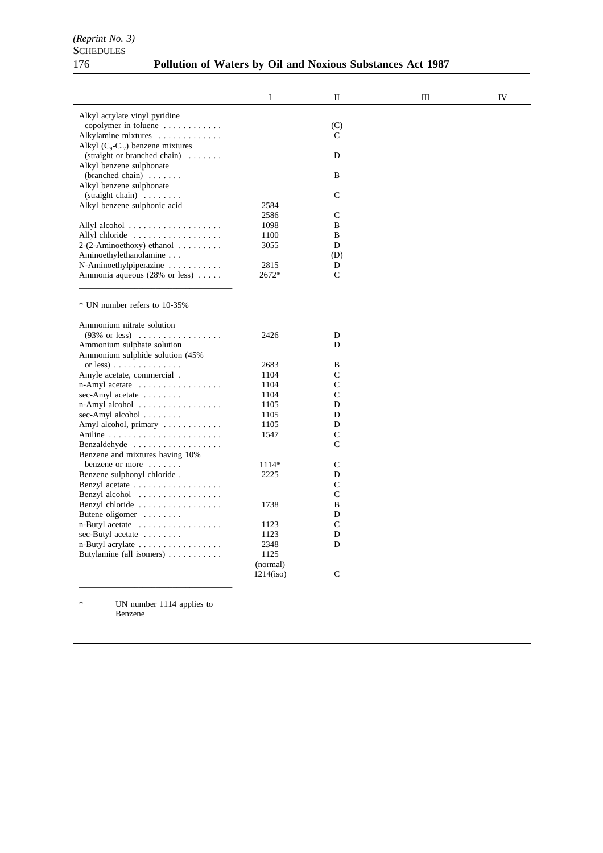# *(Reprint No. 3)* SCHEDULES<br>176

# 176 **Pollution of Waters by Oil and Noxious Substances Act 1987**

|                                                        | I        | П            | Ш | IV |
|--------------------------------------------------------|----------|--------------|---|----|
| Alkyl acrylate vinyl pyridine                          |          |              |   |    |
| copolymer in toluene $\dots \dots \dots$               |          | (C)          |   |    |
| Alkylamine mixtures                                    |          | C            |   |    |
| Alkyl $(C_q-C_{17})$ benzene mixtures                  |          |              |   |    |
| (straight or branched chain)                           |          | D            |   |    |
| Alkyl benzene sulphonate                               |          |              |   |    |
| $(branched chain) \dots \dots$                         |          | B            |   |    |
| Alkyl benzene sulphonate                               |          |              |   |    |
| $(\text{straight chain}) \dots \dots$                  |          | C            |   |    |
| Alkyl benzene sulphonic acid                           | 2584     |              |   |    |
|                                                        | 2586     | C            |   |    |
|                                                        | 1098     | B            |   |    |
| Allyl chloride $\dots \dots \dots \dots \dots$         | 1100     | B            |   |    |
| $2-(2-Aminoethoxy)$ ethanol                            | 3055     | D            |   |    |
| Aminoethylethanolamine                                 |          | (D)          |   |    |
| N-Aminoethylpiperazine                                 | 2815     | D            |   |    |
| Ammonia aqueous $(28\% \text{ or } \text{less}) \dots$ | $2672*$  | C            |   |    |
| * UN number refers to 10-35%                           |          |              |   |    |
| Ammonium nitrate solution                              |          |              |   |    |
| $(93\% \text{ or less}) \dots \dots \dots \dots \dots$ | 2426     | D            |   |    |
| Ammonium sulphate solution                             |          | D            |   |    |
| Ammonium sulphide solution (45%                        |          |              |   |    |
| or less) $\ldots \ldots \ldots \ldots$                 | 2683     | B            |   |    |
| Amyle acetate, commercial.                             | 1104     | $\mathsf{C}$ |   |    |
| n-Amyl acetate                                         | 1104     | $\mathsf{C}$ |   |    |
| sec-Amyl acetate                                       | 1104     | C            |   |    |
|                                                        | 1105     | D            |   |    |
| sec-Amyl alcohol $\dots \dots$                         | 1105     | D            |   |    |
| Amyl alcohol, primary $\dots \dots \dots$              | 1105     | D            |   |    |
|                                                        | 1547     | C            |   |    |
| Benzaldehyde                                           |          | $\mathsf{C}$ |   |    |
| Benzene and mixtures having 10%                        |          |              |   |    |
| benzene or more $\dots$                                | 1114*    | $\mathsf{C}$ |   |    |
| Benzene sulphonyl chloride.                            | 2225     | D            |   |    |
| Benzyl acetate                                         |          | C            |   |    |
| Benzyl alcohol $\ldots \ldots \ldots \ldots$           |          | $\mathsf{C}$ |   |    |
| Benzyl chloride                                        | 1738     | B            |   |    |
| Butene oligomer                                        |          | D            |   |    |
| n-Butyl acetate                                        | 1123     | $\mathsf{C}$ |   |    |
| sec-Butyl acetate $\dots\dots$                         | 1123     | D            |   |    |
| n-Butyl acrylate                                       | 2348     | D            |   |    |
| Butylamine (all isomers)                               | 1125     |              |   |    |
|                                                        | (normal) |              |   |    |
|                                                        |          |              |   |    |

\* UN number 1114 applies to Benzene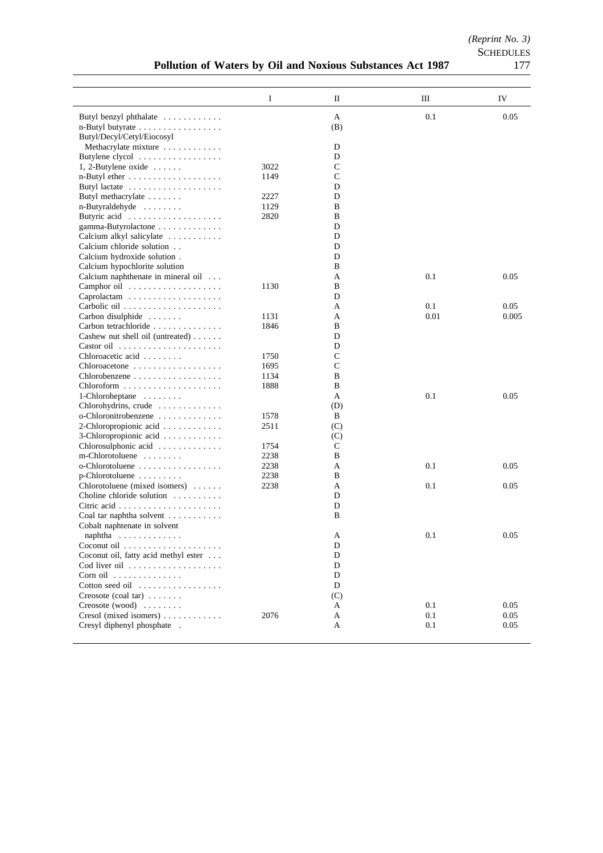**SCHEDULES Pollution of Waters by Oil and Noxious Substances Act 1987** 177

|                                                     | I    | П             | Ш    | IV    |
|-----------------------------------------------------|------|---------------|------|-------|
| Butyl benzyl phthalate                              |      | A             | 0.1  | 0.05  |
| n-Butyl butyrate                                    |      | (B)           |      |       |
| Butyl/Decyl/Cetyl/Eiocosyl                          |      |               |      |       |
| Methacrylate mixture                                |      | D             |      |       |
| Butylene clycol                                     |      | D             |      |       |
| 1, 2-Butylene oxide $\dots$                         | 3022 | C             |      |       |
|                                                     | 1149 | $\mathcal{C}$ |      |       |
| Butyl lactate $\dots \dots \dots \dots \dots \dots$ |      | D             |      |       |
| Butyl methacrylate                                  | 2227 | D             |      |       |
| $n$ -Butyraldehyde                                  | 1129 | B             |      |       |
|                                                     | 2820 | B             |      |       |
| gamma-Butyrolactone                                 |      | D             |      |       |
| Calcium alkyl salicylate                            |      | D             |      |       |
| Calcium chloride solution                           |      | D             |      |       |
| Calcium hydroxide solution.                         |      | D             |      |       |
| Calcium hypochlorite solution                       |      | B             |      |       |
| Calcium naphthenate in mineral oil                  |      | А             | 0.1  | 0.05  |
|                                                     | 1130 | B             |      |       |
|                                                     |      | D             |      |       |
|                                                     |      | A             | 0.1  | 0.05  |
| Carbon disulphide $\ldots$                          | 1131 | A             | 0.01 | 0.005 |
| Carbon tetrachloride                                | 1846 | B             |      |       |
| Cashew nut shell oil (untreated)                    |      | D             |      |       |
|                                                     |      | D             |      |       |
| Chloroacetic acid                                   | 1750 | $\mathcal{C}$ |      |       |
| Chloroacetone                                       | 1695 | $\mathbf C$   |      |       |
| Chlorobenzene                                       | 1134 | B             |      |       |
|                                                     | 1888 | B             |      |       |
| 1-Chloroheptane                                     |      | A             | 0.1  | 0.05  |
| Chlorohydrins, crude                                |      | (D)           |      |       |
| o-Chloronitrobenzene                                | 1578 | B             |      |       |
| 2-Chloropropionic acid                              | 2511 | (C)           |      |       |
| 3-Chloropropionic acid                              |      | (C)           |      |       |
| Chlorosulphonic acid                                | 1754 | C             |      |       |
| m-Chlorotoluene                                     | 2238 | B             |      |       |
| o-Chlorotoluene                                     | 2238 | A             | 0.1  | 0.05  |
| $p$ -Chlorotoluene                                  | 2238 | B             |      |       |
| Chlorotoluene (mixed isomers) $\dots$ .             | 2238 | А             | 0.1  | 0.05  |
| Choline chloride solution                           |      | D             |      |       |
|                                                     |      | D             |      |       |
| Coal tar naphtha solvent                            |      | B             |      |       |
|                                                     |      |               |      |       |
| Cobalt naphtenate in solvent                        |      |               |      |       |
| naphtha                                             |      | A             | 0.1  | 0.05  |
| $Coconut$ oil $\ldots \ldots \ldots \ldots \ldots$  |      | D             |      |       |
| Coconut oil, fatty acid methyl ester                |      | D             |      |       |
|                                                     |      | D             |      |       |
| Corn oil                                            |      | D             |      |       |
| Cotton seed oil                                     |      | D             |      |       |
| Creosote (coal tar)                                 |      | (C)           |      |       |
| $C$ reosote (wood) $\ldots \ldots$                  |      | A             | 0.1  | 0.05  |
| $Cresol$ (mixed isomers)                            | 2076 | A             | 0.1  | 0.05  |
| Cresyl diphenyl phosphate .                         |      | A             | 0.1  | 0.05  |

*(Reprint No. 3)*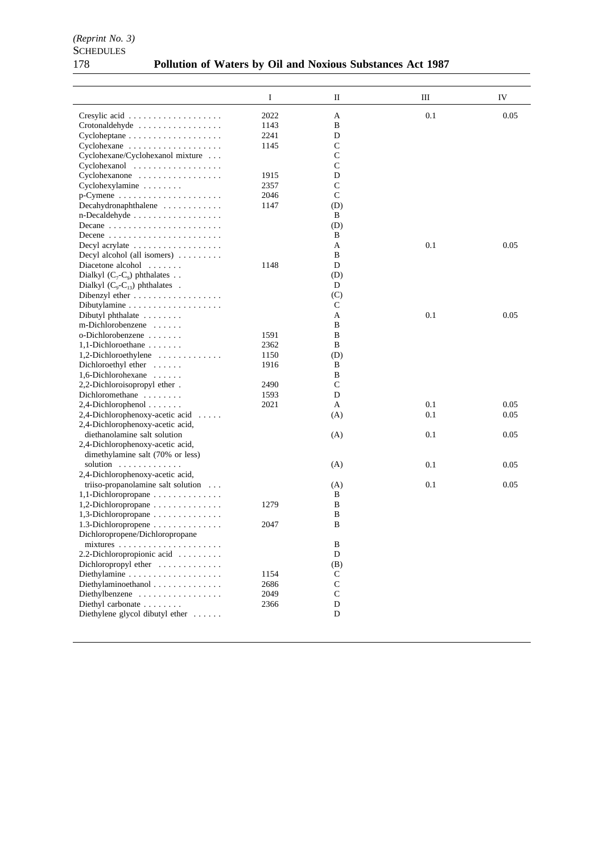# *(Reprint No. 3)* SCHEDULES<br>178

# 178 **Pollution of Waters by Oil and Noxious Substances Act 1987**

|                                                                                               | I    | П             | Ш   | IV   |
|-----------------------------------------------------------------------------------------------|------|---------------|-----|------|
|                                                                                               | 2022 | A             | 0.1 | 0.05 |
| Crotonaldehyde                                                                                | 1143 | B             |     |      |
| $Cycloheptane \ldots \ldots \ldots \ldots \ldots \ldots$                                      | 2241 | D             |     |      |
|                                                                                               | 1145 | $\mathbf C$   |     |      |
| Cyclohexane/Cyclohexanol mixture                                                              |      | C             |     |      |
| Cyclohexanol                                                                                  |      | $\mathcal{C}$ |     |      |
| Cyclohexanone                                                                                 | 1915 | D             |     |      |
| Cyclohexylamine                                                                               | 2357 | C             |     |      |
|                                                                                               | 2046 | $\mathbf C$   |     |      |
| Decahydronaphthalene                                                                          | 1147 | (D)           |     |      |
| n-Decaldehyde                                                                                 |      | B             |     |      |
| Decane $\ldots \ldots \ldots \ldots \ldots \ldots \ldots$                                     |      | (D)           |     |      |
|                                                                                               |      | B             |     |      |
| Decyl acrylate $\dots \dots \dots \dots \dots$                                                |      | A             | 0.1 | 0.05 |
| Decyl alcohol (all isomers)                                                                   |      | B             |     |      |
| Diacetone alcohol                                                                             | 1148 | D             |     |      |
| Dialkyl $(C_7-C_9)$ phthalates                                                                |      | (D)           |     |      |
| Dialkyl $(C_9-C_{13})$ phthalates.                                                            |      | D             |     |      |
| Dibenzyl ether                                                                                |      | (C)           |     |      |
| Dibutylamine $\ldots \ldots \ldots \ldots \ldots \ldots$                                      |      | C             |     |      |
| Dibutyl phthalate $\ldots \ldots$                                                             |      | A             | 0.1 | 0.05 |
| m-Dichlorobenzene                                                                             |      | B             |     |      |
| o-Dichlorobenzene                                                                             | 1591 | B             |     |      |
| 1,1-Dichloroethane                                                                            | 2362 | B             |     |      |
| $1,2$ -Dichloroethylene                                                                       | 1150 | (D)           |     |      |
| Dichloroethyl ether                                                                           | 1916 | B             |     |      |
| $1,6$ -Dichlorohexane                                                                         |      | B             |     |      |
| 2,2-Dichloroisopropyl ether.                                                                  | 2490 | $\mathbf C$   |     |      |
| Dichloromethane $\ldots \ldots$                                                               | 1593 | D             |     |      |
| $2,4$ -Dichlorophenol                                                                         | 2021 | A             | 0.1 | 0.05 |
| 2,4-Dichlorophenoxy-acetic acid                                                               |      | (A)           | 0.1 | 0.05 |
| 2,4-Dichlorophenoxy-acetic acid,                                                              |      |               |     |      |
| diethanolamine salt solution                                                                  |      | (A)           | 0.1 | 0.05 |
| 2,4-Dichlorophenoxy-acetic acid,                                                              |      |               |     |      |
| dimethylamine salt (70% or less)                                                              |      |               |     |      |
| solution                                                                                      |      | (A)           | 0.1 | 0.05 |
| 2,4-Dichlorophenoxy-acetic acid,                                                              |      |               |     |      |
| triiso-propanolamine salt solution                                                            |      | (A)           | 0.1 | 0.05 |
|                                                                                               |      | B             |     |      |
| $1,2$ -Dichloropropane                                                                        | 1279 | B             |     |      |
| 1,3-Dichloropropane                                                                           |      | B             |     |      |
| 1.3-Dichloropropene                                                                           | 2047 | B             |     |      |
| Dichloropropene/Dichloropropane<br>$mixtures \dots \dots \dots \dots \dots \dots \dots \dots$ |      | B             |     |      |
| 2.2-Dichloropropionic acid                                                                    |      | $\mathbf D$   |     |      |
| Dichloropropyl ether                                                                          |      | (B)           |     |      |
|                                                                                               | 1154 | $\mathsf{C}$  |     |      |
| Diethylaminoethanol                                                                           | 2686 | $\mathbf C$   |     |      |
| Diethylbenzene                                                                                | 2049 | C             |     |      |
| Diethyl carbonate                                                                             | 2366 | D             |     |      |
| Diethylene glycol dibutyl ether                                                               |      | D             |     |      |
|                                                                                               |      |               |     |      |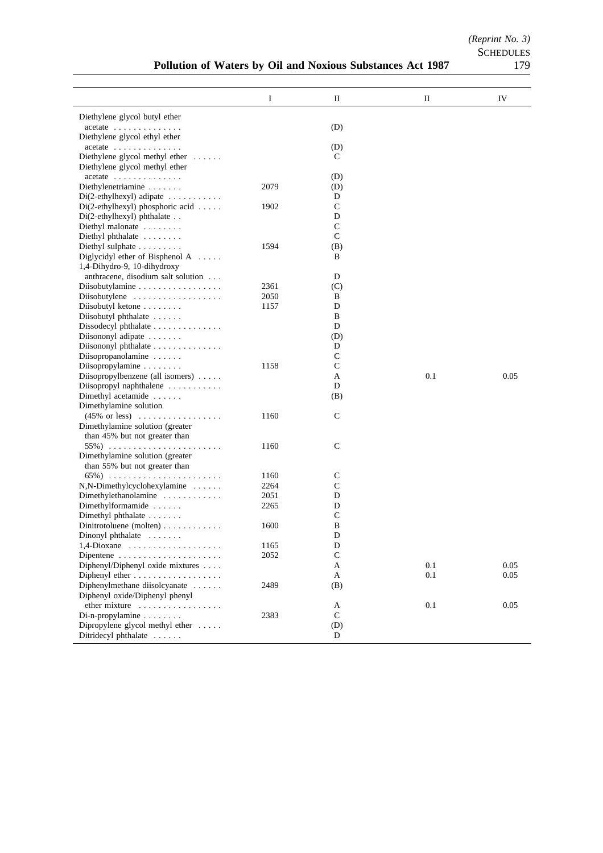**Pollution of Waters by Oil and Noxious Substances Act 1987** 179

|                                                                             | I    | П             | П   | IV   |
|-----------------------------------------------------------------------------|------|---------------|-----|------|
| Diethylene glycol butyl ether                                               |      |               |     |      |
| $acetate \dots \dots \dots \dots$                                           |      | (D)           |     |      |
| Diethylene glycol ethyl ether                                               |      |               |     |      |
| $acetate \dots \dots \dots \dots$                                           |      | (D)           |     |      |
| Diethylene glycol methyl ether<br>$\sim$ $\sim$ $\sim$ $\sim$ $\sim$ $\sim$ |      | C             |     |      |
| Diethylene glycol methyl ether                                              |      |               |     |      |
| $acetate \dots \dots \dots \dots$                                           |      | (D)           |     |      |
| Diethylenetriamine                                                          | 2079 | (D)           |     |      |
| $Di(2-ethylhexyl)$ adipate $\ldots \ldots \ldots$                           |      | D             |     |      |
| $Di(2-ethylhexyl)$ phosphoric acid                                          | 1902 | $\mathsf{C}$  |     |      |
| $Di(2-ethylhexyl)$ phthalate $\ldots$                                       |      | D             |     |      |
| Diethyl malonate                                                            |      | $\mathbf C$   |     |      |
| Diethyl phthalate $\dots \dots$                                             |      | $\mathbf C$   |     |      |
| Diethyl sulphate $\ldots \ldots$                                            | 1594 | (B)           |     |      |
| Diglycidyl ether of Bisphenol A                                             |      | B             |     |      |
| 1,4-Dihydro-9, 10-dihydroxy                                                 |      |               |     |      |
| anthracene, disodium salt solution                                          |      | D             |     |      |
| Diisobutylamine                                                             | 2361 | (C)           |     |      |
| Diisobutylene $\ldots \ldots \ldots \ldots \ldots$                          | 2050 | B             |     |      |
| Diisobutyl ketone                                                           | 1157 | D             |     |      |
| Diisobutyl phthalate                                                        |      | B             |     |      |
| Dissodecyl phthalate                                                        |      | D             |     |      |
| Diisononyl adipate $\ldots$                                                 |      | (D)           |     |      |
| Diisononyl phthalate                                                        |      | D             |     |      |
| Diisopropanolamine $\ldots$                                                 |      | $\mathcal{C}$ |     |      |
| Diisopropylamine                                                            | 1158 | $\mathbf C$   |     |      |
| Diisopropylbenzene (all isomers) $\dots$ .                                  |      | A             | 0.1 | 0.05 |
| Diisopropyl naphthalene                                                     |      | D             |     |      |
| Dimethyl acetamide                                                          |      | (B)           |     |      |
| Dimethylamine solution                                                      |      |               |     |      |
| $(45\% \text{ or less}) \dots \dots \dots \dots \dots$                      | 1160 | C             |     |      |
| Dimethylamine solution (greater                                             |      |               |     |      |
| than 45% but not greater than                                               |      |               |     |      |
| $55\%)$                                                                     | 1160 | C             |     |      |
| Dimethylamine solution (greater)                                            |      |               |     |      |
| than 55% but not greater than                                               |      |               |     |      |
|                                                                             | 1160 | $\mathsf{C}$  |     |      |
| N,N-Dimethylcyclohexylamine                                                 | 2264 | C             |     |      |
| Dimethylethanolamine                                                        | 2051 | D             |     |      |
| Dimethylformamide                                                           | 2265 | D             |     |      |
| Dimethyl phthalate $\dots$                                                  |      | $\mathcal{C}$ |     |      |
| Dinitrotoluene (molten)                                                     | 1600 | B             |     |      |
| Dinonyl phthalate                                                           |      | D             |     |      |
| $1,4$ -Dioxane                                                              | 1165 | D             |     |      |
| Dipentene $\ldots \ldots \ldots \ldots \ldots \ldots$                       | 2052 | $\mathsf{C}$  |     |      |
| Diphenyl/Diphenyl oxide mixtures                                            |      | A             | 0.1 | 0.05 |
| Diphenyl ether                                                              |      | A             | 0.1 | 0.05 |
| Diphenylmethane diisolcyanate                                               | 2489 | (B)           |     |      |
| Diphenyl oxide/Diphenyl phenyl                                              |      |               |     |      |
| ether mixture                                                               |      | A             | 0.1 | 0.05 |
| $Di$ -n-propylamine                                                         | 2383 | $\mathsf{C}$  |     |      |
| Dipropylene glycol methyl ether                                             |      | (D)           |     |      |
| Ditridecyl phthalate                                                        |      | D             |     |      |

*(Reprint No. 3)* **SCHEDULES**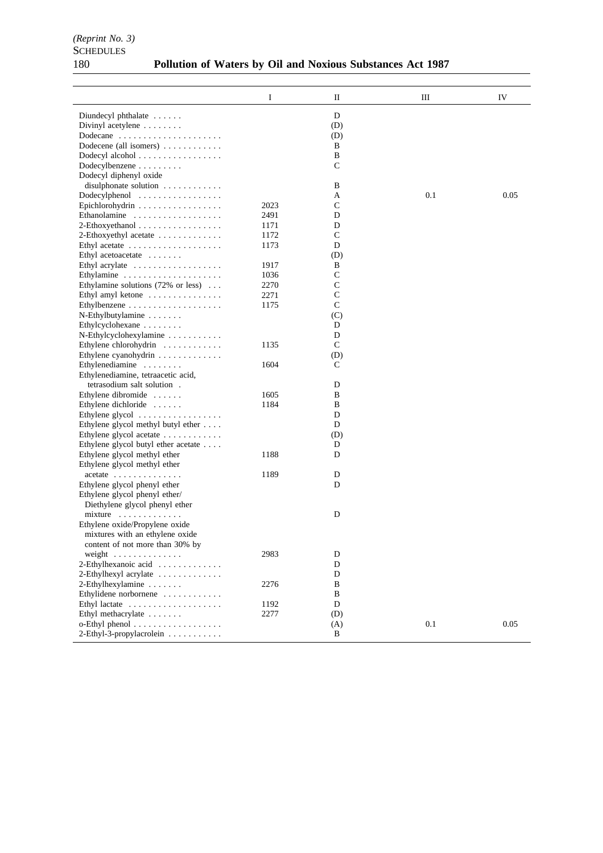# 180 **Pollution of Waters by Oil and Noxious Substances Act 1987**

|                                                     | I    | П             | Ш   | IV   |
|-----------------------------------------------------|------|---------------|-----|------|
| Diundecyl phthalate                                 |      | ${\bf D}$     |     |      |
| Divinyl acetylene $\ldots \ldots$                   |      | (D)           |     |      |
| Dodecane                                            |      | (D)           |     |      |
| Dodecene (all isomers) $\dots \dots \dots$          |      | B             |     |      |
| Dodecyl alcohol                                     |      | B             |     |      |
| Dodecylbenzene                                      |      | $\mathcal{C}$ |     |      |
| Dodecyl diphenyl oxide                              |      |               |     |      |
| disulphonate solution                               |      | B             |     |      |
| Dodecylphenol                                       |      | A             | 0.1 | 0.05 |
| Epichlorohydrin                                     | 2023 | C             |     |      |
| Ethanolamine                                        | 2491 | D             |     |      |
| 2-Ethoxyethanol                                     | 1171 | D             |     |      |
| 2-Ethoxyethyl acetate                               | 1172 | C             |     |      |
|                                                     | 1173 | D             |     |      |
| Ethyl acetate $\dots \dots \dots \dots \dots \dots$ |      |               |     |      |
| Ethyl acetoacetate                                  | 1917 | (D)           |     |      |
| Ethyl acrylate                                      |      | B             |     |      |
| Ethylamine                                          | 1036 | $\mathbf C$   |     |      |
| Ethylamine solutions (72% or less) $\dots$          | 2270 | $\mathsf C$   |     |      |
| Ethyl amyl ketone $\dots \dots \dots \dots$         | 2271 | $\mathbf C$   |     |      |
|                                                     | 1175 | $\mathsf{C}$  |     |      |
| $N$ -Ethylbutylamine                                |      | (C)           |     |      |
| Ethylcyclohexane                                    |      | D             |     |      |
| N-Ethylcyclohexylamine                              |      | D             |     |      |
| Ethylene chlorohydrin                               | 1135 | C             |     |      |
| Ethylene cyanohydrin                                |      | (D)           |     |      |
| Ethylenediamine                                     | 1604 | C             |     |      |
| Ethylenediamine, tetraacetic acid,                  |      |               |     |      |
| tetrasodium salt solution.                          |      | D             |     |      |
| Ethylene dibromide                                  | 1605 | B             |     |      |
| Ethylene dichloride                                 | 1184 | B             |     |      |
| Ethylene glycol $\dots \dots \dots \dots \dots$     |      | D             |     |      |
| Ethylene glycol methyl butyl ether                  |      | D             |     |      |
| Ethylene glycol acetate                             |      | (D)           |     |      |
| Ethylene glycol butyl ether acetate                 |      | D             |     |      |
| Ethylene glycol methyl ether                        | 1188 | D             |     |      |
| Ethylene glycol methyl ether                        |      |               |     |      |
| $acetate \dots \dots \dots \dots \dots$             | 1189 | D             |     |      |
| Ethylene glycol phenyl ether                        |      | D             |     |      |
| Ethylene glycol phenyl ether/                       |      |               |     |      |
| Diethylene glycol phenyl ether                      |      |               |     |      |
| mixture                                             |      | D             |     |      |
| Ethylene oxide/Propylene oxide                      |      |               |     |      |
| mixtures with an ethylene oxide                     |      |               |     |      |
| content of not more than 30% by                     |      |               |     |      |
| weight $\dots\dots\dots\dots\dots$                  | 2983 | D             |     |      |
| 2-Ethylhexanoic acid                                |      | D             |     |      |
| 2-Ethylhexyl acrylate                               |      | D             |     |      |
| 2-Ethylhexylamine                                   | 2276 | B             |     |      |
| Ethylidene norbornene                               |      | $\bf{B}$      |     |      |
|                                                     | 1192 | D             |     |      |
| Ethyl methacrylate                                  | 2277 | (D)           |     |      |
| o-Ethyl phenol                                      |      | (A)           | 0.1 | 0.05 |
| 2-Ethyl-3-propylacrolein                            |      | B             |     |      |
|                                                     |      |               |     |      |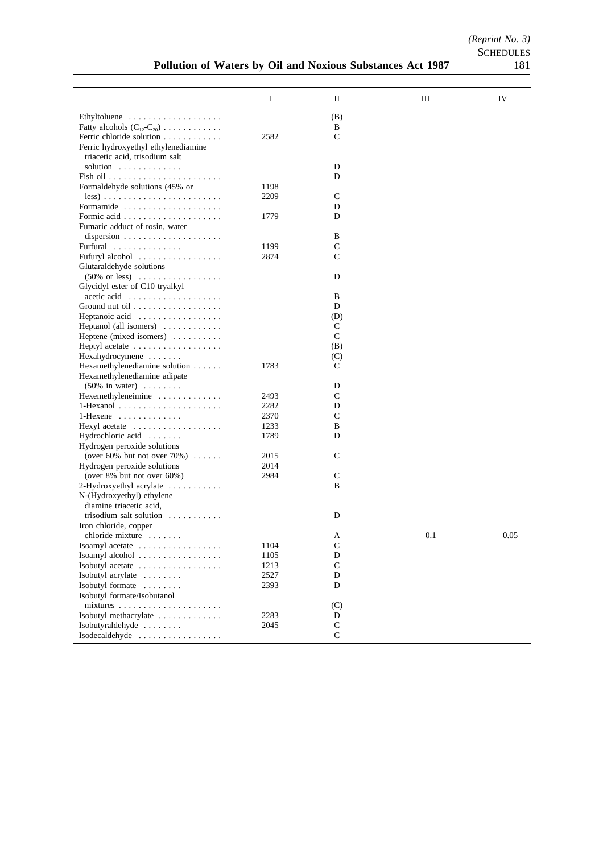|                                                            | (Reprint No. $3$ ) |
|------------------------------------------------------------|--------------------|
|                                                            | <b>SCHEDULES</b>   |
| Pollution of Waters by Oil and Noxious Substances Act 1987 | 181                |
|                                                            |                    |

|                                                                       | I    | П            | Ш   | IV   |
|-----------------------------------------------------------------------|------|--------------|-----|------|
| Ethyltoluene                                                          |      | (B)          |     |      |
| Fatty alcohols $(C_{12}-C_{20}) \ldots \ldots \ldots$                 |      | B            |     |      |
| Ferric chloride solution                                              | 2582 | C            |     |      |
| Ferric hydroxyethyl ethylenediamine<br>triacetic acid, trisodium salt |      |              |     |      |
| solution $\ldots \ldots \ldots$                                       |      | D            |     |      |
|                                                                       |      | D            |     |      |
| Formaldehyde solutions (45% or                                        | 1198 |              |     |      |
| $less) \ldots \ldots \ldots \ldots \ldots \ldots \ldots \ldots$       | 2209 | C            |     |      |
|                                                                       |      | D            |     |      |
|                                                                       | 1779 | D            |     |      |
| Fumaric adduct of rosin, water                                        |      |              |     |      |
|                                                                       |      | B            |     |      |
| Furfural                                                              | 1199 | C            |     |      |
| Fufuryl alcohol $\dots\dots\dots\dots\dots\dots$                      | 2874 | C            |     |      |
| Glutaraldehyde solutions                                              |      |              |     |      |
| $(50\% \text{ or less}) \dots \dots \dots \dots \dots$                |      | D            |     |      |
| Glycidyl ester of C10 tryalkyl                                        |      |              |     |      |
|                                                                       |      | B            |     |      |
| Ground nut oil                                                        |      | D            |     |      |
| Heptanoic acid                                                        |      | (D)          |     |      |
| Heptanol (all isomers)                                                |      | C            |     |      |
| Heptene (mixed isomers)                                               |      | C            |     |      |
| Heptyl acetate                                                        |      | (B)          |     |      |
| Hexahydrocymene                                                       |      | (C)          |     |      |
| Hexamethylenediamine solution                                         | 1783 | C            |     |      |
| Hexamethylenediamine adipate                                          |      |              |     |      |
| $(50\% \text{ in water}) \dots \dots$                                 |      | D            |     |      |
| Hexemethyleneimine                                                    | 2493 | C            |     |      |
|                                                                       | 2282 | D            |     |      |
| $1$ -Hexene                                                           | 2370 | C            |     |      |
| Hexyl acetate                                                         | 1233 | B            |     |      |
| Hydrochloric acid                                                     | 1789 | D            |     |      |
| Hydrogen peroxide solutions                                           |      |              |     |      |
| (over 60% but not over 70%) $\dots$ .                                 | 2015 | C            |     |      |
| Hydrogen peroxide solutions                                           | 2014 |              |     |      |
| (over $8\%$ but not over $60\%)$                                      | 2984 | C            |     |      |
| 2-Hydroxyethyl acrylate                                               |      | B            |     |      |
| N-(Hydroxyethyl) ethylene                                             |      |              |     |      |
| diamine triacetic acid,                                               |      |              |     |      |
| trisodium salt solution                                               |      | D            |     |      |
| Iron chloride, copper                                                 |      |              |     |      |
| chloride mixture                                                      |      | A            | 0.1 | 0.05 |
| Isoamyl acetate $\dots \dots \dots \dots \dots$                       | 1104 | $\mathsf{C}$ |     |      |
| Isoamyl alcohol                                                       | 1105 | D            |     |      |
| Isobutyl acetate $\dots \dots \dots \dots \dots$                      | 1213 | C            |     |      |
| Isobutyl acrylate                                                     | 2527 | D            |     |      |
| Isobutyl formate                                                      | 2393 | D            |     |      |
| Isobutyl formate/Isobutanol                                           |      |              |     |      |
| $mixtures \ldots \ldots \ldots \ldots \ldots$                         |      | (C)          |     |      |
| Isobutyl methacrylate                                                 | 2283 | D            |     |      |
| Isobutyraldehyde                                                      | 2045 | $\mathsf{C}$ |     |      |
| Isodecaldehyde                                                        |      | $\mathbf C$  |     |      |
|                                                                       |      |              |     |      |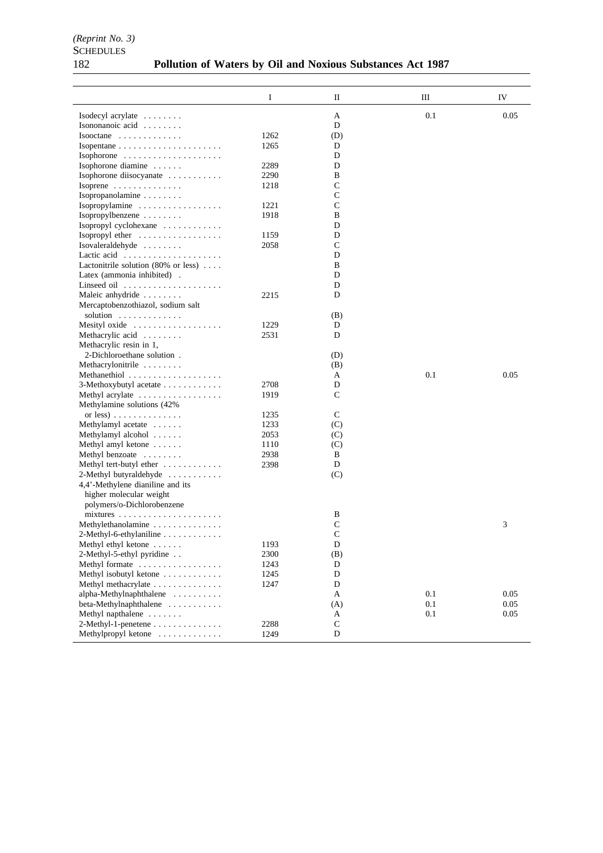# *(Reprint No. 3)* SCHEDULES<br>182

# 182 **Pollution of Waters by Oil and Noxious Substances Act 1987**

|                                                        | I    | П            | Ш   | IV   |
|--------------------------------------------------------|------|--------------|-----|------|
| Isodecyl acrylate                                      |      | A            | 0.1 | 0.05 |
| Isononanoic acid                                       |      | D            |     |      |
| $Isooctane$                                            | 1262 | (D)          |     |      |
| Isopentane $\ldots \ldots \ldots \ldots \ldots \ldots$ | 1265 | D            |     |      |
| Isophorone                                             |      | D            |     |      |
| Isophorone diamine                                     | 2289 | D            |     |      |
| Isophorone diisocyanate                                | 2290 | B            |     |      |
| Isoprene                                               | 1218 | $\mathbf C$  |     |      |
| Isopropanolamine $\ldots \ldots$                       |      | $\mathbf C$  |     |      |
| Isopropylamine                                         | 1221 | C            |     |      |
| $Isopropylbenzene \ldots \ldots$                       | 1918 | B            |     |      |
| Isopropyl cyclohexane $\dots\dots\dots\dots$           |      | D            |     |      |
| Isopropyl ether                                        | 1159 | D            |     |      |
| Isovaleraldehyde                                       | 2058 | C            |     |      |
| Lactic acid                                            |      | D            |     |      |
| Lactonitrile solution $(80\% \text{ or } less) \dots$  |      | B            |     |      |
| Latex (ammonia inhibited).                             |      | D            |     |      |
|                                                        |      | D            |     |      |
| Maleic anhydride                                       | 2215 | D            |     |      |
| Mercaptobenzothiazol, sodium salt                      |      |              |     |      |
| solution                                               |      | (B)          |     |      |
| Mesityl oxide                                          | 1229 | D            |     |      |
| Methacrylic acid                                       | 2531 | D            |     |      |
| Methacrylic resin in 1,                                |      |              |     |      |
| 2-Dichloroethane solution.                             |      | (D)          |     |      |
| Methacrylonitrile                                      |      | (B)          |     |      |
|                                                        |      | A            | 0.1 | 0.05 |
| 3-Methoxybutyl acetate                                 | 2708 | D            |     |      |
| Methyl acrylate                                        | 1919 | $\mathsf{C}$ |     |      |
| Methylamine solutions (42%                             |      |              |     |      |
| or less) $\dots \dots \dots \dots$                     | 1235 | C            |     |      |
| Methylamyl acetate                                     | 1233 | (C)          |     |      |
| Methylamyl alcohol                                     | 2053 | (C)          |     |      |
| Methyl amyl ketone                                     | 1110 | (C)          |     |      |
| Methyl benzoate                                        | 2938 | B            |     |      |
| Methyl tert-butyl ether                                | 2398 | D            |     |      |
| 2-Methyl butyraldehyde                                 |      | (C)          |     |      |
| 4,4'-Methylene dianiline and its                       |      |              |     |      |
| higher molecular weight                                |      |              |     |      |
| polymers/o-Dichlorobenzene                             |      |              |     |      |
|                                                        |      | B            |     |      |
| Methylethanolamine                                     |      | $\mathbf C$  |     | 3    |
| 2-Methyl-6-ethylaniline                                |      | $\mathsf{C}$ |     |      |
| Methyl ethyl ketone                                    | 1193 | D            |     |      |
| 2-Methyl-5-ethyl pyridine                              | 2300 | (B)          |     |      |
| Methyl formate                                         | 1243 | D            |     |      |
| Methyl isobutyl ketone                                 | 1245 | D            |     |      |
| Methyl methacrylate                                    | 1247 | D            |     |      |
| alpha-Methylnaphthalene                                |      | A            | 0.1 | 0.05 |
| beta-Methylnaphthalene                                 |      | (A)          | 0.1 | 0.05 |
| Methyl napthalene                                      |      | A            | 0.1 | 0.05 |
| 2-Methyl-1-penetene                                    | 2288 | $\mathsf{C}$ |     |      |
| Methylpropyl ketone                                    | 1249 | D            |     |      |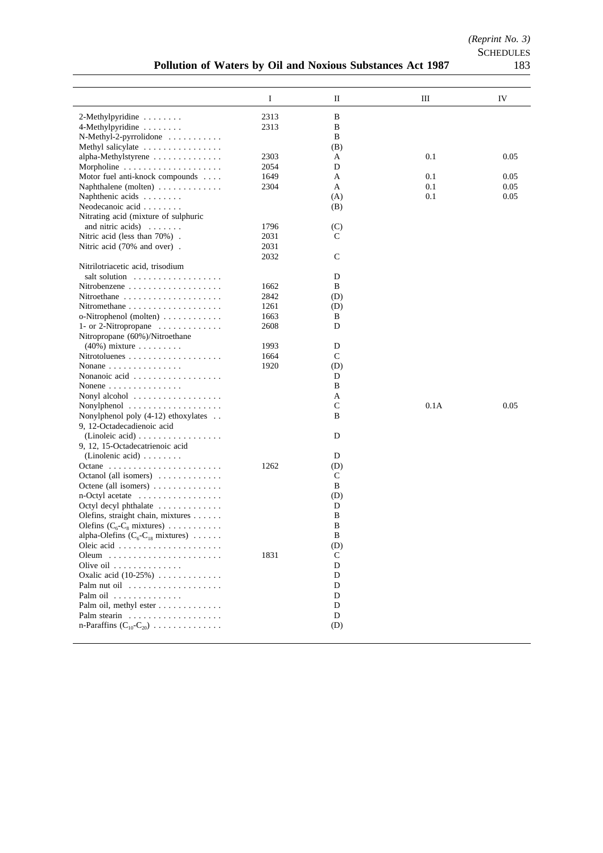*(Reprint No. 3)* LES<br>183

|                                 | (Reprint No.   |
|---------------------------------|----------------|
|                                 | <b>SCHEDUI</b> |
| and Noxious Substances Act 1987 |                |

|                                                           | I    | П            | Ш    | IV   |
|-----------------------------------------------------------|------|--------------|------|------|
| 2-Methylpyridine                                          | 2313 | B            |      |      |
| 4-Methylpyridine                                          | 2313 | B            |      |      |
| $N-Methyl-2-pyrrolidone$                                  |      | B            |      |      |
| Methyl salicylate                                         |      | (B)          |      |      |
| alpha-Methylstyrene                                       | 2303 | A            | 0.1  | 0.05 |
| Morpholine                                                | 2054 | D            |      |      |
| Motor fuel anti-knock compounds                           | 1649 | A            | 0.1  | 0.05 |
| Naphthalene (molten)                                      | 2304 | A            | 0.1  | 0.05 |
| Naphthenic acids                                          |      | (A)          | 0.1  | 0.05 |
| Neodecanoic acid                                          |      | (B)          |      |      |
| Nitrating acid (mixture of sulphuric                      |      |              |      |      |
| and nitric acids) $\ldots$                                | 1796 | (C)          |      |      |
| Nitric acid (less than 70%).                              | 2031 | C            |      |      |
| Nitric acid (70% and over).                               | 2031 |              |      |      |
|                                                           | 2032 | C            |      |      |
| Nitrilotriacetic acid, trisodium                          |      |              |      |      |
| salt solution                                             |      | D            |      |      |
|                                                           | 1662 | B            |      |      |
|                                                           |      |              |      |      |
|                                                           | 2842 | (D)          |      |      |
|                                                           | 1261 | (D)          |      |      |
| o-Nitrophenol (molten) $\dots \dots \dots$                | 1663 | B            |      |      |
| 1- or 2-Nitropropane                                      | 2608 | D            |      |      |
| Nitropropane (60%)/Nitroethane                            |      |              |      |      |
| $(40\%)$ mixture                                          | 1993 | D            |      |      |
|                                                           | 1664 | C            |      |      |
| Nonane $\ldots \ldots \ldots \ldots$                      | 1920 | (D)          |      |      |
| Nonanoic acid                                             |      | D            |      |      |
| Nonene $\dots \dots \dots \dots$                          |      | B            |      |      |
| Nonyl alcohol                                             |      | A            |      |      |
|                                                           |      | $\mathsf{C}$ | 0.1A | 0.05 |
| Nonylphenol poly (4-12) ethoxylates                       |      | B            |      |      |
| 9, 12-Octadecadienoic acid                                |      |              |      |      |
| $(Linoleic acid) \ldots \ldots \ldots \ldots \ldots$      |      | D            |      |      |
| 9, 12, 15-Octadecatrienoic acid                           |      |              |      |      |
| (Linolenic acid) $\ldots \ldots$                          |      | D            |      |      |
| Octane $\ldots \ldots \ldots \ldots \ldots \ldots \ldots$ | 1262 | (D)          |      |      |
| Octanol (all isomers)                                     |      | C            |      |      |
| Octene (all isomers)                                      |      | B            |      |      |
| n-Octyl acetate                                           |      | (D)          |      |      |
| Octyl decyl phthalate                                     |      | D            |      |      |
| Olefins, straight chain, mixtures                         |      | B            |      |      |
| Olefins $(C_6-C_8 \text{ mixtures}) \dots \dots \dots$    |      | B            |      |      |
| alpha-Olefins ( $C_6$ - $C_{18}$ mixtures)                |      | B            |      |      |
|                                                           |      | (D)          |      |      |
|                                                           | 1831 | C            |      |      |
| Olive oil $\ldots \ldots \ldots \ldots$                   |      | D            |      |      |
| Oxalic acid $(10-25%) \ldots \ldots \ldots$               |      | D            |      |      |
|                                                           |      | D            |      |      |
| Palm oil $\dots \dots \dots \dots$                        |      | D            |      |      |
| Palm oil, methyl ester                                    |      | D            |      |      |
|                                                           |      | D            |      |      |
| n-Paraffins $(C_{10}$ - $C_{20})$                         |      | (D)          |      |      |

**Pollution of Waters by Oil**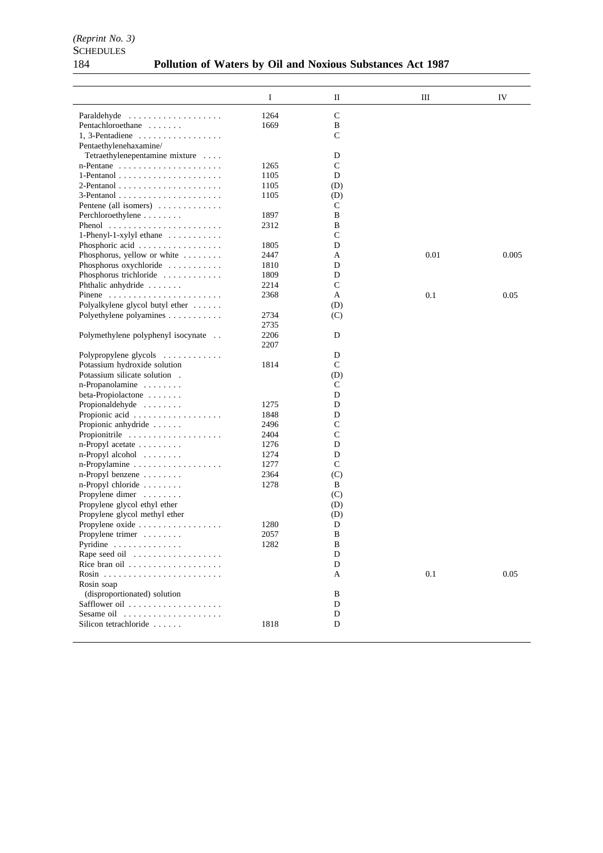# *(Reprint No. 3)* SCHEDULES<br>184

# 184 **Pollution of Waters by Oil and Noxious Substances Act 1987**

|                                                      | I    | П             | Ш    | IV    |
|------------------------------------------------------|------|---------------|------|-------|
|                                                      | 1264 | $\mathsf{C}$  |      |       |
| Pentachloroethane                                    | 1669 | B             |      |       |
| 1. 3-Pentadiene $\ldots \ldots \ldots \ldots \ldots$ |      | C             |      |       |
| Pentaethylenehaxamine/                               |      |               |      |       |
| Tetraethylenepentamine mixture                       |      | D             |      |       |
|                                                      | 1265 | C             |      |       |
|                                                      | 1105 | D             |      |       |
|                                                      | 1105 | (D)           |      |       |
|                                                      | 1105 | (D)           |      |       |
| Pentene (all isomers) $\dots \dots \dots$            |      | C             |      |       |
| Perchloroethylene                                    | 1897 | B             |      |       |
|                                                      | 2312 | B             |      |       |
| 1-Phenyl-1-xylyl ethane $\ldots \ldots \ldots$       |      | $\mathcal{C}$ |      |       |
| Phosphoric acid                                      | 1805 | D             |      |       |
| Phosphorus, yellow or white $\dots\dots$             | 2447 | A             | 0.01 | 0.005 |
| Phosphorus oxychloride                               | 1810 | D             |      |       |
| Phosphorus trichloride                               | 1809 | D             |      |       |
| Phthalic anhydride                                   | 2214 | $\mathbf C$   |      |       |
| Pinene                                               | 2368 | A             | 0.1  | 0.05  |
| Polyalkylene glycol butyl ether                      |      | (D)           |      |       |
| Polyethylene polyamines                              | 2734 | (C)           |      |       |
|                                                      | 2735 |               |      |       |
| Polymethylene polyphenyl isocynate                   | 2206 | D             |      |       |
|                                                      | 2207 |               |      |       |
| Polypropylene glycols                                |      | D             |      |       |
| Potassium hydroxide solution                         | 1814 | $\mathbf C$   |      |       |
| Potassium silicate solution.                         |      | (D)           |      |       |
| n-Propanolamine                                      |      | C             |      |       |
| $beta$ -Propiolactone                                |      | D             |      |       |
| Propionaldehyde                                      | 1275 | D             |      |       |
| Propionic acid                                       | 1848 | D             |      |       |
| Propionic anhydride                                  | 2496 | $\mathbf C$   |      |       |
| Propionitrile                                        | 2404 | $\mathcal{C}$ |      |       |
| $n$ -Propyl acetate $\dots \dots$                    | 1276 | D             |      |       |
| $n$ -Propyl alcohol $\dots \dots$                    | 1274 | D             |      |       |
| n-Propylamine                                        | 1277 | $\mathbf C$   |      |       |
| $n$ -Propyl benzene $\dots \dots$                    | 2364 | (C)           |      |       |
| $n$ -Propyl chloride                                 | 1278 | B             |      |       |
| Propylene dimer                                      |      | (C)           |      |       |
| Propylene glycol ethyl ether                         |      | (D)           |      |       |
| Propylene glycol methyl ether                        |      | (D)           |      |       |
| Propylene oxide                                      | 1280 | D             |      |       |
| Propylene trimer                                     | 2057 | $\, {\bf B}$  |      |       |
| Pyridine                                             | 1282 | B             |      |       |
| Rape seed oil                                        |      | D             |      |       |
|                                                      |      | D             |      |       |
|                                                      |      | A             | 0.1  | 0.05  |
| Rosin soap                                           |      |               |      |       |
| (disproportionated) solution                         |      | B             |      |       |
|                                                      |      | D             |      |       |
|                                                      |      | D             |      |       |
| Silicon tetrachloride                                | 1818 | D             |      |       |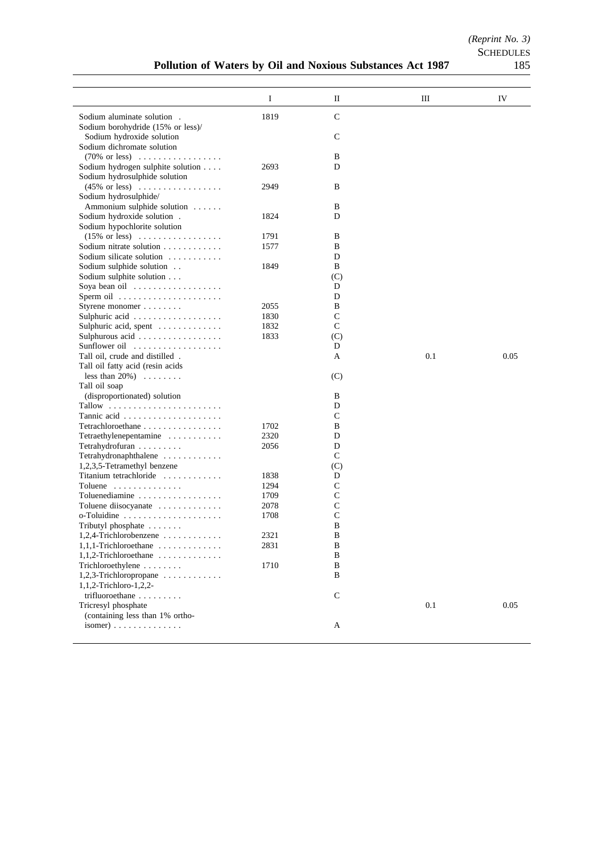**Pollution of Waters by Oil and Noxious Substances Act 1987** 185

|                                                              | I    | П             | Ш   | IV   |
|--------------------------------------------------------------|------|---------------|-----|------|
| Sodium aluminate solution.                                   | 1819 | $\mathbf C$   |     |      |
| Sodium borohydride (15% or less)/                            |      |               |     |      |
| Sodium hydroxide solution                                    |      | C             |     |      |
| Sodium dichromate solution                                   |      |               |     |      |
| $(70\% \text{ or less}) \dots \dots \dots \dots \dots \dots$ |      | B             |     |      |
| Sodium hydrogen sulphite solution                            | 2693 | D             |     |      |
| Sodium hydrosulphide solution                                |      |               |     |      |
| $(45\% \text{ or less}) \dots \dots \dots \dots \dots$       | 2949 | B             |     |      |
| Sodium hydrosulphide/                                        |      |               |     |      |
| Ammonium sulphide solution                                   |      | B             |     |      |
| Sodium hydroxide solution.                                   | 1824 | D             |     |      |
| Sodium hypochlorite solution                                 |      |               |     |      |
| $(15\% \text{ or less}) \dots \dots \dots \dots \dots$       | 1791 | B             |     |      |
| Sodium nitrate solution                                      | 1577 | B             |     |      |
| Sodium silicate solution                                     |      | D             |     |      |
| Sodium sulphide solution                                     | 1849 | B             |     |      |
| Sodium sulphite solution                                     |      | (C)           |     |      |
| Soya bean oil                                                |      | D             |     |      |
| Sperm oil $\dots \dots \dots \dots \dots \dots$              |      | D             |     |      |
| Styrene monomer                                              | 2055 | B             |     |      |
| Sulphuric acid                                               | 1830 | $\mathcal{C}$ |     |      |
| Sulphuric acid, spent                                        | 1832 | C             |     |      |
| Sulphurous acid                                              | 1833 | (C)           |     |      |
| Sunflower oil                                                |      | D             |     |      |
| Tall oil, crude and distilled.                               |      | A             | 0.1 | 0.05 |
| Tall oil fatty acid (resin acids                             |      |               |     |      |
| less than $20\%$                                             |      | (C)           |     |      |
| Tall oil soap                                                |      |               |     |      |
| (disproportionated) solution                                 |      | B             |     |      |
|                                                              |      | D             |     |      |
|                                                              |      | C             |     |      |
| Tetrachloroethane                                            | 1702 | B             |     |      |
| Tetraethylenepentamine                                       | 2320 | D             |     |      |
| Tetrahydrofuran                                              | 2056 | D             |     |      |
| Tetrahydronaphthalene                                        |      | C             |     |      |
| 1,2,3,5-Tetramethyl benzene                                  |      | (C)           |     |      |
| Titanium tetrachloride                                       | 1838 | D             |     |      |
| Toluene $\ldots \ldots \ldots \ldots$                        | 1294 | C             |     |      |
| Toluenediamine                                               | 1709 | C             |     |      |
| Toluene diisocyanate                                         | 2078 | C             |     |      |
|                                                              | 1708 | $\mathcal{C}$ |     |      |
| Tributyl phosphate $\ldots \ldots$                           |      | B             |     |      |
| 1,2,4-Trichlorobenzene                                       | 2321 | B             |     |      |
| 1,1,1-Trichloroethane                                        | 2831 | B             |     |      |
| $1,1,2$ -Trichloroethane                                     |      | B             |     |      |
|                                                              | 1710 | B             |     |      |
| Trichloroethylene                                            |      |               |     |      |
| $1,2,3$ -Trichloropropane                                    |      | B             |     |      |
| 1,1,2-Trichloro-1,2,2-                                       |      |               |     |      |
| trifluoroethane                                              |      | $\mathbf C$   |     |      |
| Tricresyl phosphate                                          |      |               | 0.1 | 0.05 |
| (containing less than 1% ortho-                              |      |               |     |      |
| $isomer) \ldots \ldots \ldots \ldots$                        |      | A             |     |      |

*(Reprint No. 3)* **SCHEDULES**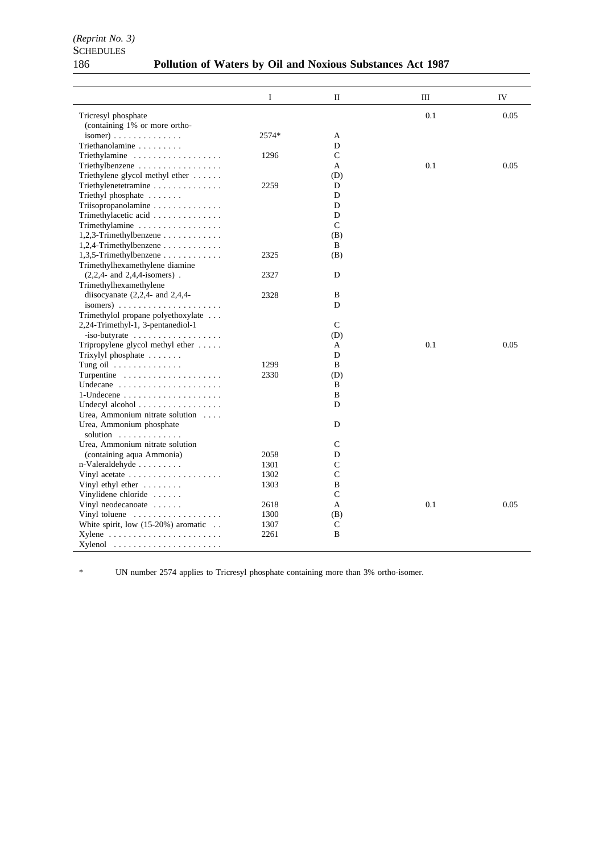# *(Reprint No. 3)* SCHEDULES<br>186

# 186 **Pollution of Waters by Oil and Noxious Substances Act 1987**

|                                                               | I     | П             | Ш   | IV   |
|---------------------------------------------------------------|-------|---------------|-----|------|
| Tricresyl phosphate                                           |       |               | 0.1 | 0.05 |
| (containing 1% or more ortho-                                 |       |               |     |      |
| $isomer) \ldots \ldots \ldots \ldots$                         | 2574* | A             |     |      |
| Triethanolamine                                               |       | D             |     |      |
| $Triethylamine \dots \dots \dots \dots \dots \dots$           | 1296  | C             |     |      |
|                                                               |       | A             | 0.1 | 0.05 |
| Triethylene glycol methyl ether $\dots$ .                     |       | (D)           |     |      |
| Triethylenetetramine                                          | 2259  | D             |     |      |
| Triethyl phosphate $\dots \dots$                              |       | D             |     |      |
| Triisopropanolamine                                           |       | D             |     |      |
| Trimethylacetic acid                                          |       | D             |     |      |
| Trimethylamine                                                |       | $\mathcal{C}$ |     |      |
| $1,2,3$ -Trimethylbenzene                                     |       | (B)           |     |      |
| $1,2,4$ -Trimethylbenzene                                     |       | B             |     |      |
| $1,3,5$ -Trimethylbenzene                                     | 2325  | (B)           |     |      |
| Trimethylhexamethylene diamine                                |       |               |     |      |
| $(2,2,4-$ and $2,4,4-$ isomers).                              | 2327  | D             |     |      |
| Trimethylhexamethylene                                        |       |               |     |      |
| diisocyanate $(2,2,4-$ and $2,4,4-$                           | 2328  | B             |     |      |
| isomers) $\ldots \ldots \ldots \ldots \ldots \ldots$          |       | D             |     |      |
| Trimethylol propane polyethoxylate                            |       |               |     |      |
| 2,24-Trimethyl-1, 3-pentanediol-1                             |       | $\mathbf C$   |     |      |
| $-iso$ -butyrate                                              |       | (D)           |     |      |
|                                                               |       | A             | 0.1 | 0.05 |
| Tripropylene glycol methyl ether                              |       | D             |     |      |
| Trixylyl phosphate $\ldots \ldots$                            | 1299  | B             |     |      |
| Tung oil                                                      |       |               |     |      |
| Turpentine $\ldots \ldots \ldots \ldots \ldots \ldots$        | 2330  | (D)           |     |      |
| Undecane                                                      |       | B             |     |      |
|                                                               |       | B             |     |      |
| Undecyl alcohol $\ldots \ldots \ldots \ldots \ldots$          |       | D             |     |      |
| Urea, Ammonium nitrate solution                               |       |               |     |      |
| Urea, Ammonium phosphate                                      |       | D             |     |      |
| solution                                                      |       |               |     |      |
| Urea, Ammonium nitrate solution                               |       | C             |     |      |
| (containing aqua Ammonia)                                     | 2058  | D             |     |      |
| $n$ -Valeraldehyde                                            | 1301  | C             |     |      |
| Vinyl acetate $\ldots \ldots \ldots \ldots \ldots$            | 1302  | C             |     |      |
| Vinyl ethyl ether                                             | 1303  | B             |     |      |
| Vinylidene chloride                                           |       | C             |     |      |
| Vinyl neodecanoate $\dots$                                    | 2618  | A             | 0.1 | 0.05 |
| Vinyl toluene $\dots \dots \dots \dots \dots$                 | 1300  | (B)           |     |      |
| White spirit, low $(15{\text -}20\%)$ aromatic                | 1307  | C             |     |      |
| $X$ y lene $\ldots \ldots \ldots \ldots \ldots \ldots \ldots$ | 2261  | B             |     |      |
|                                                               |       |               |     |      |

\* UN number 2574 applies to Tricresyl phosphate containing more than 3% ortho-isomer.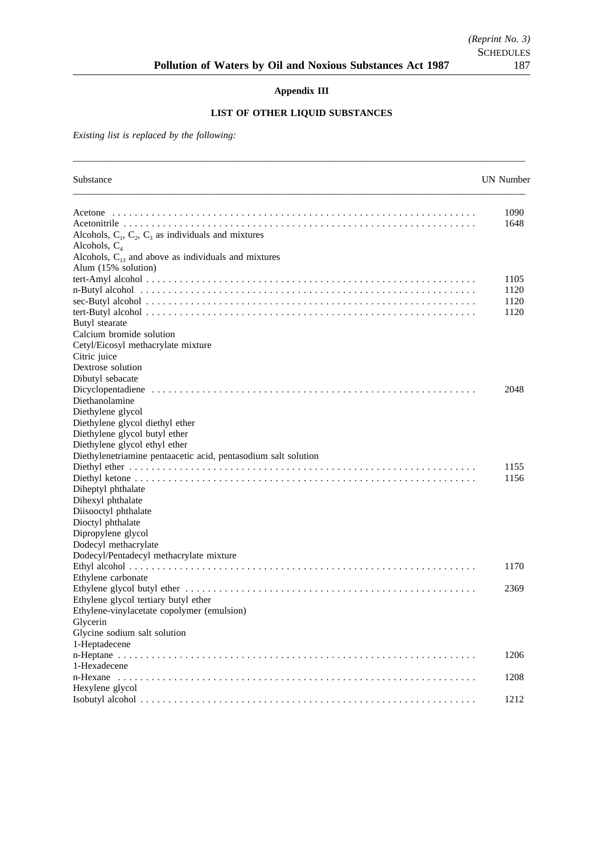# **Appendix III**

# **LIST OF OTHER LIQUID SUBSTANCES**

 $\overline{\phantom{a}}$  , and the contribution of the contribution of the contribution of the contribution of the contribution of the contribution of the contribution of the contribution of the contribution of the contribution of the

*Existing list is replaced by the following:*

| Substance                                                      | <b>UN</b> Number |
|----------------------------------------------------------------|------------------|
|                                                                | 1090             |
|                                                                | 1648             |
| Alcohols, $C_1$ , $C_2$ , $C_3$ as individuals and mixtures    |                  |
| Alcohols, $C_4$                                                |                  |
| Alcohols, $C_{13}$ and above as individuals and mixtures       |                  |
| Alum (15% solution)                                            |                  |
|                                                                | 1105             |
|                                                                | 1120             |
|                                                                | 1120             |
|                                                                | 1120             |
| Butyl stearate                                                 |                  |
| Calcium bromide solution                                       |                  |
| Cetyl/Eicosyl methacrylate mixture                             |                  |
|                                                                |                  |
| Citric juice<br>Dextrose solution                              |                  |
| Dibutyl sebacate                                               |                  |
|                                                                | 2048             |
| Diethanolamine                                                 |                  |
|                                                                |                  |
| Diethylene glycol                                              |                  |
| Diethylene glycol diethyl ether                                |                  |
| Diethylene glycol butyl ether                                  |                  |
| Diethylene glycol ethyl ether                                  |                  |
| Diethylenetriamine pentaacetic acid, pentasodium salt solution |                  |
|                                                                | 1155             |
|                                                                | 1156             |
| Diheptyl phthalate                                             |                  |
| Dihexyl phthalate                                              |                  |
| Diisooctyl phthalate                                           |                  |
| Dioctyl phthalate                                              |                  |
| Dipropylene glycol                                             |                  |
| Dodecyl methacrylate                                           |                  |
| Dodecyl/Pentadecyl methacrylate mixture                        |                  |
|                                                                | 1170             |
| Ethylene carbonate                                             |                  |
|                                                                | 2369             |
| Ethylene glycol tertiary butyl ether                           |                  |
| Ethylene-vinylacetate copolymer (emulsion)                     |                  |
| Glycerin                                                       |                  |
| Glycine sodium salt solution                                   |                  |
| 1-Heptadecene                                                  |                  |
|                                                                | 1206             |
| 1-Hexadecene                                                   |                  |
|                                                                | 1208             |
| Hexylene glycol                                                |                  |
|                                                                | 1212             |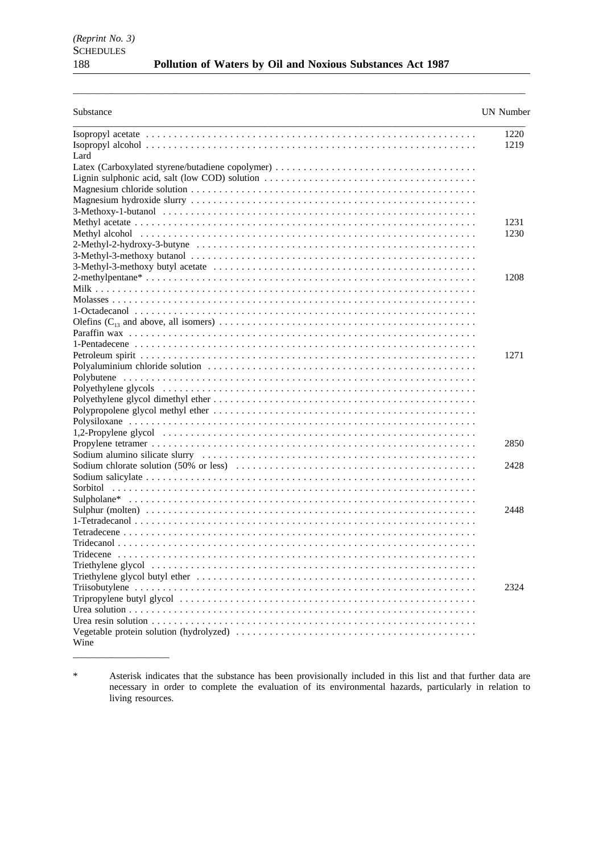| Substance | <b>UN Number</b> |
|-----------|------------------|
|           | 1220             |
|           | 1219             |
| Lard      |                  |
|           |                  |
|           |                  |
|           |                  |
|           |                  |
|           |                  |
|           | 1231             |
|           | 1230             |
|           |                  |
|           |                  |
|           |                  |
|           | 1208             |
|           |                  |
|           |                  |
|           |                  |
|           |                  |
|           |                  |
|           |                  |
|           | 1271             |
|           |                  |
|           |                  |
|           |                  |
|           |                  |
|           |                  |
|           |                  |
|           |                  |
|           |                  |
|           | 2850             |
|           |                  |
|           | 2428             |
|           |                  |
| Sorbitol  |                  |
|           |                  |
|           | 2448             |
|           |                  |
|           |                  |
|           |                  |
|           |                  |
|           |                  |
|           |                  |
|           | 2324             |
|           |                  |
|           |                  |
|           |                  |
|           |                  |
| Wine      |                  |

 $\ast$ Asterisk indicates that the substance has been provisionally included in this list and that further data are necessary in order to complete the evaluation of its environmental hazards, particularly in relation to living resources.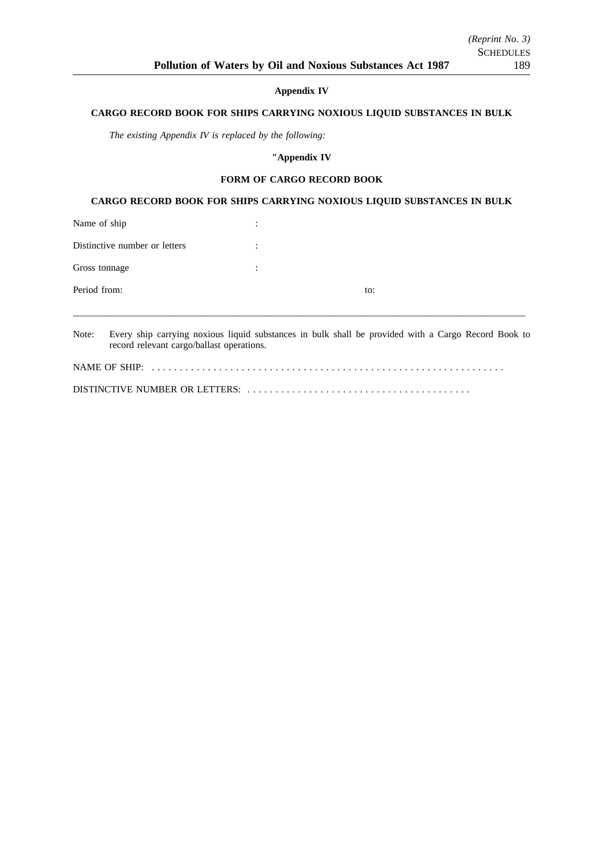# **Appendix IV**

# **CARGO RECORD BOOK FOR SHIPS CARRYING NOXIOUS LIQUID SUBSTANCES IN BULK**

*The existing Appendix IV is replaced by the following:*

## **"Appendix IV**

#### **FORM OF CARGO RECORD BOOK**

# **CARGO RECORD BOOK FOR SHIPS CARRYING NOXIOUS LIQUID SUBSTANCES IN BULK**

| Name of ship                  | ٠<br>$\cdot$ |     |
|-------------------------------|--------------|-----|
| Distinctive number or letters | ٠<br>$\cdot$ |     |
| Gross tonnage                 | ÷            |     |
| Period from:                  |              | to: |
|                               |              |     |

Note: Every ship carrying noxious liquid substances in bulk shall be provided with a Cargo Record Book to record relevant cargo/ballast operations. NAME OF SHIP: ...............................................................

\_\_\_\_\_\_\_\_\_\_\_\_\_\_\_\_\_\_\_\_\_\_\_\_\_\_\_\_\_\_\_\_\_\_\_\_\_\_\_\_\_\_\_\_\_\_\_\_\_\_\_\_\_\_\_\_\_\_\_\_\_\_\_\_\_\_\_\_\_\_\_\_\_\_\_\_\_\_\_\_\_\_\_\_\_\_\_\_\_\_\_\_\_\_

DISTINCTIVE NUMBER OR LETTERS: ........................................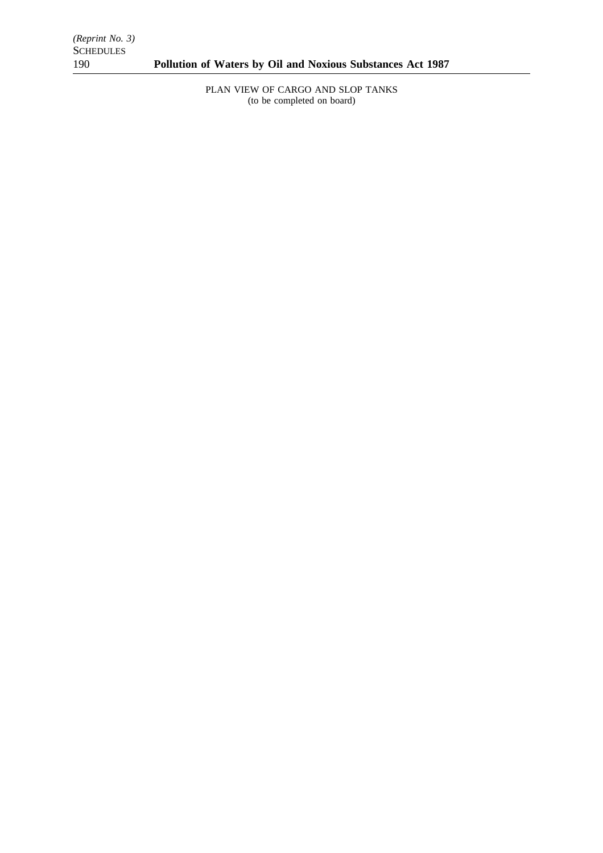PLAN VIEW OF CARGO AND SLOP TANKS (to be completed on board)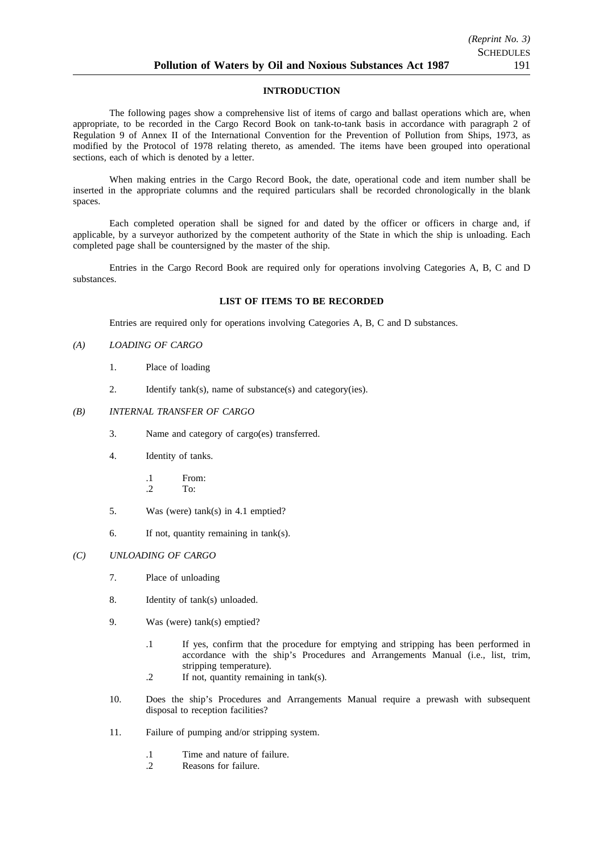#### **INTRODUCTION**

The following pages show a comprehensive list of items of cargo and ballast operations which are, when appropriate, to be recorded in the Cargo Record Book on tank-to-tank basis in accordance with paragraph 2 of Regulation 9 of Annex II of the International Convention for the Prevention of Pollution from Ships, 1973, as modified by the Protocol of 1978 relating thereto, as amended. The items have been grouped into operational sections, each of which is denoted by a letter.

When making entries in the Cargo Record Book, the date, operational code and item number shall be inserted in the appropriate columns and the required particulars shall be recorded chronologically in the blank spaces.

Each completed operation shall be signed for and dated by the officer or officers in charge and, if applicable, by a surveyor authorized by the competent authority of the State in which the ship is unloading. Each completed page shall be countersigned by the master of the ship.

Entries in the Cargo Record Book are required only for operations involving Categories A, B, C and D substances.

#### **LIST OF ITEMS TO BE RECORDED**

Entries are required only for operations involving Categories A, B, C and D substances.

## *(A) LOADING OF CARGO*

- 1. Place of loading
- 2. Identify tank(s), name of substance(s) and category(ies).

## *(B) INTERNAL TRANSFER OF CARGO*

- 3. Name and category of cargo(es) transferred.
- 4. Identity of tanks.
	- .1 From: .2 To:
- 5. Was (were) tank(s) in 4.1 emptied?
- 6. If not, quantity remaining in  $tank(s)$ .

# *(C) UNLOADING OF CARGO*

- 7. Place of unloading
- 8. Identity of tank(s) unloaded.
- 9. Was (were) tank(s) emptied?
	- .1 If yes, confirm that the procedure for emptying and stripping has been performed in accordance with the ship's Procedures and Arrangements Manual (i.e., list, trim, stripping temperature).
	- .2 If not, quantity remaining in tank(s).
- 10. Does the ship's Procedures and Arrangements Manual require a prewash with subsequent disposal to reception facilities?
- 11. Failure of pumping and/or stripping system.
	- .1 Time and nature of failure.<br>2 Reasons for failure.
	- Reasons for failure.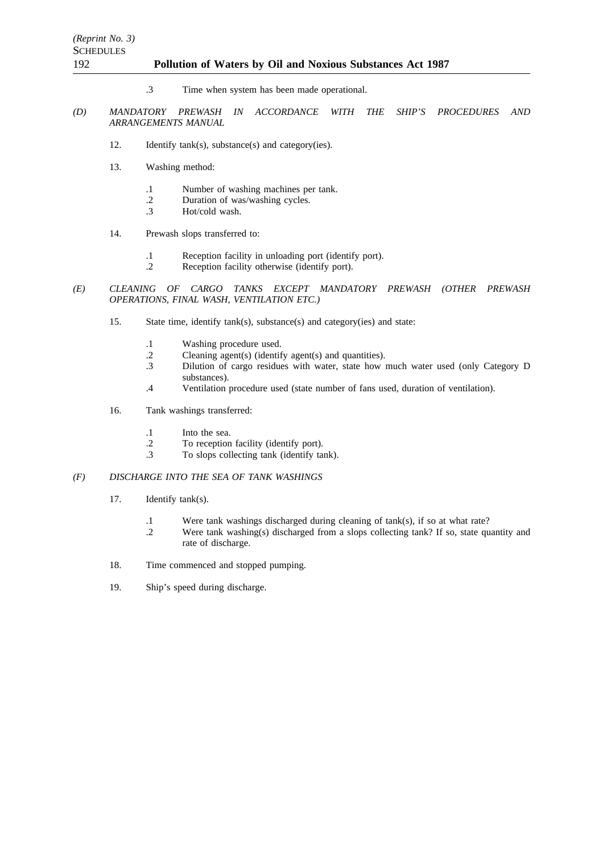- .3 Time when system has been made operational.
- *(D) MANDATORY PREWASH IN ACCORDANCE WITH THE SHIP'S PROCEDURES AND ARRANGEMENTS MANUAL*
	- 12. Identify tank(s), substance(s) and category(ies).
	- 13. Washing method:
		- .1 Number of washing machines per tank.<br>2 Duration of was/washing cycles.
		- 2 Duration of was/washing cycles.<br>3 Hot/cold wash.
		- Hot/cold wash.
	- 14. Prewash slops transferred to:
		- .1 Reception facility in unloading port (identify port).
		- Reception facility otherwise (identify port).
- *(E) CLEANING OF CARGO TANKS EXCEPT MANDATORY PREWASH (OTHER PREWASH OPERATIONS, FINAL WASH, VENTILATION ETC.)*
	- 15. State time, identify tank(s), substance(s) and category(ies) and state:
		- .1 Washing procedure used.
		- .2 Cleaning agent(s) (identify agent(s) and quantities).<br>3 Dilution of cargo residues with water, state how in
		- Dilution of cargo residues with water, state how much water used (only Category D substances).
		- .4 Ventilation procedure used (state number of fans used, duration of ventilation).
	- 16. Tank washings transferred:
		- .1 Into the sea.
		- .2 To reception facility (identify port).<br>3 To slops collecting tank (identify ta
		- To slops collecting tank (identify tank).

# *(F) DISCHARGE INTO THE SEA OF TANK WASHINGS*

- 17. Identify tank(s).
	- .1 Were tank washings discharged during cleaning of tank(s), if so at what rate?
	- .2 Were tank washing(s) discharged from a slops collecting tank? If so, state quantity and rate of discharge.
- 18. Time commenced and stopped pumping.
- 19. Ship's speed during discharge.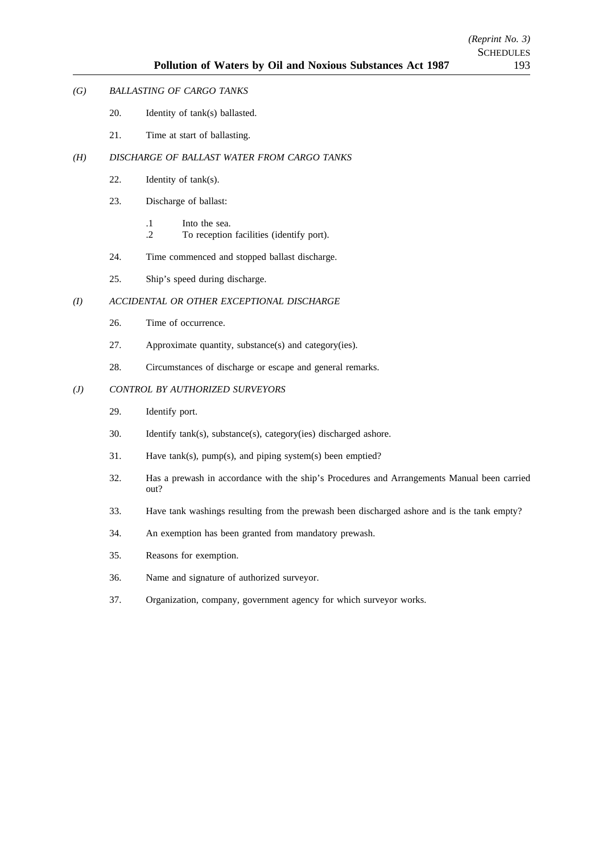- *(G) BALLASTING OF CARGO TANKS*
	- 20. Identity of tank(s) ballasted.
	- 21. Time at start of ballasting.

### *(H) DISCHARGE OF BALLAST WATER FROM CARGO TANKS*

- 22. Identity of tank(s).
- 23. Discharge of ballast:
	- .1 Into the sea.<br>.2 To reception
	- To reception facilities (identify port).
- 24. Time commenced and stopped ballast discharge.
- 25. Ship's speed during discharge.

#### *(I) ACCIDENTAL OR OTHER EXCEPTIONAL DISCHARGE*

- 26. Time of occurrence.
- 27. Approximate quantity, substance(s) and category(ies).
- 28. Circumstances of discharge or escape and general remarks.

#### *(J) CONTROL BY AUTHORIZED SURVEYORS*

- 29. Identify port.
- 30. Identify tank(s), substance(s), category(ies) discharged ashore.
- 31. Have tank(s), pump(s), and piping system(s) been emptied?
- 32. Has a prewash in accordance with the ship's Procedures and Arrangements Manual been carried out?
- 33. Have tank washings resulting from the prewash been discharged ashore and is the tank empty?
- 34. An exemption has been granted from mandatory prewash.
- 35. Reasons for exemption.
- 36. Name and signature of authorized surveyor.
- 37. Organization, company, government agency for which surveyor works.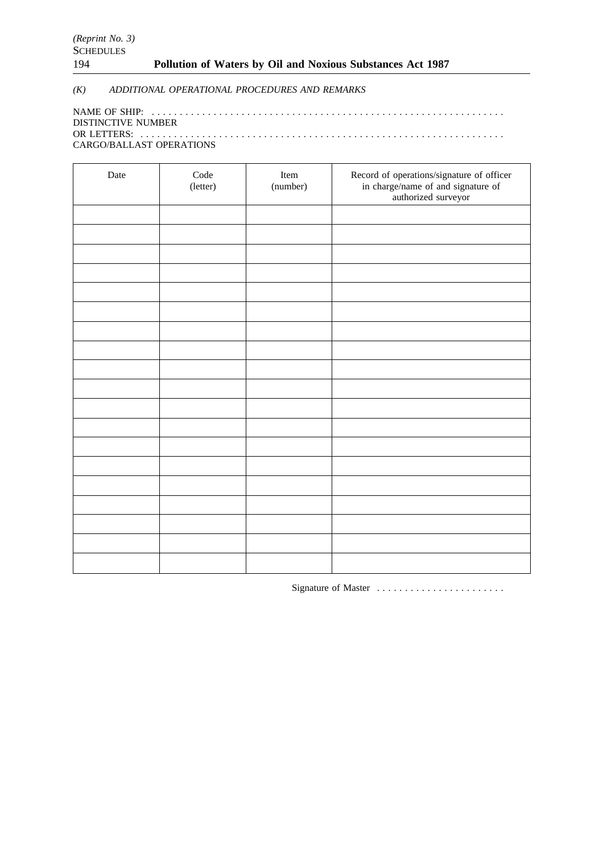# *(K) ADDITIONAL OPERATIONAL PROCEDURES AND REMARKS*

NAME OF SHIP: ............................................................... DISTINCTIVE NUMBER OR LETTERS: ................................................................. CARGO/BALLAST OPERATIONS

| Date | Code<br>(letter) | Item<br>(number) | Record of operations/signature of officer<br>in charge/name of and signature of<br>authorized surveyor |
|------|------------------|------------------|--------------------------------------------------------------------------------------------------------|
|      |                  |                  |                                                                                                        |
|      |                  |                  |                                                                                                        |
|      |                  |                  |                                                                                                        |
|      |                  |                  |                                                                                                        |
|      |                  |                  |                                                                                                        |
|      |                  |                  |                                                                                                        |
|      |                  |                  |                                                                                                        |
|      |                  |                  |                                                                                                        |
|      |                  |                  |                                                                                                        |
|      |                  |                  |                                                                                                        |
|      |                  |                  |                                                                                                        |
|      |                  |                  |                                                                                                        |
|      |                  |                  |                                                                                                        |
|      |                  |                  |                                                                                                        |
|      |                  |                  |                                                                                                        |
|      |                  |                  |                                                                                                        |
|      |                  |                  |                                                                                                        |
|      |                  |                  |                                                                                                        |
|      |                  |                  |                                                                                                        |

Signature of Master .......................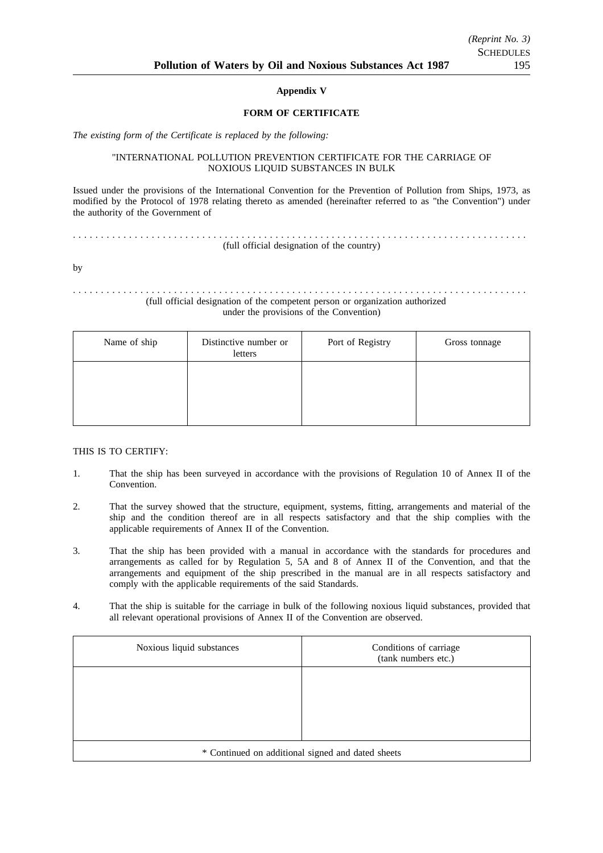#### **Appendix V**

#### **FORM OF CERTIFICATE**

*The existing form of the Certificate is replaced by the following:*

## "INTERNATIONAL POLLUTION PREVENTION CERTIFICATE FOR THE CARRIAGE OF NOXIOUS LIQUID SUBSTANCES IN BULK

Issued under the provisions of the International Convention for the Prevention of Pollution from Ships, 1973, as modified by the Protocol of 1978 relating thereto as amended (hereinafter referred to as "the Convention") under the authority of the Government of

................................................................................. (full official designation of the country)

by

#### ................................................................................. (full official designation of the competent person or organization authorized under the provisions of the Convention)

| Name of ship | Distinctive number or<br>letters | Port of Registry | Gross tonnage |
|--------------|----------------------------------|------------------|---------------|
|              |                                  |                  |               |
|              |                                  |                  |               |

# THIS IS TO CERTIFY:

- 1. That the ship has been surveyed in accordance with the provisions of Regulation 10 of Annex II of the Convention.
- 2. That the survey showed that the structure, equipment, systems, fitting, arrangements and material of the ship and the condition thereof are in all respects satisfactory and that the ship complies with the applicable requirements of Annex II of the Convention.
- 3. That the ship has been provided with a manual in accordance with the standards for procedures and arrangements as called for by Regulation 5, 5A and 8 of Annex II of the Convention, and that the arrangements and equipment of the ship prescribed in the manual are in all respects satisfactory and comply with the applicable requirements of the said Standards.
- 4. That the ship is suitable for the carriage in bulk of the following noxious liquid substances, provided that all relevant operational provisions of Annex II of the Convention are observed.

| Noxious liquid substances                         | Conditions of carriage<br>(tank numbers etc.) |  |
|---------------------------------------------------|-----------------------------------------------|--|
|                                                   |                                               |  |
|                                                   |                                               |  |
|                                                   |                                               |  |
| * Continued on additional signed and dated sheets |                                               |  |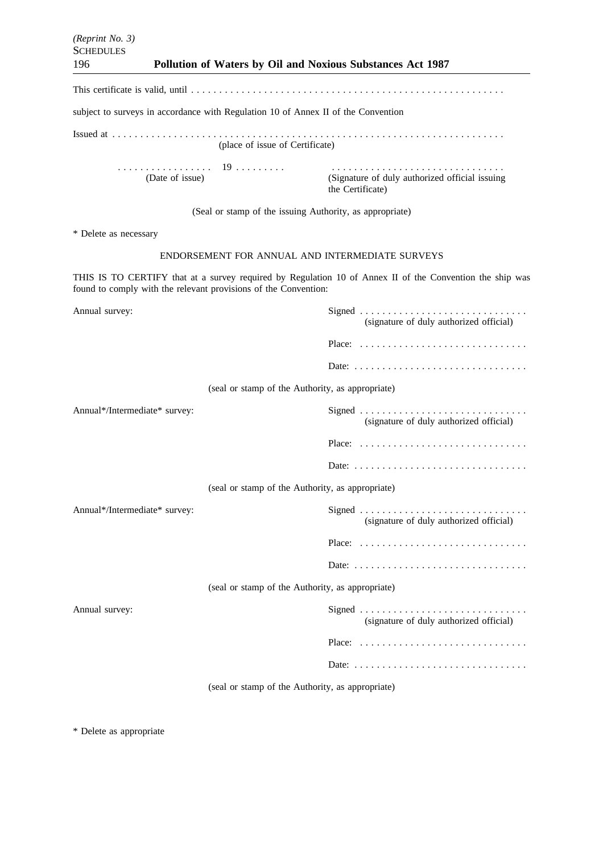| (Reprint No. 3)<br><b>SCHEDULES</b><br>196 |                                                                                   | Pollution of Waters by Oil and Noxious Substances Act 1987                                               |
|--------------------------------------------|-----------------------------------------------------------------------------------|----------------------------------------------------------------------------------------------------------|
|                                            |                                                                                   |                                                                                                          |
|                                            | subject to surveys in accordance with Regulation 10 of Annex II of the Convention |                                                                                                          |
|                                            | (place of issue of Certificate)                                                   |                                                                                                          |
|                                            | (Date of issue)                                                                   | (Signature of duly authorized official issuing<br>the Certificate)                                       |
|                                            |                                                                                   | (Seal or stamp of the issuing Authority, as appropriate)                                                 |
| * Delete as necessary                      |                                                                                   |                                                                                                          |
|                                            |                                                                                   | ENDORSEMENT FOR ANNUAL AND INTERMEDIATE SURVEYS                                                          |
|                                            | found to comply with the relevant provisions of the Convention:                   | THIS IS TO CERTIFY that at a survey required by Regulation 10 of Annex II of the Convention the ship was |
| Annual survey:                             |                                                                                   | (signature of duly authorized official)                                                                  |
|                                            |                                                                                   |                                                                                                          |
|                                            |                                                                                   |                                                                                                          |
|                                            |                                                                                   | (seal or stamp of the Authority, as appropriate)                                                         |
| Annual*/Intermediate* survey:              |                                                                                   | (signature of duly authorized official)                                                                  |
|                                            |                                                                                   |                                                                                                          |
|                                            |                                                                                   |                                                                                                          |
|                                            |                                                                                   | (seal or stamp of the Authority, as appropriate)                                                         |
| Annual*/Intermediate* survey:              |                                                                                   | (signature of duly authorized official)                                                                  |
|                                            |                                                                                   |                                                                                                          |
|                                            |                                                                                   | Date: $\ldots \ldots \ldots \ldots \ldots \ldots \ldots \ldots \ldots \ldots$                            |
|                                            |                                                                                   | (seal or stamp of the Authority, as appropriate)                                                         |
| Annual survey:                             |                                                                                   | (signature of duly authorized official)                                                                  |
|                                            |                                                                                   | Place: $\ldots \ldots \ldots \ldots \ldots \ldots \ldots \ldots \ldots$                                  |
|                                            |                                                                                   |                                                                                                          |
|                                            |                                                                                   | (seal or stamp of the Authority, as appropriate)                                                         |

\* Delete as appropriate